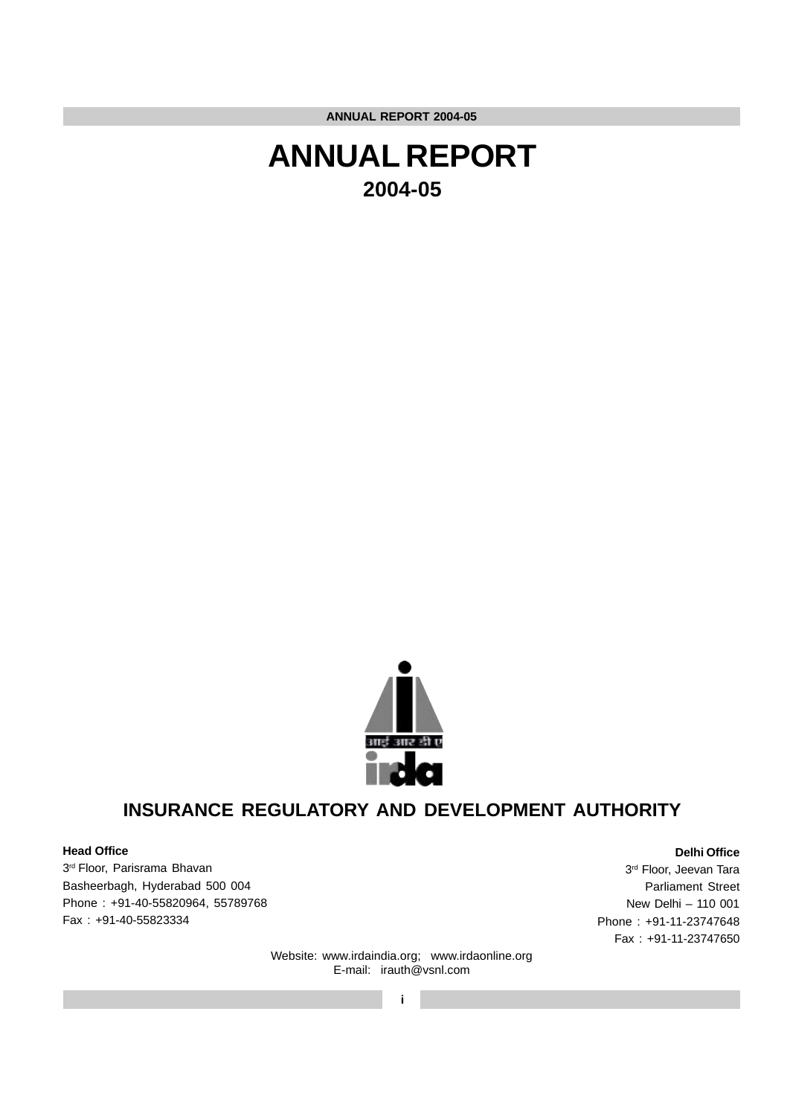



## **INSURANCE REGULATORY AND DEVELOPMENT AUTHORITY**

## **Head Office**

3rd Floor, Parisrama Bhavan Basheerbagh, Hyderabad 500 004 Phone : +91-40-55820964, 55789768 Fax : +91-40-55823334

3rd Floor, Jeevan Tara Parliament Street New Delhi – 110 001 Phone : +91-11-23747648 Fax : +91-11-23747650

**Delhi Office**

Website: www.irdaindia.org; www.irdaonline.org E-mail: irauth@vsnl.com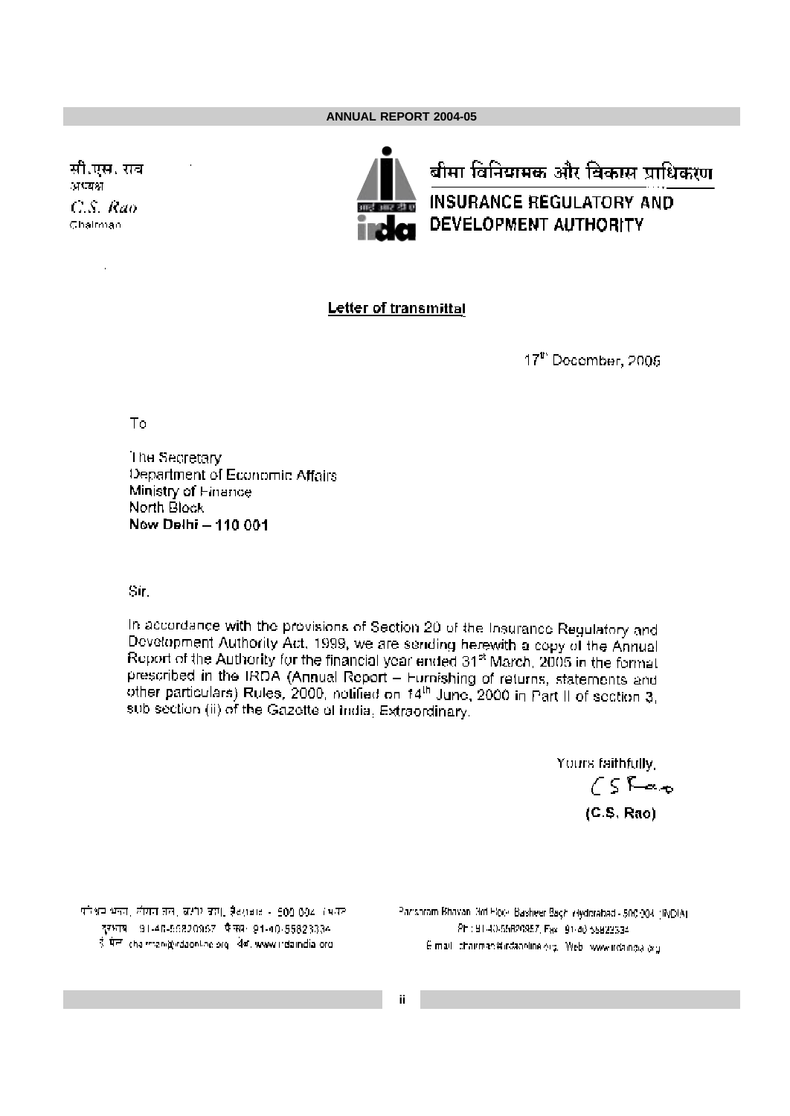सी.एस. राव अध्यक्ष C.S. Rao Chairman



## Letter of transmittal

17th December, 2005

To

The Secretary Department of Economic Affairs Ministry of Finance North Block New Delhi - 110 001

Sir.

In accordance with the provisions of Section 20 of the Insurance Regulatory and Development Authority Act, 1999, we are sending herewith a copy of the Annual Report of the Authority for the financial year ended 31<sup>st</sup> March, 2005 in the format prescribed in the IRDA (Annual Report – Furnishing of returns, statements and other particulars) Rules, 2000, notified on 14<sup>th</sup> June, 2000 in Part II of section 3, sub section (ii) of the Gazette of India, Extraordinary.

> Yours faithfully,  $CS$ Rao  $(C.S. Rao)$

परिश्रम भक्त, लीसत तल, लक्षीर जम्म, हैदराबाट - 500,004 (भवत दुरभाष 91-40-56820957 फैक्स्स- 91-40-55823334 ई मेल chairman@irdaonline.org | येव. www.irdaindia.org

Parishram Bhavan, 3rd Hock, Basheer Bagh, Hyderabad - 500:004, (INDIA). Phil 91-40-55820957, Fax: 91-40-55822334 E-mail: chairman@irdaonline.org, Web: www.irdaingia.org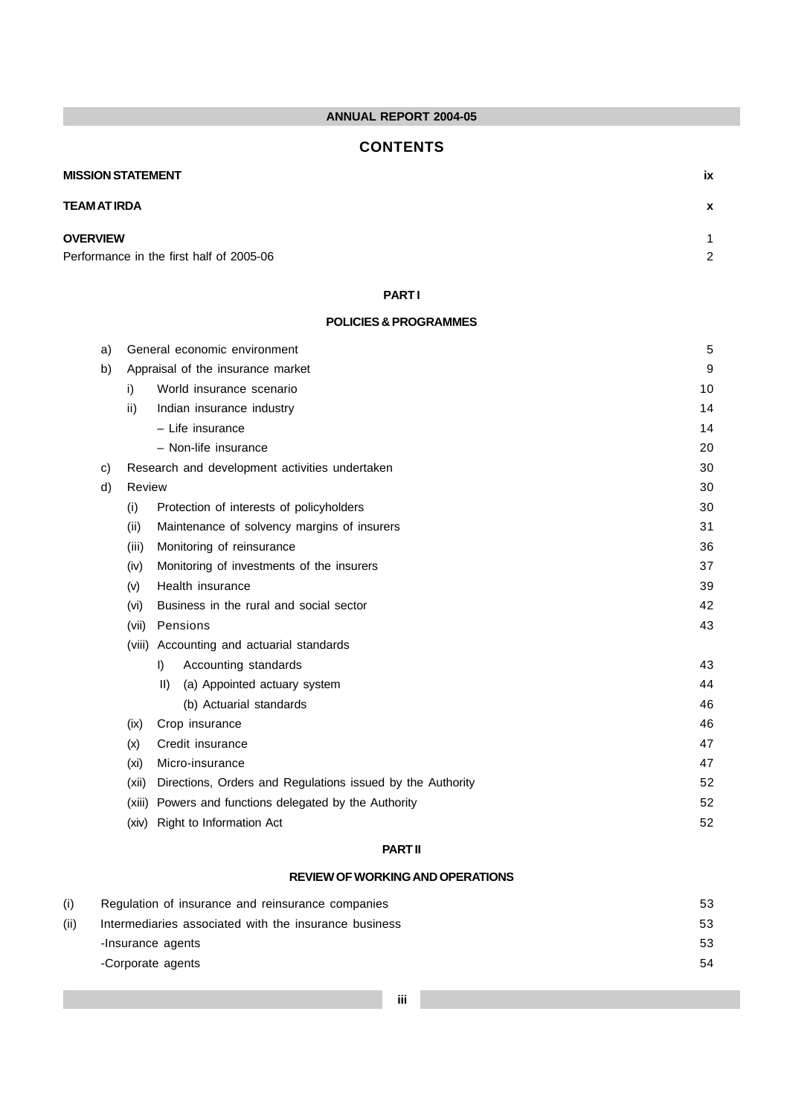## **CONTENTS**

# **MISSION STATEMENT ix TEAM AT IRDA x OVERVIEW** 1

Performance in the first half of 2005-06 2

## **PART I**

## **POLICIES & PROGRAMMES**

| a) |        | General economic environment                               | 5  |
|----|--------|------------------------------------------------------------|----|
| b) |        | Appraisal of the insurance market                          | 9  |
|    | i)     | World insurance scenario                                   | 10 |
|    | ii)    | Indian insurance industry                                  | 14 |
|    |        | - Life insurance                                           | 14 |
|    |        | - Non-life insurance                                       | 20 |
| C) |        | Research and development activities undertaken             | 30 |
| d) | Review |                                                            | 30 |
|    | (i)    | Protection of interests of policyholders                   | 30 |
|    | (ii)   | Maintenance of solvency margins of insurers                | 31 |
|    | (iii)  | Monitoring of reinsurance                                  | 36 |
|    | (iv)   | Monitoring of investments of the insurers                  | 37 |
|    | (v)    | Health insurance                                           | 39 |
|    | (vi)   | Business in the rural and social sector                    | 42 |
|    | (vii)  | Pensions                                                   | 43 |
|    |        | (viii) Accounting and actuarial standards                  |    |
|    |        | I)<br>Accounting standards                                 | 43 |
|    |        | (a) Appointed actuary system<br>$\parallel$ )              | 44 |
|    |        | (b) Actuarial standards                                    | 46 |
|    | (ix)   | Crop insurance                                             | 46 |
|    | (x)    | Credit insurance                                           | 47 |
|    | (xi)   | Micro-insurance                                            | 47 |
|    | (xii)  | Directions, Orders and Regulations issued by the Authority | 52 |
|    | (xiii) | Powers and functions delegated by the Authority            | 52 |
|    | (xiv)  | Right to Information Act                                   | 52 |
|    |        |                                                            |    |

## **PART II**

## **REVIEW OF WORKING AND OPERATIONS**

| (i)  | Regulation of insurance and reinsurance companies     | 53 |
|------|-------------------------------------------------------|----|
| (ii) | Intermediaries associated with the insurance business | 53 |
|      | -Insurance agents                                     | 53 |
|      | -Corporate agents                                     | 54 |
|      |                                                       |    |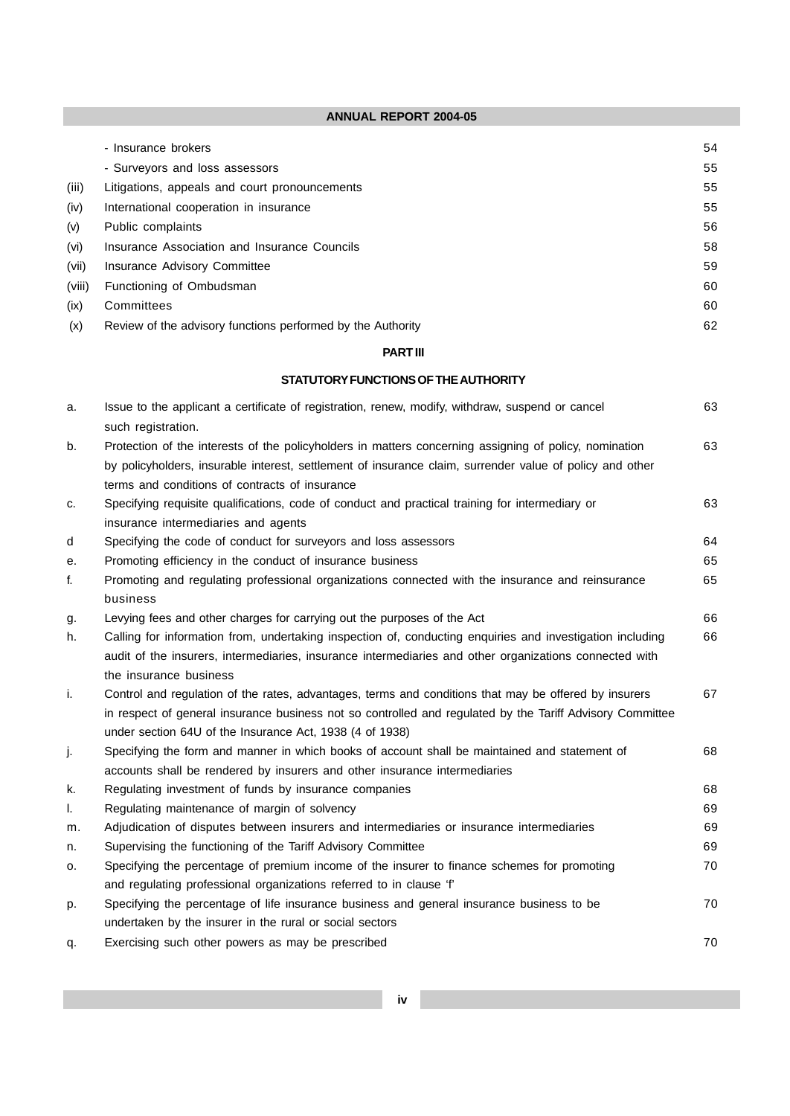|        | - Insurance brokers                                         | 54 |
|--------|-------------------------------------------------------------|----|
|        | - Surveyors and loss assessors                              | 55 |
| (iii)  | Litigations, appeals and court pronouncements               | 55 |
| (iv)   | International cooperation in insurance                      | 55 |
| (v)    | Public complaints                                           | 56 |
| (vi)   | Insurance Association and Insurance Councils                | 58 |
| (vii)  | Insurance Advisory Committee                                | 59 |
| (viii) | Functioning of Ombudsman                                    | 60 |
| (ix)   | Committees                                                  | 60 |
| (x)    | Review of the advisory functions performed by the Authority | 62 |

## **PART III**

## **STATUTORY FUNCTIONS OF THE AUTHORITY**

| a. | Issue to the applicant a certificate of registration, renew, modify, withdraw, suspend or cancel          | 63 |
|----|-----------------------------------------------------------------------------------------------------------|----|
|    | such registration.                                                                                        |    |
| b. | Protection of the interests of the policyholders in matters concerning assigning of policy, nomination    | 63 |
|    | by policyholders, insurable interest, settlement of insurance claim, surrender value of policy and other  |    |
|    | terms and conditions of contracts of insurance                                                            |    |
| C. | Specifying requisite qualifications, code of conduct and practical training for intermediary or           | 63 |
|    | insurance intermediaries and agents                                                                       |    |
| d  | Specifying the code of conduct for surveyors and loss assessors                                           | 64 |
| е. | Promoting efficiency in the conduct of insurance business                                                 | 65 |
| f. | Promoting and regulating professional organizations connected with the insurance and reinsurance          | 65 |
|    | business                                                                                                  |    |
| g. | Levying fees and other charges for carrying out the purposes of the Act                                   | 66 |
| h. | Calling for information from, undertaking inspection of, conducting enquiries and investigation including | 66 |
|    | audit of the insurers, intermediaries, insurance intermediaries and other organizations connected with    |    |
|    | the insurance business                                                                                    |    |
| j. | Control and regulation of the rates, advantages, terms and conditions that may be offered by insurers     | 67 |
|    | in respect of general insurance business not so controlled and regulated by the Tariff Advisory Committee |    |
|    | under section 64U of the Insurance Act, 1938 (4 of 1938)                                                  |    |
| j. | Specifying the form and manner in which books of account shall be maintained and statement of             | 68 |
|    | accounts shall be rendered by insurers and other insurance intermediaries                                 |    |
| k. | Regulating investment of funds by insurance companies                                                     | 68 |
| L. | Regulating maintenance of margin of solvency                                                              | 69 |
| m. | Adjudication of disputes between insurers and intermediaries or insurance intermediaries                  | 69 |
| n. | Supervising the functioning of the Tariff Advisory Committee                                              | 69 |
| о. | Specifying the percentage of premium income of the insurer to finance schemes for promoting               | 70 |
|    | and regulating professional organizations referred to in clause 'f'                                       |    |
| p. | Specifying the percentage of life insurance business and general insurance business to be                 | 70 |
|    | undertaken by the insurer in the rural or social sectors                                                  |    |
| q. | Exercising such other powers as may be prescribed                                                         | 70 |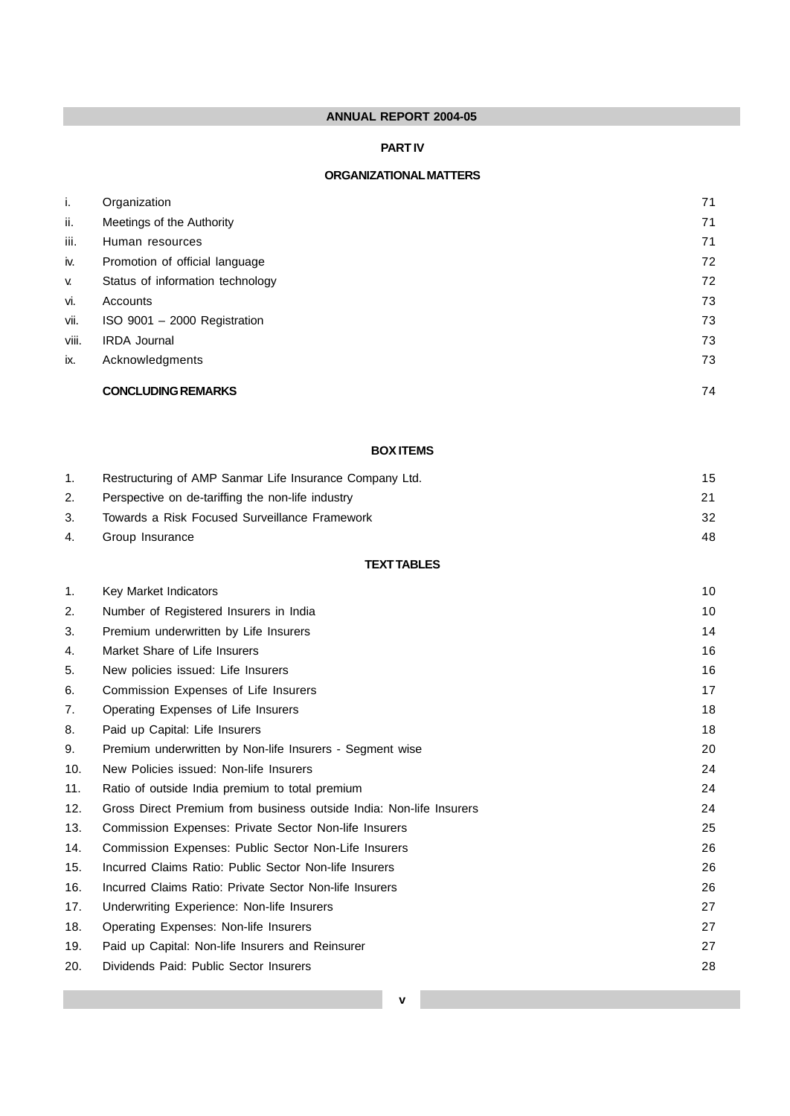## **PART IV**

## **ORGANIZATIONAL MATTERS**

| i.        | Organization                     | 71 |
|-----------|----------------------------------|----|
| ii.       | Meetings of the Authority        | 71 |
| iii.      | Human resources                  | 71 |
| iv.       | Promotion of official language   | 72 |
| <b>V.</b> | Status of information technology | 72 |
| vi.       | Accounts                         | 73 |
| vii.      | ISO 9001 - 2000 Registration     | 73 |
| viii.     | <b>IRDA Journal</b>              | 73 |
| ix.       | Acknowledgments                  | 73 |
|           | <b>CONCLUDING REMARKS</b>        | 74 |

## **BOX ITEMS**

|    | Restructuring of AMP Sanmar Life Insurance Company Ltd. | 15 |
|----|---------------------------------------------------------|----|
| 2. | Perspective on de-tariffing the non-life industry       | 21 |
|    | Towards a Risk Focused Surveillance Framework           | 32 |
| 4. | Group Insurance                                         | 48 |

## **TEXT TABLES**

| 1.  | Key Market Indicators                                               | 10 |
|-----|---------------------------------------------------------------------|----|
| 2.  | Number of Registered Insurers in India                              | 10 |
| 3.  | Premium underwritten by Life Insurers                               | 14 |
| 4.  | Market Share of Life Insurers                                       | 16 |
| 5.  | New policies issued: Life Insurers                                  | 16 |
| 6.  | Commission Expenses of Life Insurers                                | 17 |
| 7.  | Operating Expenses of Life Insurers                                 | 18 |
| 8.  | Paid up Capital: Life Insurers                                      | 18 |
| 9.  | Premium underwritten by Non-life Insurers - Segment wise            | 20 |
| 10. | New Policies issued: Non-life Insurers                              | 24 |
| 11. | Ratio of outside India premium to total premium                     | 24 |
| 12. | Gross Direct Premium from business outside India: Non-life Insurers | 24 |
| 13. | Commission Expenses: Private Sector Non-life Insurers               | 25 |
| 14. | Commission Expenses: Public Sector Non-Life Insurers                | 26 |
| 15. | Incurred Claims Ratio: Public Sector Non-life Insurers              | 26 |
| 16. | Incurred Claims Ratio: Private Sector Non-life Insurers             | 26 |
| 17. | Underwriting Experience: Non-life Insurers                          | 27 |
| 18. | Operating Expenses: Non-life Insurers                               | 27 |
| 19. | Paid up Capital: Non-life Insurers and Reinsurer                    | 27 |
| 20. | Dividends Paid: Public Sector Insurers                              | 28 |
|     |                                                                     |    |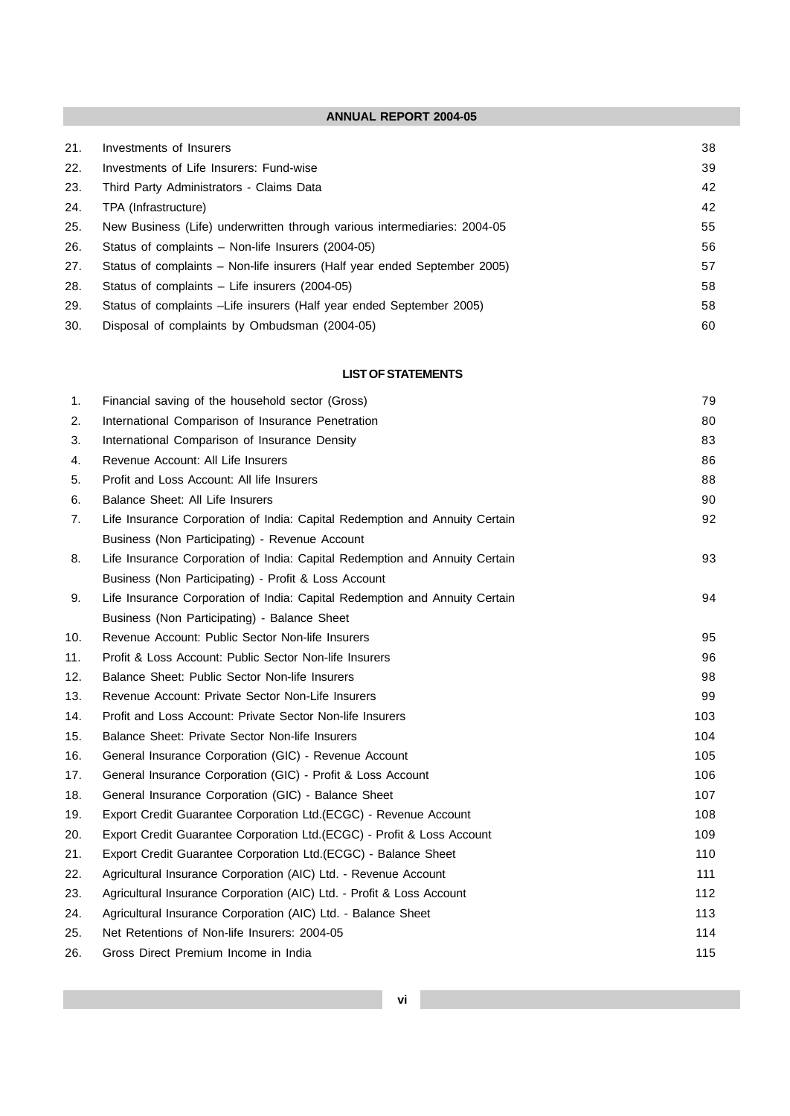| 21. | Investments of Insurers                                                   | 38 |
|-----|---------------------------------------------------------------------------|----|
| 22. | Investments of Life Insurers: Fund-wise                                   | 39 |
| 23. | Third Party Administrators - Claims Data                                  | 42 |
| 24. | TPA (Infrastructure)                                                      | 42 |
| 25. | New Business (Life) underwritten through various intermediaries: 2004-05  | 55 |
| 26. | Status of complaints – Non-life Insurers (2004-05)                        | 56 |
| 27. | Status of complaints – Non-life insurers (Half year ended September 2005) | 57 |
| 28. | Status of complaints – Life insurers (2004-05)                            | 58 |
| 29. | Status of complaints –Life insurers (Half year ended September 2005)      | 58 |
| 30. | Disposal of complaints by Ombudsman (2004-05)                             | 60 |

## **LIST OF STATEMENTS**

| 1.  | Financial saving of the household sector (Gross)                            | 79  |
|-----|-----------------------------------------------------------------------------|-----|
| 2.  | International Comparison of Insurance Penetration                           | 80  |
| 3.  | International Comparison of Insurance Density                               | 83  |
| 4.  | Revenue Account: All Life Insurers                                          | 86  |
| 5.  | Profit and Loss Account: All life Insurers                                  | 88  |
| 6.  | Balance Sheet: All Life Insurers                                            | 90  |
| 7.  | Life Insurance Corporation of India: Capital Redemption and Annuity Certain | 92  |
|     | Business (Non Participating) - Revenue Account                              |     |
| 8.  | Life Insurance Corporation of India: Capital Redemption and Annuity Certain | 93  |
|     | Business (Non Participating) - Profit & Loss Account                        |     |
| 9.  | Life Insurance Corporation of India: Capital Redemption and Annuity Certain | 94  |
|     | Business (Non Participating) - Balance Sheet                                |     |
| 10. | Revenue Account: Public Sector Non-life Insurers                            | 95  |
| 11. | Profit & Loss Account: Public Sector Non-life Insurers                      | 96  |
| 12. | Balance Sheet: Public Sector Non-life Insurers                              | 98  |
| 13. | Revenue Account: Private Sector Non-Life Insurers                           | 99  |
| 14. | Profit and Loss Account: Private Sector Non-life Insurers                   | 103 |
| 15. | Balance Sheet: Private Sector Non-life Insurers                             | 104 |
| 16. | General Insurance Corporation (GIC) - Revenue Account                       | 105 |
| 17. | General Insurance Corporation (GIC) - Profit & Loss Account                 | 106 |
| 18. | General Insurance Corporation (GIC) - Balance Sheet                         | 107 |
| 19. | Export Credit Guarantee Corporation Ltd.(ECGC) - Revenue Account            | 108 |
| 20. | Export Credit Guarantee Corporation Ltd.(ECGC) - Profit & Loss Account      | 109 |
| 21. | Export Credit Guarantee Corporation Ltd. (ECGC) - Balance Sheet             | 110 |
| 22. | Agricultural Insurance Corporation (AIC) Ltd. - Revenue Account             | 111 |
| 23. | Agricultural Insurance Corporation (AIC) Ltd. - Profit & Loss Account       | 112 |
| 24. | Agricultural Insurance Corporation (AIC) Ltd. - Balance Sheet               | 113 |
| 25. | Net Retentions of Non-life Insurers: 2004-05                                | 114 |
| 26. | Gross Direct Premium Income in India                                        | 115 |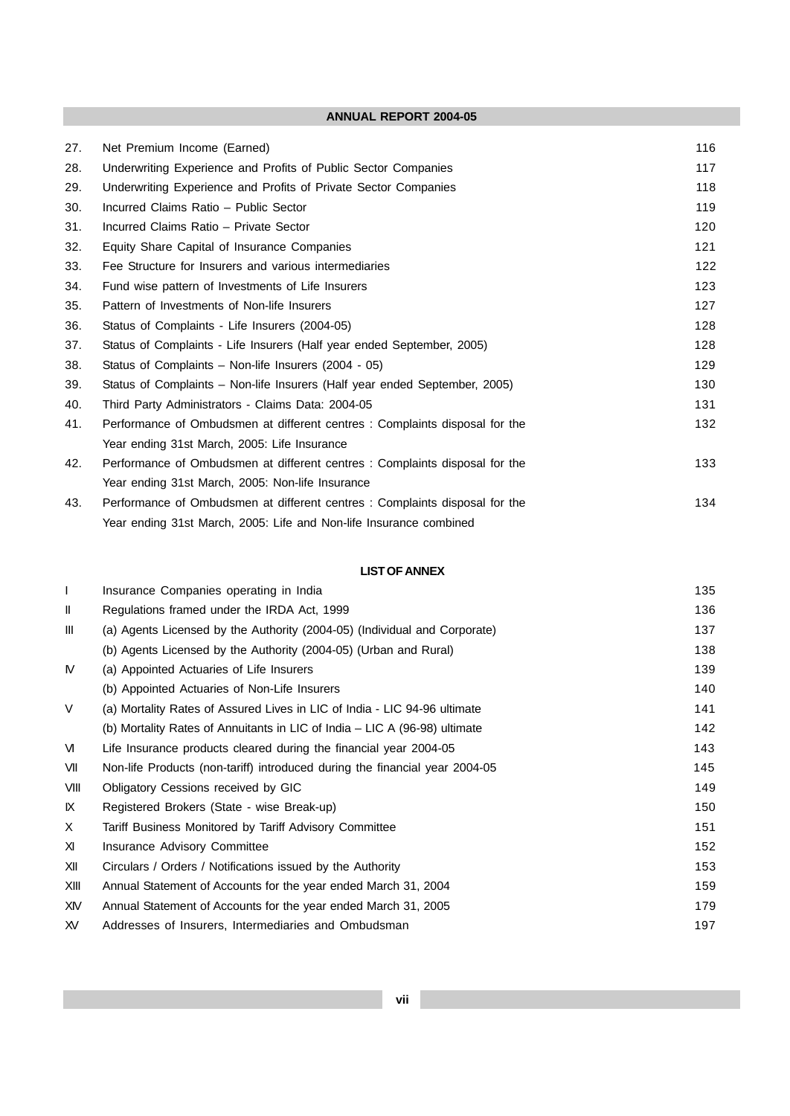| 27. | Net Premium Income (Earned)                                                 | 116 |
|-----|-----------------------------------------------------------------------------|-----|
| 28. | Underwriting Experience and Profits of Public Sector Companies              | 117 |
| 29. | Underwriting Experience and Profits of Private Sector Companies             | 118 |
| 30. | Incurred Claims Ratio - Public Sector                                       | 119 |
| 31. | Incurred Claims Ratio - Private Sector                                      | 120 |
| 32. | Equity Share Capital of Insurance Companies                                 | 121 |
| 33. | Fee Structure for Insurers and various intermediaries                       | 122 |
| 34. | Fund wise pattern of Investments of Life Insurers                           | 123 |
| 35. | Pattern of Investments of Non-life Insurers                                 | 127 |
| 36. | Status of Complaints - Life Insurers (2004-05)                              | 128 |
| 37. | Status of Complaints - Life Insurers (Half year ended September, 2005)      | 128 |
| 38. | Status of Complaints – Non-life Insurers (2004 - 05)                        | 129 |
| 39. | Status of Complaints – Non-life Insurers (Half year ended September, 2005)  | 130 |
| 40. | Third Party Administrators - Claims Data: 2004-05                           | 131 |
| 41. | Performance of Ombudsmen at different centres : Complaints disposal for the | 132 |
|     | Year ending 31st March, 2005: Life Insurance                                |     |
| 42. | Performance of Ombudsmen at different centres : Complaints disposal for the | 133 |
|     | Year ending 31st March, 2005: Non-life Insurance                            |     |
| 43. | Performance of Ombudsmen at different centres : Complaints disposal for the | 134 |
|     | Year ending 31st March, 2005: Life and Non-life Insurance combined          |     |

## **LIST OF ANNEX**

| $\mathsf{I}$   | Insurance Companies operating in India                                      | 135 |
|----------------|-----------------------------------------------------------------------------|-----|
| Ш              | Regulations framed under the IRDA Act, 1999                                 | 136 |
| $\mathbf{III}$ | (a) Agents Licensed by the Authority (2004-05) (Individual and Corporate)   | 137 |
|                | (b) Agents Licensed by the Authority (2004-05) (Urban and Rural)            | 138 |
| M              | (a) Appointed Actuaries of Life Insurers                                    | 139 |
|                | (b) Appointed Actuaries of Non-Life Insurers                                | 140 |
| V              | (a) Mortality Rates of Assured Lives in LIC of India - LIC 94-96 ultimate   | 141 |
|                | (b) Mortality Rates of Annuitants in LIC of India – LIC A (96-98) ultimate  | 142 |
| M              | Life Insurance products cleared during the financial year 2004-05           | 143 |
| VII            | Non-life Products (non-tariff) introduced during the financial year 2004-05 | 145 |
| VIII           | Obligatory Cessions received by GIC                                         | 149 |
| K              | Registered Brokers (State - wise Break-up)                                  | 150 |
| X              | Tariff Business Monitored by Tariff Advisory Committee                      | 151 |
| XI.            | Insurance Advisory Committee                                                | 152 |
| XII            | Circulars / Orders / Notifications issued by the Authority                  | 153 |
| XIII           | Annual Statement of Accounts for the year ended March 31, 2004              | 159 |
| XIV            | Annual Statement of Accounts for the year ended March 31, 2005              | 179 |
| XV.            | Addresses of Insurers, Intermediaries and Ombudsman                         | 197 |
|                |                                                                             |     |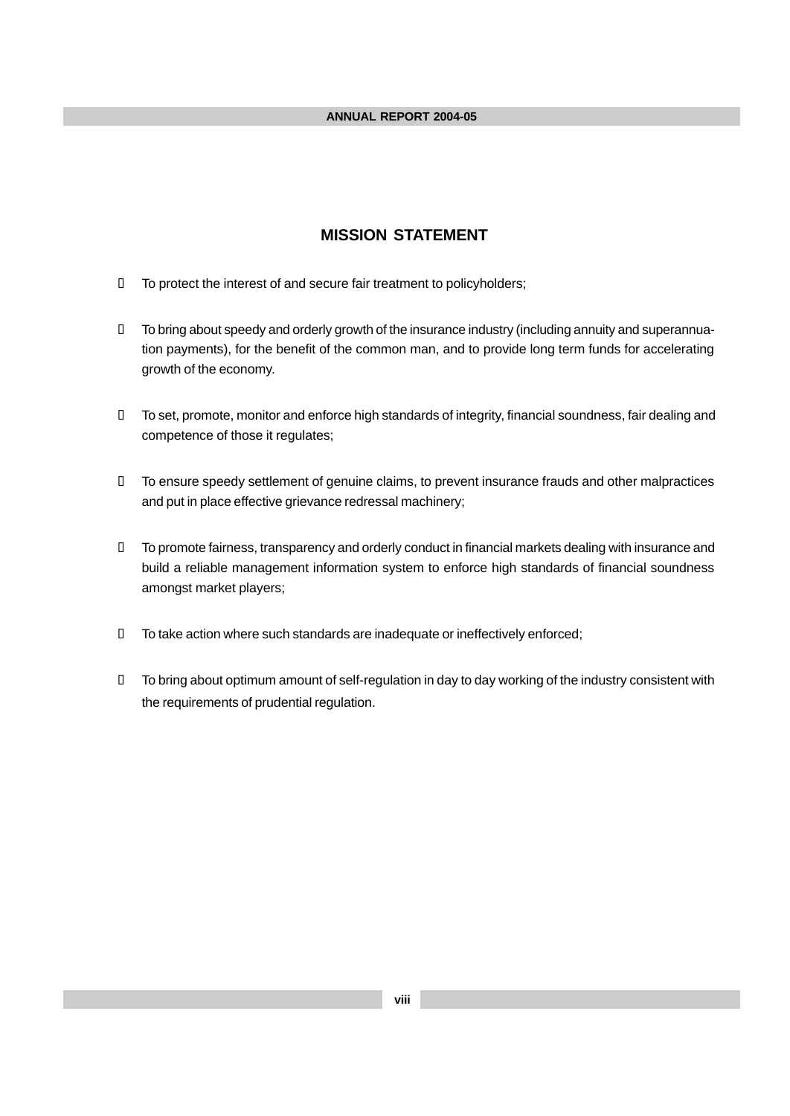## **MISSION STATEMENT**

- ü To protect the interest of and secure fair treatment to policyholders;
- ü To bring about speedy and orderly growth of the insurance industry (including annuity and superannuation payments), for the benefit of the common man, and to provide long term funds for accelerating growth of the economy.
- ü To set, promote, monitor and enforce high standards of integrity, financial soundness, fair dealing and competence of those it regulates;
- ü To ensure speedy settlement of genuine claims, to prevent insurance frauds and other malpractices and put in place effective grievance redressal machinery;
- ü To promote fairness, transparency and orderly conduct in financial markets dealing with insurance and build a reliable management information system to enforce high standards of financial soundness amongst market players;
- ü To take action where such standards are inadequate or ineffectively enforced;
- ü To bring about optimum amount of self-regulation in day to day working of the industry consistent with the requirements of prudential regulation.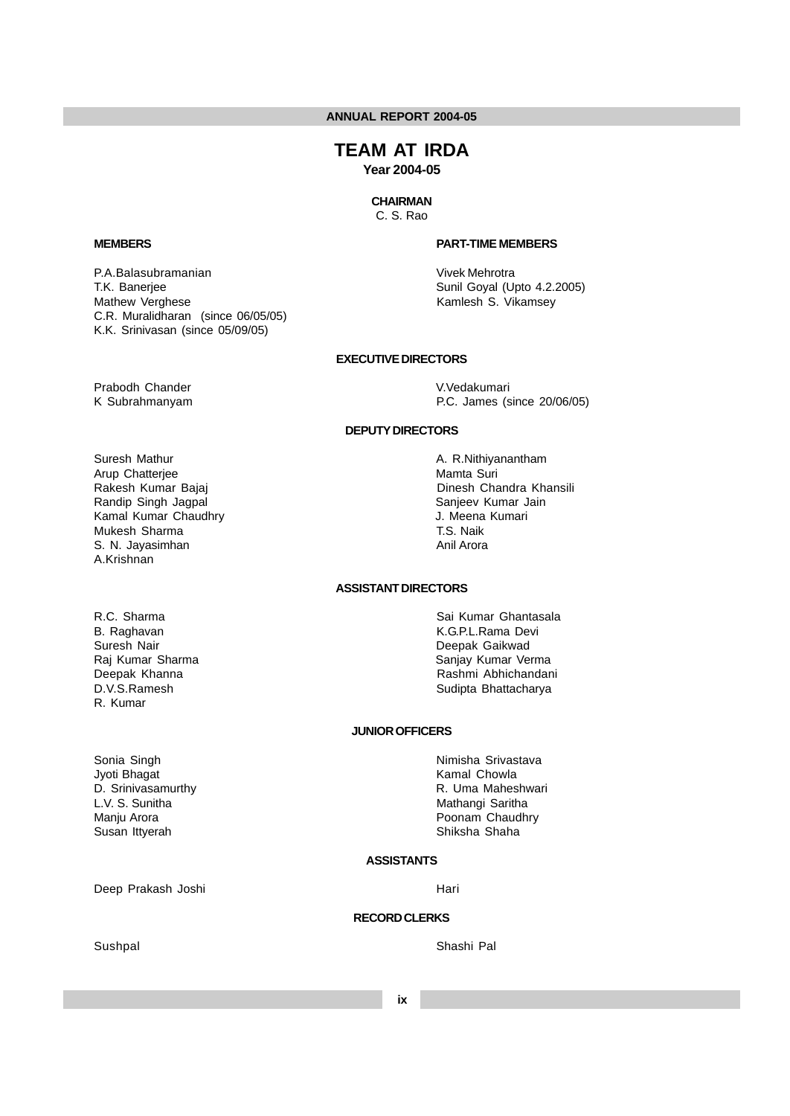# **TEAM AT IRDA**

**Year 2004-05**

## **CHAIRMAN**

C. S. Rao

#### **MEMBERS PART-TIME MEMBERS**

P.A.Balasubramanian Vivek Mehrotra T.K. Banerjee Sunil Goyal (Upto 4.2.2005) Mathew Verghese **Kamlesh S. Vikamsey** Kamlesh S. Vikamsey

## **EXECUTIVE DIRECTORS**

Prabodh Chander **V.Vedakumari** 

C.R. Muralidharan (since 06/05/05) K.K. Srinivasan (since 05/09/05)

K Subrahmanyam P.C. James (since 20/06/05)

## **DEPUTY DIRECTORS**

- Suresh Mathur **A. R.Nithiyanantham**<br>
A. R.Nithiyanantham<br>
Mamta Suri Arup Chatterjee Kamal Kumar Chaudhry **Galacter Chaudhry** J. Meena Kumari Mukesh Sharma T.S. Naik S. N. Jayasimhan A.Krishnan
- R. Kumar

Sonia Singh Nimisha Srivastava Jyoti Bhagat **Kamal Chowla** L.V. S. Sunitha Mathangi Saritha Mathangi Saritha Susan Ittyerah Susan Ittyerah Shaha Shaha Shaha Shaha Shaha Shaha Shaha Shaha Shaha

Deep Prakash Joshi Hari

Rakesh Kumar Bajaj **Dinesh Chandra Khansili** Randip Singh Jagpal Sanjeev Kumar Jain

## **ASSISTANT DIRECTORS**

R.C. Sharma Sai Kumar Ghantasala B. Raghavan K.G.P.L.Rama Devi Deepak Gaikwad Raj Kumar Sharma Sanjay Kumar Verma Deepak Khanna **Rashmi Abhichandani** Rashmi Abhichandani D.V.S.Ramesh Sudipta Bhattacharya

#### **JUNIOR OFFICERS**

D. Srinivasamurthy **R. Uma Maheshwari** R. Uma Maheshwari Manju Arora **Poonam Chaudhry** Poonam Chaudhry

## **ASSISTANTS**

## **RECORD CLERKS**

Sushpal Sushpal Sushpal Sushpal Shashi Pal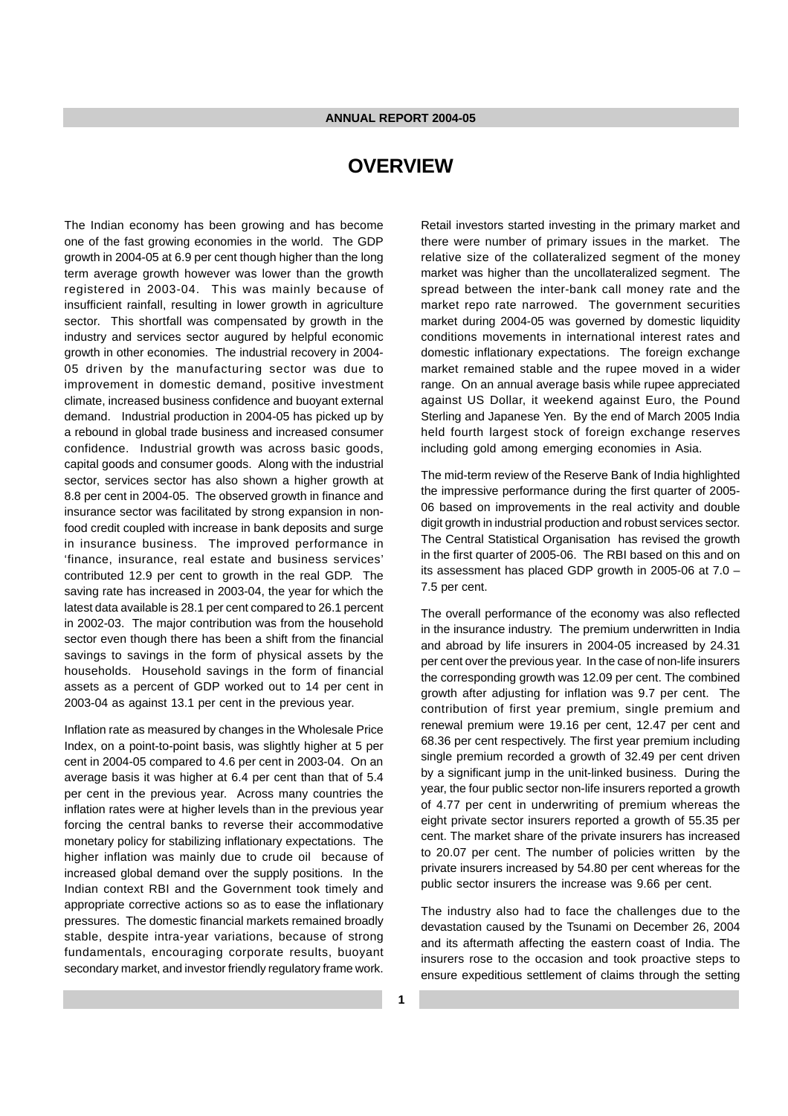## **OVERVIEW**

The Indian economy has been growing and has become one of the fast growing economies in the world. The GDP growth in 2004-05 at 6.9 per cent though higher than the long term average growth however was lower than the growth registered in 2003-04. This was mainly because of insufficient rainfall, resulting in lower growth in agriculture sector. This shortfall was compensated by growth in the industry and services sector augured by helpful economic growth in other economies. The industrial recovery in 2004- 05 driven by the manufacturing sector was due to improvement in domestic demand, positive investment climate, increased business confidence and buoyant external demand. Industrial production in 2004-05 has picked up by a rebound in global trade business and increased consumer confidence. Industrial growth was across basic goods, capital goods and consumer goods. Along with the industrial sector, services sector has also shown a higher growth at 8.8 per cent in 2004-05. The observed growth in finance and insurance sector was facilitated by strong expansion in nonfood credit coupled with increase in bank deposits and surge in insurance business. The improved performance in 'finance, insurance, real estate and business services' contributed 12.9 per cent to growth in the real GDP. The saving rate has increased in 2003-04, the year for which the latest data available is 28.1 per cent compared to 26.1 percent in 2002-03. The major contribution was from the household sector even though there has been a shift from the financial savings to savings in the form of physical assets by the households. Household savings in the form of financial assets as a percent of GDP worked out to 14 per cent in 2003-04 as against 13.1 per cent in the previous year.

Inflation rate as measured by changes in the Wholesale Price Index, on a point-to-point basis, was slightly higher at 5 per cent in 2004-05 compared to 4.6 per cent in 2003-04. On an average basis it was higher at 6.4 per cent than that of 5.4 per cent in the previous year. Across many countries the inflation rates were at higher levels than in the previous year forcing the central banks to reverse their accommodative monetary policy for stabilizing inflationary expectations. The higher inflation was mainly due to crude oil because of increased global demand over the supply positions. In the Indian context RBI and the Government took timely and appropriate corrective actions so as to ease the inflationary pressures. The domestic financial markets remained broadly stable, despite intra-year variations, because of strong fundamentals, encouraging corporate results, buoyant secondary market, and investor friendly regulatory frame work.

Retail investors started investing in the primary market and there were number of primary issues in the market. The relative size of the collateralized segment of the money market was higher than the uncollateralized segment. The spread between the inter-bank call money rate and the market repo rate narrowed. The government securities market during 2004-05 was governed by domestic liquidity conditions movements in international interest rates and domestic inflationary expectations. The foreign exchange market remained stable and the rupee moved in a wider range. On an annual average basis while rupee appreciated against US Dollar, it weekend against Euro, the Pound Sterling and Japanese Yen. By the end of March 2005 India held fourth largest stock of foreign exchange reserves including gold among emerging economies in Asia.

The mid-term review of the Reserve Bank of India highlighted the impressive performance during the first quarter of 2005- 06 based on improvements in the real activity and double digit growth in industrial production and robust services sector. The Central Statistical Organisation has revised the growth in the first quarter of 2005-06. The RBI based on this and on its assessment has placed GDP growth in 2005-06 at 7.0 – 7.5 per cent.

The overall performance of the economy was also reflected in the insurance industry. The premium underwritten in India and abroad by life insurers in 2004-05 increased by 24.31 per cent over the previous year. In the case of non-life insurers the corresponding growth was 12.09 per cent. The combined growth after adjusting for inflation was 9.7 per cent. The contribution of first year premium, single premium and renewal premium were 19.16 per cent, 12.47 per cent and 68.36 per cent respectively. The first year premium including single premium recorded a growth of 32.49 per cent driven by a significant jump in the unit-linked business. During the year, the four public sector non-life insurers reported a growth of 4.77 per cent in underwriting of premium whereas the eight private sector insurers reported a growth of 55.35 per cent. The market share of the private insurers has increased to 20.07 per cent. The number of policies written by the private insurers increased by 54.80 per cent whereas for the public sector insurers the increase was 9.66 per cent.

The industry also had to face the challenges due to the devastation caused by the Tsunami on December 26, 2004 and its aftermath affecting the eastern coast of India. The insurers rose to the occasion and took proactive steps to ensure expeditious settlement of claims through the setting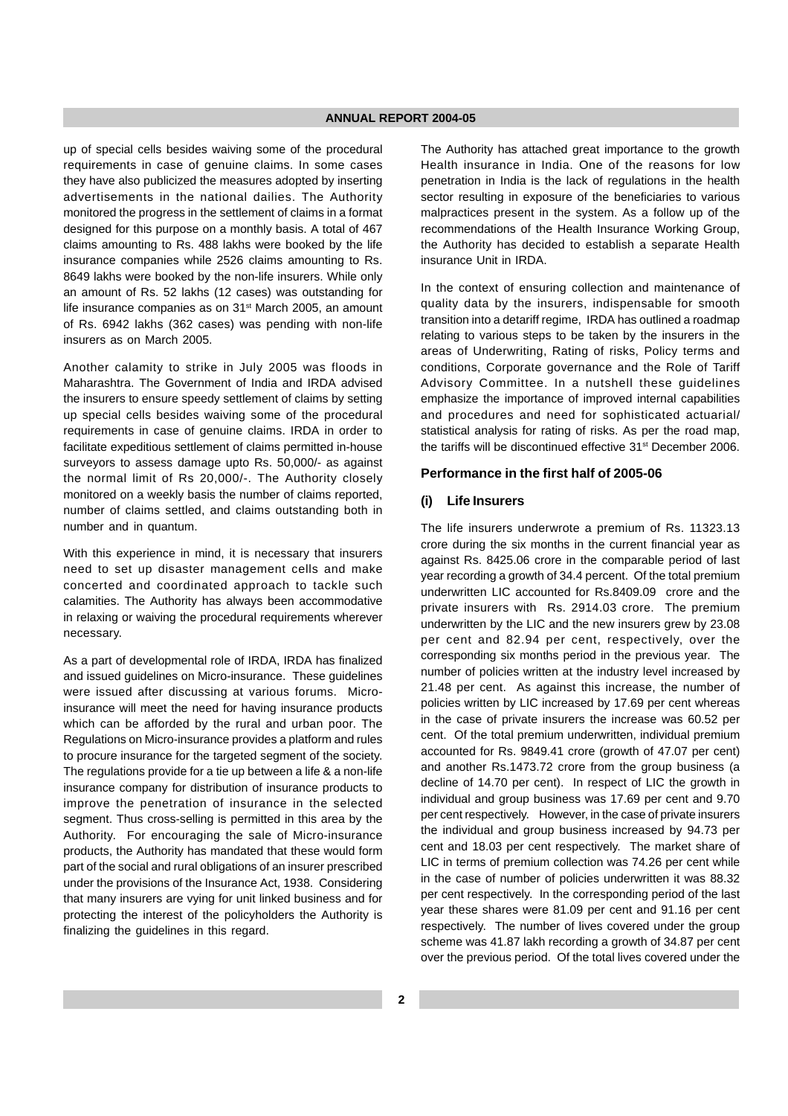up of special cells besides waiving some of the procedural requirements in case of genuine claims. In some cases they have also publicized the measures adopted by inserting advertisements in the national dailies. The Authority monitored the progress in the settlement of claims in a format designed for this purpose on a monthly basis. A total of 467 claims amounting to Rs. 488 lakhs were booked by the life insurance companies while 2526 claims amounting to Rs. 8649 lakhs were booked by the non-life insurers. While only an amount of Rs. 52 lakhs (12 cases) was outstanding for life insurance companies as on 31<sup>st</sup> March 2005, an amount of Rs. 6942 lakhs (362 cases) was pending with non-life insurers as on March 2005.

Another calamity to strike in July 2005 was floods in Maharashtra. The Government of India and IRDA advised the insurers to ensure speedy settlement of claims by setting up special cells besides waiving some of the procedural requirements in case of genuine claims. IRDA in order to facilitate expeditious settlement of claims permitted in-house surveyors to assess damage upto Rs. 50,000/- as against the normal limit of Rs 20,000/-. The Authority closely monitored on a weekly basis the number of claims reported, number of claims settled, and claims outstanding both in number and in quantum.

With this experience in mind, it is necessary that insurers need to set up disaster management cells and make concerted and coordinated approach to tackle such calamities. The Authority has always been accommodative in relaxing or waiving the procedural requirements wherever necessary.

As a part of developmental role of IRDA, IRDA has finalized and issued guidelines on Micro-insurance. These guidelines were issued after discussing at various forums. Microinsurance will meet the need for having insurance products which can be afforded by the rural and urban poor. The Regulations on Micro-insurance provides a platform and rules to procure insurance for the targeted segment of the society. The regulations provide for a tie up between a life & a non-life insurance company for distribution of insurance products to improve the penetration of insurance in the selected segment. Thus cross-selling is permitted in this area by the Authority. For encouraging the sale of Micro-insurance products, the Authority has mandated that these would form part of the social and rural obligations of an insurer prescribed under the provisions of the Insurance Act, 1938. Considering that many insurers are vying for unit linked business and for protecting the interest of the policyholders the Authority is finalizing the guidelines in this regard.

The Authority has attached great importance to the growth Health insurance in India. One of the reasons for low penetration in India is the lack of regulations in the health sector resulting in exposure of the beneficiaries to various malpractices present in the system. As a follow up of the recommendations of the Health Insurance Working Group, the Authority has decided to establish a separate Health insurance Unit in IRDA.

In the context of ensuring collection and maintenance of quality data by the insurers, indispensable for smooth transition into a detariff regime, IRDA has outlined a roadmap relating to various steps to be taken by the insurers in the areas of Underwriting, Rating of risks, Policy terms and conditions, Corporate governance and the Role of Tariff Advisory Committee. In a nutshell these guidelines emphasize the importance of improved internal capabilities and procedures and need for sophisticated actuarial/ statistical analysis for rating of risks. As per the road map, the tariffs will be discontinued effective 31<sup>st</sup> December 2006.

## **Performance in the first half of 2005-06**

#### **(i) Life Insurers**

The life insurers underwrote a premium of Rs. 11323.13 crore during the six months in the current financial year as against Rs. 8425.06 crore in the comparable period of last year recording a growth of 34.4 percent. Of the total premium underwritten LIC accounted for Rs.8409.09 crore and the private insurers with Rs. 2914.03 crore. The premium underwritten by the LIC and the new insurers grew by 23.08 per cent and 82.94 per cent, respectively, over the corresponding six months period in the previous year. The number of policies written at the industry level increased by 21.48 per cent. As against this increase, the number of policies written by LIC increased by 17.69 per cent whereas in the case of private insurers the increase was 60.52 per cent. Of the total premium underwritten, individual premium accounted for Rs. 9849.41 crore (growth of 47.07 per cent) and another Rs.1473.72 crore from the group business (a decline of 14.70 per cent). In respect of LIC the growth in individual and group business was 17.69 per cent and 9.70 per cent respectively. However, in the case of private insurers the individual and group business increased by 94.73 per cent and 18.03 per cent respectively. The market share of LIC in terms of premium collection was 74.26 per cent while in the case of number of policies underwritten it was 88.32 per cent respectively. In the corresponding period of the last year these shares were 81.09 per cent and 91.16 per cent respectively. The number of lives covered under the group scheme was 41.87 lakh recording a growth of 34.87 per cent over the previous period. Of the total lives covered under the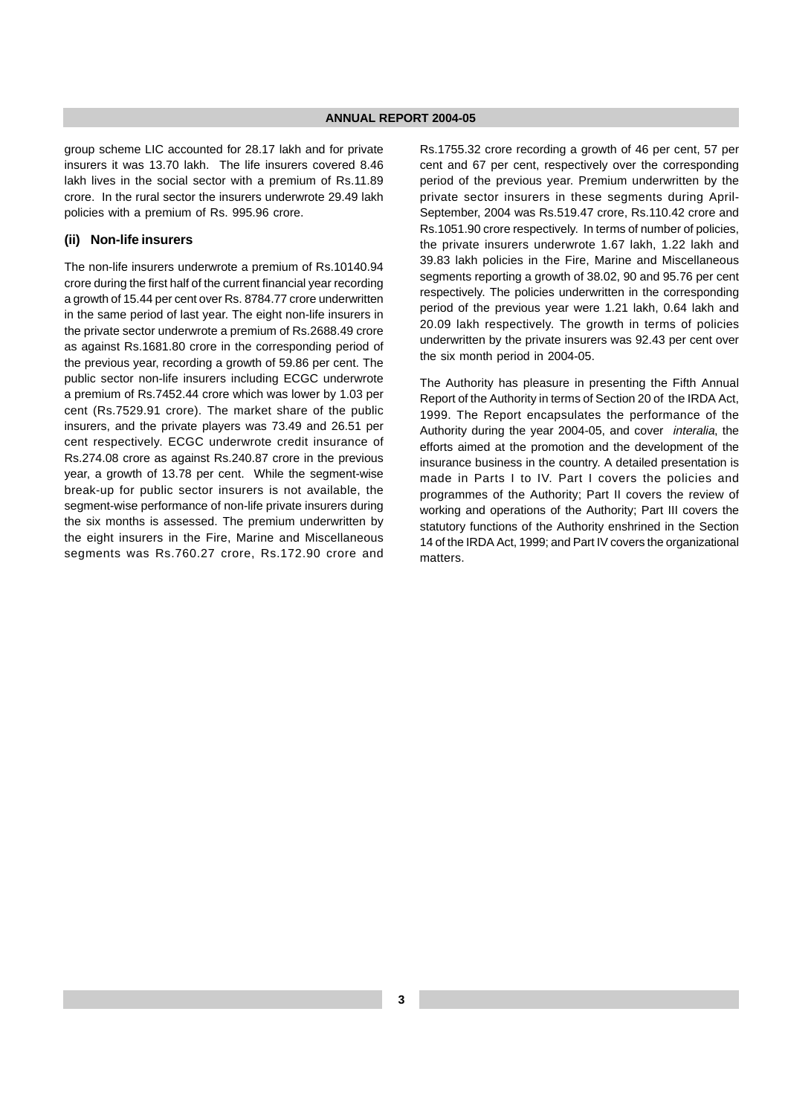group scheme LIC accounted for 28.17 lakh and for private insurers it was 13.70 lakh. The life insurers covered 8.46 lakh lives in the social sector with a premium of Rs.11.89 crore. In the rural sector the insurers underwrote 29.49 lakh policies with a premium of Rs. 995.96 crore.

#### **(ii) Non-life insurers**

The non-life insurers underwrote a premium of Rs.10140.94 crore during the first half of the current financial year recording a growth of 15.44 per cent over Rs. 8784.77 crore underwritten in the same period of last year. The eight non-life insurers in the private sector underwrote a premium of Rs.2688.49 crore as against Rs.1681.80 crore in the corresponding period of the previous year, recording a growth of 59.86 per cent. The public sector non-life insurers including ECGC underwrote a premium of Rs.7452.44 crore which was lower by 1.03 per cent (Rs.7529.91 crore). The market share of the public insurers, and the private players was 73.49 and 26.51 per cent respectively. ECGC underwrote credit insurance of Rs.274.08 crore as against Rs.240.87 crore in the previous year, a growth of 13.78 per cent. While the segment-wise break-up for public sector insurers is not available, the segment-wise performance of non-life private insurers during the six months is assessed. The premium underwritten by the eight insurers in the Fire, Marine and Miscellaneous segments was Rs.760.27 crore, Rs.172.90 crore and Rs.1755.32 crore recording a growth of 46 per cent, 57 per cent and 67 per cent, respectively over the corresponding period of the previous year. Premium underwritten by the private sector insurers in these segments during April-September, 2004 was Rs.519.47 crore, Rs.110.42 crore and Rs.1051.90 crore respectively. In terms of number of policies, the private insurers underwrote 1.67 lakh, 1.22 lakh and 39.83 lakh policies in the Fire, Marine and Miscellaneous segments reporting a growth of 38.02, 90 and 95.76 per cent respectively. The policies underwritten in the corresponding period of the previous year were 1.21 lakh, 0.64 lakh and 20.09 lakh respectively. The growth in terms of policies underwritten by the private insurers was 92.43 per cent over the six month period in 2004-05.

The Authority has pleasure in presenting the Fifth Annual Report of the Authority in terms of Section 20 of the IRDA Act, 1999. The Report encapsulates the performance of the Authority during the year 2004-05, and cover interalia, the efforts aimed at the promotion and the development of the insurance business in the country. A detailed presentation is made in Parts I to IV. Part I covers the policies and programmes of the Authority; Part II covers the review of working and operations of the Authority; Part III covers the statutory functions of the Authority enshrined in the Section 14 of the IRDA Act, 1999; and Part IV covers the organizational matters.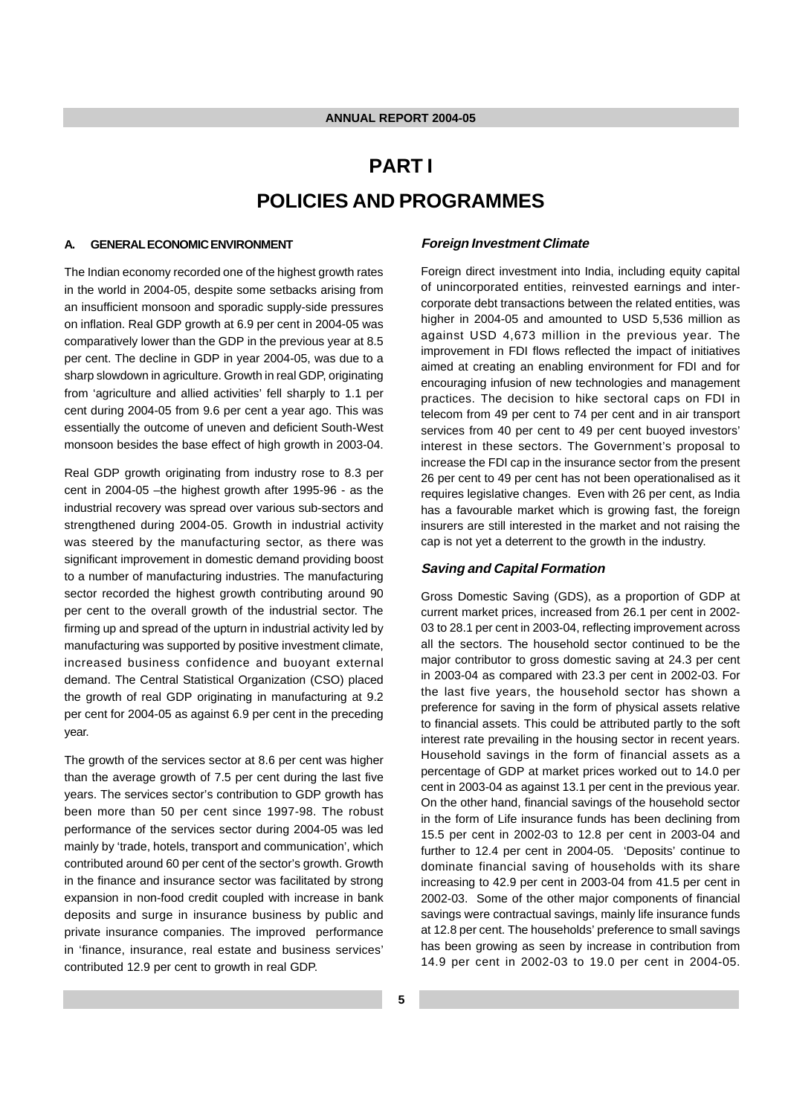# **PART I POLICIES AND PROGRAMMES**

## **A. GENERAL ECONOMIC ENVIRONMENT**

The Indian economy recorded one of the highest growth rates in the world in 2004-05, despite some setbacks arising from an insufficient monsoon and sporadic supply-side pressures on inflation. Real GDP growth at 6.9 per cent in 2004-05 was comparatively lower than the GDP in the previous year at 8.5 per cent. The decline in GDP in year 2004-05, was due to a sharp slowdown in agriculture. Growth in real GDP, originating from 'agriculture and allied activities' fell sharply to 1.1 per cent during 2004-05 from 9.6 per cent a year ago. This was essentially the outcome of uneven and deficient South-West monsoon besides the base effect of high growth in 2003-04.

Real GDP growth originating from industry rose to 8.3 per cent in 2004-05 –the highest growth after 1995-96 - as the industrial recovery was spread over various sub-sectors and strengthened during 2004-05. Growth in industrial activity was steered by the manufacturing sector, as there was significant improvement in domestic demand providing boost to a number of manufacturing industries. The manufacturing sector recorded the highest growth contributing around 90 per cent to the overall growth of the industrial sector. The firming up and spread of the upturn in industrial activity led by manufacturing was supported by positive investment climate, increased business confidence and buoyant external demand. The Central Statistical Organization (CSO) placed the growth of real GDP originating in manufacturing at 9.2 per cent for 2004-05 as against 6.9 per cent in the preceding year.

The growth of the services sector at 8.6 per cent was higher than the average growth of 7.5 per cent during the last five years. The services sector's contribution to GDP growth has been more than 50 per cent since 1997-98. The robust performance of the services sector during 2004-05 was led mainly by 'trade, hotels, transport and communication', which contributed around 60 per cent of the sector's growth. Growth in the finance and insurance sector was facilitated by strong expansion in non-food credit coupled with increase in bank deposits and surge in insurance business by public and private insurance companies. The improved performance in 'finance, insurance, real estate and business services' contributed 12.9 per cent to growth in real GDP.

#### **Foreign Investment Climate**

Foreign direct investment into India, including equity capital of unincorporated entities, reinvested earnings and intercorporate debt transactions between the related entities, was higher in 2004-05 and amounted to USD 5,536 million as against USD 4,673 million in the previous year. The improvement in FDI flows reflected the impact of initiatives aimed at creating an enabling environment for FDI and for encouraging infusion of new technologies and management practices. The decision to hike sectoral caps on FDI in telecom from 49 per cent to 74 per cent and in air transport services from 40 per cent to 49 per cent buoyed investors' interest in these sectors. The Government's proposal to increase the FDI cap in the insurance sector from the present 26 per cent to 49 per cent has not been operationalised as it requires legislative changes. Even with 26 per cent, as India has a favourable market which is growing fast, the foreign insurers are still interested in the market and not raising the cap is not yet a deterrent to the growth in the industry.

#### **Saving and Capital Formation**

Gross Domestic Saving (GDS), as a proportion of GDP at current market prices, increased from 26.1 per cent in 2002- 03 to 28.1 per cent in 2003-04, reflecting improvement across all the sectors. The household sector continued to be the major contributor to gross domestic saving at 24.3 per cent in 2003-04 as compared with 23.3 per cent in 2002-03. For the last five years, the household sector has shown a preference for saving in the form of physical assets relative to financial assets. This could be attributed partly to the soft interest rate prevailing in the housing sector in recent years. Household savings in the form of financial assets as a percentage of GDP at market prices worked out to 14.0 per cent in 2003-04 as against 13.1 per cent in the previous year. On the other hand, financial savings of the household sector in the form of Life insurance funds has been declining from 15.5 per cent in 2002-03 to 12.8 per cent in 2003-04 and further to 12.4 per cent in 2004-05. 'Deposits' continue to dominate financial saving of households with its share increasing to 42.9 per cent in 2003-04 from 41.5 per cent in 2002-03. Some of the other major components of financial savings were contractual savings, mainly life insurance funds at 12.8 per cent. The households' preference to small savings has been growing as seen by increase in contribution from 14.9 per cent in 2002-03 to 19.0 per cent in 2004-05.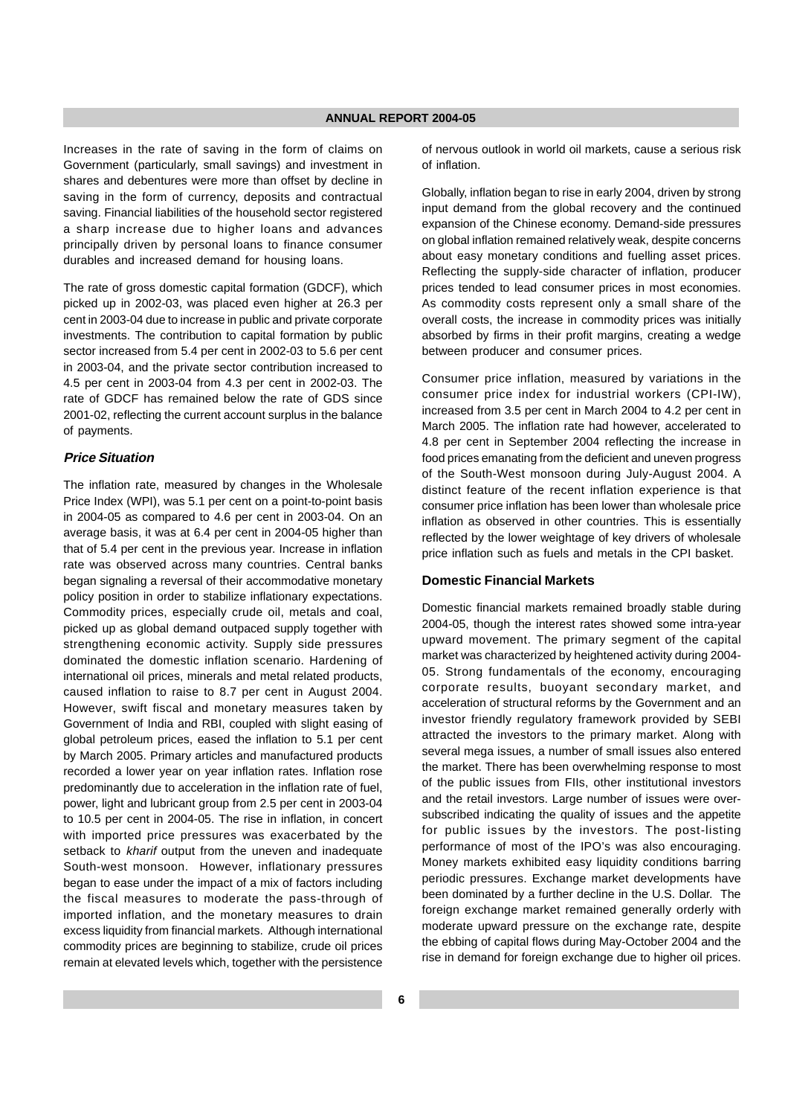Increases in the rate of saving in the form of claims on Government (particularly, small savings) and investment in shares and debentures were more than offset by decline in saving in the form of currency, deposits and contractual saving. Financial liabilities of the household sector registered a sharp increase due to higher loans and advances principally driven by personal loans to finance consumer durables and increased demand for housing loans.

The rate of gross domestic capital formation (GDCF), which picked up in 2002-03, was placed even higher at 26.3 per cent in 2003-04 due to increase in public and private corporate investments. The contribution to capital formation by public sector increased from 5.4 per cent in 2002-03 to 5.6 per cent in 2003-04, and the private sector contribution increased to 4.5 per cent in 2003-04 from 4.3 per cent in 2002-03. The rate of GDCF has remained below the rate of GDS since 2001-02, reflecting the current account surplus in the balance of payments.

#### **Price Situation**

The inflation rate, measured by changes in the Wholesale Price Index (WPI), was 5.1 per cent on a point-to-point basis in 2004-05 as compared to 4.6 per cent in 2003-04. On an average basis, it was at 6.4 per cent in 2004-05 higher than that of 5.4 per cent in the previous year. Increase in inflation rate was observed across many countries. Central banks began signaling a reversal of their accommodative monetary policy position in order to stabilize inflationary expectations. Commodity prices, especially crude oil, metals and coal, picked up as global demand outpaced supply together with strengthening economic activity. Supply side pressures dominated the domestic inflation scenario. Hardening of international oil prices, minerals and metal related products, caused inflation to raise to 8.7 per cent in August 2004. However, swift fiscal and monetary measures taken by Government of India and RBI, coupled with slight easing of global petroleum prices, eased the inflation to 5.1 per cent by March 2005. Primary articles and manufactured products recorded a lower year on year inflation rates. Inflation rose predominantly due to acceleration in the inflation rate of fuel, power, light and lubricant group from 2.5 per cent in 2003-04 to 10.5 per cent in 2004-05. The rise in inflation, in concert with imported price pressures was exacerbated by the setback to kharif output from the uneven and inadequate South-west monsoon. However, inflationary pressures began to ease under the impact of a mix of factors including the fiscal measures to moderate the pass-through of imported inflation, and the monetary measures to drain excess liquidity from financial markets. Although international commodity prices are beginning to stabilize, crude oil prices remain at elevated levels which, together with the persistence

of nervous outlook in world oil markets, cause a serious risk of inflation.

Globally, inflation began to rise in early 2004, driven by strong input demand from the global recovery and the continued expansion of the Chinese economy. Demand-side pressures on global inflation remained relatively weak, despite concerns about easy monetary conditions and fuelling asset prices. Reflecting the supply-side character of inflation, producer prices tended to lead consumer prices in most economies. As commodity costs represent only a small share of the overall costs, the increase in commodity prices was initially absorbed by firms in their profit margins, creating a wedge between producer and consumer prices.

Consumer price inflation, measured by variations in the consumer price index for industrial workers (CPI-IW), increased from 3.5 per cent in March 2004 to 4.2 per cent in March 2005. The inflation rate had however, accelerated to 4.8 per cent in September 2004 reflecting the increase in food prices emanating from the deficient and uneven progress of the South-West monsoon during July-August 2004. A distinct feature of the recent inflation experience is that consumer price inflation has been lower than wholesale price inflation as observed in other countries. This is essentially reflected by the lower weightage of key drivers of wholesale price inflation such as fuels and metals in the CPI basket.

## **Domestic Financial Markets**

Domestic financial markets remained broadly stable during 2004-05, though the interest rates showed some intra-year upward movement. The primary segment of the capital market was characterized by heightened activity during 2004- 05. Strong fundamentals of the economy, encouraging corporate results, buoyant secondary market, and acceleration of structural reforms by the Government and an investor friendly regulatory framework provided by SEBI attracted the investors to the primary market. Along with several mega issues, a number of small issues also entered the market. There has been overwhelming response to most of the public issues from FIIs, other institutional investors and the retail investors. Large number of issues were oversubscribed indicating the quality of issues and the appetite for public issues by the investors. The post-listing performance of most of the IPO's was also encouraging. Money markets exhibited easy liquidity conditions barring periodic pressures. Exchange market developments have been dominated by a further decline in the U.S. Dollar. The foreign exchange market remained generally orderly with moderate upward pressure on the exchange rate, despite the ebbing of capital flows during May-October 2004 and the rise in demand for foreign exchange due to higher oil prices.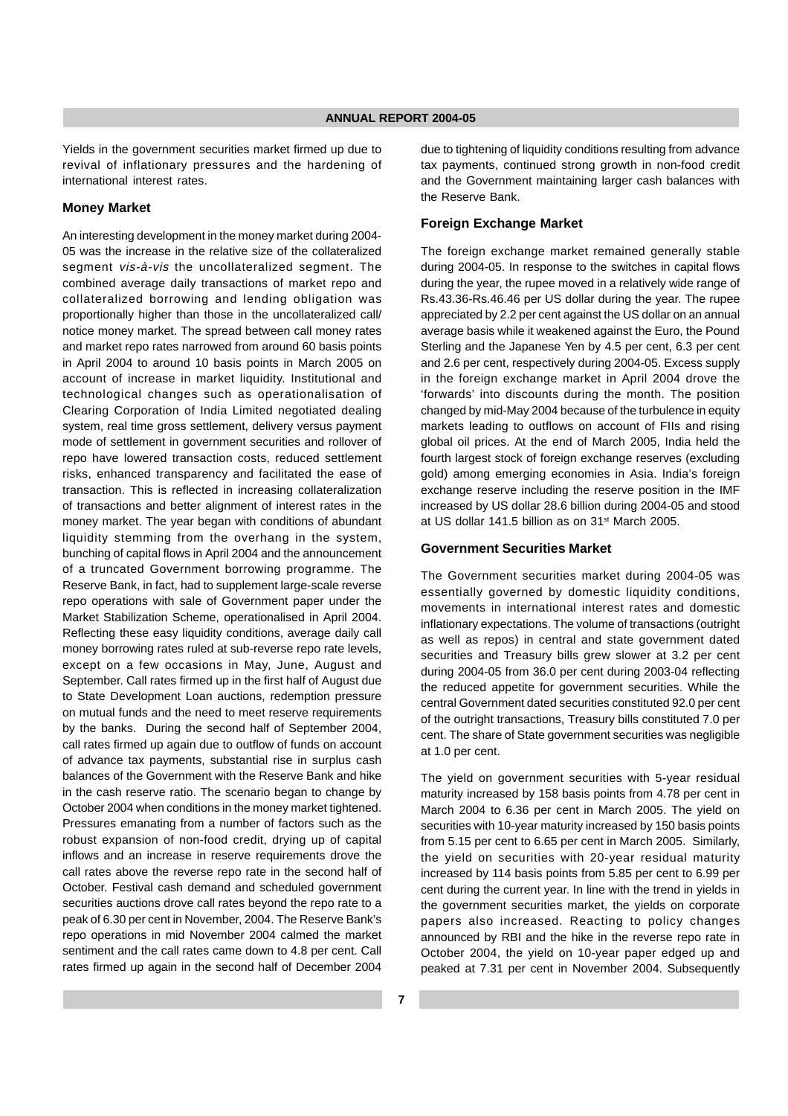Yields in the government securities market firmed up due to revival of inflationary pressures and the hardening of international interest rates.

#### **Money Market**

An interesting development in the money market during 2004- 05 was the increase in the relative size of the collateralized segment vis-à-vis the uncollateralized segment. The combined average daily transactions of market repo and collateralized borrowing and lending obligation was proportionally higher than those in the uncollateralized call/ notice money market. The spread between call money rates and market repo rates narrowed from around 60 basis points in April 2004 to around 10 basis points in March 2005 on account of increase in market liquidity. Institutional and technological changes such as operationalisation of Clearing Corporation of India Limited negotiated dealing system, real time gross settlement, delivery versus payment mode of settlement in government securities and rollover of repo have lowered transaction costs, reduced settlement risks, enhanced transparency and facilitated the ease of transaction. This is reflected in increasing collateralization of transactions and better alignment of interest rates in the money market. The year began with conditions of abundant liquidity stemming from the overhang in the system, bunching of capital flows in April 2004 and the announcement of a truncated Government borrowing programme. The Reserve Bank, in fact, had to supplement large-scale reverse repo operations with sale of Government paper under the Market Stabilization Scheme, operationalised in April 2004. Reflecting these easy liquidity conditions, average daily call money borrowing rates ruled at sub-reverse repo rate levels, except on a few occasions in May, June, August and September. Call rates firmed up in the first half of August due to State Development Loan auctions, redemption pressure on mutual funds and the need to meet reserve requirements by the banks. During the second half of September 2004, call rates firmed up again due to outflow of funds on account of advance tax payments, substantial rise in surplus cash balances of the Government with the Reserve Bank and hike in the cash reserve ratio. The scenario began to change by October 2004 when conditions in the money market tightened. Pressures emanating from a number of factors such as the robust expansion of non-food credit, drying up of capital inflows and an increase in reserve requirements drove the call rates above the reverse repo rate in the second half of October. Festival cash demand and scheduled government securities auctions drove call rates beyond the repo rate to a peak of 6.30 per cent in November, 2004. The Reserve Bank's repo operations in mid November 2004 calmed the market sentiment and the call rates came down to 4.8 per cent. Call rates firmed up again in the second half of December 2004

due to tightening of liquidity conditions resulting from advance tax payments, continued strong growth in non-food credit and the Government maintaining larger cash balances with the Reserve Bank.

## **Foreign Exchange Market**

The foreign exchange market remained generally stable during 2004-05. In response to the switches in capital flows during the year, the rupee moved in a relatively wide range of Rs.43.36-Rs.46.46 per US dollar during the year. The rupee appreciated by 2.2 per cent against the US dollar on an annual average basis while it weakened against the Euro, the Pound Sterling and the Japanese Yen by 4.5 per cent, 6.3 per cent and 2.6 per cent, respectively during 2004-05. Excess supply in the foreign exchange market in April 2004 drove the 'forwards' into discounts during the month. The position changed by mid-May 2004 because of the turbulence in equity markets leading to outflows on account of FIIs and rising global oil prices. At the end of March 2005, India held the fourth largest stock of foreign exchange reserves (excluding gold) among emerging economies in Asia. India's foreign exchange reserve including the reserve position in the IMF increased by US dollar 28.6 billion during 2004-05 and stood at US dollar 141.5 billion as on 31st March 2005.

### **Government Securities Market**

The Government securities market during 2004-05 was essentially governed by domestic liquidity conditions, movements in international interest rates and domestic inflationary expectations. The volume of transactions (outright as well as repos) in central and state government dated securities and Treasury bills grew slower at 3.2 per cent during 2004-05 from 36.0 per cent during 2003-04 reflecting the reduced appetite for government securities. While the central Government dated securities constituted 92.0 per cent of the outright transactions, Treasury bills constituted 7.0 per cent. The share of State government securities was negligible at 1.0 per cent.

The yield on government securities with 5-year residual maturity increased by 158 basis points from 4.78 per cent in March 2004 to 6.36 per cent in March 2005. The yield on securities with 10-year maturity increased by 150 basis points from 5.15 per cent to 6.65 per cent in March 2005. Similarly, the yield on securities with 20-year residual maturity increased by 114 basis points from 5.85 per cent to 6.99 per cent during the current year. In line with the trend in yields in the government securities market, the yields on corporate papers also increased. Reacting to policy changes announced by RBI and the hike in the reverse repo rate in October 2004, the yield on 10-year paper edged up and peaked at 7.31 per cent in November 2004. Subsequently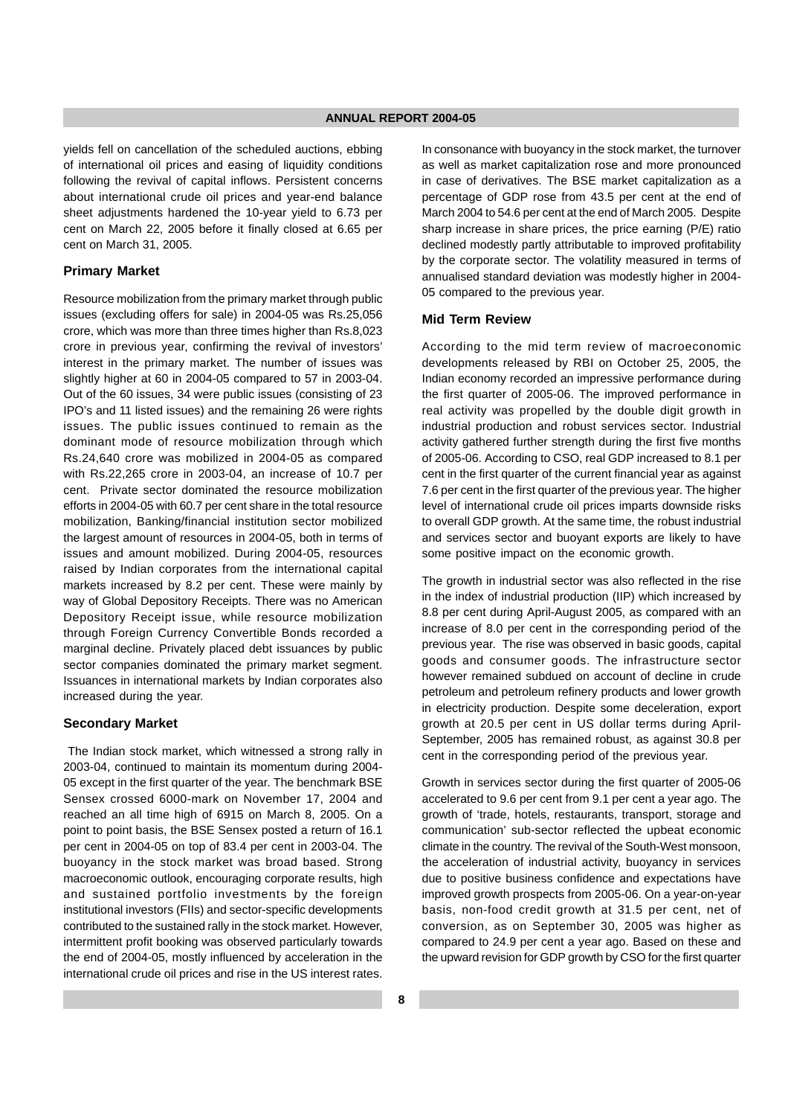yields fell on cancellation of the scheduled auctions, ebbing of international oil prices and easing of liquidity conditions following the revival of capital inflows. Persistent concerns about international crude oil prices and year-end balance sheet adjustments hardened the 10-year yield to 6.73 per cent on March 22, 2005 before it finally closed at 6.65 per cent on March 31, 2005.

## **Primary Market**

Resource mobilization from the primary market through public issues (excluding offers for sale) in 2004-05 was Rs.25,056 crore, which was more than three times higher than Rs.8,023 crore in previous year, confirming the revival of investors' interest in the primary market. The number of issues was slightly higher at 60 in 2004-05 compared to 57 in 2003-04. Out of the 60 issues, 34 were public issues (consisting of 23 IPO's and 11 listed issues) and the remaining 26 were rights issues. The public issues continued to remain as the dominant mode of resource mobilization through which Rs.24,640 crore was mobilized in 2004-05 as compared with Rs.22,265 crore in 2003-04, an increase of 10.7 per cent. Private sector dominated the resource mobilization efforts in 2004-05 with 60.7 per cent share in the total resource mobilization, Banking/financial institution sector mobilized the largest amount of resources in 2004-05, both in terms of issues and amount mobilized. During 2004-05, resources raised by Indian corporates from the international capital markets increased by 8.2 per cent. These were mainly by way of Global Depository Receipts. There was no American Depository Receipt issue, while resource mobilization through Foreign Currency Convertible Bonds recorded a marginal decline. Privately placed debt issuances by public sector companies dominated the primary market segment. Issuances in international markets by Indian corporates also increased during the year.

#### **Secondary Market**

The Indian stock market, which witnessed a strong rally in 2003-04, continued to maintain its momentum during 2004- 05 except in the first quarter of the year. The benchmark BSE Sensex crossed 6000-mark on November 17, 2004 and reached an all time high of 6915 on March 8, 2005. On a point to point basis, the BSE Sensex posted a return of 16.1 per cent in 2004-05 on top of 83.4 per cent in 2003-04. The buoyancy in the stock market was broad based. Strong macroeconomic outlook, encouraging corporate results, high and sustained portfolio investments by the foreign institutional investors (FIIs) and sector-specific developments contributed to the sustained rally in the stock market. However, intermittent profit booking was observed particularly towards the end of 2004-05, mostly influenced by acceleration in the international crude oil prices and rise in the US interest rates.

In consonance with buoyancy in the stock market, the turnover as well as market capitalization rose and more pronounced in case of derivatives. The BSE market capitalization as a percentage of GDP rose from 43.5 per cent at the end of March 2004 to 54.6 per cent at the end of March 2005. Despite sharp increase in share prices, the price earning (P/E) ratio declined modestly partly attributable to improved profitability by the corporate sector. The volatility measured in terms of annualised standard deviation was modestly higher in 2004- 05 compared to the previous year.

#### **Mid Term Review**

According to the mid term review of macroeconomic developments released by RBI on October 25, 2005, the Indian economy recorded an impressive performance during the first quarter of 2005-06. The improved performance in real activity was propelled by the double digit growth in industrial production and robust services sector. Industrial activity gathered further strength during the first five months of 2005-06. According to CSO, real GDP increased to 8.1 per cent in the first quarter of the current financial year as against 7.6 per cent in the first quarter of the previous year. The higher level of international crude oil prices imparts downside risks to overall GDP growth. At the same time, the robust industrial and services sector and buoyant exports are likely to have some positive impact on the economic growth.

The growth in industrial sector was also reflected in the rise in the index of industrial production (IIP) which increased by 8.8 per cent during April-August 2005, as compared with an increase of 8.0 per cent in the corresponding period of the previous year. The rise was observed in basic goods, capital goods and consumer goods. The infrastructure sector however remained subdued on account of decline in crude petroleum and petroleum refinery products and lower growth in electricity production. Despite some deceleration, export growth at 20.5 per cent in US dollar terms during April-September, 2005 has remained robust, as against 30.8 per cent in the corresponding period of the previous year.

Growth in services sector during the first quarter of 2005-06 accelerated to 9.6 per cent from 9.1 per cent a year ago. The growth of 'trade, hotels, restaurants, transport, storage and communication' sub-sector reflected the upbeat economic climate in the country. The revival of the South-West monsoon, the acceleration of industrial activity, buoyancy in services due to positive business confidence and expectations have improved growth prospects from 2005-06. On a year-on-year basis, non-food credit growth at 31.5 per cent, net of conversion, as on September 30, 2005 was higher as compared to 24.9 per cent a year ago. Based on these and the upward revision for GDP growth by CSO for the first quarter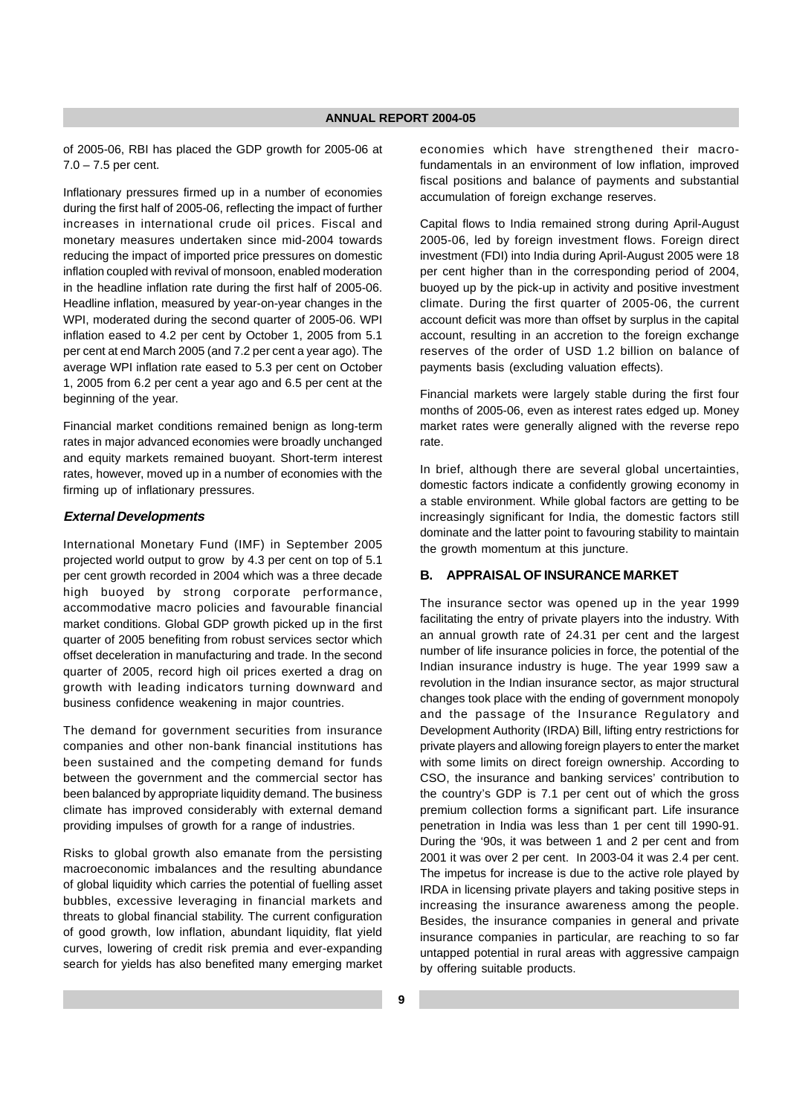of 2005-06, RBI has placed the GDP growth for 2005-06 at 7.0 – 7.5 per cent.

Inflationary pressures firmed up in a number of economies during the first half of 2005-06, reflecting the impact of further increases in international crude oil prices. Fiscal and monetary measures undertaken since mid-2004 towards reducing the impact of imported price pressures on domestic inflation coupled with revival of monsoon, enabled moderation in the headline inflation rate during the first half of 2005-06. Headline inflation, measured by year-on-year changes in the WPI, moderated during the second quarter of 2005-06. WPI inflation eased to 4.2 per cent by October 1, 2005 from 5.1 per cent at end March 2005 (and 7.2 per cent a year ago). The average WPI inflation rate eased to 5.3 per cent on October 1, 2005 from 6.2 per cent a year ago and 6.5 per cent at the beginning of the year.

Financial market conditions remained benign as long-term rates in major advanced economies were broadly unchanged and equity markets remained buoyant. Short-term interest rates, however, moved up in a number of economies with the firming up of inflationary pressures.

## **External Developments**

International Monetary Fund (IMF) in September 2005 projected world output to grow by 4.3 per cent on top of 5.1 per cent growth recorded in 2004 which was a three decade high buoyed by strong corporate performance, accommodative macro policies and favourable financial market conditions. Global GDP growth picked up in the first quarter of 2005 benefiting from robust services sector which offset deceleration in manufacturing and trade. In the second quarter of 2005, record high oil prices exerted a drag on growth with leading indicators turning downward and business confidence weakening in major countries.

The demand for government securities from insurance companies and other non-bank financial institutions has been sustained and the competing demand for funds between the government and the commercial sector has been balanced by appropriate liquidity demand. The business climate has improved considerably with external demand providing impulses of growth for a range of industries.

Risks to global growth also emanate from the persisting macroeconomic imbalances and the resulting abundance of global liquidity which carries the potential of fuelling asset bubbles, excessive leveraging in financial markets and threats to global financial stability. The current configuration of good growth, low inflation, abundant liquidity, flat yield curves, lowering of credit risk premia and ever-expanding search for yields has also benefited many emerging market economies which have strengthened their macrofundamentals in an environment of low inflation, improved fiscal positions and balance of payments and substantial accumulation of foreign exchange reserves.

Capital flows to India remained strong during April-August 2005-06, led by foreign investment flows. Foreign direct investment (FDI) into India during April-August 2005 were 18 per cent higher than in the corresponding period of 2004, buoyed up by the pick-up in activity and positive investment climate. During the first quarter of 2005-06, the current account deficit was more than offset by surplus in the capital account, resulting in an accretion to the foreign exchange reserves of the order of USD 1.2 billion on balance of payments basis (excluding valuation effects).

Financial markets were largely stable during the first four months of 2005-06, even as interest rates edged up. Money market rates were generally aligned with the reverse repo rate.

In brief, although there are several global uncertainties, domestic factors indicate a confidently growing economy in a stable environment. While global factors are getting to be increasingly significant for India, the domestic factors still dominate and the latter point to favouring stability to maintain the growth momentum at this juncture.

## **B. APPRAISAL OF INSURANCE MARKET**

The insurance sector was opened up in the year 1999 facilitating the entry of private players into the industry. With an annual growth rate of 24.31 per cent and the largest number of life insurance policies in force, the potential of the Indian insurance industry is huge. The year 1999 saw a revolution in the Indian insurance sector, as major structural changes took place with the ending of government monopoly and the passage of the Insurance Regulatory and Development Authority (IRDA) Bill, lifting entry restrictions for private players and allowing foreign players to enter the market with some limits on direct foreign ownership. According to CSO, the insurance and banking services' contribution to the country's GDP is 7.1 per cent out of which the gross premium collection forms a significant part. Life insurance penetration in India was less than 1 per cent till 1990-91. During the '90s, it was between 1 and 2 per cent and from 2001 it was over 2 per cent. In 2003-04 it was 2.4 per cent. The impetus for increase is due to the active role played by IRDA in licensing private players and taking positive steps in increasing the insurance awareness among the people. Besides, the insurance companies in general and private insurance companies in particular, are reaching to so far untapped potential in rural areas with aggressive campaign by offering suitable products.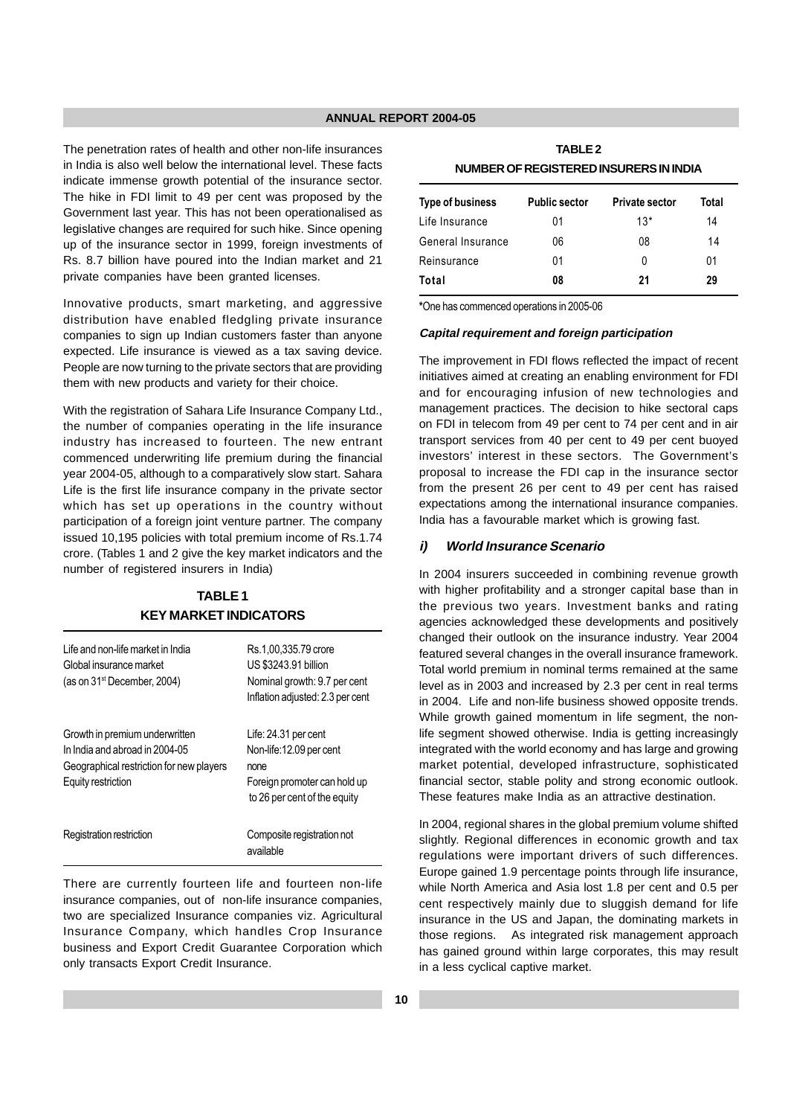The penetration rates of health and other non-life insurances in India is also well below the international level. These facts indicate immense growth potential of the insurance sector. The hike in FDI limit to 49 per cent was proposed by the Government last year. This has not been operationalised as legislative changes are required for such hike. Since opening up of the insurance sector in 1999, foreign investments of Rs. 8.7 billion have poured into the Indian market and 21 private companies have been granted licenses.

Innovative products, smart marketing, and aggressive distribution have enabled fledgling private insurance companies to sign up Indian customers faster than anyone expected. Life insurance is viewed as a tax saving device. People are now turning to the private sectors that are providing them with new products and variety for their choice.

With the registration of Sahara Life Insurance Company Ltd., the number of companies operating in the life insurance industry has increased to fourteen. The new entrant commenced underwriting life premium during the financial year 2004-05, although to a comparatively slow start. Sahara Life is the first life insurance company in the private sector which has set up operations in the country without participation of a foreign joint venture partner. The company issued 10,195 policies with total premium income of Rs.1.74 crore. (Tables 1 and 2 give the key market indicators and the number of registered insurers in India)

## **TABLE 1 KEY MARKET INDICATORS**

| Life and non-life market in India<br>Global insurance market<br>(as on 31 <sup>st</sup> December, 2004)                            | Rs.1,00,335.79 crore<br>US \$3243.91 billion<br>Nominal growth: 9.7 per cent<br>Inflation adjusted: 2.3 per cent         |
|------------------------------------------------------------------------------------------------------------------------------------|--------------------------------------------------------------------------------------------------------------------------|
| Growth in premium underwritten<br>In India and abroad in 2004-05<br>Geographical restriction for new players<br>Equity restriction | Life: 24.31 per cent<br>Non-life: 12.09 per cent<br>none<br>Foreign promoter can hold up<br>to 26 per cent of the equity |
| Registration restriction                                                                                                           | Composite registration not<br>available                                                                                  |

There are currently fourteen life and fourteen non-life insurance companies, out of non-life insurance companies, two are specialized Insurance companies viz. Agricultural Insurance Company, which handles Crop Insurance business and Export Credit Guarantee Corporation which only transacts Export Credit Insurance.

**TABLE 2 NUMBER OF REGISTERED INSURERS IN INDIA**

| Type of business  | <b>Public sector</b> | <b>Private sector</b> | Total |
|-------------------|----------------------|-----------------------|-------|
| Life Insurance    | 01                   | $13*$                 | 14    |
| General Insurance | 06                   | 08                    | 14    |
| Reinsurance       | 01                   | 0                     | 01    |
| Total             | 08                   | 21                    | 29    |

\*One has commenced operations in 2005-06

#### **Capital requirement and foreign participation**

The improvement in FDI flows reflected the impact of recent initiatives aimed at creating an enabling environment for FDI and for encouraging infusion of new technologies and management practices. The decision to hike sectoral caps on FDI in telecom from 49 per cent to 74 per cent and in air transport services from 40 per cent to 49 per cent buoyed investors' interest in these sectors. The Government's proposal to increase the FDI cap in the insurance sector from the present 26 per cent to 49 per cent has raised expectations among the international insurance companies. India has a favourable market which is growing fast.

#### **i) World Insurance Scenario**

In 2004 insurers succeeded in combining revenue growth with higher profitability and a stronger capital base than in the previous two years. Investment banks and rating agencies acknowledged these developments and positively changed their outlook on the insurance industry. Year 2004 featured several changes in the overall insurance framework. Total world premium in nominal terms remained at the same level as in 2003 and increased by 2.3 per cent in real terms in 2004. Life and non-life business showed opposite trends. While growth gained momentum in life segment, the nonlife segment showed otherwise. India is getting increasingly integrated with the world economy and has large and growing market potential, developed infrastructure, sophisticated financial sector, stable polity and strong economic outlook. These features make India as an attractive destination.

In 2004, regional shares in the global premium volume shifted slightly. Regional differences in economic growth and tax regulations were important drivers of such differences. Europe gained 1.9 percentage points through life insurance, while North America and Asia lost 1.8 per cent and 0.5 per cent respectively mainly due to sluggish demand for life insurance in the US and Japan, the dominating markets in those regions. As integrated risk management approach has gained ground within large corporates, this may result in a less cyclical captive market.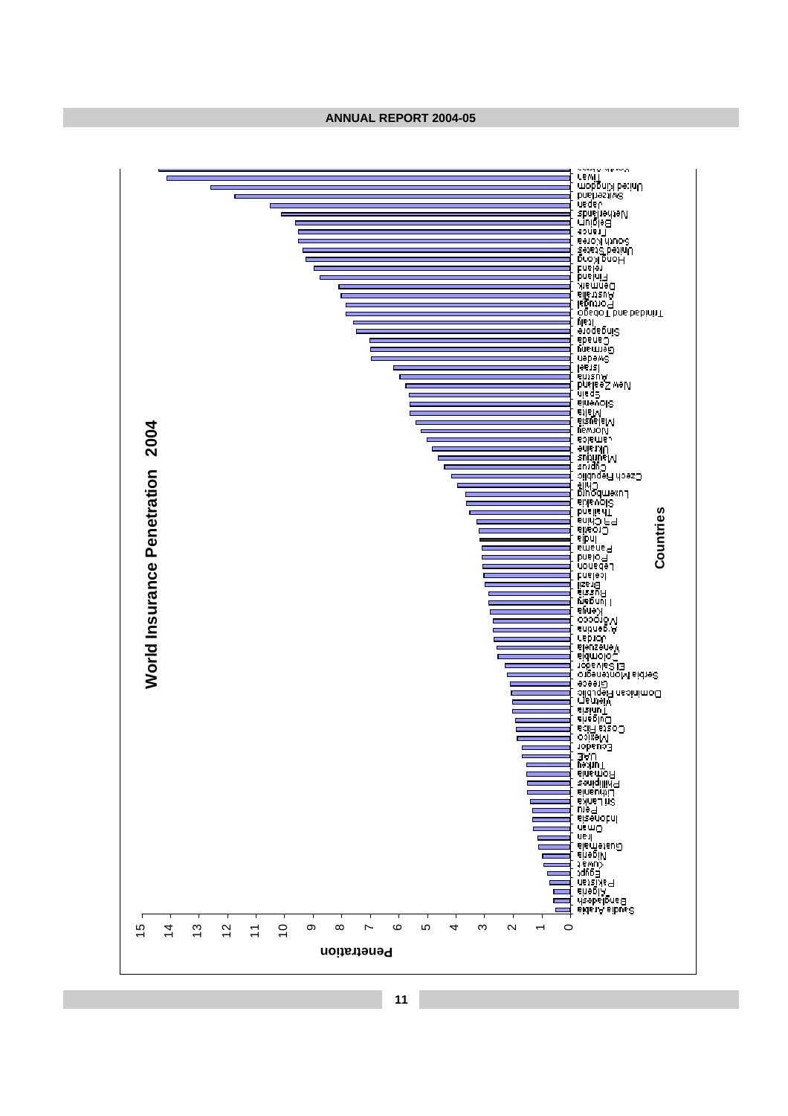**ANNUAL REPORT 2004-05**

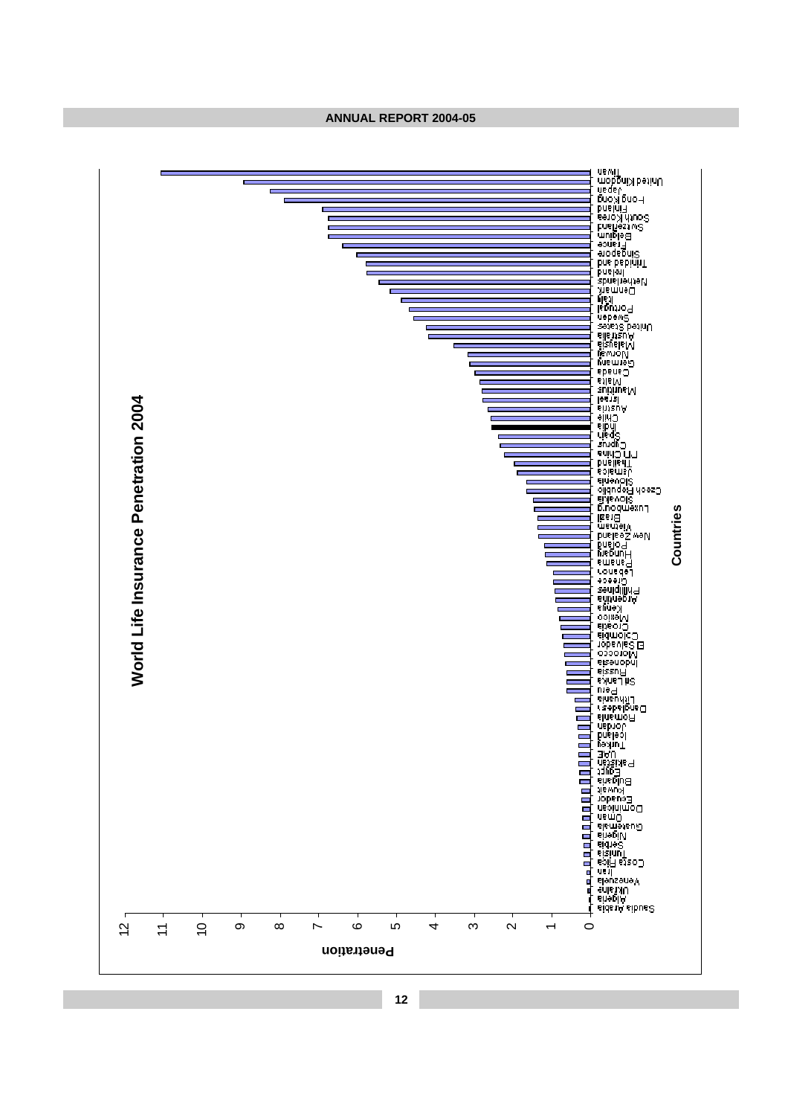**ANNUAL REPORT 2004-05**

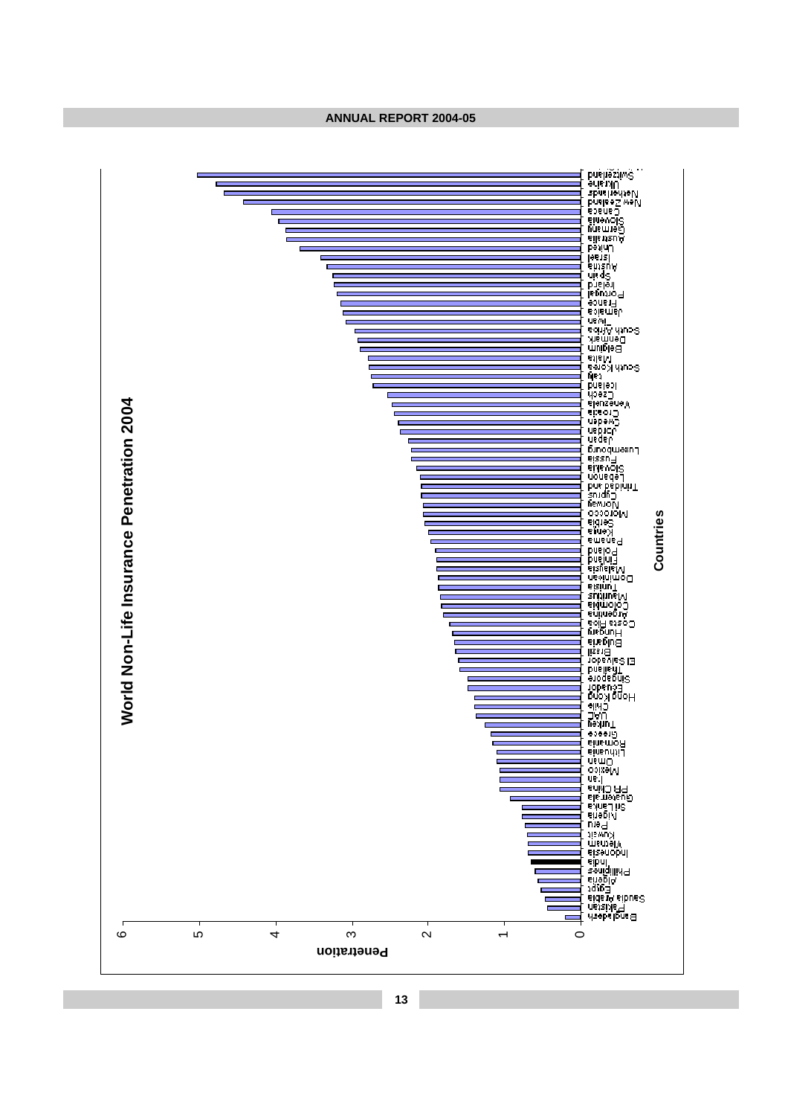**ANNUAL REPORT 2004-05**

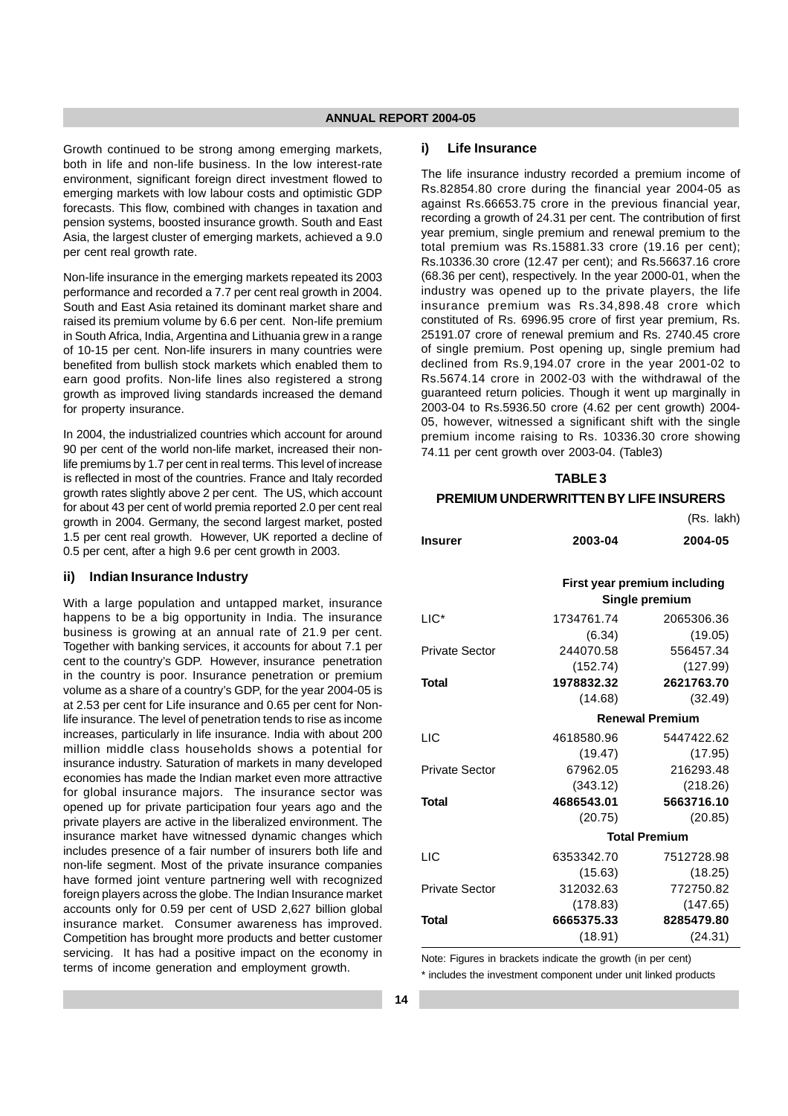Growth continued to be strong among emerging markets, both in life and non-life business. In the low interest-rate environment, significant foreign direct investment flowed to emerging markets with low labour costs and optimistic GDP forecasts. This flow, combined with changes in taxation and pension systems, boosted insurance growth. South and East Asia, the largest cluster of emerging markets, achieved a 9.0 per cent real growth rate.

Non-life insurance in the emerging markets repeated its 2003 performance and recorded a 7.7 per cent real growth in 2004. South and East Asia retained its dominant market share and raised its premium volume by 6.6 per cent. Non-life premium in South Africa, India, Argentina and Lithuania grew in a range of 10-15 per cent. Non-life insurers in many countries were benefited from bullish stock markets which enabled them to earn good profits. Non-life lines also registered a strong growth as improved living standards increased the demand for property insurance.

In 2004, the industrialized countries which account for around 90 per cent of the world non-life market, increased their nonlife premiums by 1.7 per cent in real terms. This level of increase is reflected in most of the countries. France and Italy recorded growth rates slightly above 2 per cent. The US, which account for about 43 per cent of world premia reported 2.0 per cent real growth in 2004. Germany, the second largest market, posted 1.5 per cent real growth. However, UK reported a decline of 0.5 per cent, after a high 9.6 per cent growth in 2003.

#### **ii) Indian Insurance Industry**

With a large population and untapped market, insurance happens to be a big opportunity in India. The insurance business is growing at an annual rate of 21.9 per cent. Together with banking services, it accounts for about 7.1 per cent to the country's GDP. However, insurance penetration in the country is poor. Insurance penetration or premium volume as a share of a country's GDP, for the year 2004-05 is at 2.53 per cent for Life insurance and 0.65 per cent for Nonlife insurance. The level of penetration tends to rise as income increases, particularly in life insurance. India with about 200 million middle class households shows a potential for insurance industry. Saturation of markets in many developed economies has made the Indian market even more attractive for global insurance majors. The insurance sector was opened up for private participation four years ago and the private players are active in the liberalized environment. The insurance market have witnessed dynamic changes which includes presence of a fair number of insurers both life and non-life segment. Most of the private insurance companies have formed joint venture partnering well with recognized foreign players across the globe. The Indian Insurance market accounts only for 0.59 per cent of USD 2,627 billion global insurance market. Consumer awareness has improved. Competition has brought more products and better customer servicing. It has had a positive impact on the economy in terms of income generation and employment growth.

#### **i) Life Insurance**

The life insurance industry recorded a premium income of Rs.82854.80 crore during the financial year 2004-05 as against Rs.66653.75 crore in the previous financial year, recording a growth of 24.31 per cent. The contribution of first year premium, single premium and renewal premium to the total premium was Rs.15881.33 crore (19.16 per cent); Rs.10336.30 crore (12.47 per cent); and Rs.56637.16 crore (68.36 per cent), respectively. In the year 2000-01, when the industry was opened up to the private players, the life insurance premium was Rs.34,898.48 crore which constituted of Rs. 6996.95 crore of first year premium, Rs. 25191.07 crore of renewal premium and Rs. 2740.45 crore of single premium. Post opening up, single premium had declined from Rs.9,194.07 crore in the year 2001-02 to Rs.5674.14 crore in 2002-03 with the withdrawal of the guaranteed return policies. Though it went up marginally in 2003-04 to Rs.5936.50 crore (4.62 per cent growth) 2004- 05, however, witnessed a significant shift with the single premium income raising to Rs. 10336.30 crore showing 74.11 per cent growth over 2003-04. (Table3)

## **TABLE 3 PREMIUM UNDERWRITTEN BY LIFE INSURERS**

|                       |                      | (Rs. lakh)                                     |
|-----------------------|----------------------|------------------------------------------------|
| <b>Insurer</b>        | 2003-04              | 2004-05                                        |
|                       |                      | First year premium including<br>Single premium |
|                       |                      |                                                |
| $LIC^*$               | 1734761.74           | 2065306.36                                     |
|                       | (6.34)               | (19.05)                                        |
| <b>Private Sector</b> | 244070.58            | 556457.34                                      |
|                       | (152.74)             | (127.99)                                       |
| Total                 | 1978832.32           | 2621763.70                                     |
|                       | (14.68)              | (32.49)                                        |
|                       |                      | <b>Renewal Premium</b>                         |
| LIC                   | 4618580.96           | 5447422.62                                     |
|                       | (19.47)              | (17.95)                                        |
| Private Sector        | 67962.05             | 216293.48                                      |
|                       | (343.12)             | (218.26)                                       |
| Total                 | 4686543.01           | 5663716.10                                     |
|                       | (20.75)              | (20.85)                                        |
|                       | <b>Total Premium</b> |                                                |
| LIC                   | 6353342.70           | 7512728.98                                     |
|                       | (15.63)              | (18.25)                                        |
| <b>Private Sector</b> | 312032.63            | 772750.82                                      |
|                       | (178.83)             | (147.65)                                       |
| Total                 | 6665375.33           | 8285479.80                                     |
|                       | (18.91)              | (24.31)                                        |

Note: Figures in brackets indicate the growth (in per cent) \* includes the investment component under unit linked products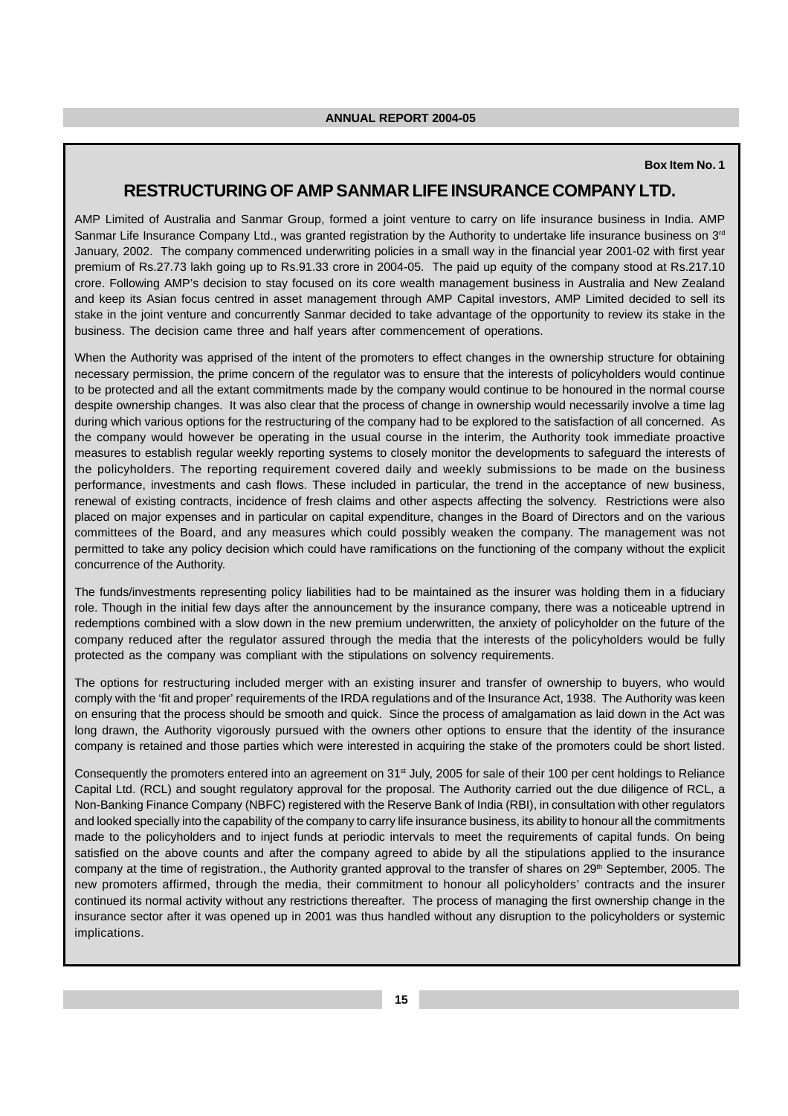#### **Box Item No. 1**

## **RESTRUCTURING OF AMP SANMAR LIFE INSURANCE COMPANY LTD.**

AMP Limited of Australia and Sanmar Group, formed a joint venture to carry on life insurance business in India. AMP Sanmar Life Insurance Company Ltd., was granted registration by the Authority to undertake life insurance business on 3<sup>rd</sup> January, 2002. The company commenced underwriting policies in a small way in the financial year 2001-02 with first year premium of Rs.27.73 lakh going up to Rs.91.33 crore in 2004-05. The paid up equity of the company stood at Rs.217.10 crore. Following AMP's decision to stay focused on its core wealth management business in Australia and New Zealand and keep its Asian focus centred in asset management through AMP Capital investors, AMP Limited decided to sell its stake in the joint venture and concurrently Sanmar decided to take advantage of the opportunity to review its stake in the business. The decision came three and half years after commencement of operations.

When the Authority was apprised of the intent of the promoters to effect changes in the ownership structure for obtaining necessary permission, the prime concern of the regulator was to ensure that the interests of policyholders would continue to be protected and all the extant commitments made by the company would continue to be honoured in the normal course despite ownership changes. It was also clear that the process of change in ownership would necessarily involve a time lag during which various options for the restructuring of the company had to be explored to the satisfaction of all concerned. As the company would however be operating in the usual course in the interim, the Authority took immediate proactive measures to establish regular weekly reporting systems to closely monitor the developments to safeguard the interests of the policyholders. The reporting requirement covered daily and weekly submissions to be made on the business performance, investments and cash flows. These included in particular, the trend in the acceptance of new business, renewal of existing contracts, incidence of fresh claims and other aspects affecting the solvency. Restrictions were also placed on major expenses and in particular on capital expenditure, changes in the Board of Directors and on the various committees of the Board, and any measures which could possibly weaken the company. The management was not permitted to take any policy decision which could have ramifications on the functioning of the company without the explicit concurrence of the Authority.

The funds/investments representing policy liabilities had to be maintained as the insurer was holding them in a fiduciary role. Though in the initial few days after the announcement by the insurance company, there was a noticeable uptrend in redemptions combined with a slow down in the new premium underwritten, the anxiety of policyholder on the future of the company reduced after the regulator assured through the media that the interests of the policyholders would be fully protected as the company was compliant with the stipulations on solvency requirements.

The options for restructuring included merger with an existing insurer and transfer of ownership to buyers, who would comply with the 'fit and proper' requirements of the IRDA regulations and of the Insurance Act, 1938. The Authority was keen on ensuring that the process should be smooth and quick. Since the process of amalgamation as laid down in the Act was long drawn, the Authority vigorously pursued with the owners other options to ensure that the identity of the insurance company is retained and those parties which were interested in acquiring the stake of the promoters could be short listed.

Consequently the promoters entered into an agreement on 31<sup>st</sup> July, 2005 for sale of their 100 per cent holdings to Reliance Capital Ltd. (RCL) and sought regulatory approval for the proposal. The Authority carried out the due diligence of RCL, a Non-Banking Finance Company (NBFC) registered with the Reserve Bank of India (RBI), in consultation with other regulators and looked specially into the capability of the company to carry life insurance business, its ability to honour all the commitments made to the policyholders and to inject funds at periodic intervals to meet the requirements of capital funds. On being satisfied on the above counts and after the company agreed to abide by all the stipulations applied to the insurance company at the time of registration., the Authority granted approval to the transfer of shares on 29<sup>th</sup> September, 2005. The new promoters affirmed, through the media, their commitment to honour all policyholders' contracts and the insurer continued its normal activity without any restrictions thereafter. The process of managing the first ownership change in the insurance sector after it was opened up in 2001 was thus handled without any disruption to the policyholders or systemic implications.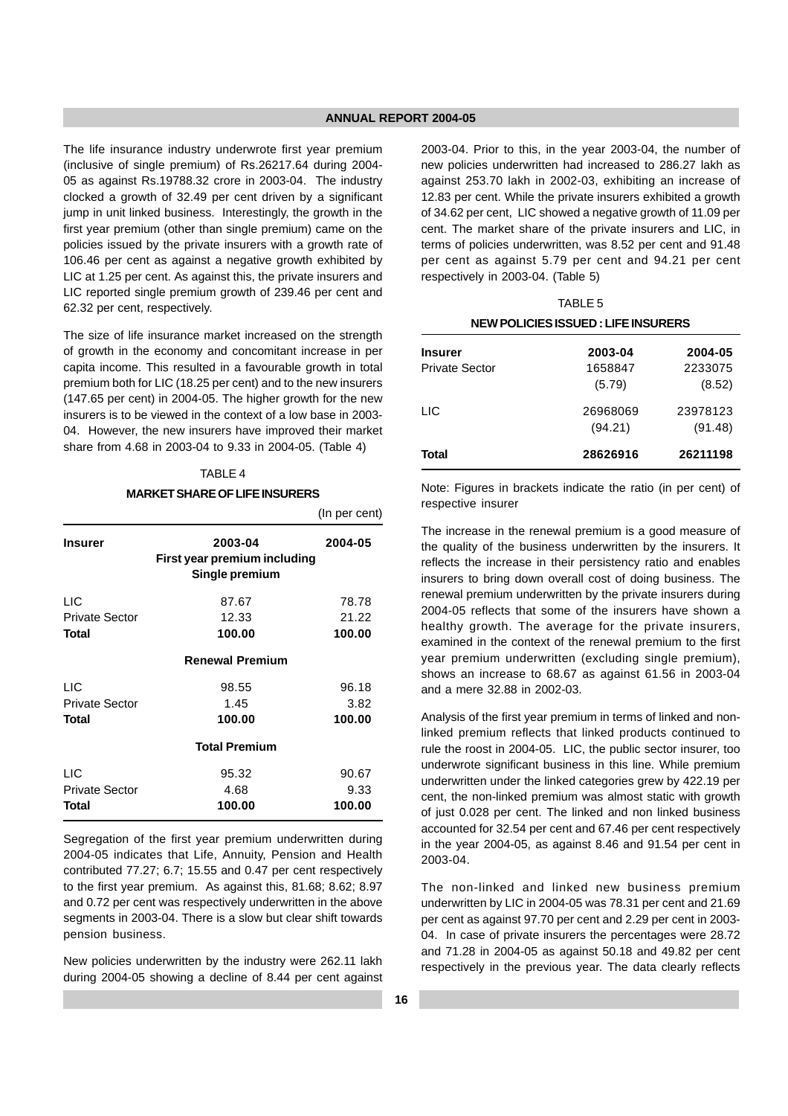The life insurance industry underwrote first year premium (inclusive of single premium) of Rs.26217.64 during 2004- 05 as against Rs.19788.32 crore in 2003-04. The industry clocked a growth of 32.49 per cent driven by a significant jump in unit linked business. Interestingly, the growth in the first year premium (other than single premium) came on the policies issued by the private insurers with a growth rate of 106.46 per cent as against a negative growth exhibited by LIC at 1.25 per cent. As against this, the private insurers and LIC reported single premium growth of 239.46 per cent and 62.32 per cent, respectively.

The size of life insurance market increased on the strength of growth in the economy and concomitant increase in per capita income. This resulted in a favourable growth in total premium both for LIC (18.25 per cent) and to the new insurers (147.65 per cent) in 2004-05. The higher growth for the new insurers is to be viewed in the context of a low base in 2003- 04. However, the new insurers have improved their market share from 4.68 in 2003-04 to 9.33 in 2004-05. (Table 4)

## TABLE 4

#### **MARKET SHARE OF LIFE INSURERS**

|                       |                                                           | (In per cent) |
|-----------------------|-----------------------------------------------------------|---------------|
| <b>Insurer</b>        | 2003-04<br>First year premium including<br>Single premium | 2004-05       |
| <b>LIC</b>            | 87.67                                                     | 78.78         |
| <b>Private Sector</b> | 12.33                                                     | 21.22         |
| Total                 | 100.00                                                    | 100.00        |
|                       | <b>Renewal Premium</b>                                    |               |
| <b>LIC</b>            | 98.55                                                     | 96.18         |
| <b>Private Sector</b> | 1.45                                                      | 3.82          |
| Total                 | 100.00                                                    | 100.00        |
|                       | <b>Total Premium</b>                                      |               |
| <b>LIC</b>            | 95.32                                                     | 90.67         |
| <b>Private Sector</b> | 4.68                                                      | 9.33          |
| Total                 | 100.00                                                    | 100.00        |

Segregation of the first year premium underwritten during 2004-05 indicates that Life, Annuity, Pension and Health contributed 77.27; 6.7; 15.55 and 0.47 per cent respectively to the first year premium. As against this, 81.68; 8.62; 8.97 and 0.72 per cent was respectively underwritten in the above segments in 2003-04. There is a slow but clear shift towards pension business.

New policies underwritten by the industry were 262.11 lakh during 2004-05 showing a decline of 8.44 per cent against 2003-04. Prior to this, in the year 2003-04, the number of new policies underwritten had increased to 286.27 lakh as against 253.70 lakh in 2002-03, exhibiting an increase of 12.83 per cent. While the private insurers exhibited a growth of 34.62 per cent, LIC showed a negative growth of 11.09 per cent. The market share of the private insurers and LIC, in terms of policies underwritten, was 8.52 per cent and 91.48 per cent as against 5.79 per cent and 94.21 per cent respectively in 2003-04. (Table 5)

| <b>NEW POLICIES ISSUED: LIFE INSURERS</b> |                     |                     |
|-------------------------------------------|---------------------|---------------------|
| <b>Insurer</b><br><b>Private Sector</b>   | 2003-04<br>1658847  | 2004-05<br>2233075  |
| LIC.                                      | (5.79)<br>26968069  | (8.52)<br>23978123  |
| Total                                     | (94.21)<br>28626916 | (91.48)<br>26211198 |

TABLE 5

Note: Figures in brackets indicate the ratio (in per cent) of respective insurer

The increase in the renewal premium is a good measure of the quality of the business underwritten by the insurers. It reflects the increase in their persistency ratio and enables insurers to bring down overall cost of doing business. The renewal premium underwritten by the private insurers during 2004-05 reflects that some of the insurers have shown a healthy growth. The average for the private insurers, examined in the context of the renewal premium to the first year premium underwritten (excluding single premium), shows an increase to 68.67 as against 61.56 in 2003-04 and a mere 32.88 in 2002-03.

Analysis of the first year premium in terms of linked and nonlinked premium reflects that linked products continued to rule the roost in 2004-05. LIC, the public sector insurer, too underwrote significant business in this line. While premium underwritten under the linked categories grew by 422.19 per cent, the non-linked premium was almost static with growth of just 0.028 per cent. The linked and non linked business accounted for 32.54 per cent and 67.46 per cent respectively in the year 2004-05, as against 8.46 and 91.54 per cent in 2003-04.

The non-linked and linked new business premium underwritten by LIC in 2004-05 was 78.31 per cent and 21.69 per cent as against 97.70 per cent and 2.29 per cent in 2003- 04. In case of private insurers the percentages were 28.72 and 71.28 in 2004-05 as against 50.18 and 49.82 per cent respectively in the previous year. The data clearly reflects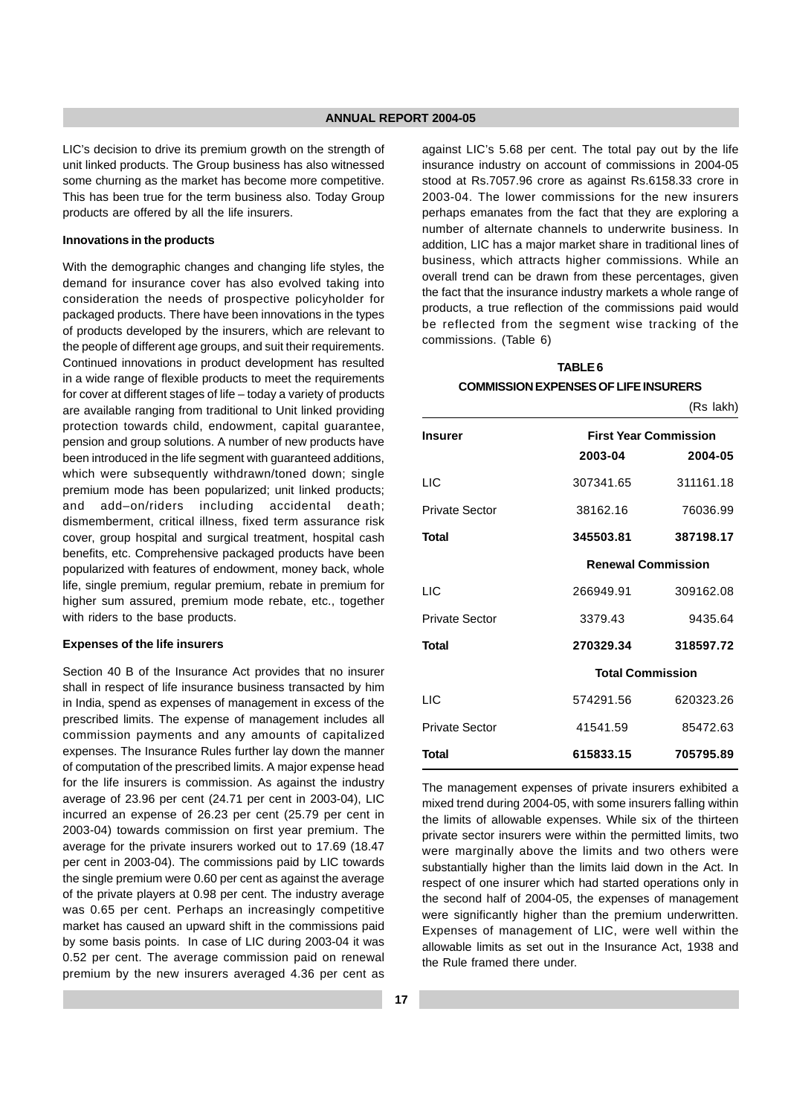LIC's decision to drive its premium growth on the strength of unit linked products. The Group business has also witnessed some churning as the market has become more competitive. This has been true for the term business also. Today Group products are offered by all the life insurers.

#### **Innovations in the products**

With the demographic changes and changing life styles, the demand for insurance cover has also evolved taking into consideration the needs of prospective policyholder for packaged products. There have been innovations in the types of products developed by the insurers, which are relevant to the people of different age groups, and suit their requirements. Continued innovations in product development has resulted in a wide range of flexible products to meet the requirements for cover at different stages of life – today a variety of products are available ranging from traditional to Unit linked providing protection towards child, endowment, capital guarantee, pension and group solutions. A number of new products have been introduced in the life segment with guaranteed additions, which were subsequently withdrawn/toned down; single premium mode has been popularized; unit linked products; and add–on/riders including accidental death; dismemberment, critical illness, fixed term assurance risk cover, group hospital and surgical treatment, hospital cash benefits, etc. Comprehensive packaged products have been popularized with features of endowment, money back, whole life, single premium, regular premium, rebate in premium for higher sum assured, premium mode rebate, etc., together with riders to the base products.

#### **Expenses of the life insurers**

Section 40 B of the Insurance Act provides that no insurer shall in respect of life insurance business transacted by him in India, spend as expenses of management in excess of the prescribed limits. The expense of management includes all commission payments and any amounts of capitalized expenses. The Insurance Rules further lay down the manner of computation of the prescribed limits. A major expense head for the life insurers is commission. As against the industry average of 23.96 per cent (24.71 per cent in 2003-04), LIC incurred an expense of 26.23 per cent (25.79 per cent in 2003-04) towards commission on first year premium. The average for the private insurers worked out to 17.69 (18.47 per cent in 2003-04). The commissions paid by LIC towards the single premium were 0.60 per cent as against the average of the private players at 0.98 per cent. The industry average was 0.65 per cent. Perhaps an increasingly competitive market has caused an upward shift in the commissions paid by some basis points. In case of LIC during 2003-04 it was 0.52 per cent. The average commission paid on renewal premium by the new insurers averaged 4.36 per cent as against LIC's 5.68 per cent. The total pay out by the life insurance industry on account of commissions in 2004-05 stood at Rs.7057.96 crore as against Rs.6158.33 crore in 2003-04. The lower commissions for the new insurers perhaps emanates from the fact that they are exploring a number of alternate channels to underwrite business. In addition, LIC has a major market share in traditional lines of business, which attracts higher commissions. While an overall trend can be drawn from these percentages, given the fact that the insurance industry markets a whole range of products, a true reflection of the commissions paid would be reflected from the segment wise tracking of the commissions. (Table 6)

## **TABLE 6**

#### **COMMISSION EXPENSES OF LIFE INSURERS**

(Rs lakh)

| Insurer               | 2003-04                 | <b>First Year Commission</b><br>2004-05 |
|-----------------------|-------------------------|-----------------------------------------|
| LIC                   | 307341.65               | 311161.18                               |
| <b>Private Sector</b> | 38162.16                | 76036.99                                |
| Total                 | 345503.81               | 387198.17                               |
|                       |                         | <b>Renewal Commission</b>               |
| LIC                   | 266949.91               | 309162.08                               |
| Private Sector        | 3379.43                 | 9435.64                                 |
| Total                 | 270329.34               | 318597.72                               |
|                       | <b>Total Commission</b> |                                         |
| <b>LIC</b>            | 574291.56               | 620323.26                               |
| Private Sector        | 41541.59                | 85472.63                                |
| Total                 | 615833.15               | 705795.89                               |

The management expenses of private insurers exhibited a mixed trend during 2004-05, with some insurers falling within the limits of allowable expenses. While six of the thirteen private sector insurers were within the permitted limits, two were marginally above the limits and two others were substantially higher than the limits laid down in the Act. In respect of one insurer which had started operations only in the second half of 2004-05, the expenses of management were significantly higher than the premium underwritten. Expenses of management of LIC, were well within the allowable limits as set out in the Insurance Act, 1938 and the Rule framed there under.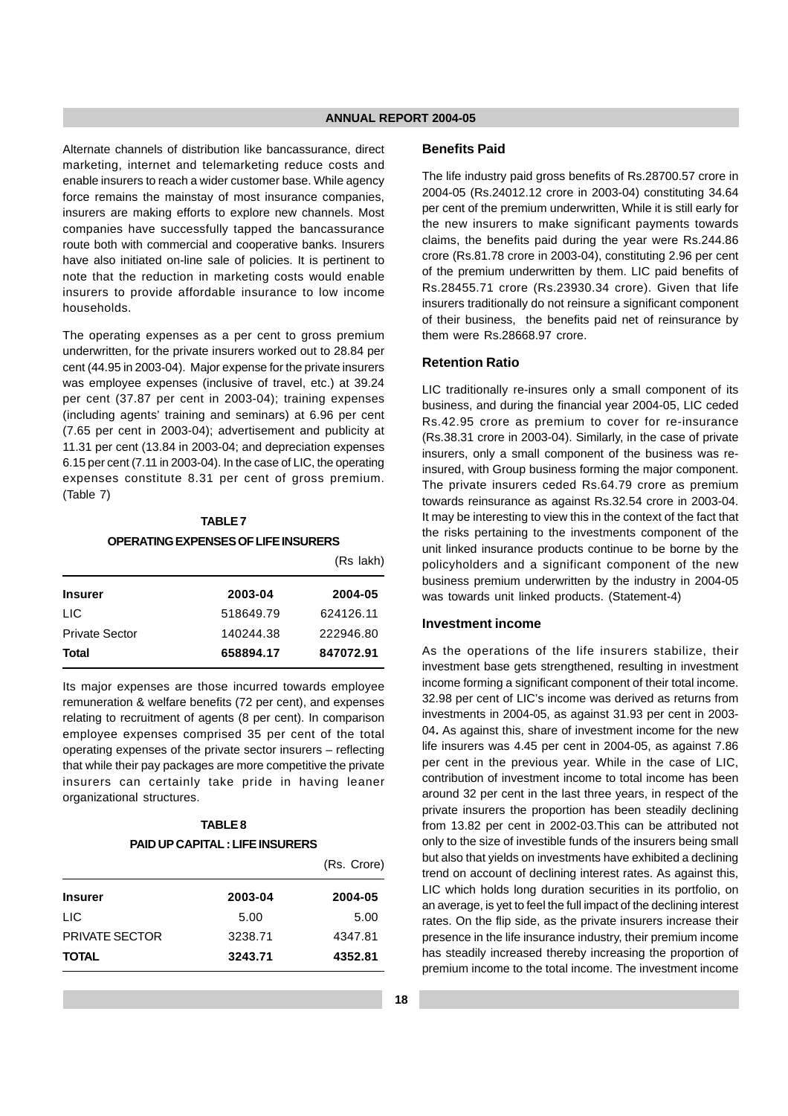Alternate channels of distribution like bancassurance, direct marketing, internet and telemarketing reduce costs and enable insurers to reach a wider customer base. While agency force remains the mainstay of most insurance companies, insurers are making efforts to explore new channels. Most companies have successfully tapped the bancassurance route both with commercial and cooperative banks. Insurers have also initiated on-line sale of policies. It is pertinent to note that the reduction in marketing costs would enable insurers to provide affordable insurance to low income households.

The operating expenses as a per cent to gross premium underwritten, for the private insurers worked out to 28.84 per cent (44.95 in 2003-04). Major expense for the private insurers was employee expenses (inclusive of travel, etc.) at 39.24 per cent (37.87 per cent in 2003-04); training expenses (including agents' training and seminars) at 6.96 per cent (7.65 per cent in 2003-04); advertisement and publicity at 11.31 per cent (13.84 in 2003-04; and depreciation expenses 6.15 per cent (7.11 in 2003-04). In the case of LIC, the operating expenses constitute 8.31 per cent of gross premium. (Table 7)

## **TABLE 7 OPERATING EXPENSES OF LIFE INSURERS**

|                       |           | (Rs lakh) |  |
|-----------------------|-----------|-----------|--|
| <b>Insurer</b>        | 2003-04   | 2004-05   |  |
| <b>LIC</b>            | 518649.79 | 624126.11 |  |
| <b>Private Sector</b> | 140244.38 | 222946.80 |  |
| <b>Total</b>          | 658894.17 | 847072.91 |  |

Its major expenses are those incurred towards employee remuneration & welfare benefits (72 per cent), and expenses relating to recruitment of agents (8 per cent). In comparison employee expenses comprised 35 per cent of the total operating expenses of the private sector insurers – reflecting that while their pay packages are more competitive the private insurers can certainly take pride in having leaner organizational structures.

#### **TABLE 8**

#### **PAID UP CAPITAL : LIFE INSURERS**

|                       |         | (Rs. Crore) |
|-----------------------|---------|-------------|
| <b>Insurer</b>        | 2003-04 | 2004-05     |
| <b>LIC</b>            | 5.00    | 5.00        |
| <b>PRIVATE SECTOR</b> | 3238.71 | 4347.81     |
| <b>TOTAL</b>          | 3243.71 | 4352.81     |

#### **Benefits Paid**

The life industry paid gross benefits of Rs.28700.57 crore in 2004-05 (Rs.24012.12 crore in 2003-04) constituting 34.64 per cent of the premium underwritten, While it is still early for the new insurers to make significant payments towards claims, the benefits paid during the year were Rs.244.86 crore (Rs.81.78 crore in 2003-04), constituting 2.96 per cent of the premium underwritten by them. LIC paid benefits of Rs.28455.71 crore (Rs.23930.34 crore). Given that life insurers traditionally do not reinsure a significant component of their business, the benefits paid net of reinsurance by them were Rs.28668.97 crore.

#### **Retention Ratio**

LIC traditionally re-insures only a small component of its business, and during the financial year 2004-05, LIC ceded Rs.42.95 crore as premium to cover for re-insurance (Rs.38.31 crore in 2003-04). Similarly, in the case of private insurers, only a small component of the business was reinsured, with Group business forming the major component. The private insurers ceded Rs.64.79 crore as premium towards reinsurance as against Rs.32.54 crore in 2003-04. It may be interesting to view this in the context of the fact that the risks pertaining to the investments component of the unit linked insurance products continue to be borne by the policyholders and a significant component of the new business premium underwritten by the industry in 2004-05 was towards unit linked products. (Statement-4)

#### **Investment income**

As the operations of the life insurers stabilize, their investment base gets strengthened, resulting in investment income forming a significant component of their total income. 32.98 per cent of LIC's income was derived as returns from investments in 2004-05, as against 31.93 per cent in 2003- 04**.** As against this, share of investment income for the new life insurers was 4.45 per cent in 2004-05, as against 7.86 per cent in the previous year. While in the case of LIC, contribution of investment income to total income has been around 32 per cent in the last three years, in respect of the private insurers the proportion has been steadily declining from 13.82 per cent in 2002-03.This can be attributed not only to the size of investible funds of the insurers being small but also that yields on investments have exhibited a declining trend on account of declining interest rates. As against this, LIC which holds long duration securities in its portfolio, on an average, is yet to feel the full impact of the declining interest rates. On the flip side, as the private insurers increase their presence in the life insurance industry, their premium income has steadily increased thereby increasing the proportion of premium income to the total income. The investment income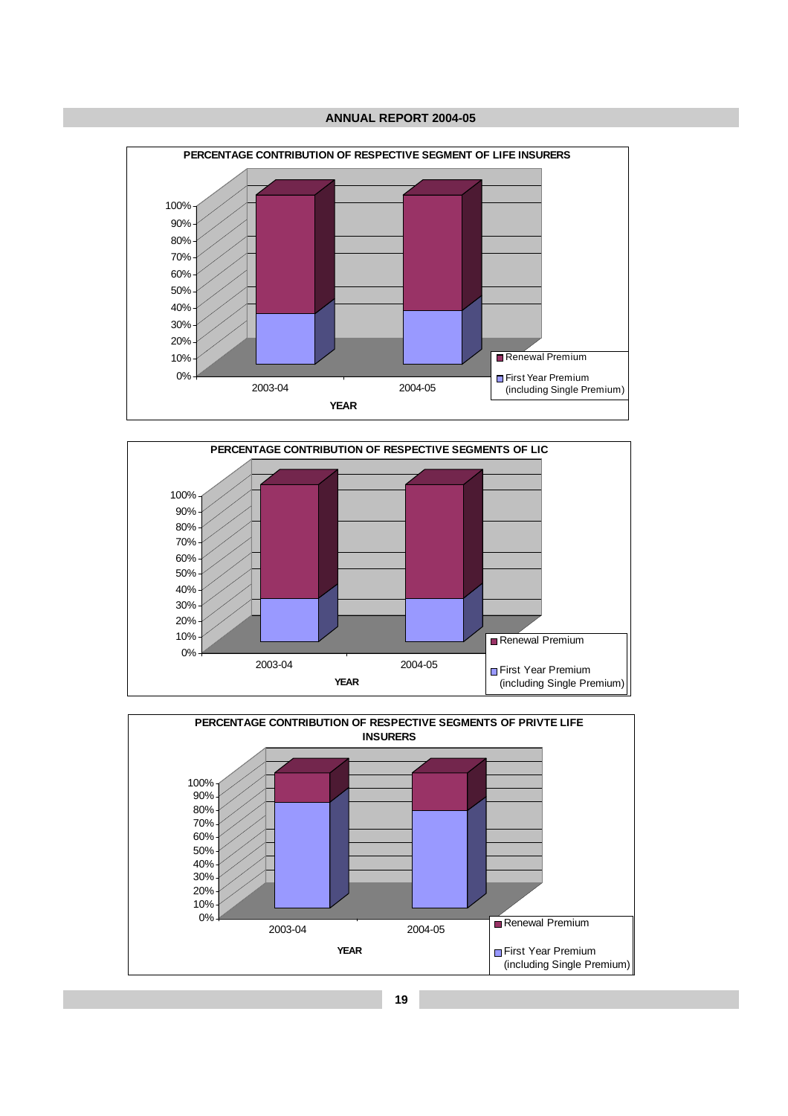



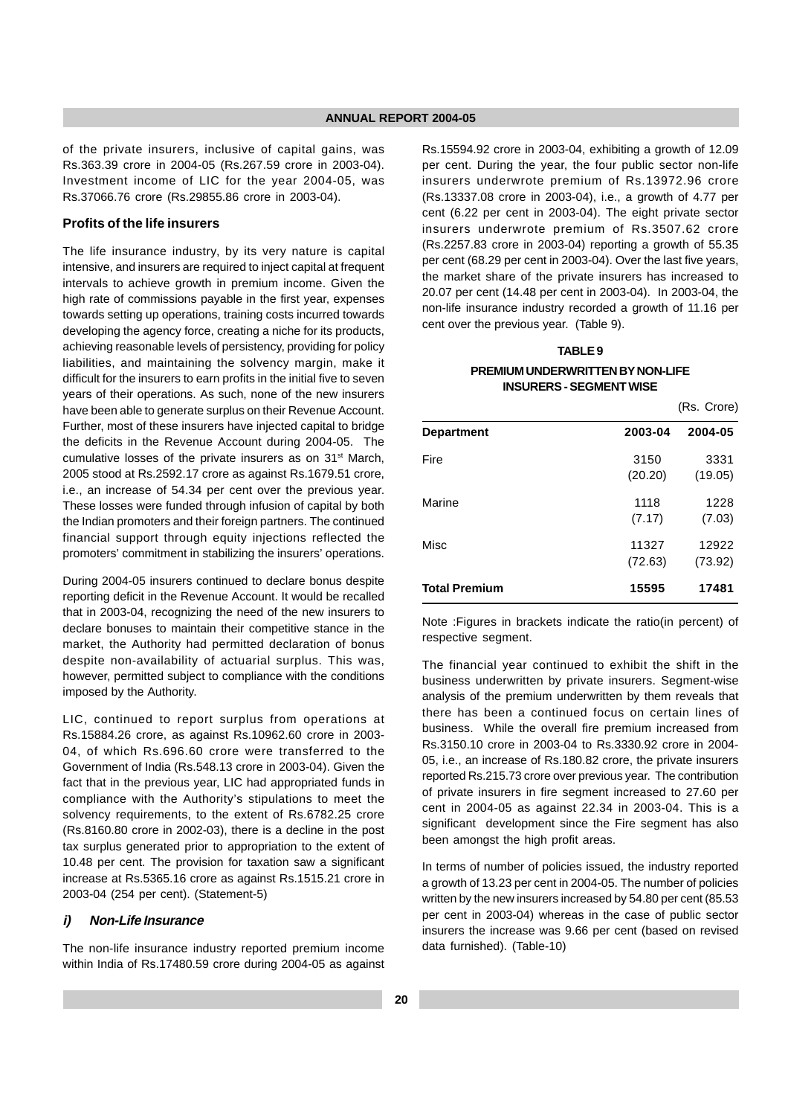of the private insurers, inclusive of capital gains, was Rs.363.39 crore in 2004-05 (Rs.267.59 crore in 2003-04). Investment income of LIC for the year 2004-05, was Rs.37066.76 crore (Rs.29855.86 crore in 2003-04).

## **Profits of the life insurers**

The life insurance industry, by its very nature is capital intensive, and insurers are required to inject capital at frequent intervals to achieve growth in premium income. Given the high rate of commissions payable in the first year, expenses towards setting up operations, training costs incurred towards developing the agency force, creating a niche for its products, achieving reasonable levels of persistency, providing for policy liabilities, and maintaining the solvency margin, make it difficult for the insurers to earn profits in the initial five to seven years of their operations. As such, none of the new insurers have been able to generate surplus on their Revenue Account. Further, most of these insurers have injected capital to bridge the deficits in the Revenue Account during 2004-05. The cumulative losses of the private insurers as on 31<sup>st</sup> March, 2005 stood at Rs.2592.17 crore as against Rs.1679.51 crore, i.e., an increase of 54.34 per cent over the previous year. These losses were funded through infusion of capital by both the Indian promoters and their foreign partners. The continued financial support through equity injections reflected the promoters' commitment in stabilizing the insurers' operations.

During 2004-05 insurers continued to declare bonus despite reporting deficit in the Revenue Account. It would be recalled that in 2003-04, recognizing the need of the new insurers to declare bonuses to maintain their competitive stance in the market, the Authority had permitted declaration of bonus despite non-availability of actuarial surplus. This was, however, permitted subject to compliance with the conditions imposed by the Authority.

LIC, continued to report surplus from operations at Rs.15884.26 crore, as against Rs.10962.60 crore in 2003- 04, of which Rs.696.60 crore were transferred to the Government of India (Rs.548.13 crore in 2003-04). Given the fact that in the previous year, LIC had appropriated funds in compliance with the Authority's stipulations to meet the solvency requirements, to the extent of Rs.6782.25 crore (Rs.8160.80 crore in 2002-03), there is a decline in the post tax surplus generated prior to appropriation to the extent of 10.48 per cent. The provision for taxation saw a significant increase at Rs.5365.16 crore as against Rs.1515.21 crore in 2003-04 (254 per cent). (Statement-5)

#### **i) Non-Life Insurance**

The non-life insurance industry reported premium income within India of Rs.17480.59 crore during 2004-05 as against Rs.15594.92 crore in 2003-04, exhibiting a growth of 12.09 per cent. During the year, the four public sector non-life insurers underwrote premium of Rs.13972.96 crore (Rs.13337.08 crore in 2003-04), i.e., a growth of 4.77 per cent (6.22 per cent in 2003-04). The eight private sector insurers underwrote premium of Rs.3507.62 crore (Rs.2257.83 crore in 2003-04) reporting a growth of 55.35 per cent (68.29 per cent in 2003-04). Over the last five years, the market share of the private insurers has increased to 20.07 per cent (14.48 per cent in 2003-04). In 2003-04, the non-life insurance industry recorded a growth of 11.16 per cent over the previous year. (Table 9).

## **TABLE 9 PREMIUM UNDERWRITTEN BY NON-LIFE INSURERS - SEGMENT WISE**

(Rs. Crore) **Department 2003-04 2004-05** Fire 3150 3331 (20.20) (19.05) Marine 1228 (7.17) (7.03) Misc 11327 12922 (72.63) (73.92) **Total Premium 15595 17481**

Note :Figures in brackets indicate the ratio(in percent) of respective segment.

The financial year continued to exhibit the shift in the business underwritten by private insurers. Segment-wise analysis of the premium underwritten by them reveals that there has been a continued focus on certain lines of business. While the overall fire premium increased from Rs.3150.10 crore in 2003-04 to Rs.3330.92 crore in 2004- 05, i.e., an increase of Rs.180.82 crore, the private insurers reported Rs.215.73 crore over previous year. The contribution of private insurers in fire segment increased to 27.60 per cent in 2004-05 as against 22.34 in 2003-04. This is a significant development since the Fire segment has also been amongst the high profit areas.

In terms of number of policies issued, the industry reported a growth of 13.23 per cent in 2004-05. The number of policies written by the new insurers increased by 54.80 per cent (85.53 per cent in 2003-04) whereas in the case of public sector insurers the increase was 9.66 per cent (based on revised data furnished). (Table-10)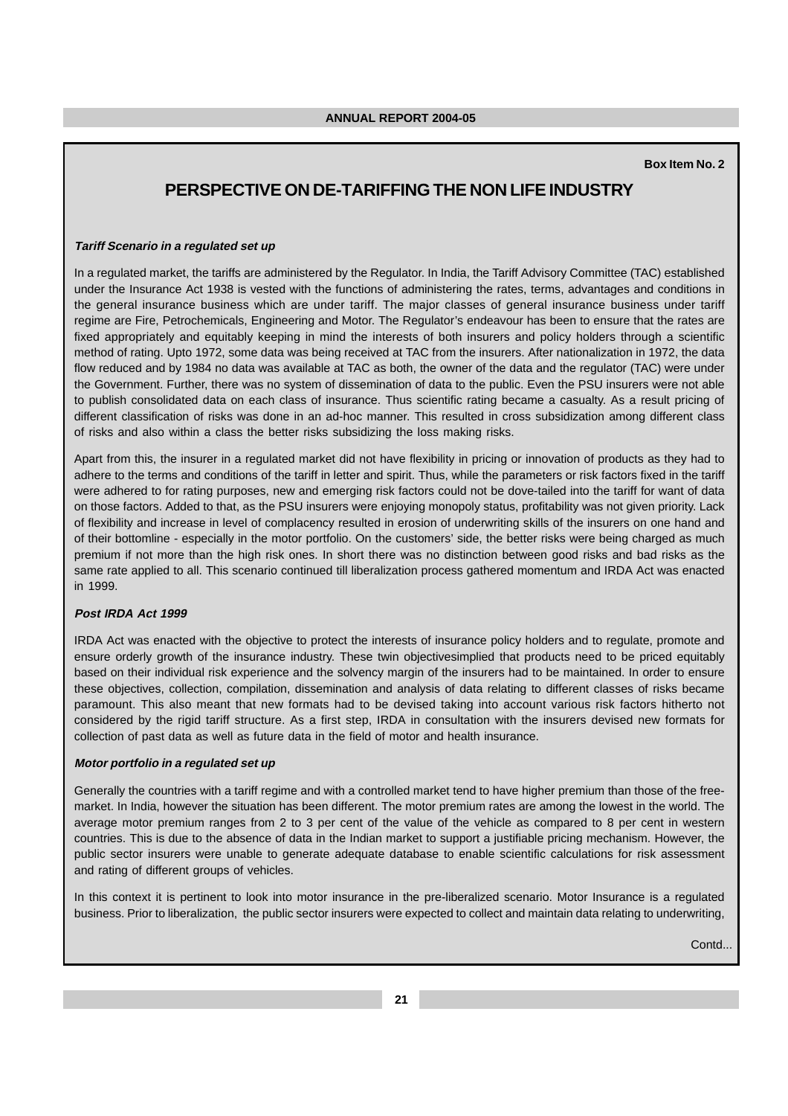#### **Box Item No. 2**

## **PERSPECTIVE ON DE-TARIFFING THE NON LIFE INDUSTRY**

#### **Tariff Scenario in a regulated set up**

In a regulated market, the tariffs are administered by the Regulator. In India, the Tariff Advisory Committee (TAC) established under the Insurance Act 1938 is vested with the functions of administering the rates, terms, advantages and conditions in the general insurance business which are under tariff. The major classes of general insurance business under tariff regime are Fire, Petrochemicals, Engineering and Motor. The Regulator's endeavour has been to ensure that the rates are fixed appropriately and equitably keeping in mind the interests of both insurers and policy holders through a scientific method of rating. Upto 1972, some data was being received at TAC from the insurers. After nationalization in 1972, the data flow reduced and by 1984 no data was available at TAC as both, the owner of the data and the regulator (TAC) were under the Government. Further, there was no system of dissemination of data to the public. Even the PSU insurers were not able to publish consolidated data on each class of insurance. Thus scientific rating became a casualty. As a result pricing of different classification of risks was done in an ad-hoc manner. This resulted in cross subsidization among different class of risks and also within a class the better risks subsidizing the loss making risks.

Apart from this, the insurer in a regulated market did not have flexibility in pricing or innovation of products as they had to adhere to the terms and conditions of the tariff in letter and spirit. Thus, while the parameters or risk factors fixed in the tariff were adhered to for rating purposes, new and emerging risk factors could not be dove-tailed into the tariff for want of data on those factors. Added to that, as the PSU insurers were enjoying monopoly status, profitability was not given priority. Lack of flexibility and increase in level of complacency resulted in erosion of underwriting skills of the insurers on one hand and of their bottomline - especially in the motor portfolio. On the customers' side, the better risks were being charged as much premium if not more than the high risk ones. In short there was no distinction between good risks and bad risks as the same rate applied to all. This scenario continued till liberalization process gathered momentum and IRDA Act was enacted in 1999.

#### **Post IRDA Act 1999**

IRDA Act was enacted with the objective to protect the interests of insurance policy holders and to regulate, promote and ensure orderly growth of the insurance industry. These twin objectivesimplied that products need to be priced equitably based on their individual risk experience and the solvency margin of the insurers had to be maintained. In order to ensure these objectives, collection, compilation, dissemination and analysis of data relating to different classes of risks became paramount. This also meant that new formats had to be devised taking into account various risk factors hitherto not considered by the rigid tariff structure. As a first step, IRDA in consultation with the insurers devised new formats for collection of past data as well as future data in the field of motor and health insurance.

#### **Motor portfolio in a regulated set up**

Generally the countries with a tariff regime and with a controlled market tend to have higher premium than those of the freemarket. In India, however the situation has been different. The motor premium rates are among the lowest in the world. The average motor premium ranges from 2 to 3 per cent of the value of the vehicle as compared to 8 per cent in western countries. This is due to the absence of data in the Indian market to support a justifiable pricing mechanism. However, the public sector insurers were unable to generate adequate database to enable scientific calculations for risk assessment and rating of different groups of vehicles.

In this context it is pertinent to look into motor insurance in the pre-liberalized scenario. Motor Insurance is a regulated business. Prior to liberalization, the public sector insurers were expected to collect and maintain data relating to underwriting,

Contd...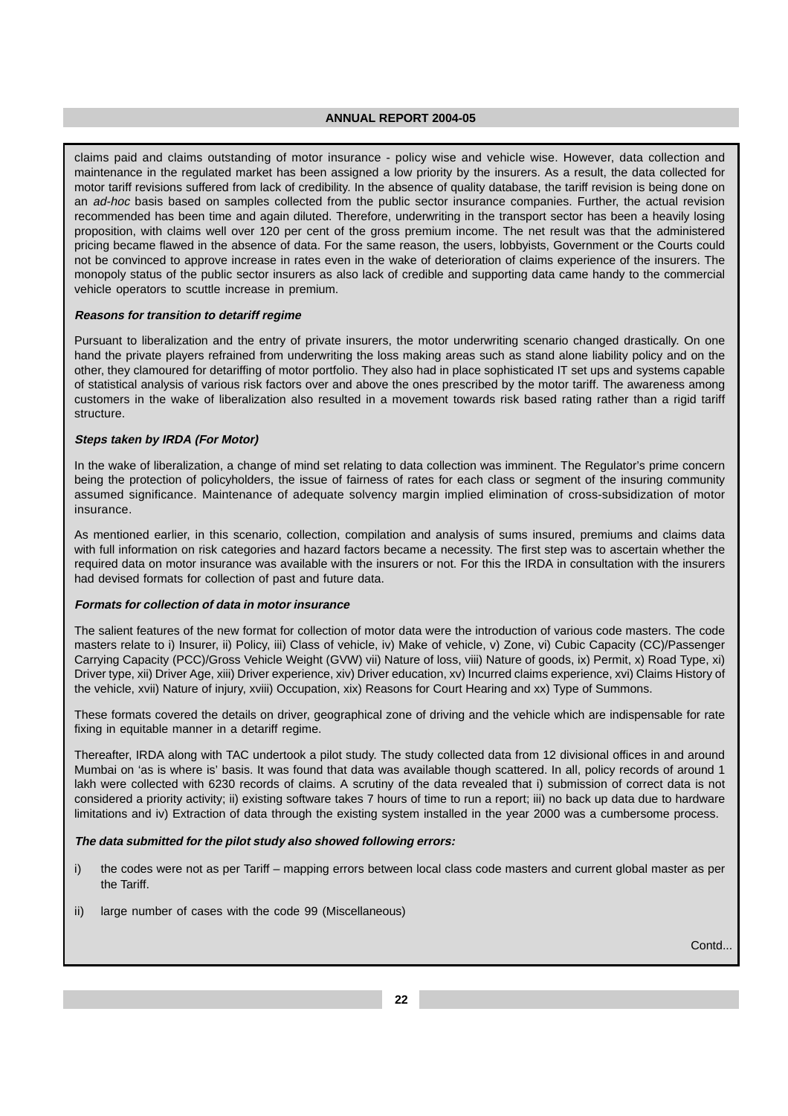claims paid and claims outstanding of motor insurance - policy wise and vehicle wise. However, data collection and maintenance in the regulated market has been assigned a low priority by the insurers. As a result, the data collected for motor tariff revisions suffered from lack of credibility. In the absence of quality database, the tariff revision is being done on an ad-hoc basis based on samples collected from the public sector insurance companies. Further, the actual revision recommended has been time and again diluted. Therefore, underwriting in the transport sector has been a heavily losing proposition, with claims well over 120 per cent of the gross premium income. The net result was that the administered pricing became flawed in the absence of data. For the same reason, the users, lobbyists, Government or the Courts could not be convinced to approve increase in rates even in the wake of deterioration of claims experience of the insurers. The monopoly status of the public sector insurers as also lack of credible and supporting data came handy to the commercial vehicle operators to scuttle increase in premium.

#### **Reasons for transition to detariff regime**

Pursuant to liberalization and the entry of private insurers, the motor underwriting scenario changed drastically. On one hand the private players refrained from underwriting the loss making areas such as stand alone liability policy and on the other, they clamoured for detariffing of motor portfolio. They also had in place sophisticated IT set ups and systems capable of statistical analysis of various risk factors over and above the ones prescribed by the motor tariff. The awareness among customers in the wake of liberalization also resulted in a movement towards risk based rating rather than a rigid tariff structure.

#### **Steps taken by IRDA (For Motor)**

In the wake of liberalization, a change of mind set relating to data collection was imminent. The Regulator's prime concern being the protection of policyholders, the issue of fairness of rates for each class or segment of the insuring community assumed significance. Maintenance of adequate solvency margin implied elimination of cross-subsidization of motor insurance.

As mentioned earlier, in this scenario, collection, compilation and analysis of sums insured, premiums and claims data with full information on risk categories and hazard factors became a necessity. The first step was to ascertain whether the required data on motor insurance was available with the insurers or not. For this the IRDA in consultation with the insurers had devised formats for collection of past and future data.

## **Formats for collection of data in motor insurance**

The salient features of the new format for collection of motor data were the introduction of various code masters. The code masters relate to i) Insurer, ii) Policy, iii) Class of vehicle, iv) Make of vehicle, v) Zone, vi) Cubic Capacity (CC)/Passenger Carrying Capacity (PCC)/Gross Vehicle Weight (GVW) vii) Nature of loss, viii) Nature of goods, ix) Permit, x) Road Type, xi) Driver type, xii) Driver Age, xiii) Driver experience, xiv) Driver education, xv) Incurred claims experience, xvi) Claims History of the vehicle, xvii) Nature of injury, xviii) Occupation, xix) Reasons for Court Hearing and xx) Type of Summons.

These formats covered the details on driver, geographical zone of driving and the vehicle which are indispensable for rate fixing in equitable manner in a detariff regime.

Thereafter, IRDA along with TAC undertook a pilot study. The study collected data from 12 divisional offices in and around Mumbai on 'as is where is' basis. It was found that data was available though scattered. In all, policy records of around 1 lakh were collected with 6230 records of claims. A scrutiny of the data revealed that i) submission of correct data is not considered a priority activity; ii) existing software takes 7 hours of time to run a report; iii) no back up data due to hardware limitations and iv) Extraction of data through the existing system installed in the year 2000 was a cumbersome process.

#### **The data submitted for the pilot study also showed following errors:**

- i) the codes were not as per Tariff mapping errors between local class code masters and current global master as per the Tariff.
- ii) large number of cases with the code 99 (Miscellaneous)

Contd.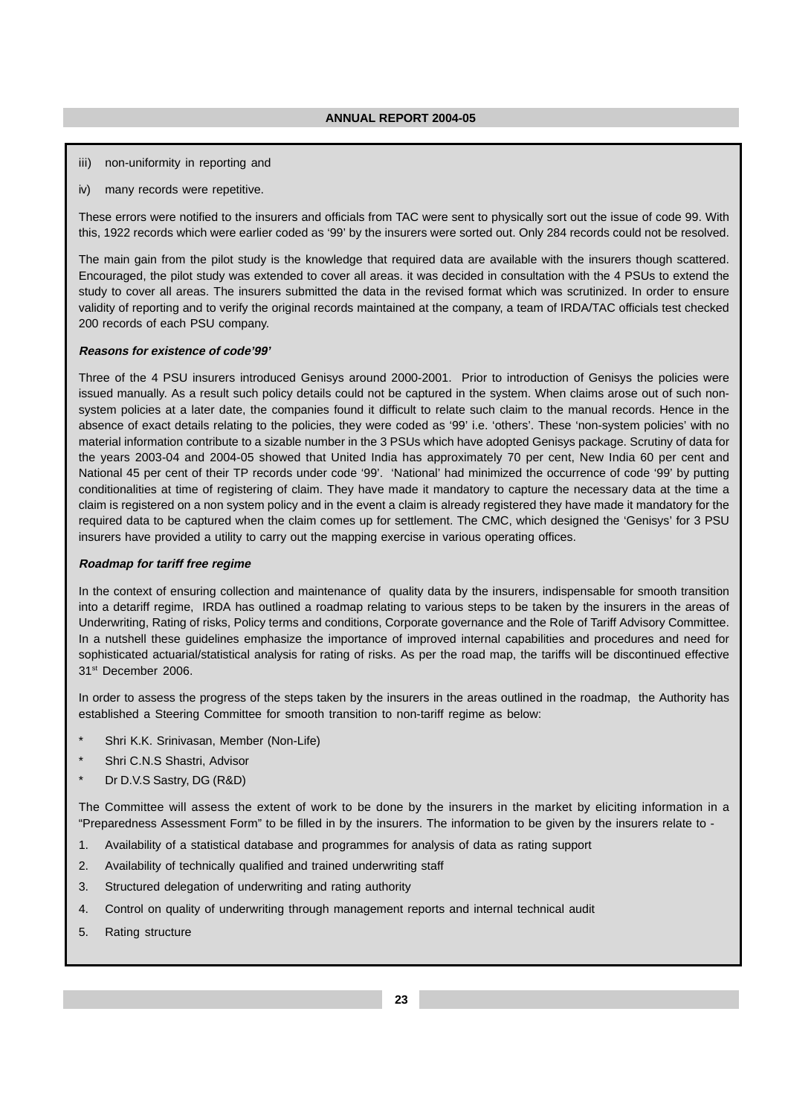- iii) non-uniformity in reporting and
- iv) many records were repetitive.

These errors were notified to the insurers and officials from TAC were sent to physically sort out the issue of code 99. With this, 1922 records which were earlier coded as '99' by the insurers were sorted out. Only 284 records could not be resolved.

The main gain from the pilot study is the knowledge that required data are available with the insurers though scattered. Encouraged, the pilot study was extended to cover all areas. it was decided in consultation with the 4 PSUs to extend the study to cover all areas. The insurers submitted the data in the revised format which was scrutinized. In order to ensure validity of reporting and to verify the original records maintained at the company, a team of IRDA/TAC officials test checked 200 records of each PSU company.

#### **Reasons for existence of code'99'**

Three of the 4 PSU insurers introduced Genisys around 2000-2001. Prior to introduction of Genisys the policies were issued manually. As a result such policy details could not be captured in the system. When claims arose out of such nonsystem policies at a later date, the companies found it difficult to relate such claim to the manual records. Hence in the absence of exact details relating to the policies, they were coded as '99' i.e. 'others'. These 'non-system policies' with no material information contribute to a sizable number in the 3 PSUs which have adopted Genisys package. Scrutiny of data for the years 2003-04 and 2004-05 showed that United India has approximately 70 per cent, New India 60 per cent and National 45 per cent of their TP records under code '99'. 'National' had minimized the occurrence of code '99' by putting conditionalities at time of registering of claim. They have made it mandatory to capture the necessary data at the time a claim is registered on a non system policy and in the event a claim is already registered they have made it mandatory for the required data to be captured when the claim comes up for settlement. The CMC, which designed the 'Genisys' for 3 PSU insurers have provided a utility to carry out the mapping exercise in various operating offices.

#### **Roadmap for tariff free regime**

In the context of ensuring collection and maintenance of quality data by the insurers, indispensable for smooth transition into a detariff regime, IRDA has outlined a roadmap relating to various steps to be taken by the insurers in the areas of Underwriting, Rating of risks, Policy terms and conditions, Corporate governance and the Role of Tariff Advisory Committee. In a nutshell these guidelines emphasize the importance of improved internal capabilities and procedures and need for sophisticated actuarial/statistical analysis for rating of risks. As per the road map, the tariffs will be discontinued effective 31<sup>st</sup> December 2006.

In order to assess the progress of the steps taken by the insurers in the areas outlined in the roadmap, the Authority has established a Steering Committee for smooth transition to non-tariff regime as below:

- Shri K.K. Srinivasan, Member (Non-Life)
- Shri C.N.S Shastri, Advisor
- Dr D.V.S Sastry, DG (R&D)

The Committee will assess the extent of work to be done by the insurers in the market by eliciting information in a "Preparedness Assessment Form" to be filled in by the insurers. The information to be given by the insurers relate to -

- 1. Availability of a statistical database and programmes for analysis of data as rating support
- 2. Availability of technically qualified and trained underwriting staff
- 3. Structured delegation of underwriting and rating authority
- 4. Control on quality of underwriting through management reports and internal technical audit
- 5. Rating structure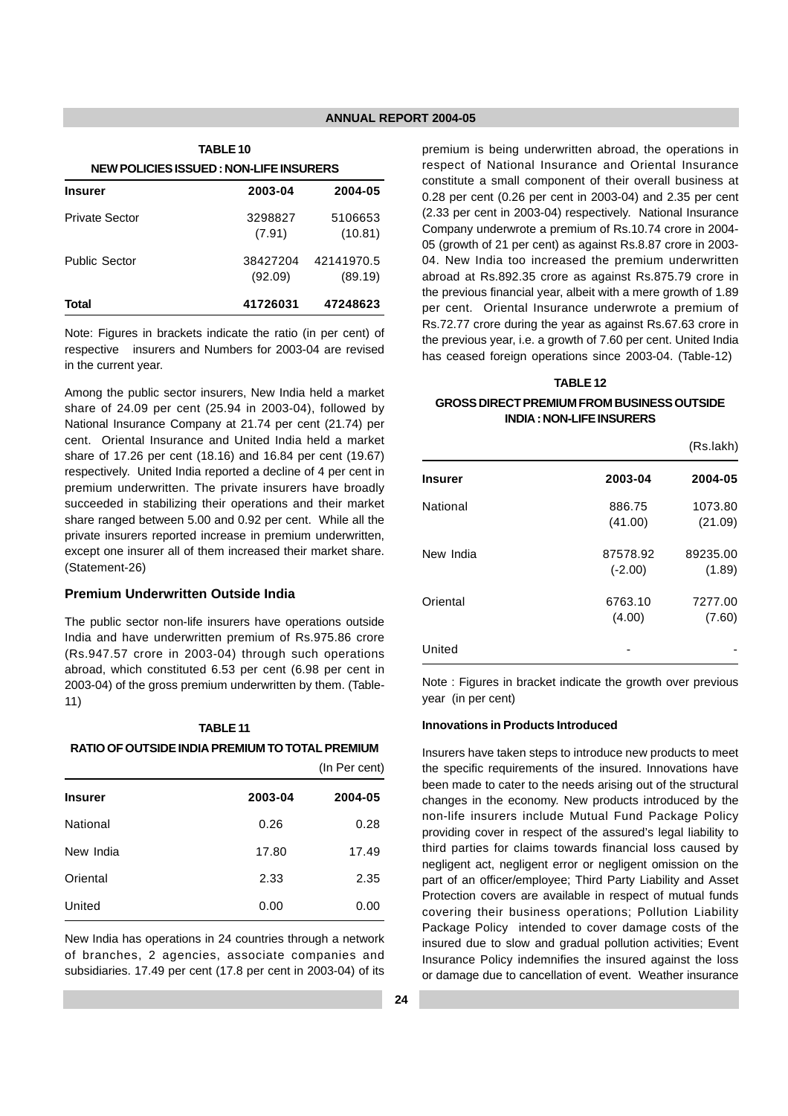| <b>TABLE 10</b>                         |                     |                       |
|-----------------------------------------|---------------------|-----------------------|
| NEW POLICIES ISSUED : NON-LIFE INSURERS |                     |                       |
| <b>Insurer</b>                          | 2003-04             | 2004-05               |
| Private Sector                          | 3298827<br>(7.91)   | 5106653<br>(10.81)    |
| <b>Public Sector</b>                    | 38427204<br>(92.09) | 42141970.5<br>(89.19) |
| Total                                   | 41726031            | 47248623              |

Note: Figures in brackets indicate the ratio (in per cent) of respective insurers and Numbers for 2003-04 are revised in the current year.

Among the public sector insurers, New India held a market share of 24.09 per cent (25.94 in 2003-04), followed by National Insurance Company at 21.74 per cent (21.74) per cent. Oriental Insurance and United India held a market share of 17.26 per cent (18.16) and 16.84 per cent (19.67) respectively. United India reported a decline of 4 per cent in premium underwritten. The private insurers have broadly succeeded in stabilizing their operations and their market share ranged between 5.00 and 0.92 per cent. While all the private insurers reported increase in premium underwritten, except one insurer all of them increased their market share. (Statement-26)

## **Premium Underwritten Outside India**

The public sector non-life insurers have operations outside India and have underwritten premium of Rs.975.86 crore (Rs.947.57 crore in 2003-04) through such operations abroad, which constituted 6.53 per cent (6.98 per cent in 2003-04) of the gross premium underwritten by them. (Table-11)

## **TABLE 11 RATIO OF OUTSIDE INDIA PREMIUM TO TOTAL PREMIUM**

|                |         | (In Per cent) |
|----------------|---------|---------------|
| <b>Insurer</b> | 2003-04 | 2004-05       |
| National       | 0.26    | 0.28          |
| New India      | 17.80   | 17.49         |
| Oriental       | 2.33    | 2.35          |
| United         | 0.00    | 0.00          |

New India has operations in 24 countries through a network of branches, 2 agencies, associate companies and subsidiaries. 17.49 per cent (17.8 per cent in 2003-04) of its premium is being underwritten abroad, the operations in respect of National Insurance and Oriental Insurance constitute a small component of their overall business at 0.28 per cent (0.26 per cent in 2003-04) and 2.35 per cent (2.33 per cent in 2003-04) respectively. National Insurance Company underwrote a premium of Rs.10.74 crore in 2004- 05 (growth of 21 per cent) as against Rs.8.87 crore in 2003- 04. New India too increased the premium underwritten abroad at Rs.892.35 crore as against Rs.875.79 crore in the previous financial year, albeit with a mere growth of 1.89 per cent. Oriental Insurance underwrote a premium of Rs.72.77 crore during the year as against Rs.67.63 crore in the previous year, i.e. a growth of 7.60 per cent. United India has ceased foreign operations since 2003-04. (Table-12)

## **TABLE 12**

## **GROSS DIRECT PREMIUM FROM BUSINESS OUTSIDE INDIA : NON-LIFE INSURERS**

(Rs.lakh)

| <b>Insurer</b> | 2003-04               | 2004-05            |
|----------------|-----------------------|--------------------|
| National       | 886.75<br>(41.00)     | 1073.80<br>(21.09) |
| New India      | 87578.92<br>$(-2.00)$ | 89235.00<br>(1.89) |
| Oriental       | 6763.10<br>(4.00)     | 7277.00<br>(7.60)  |
| United         |                       |                    |

Note : Figures in bracket indicate the growth over previous year (in per cent)

#### **Innovations in Products Introduced**

Insurers have taken steps to introduce new products to meet the specific requirements of the insured. Innovations have been made to cater to the needs arising out of the structural changes in the economy. New products introduced by the non-life insurers include Mutual Fund Package Policy providing cover in respect of the assured's legal liability to third parties for claims towards financial loss caused by negligent act, negligent error or negligent omission on the part of an officer/employee; Third Party Liability and Asset Protection covers are available in respect of mutual funds covering their business operations; Pollution Liability Package Policyintended to cover damage costs of the insured due to slow and gradual pollution activities; Event Insurance Policy indemnifies the insured against the loss or damage due to cancellation of event. Weather insurance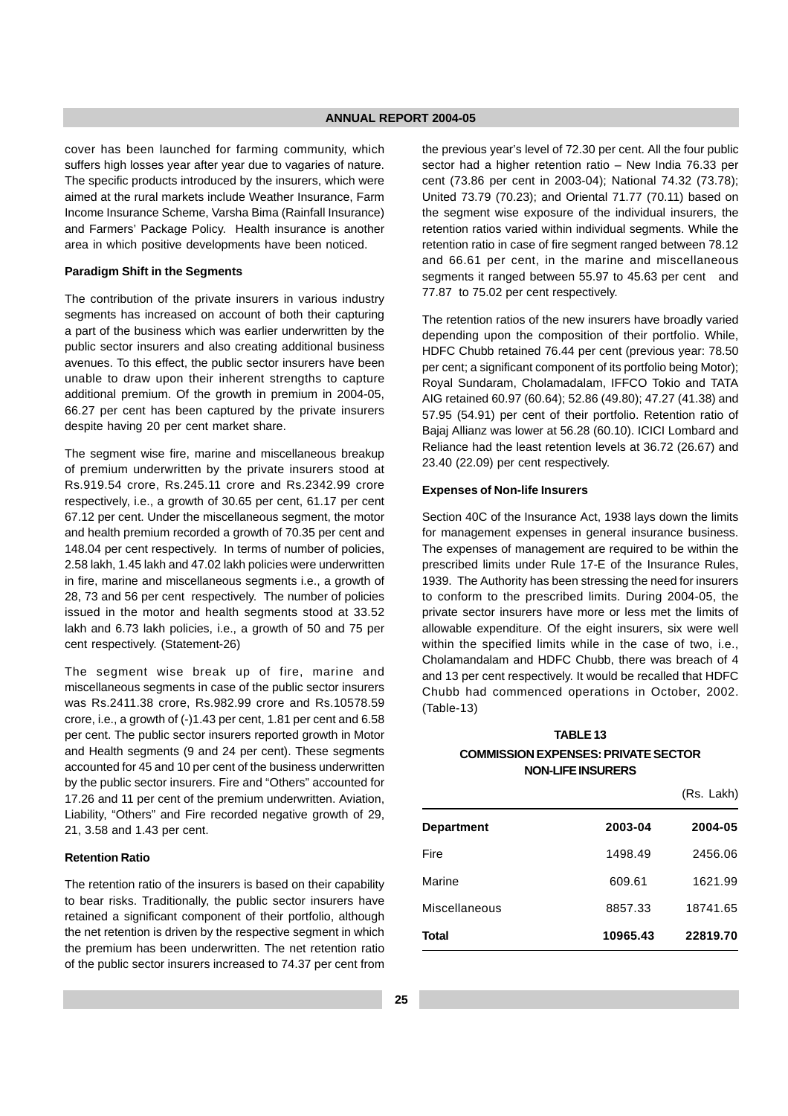cover has been launched for farming community, which suffers high losses year after year due to vagaries of nature. The specific products introduced by the insurers, which were aimed at the rural markets include Weather Insurance, Farm Income Insurance Scheme, Varsha Bima (Rainfall Insurance) and Farmers' Package Policy. Health insurance is another area in which positive developments have been noticed.

#### **Paradigm Shift in the Segments**

The contribution of the private insurers in various industry segments has increased on account of both their capturing a part of the business which was earlier underwritten by the public sector insurers and also creating additional business avenues. To this effect, the public sector insurers have been unable to draw upon their inherent strengths to capture additional premium. Of the growth in premium in 2004-05, 66.27 per cent has been captured by the private insurers despite having 20 per cent market share.

The segment wise fire, marine and miscellaneous breakup of premium underwritten by the private insurers stood at Rs.919.54 crore, Rs.245.11 crore and Rs.2342.99 crore respectively, i.e., a growth of 30.65 per cent, 61.17 per cent 67.12 per cent. Under the miscellaneous segment, the motor and health premium recorded a growth of 70.35 per cent and 148.04 per cent respectively. In terms of number of policies, 2.58 lakh, 1.45 lakh and 47.02 lakh policies were underwritten in fire, marine and miscellaneous segments i.e., a growth of 28, 73 and 56 per cent respectively. The number of policies issued in the motor and health segments stood at 33.52 lakh and 6.73 lakh policies, i.e., a growth of 50 and 75 per cent respectively. (Statement-26)

The segment wise break up of fire, marine and miscellaneous segments in case of the public sector insurers was Rs.2411.38 crore, Rs.982.99 crore and Rs.10578.59 crore, i.e., a growth of (-)1.43 per cent, 1.81 per cent and 6.58 per cent. The public sector insurers reported growth in Motor and Health segments (9 and 24 per cent). These segments accounted for 45 and 10 per cent of the business underwritten by the public sector insurers. Fire and "Others" accounted for 17.26 and 11 per cent of the premium underwritten. Aviation, Liability, "Others" and Fire recorded negative growth of 29, 21, 3.58 and 1.43 per cent.

#### **Retention Ratio**

The retention ratio of the insurers is based on their capability to bear risks. Traditionally, the public sector insurers have retained a significant component of their portfolio, although the net retention is driven by the respective segment in which the premium has been underwritten. The net retention ratio of the public sector insurers increased to 74.37 per cent from the previous year's level of 72.30 per cent. All the four public sector had a higher retention ratio – New India 76.33 per cent (73.86 per cent in 2003-04); National 74.32 (73.78); United 73.79 (70.23); and Oriental 71.77 (70.11) based on the segment wise exposure of the individual insurers, the retention ratios varied within individual segments. While the retention ratio in case of fire segment ranged between 78.12 and 66.61 per cent, in the marine and miscellaneous segments it ranged between 55.97 to 45.63 per cent and 77.87 to 75.02 per cent respectively.

The retention ratios of the new insurers have broadly varied depending upon the composition of their portfolio. While, HDFC Chubb retained 76.44 per cent (previous year: 78.50 per cent; a significant component of its portfolio being Motor); Royal Sundaram, Cholamadalam, IFFCO Tokio and TATA AIG retained 60.97 (60.64); 52.86 (49.80); 47.27 (41.38) and 57.95 (54.91) per cent of their portfolio. Retention ratio of Bajaj Allianz was lower at 56.28 (60.10). ICICI Lombard and Reliance had the least retention levels at 36.72 (26.67) and 23.40 (22.09) per cent respectively.

#### **Expenses of Non-life Insurers**

Section 40C of the Insurance Act, 1938 lays down the limits for management expenses in general insurance business. The expenses of management are required to be within the prescribed limits under Rule 17-E of the Insurance Rules, 1939. The Authority has been stressing the need for insurers to conform to the prescribed limits. During 2004-05, the private sector insurers have more or less met the limits of allowable expenditure. Of the eight insurers, six were well within the specified limits while in the case of two, i.e., Cholamandalam and HDFC Chubb, there was breach of 4 and 13 per cent respectively. It would be recalled that HDFC Chubb had commenced operations in October, 2002. (Table-13)

## **TABLE 13 COMMISSION EXPENSES: PRIVATE SECTOR NON-LIFE INSURERS**

|                   |          | (Rs. Lakh) |
|-------------------|----------|------------|
| <b>Department</b> | 2003-04  | 2004-05    |
| Fire              | 1498.49  | 2456.06    |
| Marine            | 609.61   | 1621.99    |
| Miscellaneous     | 8857.33  | 18741.65   |
| Total             | 10965.43 | 22819.70   |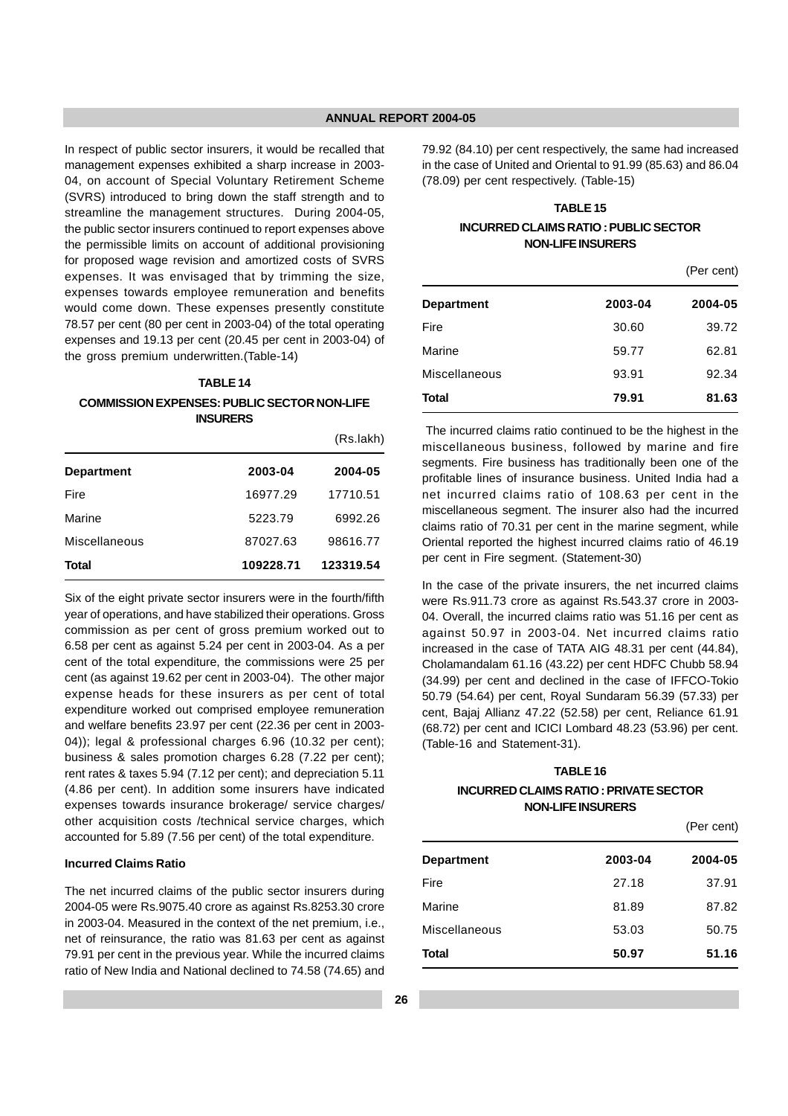In respect of public sector insurers, it would be recalled that management expenses exhibited a sharp increase in 2003- 04, on account of Special Voluntary Retirement Scheme (SVRS) introduced to bring down the staff strength and to streamline the management structures. During 2004-05, the public sector insurers continued to report expenses above the permissible limits on account of additional provisioning for proposed wage revision and amortized costs of SVRS expenses. It was envisaged that by trimming the size, expenses towards employee remuneration and benefits would come down. These expenses presently constitute 78.57 per cent (80 per cent in 2003-04) of the total operating expenses and 19.13 per cent (20.45 per cent in 2003-04) of the gross premium underwritten.(Table-14)

#### **TABLE 14**

#### **COMMISSION EXPENSES: PUBLIC SECTOR NON-LIFE INSURERS**

|                   |           | (Rs.lakh) |
|-------------------|-----------|-----------|
| <b>Department</b> | 2003-04   | 2004-05   |
| Fire              | 16977.29  | 17710.51  |
| Marine            | 5223.79   | 6992.26   |
| Miscellaneous     | 87027.63  | 98616.77  |
| Total             | 109228.71 | 123319.54 |

Six of the eight private sector insurers were in the fourth/fifth year of operations, and have stabilized their operations. Gross commission as per cent of gross premium worked out to 6.58 per cent as against 5.24 per cent in 2003-04. As a per cent of the total expenditure, the commissions were 25 per cent (as against 19.62 per cent in 2003-04). The other major expense heads for these insurers as per cent of total expenditure worked out comprised employee remuneration and welfare benefits 23.97 per cent (22.36 per cent in 2003- 04)); legal & professional charges 6.96 (10.32 per cent); business & sales promotion charges 6.28 (7.22 per cent); rent rates & taxes 5.94 (7.12 per cent); and depreciation 5.11 (4.86 per cent). In addition some insurers have indicated expenses towards insurance brokerage/ service charges/ other acquisition costs /technical service charges, which accounted for 5.89 (7.56 per cent) of the total expenditure.

#### **Incurred Claims Ratio**

The net incurred claims of the public sector insurers during 2004-05 were Rs.9075.40 crore as against Rs.8253.30 crore in 2003-04. Measured in the context of the net premium, i.e., net of reinsurance, the ratio was 81.63 per cent as against 79.91 per cent in the previous year. While the incurred claims ratio of New India and National declined to 74.58 (74.65) and 79.92 (84.10) per cent respectively, the same had increased in the case of United and Oriental to 91.99 (85.63) and 86.04 (78.09) per cent respectively. (Table-15)

## **TABLE 15 INCURRED CLAIMS RATIO : PUBLIC SECTOR NON-LIFE INSURERS**

|               | (Per cent) |         |
|---------------|------------|---------|
| Department    | 2003-04    | 2004-05 |
| Fire          | 30.60      | 39.72   |
| Marine        | 59.77      | 62.81   |
| Miscellaneous | 93.91      | 92.34   |
| Total         | 79.91      | 81.63   |

 The incurred claims ratio continued to be the highest in the miscellaneous business, followed by marine and fire segments. Fire business has traditionally been one of the profitable lines of insurance business. United India had a net incurred claims ratio of 108.63 per cent in the miscellaneous segment. The insurer also had the incurred claims ratio of 70.31 per cent in the marine segment, while Oriental reported the highest incurred claims ratio of 46.19 per cent in Fire segment. (Statement-30)

In the case of the private insurers, the net incurred claims were Rs.911.73 crore as against Rs.543.37 crore in 2003- 04. Overall, the incurred claims ratio was 51.16 per cent as against 50.97 in 2003-04. Net incurred claims ratio increased in the case of TATA AIG 48.31 per cent (44.84), Cholamandalam 61.16 (43.22) per cent HDFC Chubb 58.94 (34.99) per cent and declined in the case of IFFCO-Tokio 50.79 (54.64) per cent, Royal Sundaram 56.39 (57.33) per cent, Bajaj Allianz 47.22 (52.58) per cent, Reliance 61.91 (68.72) per cent and ICICI Lombard 48.23 (53.96) per cent. (Table-16 and Statement-31).

## **TABLE 16 INCURRED CLAIMS RATIO : PRIVATE SECTOR NON-LIFE INSURERS**

|                   | (Per cent) |         |
|-------------------|------------|---------|
| <b>Department</b> | 2003-04    | 2004-05 |
| Fire              | 27.18      | 37.91   |
| Marine            | 81.89      | 87.82   |
| Miscellaneous     | 53.03      | 50.75   |
| <b>Total</b>      | 50.97      | 51.16   |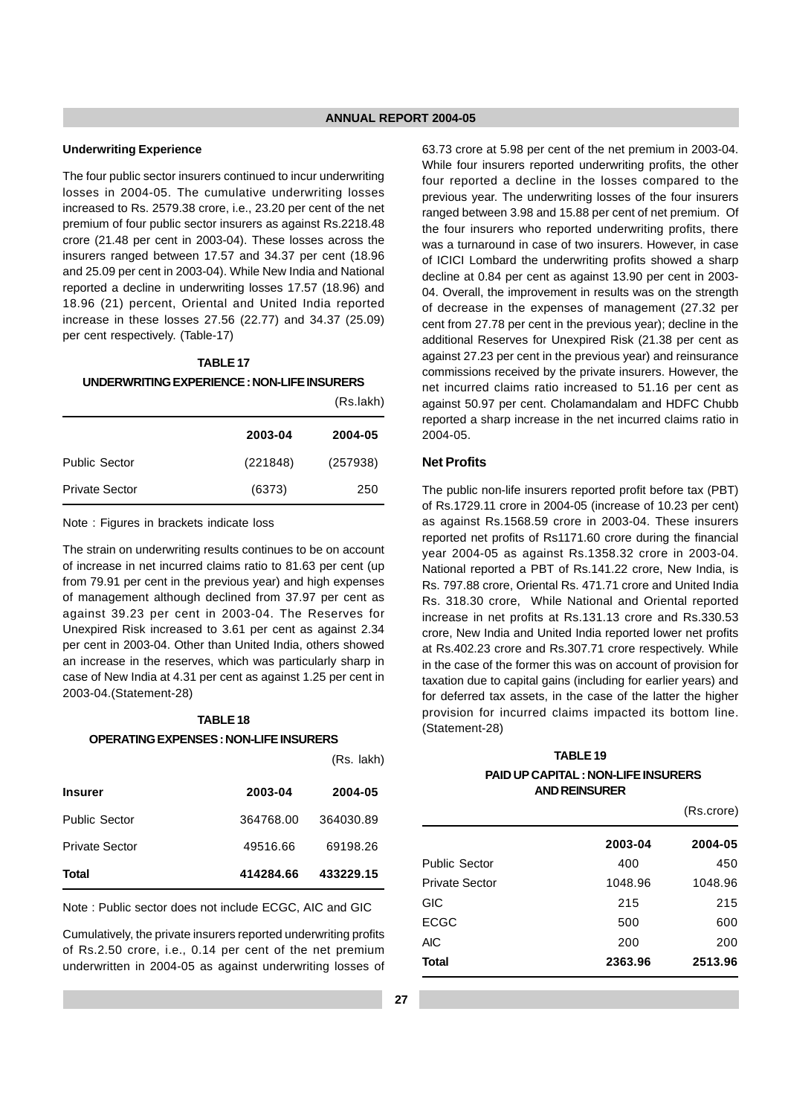#### **Underwriting Experience**

The four public sector insurers continued to incur underwriting losses in 2004-05. The cumulative underwriting losses increased to Rs. 2579.38 crore, i.e., 23.20 per cent of the net premium of four public sector insurers as against Rs.2218.48 crore (21.48 per cent in 2003-04). These losses across the insurers ranged between 17.57 and 34.37 per cent (18.96 and 25.09 per cent in 2003-04). While New India and National reported a decline in underwriting losses 17.57 (18.96) and 18.96 (21) percent, Oriental and United India reported increase in these losses 27.56 (22.77) and 34.37 (25.09) per cent respectively. (Table-17)

## **TABLE 17**

#### **UNDERWRITING EXPERIENCE : NON-LIFE INSURERS**

|                       |          | (Rs.lakh) |
|-----------------------|----------|-----------|
|                       | 2003-04  | 2004-05   |
| <b>Public Sector</b>  | (221848) | (257938)  |
| <b>Private Sector</b> | (6373)   | 250       |

Note : Figures in brackets indicate loss

The strain on underwriting results continues to be on account of increase in net incurred claims ratio to 81.63 per cent (up from 79.91 per cent in the previous year) and high expenses of management although declined from 37.97 per cent as against 39.23 per cent in 2003-04. The Reserves for Unexpired Risk increased to 3.61 per cent as against 2.34 per cent in 2003-04. Other than United India, others showed an increase in the reserves, which was particularly sharp in case of New India at 4.31 per cent as against 1.25 per cent in 2003-04.(Statement-28)

## **TABLE 18 OPERATING EXPENSES : NON-LIFE INSURERS**

| <b>Insurer</b>        | 2003-04   | 2004-05   |  |
|-----------------------|-----------|-----------|--|
| <b>Public Sector</b>  | 364768.00 | 364030.89 |  |
| <b>Private Sector</b> | 49516.66  | 69198.26  |  |
| <b>Total</b>          | 414284.66 | 433229.15 |  |

Note : Public sector does not include ECGC, AIC and GIC

Cumulatively, the private insurers reported underwriting profits of Rs.2.50 crore, i.e., 0.14 per cent of the net premium underwritten in 2004-05 as against underwriting losses of

63.73 crore at 5.98 per cent of the net premium in 2003-04. While four insurers reported underwriting profits, the other four reported a decline in the losses compared to the previous year. The underwriting losses of the four insurers ranged between 3.98 and 15.88 per cent of net premium. Of the four insurers who reported underwriting profits, there was a turnaround in case of two insurers. However, in case of ICICI Lombard the underwriting profits showed a sharp decline at 0.84 per cent as against 13.90 per cent in 2003- 04. Overall, the improvement in results was on the strength of decrease in the expenses of management (27.32 per cent from 27.78 per cent in the previous year); decline in the additional Reserves for Unexpired Risk (21.38 per cent as against 27.23 per cent in the previous year) and reinsurance commissions received by the private insurers. However, the net incurred claims ratio increased to 51.16 per cent as against 50.97 per cent. Cholamandalam and HDFC Chubb reported a sharp increase in the net incurred claims ratio in 2004-05.

#### **Net Profits**

The public non-life insurers reported profit before tax (PBT) of Rs.1729.11 crore in 2004-05 (increase of 10.23 per cent) as against Rs.1568.59 crore in 2003-04. These insurers reported net profits of Rs1171.60 crore during the financial year 2004-05 as against Rs.1358.32 crore in 2003-04. National reported a PBT of Rs.141.22 crore, New India, is Rs. 797.88 crore, Oriental Rs. 471.71 crore and United India Rs. 318.30 crore, While National and Oriental reported increase in net profits at Rs.131.13 crore and Rs.330.53 crore, New India and United India reported lower net profits at Rs.402.23 crore and Rs.307.71 crore respectively. While in the case of the former this was on account of provision for taxation due to capital gains (including for earlier years) and for deferred tax assets, in the case of the latter the higher provision for incurred claims impacted its bottom line. (Statement-28)

## **TABLE 19 PAID UP CAPITAL : NON-LIFE INSURERS AND REINSURER**

 $(D_0 \text{arctan})$ 

|                       | 1.0.0.01 |         |
|-----------------------|----------|---------|
|                       | 2003-04  | 2004-05 |
| <b>Public Sector</b>  | 400      | 450     |
| <b>Private Sector</b> | 1048.96  | 1048.96 |
| GIC                   | 215      | 215     |
| <b>ECGC</b>           | 500      | 600     |
| <b>AIC</b>            | 200      | 200     |
| <b>Total</b>          | 2363.96  | 2513.96 |

(Rs. lakh)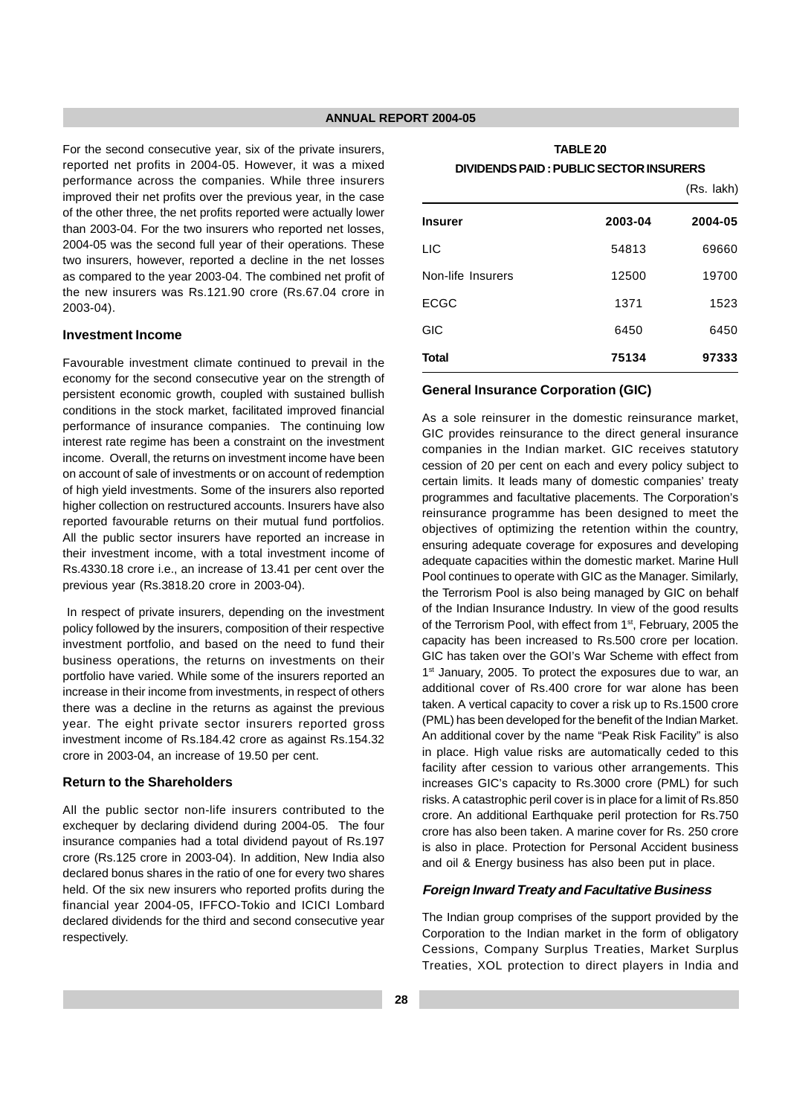For the second consecutive year, six of the private insurers, reported net profits in 2004-05. However, it was a mixed performance across the companies. While three insurers improved their net profits over the previous year, in the case of the other three, the net profits reported were actually lower than 2003-04. For the two insurers who reported net losses, 2004-05 was the second full year of their operations. These two insurers, however, reported a decline in the net losses as compared to the year 2003-04. The combined net profit of the new insurers was Rs.121.90 crore (Rs.67.04 crore in 2003-04).

## **Investment Income**

Favourable investment climate continued to prevail in the economy for the second consecutive year on the strength of persistent economic growth, coupled with sustained bullish conditions in the stock market, facilitated improved financial performance of insurance companies. The continuing low interest rate regime has been a constraint on the investment income. Overall, the returns on investment income have been on account of sale of investments or on account of redemption of high yield investments. Some of the insurers also reported higher collection on restructured accounts. Insurers have also reported favourable returns on their mutual fund portfolios. All the public sector insurers have reported an increase in their investment income, with a total investment income of Rs.4330.18 crore i.e., an increase of 13.41 per cent over the previous year (Rs.3818.20 crore in 2003-04).

 In respect of private insurers, depending on the investment policy followed by the insurers, composition of their respective investment portfolio, and based on the need to fund their business operations, the returns on investments on their portfolio have varied. While some of the insurers reported an increase in their income from investments, in respect of others there was a decline in the returns as against the previous year. The eight private sector insurers reported gross investment income of Rs.184.42 crore as against Rs.154.32 crore in 2003-04, an increase of 19.50 per cent.

## **Return to the Shareholders**

All the public sector non-life insurers contributed to the exchequer by declaring dividend during 2004-05. The four insurance companies had a total dividend payout of Rs.197 crore (Rs.125 crore in 2003-04). In addition, New India also declared bonus shares in the ratio of one for every two shares held. Of the six new insurers who reported profits during the financial year 2004-05, IFFCO-Tokio and ICICI Lombard declared dividends for the third and second consecutive year respectively.

| <b>TABLE 20</b>                         |
|-----------------------------------------|
| DIVIDENDS PAID : PUBLIC SECTOR INSURERS |

|                   |         | (Rs. lakh) |
|-------------------|---------|------------|
| <b>Insurer</b>    | 2003-04 | 2004-05    |
| <b>LIC</b>        | 54813   | 69660      |
| Non-life Insurers | 12500   | 19700      |
| <b>ECGC</b>       | 1371    | 1523       |
| <b>GIC</b>        | 6450    | 6450       |
| <b>Total</b>      | 75134   | 97333      |

#### **General Insurance Corporation (GIC)**

As a sole reinsurer in the domestic reinsurance market, GIC provides reinsurance to the direct general insurance companies in the Indian market. GIC receives statutory cession of 20 per cent on each and every policy subject to certain limits. It leads many of domestic companies' treaty programmes and facultative placements. The Corporation's reinsurance programme has been designed to meet the objectives of optimizing the retention within the country, ensuring adequate coverage for exposures and developing adequate capacities within the domestic market. Marine Hull Pool continues to operate with GIC as the Manager. Similarly, the Terrorism Pool is also being managed by GIC on behalf of the Indian Insurance Industry. In view of the good results of the Terrorism Pool, with effect from 1<sup>st</sup>, February, 2005 the capacity has been increased to Rs.500 crore per location. GIC has taken over the GOI's War Scheme with effect from 1<sup>st</sup> January, 2005. To protect the exposures due to war, an additional cover of Rs.400 crore for war alone has been taken. A vertical capacity to cover a risk up to Rs.1500 crore (PML) has been developed for the benefit of the Indian Market. An additional cover by the name "Peak Risk Facility" is also in place. High value risks are automatically ceded to this facility after cession to various other arrangements. This increases GIC's capacity to Rs.3000 crore (PML) for such risks. A catastrophic peril cover is in place for a limit of Rs.850 crore. An additional Earthquake peril protection for Rs.750 crore has also been taken. A marine cover for Rs. 250 crore is also in place. Protection for Personal Accident business and oil & Energy business has also been put in place.

## **Foreign Inward Treaty and Facultative Business**

The Indian group comprises of the support provided by the Corporation to the Indian market in the form of obligatory Cessions, Company Surplus Treaties, Market Surplus Treaties, XOL protection to direct players in India and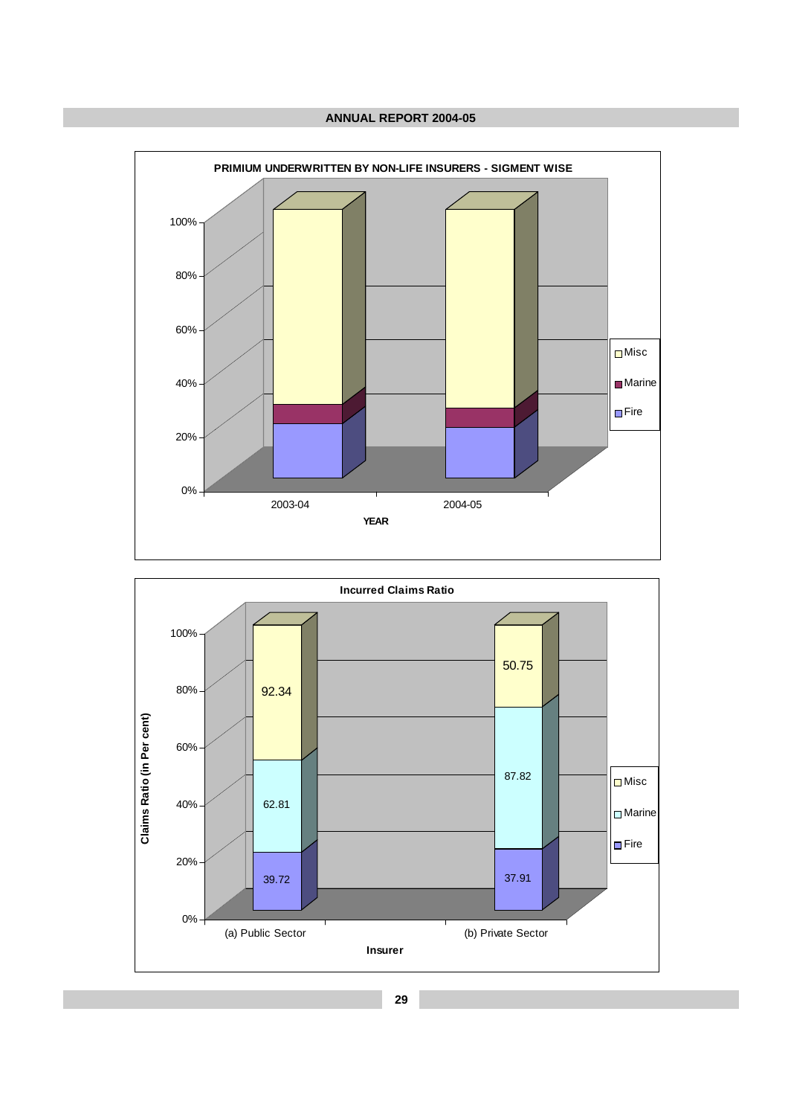



**29**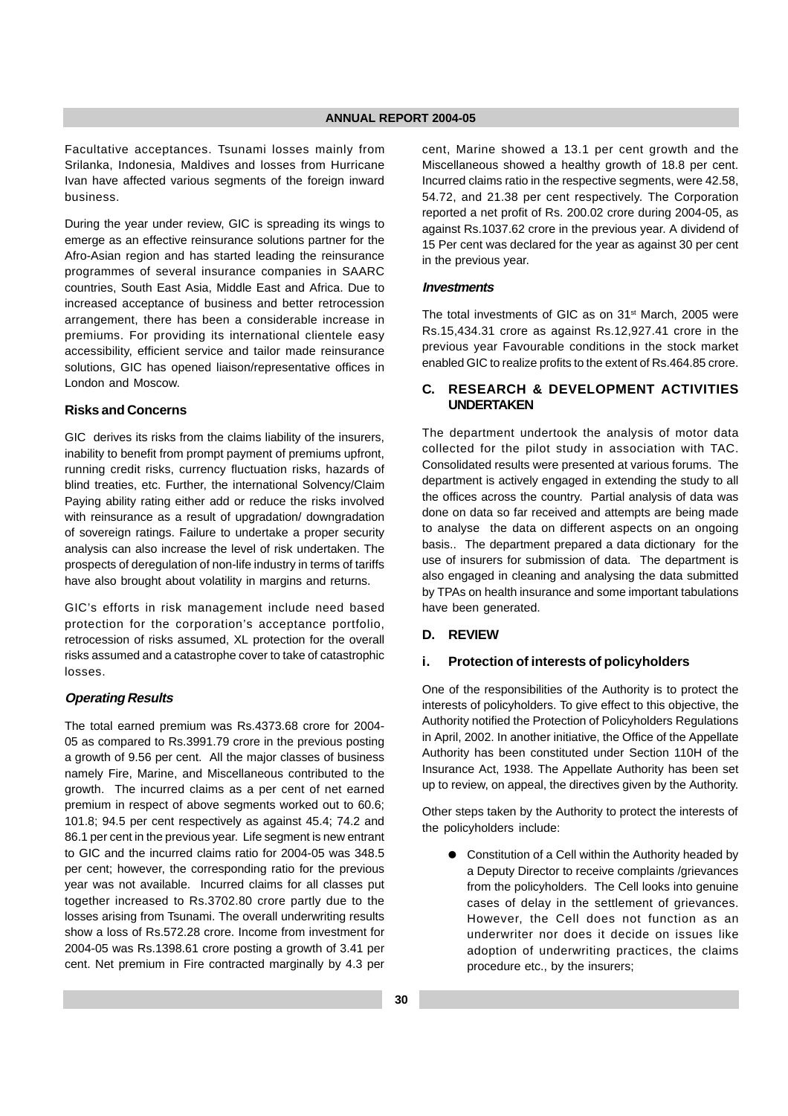Facultative acceptances. Tsunami losses mainly from Srilanka, Indonesia, Maldives and losses from Hurricane Ivan have affected various segments of the foreign inward business.

During the year under review, GIC is spreading its wings to emerge as an effective reinsurance solutions partner for the Afro-Asian region and has started leading the reinsurance programmes of several insurance companies in SAARC countries, South East Asia, Middle East and Africa. Due to increased acceptance of business and better retrocession arrangement, there has been a considerable increase in premiums. For providing its international clientele easy accessibility, efficient service and tailor made reinsurance solutions, GIC has opened liaison/representative offices in London and Moscow.

## **Risks and Concerns**

GIC derives its risks from the claims liability of the insurers, inability to benefit from prompt payment of premiums upfront, running credit risks, currency fluctuation risks, hazards of blind treaties, etc. Further, the international Solvency/Claim Paying ability rating either add or reduce the risks involved with reinsurance as a result of upgradation/ downgradation of sovereign ratings. Failure to undertake a proper security analysis can also increase the level of risk undertaken. The prospects of deregulation of non-life industry in terms of tariffs have also brought about volatility in margins and returns.

GIC's efforts in risk management include need based protection for the corporation's acceptance portfolio, retrocession of risks assumed, XL protection for the overall risks assumed and a catastrophe cover to take of catastrophic losses.

#### **Operating Results**

The total earned premium was Rs.4373.68 crore for 2004- 05 as compared to Rs.3991.79 crore in the previous posting a growth of 9.56 per cent. All the major classes of business namely Fire, Marine, and Miscellaneous contributed to the growth. The incurred claims as a per cent of net earned premium in respect of above segments worked out to 60.6; 101.8; 94.5 per cent respectively as against 45.4; 74.2 and 86.1 per cent in the previous year. Life segment is new entrant to GIC and the incurred claims ratio for 2004-05 was 348.5 per cent; however, the corresponding ratio for the previous year was not available. Incurred claims for all classes put together increased to Rs.3702.80 crore partly due to the losses arising from Tsunami. The overall underwriting results show a loss of Rs.572.28 crore. Income from investment for 2004-05 was Rs.1398.61 crore posting a growth of 3.41 per cent. Net premium in Fire contracted marginally by 4.3 per

cent, Marine showed a 13.1 per cent growth and the Miscellaneous showed a healthy growth of 18.8 per cent. Incurred claims ratio in the respective segments, were 42.58, 54.72, and 21.38 per cent respectively. The Corporation reported a net profit of Rs. 200.02 crore during 2004-05, as against Rs.1037.62 crore in the previous year. A dividend of 15 Per cent was declared for the year as against 30 per cent in the previous year.

#### **Investments**

The total investments of GIC as on 31<sup>st</sup> March, 2005 were Rs.15,434.31 crore as against Rs.12,927.41 crore in the previous year Favourable conditions in the stock market enabled GIC to realize profits to the extent of Rs.464.85 crore.

## **C. RESEARCH & DEVELOPMENT ACTIVITIES UNDERTAKEN**

The department undertook the analysis of motor data collected for the pilot study in association with TAC. Consolidated results were presented at various forums. The department is actively engaged in extending the study to all the offices across the country. Partial analysis of data was done on data so far received and attempts are being made to analyse the data on different aspects on an ongoing basis.. The department prepared a data dictionary for the use of insurers for submission of data. The department is also engaged in cleaning and analysing the data submitted by TPAs on health insurance and some important tabulations have been generated.

## **D. REVIEW**

## **i. Protection of interests of policyholders**

One of the responsibilities of the Authority is to protect the interests of policyholders. To give effect to this objective, the Authority notified the Protection of Policyholders Regulations in April, 2002. In another initiative, the Office of the Appellate Authority has been constituted under Section 110H of the Insurance Act, 1938. The Appellate Authority has been set up to review, on appeal, the directives given by the Authority.

Other steps taken by the Authority to protect the interests of the policyholders include:

● Constitution of a Cell within the Authority headed by a Deputy Director to receive complaints /grievances from the policyholders. The Cell looks into genuine cases of delay in the settlement of grievances. However, the Cell does not function as an underwriter nor does it decide on issues like adoption of underwriting practices, the claims procedure etc., by the insurers;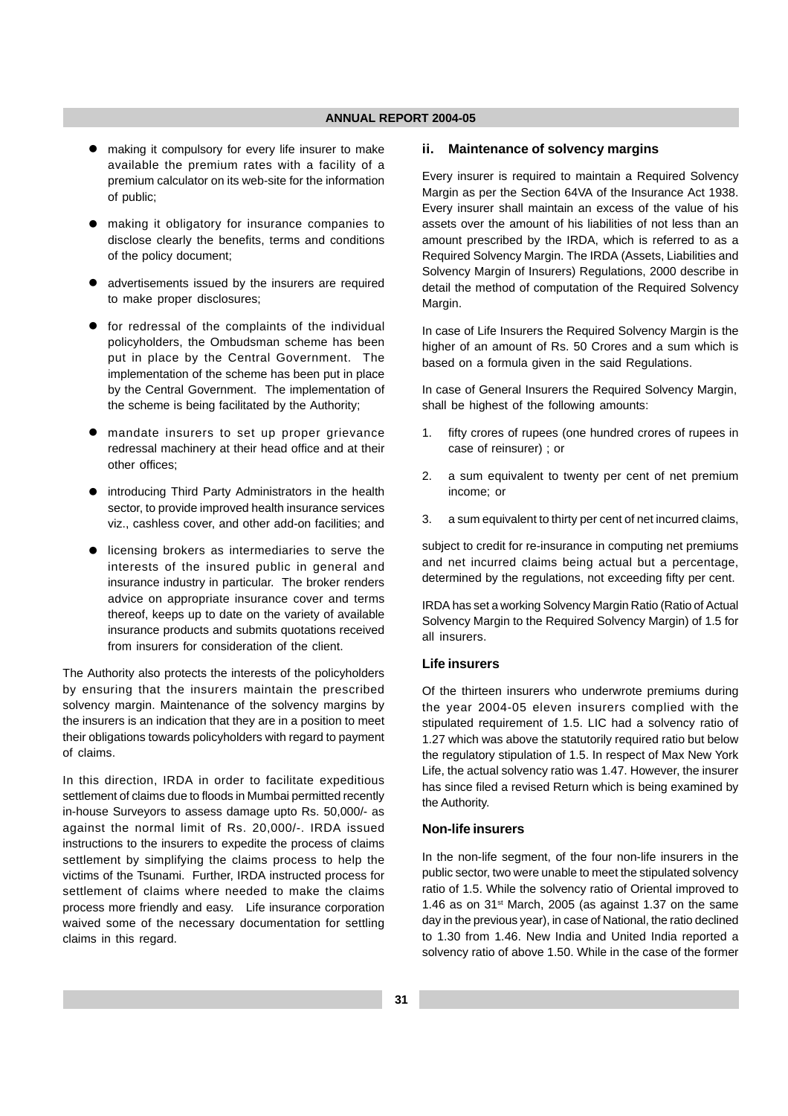- making it compulsory for every life insurer to make available the premium rates with a facility of a premium calculator on its web-site for the information of public;
- making it obligatory for insurance companies to disclose clearly the benefits, terms and conditions of the policy document;
- advertisements issued by the insurers are required to make proper disclosures;
- **•** for redressal of the complaints of the individual policyholders, the Ombudsman scheme has been put in place by the Central Government. The implementation of the scheme has been put in place by the Central Government. The implementation of the scheme is being facilitated by the Authority;
- mandate insurers to set up proper grievance redressal machinery at their head office and at their other offices;
- **•** introducing Third Party Administrators in the health sector, to provide improved health insurance services viz., cashless cover, and other add-on facilities; and
- **•** licensing brokers as intermediaries to serve the interests of the insured public in general and insurance industry in particular. The broker renders advice on appropriate insurance cover and terms thereof, keeps up to date on the variety of available insurance products and submits quotations received from insurers for consideration of the client.

The Authority also protects the interests of the policyholders by ensuring that the insurers maintain the prescribed solvency margin. Maintenance of the solvency margins by the insurers is an indication that they are in a position to meet their obligations towards policyholders with regard to payment of claims.

In this direction, IRDA in order to facilitate expeditious settlement of claims due to floods in Mumbai permitted recently in-house Surveyors to assess damage upto Rs. 50,000/- as against the normal limit of Rs. 20,000/-. IRDA issued instructions to the insurers to expedite the process of claims settlement by simplifying the claims process to help the victims of the Tsunami. Further, IRDA instructed process for settlement of claims where needed to make the claims process more friendly and easy. Life insurance corporation waived some of the necessary documentation for settling claims in this regard.

#### **ii. Maintenance of solvency margins**

Every insurer is required to maintain a Required Solvency Margin as per the Section 64VA of the Insurance Act 1938. Every insurer shall maintain an excess of the value of his assets over the amount of his liabilities of not less than an amount prescribed by the IRDA, which is referred to as a Required Solvency Margin. The IRDA (Assets, Liabilities and Solvency Margin of Insurers) Regulations, 2000 describe in detail the method of computation of the Required Solvency Margin.

In case of Life Insurers the Required Solvency Margin is the higher of an amount of Rs. 50 Crores and a sum which is based on a formula given in the said Regulations.

In case of General Insurers the Required Solvency Margin, shall be highest of the following amounts:

- 1. fifty crores of rupees (one hundred crores of rupees in case of reinsurer) ; or
- 2. a sum equivalent to twenty per cent of net premium income; or
- 3. a sum equivalent to thirty per cent of net incurred claims,

subject to credit for re-insurance in computing net premiums and net incurred claims being actual but a percentage, determined by the regulations, not exceeding fifty per cent.

IRDA has set a working Solvency Margin Ratio (Ratio of Actual Solvency Margin to the Required Solvency Margin) of 1.5 for all insurers.

## **Life insurers**

Of the thirteen insurers who underwrote premiums during the year 2004-05 eleven insurers complied with the stipulated requirement of 1.5. LIC had a solvency ratio of 1.27 which was above the statutorily required ratio but below the regulatory stipulation of 1.5. In respect of Max New York Life, the actual solvency ratio was 1.47. However, the insurer has since filed a revised Return which is being examined by the Authority.

#### **Non-life insurers**

In the non-life segment, of the four non-life insurers in the public sector, two were unable to meet the stipulated solvency ratio of 1.5. While the solvency ratio of Oriental improved to 1.46 as on  $31<sup>st</sup>$  March, 2005 (as against 1.37 on the same day in the previous year), in case of National, the ratio declined to 1.30 from 1.46. New India and United India reported a solvency ratio of above 1.50. While in the case of the former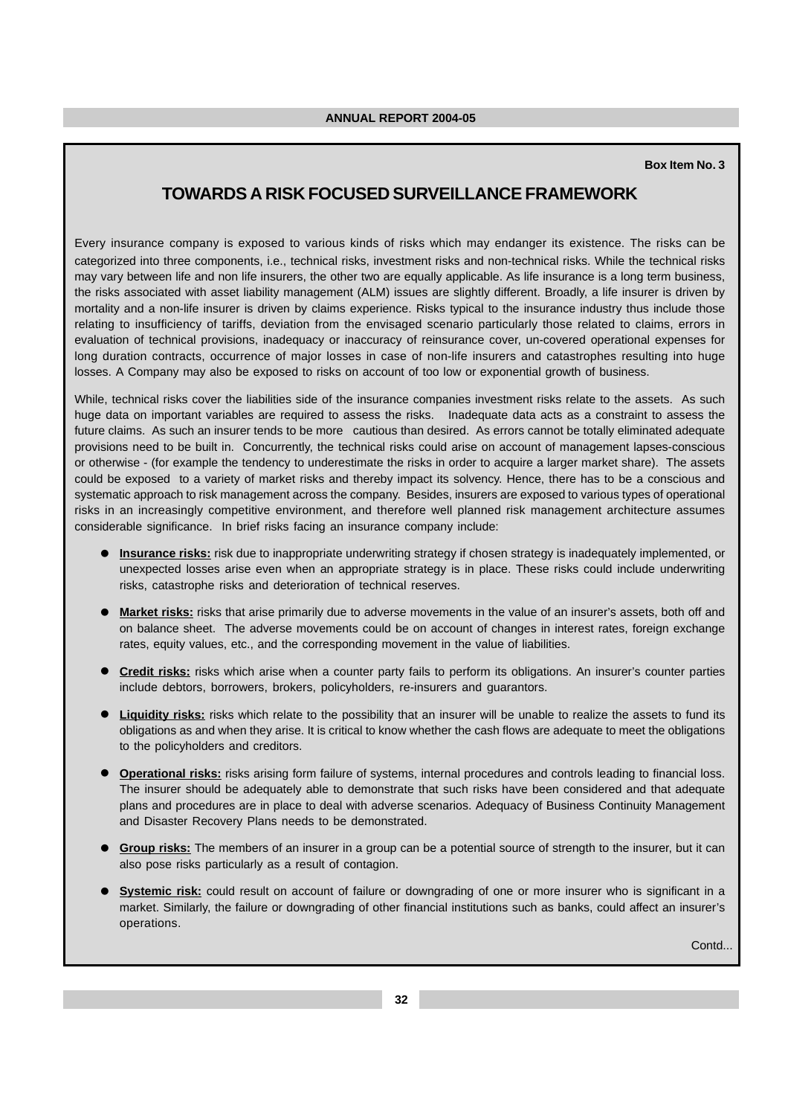## **Box Item No. 3**

# **TOWARDS A RISK FOCUSED SURVEILLANCE FRAMEWORK**

Every insurance company is exposed to various kinds of risks which may endanger its existence. The risks can be categorized into three components, i.e., technical risks, investment risks and non-technical risks. While the technical risks may vary between life and non life insurers, the other two are equally applicable. As life insurance is a long term business, the risks associated with asset liability management (ALM) issues are slightly different. Broadly, a life insurer is driven by mortality and a non-life insurer is driven by claims experience. Risks typical to the insurance industry thus include those relating to insufficiency of tariffs, deviation from the envisaged scenario particularly those related to claims, errors in evaluation of technical provisions, inadequacy or inaccuracy of reinsurance cover, un-covered operational expenses for long duration contracts, occurrence of major losses in case of non-life insurers and catastrophes resulting into huge losses. A Company may also be exposed to risks on account of too low or exponential growth of business.

While, technical risks cover the liabilities side of the insurance companies investment risks relate to the assets. As such huge data on important variables are required to assess the risks. Inadequate data acts as a constraint to assess the future claims. As such an insurer tends to be more cautious than desired. As errors cannot be totally eliminated adequate provisions need to be built in. Concurrently, the technical risks could arise on account of management lapses-conscious or otherwise - (for example the tendency to underestimate the risks in order to acquire a larger market share). The assets could be exposed to a variety of market risks and thereby impact its solvency. Hence, there has to be a conscious and systematic approach to risk management across the company. Besides, insurers are exposed to various types of operational risks in an increasingly competitive environment, and therefore well planned risk management architecture assumes considerable significance. In brief risks facing an insurance company include:

- **Insurance risks:** risk due to inappropriate underwriting strategy if chosen strategy is inadequately implemented, or unexpected losses arise even when an appropriate strategy is in place. These risks could include underwriting risks, catastrophe risks and deterioration of technical reserves.
- **Market risks:** risks that arise primarily due to adverse movements in the value of an insurer's assets, both off and on balance sheet. The adverse movements could be on account of changes in interest rates, foreign exchange rates, equity values, etc., and the corresponding movement in the value of liabilities.
- **Credit risks:** risks which arise when a counter party fails to perform its obligations. An insurer's counter parties include debtors, borrowers, brokers, policyholders, re-insurers and guarantors.
- **Liquidity risks:** risks which relate to the possibility that an insurer will be unable to realize the assets to fund its obligations as and when they arise. It is critical to know whether the cash flows are adequate to meet the obligations to the policyholders and creditors.
- **Operational risks:** risks arising form failure of systems, internal procedures and controls leading to financial loss. The insurer should be adequately able to demonstrate that such risks have been considered and that adequate plans and procedures are in place to deal with adverse scenarios. Adequacy of Business Continuity Management and Disaster Recovery Plans needs to be demonstrated.
- **Group risks:** The members of an insurer in a group can be a potential source of strength to the insurer, but it can also pose risks particularly as a result of contagion.
- **Systemic risk:** could result on account of failure or downgrading of one or more insurer who is significant in a market. Similarly, the failure or downgrading of other financial institutions such as banks, could affect an insurer's operations.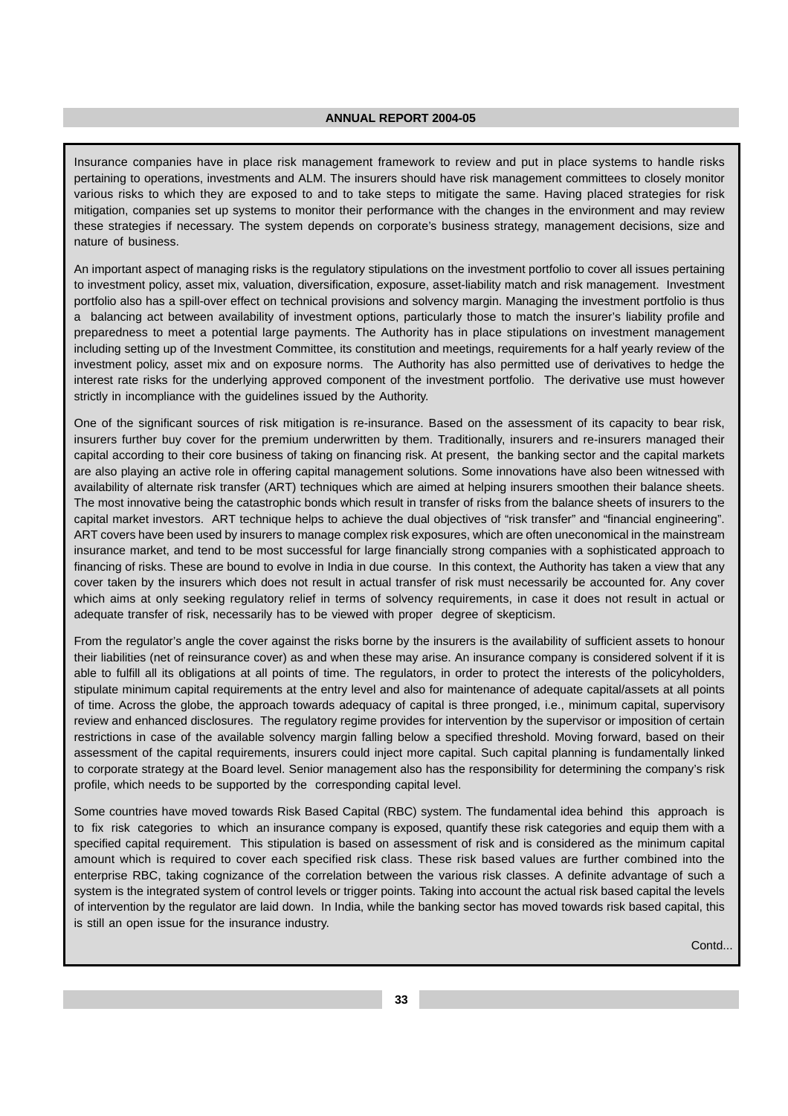Insurance companies have in place risk management framework to review and put in place systems to handle risks pertaining to operations, investments and ALM. The insurers should have risk management committees to closely monitor various risks to which they are exposed to and to take steps to mitigate the same. Having placed strategies for risk mitigation, companies set up systems to monitor their performance with the changes in the environment and may review these strategies if necessary. The system depends on corporate's business strategy, management decisions, size and nature of business.

An important aspect of managing risks is the regulatory stipulations on the investment portfolio to cover all issues pertaining to investment policy, asset mix, valuation, diversification, exposure, asset-liability match and risk management. Investment portfolio also has a spill-over effect on technical provisions and solvency margin. Managing the investment portfolio is thus a balancing act between availability of investment options, particularly those to match the insurer's liability profile and preparedness to meet a potential large payments. The Authority has in place stipulations on investment management including setting up of the Investment Committee, its constitution and meetings, requirements for a half yearly review of the investment policy, asset mix and on exposure norms. The Authority has also permitted use of derivatives to hedge the interest rate risks for the underlying approved component of the investment portfolio. The derivative use must however strictly in incompliance with the guidelines issued by the Authority.

One of the significant sources of risk mitigation is re-insurance. Based on the assessment of its capacity to bear risk, insurers further buy cover for the premium underwritten by them. Traditionally, insurers and re-insurers managed their capital according to their core business of taking on financing risk. At present, the banking sector and the capital markets are also playing an active role in offering capital management solutions. Some innovations have also been witnessed with availability of alternate risk transfer (ART) techniques which are aimed at helping insurers smoothen their balance sheets. The most innovative being the catastrophic bonds which result in transfer of risks from the balance sheets of insurers to the capital market investors. ART technique helps to achieve the dual objectives of "risk transfer" and "financial engineering". ART covers have been used by insurers to manage complex risk exposures, which are often uneconomical in the mainstream insurance market, and tend to be most successful for large financially strong companies with a sophisticated approach to financing of risks. These are bound to evolve in India in due course. In this context, the Authority has taken a view that any cover taken by the insurers which does not result in actual transfer of risk must necessarily be accounted for. Any cover which aims at only seeking regulatory relief in terms of solvency requirements, in case it does not result in actual or adequate transfer of risk, necessarily has to be viewed with proper degree of skepticism.

From the regulator's angle the cover against the risks borne by the insurers is the availability of sufficient assets to honour their liabilities (net of reinsurance cover) as and when these may arise. An insurance company is considered solvent if it is able to fulfill all its obligations at all points of time. The regulators, in order to protect the interests of the policyholders, stipulate minimum capital requirements at the entry level and also for maintenance of adequate capital/assets at all points of time. Across the globe, the approach towards adequacy of capital is three pronged, i.e., minimum capital, supervisory review and enhanced disclosures. The regulatory regime provides for intervention by the supervisor or imposition of certain restrictions in case of the available solvency margin falling below a specified threshold. Moving forward, based on their assessment of the capital requirements, insurers could inject more capital. Such capital planning is fundamentally linked to corporate strategy at the Board level. Senior management also has the responsibility for determining the company's risk profile, which needs to be supported by the corresponding capital level.

Some countries have moved towards Risk Based Capital (RBC) system. The fundamental idea behind this approach is to fix risk categories to which an insurance company is exposed, quantify these risk categories and equip them with a specified capital requirement. This stipulation is based on assessment of risk and is considered as the minimum capital amount which is required to cover each specified risk class. These risk based values are further combined into the enterprise RBC, taking cognizance of the correlation between the various risk classes. A definite advantage of such a system is the integrated system of control levels or trigger points. Taking into account the actual risk based capital the levels of intervention by the regulator are laid down. In India, while the banking sector has moved towards risk based capital, this is still an open issue for the insurance industry.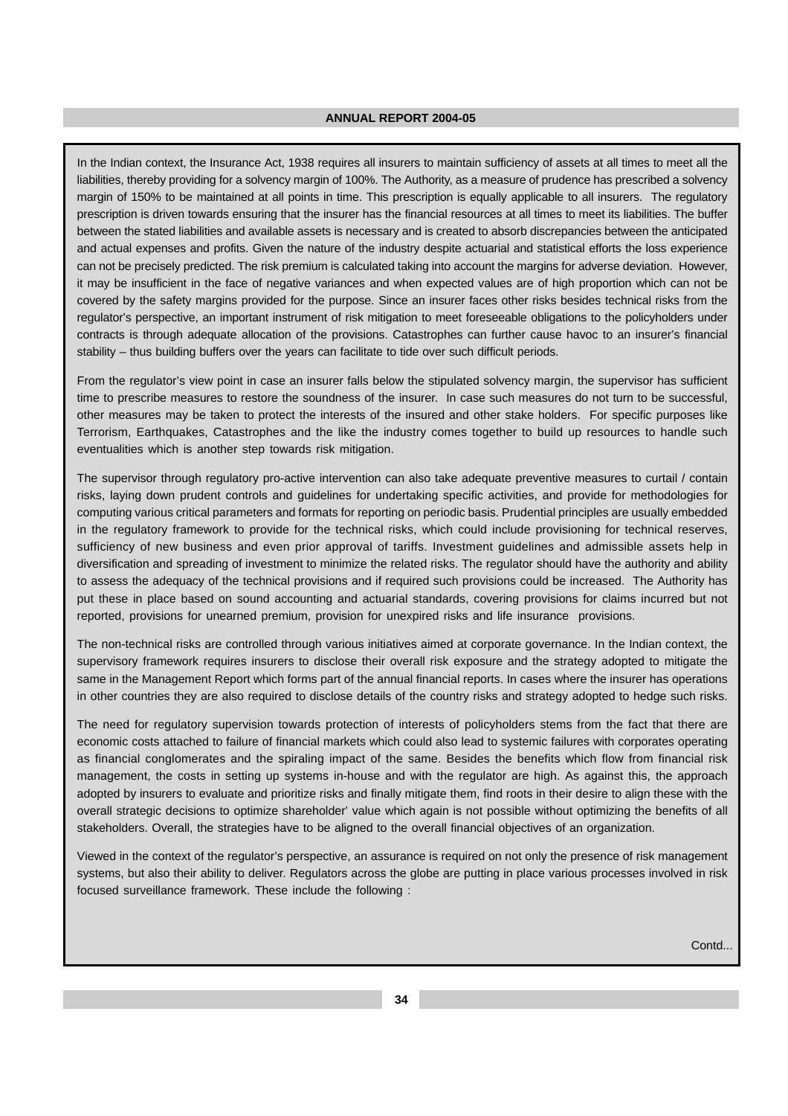In the Indian context, the Insurance Act, 1938 requires all insurers to maintain sufficiency of assets at all times to meet all the liabilities, thereby providing for a solvency margin of 100%. The Authority, as a measure of prudence has prescribed a solvency margin of 150% to be maintained at all points in time. This prescription is equally applicable to all insurers. The regulatory prescription is driven towards ensuring that the insurer has the financial resources at all times to meet its liabilities. The buffer between the stated liabilities and available assets is necessary and is created to absorb discrepancies between the anticipated and actual expenses and profits. Given the nature of the industry despite actuarial and statistical efforts the loss experience can not be precisely predicted. The risk premium is calculated taking into account the margins for adverse deviation. However, it may be insufficient in the face of negative variances and when expected values are of high proportion which can not be covered by the safety margins provided for the purpose. Since an insurer faces other risks besides technical risks from the regulator's perspective, an important instrument of risk mitigation to meet foreseeable obligations to the policyholders under contracts is through adequate allocation of the provisions. Catastrophes can further cause havoc to an insurer's financial stability – thus building buffers over the years can facilitate to tide over such difficult periods.

From the regulator's view point in case an insurer falls below the stipulated solvency margin, the supervisor has sufficient time to prescribe measures to restore the soundness of the insurer. In case such measures do not turn to be successful, other measures may be taken to protect the interests of the insured and other stake holders. For specific purposes like Terrorism, Earthquakes, Catastrophes and the like the industry comes together to build up resources to handle such eventualities which is another step towards risk mitigation.

The supervisor through regulatory pro-active intervention can also take adequate preventive measures to curtail / contain risks, laying down prudent controls and guidelines for undertaking specific activities, and provide for methodologies for computing various critical parameters and formats for reporting on periodic basis. Prudential principles are usually embedded in the regulatory framework to provide for the technical risks, which could include provisioning for technical reserves, sufficiency of new business and even prior approval of tariffs. Investment guidelines and admissible assets help in diversification and spreading of investment to minimize the related risks. The regulator should have the authority and ability to assess the adequacy of the technical provisions and if required such provisions could be increased. The Authority has put these in place based on sound accounting and actuarial standards, covering provisions for claims incurred but not reported, provisions for unearned premium, provision for unexpired risks and life insurance provisions.

The non-technical risks are controlled through various initiatives aimed at corporate governance. In the Indian context, the supervisory framework requires insurers to disclose their overall risk exposure and the strategy adopted to mitigate the same in the Management Report which forms part of the annual financial reports. In cases where the insurer has operations in other countries they are also required to disclose details of the country risks and strategy adopted to hedge such risks.

The need for regulatory supervision towards protection of interests of policyholders stems from the fact that there are economic costs attached to failure of financial markets which could also lead to systemic failures with corporates operating as financial conglomerates and the spiraling impact of the same. Besides the benefits which flow from financial risk management, the costs in setting up systems in-house and with the regulator are high. As against this, the approach adopted by insurers to evaluate and prioritize risks and finally mitigate them, find roots in their desire to align these with the overall strategic decisions to optimize shareholder' value which again is not possible without optimizing the benefits of all stakeholders. Overall, the strategies have to be aligned to the overall financial objectives of an organization.

Viewed in the context of the regulator's perspective, an assurance is required on not only the presence of risk management systems, but also their ability to deliver. Regulators across the globe are putting in place various processes involved in risk focused surveillance framework. These include the following :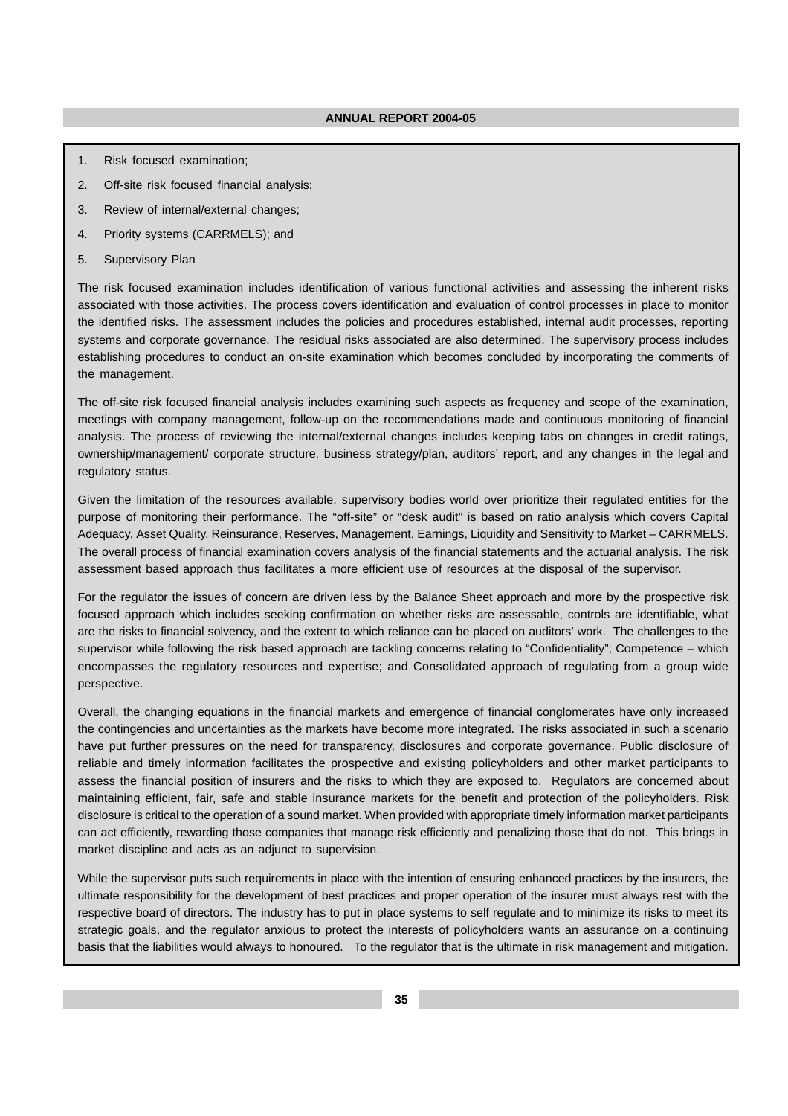- 1. Risk focused examination;
- 2. Off-site risk focused financial analysis;
- 3. Review of internal/external changes;
- 4. Priority systems (CARRMELS); and
- 5. Supervisory Plan

The risk focused examination includes identification of various functional activities and assessing the inherent risks associated with those activities. The process covers identification and evaluation of control processes in place to monitor the identified risks. The assessment includes the policies and procedures established, internal audit processes, reporting systems and corporate governance. The residual risks associated are also determined. The supervisory process includes establishing procedures to conduct an on-site examination which becomes concluded by incorporating the comments of the management.

The off-site risk focused financial analysis includes examining such aspects as frequency and scope of the examination, meetings with company management, follow-up on the recommendations made and continuous monitoring of financial analysis. The process of reviewing the internal/external changes includes keeping tabs on changes in credit ratings, ownership/management/ corporate structure, business strategy/plan, auditors' report, and any changes in the legal and regulatory status.

Given the limitation of the resources available, supervisory bodies world over prioritize their regulated entities for the purpose of monitoring their performance. The "off-site" or "desk audit" is based on ratio analysis which covers Capital Adequacy, Asset Quality, Reinsurance, Reserves, Management, Earnings, Liquidity and Sensitivity to Market – CARRMELS. The overall process of financial examination covers analysis of the financial statements and the actuarial analysis. The risk assessment based approach thus facilitates a more efficient use of resources at the disposal of the supervisor.

For the regulator the issues of concern are driven less by the Balance Sheet approach and more by the prospective risk focused approach which includes seeking confirmation on whether risks are assessable, controls are identifiable, what are the risks to financial solvency, and the extent to which reliance can be placed on auditors' work. The challenges to the supervisor while following the risk based approach are tackling concerns relating to "Confidentiality"; Competence – which encompasses the regulatory resources and expertise; and Consolidated approach of regulating from a group wide perspective.

Overall, the changing equations in the financial markets and emergence of financial conglomerates have only increased the contingencies and uncertainties as the markets have become more integrated. The risks associated in such a scenario have put further pressures on the need for transparency, disclosures and corporate governance. Public disclosure of reliable and timely information facilitates the prospective and existing policyholders and other market participants to assess the financial position of insurers and the risks to which they are exposed to. Regulators are concerned about maintaining efficient, fair, safe and stable insurance markets for the benefit and protection of the policyholders. Risk disclosure is critical to the operation of a sound market. When provided with appropriate timely information market participants can act efficiently, rewarding those companies that manage risk efficiently and penalizing those that do not. This brings in market discipline and acts as an adjunct to supervision.

While the supervisor puts such requirements in place with the intention of ensuring enhanced practices by the insurers, the ultimate responsibility for the development of best practices and proper operation of the insurer must always rest with the respective board of directors. The industry has to put in place systems to self regulate and to minimize its risks to meet its strategic goals, and the regulator anxious to protect the interests of policyholders wants an assurance on a continuing basis that the liabilities would always to honoured. To the regulator that is the ultimate in risk management and mitigation.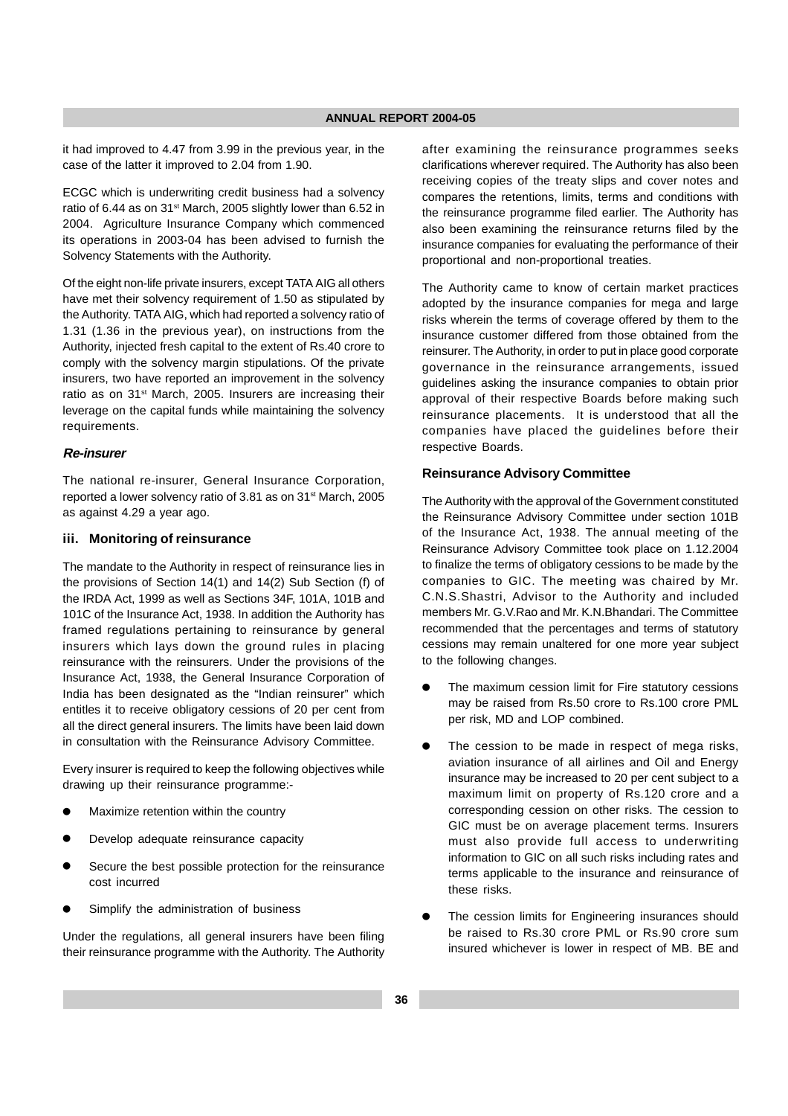it had improved to 4.47 from 3.99 in the previous year, in the case of the latter it improved to 2.04 from 1.90.

ECGC which is underwriting credit business had a solvency ratio of 6.44 as on 31<sup>st</sup> March, 2005 slightly lower than 6.52 in 2004. Agriculture Insurance Company which commenced its operations in 2003-04 has been advised to furnish the Solvency Statements with the Authority.

Of the eight non-life private insurers, except TATA AIG all others have met their solvency requirement of 1.50 as stipulated by the Authority. TATA AIG, which had reported a solvency ratio of 1.31 (1.36 in the previous year), on instructions from the Authority, injected fresh capital to the extent of Rs.40 crore to comply with the solvency margin stipulations. Of the private insurers, two have reported an improvement in the solvency ratio as on 31<sup>st</sup> March, 2005. Insurers are increasing their leverage on the capital funds while maintaining the solvency requirements.

#### **Re-insurer**

The national re-insurer, General Insurance Corporation, reported a lower solvency ratio of 3.81 as on 31<sup>st</sup> March, 2005 as against 4.29 a year ago.

#### **iii. Monitoring of reinsurance**

The mandate to the Authority in respect of reinsurance lies in the provisions of Section 14(1) and 14(2) Sub Section (f) of the IRDA Act, 1999 as well as Sections 34F, 101A, 101B and 101C of the Insurance Act, 1938. In addition the Authority has framed regulations pertaining to reinsurance by general insurers which lays down the ground rules in placing reinsurance with the reinsurers. Under the provisions of the Insurance Act, 1938, the General Insurance Corporation of India has been designated as the "Indian reinsurer" which entitles it to receive obligatory cessions of 20 per cent from all the direct general insurers. The limits have been laid down in consultation with the Reinsurance Advisory Committee.

Every insurer is required to keep the following objectives while drawing up their reinsurance programme:-

- Maximize retention within the country
- Develop adequate reinsurance capacity
- Secure the best possible protection for the reinsurance cost incurred
- Simplify the administration of business

Under the regulations, all general insurers have been filing their reinsurance programme with the Authority. The Authority after examining the reinsurance programmes seeks clarifications wherever required. The Authority has also been receiving copies of the treaty slips and cover notes and compares the retentions, limits, terms and conditions with the reinsurance programme filed earlier. The Authority has also been examining the reinsurance returns filed by the insurance companies for evaluating the performance of their proportional and non-proportional treaties.

The Authority came to know of certain market practices adopted by the insurance companies for mega and large risks wherein the terms of coverage offered by them to the insurance customer differed from those obtained from the reinsurer. The Authority, in order to put in place good corporate governance in the reinsurance arrangements, issued guidelines asking the insurance companies to obtain prior approval of their respective Boards before making such reinsurance placements. It is understood that all the companies have placed the guidelines before their respective Boards.

## **Reinsurance Advisory Committee**

The Authority with the approval of the Government constituted the Reinsurance Advisory Committee under section 101B of the Insurance Act, 1938. The annual meeting of the Reinsurance Advisory Committee took place on 1.12.2004 to finalize the terms of obligatory cessions to be made by the companies to GIC. The meeting was chaired by Mr. C.N.S.Shastri, Advisor to the Authority and included members Mr. G.V.Rao and Mr. K.N.Bhandari. The Committee recommended that the percentages and terms of statutory cessions may remain unaltered for one more year subject to the following changes.

- The maximum cession limit for Fire statutory cessions may be raised from Rs.50 crore to Rs.100 crore PML per risk, MD and LOP combined.
- The cession to be made in respect of mega risks, aviation insurance of all airlines and Oil and Energy insurance may be increased to 20 per cent subject to a maximum limit on property of Rs.120 crore and a corresponding cession on other risks. The cession to GIC must be on average placement terms. Insurers must also provide full access to underwriting information to GIC on all such risks including rates and terms applicable to the insurance and reinsurance of these risks.
- The cession limits for Engineering insurances should be raised to Rs.30 crore PML or Rs.90 crore sum insured whichever is lower in respect of MB. BE and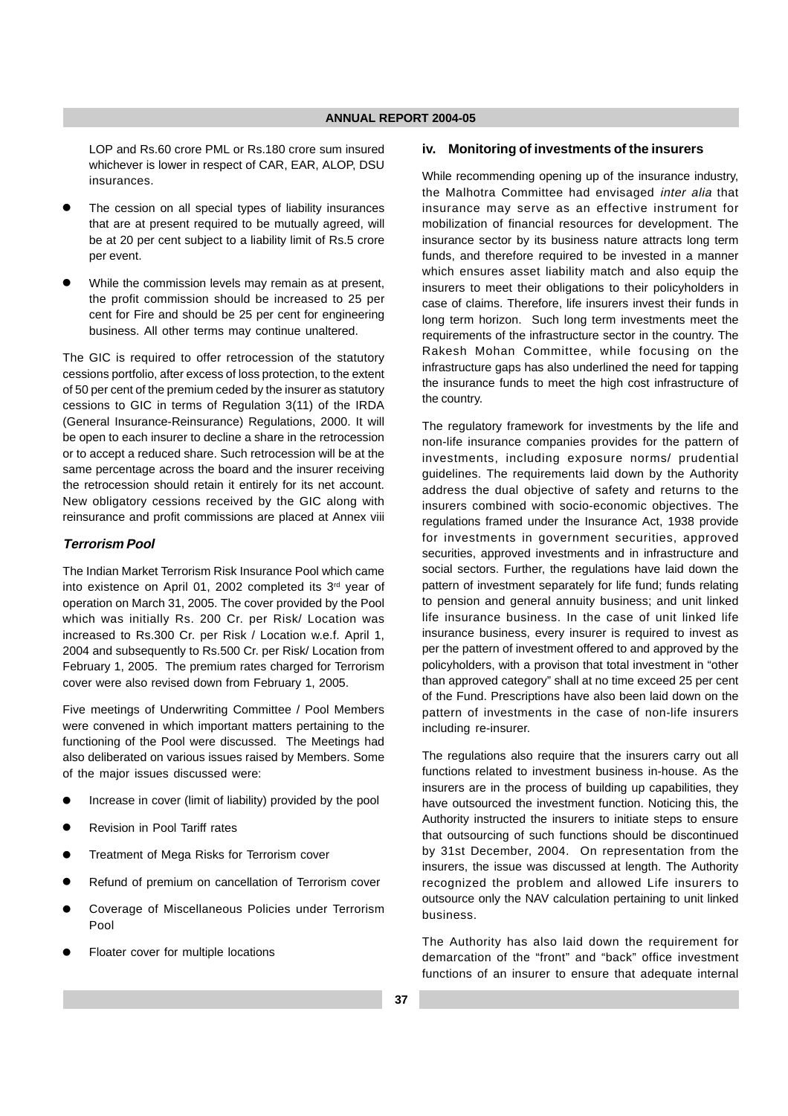LOP and Rs.60 crore PML or Rs.180 crore sum insured whichever is lower in respect of CAR, EAR, ALOP, DSU insurances.

- The cession on all special types of liability insurances that are at present required to be mutually agreed, will be at 20 per cent subject to a liability limit of Rs.5 crore per event.
- While the commission levels may remain as at present, the profit commission should be increased to 25 per cent for Fire and should be 25 per cent for engineering business. All other terms may continue unaltered.

The GIC is required to offer retrocession of the statutory cessions portfolio, after excess of loss protection, to the extent of 50 per cent of the premium ceded by the insurer as statutory cessions to GIC in terms of Regulation 3(11) of the IRDA (General Insurance-Reinsurance) Regulations, 2000. It will be open to each insurer to decline a share in the retrocession or to accept a reduced share. Such retrocession will be at the same percentage across the board and the insurer receiving the retrocession should retain it entirely for its net account. New obligatory cessions received by the GIC along with reinsurance and profit commissions are placed at Annex viii

## **Terrorism Pool**

The Indian Market Terrorism Risk Insurance Pool which came into existence on April 01, 2002 completed its 3<sup>rd</sup> year of operation on March 31, 2005. The cover provided by the Pool which was initially Rs. 200 Cr. per Risk/ Location was increased to Rs.300 Cr. per Risk / Location w.e.f. April 1, 2004 and subsequently to Rs.500 Cr. per Risk/ Location from February 1, 2005. The premium rates charged for Terrorism cover were also revised down from February 1, 2005.

Five meetings of Underwriting Committee / Pool Members were convened in which important matters pertaining to the functioning of the Pool were discussed. The Meetings had also deliberated on various issues raised by Members. Some of the major issues discussed were:

- Increase in cover (limit of liability) provided by the pool
- Revision in Pool Tariff rates
- Treatment of Mega Risks for Terrorism cover
- Refund of premium on cancellation of Terrorism cover
- Coverage of Miscellaneous Policies under Terrorism Pool
- Floater cover for multiple locations

#### **iv. Monitoring of investments of the insurers**

While recommending opening up of the insurance industry, the Malhotra Committee had envisaged inter alia that insurance may serve as an effective instrument for mobilization of financial resources for development. The insurance sector by its business nature attracts long term funds, and therefore required to be invested in a manner which ensures asset liability match and also equip the insurers to meet their obligations to their policyholders in case of claims. Therefore, life insurers invest their funds in long term horizon. Such long term investments meet the requirements of the infrastructure sector in the country. The Rakesh Mohan Committee, while focusing on the infrastructure gaps has also underlined the need for tapping the insurance funds to meet the high cost infrastructure of the country.

The regulatory framework for investments by the life and non-life insurance companies provides for the pattern of investments, including exposure norms/ prudential guidelines. The requirements laid down by the Authority address the dual objective of safety and returns to the insurers combined with socio-economic objectives. The regulations framed under the Insurance Act, 1938 provide for investments in government securities, approved securities, approved investments and in infrastructure and social sectors. Further, the regulations have laid down the pattern of investment separately for life fund; funds relating to pension and general annuity business; and unit linked life insurance business. In the case of unit linked life insurance business, every insurer is required to invest as per the pattern of investment offered to and approved by the policyholders, with a provison that total investment in "other than approved category" shall at no time exceed 25 per cent of the Fund. Prescriptions have also been laid down on the pattern of investments in the case of non-life insurers including re-insurer.

The regulations also require that the insurers carry out all functions related to investment business in-house. As the insurers are in the process of building up capabilities, they have outsourced the investment function. Noticing this, the Authority instructed the insurers to initiate steps to ensure that outsourcing of such functions should be discontinued by 31st December, 2004. On representation from the insurers, the issue was discussed at length. The Authority recognized the problem and allowed Life insurers to outsource only the NAV calculation pertaining to unit linked business.

The Authority has also laid down the requirement for demarcation of the "front" and "back" office investment functions of an insurer to ensure that adequate internal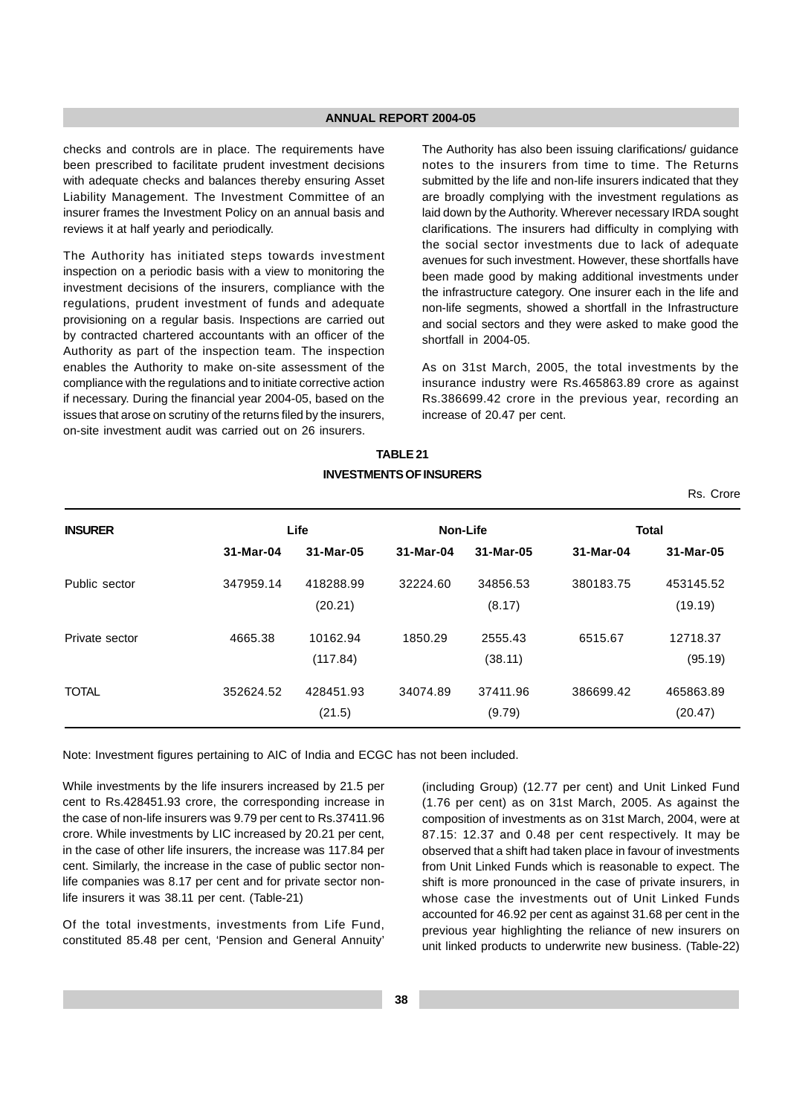checks and controls are in place. The requirements have been prescribed to facilitate prudent investment decisions with adequate checks and balances thereby ensuring Asset Liability Management. The Investment Committee of an insurer frames the Investment Policy on an annual basis and reviews it at half yearly and periodically.

The Authority has initiated steps towards investment inspection on a periodic basis with a view to monitoring the investment decisions of the insurers, compliance with the regulations, prudent investment of funds and adequate provisioning on a regular basis. Inspections are carried out by contracted chartered accountants with an officer of the Authority as part of the inspection team. The inspection enables the Authority to make on-site assessment of the compliance with the regulations and to initiate corrective action if necessary. During the financial year 2004-05, based on the issues that arose on scrutiny of the returns filed by the insurers, on-site investment audit was carried out on 26 insurers.

The Authority has also been issuing clarifications/ guidance notes to the insurers from time to time. The Returns submitted by the life and non-life insurers indicated that they are broadly complying with the investment regulations as laid down by the Authority. Wherever necessary IRDA sought clarifications. The insurers had difficulty in complying with the social sector investments due to lack of adequate avenues for such investment. However, these shortfalls have been made good by making additional investments under the infrastructure category. One insurer each in the life and non-life segments, showed a shortfall in the Infrastructure and social sectors and they were asked to make good the shortfall in 2004-05.

As on 31st March, 2005, the total investments by the insurance industry were Rs.465863.89 crore as against Rs.386699.42 crore in the previous year, recording an increase of 20.47 per cent.

Rs. Crore

## **TABLE 21 INVESTMENTS OF INSURERS**

| <b>INSURER</b> |           | Life      | Non-Life  |           |           | <b>Total</b> |
|----------------|-----------|-----------|-----------|-----------|-----------|--------------|
|                | 31-Mar-04 | 31-Mar-05 | 31-Mar-04 | 31-Mar-05 | 31-Mar-04 | 31-Mar-05    |
| Public sector  | 347959.14 | 418288.99 | 32224.60  | 34856.53  | 380183.75 | 453145.52    |
|                |           | (20.21)   |           | (8.17)    |           | (19.19)      |
| Private sector | 4665.38   | 10162.94  | 1850.29   | 2555.43   | 6515.67   | 12718.37     |
|                |           | (117.84)  |           | (38.11)   |           | (95.19)      |
| <b>TOTAL</b>   | 352624.52 | 428451.93 | 34074.89  | 37411.96  | 386699.42 | 465863.89    |
|                |           | (21.5)    |           | (9.79)    |           | (20.47)      |

Note: Investment figures pertaining to AIC of India and ECGC has not been included.

While investments by the life insurers increased by 21.5 per cent to Rs.428451.93 crore, the corresponding increase in the case of non-life insurers was 9.79 per cent to Rs.37411.96 crore. While investments by LIC increased by 20.21 per cent, in the case of other life insurers, the increase was 117.84 per cent. Similarly, the increase in the case of public sector nonlife companies was 8.17 per cent and for private sector nonlife insurers it was 38.11 per cent. (Table-21)

Of the total investments, investments from Life Fund, constituted 85.48 per cent, 'Pension and General Annuity'

(including Group) (12.77 per cent) and Unit Linked Fund (1.76 per cent) as on 31st March, 2005. As against the composition of investments as on 31st March, 2004, were at 87.15: 12.37 and 0.48 per cent respectively. It may be observed that a shift had taken place in favour of investments from Unit Linked Funds which is reasonable to expect. The shift is more pronounced in the case of private insurers, in whose case the investments out of Unit Linked Funds accounted for 46.92 per cent as against 31.68 per cent in the previous year highlighting the reliance of new insurers on unit linked products to underwrite new business. (Table-22)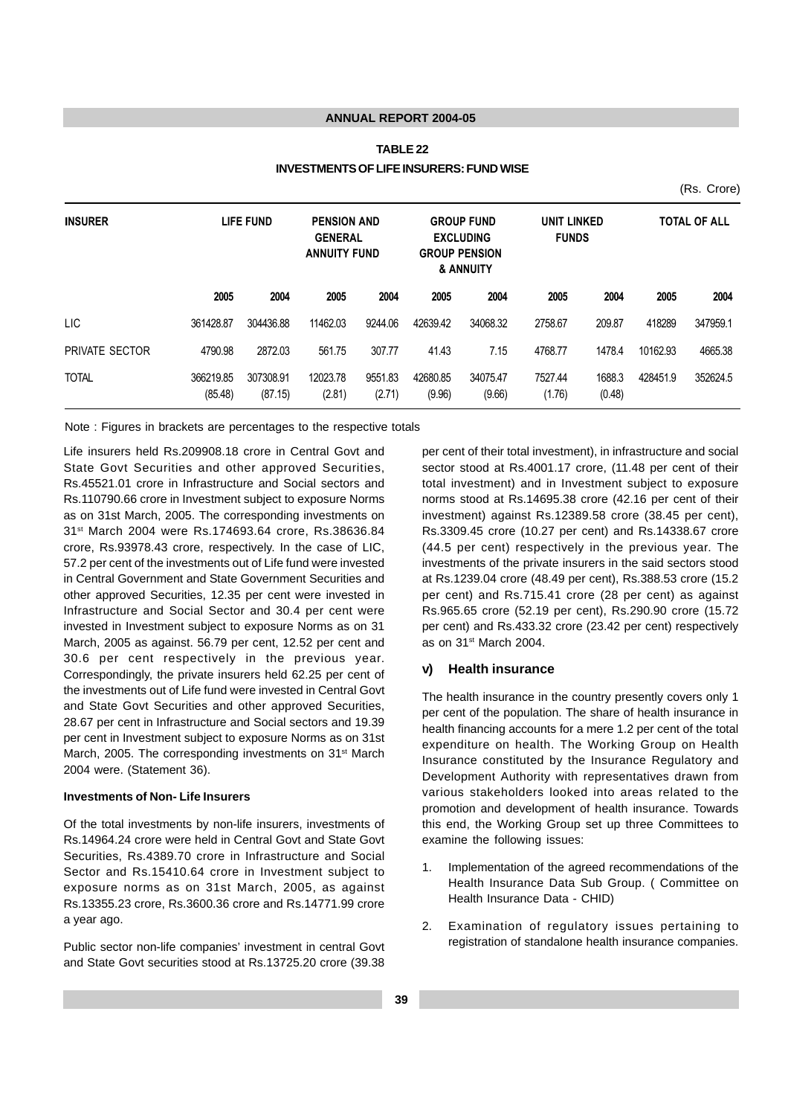## **TABLE 22 INVESTMENTS OF LIFE INSURERS: FUND WISE**

(Rs. Crore)

| <b>LIFE FUND</b><br><b>INSURER</b> |                      | <b>PENSION AND</b><br><b>GENERAL</b><br><b>ANNUITY FUND</b> |                    | <b>GROUP FUND</b><br><b>EXCLUDING</b><br><b>GROUP PENSION</b><br>& ANNUITY |                    | <b>UNIT LINKED</b><br><b>FUNDS</b> |                   | <b>TOTAL OF ALL</b> |          |          |
|------------------------------------|----------------------|-------------------------------------------------------------|--------------------|----------------------------------------------------------------------------|--------------------|------------------------------------|-------------------|---------------------|----------|----------|
|                                    | 2005                 | 2004                                                        | 2005               | 2004                                                                       | 2005               | 2004                               | 2005              | 2004                | 2005     | 2004     |
| <b>LIC</b>                         | 361428.87            | 304436.88                                                   | 11462.03           | 9244.06                                                                    | 42639.42           | 34068.32                           | 2758.67           | 209.87              | 418289   | 347959.1 |
| PRIVATE SECTOR                     | 4790.98              | 2872.03                                                     | 561.75             | 307.77                                                                     | 41.43              | 7.15                               | 4768.77           | 1478.4              | 10162.93 | 4665.38  |
| <b>TOTAL</b>                       | 366219.85<br>(85.48) | 307308.91<br>(87.15)                                        | 12023.78<br>(2.81) | 9551.83<br>(2.71)                                                          | 42680.85<br>(9.96) | 34075.47<br>(9.66)                 | 7527.44<br>(1.76) | 1688.3<br>(0.48)    | 428451.9 | 352624.5 |

Note : Figures in brackets are percentages to the respective totals

Life insurers held Rs.209908.18 crore in Central Govt and State Govt Securities and other approved Securities, Rs.45521.01 crore in Infrastructure and Social sectors and Rs.110790.66 crore in Investment subject to exposure Norms as on 31st March, 2005. The corresponding investments on 31st March 2004 were Rs.174693.64 crore, Rs.38636.84 crore, Rs.93978.43 crore, respectively. In the case of LIC, 57.2 per cent of the investments out of Life fund were invested in Central Government and State Government Securities and other approved Securities, 12.35 per cent were invested in Infrastructure and Social Sector and 30.4 per cent were invested in Investment subject to exposure Norms as on 31 March, 2005 as against. 56.79 per cent, 12.52 per cent and 30.6 per cent respectively in the previous year. Correspondingly, the private insurers held 62.25 per cent of the investments out of Life fund were invested in Central Govt and State Govt Securities and other approved Securities, 28.67 per cent in Infrastructure and Social sectors and 19.39 per cent in Investment subject to exposure Norms as on 31st March, 2005. The corresponding investments on 31<sup>st</sup> March 2004 were. (Statement 36).

#### **Investments of Non- Life Insurers**

Of the total investments by non-life insurers, investments of Rs.14964.24 crore were held in Central Govt and State Govt Securities, Rs.4389.70 crore in Infrastructure and Social Sector and Rs.15410.64 crore in Investment subject to exposure norms as on 31st March, 2005, as against Rs.13355.23 crore, Rs.3600.36 crore and Rs.14771.99 crore a year ago.

Public sector non-life companies' investment in central Govt and State Govt securities stood at Rs.13725.20 crore (39.38

per cent of their total investment), in infrastructure and social sector stood at Rs.4001.17 crore, (11.48 per cent of their total investment) and in Investment subject to exposure norms stood at Rs.14695.38 crore (42.16 per cent of their investment) against Rs.12389.58 crore (38.45 per cent), Rs.3309.45 crore (10.27 per cent) and Rs.14338.67 crore (44.5 per cent) respectively in the previous year. The investments of the private insurers in the said sectors stood at Rs.1239.04 crore (48.49 per cent), Rs.388.53 crore (15.2 per cent) and Rs.715.41 crore (28 per cent) as against Rs.965.65 crore (52.19 per cent), Rs.290.90 crore (15.72 per cent) and Rs.433.32 crore (23.42 per cent) respectively as on 31<sup>st</sup> March 2004.

#### **v) Health insurance**

The health insurance in the country presently covers only 1 per cent of the population. The share of health insurance in health financing accounts for a mere 1.2 per cent of the total expenditure on health. The Working Group on Health Insurance constituted by the Insurance Regulatory and Development Authority with representatives drawn from various stakeholders looked into areas related to the promotion and development of health insurance. Towards this end, the Working Group set up three Committees to examine the following issues:

- 1. Implementation of the agreed recommendations of the Health Insurance Data Sub Group. ( Committee on Health Insurance Data - CHID)
- 2. Examination of regulatory issues pertaining to registration of standalone health insurance companies.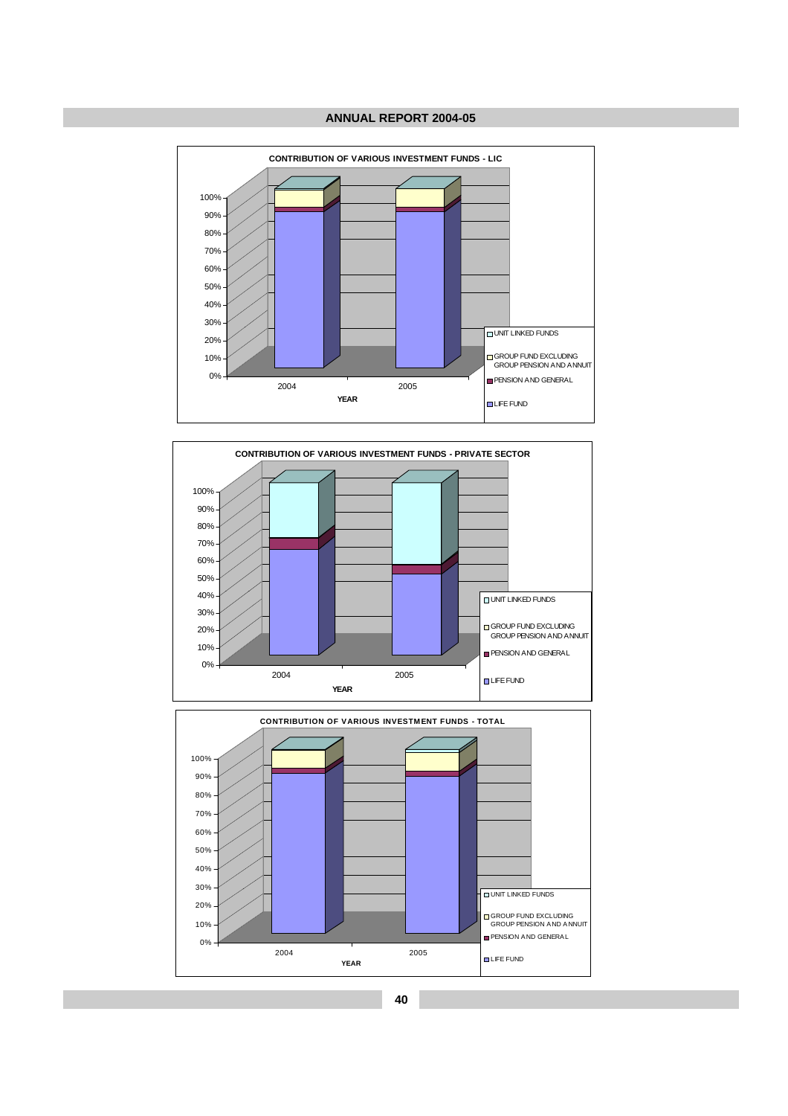



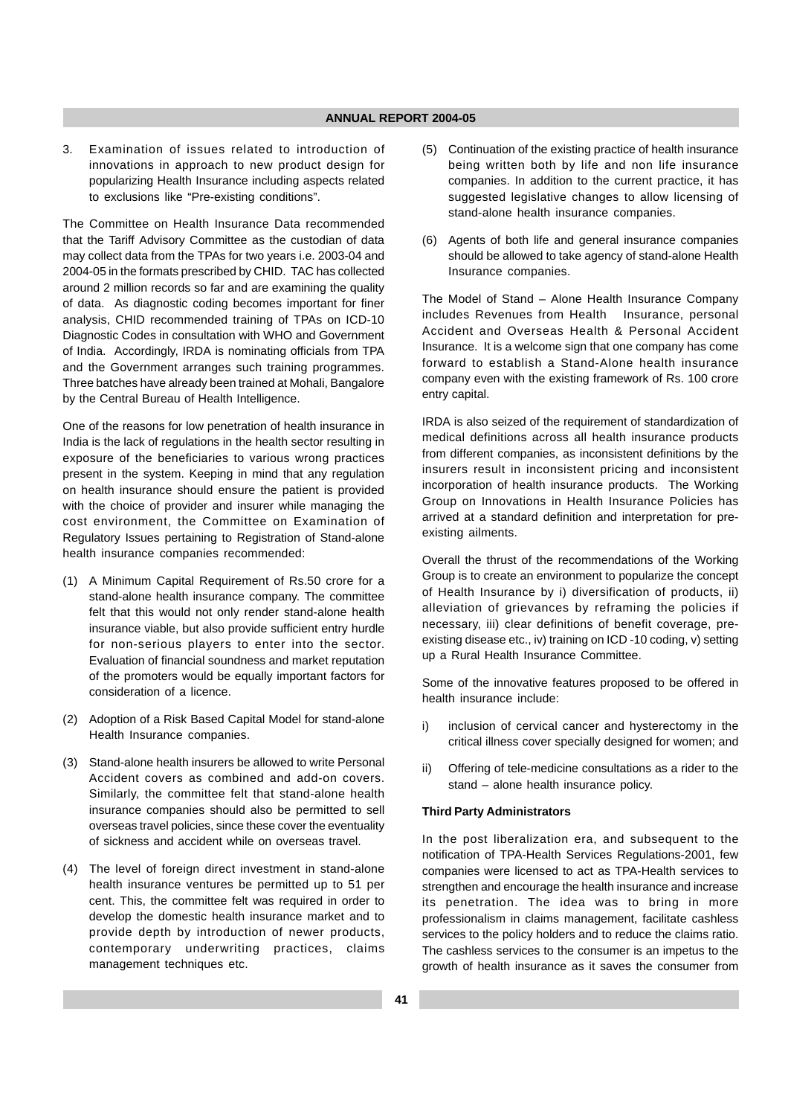3. Examination of issues related to introduction of innovations in approach to new product design for popularizing Health Insurance including aspects related to exclusions like "Pre-existing conditions".

The Committee on Health Insurance Data recommended that the Tariff Advisory Committee as the custodian of data may collect data from the TPAs for two years i.e. 2003-04 and 2004-05 in the formats prescribed by CHID. TAC has collected around 2 million records so far and are examining the quality of data. As diagnostic coding becomes important for finer analysis, CHID recommended training of TPAs on ICD-10 Diagnostic Codes in consultation with WHO and Government of India. Accordingly, IRDA is nominating officials from TPA and the Government arranges such training programmes. Three batches have already been trained at Mohali, Bangalore by the Central Bureau of Health Intelligence.

One of the reasons for low penetration of health insurance in India is the lack of regulations in the health sector resulting in exposure of the beneficiaries to various wrong practices present in the system. Keeping in mind that any regulation on health insurance should ensure the patient is provided with the choice of provider and insurer while managing the cost environment, the Committee on Examination of Regulatory Issues pertaining to Registration of Stand-alone health insurance companies recommended:

- (1) A Minimum Capital Requirement of Rs.50 crore for a stand-alone health insurance company. The committee felt that this would not only render stand-alone health insurance viable, but also provide sufficient entry hurdle for non-serious players to enter into the sector. Evaluation of financial soundness and market reputation of the promoters would be equally important factors for consideration of a licence.
- (2) Adoption of a Risk Based Capital Model for stand-alone Health Insurance companies.
- (3) Stand-alone health insurers be allowed to write Personal Accident covers as combined and add-on covers. Similarly, the committee felt that stand-alone health insurance companies should also be permitted to sell overseas travel policies, since these cover the eventuality of sickness and accident while on overseas travel.
- (4) The level of foreign direct investment in stand-alone health insurance ventures be permitted up to 51 per cent. This, the committee felt was required in order to develop the domestic health insurance market and to provide depth by introduction of newer products, contemporary underwriting practices, claims management techniques etc.
- (5) Continuation of the existing practice of health insurance being written both by life and non life insurance companies. In addition to the current practice, it has suggested legislative changes to allow licensing of stand-alone health insurance companies.
- (6) Agents of both life and general insurance companies should be allowed to take agency of stand-alone Health Insurance companies.

The Model of Stand – Alone Health Insurance Company includes Revenues from Health Insurance, personal Accident and Overseas Health & Personal Accident Insurance. It is a welcome sign that one company has come forward to establish a Stand-Alone health insurance company even with the existing framework of Rs. 100 crore entry capital.

IRDA is also seized of the requirement of standardization of medical definitions across all health insurance products from different companies, as inconsistent definitions by the insurers result in inconsistent pricing and inconsistent incorporation of health insurance products. The Working Group on Innovations in Health Insurance Policies has arrived at a standard definition and interpretation for preexisting ailments.

Overall the thrust of the recommendations of the Working Group is to create an environment to popularize the concept of Health Insurance by i) diversification of products, ii) alleviation of grievances by reframing the policies if necessary, iii) clear definitions of benefit coverage, preexisting disease etc., iv) training on ICD -10 coding, v) setting up a Rural Health Insurance Committee.

Some of the innovative features proposed to be offered in health insurance include:

- i) inclusion of cervical cancer and hysterectomy in the critical illness cover specially designed for women; and
- ii) Offering of tele-medicine consultations as a rider to the stand – alone health insurance policy.

#### **Third Party Administrators**

In the post liberalization era, and subsequent to the notification of TPA-Health Services Regulations-2001, few companies were licensed to act as TPA-Health services to strengthen and encourage the health insurance and increase its penetration. The idea was to bring in more professionalism in claims management, facilitate cashless services to the policy holders and to reduce the claims ratio. The cashless services to the consumer is an impetus to the growth of health insurance as it saves the consumer from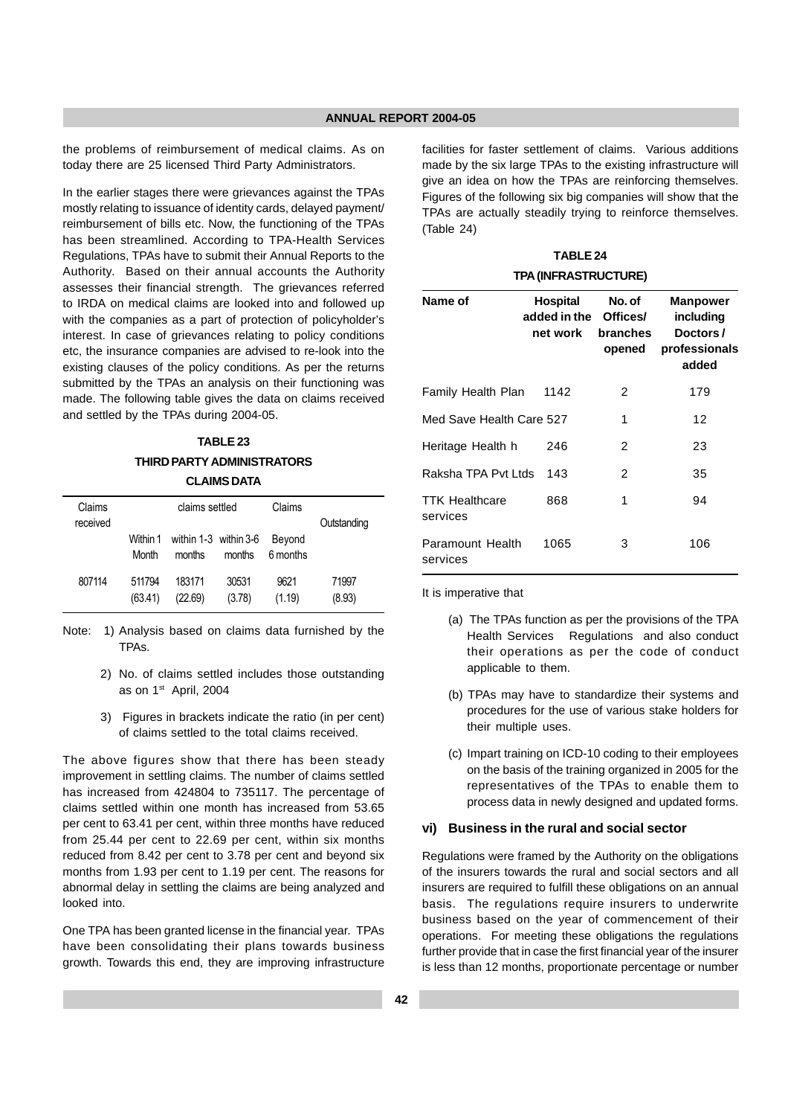the problems of reimbursement of medical claims. As on today there are 25 licensed Third Party Administrators.

In the earlier stages there were grievances against the TPAs mostly relating to issuance of identity cards, delayed payment/ reimbursement of bills etc. Now, the functioning of the TPAs has been streamlined. According to TPA-Health Services Regulations, TPAs have to submit their Annual Reports to the Authority. Based on their annual accounts the Authority assesses their financial strength. The grievances referred to IRDA on medical claims are looked into and followed up with the companies as a part of protection of policyholder's interest. In case of grievances relating to policy conditions etc, the insurance companies are advised to re-look into the existing clauses of the policy conditions. As per the returns submitted by the TPAs an analysis on their functioning was made. The following table gives the data on claims received and settled by the TPAs during 2004-05.

# **TABLE 23 THIRD PARTY ADMINISTRATORS**

## **CLAIMS DATA**

| Claims<br>received | claims settled    |                                          |                 |                    | Outstanding     |
|--------------------|-------------------|------------------------------------------|-----------------|--------------------|-----------------|
|                    | Month             | Within 1 within 1-3 within 3-6<br>months | months          | Beyond<br>6 months |                 |
| 807114             | 511794<br>(63.41) | 183171<br>(22.69)                        | 30531<br>(3.78) | 9621<br>(1.19)     | 71997<br>(8.93) |

- Note: 1) Analysis based on claims data furnished by the TPAs.
	- 2) No. of claims settled includes those outstanding as on 1st April, 2004
	- 3) Figures in brackets indicate the ratio (in per cent) of claims settled to the total claims received.

The above figures show that there has been steady improvement in settling claims. The number of claims settled has increased from 424804 to 735117. The percentage of claims settled within one month has increased from 53.65 per cent to 63.41 per cent, within three months have reduced from 25.44 per cent to 22.69 per cent, within six months reduced from 8.42 per cent to 3.78 per cent and beyond six months from 1.93 per cent to 1.19 per cent. The reasons for abnormal delay in settling the claims are being analyzed and looked into.

One TPA has been granted license in the financial year. TPAs have been consolidating their plans towards business growth. Towards this end, they are improving infrastructure facilities for faster settlement of claims. Various additions made by the six large TPAs to the existing infrastructure will give an idea on how the TPAs are reinforcing themselves. Figures of the following six big companies will show that the TPAs are actually steadily trying to reinforce themselves. (Table 24)

| <b>TABLE 24</b>             |
|-----------------------------|
| <b>TPA (INFRASTRUCTURE)</b> |

| Name of                           | Hospital<br>added in the Offices/<br>net work | No. of<br>branches<br>opened | <b>Manpower</b><br>including<br>Doctors/<br>professionals<br>added |
|-----------------------------------|-----------------------------------------------|------------------------------|--------------------------------------------------------------------|
| Family Health Plan                | 1142                                          | 2                            | 179                                                                |
| Med Save Health Care 527          |                                               | 1                            | 12                                                                 |
| Heritage Health h                 | 246                                           | 2                            | 23                                                                 |
| Raksha TPA Pvt Ltds               | 143                                           | 2                            | 35                                                                 |
| <b>TTK Healthcare</b><br>services | 868                                           | 1                            | 94                                                                 |
| Paramount Health<br>services      | 1065                                          | 3                            | 106                                                                |

It is imperative that

- (a) The TPAs function as per the provisions of the TPA Health Services Regulations and also conduct their operations as per the code of conduct applicable to them.
- (b) TPAs may have to standardize their systems and procedures for the use of various stake holders for their multiple uses.
- (c) Impart training on ICD-10 coding to their employees on the basis of the training organized in 2005 for the representatives of the TPAs to enable them to process data in newly designed and updated forms.

#### **vi) Business in the rural and social sector**

Regulations were framed by the Authority on the obligations of the insurers towards the rural and social sectors and all insurers are required to fulfill these obligations on an annual basis. The regulations require insurers to underwrite business based on the year of commencement of their operations. For meeting these obligations the regulations further provide that in case the first financial year of the insurer is less than 12 months, proportionate percentage or number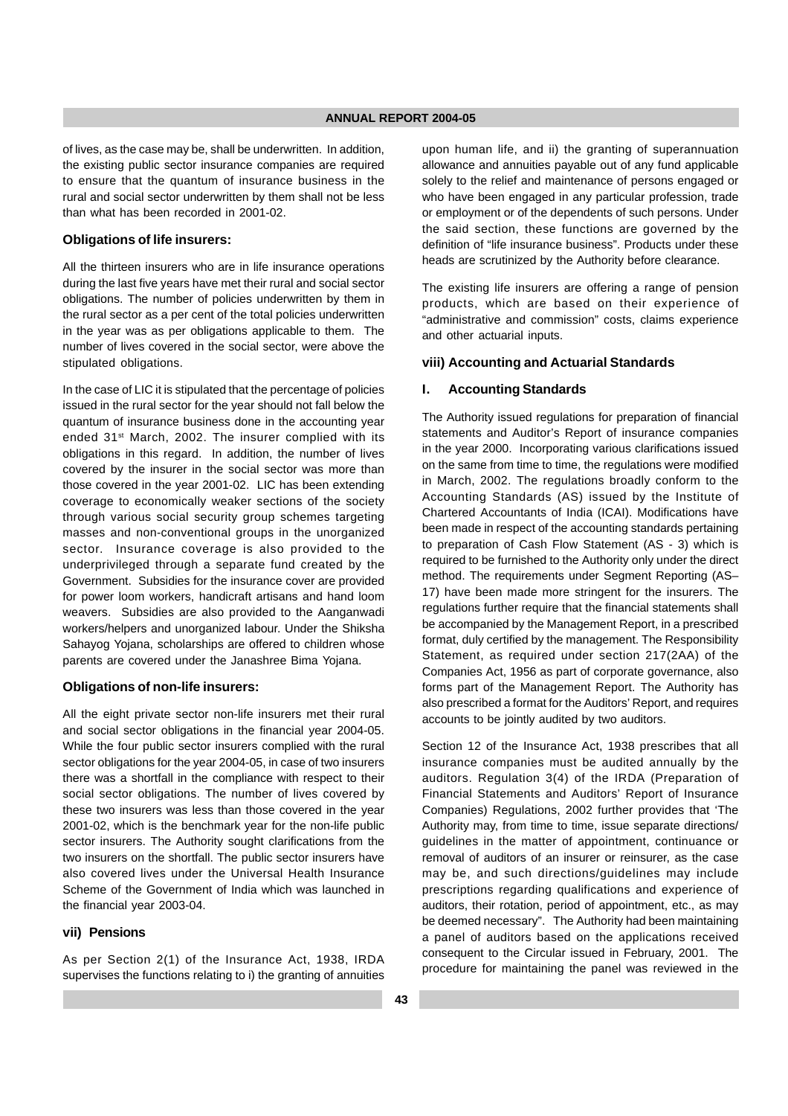of lives, as the case may be, shall be underwritten. In addition, the existing public sector insurance companies are required to ensure that the quantum of insurance business in the rural and social sector underwritten by them shall not be less than what has been recorded in 2001-02.

#### **Obligations of life insurers:**

All the thirteen insurers who are in life insurance operations during the last five years have met their rural and social sector obligations. The number of policies underwritten by them in the rural sector as a per cent of the total policies underwritten in the year was as per obligations applicable to them. The number of lives covered in the social sector, were above the stipulated obligations.

In the case of LIC it is stipulated that the percentage of policies issued in the rural sector for the year should not fall below the quantum of insurance business done in the accounting year ended 31<sup>st</sup> March, 2002. The insurer complied with its obligations in this regard. In addition, the number of lives covered by the insurer in the social sector was more than those covered in the year 2001-02. LIC has been extending coverage to economically weaker sections of the society through various social security group schemes targeting masses and non-conventional groups in the unorganized sector. Insurance coverage is also provided to the underprivileged through a separate fund created by the Government. Subsidies for the insurance cover are provided for power loom workers, handicraft artisans and hand loom weavers. Subsidies are also provided to the Aanganwadi workers/helpers and unorganized labour. Under the Shiksha Sahayog Yojana, scholarships are offered to children whose parents are covered under the Janashree Bima Yojana.

#### **Obligations of non-life insurers:**

All the eight private sector non-life insurers met their rural and social sector obligations in the financial year 2004-05. While the four public sector insurers complied with the rural sector obligations for the year 2004-05, in case of two insurers there was a shortfall in the compliance with respect to their social sector obligations. The number of lives covered by these two insurers was less than those covered in the year 2001-02, which is the benchmark year for the non-life public sector insurers. The Authority sought clarifications from the two insurers on the shortfall. The public sector insurers have also covered lives under the Universal Health Insurance Scheme of the Government of India which was launched in the financial year 2003-04.

## **vii) Pensions**

As per Section 2(1) of the Insurance Act, 1938, IRDA supervises the functions relating to i) the granting of annuities upon human life, and ii) the granting of superannuation allowance and annuities payable out of any fund applicable solely to the relief and maintenance of persons engaged or who have been engaged in any particular profession, trade or employment or of the dependents of such persons. Under the said section, these functions are governed by the definition of "life insurance business". Products under these heads are scrutinized by the Authority before clearance.

The existing life insurers are offering a range of pension products, which are based on their experience of "administrative and commission" costs, claims experience and other actuarial inputs.

## **viii) Accounting and Actuarial Standards**

## **I. Accounting Standards**

The Authority issued regulations for preparation of financial statements and Auditor's Report of insurance companies in the year 2000. Incorporating various clarifications issued on the same from time to time, the regulations were modified in March, 2002. The regulations broadly conform to the Accounting Standards (AS) issued by the Institute of Chartered Accountants of India (ICAI). Modifications have been made in respect of the accounting standards pertaining to preparation of Cash Flow Statement (AS - 3) which is required to be furnished to the Authority only under the direct method. The requirements under Segment Reporting (AS– 17) have been made more stringent for the insurers. The regulations further require that the financial statements shall be accompanied by the Management Report, in a prescribed format, duly certified by the management. The Responsibility Statement, as required under section 217(2AA) of the Companies Act, 1956 as part of corporate governance, also forms part of the Management Report. The Authority has also prescribed a format for the Auditors' Report, and requires accounts to be jointly audited by two auditors.

Section 12 of the Insurance Act, 1938 prescribes that all insurance companies must be audited annually by the auditors. Regulation 3(4) of the IRDA (Preparation of Financial Statements and Auditors' Report of Insurance Companies) Regulations, 2002 further provides that 'The Authority may, from time to time, issue separate directions/ guidelines in the matter of appointment, continuance or removal of auditors of an insurer or reinsurer, as the case may be, and such directions/guidelines may include prescriptions regarding qualifications and experience of auditors, their rotation, period of appointment, etc., as may be deemed necessary". The Authority had been maintaining a panel of auditors based on the applications received consequent to the Circular issued in February, 2001. The procedure for maintaining the panel was reviewed in the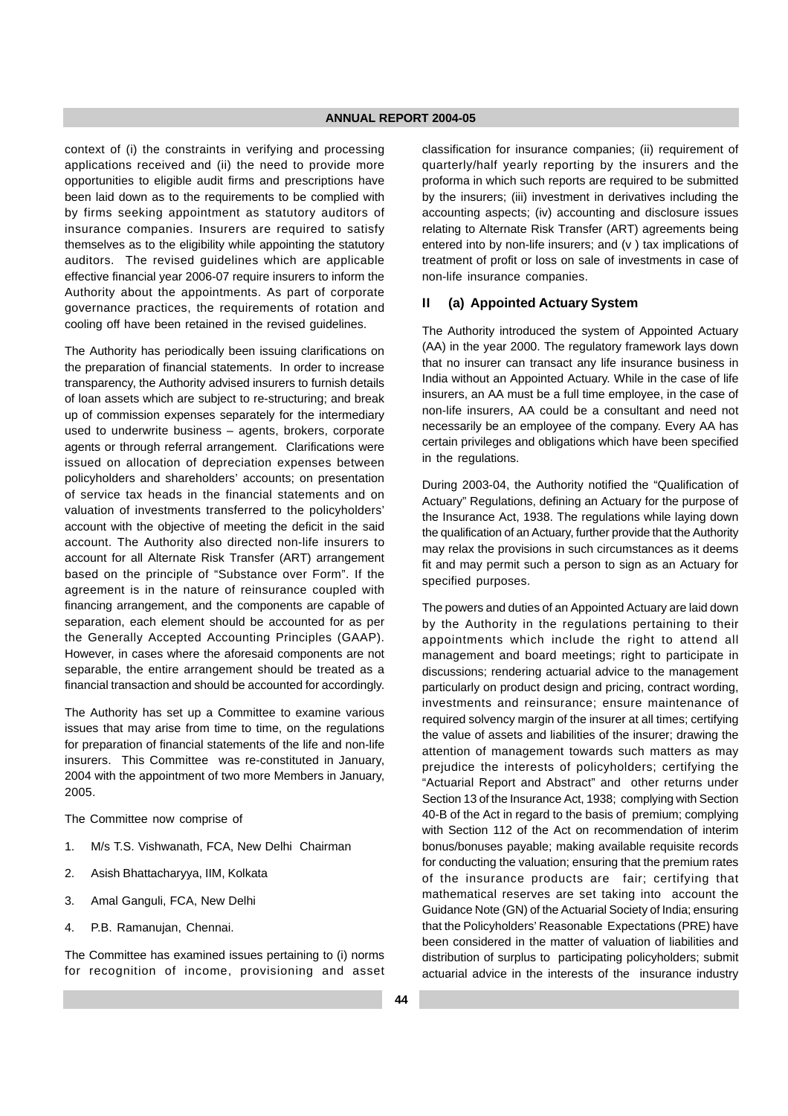context of (i) the constraints in verifying and processing applications received and (ii) the need to provide more opportunities to eligible audit firms and prescriptions have been laid down as to the requirements to be complied with by firms seeking appointment as statutory auditors of insurance companies. Insurers are required to satisfy themselves as to the eligibility while appointing the statutory auditors. The revised guidelines which are applicable effective financial year 2006-07 require insurers to inform the Authority about the appointments. As part of corporate governance practices, the requirements of rotation and cooling off have been retained in the revised guidelines.

The Authority has periodically been issuing clarifications on the preparation of financial statements. In order to increase transparency, the Authority advised insurers to furnish details of loan assets which are subject to re-structuring; and break up of commission expenses separately for the intermediary used to underwrite business – agents, brokers, corporate agents or through referral arrangement. Clarifications were issued on allocation of depreciation expenses between policyholders and shareholders' accounts; on presentation of service tax heads in the financial statements and on valuation of investments transferred to the policyholders' account with the objective of meeting the deficit in the said account. The Authority also directed non-life insurers to account for all Alternate Risk Transfer (ART) arrangement based on the principle of "Substance over Form". If the agreement is in the nature of reinsurance coupled with financing arrangement, and the components are capable of separation, each element should be accounted for as per the Generally Accepted Accounting Principles (GAAP). However, in cases where the aforesaid components are not separable, the entire arrangement should be treated as a financial transaction and should be accounted for accordingly.

The Authority has set up a Committee to examine various issues that may arise from time to time, on the regulations for preparation of financial statements of the life and non-life insurers. This Committee was re-constituted in January, 2004 with the appointment of two more Members in January, 2005.

The Committee now comprise of

- 1. M/s T.S. Vishwanath, FCA, New Delhi Chairman
- 2. Asish Bhattacharyya, IIM, Kolkata
- 3. Amal Ganguli, FCA, New Delhi
- 4. P.B. Ramanujan, Chennai.

The Committee has examined issues pertaining to (i) norms for recognition of income, provisioning and asset classification for insurance companies; (ii) requirement of quarterly/half yearly reporting by the insurers and the proforma in which such reports are required to be submitted by the insurers; (iii) investment in derivatives including the accounting aspects; (iv) accounting and disclosure issues relating to Alternate Risk Transfer (ART) agreements being entered into by non-life insurers; and (v ) tax implications of treatment of profit or loss on sale of investments in case of non-life insurance companies.

#### **II (a) Appointed Actuary System**

The Authority introduced the system of Appointed Actuary (AA) in the year 2000. The regulatory framework lays down that no insurer can transact any life insurance business in India without an Appointed Actuary. While in the case of life insurers, an AA must be a full time employee, in the case of non-life insurers, AA could be a consultant and need not necessarily be an employee of the company. Every AA has certain privileges and obligations which have been specified in the regulations.

During 2003-04, the Authority notified the "Qualification of Actuary" Regulations, defining an Actuary for the purpose of the Insurance Act, 1938. The regulations while laying down the qualification of an Actuary, further provide that the Authority may relax the provisions in such circumstances as it deems fit and may permit such a person to sign as an Actuary for specified purposes.

The powers and duties of an Appointed Actuary are laid down by the Authority in the regulations pertaining to their appointments which include the right to attend all management and board meetings; right to participate in discussions; rendering actuarial advice to the management particularly on product design and pricing, contract wording, investments and reinsurance; ensure maintenance of required solvency margin of the insurer at all times; certifying the value of assets and liabilities of the insurer; drawing the attention of management towards such matters as may prejudice the interests of policyholders; certifying the "Actuarial Report and Abstract" and other returns under Section 13 of the Insurance Act, 1938; complying with Section 40-B of the Act in regard to the basis of premium; complying with Section 112 of the Act on recommendation of interim bonus/bonuses payable; making available requisite records for conducting the valuation; ensuring that the premium rates of the insurance products are fair; certifying that mathematical reserves are set taking into account the Guidance Note (GN) of the Actuarial Society of India; ensuring that the Policyholders' Reasonable Expectations (PRE) have been considered in the matter of valuation of liabilities and distribution of surplus to participating policyholders; submit actuarial advice in the interests of the insurance industry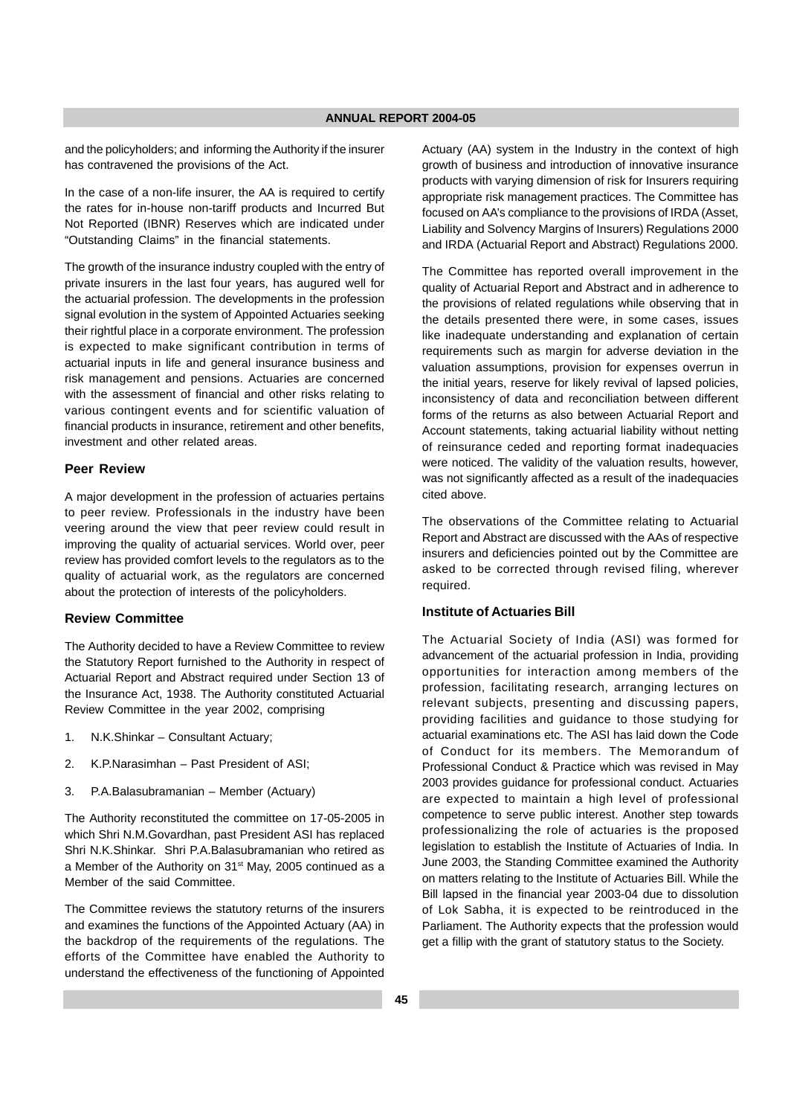and the policyholders; and informing the Authority if the insurer has contravened the provisions of the Act.

In the case of a non-life insurer, the AA is required to certify the rates for in-house non-tariff products and Incurred But Not Reported (IBNR) Reserves which are indicated under "Outstanding Claims" in the financial statements.

The growth of the insurance industry coupled with the entry of private insurers in the last four years, has augured well for the actuarial profession. The developments in the profession signal evolution in the system of Appointed Actuaries seeking their rightful place in a corporate environment. The profession is expected to make significant contribution in terms of actuarial inputs in life and general insurance business and risk management and pensions. Actuaries are concerned with the assessment of financial and other risks relating to various contingent events and for scientific valuation of financial products in insurance, retirement and other benefits, investment and other related areas.

## **Peer Review**

A major development in the profession of actuaries pertains to peer review. Professionals in the industry have been veering around the view that peer review could result in improving the quality of actuarial services. World over, peer review has provided comfort levels to the regulators as to the quality of actuarial work, as the regulators are concerned about the protection of interests of the policyholders.

## **Review Committee**

The Authority decided to have a Review Committee to review the Statutory Report furnished to the Authority in respect of Actuarial Report and Abstract required under Section 13 of the Insurance Act, 1938. The Authority constituted Actuarial Review Committee in the year 2002, comprising

- 1. N.K.Shinkar Consultant Actuary;
- 2. K.P.Narasimhan Past President of ASI;
- 3. P.A.Balasubramanian Member (Actuary)

The Authority reconstituted the committee on 17-05-2005 in which Shri N.M.Govardhan, past President ASI has replaced Shri N.K.Shinkar. Shri P.A.Balasubramanian who retired as a Member of the Authority on 31st May, 2005 continued as a Member of the said Committee.

The Committee reviews the statutory returns of the insurers and examines the functions of the Appointed Actuary (AA) in the backdrop of the requirements of the regulations. The efforts of the Committee have enabled the Authority to understand the effectiveness of the functioning of Appointed Actuary (AA) system in the Industry in the context of high growth of business and introduction of innovative insurance products with varying dimension of risk for Insurers requiring appropriate risk management practices. The Committee has focused on AA's compliance to the provisions of IRDA (Asset, Liability and Solvency Margins of Insurers) Regulations 2000 and IRDA (Actuarial Report and Abstract) Regulations 2000.

The Committee has reported overall improvement in the quality of Actuarial Report and Abstract and in adherence to the provisions of related regulations while observing that in the details presented there were, in some cases, issues like inadequate understanding and explanation of certain requirements such as margin for adverse deviation in the valuation assumptions, provision for expenses overrun in the initial years, reserve for likely revival of lapsed policies, inconsistency of data and reconciliation between different forms of the returns as also between Actuarial Report and Account statements, taking actuarial liability without netting of reinsurance ceded and reporting format inadequacies were noticed. The validity of the valuation results, however, was not significantly affected as a result of the inadequacies cited above.

The observations of the Committee relating to Actuarial Report and Abstract are discussed with the AAs of respective insurers and deficiencies pointed out by the Committee are asked to be corrected through revised filing, wherever required.

#### **Institute of Actuaries Bill**

The Actuarial Society of India (ASI) was formed for advancement of the actuarial profession in India, providing opportunities for interaction among members of the profession, facilitating research, arranging lectures on relevant subjects, presenting and discussing papers, providing facilities and guidance to those studying for actuarial examinations etc. The ASI has laid down the Code of Conduct for its members. The Memorandum of Professional Conduct & Practice which was revised in May 2003 provides guidance for professional conduct. Actuaries are expected to maintain a high level of professional competence to serve public interest. Another step towards professionalizing the role of actuaries is the proposed legislation to establish the Institute of Actuaries of India. In June 2003, the Standing Committee examined the Authority on matters relating to the Institute of Actuaries Bill. While the Bill lapsed in the financial year 2003-04 due to dissolution of Lok Sabha, it is expected to be reintroduced in the Parliament. The Authority expects that the profession would get a fillip with the grant of statutory status to the Society.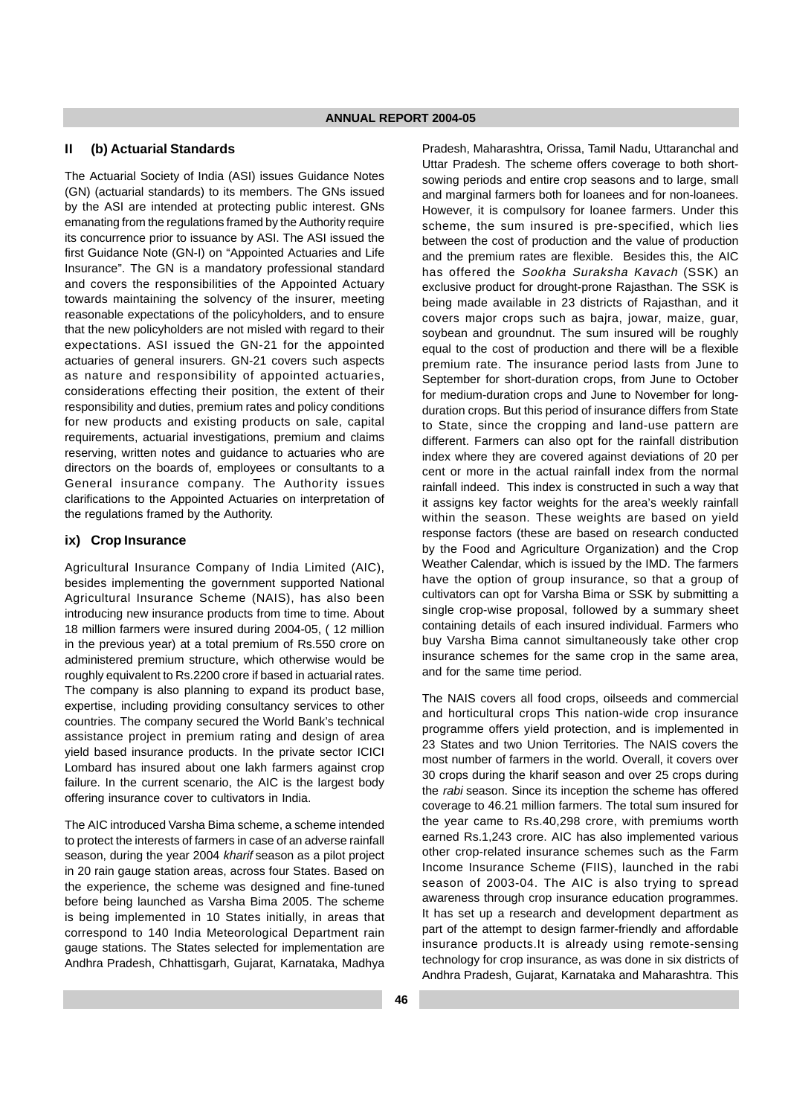#### **II (b) Actuarial Standards**

The Actuarial Society of India (ASI) issues Guidance Notes (GN) (actuarial standards) to its members. The GNs issued by the ASI are intended at protecting public interest. GNs emanating from the regulations framed by the Authority require its concurrence prior to issuance by ASI. The ASI issued the first Guidance Note (GN-I) on "Appointed Actuaries and Life Insurance". The GN is a mandatory professional standard and covers the responsibilities of the Appointed Actuary towards maintaining the solvency of the insurer, meeting reasonable expectations of the policyholders, and to ensure that the new policyholders are not misled with regard to their expectations. ASI issued the GN-21 for the appointed actuaries of general insurers. GN-21 covers such aspects as nature and responsibility of appointed actuaries, considerations effecting their position, the extent of their responsibility and duties, premium rates and policy conditions for new products and existing products on sale, capital requirements, actuarial investigations, premium and claims reserving, written notes and guidance to actuaries who are directors on the boards of, employees or consultants to a General insurance company. The Authority issues clarifications to the Appointed Actuaries on interpretation of the regulations framed by the Authority.

## **ix) Crop Insurance**

Agricultural Insurance Company of India Limited (AIC), besides implementing the government supported National Agricultural Insurance Scheme (NAIS), has also been introducing new insurance products from time to time. About 18 million farmers were insured during 2004-05, ( 12 million in the previous year) at a total premium of Rs.550 crore on administered premium structure, which otherwise would be roughly equivalent to Rs.2200 crore if based in actuarial rates. The company is also planning to expand its product base, expertise, including providing consultancy services to other countries. The company secured the World Bank's technical assistance project in premium rating and design of area yield based insurance products. In the private sector ICICI Lombard has insured about one lakh farmers against crop failure. In the current scenario, the AIC is the largest body offering insurance cover to cultivators in India.

The AIC introduced Varsha Bima scheme, a scheme intended to protect the interests of farmers in case of an adverse rainfall season, during the year 2004 kharif season as a pilot project in 20 rain gauge station areas, across four States. Based on the experience, the scheme was designed and fine-tuned before being launched as Varsha Bima 2005. The scheme is being implemented in 10 States initially, in areas that correspond to 140 India Meteorological Department rain gauge stations. The States selected for implementation are Andhra Pradesh, Chhattisgarh, Gujarat, Karnataka, Madhya

Pradesh, Maharashtra, Orissa, Tamil Nadu, Uttaranchal and Uttar Pradesh. The scheme offers coverage to both shortsowing periods and entire crop seasons and to large, small and marginal farmers both for loanees and for non-loanees. However, it is compulsory for loanee farmers. Under this scheme, the sum insured is pre-specified, which lies between the cost of production and the value of production and the premium rates are flexible. Besides this, the AIC has offered the Sookha Suraksha Kavach (SSK) an exclusive product for drought-prone Rajasthan. The SSK is being made available in 23 districts of Rajasthan, and it covers major crops such as bajra, jowar, maize, guar, soybean and groundnut. The sum insured will be roughly equal to the cost of production and there will be a flexible premium rate. The insurance period lasts from June to September for short-duration crops, from June to October for medium-duration crops and June to November for longduration crops. But this period of insurance differs from State to State, since the cropping and land-use pattern are different. Farmers can also opt for the rainfall distribution index where they are covered against deviations of 20 per cent or more in the actual rainfall index from the normal rainfall indeed. This index is constructed in such a way that it assigns key factor weights for the area's weekly rainfall within the season. These weights are based on yield response factors (these are based on research conducted by the Food and Agriculture Organization) and the Crop Weather Calendar, which is issued by the IMD. The farmers have the option of group insurance, so that a group of cultivators can opt for Varsha Bima or SSK by submitting a single crop-wise proposal, followed by a summary sheet containing details of each insured individual. Farmers who buy Varsha Bima cannot simultaneously take other crop insurance schemes for the same crop in the same area, and for the same time period.

The NAIS covers all food crops, oilseeds and commercial and horticultural crops This nation-wide crop insurance programme offers yield protection, and is implemented in 23 States and two Union Territories. The NAIS covers the most number of farmers in the world. Overall, it covers over 30 crops during the kharif season and over 25 crops during the rabi season. Since its inception the scheme has offered coverage to 46.21 million farmers. The total sum insured for the year came to Rs.40,298 crore, with premiums worth earned Rs.1,243 crore. AIC has also implemented various other crop-related insurance schemes such as the Farm Income Insurance Scheme (FIIS), launched in the rabi season of 2003-04. The AIC is also trying to spread awareness through crop insurance education programmes. It has set up a research and development department as part of the attempt to design farmer-friendly and affordable insurance products.It is already using remote-sensing technology for crop insurance, as was done in six districts of Andhra Pradesh, Gujarat, Karnataka and Maharashtra. This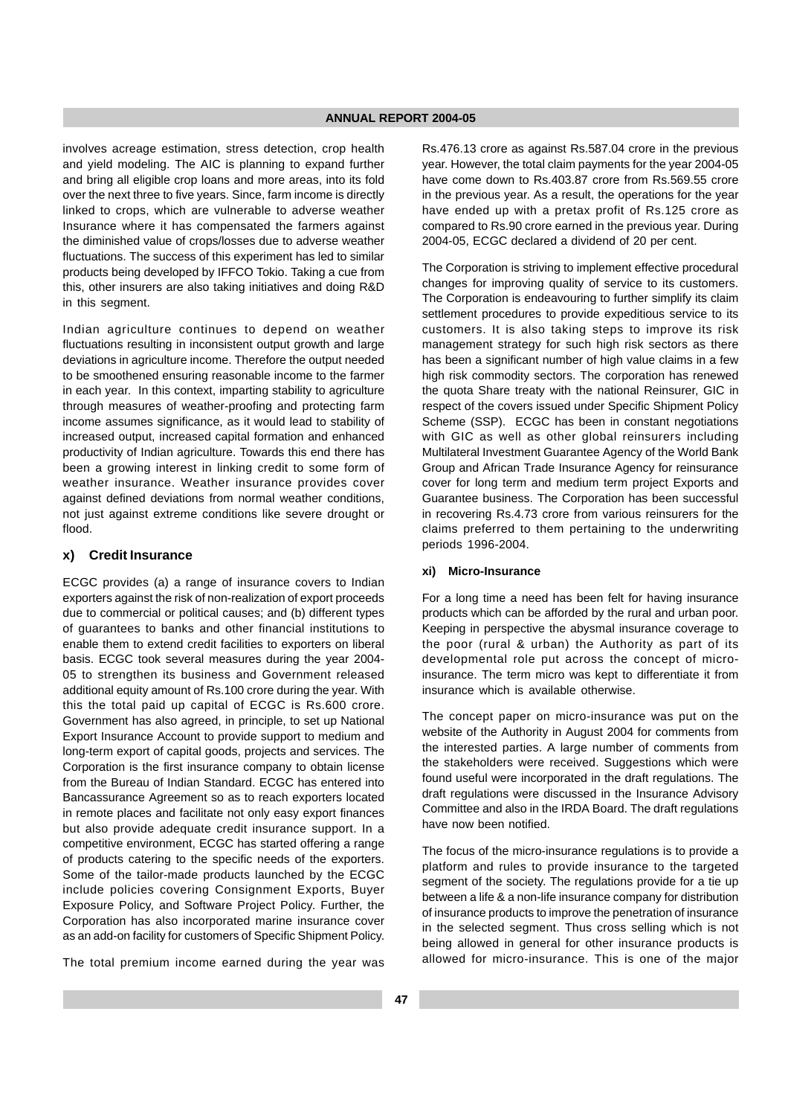involves acreage estimation, stress detection, crop health and yield modeling. The AIC is planning to expand further and bring all eligible crop loans and more areas, into its fold over the next three to five years. Since, farm income is directly linked to crops, which are vulnerable to adverse weather Insurance where it has compensated the farmers against the diminished value of crops/losses due to adverse weather fluctuations. The success of this experiment has led to similar products being developed by IFFCO Tokio. Taking a cue from this, other insurers are also taking initiatives and doing R&D in this segment.

Indian agriculture continues to depend on weather fluctuations resulting in inconsistent output growth and large deviations in agriculture income. Therefore the output needed to be smoothened ensuring reasonable income to the farmer in each year. In this context, imparting stability to agriculture through measures of weather-proofing and protecting farm income assumes significance, as it would lead to stability of increased output, increased capital formation and enhanced productivity of Indian agriculture. Towards this end there has been a growing interest in linking credit to some form of weather insurance. Weather insurance provides cover against defined deviations from normal weather conditions, not just against extreme conditions like severe drought or flood.

#### **x) Credit Insurance**

ECGC provides (a) a range of insurance covers to Indian exporters against the risk of non-realization of export proceeds due to commercial or political causes; and (b) different types of guarantees to banks and other financial institutions to enable them to extend credit facilities to exporters on liberal basis. ECGC took several measures during the year 2004- 05 to strengthen its business and Government released additional equity amount of Rs.100 crore during the year. With this the total paid up capital of ECGC is Rs.600 crore. Government has also agreed, in principle, to set up National Export Insurance Account to provide support to medium and long-term export of capital goods, projects and services. The Corporation is the first insurance company to obtain license from the Bureau of Indian Standard. ECGC has entered into Bancassurance Agreement so as to reach exporters located in remote places and facilitate not only easy export finances but also provide adequate credit insurance support. In a competitive environment, ECGC has started offering a range of products catering to the specific needs of the exporters. Some of the tailor-made products launched by the ECGC include policies covering Consignment Exports, Buyer Exposure Policy, and Software Project Policy. Further, the Corporation has also incorporated marine insurance cover as an add-on facility for customers of Specific Shipment Policy.

The total premium income earned during the year was

Rs.476.13 crore as against Rs.587.04 crore in the previous year. However, the total claim payments for the year 2004-05 have come down to Rs.403.87 crore from Rs.569.55 crore in the previous year. As a result, the operations for the year have ended up with a pretax profit of Rs.125 crore as compared to Rs.90 crore earned in the previous year. During 2004-05, ECGC declared a dividend of 20 per cent.

The Corporation is striving to implement effective procedural changes for improving quality of service to its customers. The Corporation is endeavouring to further simplify its claim settlement procedures to provide expeditious service to its customers. It is also taking steps to improve its risk management strategy for such high risk sectors as there has been a significant number of high value claims in a few high risk commodity sectors. The corporation has renewed the quota Share treaty with the national Reinsurer, GIC in respect of the covers issued under Specific Shipment Policy Scheme (SSP). ECGC has been in constant negotiations with GIC as well as other global reinsurers including Multilateral Investment Guarantee Agency of the World Bank Group and African Trade Insurance Agency for reinsurance cover for long term and medium term project Exports and Guarantee business. The Corporation has been successful in recovering Rs.4.73 crore from various reinsurers for the claims preferred to them pertaining to the underwriting periods 1996-2004.

#### **xi) Micro-Insurance**

For a long time a need has been felt for having insurance products which can be afforded by the rural and urban poor. Keeping in perspective the abysmal insurance coverage to the poor (rural & urban) the Authority as part of its developmental role put across the concept of microinsurance. The term micro was kept to differentiate it from insurance which is available otherwise.

The concept paper on micro-insurance was put on the website of the Authority in August 2004 for comments from the interested parties. A large number of comments from the stakeholders were received. Suggestions which were found useful were incorporated in the draft regulations. The draft regulations were discussed in the Insurance Advisory Committee and also in the IRDA Board. The draft regulations have now been notified.

The focus of the micro-insurance regulations is to provide a platform and rules to provide insurance to the targeted segment of the society. The regulations provide for a tie up between a life & a non-life insurance company for distribution of insurance products to improve the penetration of insurance in the selected segment. Thus cross selling which is not being allowed in general for other insurance products is allowed for micro-insurance. This is one of the major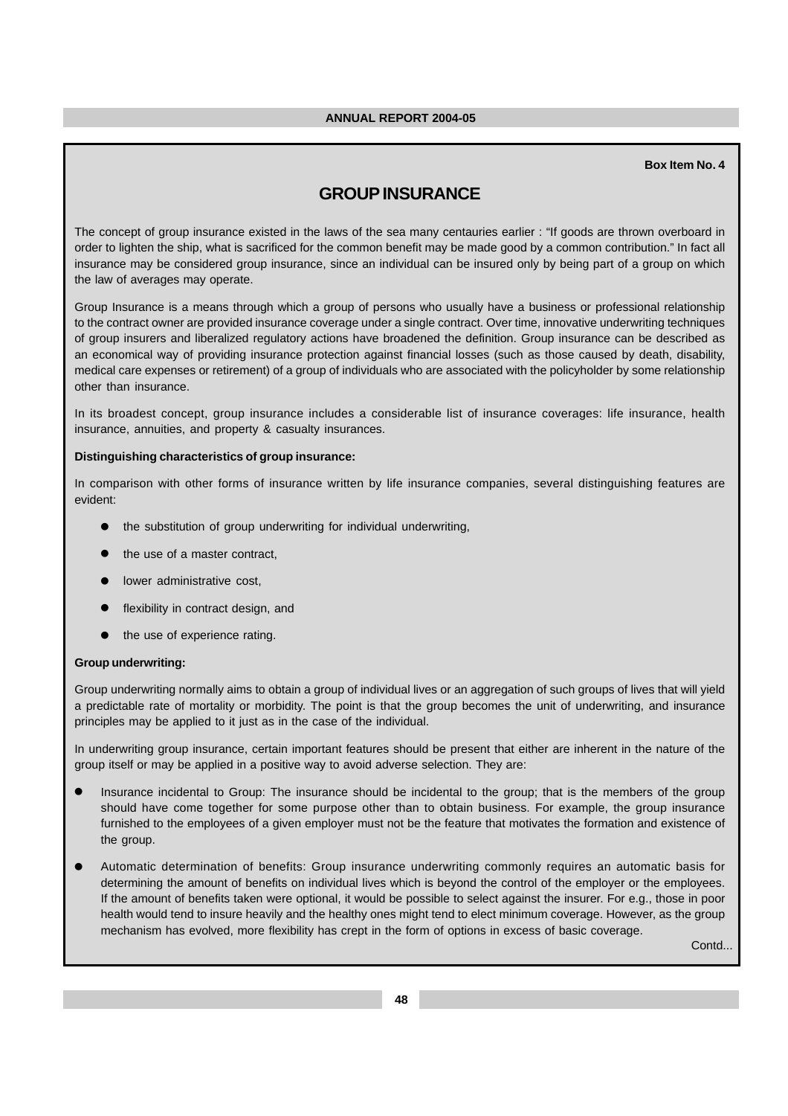## **Box Item No. 4**

# **GROUP INSURANCE**

The concept of group insurance existed in the laws of the sea many centauries earlier : "If goods are thrown overboard in order to lighten the ship, what is sacrificed for the common benefit may be made good by a common contribution." In fact all insurance may be considered group insurance, since an individual can be insured only by being part of a group on which the law of averages may operate.

Group Insurance is a means through which a group of persons who usually have a business or professional relationship to the contract owner are provided insurance coverage under a single contract. Over time, innovative underwriting techniques of group insurers and liberalized regulatory actions have broadened the definition. Group insurance can be described as an economical way of providing insurance protection against financial losses (such as those caused by death, disability, medical care expenses or retirement) of a group of individuals who are associated with the policyholder by some relationship other than insurance.

In its broadest concept, group insurance includes a considerable list of insurance coverages: life insurance, health insurance, annuities, and property & casualty insurances.

#### **Distinguishing characteristics of group insurance:**

In comparison with other forms of insurance written by life insurance companies, several distinguishing features are evident:

- the substitution of group underwriting for individual underwriting,
- the use of a master contract,
- lower administrative cost,
- flexibility in contract design, and
- the use of experience rating.

#### **Group underwriting:**

Group underwriting normally aims to obtain a group of individual lives or an aggregation of such groups of lives that will yield a predictable rate of mortality or morbidity. The point is that the group becomes the unit of underwriting, and insurance principles may be applied to it just as in the case of the individual.

In underwriting group insurance, certain important features should be present that either are inherent in the nature of the group itself or may be applied in a positive way to avoid adverse selection. They are:

- Insurance incidental to Group: The insurance should be incidental to the group; that is the members of the group should have come together for some purpose other than to obtain business. For example, the group insurance furnished to the employees of a given employer must not be the feature that motivates the formation and existence of the group.
- Automatic determination of benefits: Group insurance underwriting commonly requires an automatic basis for determining the amount of benefits on individual lives which is beyond the control of the employer or the employees. If the amount of benefits taken were optional, it would be possible to select against the insurer. For e.g., those in poor health would tend to insure heavily and the healthy ones might tend to elect minimum coverage. However, as the group mechanism has evolved, more flexibility has crept in the form of options in excess of basic coverage.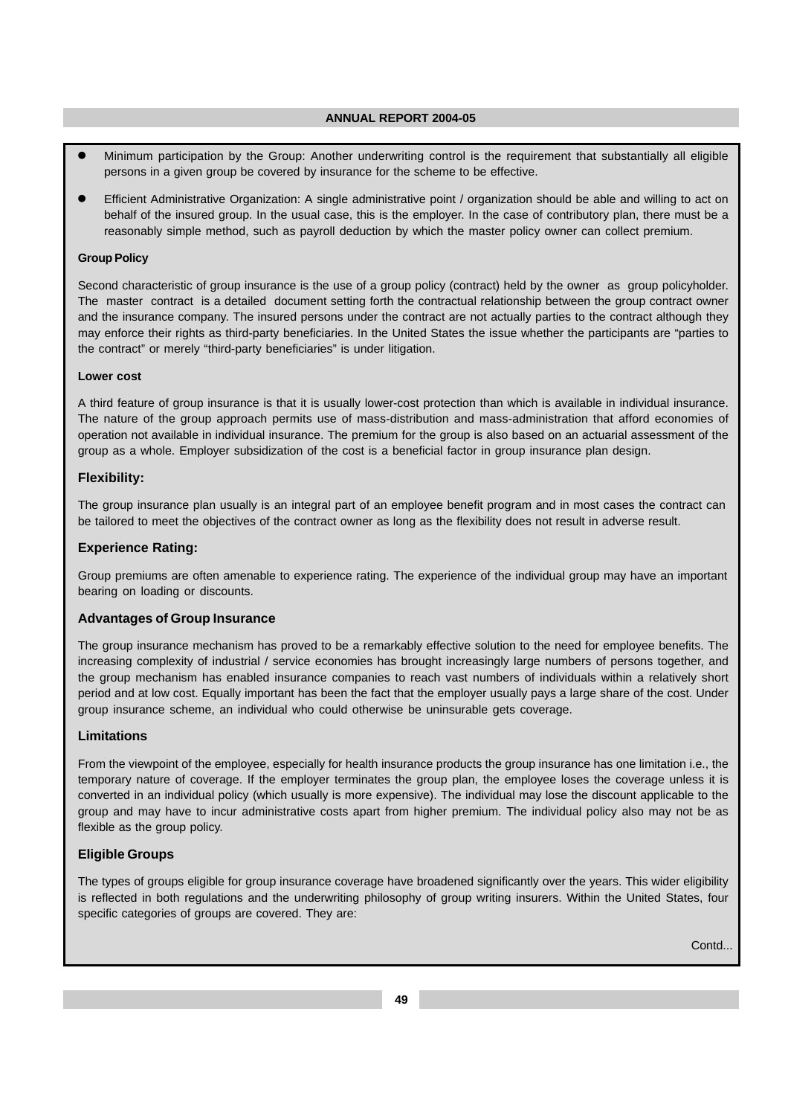- Minimum participation by the Group: Another underwriting control is the requirement that substantially all eligible persons in a given group be covered by insurance for the scheme to be effective.
- Efficient Administrative Organization: A single administrative point / organization should be able and willing to act on behalf of the insured group. In the usual case, this is the employer. In the case of contributory plan, there must be a reasonably simple method, such as payroll deduction by which the master policy owner can collect premium.

## **Group Policy**

Second characteristic of group insurance is the use of a group policy (contract) held by the owner as group policyholder. The master contract is a detailed document setting forth the contractual relationship between the group contract owner and the insurance company. The insured persons under the contract are not actually parties to the contract although they may enforce their rights as third-party beneficiaries. In the United States the issue whether the participants are "parties to the contract" or merely "third-party beneficiaries" is under litigation.

#### **Lower cost**

A third feature of group insurance is that it is usually lower-cost protection than which is available in individual insurance. The nature of the group approach permits use of mass-distribution and mass-administration that afford economies of operation not available in individual insurance. The premium for the group is also based on an actuarial assessment of the group as a whole. Employer subsidization of the cost is a beneficial factor in group insurance plan design.

## **Flexibility:**

The group insurance plan usually is an integral part of an employee benefit program and in most cases the contract can be tailored to meet the objectives of the contract owner as long as the flexibility does not result in adverse result.

## **Experience Rating:**

Group premiums are often amenable to experience rating. The experience of the individual group may have an important bearing on loading or discounts.

## **Advantages of Group Insurance**

The group insurance mechanism has proved to be a remarkably effective solution to the need for employee benefits. The increasing complexity of industrial / service economies has brought increasingly large numbers of persons together, and the group mechanism has enabled insurance companies to reach vast numbers of individuals within a relatively short period and at low cost. Equally important has been the fact that the employer usually pays a large share of the cost. Under group insurance scheme, an individual who could otherwise be uninsurable gets coverage.

## **Limitations**

From the viewpoint of the employee, especially for health insurance products the group insurance has one limitation i.e., the temporary nature of coverage. If the employer terminates the group plan, the employee loses the coverage unless it is converted in an individual policy (which usually is more expensive). The individual may lose the discount applicable to the group and may have to incur administrative costs apart from higher premium. The individual policy also may not be as flexible as the group policy.

## **Eligible Groups**

The types of groups eligible for group insurance coverage have broadened significantly over the years. This wider eligibility is reflected in both regulations and the underwriting philosophy of group writing insurers. Within the United States, four specific categories of groups are covered. They are: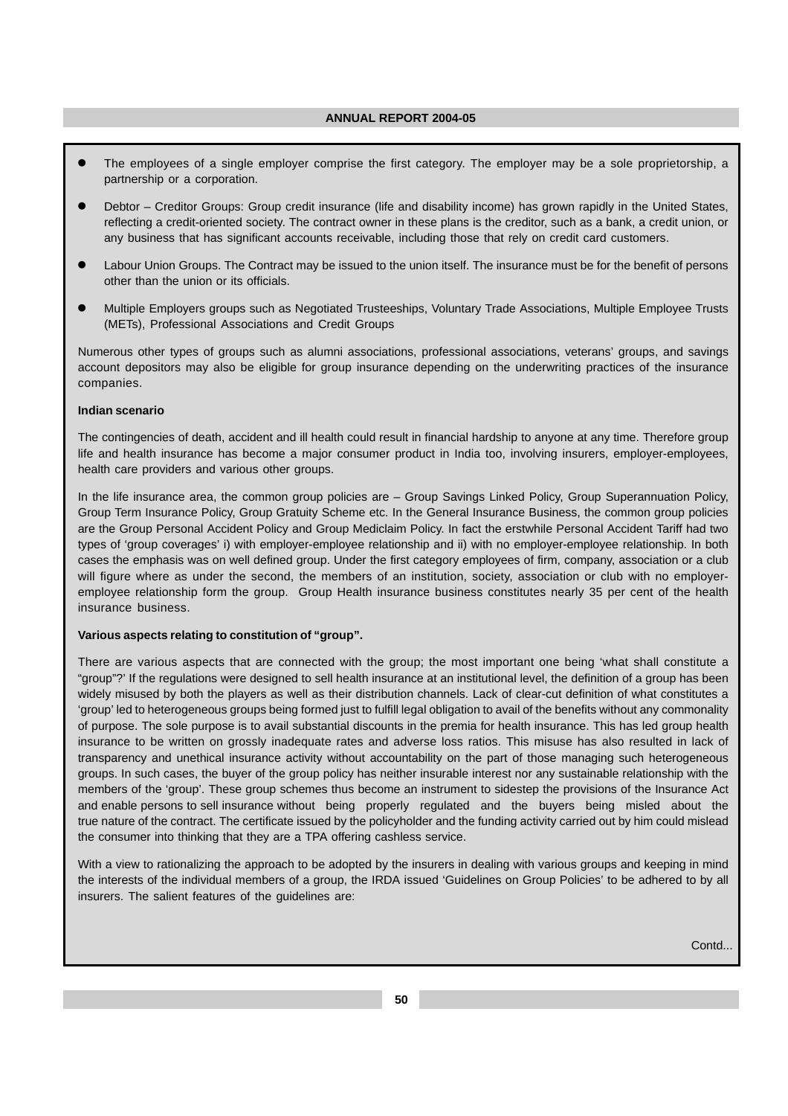- The employees of a single employer comprise the first category. The employer may be a sole proprietorship, a partnership or a corporation.
- Debtor Creditor Groups: Group credit insurance (life and disability income) has grown rapidly in the United States, reflecting a credit-oriented society. The contract owner in these plans is the creditor, such as a bank, a credit union, or any business that has significant accounts receivable, including those that rely on credit card customers.
- Labour Union Groups. The Contract may be issued to the union itself. The insurance must be for the benefit of persons other than the union or its officials.
- Multiple Employers groups such as Negotiated Trusteeships, Voluntary Trade Associations, Multiple Employee Trusts (METs), Professional Associations and Credit Groups

Numerous other types of groups such as alumni associations, professional associations, veterans' groups, and savings account depositors may also be eligible for group insurance depending on the underwriting practices of the insurance companies.

## **Indian scenario**

The contingencies of death, accident and ill health could result in financial hardship to anyone at any time. Therefore group life and health insurance has become a major consumer product in India too, involving insurers, employer-employees, health care providers and various other groups.

In the life insurance area, the common group policies are – Group Savings Linked Policy, Group Superannuation Policy, Group Term Insurance Policy, Group Gratuity Scheme etc. In the General Insurance Business, the common group policies are the Group Personal Accident Policy and Group Mediclaim Policy. In fact the erstwhile Personal Accident Tariff had two types of 'group coverages' i) with employer-employee relationship and ii) with no employer-employee relationship. In both cases the emphasis was on well defined group. Under the first category employees of firm, company, association or a club will figure where as under the second, the members of an institution, society, association or club with no employeremployee relationship form the group. Group Health insurance business constitutes nearly 35 per cent of the health insurance business.

## **Various aspects relating to constitution of "group".**

There are various aspects that are connected with the group; the most important one being 'what shall constitute a "group"?' If the regulations were designed to sell health insurance at an institutional level, the definition of a group has been widely misused by both the players as well as their distribution channels. Lack of clear-cut definition of what constitutes a 'group' led to heterogeneous groups being formed just to fulfill legal obligation to avail of the benefits without any commonality of purpose. The sole purpose is to avail substantial discounts in the premia for health insurance. This has led group health insurance to be written on grossly inadequate rates and adverse loss ratios. This misuse has also resulted in lack of transparency and unethical insurance activity without accountability on the part of those managing such heterogeneous groups. In such cases, the buyer of the group policy has neither insurable interest nor any sustainable relationship with the members of the 'group'. These group schemes thus become an instrument to sidestep the provisions of the Insurance Act and enable persons to sell insurance without being properly regulated and the buyers being misled about the true nature of the contract. The certificate issued by the policyholder and the funding activity carried out by him could mislead the consumer into thinking that they are a TPA offering cashless service.

With a view to rationalizing the approach to be adopted by the insurers in dealing with various groups and keeping in mind the interests of the individual members of a group, the IRDA issued 'Guidelines on Group Policies' to be adhered to by all insurers. The salient features of the guidelines are: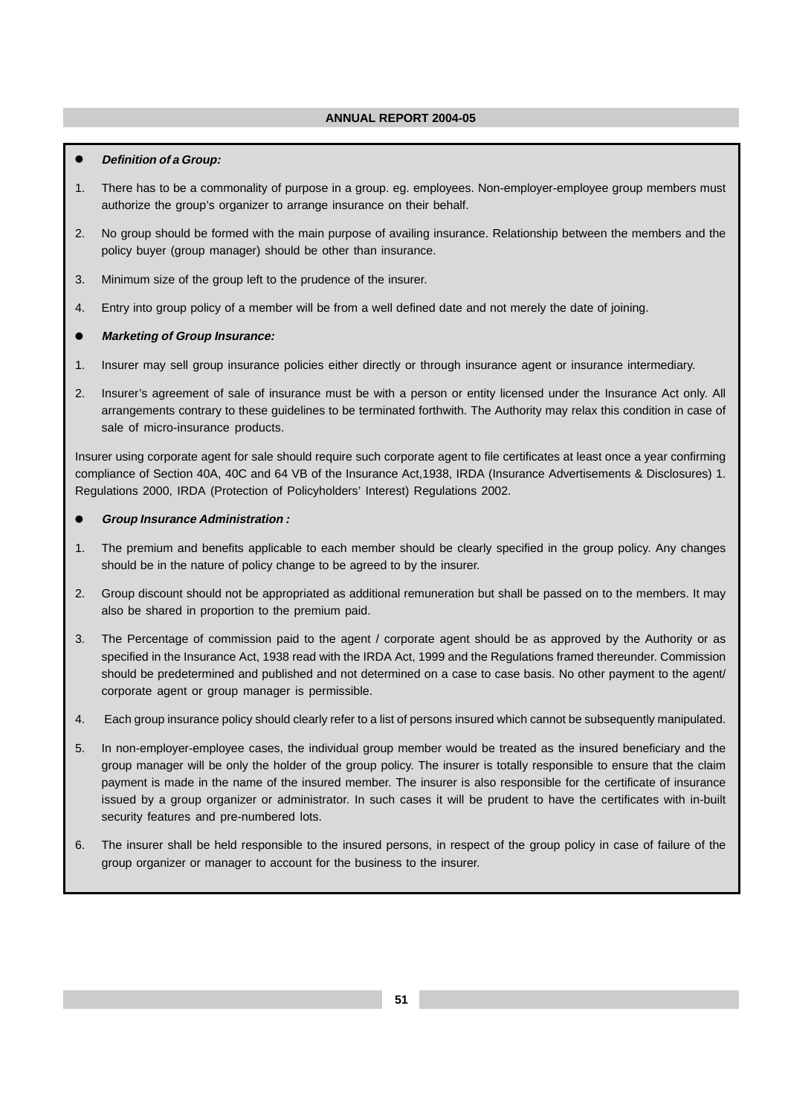## **Definition of a Group:**

- 1. There has to be a commonality of purpose in a group. eg. employees. Non-employer-employee group members must authorize the group's organizer to arrange insurance on their behalf.
- 2. No group should be formed with the main purpose of availing insurance. Relationship between the members and the policy buyer (group manager) should be other than insurance.
- 3. Minimum size of the group left to the prudence of the insurer.
- 4. Entry into group policy of a member will be from a well defined date and not merely the date of joining.

## **Marketing of Group Insurance:**

- 1. Insurer may sell group insurance policies either directly or through insurance agent or insurance intermediary.
- 2. Insurer's agreement of sale of insurance must be with a person or entity licensed under the Insurance Act only. All arrangements contrary to these guidelines to be terminated forthwith. The Authority may relax this condition in case of sale of micro-insurance products.

Insurer using corporate agent for sale should require such corporate agent to file certificates at least once a year confirming compliance of Section 40A, 40C and 64 VB of the Insurance Act,1938, IRDA (Insurance Advertisements & Disclosures) 1. Regulations 2000, IRDA (Protection of Policyholders' Interest) Regulations 2002.

## **Group Insurance Administration :**

- 1. The premium and benefits applicable to each member should be clearly specified in the group policy. Any changes should be in the nature of policy change to be agreed to by the insurer.
- 2. Group discount should not be appropriated as additional remuneration but shall be passed on to the members. It may also be shared in proportion to the premium paid.
- 3. The Percentage of commission paid to the agent / corporate agent should be as approved by the Authority or as specified in the Insurance Act, 1938 read with the IRDA Act, 1999 and the Regulations framed thereunder. Commission should be predetermined and published and not determined on a case to case basis. No other payment to the agent/ corporate agent or group manager is permissible.
- 4. Each group insurance policy should clearly refer to a list of persons insured which cannot be subsequently manipulated.
- 5. In non-employer-employee cases, the individual group member would be treated as the insured beneficiary and the group manager will be only the holder of the group policy. The insurer is totally responsible to ensure that the claim payment is made in the name of the insured member. The insurer is also responsible for the certificate of insurance issued by a group organizer or administrator. In such cases it will be prudent to have the certificates with in-built security features and pre-numbered lots.
- 6. The insurer shall be held responsible to the insured persons, in respect of the group policy in case of failure of the group organizer or manager to account for the business to the insurer.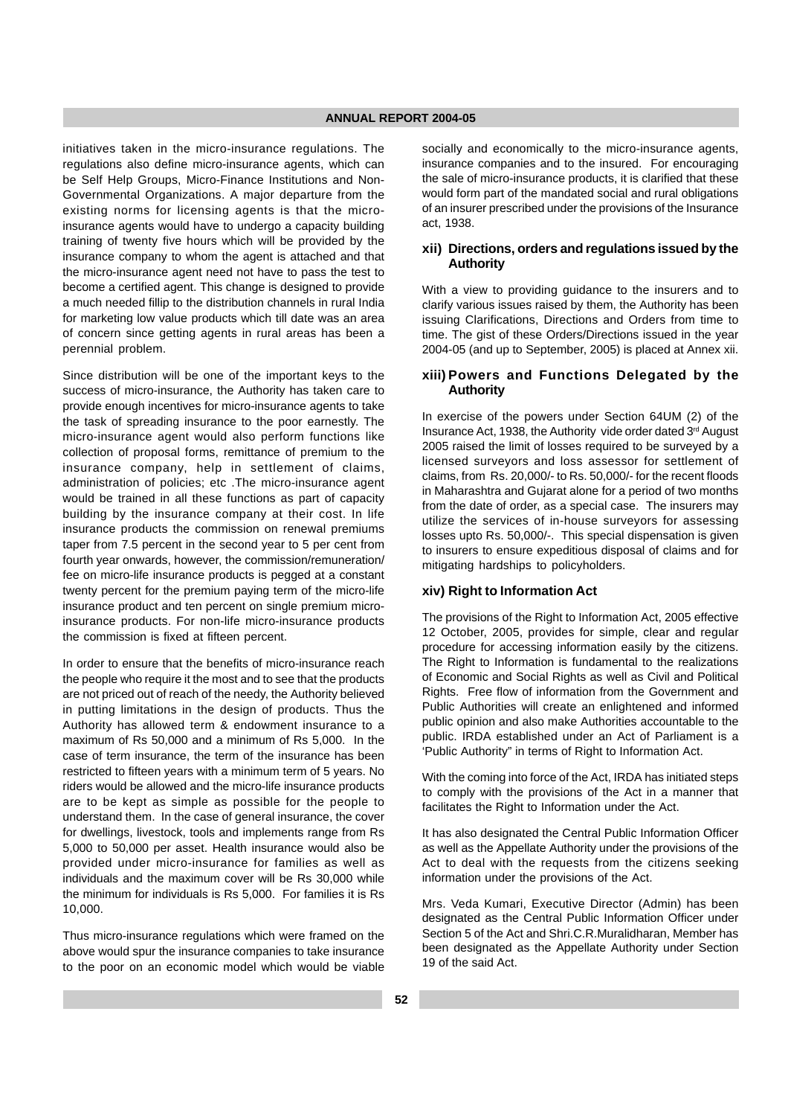initiatives taken in the micro-insurance regulations. The regulations also define micro-insurance agents, which can be Self Help Groups, Micro-Finance Institutions and Non-Governmental Organizations. A major departure from the existing norms for licensing agents is that the microinsurance agents would have to undergo a capacity building training of twenty five hours which will be provided by the insurance company to whom the agent is attached and that the micro-insurance agent need not have to pass the test to become a certified agent. This change is designed to provide a much needed fillip to the distribution channels in rural India for marketing low value products which till date was an area of concern since getting agents in rural areas has been a perennial problem.

Since distribution will be one of the important keys to the success of micro-insurance, the Authority has taken care to provide enough incentives for micro-insurance agents to take the task of spreading insurance to the poor earnestly. The micro-insurance agent would also perform functions like collection of proposal forms, remittance of premium to the insurance company, help in settlement of claims, administration of policies; etc .The micro-insurance agent would be trained in all these functions as part of capacity building by the insurance company at their cost. In life insurance products the commission on renewal premiums taper from 7.5 percent in the second year to 5 per cent from fourth year onwards, however, the commission/remuneration/ fee on micro-life insurance products is pegged at a constant twenty percent for the premium paying term of the micro-life insurance product and ten percent on single premium microinsurance products. For non-life micro-insurance products the commission is fixed at fifteen percent.

In order to ensure that the benefits of micro-insurance reach the people who require it the most and to see that the products are not priced out of reach of the needy, the Authority believed in putting limitations in the design of products. Thus the Authority has allowed term & endowment insurance to a maximum of Rs 50,000 and a minimum of Rs 5,000. In the case of term insurance, the term of the insurance has been restricted to fifteen years with a minimum term of 5 years. No riders would be allowed and the micro-life insurance products are to be kept as simple as possible for the people to understand them. In the case of general insurance, the cover for dwellings, livestock, tools and implements range from Rs 5,000 to 50,000 per asset. Health insurance would also be provided under micro-insurance for families as well as individuals and the maximum cover will be Rs 30,000 while the minimum for individuals is Rs 5,000. For families it is Rs 10,000.

Thus micro-insurance regulations which were framed on the above would spur the insurance companies to take insurance to the poor on an economic model which would be viable socially and economically to the micro-insurance agents, insurance companies and to the insured. For encouraging the sale of micro-insurance products, it is clarified that these would form part of the mandated social and rural obligations of an insurer prescribed under the provisions of the Insurance act, 1938.

## **xii) Directions, orders and regulations issued by the Authority**

With a view to providing quidance to the insurers and to clarify various issues raised by them, the Authority has been issuing Clarifications, Directions and Orders from time to time. The gist of these Orders/Directions issued in the year 2004-05 (and up to September, 2005) is placed at Annex xii.

## **xiii) Powers and Functions Delegated by the Authority**

In exercise of the powers under Section 64UM (2) of the Insurance Act, 1938, the Authority vide order dated 3<sup>rd</sup> August 2005 raised the limit of losses required to be surveyed by a licensed surveyors and loss assessor for settlement of claims, from Rs. 20,000/- to Rs. 50,000/- for the recent floods in Maharashtra and Gujarat alone for a period of two months from the date of order, as a special case. The insurers may utilize the services of in-house surveyors for assessing losses upto Rs. 50,000/-. This special dispensation is given to insurers to ensure expeditious disposal of claims and for mitigating hardships to policyholders.

## **xiv) Right to Information Act**

The provisions of the Right to Information Act, 2005 effective 12 October, 2005, provides for simple, clear and regular procedure for accessing information easily by the citizens. The Right to Information is fundamental to the realizations of Economic and Social Rights as well as Civil and Political Rights. Free flow of information from the Government and Public Authorities will create an enlightened and informed public opinion and also make Authorities accountable to the public. IRDA established under an Act of Parliament is a 'Public Authority" in terms of Right to Information Act.

With the coming into force of the Act, IRDA has initiated steps to comply with the provisions of the Act in a manner that facilitates the Right to Information under the Act.

It has also designated the Central Public Information Officer as well as the Appellate Authority under the provisions of the Act to deal with the requests from the citizens seeking information under the provisions of the Act.

Mrs. Veda Kumari, Executive Director (Admin) has been designated as the Central Public Information Officer under Section 5 of the Act and Shri.C.R.Muralidharan, Member has been designated as the Appellate Authority under Section 19 of the said Act.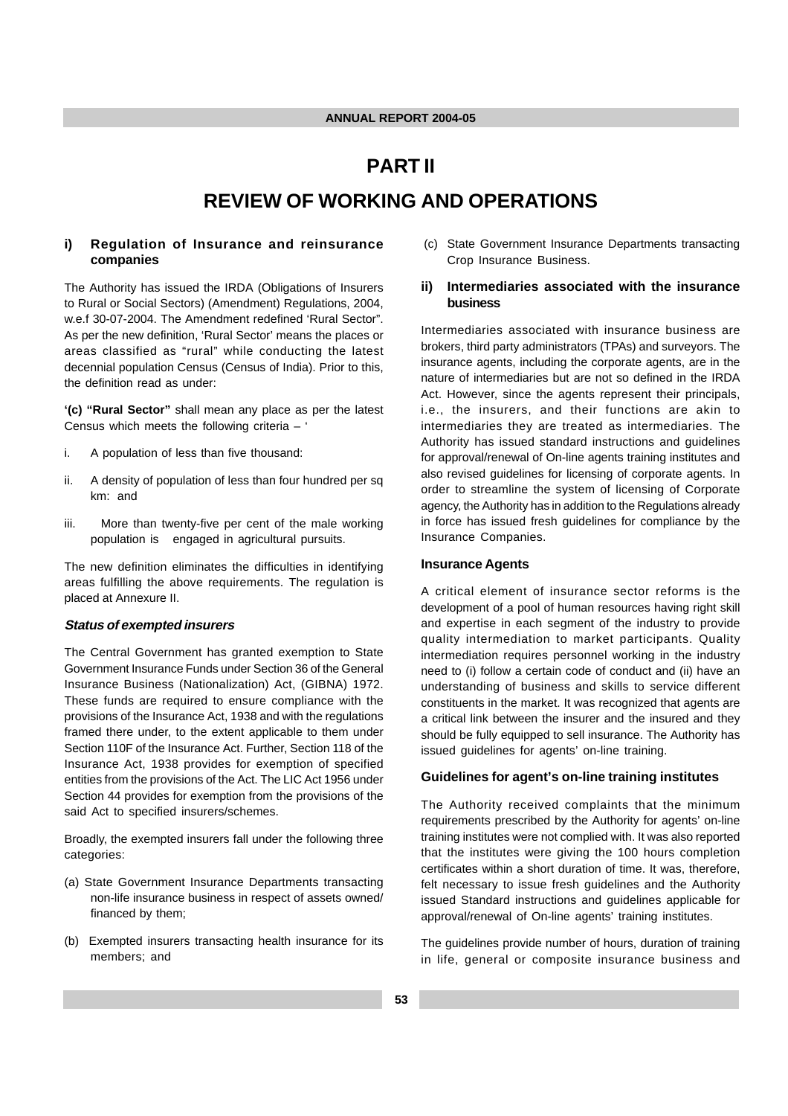# **PART II REVIEW OF WORKING AND OPERATIONS**

## **i) Regulation of Insurance and reinsurance companies**

The Authority has issued the IRDA (Obligations of Insurers to Rural or Social Sectors) (Amendment) Regulations, 2004, w.e.f 30-07-2004. The Amendment redefined 'Rural Sector". As per the new definition, 'Rural Sector' means the places or areas classified as "rural" while conducting the latest decennial population Census (Census of India). Prior to this, the definition read as under:

**'(c) "Rural Sector"** shall mean any place as per the latest Census which meets the following criteria – '

- i. A population of less than five thousand:
- ii. A density of population of less than four hundred per sq km: and
- iii. More than twenty-five per cent of the male working population is engaged in agricultural pursuits.

The new definition eliminates the difficulties in identifying areas fulfilling the above requirements. The regulation is placed at Annexure II.

#### **Status of exempted insurers**

The Central Government has granted exemption to State Government Insurance Funds under Section 36 of the General Insurance Business (Nationalization) Act, (GIBNA) 1972. These funds are required to ensure compliance with the provisions of the Insurance Act, 1938 and with the regulations framed there under, to the extent applicable to them under Section 110F of the Insurance Act. Further, Section 118 of the Insurance Act, 1938 provides for exemption of specified entities from the provisions of the Act. The LIC Act 1956 under Section 44 provides for exemption from the provisions of the said Act to specified insurers/schemes.

Broadly, the exempted insurers fall under the following three categories:

- (a) State Government Insurance Departments transacting non-life insurance business in respect of assets owned/ financed by them;
- (b) Exempted insurers transacting health insurance for its members; and

 (c) State Government Insurance Departments transacting Crop Insurance Business.

## **ii) Intermediaries associated with the insurance business**

Intermediaries associated with insurance business are brokers, third party administrators (TPAs) and surveyors. The insurance agents, including the corporate agents, are in the nature of intermediaries but are not so defined in the IRDA Act. However, since the agents represent their principals, i.e., the insurers, and their functions are akin to intermediaries they are treated as intermediaries. The Authority has issued standard instructions and guidelines for approval/renewal of On-line agents training institutes and also revised guidelines for licensing of corporate agents. In order to streamline the system of licensing of Corporate agency, the Authority has in addition to the Regulations already in force has issued fresh guidelines for compliance by the Insurance Companies.

## **Insurance Agents**

A critical element of insurance sector reforms is the development of a pool of human resources having right skill and expertise in each segment of the industry to provide quality intermediation to market participants. Quality intermediation requires personnel working in the industry need to (i) follow a certain code of conduct and (ii) have an understanding of business and skills to service different constituents in the market. It was recognized that agents are a critical link between the insurer and the insured and they should be fully equipped to sell insurance. The Authority has issued guidelines for agents' on-line training.

## **Guidelines for agent's on-line training institutes**

The Authority received complaints that the minimum requirements prescribed by the Authority for agents' on-line training institutes were not complied with. It was also reported that the institutes were giving the 100 hours completion certificates within a short duration of time. It was, therefore, felt necessary to issue fresh guidelines and the Authority issued Standard instructions and guidelines applicable for approval/renewal of On-line agents' training institutes.

The guidelines provide number of hours, duration of training in life, general or composite insurance business and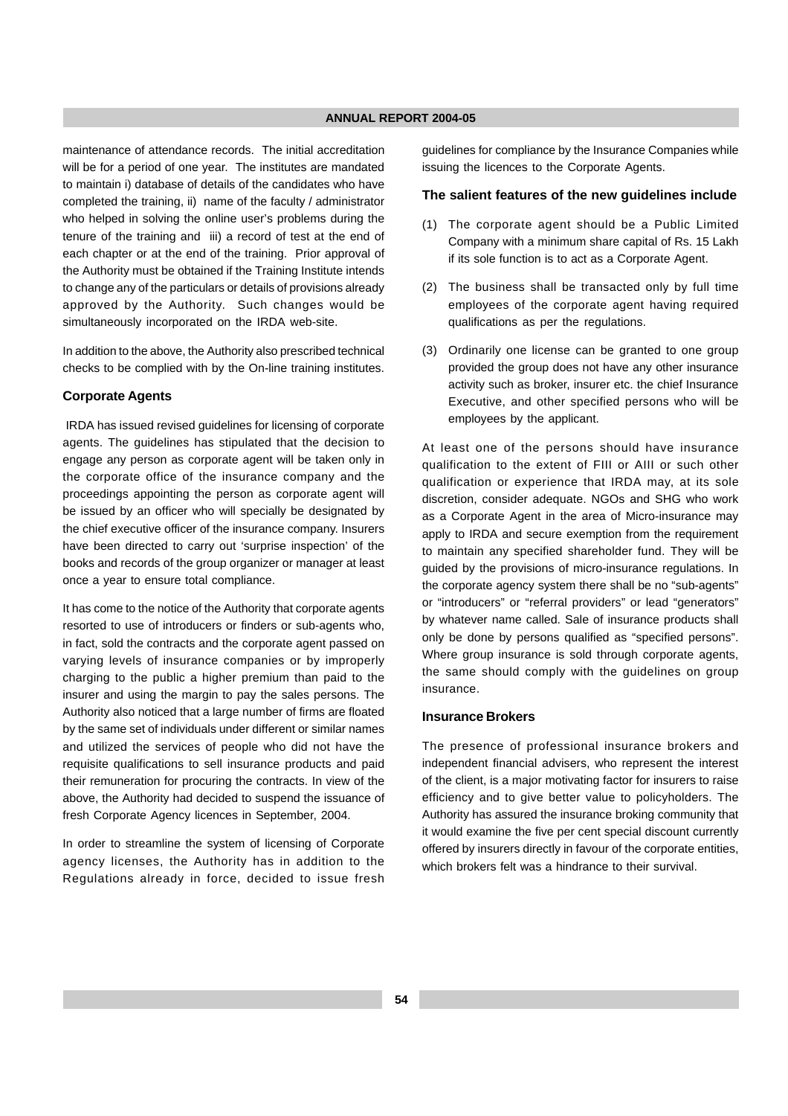maintenance of attendance records. The initial accreditation will be for a period of one year. The institutes are mandated to maintain i) database of details of the candidates who have completed the training, ii) name of the faculty / administrator who helped in solving the online user's problems during the tenure of the training and iii) a record of test at the end of each chapter or at the end of the training. Prior approval of the Authority must be obtained if the Training Institute intends to change any of the particulars or details of provisions already approved by the Authority. Such changes would be simultaneously incorporated on the IRDA web-site.

In addition to the above, the Authority also prescribed technical checks to be complied with by the On-line training institutes.

## **Corporate Agents**

IRDA has issued revised guidelines for licensing of corporate agents. The guidelines has stipulated that the decision to engage any person as corporate agent will be taken only in the corporate office of the insurance company and the proceedings appointing the person as corporate agent will be issued by an officer who will specially be designated by the chief executive officer of the insurance company. Insurers have been directed to carry out 'surprise inspection' of the books and records of the group organizer or manager at least once a year to ensure total compliance.

It has come to the notice of the Authority that corporate agents resorted to use of introducers or finders or sub-agents who, in fact, sold the contracts and the corporate agent passed on varying levels of insurance companies or by improperly charging to the public a higher premium than paid to the insurer and using the margin to pay the sales persons. The Authority also noticed that a large number of firms are floated by the same set of individuals under different or similar names and utilized the services of people who did not have the requisite qualifications to sell insurance products and paid their remuneration for procuring the contracts. In view of the above, the Authority had decided to suspend the issuance of fresh Corporate Agency licences in September, 2004.

In order to streamline the system of licensing of Corporate agency licenses, the Authority has in addition to the Regulations already in force, decided to issue fresh guidelines for compliance by the Insurance Companies while issuing the licences to the Corporate Agents.

## **The salient features of the new guidelines include**

- (1) The corporate agent should be a Public Limited Company with a minimum share capital of Rs. 15 Lakh if its sole function is to act as a Corporate Agent.
- (2) The business shall be transacted only by full time employees of the corporate agent having required qualifications as per the regulations.
- (3) Ordinarily one license can be granted to one group provided the group does not have any other insurance activity such as broker, insurer etc. the chief Insurance Executive, and other specified persons who will be employees by the applicant.

At least one of the persons should have insurance qualification to the extent of FIII or AIII or such other qualification or experience that IRDA may, at its sole discretion, consider adequate. NGOs and SHG who work as a Corporate Agent in the area of Micro-insurance may apply to IRDA and secure exemption from the requirement to maintain any specified shareholder fund. They will be guided by the provisions of micro-insurance regulations. In the corporate agency system there shall be no "sub-agents" or "introducers" or "referral providers" or lead "generators" by whatever name called. Sale of insurance products shall only be done by persons qualified as "specified persons". Where group insurance is sold through corporate agents, the same should comply with the guidelines on group insurance.

## **Insurance Brokers**

The presence of professional insurance brokers and independent financial advisers, who represent the interest of the client, is a major motivating factor for insurers to raise efficiency and to give better value to policyholders. The Authority has assured the insurance broking community that it would examine the five per cent special discount currently offered by insurers directly in favour of the corporate entities, which brokers felt was a hindrance to their survival.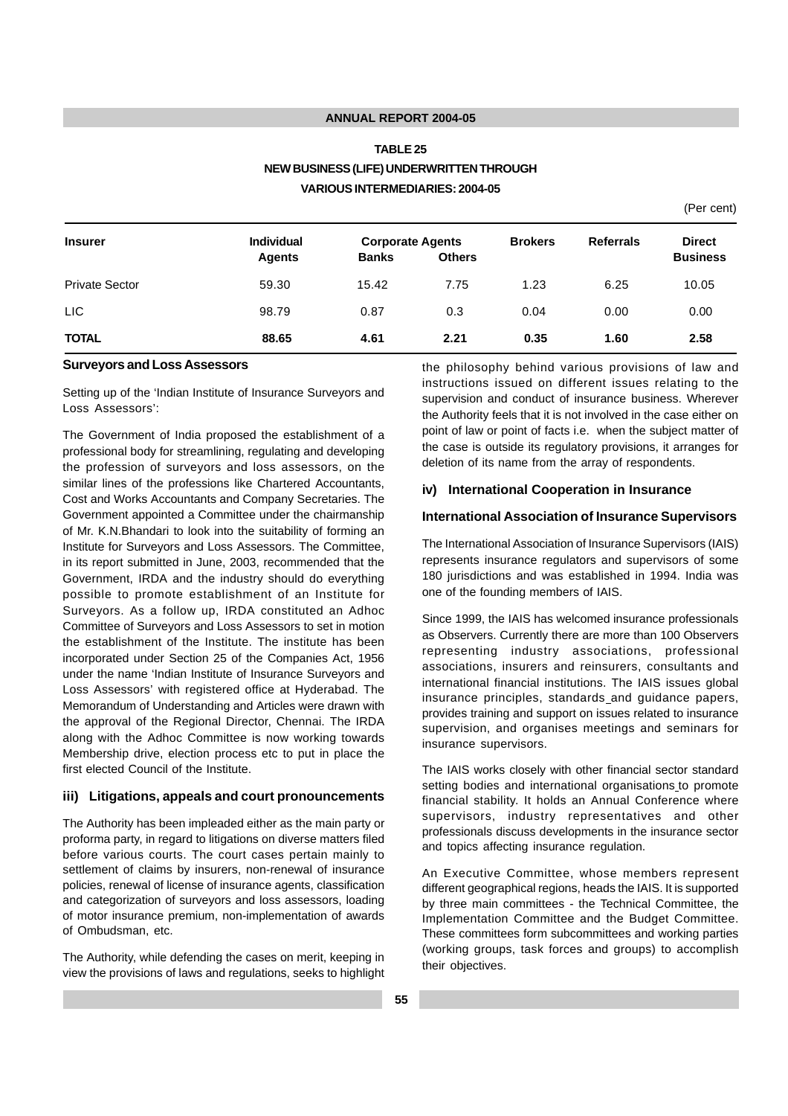# **TABLE 25 NEW BUSINESS (LIFE) UNDERWRITTEN THROUGH VARIOUS INTERMEDIARIES: 2004-05**

(Per cent)

| <b>Insurer</b>        | <b>Individual</b><br><b>Agents</b> | <b>Corporate Agents</b><br><b>Banks</b> | <b>Others</b> | <b>Brokers</b> | <b>Referrals</b> | <b>Direct</b><br><b>Business</b> |
|-----------------------|------------------------------------|-----------------------------------------|---------------|----------------|------------------|----------------------------------|
| <b>Private Sector</b> | 59.30                              | 15.42                                   | 7.75          | 1.23           | 6.25             | 10.05                            |
| <b>LIC</b>            | 98.79                              | 0.87                                    | 0.3           | 0.04           | 0.00             | 0.00                             |
| <b>TOTAL</b>          | 88.65                              | 4.61                                    | 2.21          | 0.35           | 1.60             | 2.58                             |

#### **Surveyors and Loss Assessors**

Setting up of the 'Indian Institute of Insurance Surveyors and Loss Assessors':

The Government of India proposed the establishment of a professional body for streamlining, regulating and developing the profession of surveyors and loss assessors, on the similar lines of the professions like Chartered Accountants, Cost and Works Accountants and Company Secretaries. The Government appointed a Committee under the chairmanship of Mr. K.N.Bhandari to look into the suitability of forming an Institute for Surveyors and Loss Assessors. The Committee, in its report submitted in June, 2003, recommended that the Government, IRDA and the industry should do everything possible to promote establishment of an Institute for Surveyors. As a follow up, IRDA constituted an Adhoc Committee of Surveyors and Loss Assessors to set in motion the establishment of the Institute. The institute has been incorporated under Section 25 of the Companies Act, 1956 under the name 'Indian Institute of Insurance Surveyors and Loss Assessors' with registered office at Hyderabad. The Memorandum of Understanding and Articles were drawn with the approval of the Regional Director, Chennai. The IRDA along with the Adhoc Committee is now working towards Membership drive, election process etc to put in place the first elected Council of the Institute.

#### **iii) Litigations, appeals and court pronouncements**

The Authority has been impleaded either as the main party or proforma party, in regard to litigations on diverse matters filed before various courts. The court cases pertain mainly to settlement of claims by insurers, non-renewal of insurance policies, renewal of license of insurance agents, classification and categorization of surveyors and loss assessors, loading of motor insurance premium, non-implementation of awards of Ombudsman, etc.

The Authority, while defending the cases on merit, keeping in view the provisions of laws and regulations, seeks to highlight the philosophy behind various provisions of law and instructions issued on different issues relating to the supervision and conduct of insurance business. Wherever the Authority feels that it is not involved in the case either on point of law or point of facts i.e. when the subject matter of the case is outside its regulatory provisions, it arranges for deletion of its name from the array of respondents.

## **iv) International Cooperation in Insurance**

## **International Association of Insurance Supervisors**

The International Association of Insurance Supervisors (IAIS) represents insurance regulators and supervisors of some 180 jurisdictions and was established in 1994. India was one of the founding members of IAIS.

Since 1999, the IAIS has welcomed insurance professionals as Observers. Currently there are more than 100 Observers representing industry associations, professional associations, insurers and reinsurers, consultants and international financial institutions. The IAIS issues global insurance principles, standards and guidance papers, provides training and support on issues related to insurance supervision, and organises meetings and seminars for insurance supervisors.

The IAIS works closely with other financial sector standard setting bodies and international organisations to promote financial stability. It holds an Annual Conference where supervisors, industry representatives and other professionals discuss developments in the insurance sector and topics affecting insurance regulation.

An Executive Committee, whose members represent different geographical regions, heads the IAIS. It is supported by three main committees - the Technical Committee, the Implementation Committee and the Budget Committee. These committees form subcommittees and working parties (working groups, task forces and groups) to accomplish their objectives.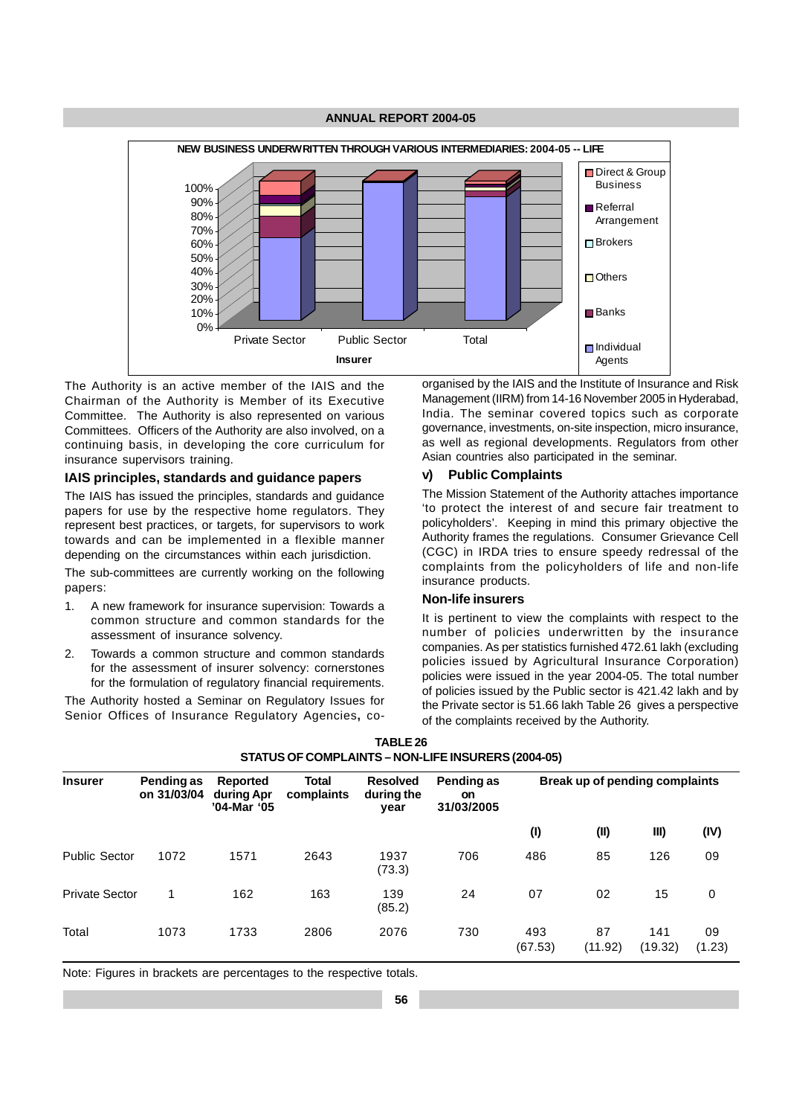

The Authority is an active member of the IAIS and the Chairman of the Authority is Member of its Executive Committee. The Authority is also represented on various Committees. Officers of the Authority are also involved, on a continuing basis, in developing the core curriculum for insurance supervisors training.

## **IAIS principles, standards and guidance papers**

The IAIS has issued the principles, standards and guidance papers for use by the respective home regulators. They represent best practices, or targets, for supervisors to work towards and can be implemented in a flexible manner depending on the circumstances within each jurisdiction.

The sub-committees are currently working on the following papers:

- 1. A new framework for insurance supervision: Towards a common structure and common standards for the assessment of insurance solvency.
- 2. Towards a common structure and common standards for the assessment of insurer solvency: cornerstones for the formulation of regulatory financial requirements.

The Authority hosted a Seminar on Regulatory Issues for Senior Offices of Insurance Regulatory Agencies**,** coorganised by the IAIS and the Institute of Insurance and Risk Management (IIRM) from 14-16 November 2005 in Hyderabad, India. The seminar covered topics such as corporate governance, investments, on-site inspection, micro insurance, as well as regional developments. Regulators from other Asian countries also participated in the seminar.

## **v) Public Complaints**

The Mission Statement of the Authority attaches importance 'to protect the interest of and secure fair treatment to policyholders'. Keeping in mind this primary objective the Authority frames the regulations. Consumer Grievance Cell (CGC) in IRDA tries to ensure speedy redressal of the complaints from the policyholders of life and non-life insurance products.

#### **Non-life insurers**

It is pertinent to view the complaints with respect to the number of policies underwritten by the insurance companies. As per statistics furnished 472.61 lakh (excluding policies issued by Agricultural Insurance Corporation) policies were issued in the year 2004-05. The total number of policies issued by the Public sector is 421.42 lakh and by the Private sector is 51.66 lakh Table 26 gives a perspective of the complaints received by the Authority.

| STATUS OF COMPLAINTS - NON-LIFE INSURERS (2004-05) |      |                           |                                       |                     |                                       |                                       |               |                                |              |  |
|----------------------------------------------------|------|---------------------------|---------------------------------------|---------------------|---------------------------------------|---------------------------------------|---------------|--------------------------------|--------------|--|
| <b>Insurer</b>                                     |      | Pending as<br>on 31/03/04 | Reported<br>during Apr<br>'04-Mar '05 | Total<br>complaints | <b>Resolved</b><br>during the<br>year | Pending as<br><b>on</b><br>31/03/2005 |               | Break up of pending complaints |              |  |
|                                                    |      |                           |                                       |                     |                                       | (1)                                   | (II)          | III)                           | (IV)         |  |
| <b>Public Sector</b>                               | 1072 | 1571                      | 2643                                  | 1937<br>(73.3)      | 706                                   | 486                                   | 85            | 126                            | 09           |  |
| <b>Private Sector</b>                              | 1    | 162                       | 163                                   | 139<br>(85.2)       | 24                                    | 07                                    | 02            | 15                             | 0            |  |
| Total                                              | 1073 | 1733                      | 2806                                  | 2076                | 730                                   | 493<br>(67.53)                        | 87<br>(11.92) | 141<br>(19.32)                 | 09<br>(1.23) |  |

| TABLE 26                                           |
|----------------------------------------------------|
| STATUS OF COMPLAINTS - NON-LIFE INSURERS (2004-05) |

Note: Figures in brackets are percentages to the respective totals.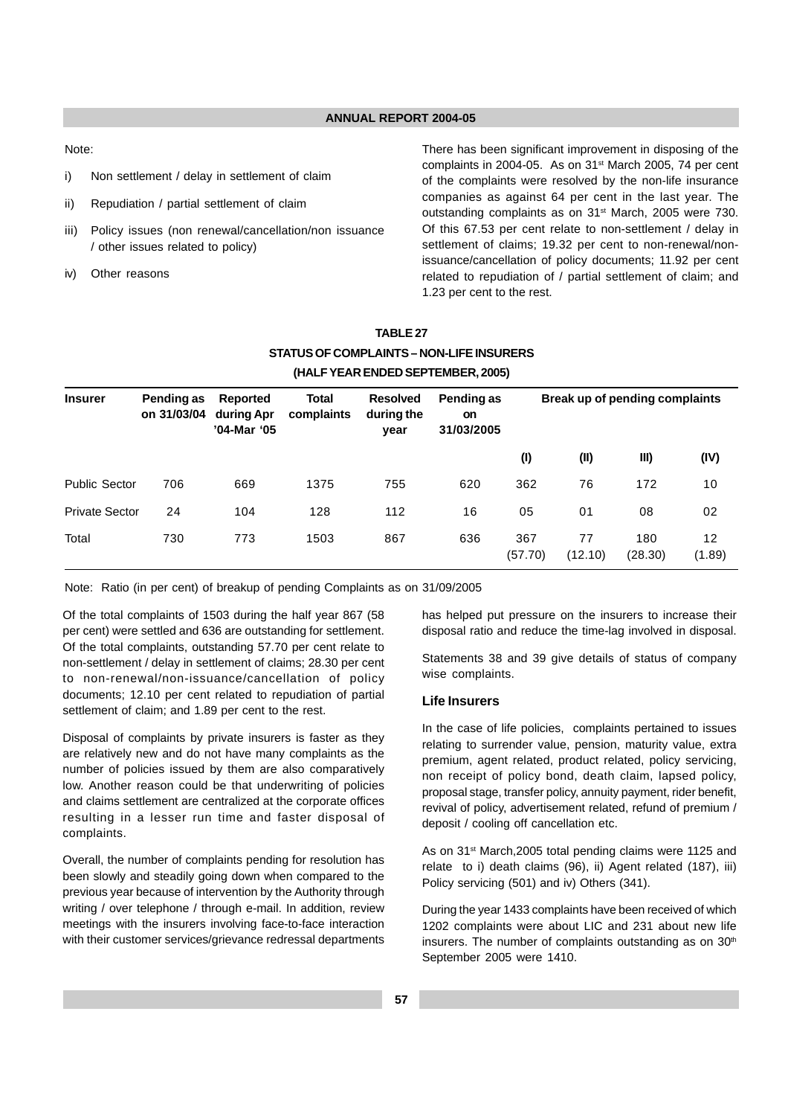Note:

- i) Non settlement / delay in settlement of claim
- ii) Repudiation / partial settlement of claim
- iii) Policy issues (non renewal/cancellation/non issuance / other issues related to policy)
- iv) Other reasons

There has been significant improvement in disposing of the complaints in 2004-05. As on 31<sup>st</sup> March 2005, 74 per cent of the complaints were resolved by the non-life insurance companies as against 64 per cent in the last year. The outstanding complaints as on 31<sup>st</sup> March, 2005 were 730. Of this 67.53 per cent relate to non-settlement / delay in settlement of claims; 19.32 per cent to non-renewal/nonissuance/cancellation of policy documents; 11.92 per cent related to repudiation of / partial settlement of claim; and 1.23 per cent to the rest.

## **TABLE 27 STATUS OF COMPLAINTS – NON-LIFE INSURERS (HALF YEAR ENDED SEPTEMBER, 2005)**

| <b>Insurer</b>        | Pending as<br>on 31/03/04 | Reported<br>during Apr<br>'04-Mar '05 | Total<br>complaints | <b>Resolved</b><br>during the<br>year | Pending as<br><b>on</b><br>31/03/2005 |                |               | Break up of pending complaints |              |
|-----------------------|---------------------------|---------------------------------------|---------------------|---------------------------------------|---------------------------------------|----------------|---------------|--------------------------------|--------------|
|                       |                           |                                       |                     |                                       |                                       | (1)            | (II)          | III)                           | (IV)         |
| <b>Public Sector</b>  | 706                       | 669                                   | 1375                | 755                                   | 620                                   | 362            | 76            | 172                            | 10           |
| <b>Private Sector</b> | 24                        | 104                                   | 128                 | 112                                   | 16                                    | 05             | 01            | 08                             | 02           |
| Total                 | 730                       | 773                                   | 1503                | 867                                   | 636                                   | 367<br>(57.70) | 77<br>(12.10) | 180<br>(28.30)                 | 12<br>(1.89) |

Note: Ratio (in per cent) of breakup of pending Complaints as on 31/09/2005

Of the total complaints of 1503 during the half year 867 (58 per cent) were settled and 636 are outstanding for settlement. Of the total complaints, outstanding 57.70 per cent relate to non-settlement / delay in settlement of claims; 28.30 per cent to non-renewal/non-issuance/cancellation of policy documents; 12.10 per cent related to repudiation of partial settlement of claim; and 1.89 per cent to the rest.

Disposal of complaints by private insurers is faster as they are relatively new and do not have many complaints as the number of policies issued by them are also comparatively low. Another reason could be that underwriting of policies and claims settlement are centralized at the corporate offices resulting in a lesser run time and faster disposal of complaints.

Overall, the number of complaints pending for resolution has been slowly and steadily going down when compared to the previous year because of intervention by the Authority through writing / over telephone / through e-mail. In addition, review meetings with the insurers involving face-to-face interaction with their customer services/grievance redressal departments has helped put pressure on the insurers to increase their disposal ratio and reduce the time-lag involved in disposal.

Statements 38 and 39 give details of status of company wise complaints.

## **Life Insurers**

In the case of life policies, complaints pertained to issues relating to surrender value, pension, maturity value, extra premium, agent related, product related, policy servicing, non receipt of policy bond, death claim, lapsed policy, proposal stage, transfer policy, annuity payment, rider benefit, revival of policy, advertisement related, refund of premium / deposit / cooling off cancellation etc.

As on 31<sup>st</sup> March, 2005 total pending claims were 1125 and relate to i) death claims (96), ii) Agent related (187), iii) Policy servicing (501) and iv) Others (341).

During the year 1433 complaints have been received of which 1202 complaints were about LIC and 231 about new life insurers. The number of complaints outstanding as on  $30<sup>th</sup>$ September 2005 were 1410.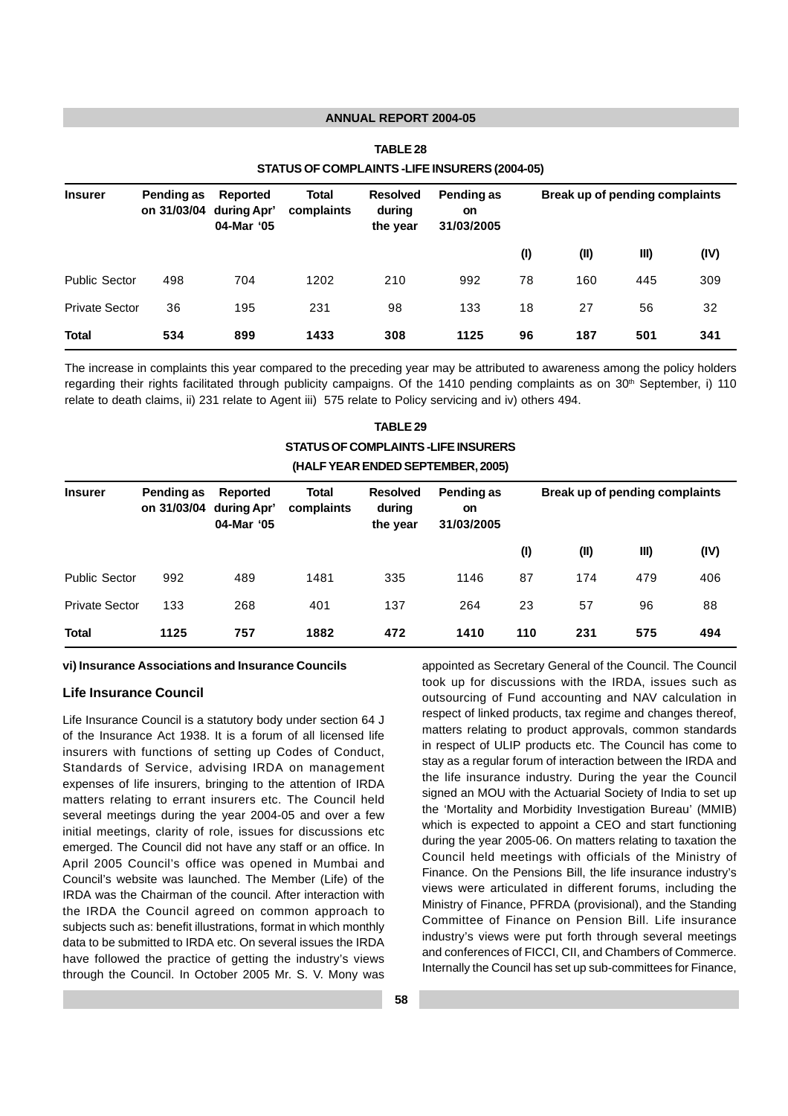| STATUS OF COMPLAINTS-LIFE INSURERS (2004-05) |                           |     |                                       |                     |                                       |                                       |      |                                |      |  |
|----------------------------------------------|---------------------------|-----|---------------------------------------|---------------------|---------------------------------------|---------------------------------------|------|--------------------------------|------|--|
| <b>Insurer</b>                               | Pending as<br>on 31/03/04 |     | Reported<br>during Apr'<br>04-Mar '05 | Total<br>complaints | <b>Resolved</b><br>during<br>the year | Pending as<br><b>on</b><br>31/03/2005 |      | Break up of pending complaints |      |  |
|                                              |                           |     |                                       |                     |                                       | (1)                                   | (II) | III)                           | (IV) |  |
| <b>Public Sector</b>                         | 498                       | 704 | 1202                                  | 210                 | 992                                   | 78                                    | 160  | 445                            | 309  |  |
| <b>Private Sector</b>                        | 36                        | 195 | 231                                   | 98                  | 133                                   | 18                                    | 27   | 56                             | 32   |  |
| <b>Total</b>                                 | 534                       | 899 | 1433                                  | 308                 | 1125                                  | 96                                    | 187  | 501                            | 341  |  |

## **TABLE 28 STATUS OF COMPLAINTS -LIFE INSURERS (2004-05)**

The increase in complaints this year compared to the preceding year may be attributed to awareness among the policy holders regarding their rights facilitated through publicity campaigns. Of the 1410 pending complaints as on 30<sup>th</sup> September, i) 110 relate to death claims, ii) 231 relate to Agent iii) 575 relate to Policy servicing and iv) others 494.

> **TABLE 29 STATUS OF COMPLAINTS -LIFE INSURERS (HALF YEAR ENDED SEPTEMBER, 2005)**

| <b>Insurer</b>        | Pending as<br>on 31/03/04 | Reported<br>during Apr'<br>04-Mar '05 | Total<br>complaints | <b>Resolved</b><br>during<br>the year | Pending as<br><b>on</b><br>31/03/2005 | Break up of pending complaints |      |      |      |
|-----------------------|---------------------------|---------------------------------------|---------------------|---------------------------------------|---------------------------------------|--------------------------------|------|------|------|
|                       |                           |                                       |                     |                                       |                                       | (1)                            | (II) | III) | (IV) |
| <b>Public Sector</b>  | 992                       | 489                                   | 1481                | 335                                   | 1146                                  | 87                             | 174  | 479  | 406  |
| <b>Private Sector</b> | 133                       | 268                                   | 401                 | 137                                   | 264                                   | 23                             | 57   | 96   | 88   |
| <b>Total</b>          | 1125                      | 757                                   | 1882                | 472                                   | 1410                                  | 110                            | 231  | 575  | 494  |

#### **vi) Insurance Associations and Insurance Councils**

## **Life Insurance Council**

Life Insurance Council is a statutory body under section 64 J of the Insurance Act 1938. It is a forum of all licensed life insurers with functions of setting up Codes of Conduct, Standards of Service, advising IRDA on management expenses of life insurers, bringing to the attention of IRDA matters relating to errant insurers etc. The Council held several meetings during the year 2004-05 and over a few initial meetings, clarity of role, issues for discussions etc emerged. The Council did not have any staff or an office. In April 2005 Council's office was opened in Mumbai and Council's website was launched. The Member (Life) of the IRDA was the Chairman of the council. After interaction with the IRDA the Council agreed on common approach to subjects such as: benefit illustrations, format in which monthly data to be submitted to IRDA etc. On several issues the IRDA have followed the practice of getting the industry's views through the Council. In October 2005 Mr. S. V. Mony was appointed as Secretary General of the Council. The Council took up for discussions with the IRDA, issues such as outsourcing of Fund accounting and NAV calculation in respect of linked products, tax regime and changes thereof, matters relating to product approvals, common standards in respect of ULIP products etc. The Council has come to stay as a regular forum of interaction between the IRDA and the life insurance industry. During the year the Council signed an MOU with the Actuarial Society of India to set up the 'Mortality and Morbidity Investigation Bureau' (MMIB) which is expected to appoint a CEO and start functioning during the year 2005-06. On matters relating to taxation the Council held meetings with officials of the Ministry of Finance. On the Pensions Bill, the life insurance industry's views were articulated in different forums, including the Ministry of Finance, PFRDA (provisional), and the Standing Committee of Finance on Pension Bill. Life insurance industry's views were put forth through several meetings and conferences of FICCI, CII, and Chambers of Commerce. Internally the Council has set up sub-committees for Finance,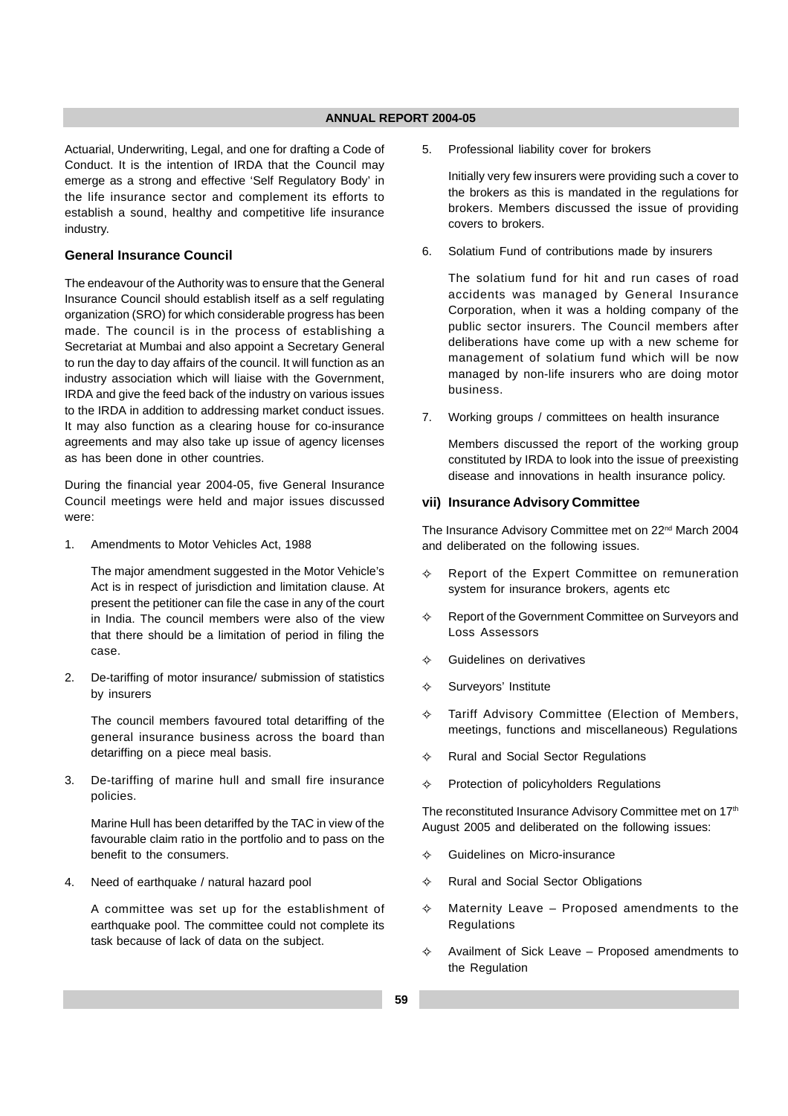Actuarial, Underwriting, Legal, and one for drafting a Code of Conduct. It is the intention of IRDA that the Council may emerge as a strong and effective 'Self Regulatory Body' in the life insurance sector and complement its efforts to establish a sound, healthy and competitive life insurance industry.

## **General Insurance Council**

The endeavour of the Authority was to ensure that the General Insurance Council should establish itself as a self regulating organization (SRO) for which considerable progress has been made. The council is in the process of establishing a Secretariat at Mumbai and also appoint a Secretary General to run the day to day affairs of the council. It will function as an industry association which will liaise with the Government, IRDA and give the feed back of the industry on various issues to the IRDA in addition to addressing market conduct issues. It may also function as a clearing house for co-insurance agreements and may also take up issue of agency licenses as has been done in other countries.

During the financial year 2004-05, five General Insurance Council meetings were held and major issues discussed were:

1. Amendments to Motor Vehicles Act, 1988

The major amendment suggested in the Motor Vehicle's Act is in respect of jurisdiction and limitation clause. At present the petitioner can file the case in any of the court in India. The council members were also of the view that there should be a limitation of period in filing the case.

2. De-tariffing of motor insurance/ submission of statistics by insurers

The council members favoured total detariffing of the general insurance business across the board than detariffing on a piece meal basis.

3. De-tariffing of marine hull and small fire insurance policies.

Marine Hull has been detariffed by the TAC in view of the favourable claim ratio in the portfolio and to pass on the benefit to the consumers.

4. Need of earthquake / natural hazard pool

A committee was set up for the establishment of earthquake pool. The committee could not complete its task because of lack of data on the subject.

5. Professional liability cover for brokers

Initially very few insurers were providing such a cover to the brokers as this is mandated in the regulations for brokers. Members discussed the issue of providing covers to brokers.

6. Solatium Fund of contributions made by insurers

The solatium fund for hit and run cases of road accidents was managed by General Insurance Corporation, when it was a holding company of the public sector insurers. The Council members after deliberations have come up with a new scheme for management of solatium fund which will be now managed by non-life insurers who are doing motor business.

7. Working groups / committees on health insurance

Members discussed the report of the working group constituted by IRDA to look into the issue of preexisting disease and innovations in health insurance policy.

## **vii) Insurance Advisory Committee**

The Insurance Advisory Committee met on 22<sup>nd</sup> March 2004 and deliberated on the following issues.

- $\leftrightarrow$  Report of the Expert Committee on remuneration system for insurance brokers, agents etc
- $\rightsquigarrow$  Report of the Government Committee on Surveyors and Loss Assessors
- $\lambda$ Guidelines on derivatives
- $\leftrightarrow$ Surveyors' Institute
- $\Leftrightarrow$  Tariff Advisory Committee (Election of Members, meetings, functions and miscellaneous) Regulations
- $\leftrightarrow$ Rural and Social Sector Regulations
- $\leftrightarrow$ Protection of policyholders Regulations

The reconstituted Insurance Advisory Committee met on 17<sup>th</sup> August 2005 and deliberated on the following issues:

- $\rightarrow$ Guidelines on Micro-insurance
- $\lambda$ Rural and Social Sector Obligations
- $\leftrightarrow$  Maternity Leave – Proposed amendments to the Regulations
- $\rightsquigarrow$  Availment of Sick Leave – Proposed amendments to the Regulation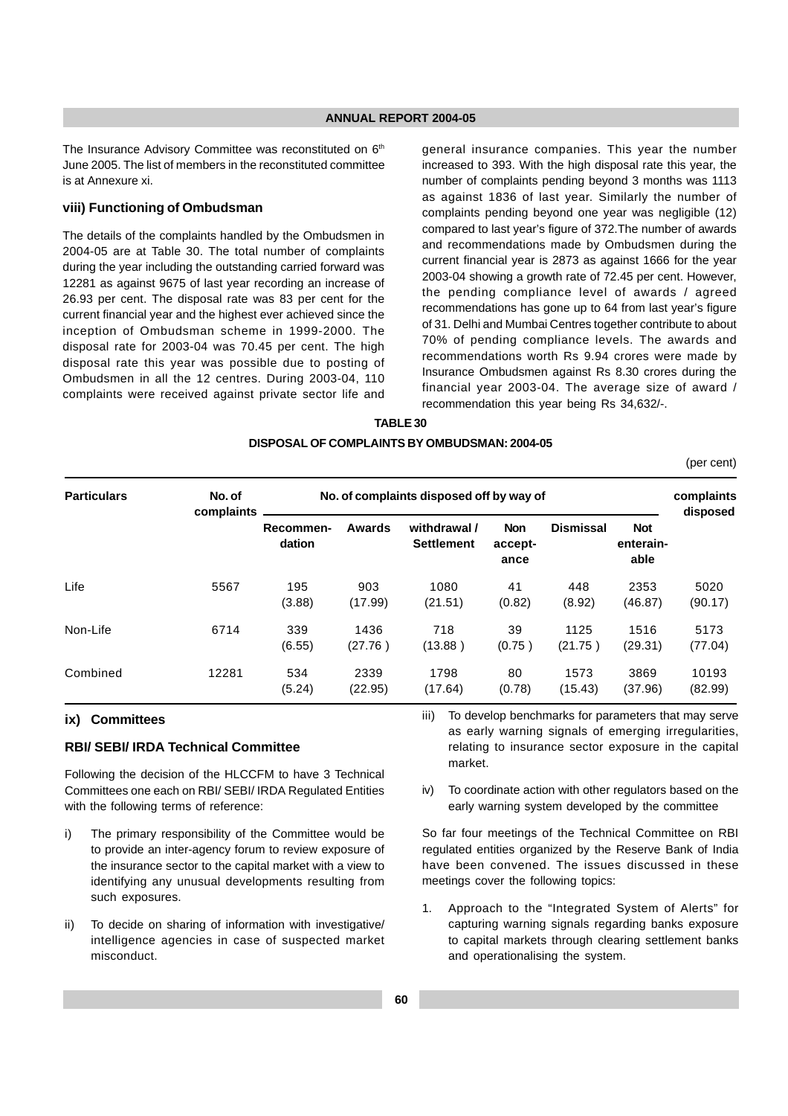The Insurance Advisory Committee was reconstituted on 6<sup>th</sup> June 2005. The list of members in the reconstituted committee is at Annexure xi.

#### **viii) Functioning of Ombudsman**

The details of the complaints handled by the Ombudsmen in 2004-05 are at Table 30. The total number of complaints during the year including the outstanding carried forward was 12281 as against 9675 of last year recording an increase of 26.93 per cent. The disposal rate was 83 per cent for the current financial year and the highest ever achieved since the inception of Ombudsman scheme in 1999-2000. The disposal rate for 2003-04 was 70.45 per cent. The high disposal rate this year was possible due to posting of Ombudsmen in all the 12 centres. During 2003-04, 110 complaints were received against private sector life and

general insurance companies. This year the number increased to 393. With the high disposal rate this year, the number of complaints pending beyond 3 months was 1113 as against 1836 of last year. Similarly the number of complaints pending beyond one year was negligible (12) compared to last year's figure of 372.The number of awards and recommendations made by Ombudsmen during the current financial year is 2873 as against 1666 for the year 2003-04 showing a growth rate of 72.45 per cent. However, the pending compliance level of awards / agreed recommendations has gone up to 64 from last year's figure of 31. Delhi and Mumbai Centres together contribute to about 70% of pending compliance levels. The awards and recommendations worth Rs 9.94 crores were made by Insurance Ombudsmen against Rs 8.30 crores during the financial year 2003-04. The average size of award / recommendation this year being Rs 34,632/-.

## **TABLE 30 DISPOSAL OF COMPLAINTS BY OMBUDSMAN: 2004-05**

(per cent)

| <b>Particulars</b> | No. of<br>complaints | No. of complaints disposed off by way of |                 |                                   |                               |                  |                                 |                  |
|--------------------|----------------------|------------------------------------------|-----------------|-----------------------------------|-------------------------------|------------------|---------------------------------|------------------|
|                    |                      | Recommen-<br>dation                      | Awards          | withdrawal /<br><b>Settlement</b> | <b>Non</b><br>accept-<br>ance | <b>Dismissal</b> | <b>Not</b><br>enterain-<br>able | disposed         |
| Life               | 5567                 | 195<br>(3.88)                            | 903<br>(17.99)  | 1080<br>(21.51)                   | 41<br>(0.82)                  | 448<br>(8.92)    | 2353<br>(46.87)                 | 5020<br>(90.17)  |
| Non-Life           | 6714                 | 339<br>(6.55)                            | 1436<br>(27.76) | 718<br>(13.88)                    | 39<br>(0.75)                  | 1125<br>(21.75)  | 1516<br>(29.31)                 | 5173<br>(77.04)  |
| Combined           | 12281                | 534<br>(5.24)                            | 2339<br>(22.95) | 1798<br>(17.64)                   | 80<br>(0.78)                  | 1573<br>(15.43)  | 3869<br>(37.96)                 | 10193<br>(82.99) |

## **ix) Committees**

## **RBI/ SEBI/ IRDA Technical Committee**

Following the decision of the HLCCFM to have 3 Technical Committees one each on RBI/ SEBI/ IRDA Regulated Entities with the following terms of reference:

- i) The primary responsibility of the Committee would be to provide an inter-agency forum to review exposure of the insurance sector to the capital market with a view to identifying any unusual developments resulting from such exposures.
- ii) To decide on sharing of information with investigative/ intelligence agencies in case of suspected market misconduct.

iii) To develop benchmarks for parameters that may serve as early warning signals of emerging irregularities, relating to insurance sector exposure in the capital market.

iv) To coordinate action with other regulators based on the early warning system developed by the committee

So far four meetings of the Technical Committee on RBI regulated entities organized by the Reserve Bank of India have been convened. The issues discussed in these meetings cover the following topics:

1. Approach to the "Integrated System of Alerts" for capturing warning signals regarding banks exposure to capital markets through clearing settlement banks and operationalising the system.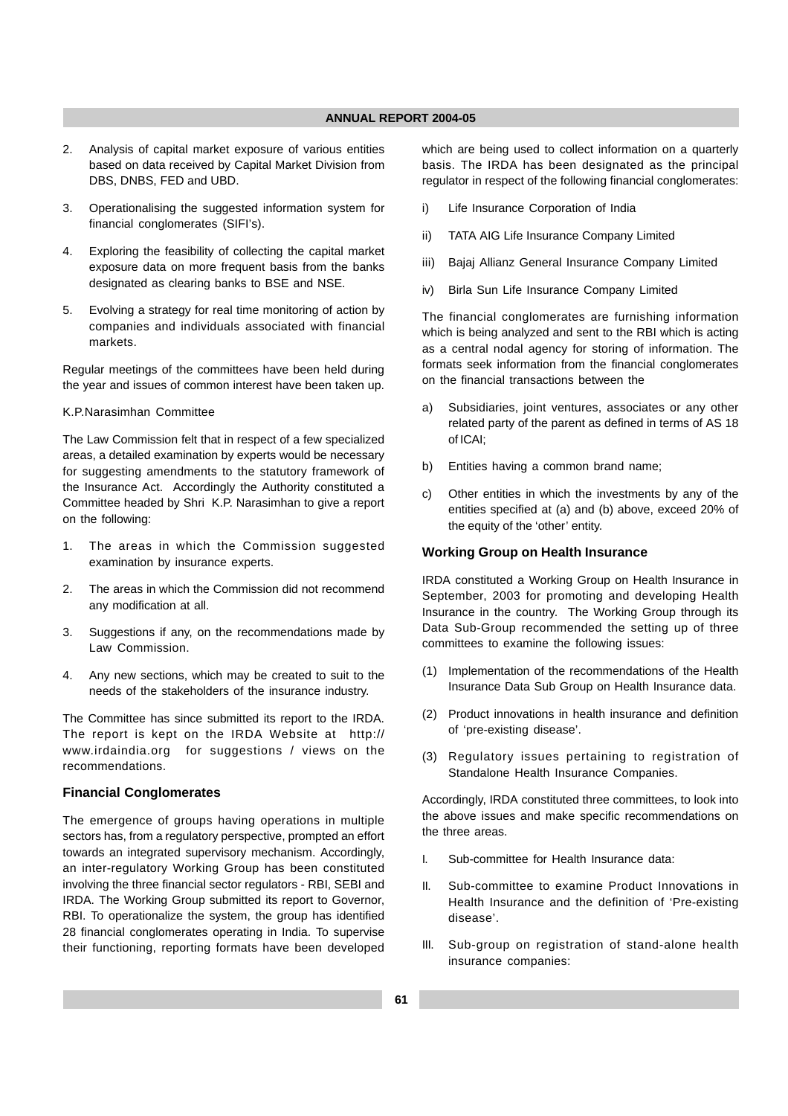- 2. Analysis of capital market exposure of various entities based on data received by Capital Market Division from DBS, DNBS, FED and UBD.
- 3. Operationalising the suggested information system for financial conglomerates (SIFI's).
- 4. Exploring the feasibility of collecting the capital market exposure data on more frequent basis from the banks designated as clearing banks to BSE and NSE.
- 5. Evolving a strategy for real time monitoring of action by companies and individuals associated with financial markets.

Regular meetings of the committees have been held during the year and issues of common interest have been taken up.

#### K.P.Narasimhan Committee

The Law Commission felt that in respect of a few specialized areas, a detailed examination by experts would be necessary for suggesting amendments to the statutory framework of the Insurance Act. Accordingly the Authority constituted a Committee headed by Shri K.P. Narasimhan to give a report on the following:

- 1. The areas in which the Commission suggested examination by insurance experts.
- 2. The areas in which the Commission did not recommend any modification at all.
- 3. Suggestions if any, on the recommendations made by Law Commission.
- 4. Any new sections, which may be created to suit to the needs of the stakeholders of the insurance industry.

The Committee has since submitted its report to the IRDA. The report is kept on the IRDA Website at http:// www.irdaindia.org for suggestions / views on the recommendations.

## **Financial Conglomerates**

The emergence of groups having operations in multiple sectors has, from a regulatory perspective, prompted an effort towards an integrated supervisory mechanism. Accordingly, an inter-regulatory Working Group has been constituted involving the three financial sector regulators - RBI, SEBI and IRDA. The Working Group submitted its report to Governor, RBI. To operationalize the system, the group has identified 28 financial conglomerates operating in India. To supervise their functioning, reporting formats have been developed which are being used to collect information on a quarterly basis. The IRDA has been designated as the principal regulator in respect of the following financial conglomerates:

- i) Life Insurance Corporation of India
- ii) TATA AIG Life Insurance Company Limited
- iii) Bajaj Allianz General Insurance Company Limited
- iv) Birla Sun Life Insurance Company Limited

The financial conglomerates are furnishing information which is being analyzed and sent to the RBI which is acting as a central nodal agency for storing of information. The formats seek information from the financial conglomerates on the financial transactions between the

- a) Subsidiaries, joint ventures, associates or any other related party of the parent as defined in terms of AS 18 of ICAI;
- b) Entities having a common brand name;
- c) Other entities in which the investments by any of the entities specified at (a) and (b) above, exceed 20% of the equity of the 'other' entity.

## **Working Group on Health Insurance**

IRDA constituted a Working Group on Health Insurance in September, 2003 for promoting and developing Health Insurance in the country. The Working Group through its Data Sub-Group recommended the setting up of three committees to examine the following issues:

- (1) Implementation of the recommendations of the Health Insurance Data Sub Group on Health Insurance data.
- (2) Product innovations in health insurance and definition of 'pre-existing disease'.
- (3) Regulatory issues pertaining to registration of Standalone Health Insurance Companies.

Accordingly, IRDA constituted three committees, to look into the above issues and make specific recommendations on the three areas.

- I. Sub-committee for Health Insurance data:
- II. Sub-committee to examine Product Innovations in Health Insurance and the definition of 'Pre-existing disease'.
- III. Sub-group on registration of stand-alone health insurance companies: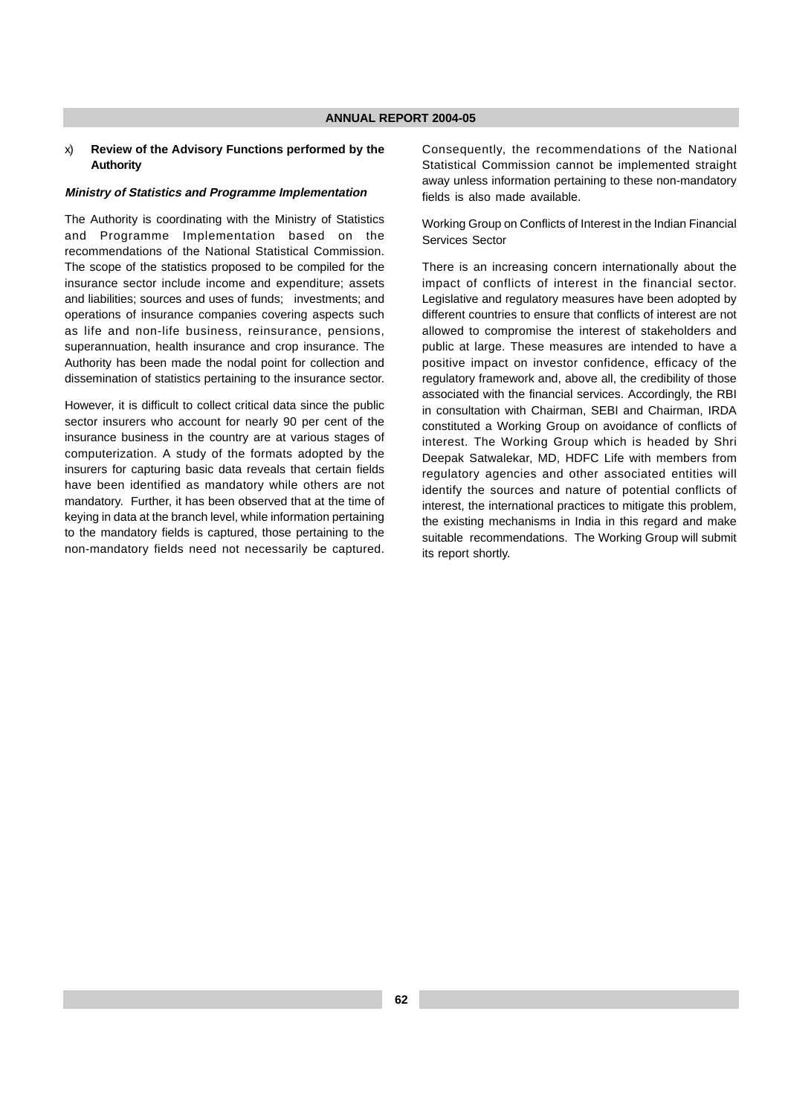#### x) **Review of the Advisory Functions performed by the Authority**

#### **Ministry of Statistics and Programme Implementation**

The Authority is coordinating with the Ministry of Statistics and Programme Implementation based on the recommendations of the National Statistical Commission. The scope of the statistics proposed to be compiled for the insurance sector include income and expenditure; assets and liabilities; sources and uses of funds; investments; and operations of insurance companies covering aspects such as life and non-life business, reinsurance, pensions, superannuation, health insurance and crop insurance. The Authority has been made the nodal point for collection and dissemination of statistics pertaining to the insurance sector.

However, it is difficult to collect critical data since the public sector insurers who account for nearly 90 per cent of the insurance business in the country are at various stages of computerization. A study of the formats adopted by the insurers for capturing basic data reveals that certain fields have been identified as mandatory while others are not mandatory. Further, it has been observed that at the time of keying in data at the branch level, while information pertaining to the mandatory fields is captured, those pertaining to the non-mandatory fields need not necessarily be captured.

Consequently, the recommendations of the National Statistical Commission cannot be implemented straight away unless information pertaining to these non-mandatory fields is also made available.

Working Group on Conflicts of Interest in the Indian Financial Services Sector

There is an increasing concern internationally about the impact of conflicts of interest in the financial sector. Legislative and regulatory measures have been adopted by different countries to ensure that conflicts of interest are not allowed to compromise the interest of stakeholders and public at large. These measures are intended to have a positive impact on investor confidence, efficacy of the regulatory framework and, above all, the credibility of those associated with the financial services. Accordingly, the RBI in consultation with Chairman, SEBI and Chairman, IRDA constituted a Working Group on avoidance of conflicts of interest. The Working Group which is headed by Shri Deepak Satwalekar, MD, HDFC Life with members from regulatory agencies and other associated entities will identify the sources and nature of potential conflicts of interest, the international practices to mitigate this problem, the existing mechanisms in India in this regard and make suitable recommendations. The Working Group will submit its report shortly.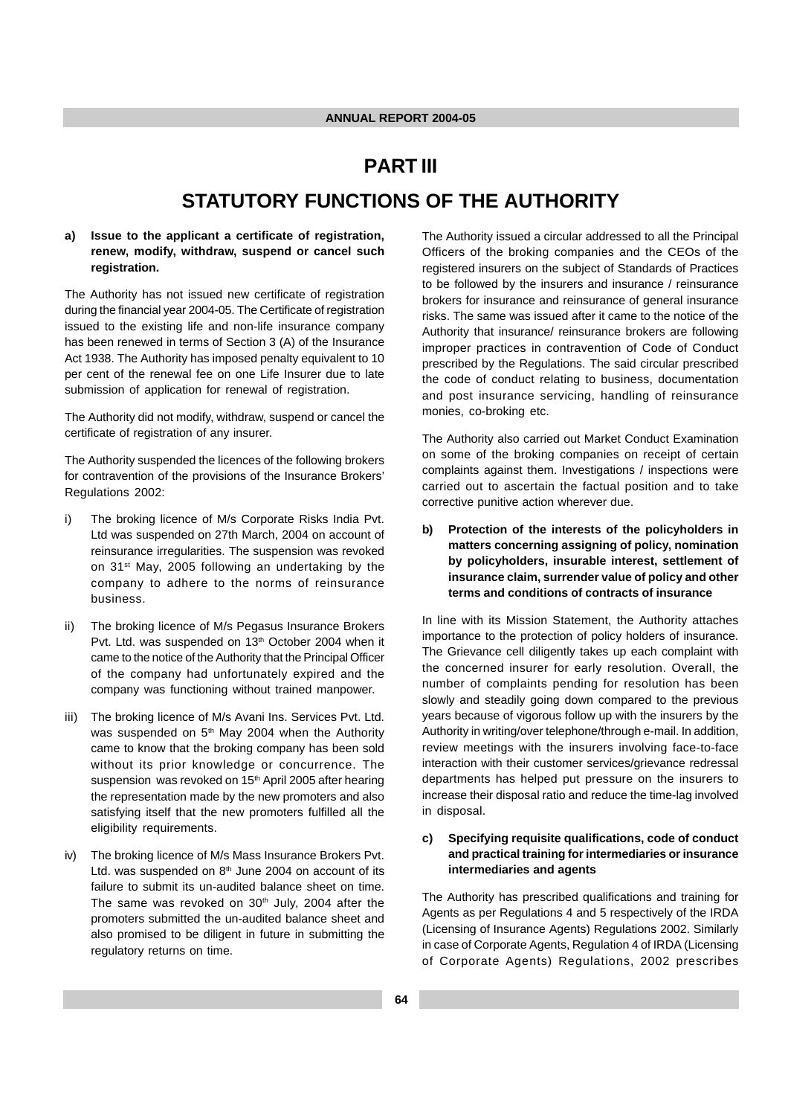# **PART III STATUTORY FUNCTIONS OF THE AUTHORITY**

## **a) Issue to the applicant a certificate of registration, renew, modify, withdraw, suspend or cancel such registration.**

The Authority has not issued new certificate of registration during the financial year 2004-05. The Certificate of registration issued to the existing life and non-life insurance company has been renewed in terms of Section 3 (A) of the Insurance Act 1938. The Authority has imposed penalty equivalent to 10 per cent of the renewal fee on one Life Insurer due to late submission of application for renewal of registration.

The Authority did not modify, withdraw, suspend or cancel the certificate of registration of any insurer.

The Authority suspended the licences of the following brokers for contravention of the provisions of the Insurance Brokers' Regulations 2002:

- i) The broking licence of M/s Corporate Risks India Pvt. Ltd was suspended on 27th March, 2004 on account of reinsurance irregularities. The suspension was revoked on 31st May, 2005 following an undertaking by the company to adhere to the norms of reinsurance business.
- ii) The broking licence of M/s Pegasus Insurance Brokers Pvt. Ltd. was suspended on 13<sup>th</sup> October 2004 when it came to the notice of the Authority that the Principal Officer of the company had unfortunately expired and the company was functioning without trained manpower.
- iii) The broking licence of M/s Avani Ins. Services Pvt. Ltd. was suspended on 5<sup>th</sup> May 2004 when the Authority came to know that the broking company has been sold without its prior knowledge or concurrence. The suspension was revoked on 15<sup>th</sup> April 2005 after hearing the representation made by the new promoters and also satisfying itself that the new promoters fulfilled all the eligibility requirements.
- iv) The broking licence of M/s Mass Insurance Brokers Pvt. Ltd. was suspended on  $8<sup>th</sup>$  June 2004 on account of its failure to submit its un-audited balance sheet on time. The same was revoked on  $30<sup>th</sup>$  July, 2004 after the promoters submitted the un-audited balance sheet and also promised to be diligent in future in submitting the regulatory returns on time.

The Authority issued a circular addressed to all the Principal Officers of the broking companies and the CEOs of the registered insurers on the subject of Standards of Practices to be followed by the insurers and insurance / reinsurance brokers for insurance and reinsurance of general insurance risks. The same was issued after it came to the notice of the Authority that insurance/ reinsurance brokers are following improper practices in contravention of Code of Conduct prescribed by the Regulations. The said circular prescribed the code of conduct relating to business, documentation and post insurance servicing, handling of reinsurance monies, co-broking etc.

The Authority also carried out Market Conduct Examination on some of the broking companies on receipt of certain complaints against them. Investigations / inspections were carried out to ascertain the factual position and to take corrective punitive action wherever due.

**b) Protection of the interests of the policyholders in matters concerning assigning of policy, nomination by policyholders, insurable interest, settlement of insurance claim, surrender value of policy and other terms and conditions of contracts of insurance**

In line with its Mission Statement, the Authority attaches importance to the protection of policy holders of insurance. The Grievance cell diligently takes up each complaint with the concerned insurer for early resolution. Overall, the number of complaints pending for resolution has been slowly and steadily going down compared to the previous years because of vigorous follow up with the insurers by the Authority in writing/over telephone/through e-mail. In addition, review meetings with the insurers involving face-to-face interaction with their customer services/grievance redressal departments has helped put pressure on the insurers to increase their disposal ratio and reduce the time-lag involved in disposal.

## **c) Specifying requisite qualifications, code of conduct and practical training for intermediaries or insurance intermediaries and agents**

The Authority has prescribed qualifications and training for Agents as per Regulations 4 and 5 respectively of the IRDA (Licensing of Insurance Agents) Regulations 2002. Similarly in case of Corporate Agents, Regulation 4 of IRDA (Licensing of Corporate Agents) Regulations, 2002 prescribes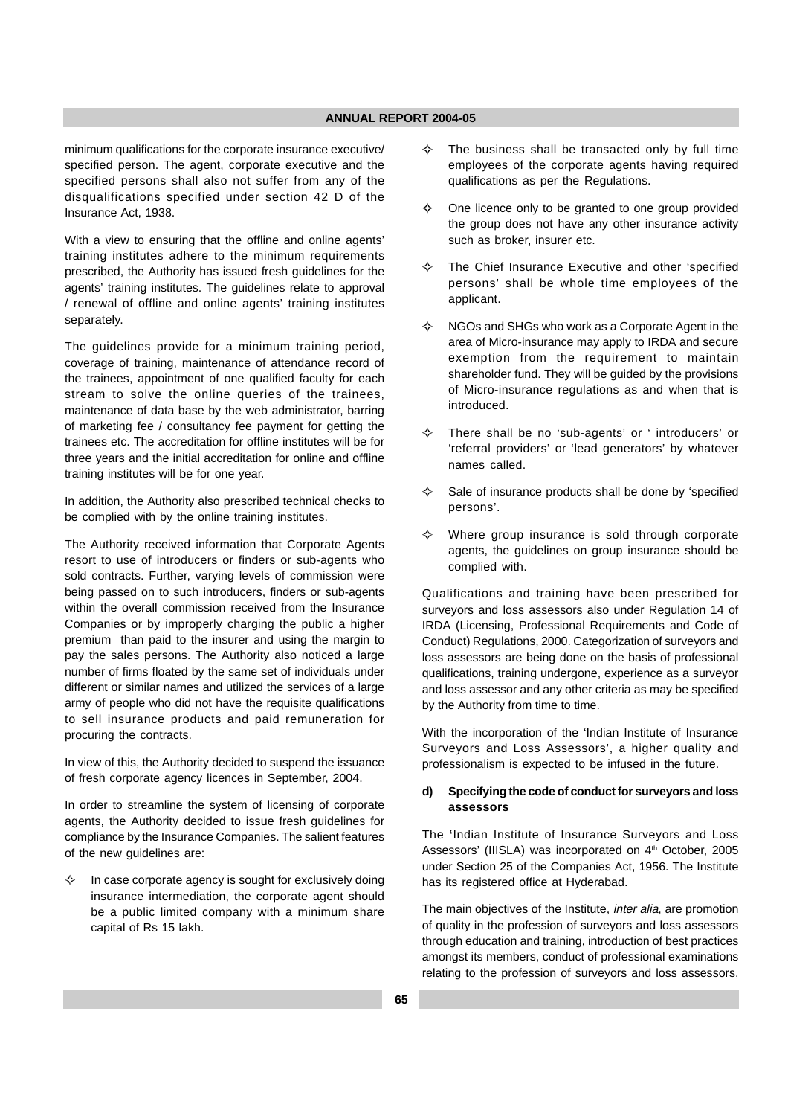minimum qualifications for the corporate insurance executive/ specified person. The agent, corporate executive and the specified persons shall also not suffer from any of the disqualifications specified under section 42 D of the Insurance Act, 1938.

With a view to ensuring that the offline and online agents' training institutes adhere to the minimum requirements prescribed, the Authority has issued fresh guidelines for the agents' training institutes. The guidelines relate to approval / renewal of offline and online agents' training institutes separately.

The guidelines provide for a minimum training period, coverage of training, maintenance of attendance record of the trainees, appointment of one qualified faculty for each stream to solve the online queries of the trainees, maintenance of data base by the web administrator, barring of marketing fee / consultancy fee payment for getting the trainees etc. The accreditation for offline institutes will be for three years and the initial accreditation for online and offline training institutes will be for one year.

In addition, the Authority also prescribed technical checks to be complied with by the online training institutes.

The Authority received information that Corporate Agents resort to use of introducers or finders or sub-agents who sold contracts. Further, varying levels of commission were being passed on to such introducers, finders or sub-agents within the overall commission received from the Insurance Companies or by improperly charging the public a higher premium than paid to the insurer and using the margin to pay the sales persons. The Authority also noticed a large number of firms floated by the same set of individuals under different or similar names and utilized the services of a large army of people who did not have the requisite qualifications to sell insurance products and paid remuneration for procuring the contracts.

In view of this, the Authority decided to suspend the issuance of fresh corporate agency licences in September, 2004.

In order to streamline the system of licensing of corporate agents, the Authority decided to issue fresh guidelines for compliance by the Insurance Companies. The salient features of the new guidelines are:

 $\leftrightarrow$  In case corporate agency is sought for exclusively doing insurance intermediation, the corporate agent should be a public limited company with a minimum share capital of Rs 15 lakh.

- $\rightsquigarrow$  The business shall be transacted only by full time employees of the corporate agents having required qualifications as per the Regulations.
- $\rightsquigarrow$  One licence only to be granted to one group provided the group does not have any other insurance activity such as broker, insurer etc.
- $\rightsquigarrow$  The Chief Insurance Executive and other 'specified persons' shall be whole time employees of the applicant.
- $\leftrightarrow$  NGOs and SHGs who work as a Corporate Agent in the area of Micro-insurance may apply to IRDA and secure exemption from the requirement to maintain shareholder fund. They will be guided by the provisions of Micro-insurance regulations as and when that is introduced.
- $\color{black}\diamondsuit$  There shall be no 'sub-agents' or ' introducers' or 'referral providers' or 'lead generators' by whatever names called.
- $\rightsquigarrow$  Sale of insurance products shall be done by 'specified persons'.
- $\rightsquigarrow$  Where group insurance is sold through corporate agents, the guidelines on group insurance should be complied with.

Qualifications and training have been prescribed for surveyors and loss assessors also under Regulation 14 of IRDA (Licensing, Professional Requirements and Code of Conduct) Regulations, 2000. Categorization of surveyors and loss assessors are being done on the basis of professional qualifications, training undergone, experience as a surveyor and loss assessor and any other criteria as may be specified by the Authority from time to time.

With the incorporation of the 'Indian Institute of Insurance Surveyors and Loss Assessors', a higher quality and professionalism is expected to be infused in the future.

### **d) Specifying the code of conduct for surveyors and loss assessors**

The **'**Indian Institute of Insurance Surveyors and Loss Assessors' (IIISLA) was incorporated on 4<sup>th</sup> October, 2005 under Section 25 of the Companies Act, 1956. The Institute has its registered office at Hyderabad.

The main objectives of the Institute, *inter alia*, are promotion of quality in the profession of surveyors and loss assessors through education and training, introduction of best practices amongst its members, conduct of professional examinations relating to the profession of surveyors and loss assessors,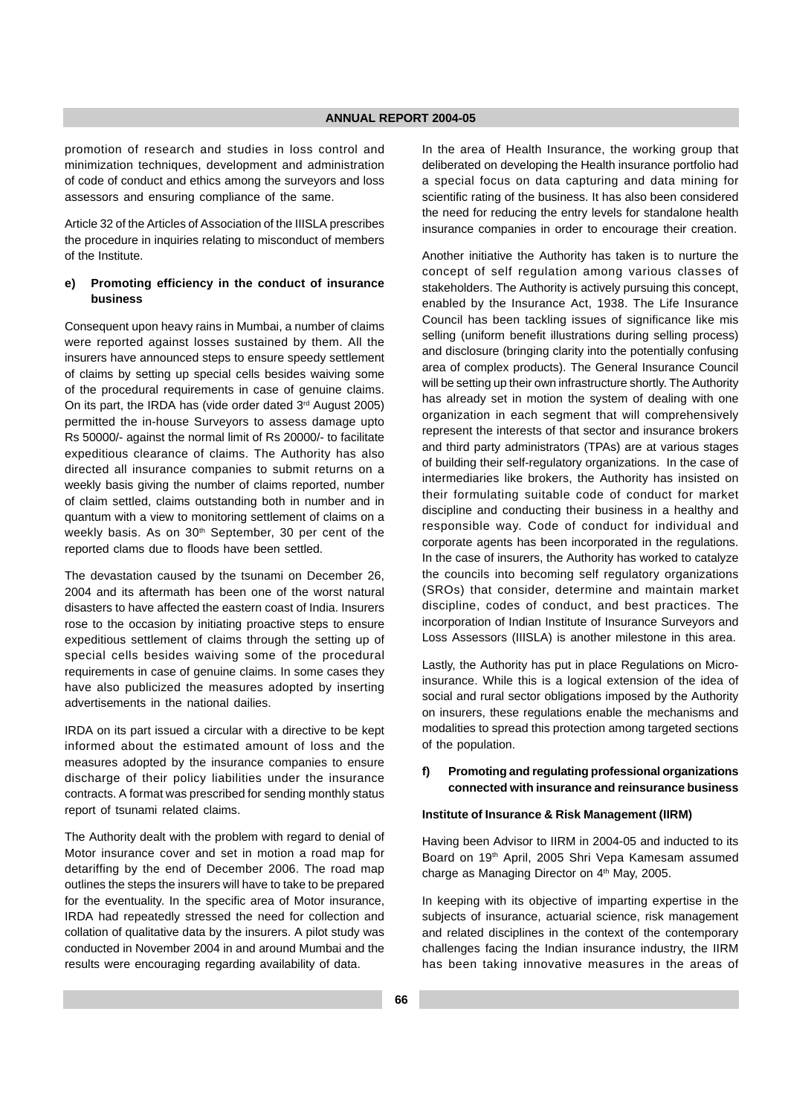promotion of research and studies in loss control and minimization techniques, development and administration of code of conduct and ethics among the surveyors and loss assessors and ensuring compliance of the same.

Article 32 of the Articles of Association of the IIISLA prescribes the procedure in inquiries relating to misconduct of members of the Institute.

## **e) Promoting efficiency in the conduct of insurance business**

Consequent upon heavy rains in Mumbai, a number of claims were reported against losses sustained by them. All the insurers have announced steps to ensure speedy settlement of claims by setting up special cells besides waiving some of the procedural requirements in case of genuine claims. On its part, the IRDA has (vide order dated 3<sup>rd</sup> August 2005) permitted the in-house Surveyors to assess damage upto Rs 50000/- against the normal limit of Rs 20000/- to facilitate expeditious clearance of claims. The Authority has also directed all insurance companies to submit returns on a weekly basis giving the number of claims reported, number of claim settled, claims outstanding both in number and in quantum with a view to monitoring settlement of claims on a weekly basis. As on 30<sup>th</sup> September, 30 per cent of the reported clams due to floods have been settled.

The devastation caused by the tsunami on December 26, 2004 and its aftermath has been one of the worst natural disasters to have affected the eastern coast of India. Insurers rose to the occasion by initiating proactive steps to ensure expeditious settlement of claims through the setting up of special cells besides waiving some of the procedural requirements in case of genuine claims. In some cases they have also publicized the measures adopted by inserting advertisements in the national dailies.

IRDA on its part issued a circular with a directive to be kept informed about the estimated amount of loss and the measures adopted by the insurance companies to ensure discharge of their policy liabilities under the insurance contracts. A format was prescribed for sending monthly status report of tsunami related claims.

The Authority dealt with the problem with regard to denial of Motor insurance cover and set in motion a road map for detariffing by the end of December 2006. The road map outlines the steps the insurers will have to take to be prepared for the eventuality. In the specific area of Motor insurance, IRDA had repeatedly stressed the need for collection and collation of qualitative data by the insurers. A pilot study was conducted in November 2004 in and around Mumbai and the results were encouraging regarding availability of data.

In the area of Health Insurance, the working group that deliberated on developing the Health insurance portfolio had a special focus on data capturing and data mining for scientific rating of the business. It has also been considered the need for reducing the entry levels for standalone health insurance companies in order to encourage their creation.

Another initiative the Authority has taken is to nurture the concept of self regulation among various classes of stakeholders. The Authority is actively pursuing this concept, enabled by the Insurance Act, 1938. The Life Insurance Council has been tackling issues of significance like mis selling (uniform benefit illustrations during selling process) and disclosure (bringing clarity into the potentially confusing area of complex products). The General Insurance Council will be setting up their own infrastructure shortly. The Authority has already set in motion the system of dealing with one organization in each segment that will comprehensively represent the interests of that sector and insurance brokers and third party administrators (TPAs) are at various stages of building their self-regulatory organizations. In the case of intermediaries like brokers, the Authority has insisted on their formulating suitable code of conduct for market discipline and conducting their business in a healthy and responsible way. Code of conduct for individual and corporate agents has been incorporated in the regulations. In the case of insurers, the Authority has worked to catalyze the councils into becoming self regulatory organizations (SROs) that consider, determine and maintain market discipline, codes of conduct, and best practices. The incorporation of Indian Institute of Insurance Surveyors and Loss Assessors (IIISLA) is another milestone in this area.

Lastly, the Authority has put in place Regulations on Microinsurance. While this is a logical extension of the idea of social and rural sector obligations imposed by the Authority on insurers, these regulations enable the mechanisms and modalities to spread this protection among targeted sections of the population.

#### **f) Promoting and regulating professional organizations connected with insurance and reinsurance business**

#### **Institute of Insurance & Risk Management (IIRM)**

Having been Advisor to IIRM in 2004-05 and inducted to its Board on 19th April, 2005 Shri Vepa Kamesam assumed charge as Managing Director on 4<sup>th</sup> May, 2005.

In keeping with its objective of imparting expertise in the subjects of insurance, actuarial science, risk management and related disciplines in the context of the contemporary challenges facing the Indian insurance industry, the IIRM has been taking innovative measures in the areas of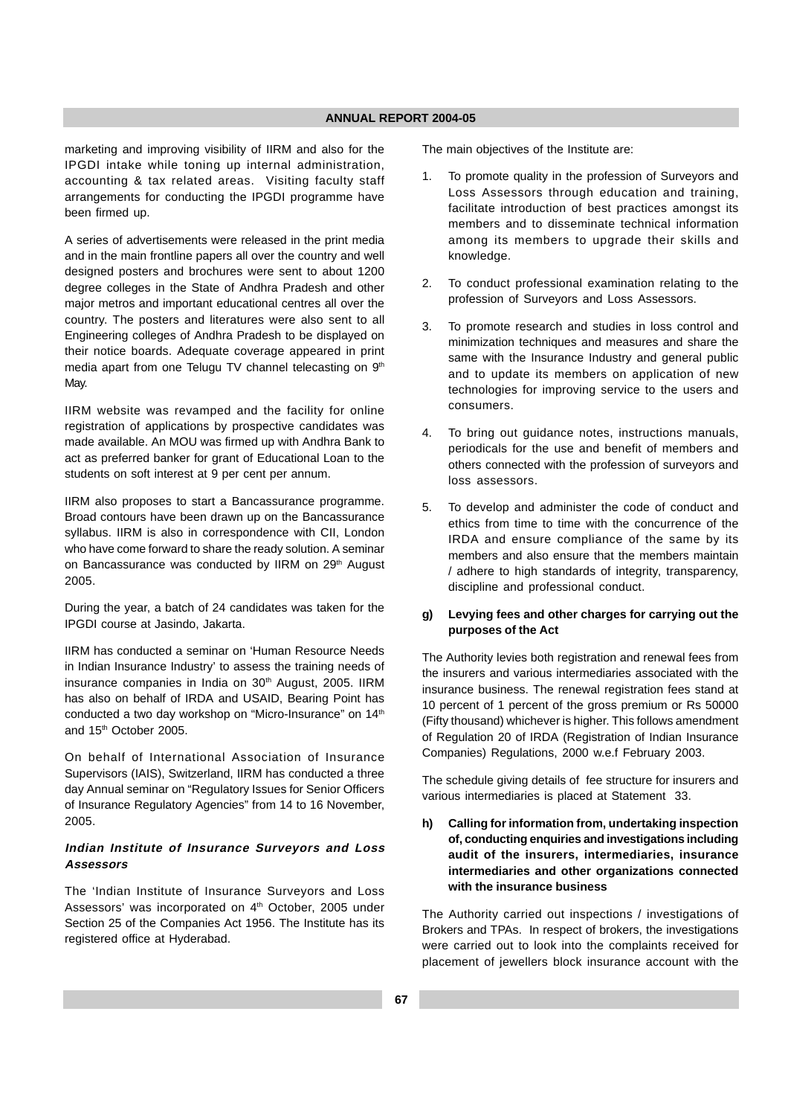marketing and improving visibility of IIRM and also for the IPGDI intake while toning up internal administration, accounting & tax related areas. Visiting faculty staff arrangements for conducting the IPGDI programme have been firmed up.

A series of advertisements were released in the print media and in the main frontline papers all over the country and well designed posters and brochures were sent to about 1200 degree colleges in the State of Andhra Pradesh and other major metros and important educational centres all over the country. The posters and literatures were also sent to all Engineering colleges of Andhra Pradesh to be displayed on their notice boards. Adequate coverage appeared in print media apart from one Telugu TV channel telecasting on 9th May.

IIRM website was revamped and the facility for online registration of applications by prospective candidates was made available. An MOU was firmed up with Andhra Bank to act as preferred banker for grant of Educational Loan to the students on soft interest at 9 per cent per annum.

IIRM also proposes to start a Bancassurance programme. Broad contours have been drawn up on the Bancassurance syllabus. IIRM is also in correspondence with CII, London who have come forward to share the ready solution. A seminar on Bancassurance was conducted by IIRM on 29th August 2005.

During the year, a batch of 24 candidates was taken for the IPGDI course at Jasindo, Jakarta.

IIRM has conducted a seminar on 'Human Resource Needs in Indian Insurance Industry' to assess the training needs of insurance companies in India on 30<sup>th</sup> August, 2005. IIRM has also on behalf of IRDA and USAID, Bearing Point has conducted a two day workshop on "Micro-Insurance" on 14<sup>th</sup> and 15th October 2005.

On behalf of International Association of Insurance Supervisors (IAIS), Switzerland, IIRM has conducted a three day Annual seminar on "Regulatory Issues for Senior Officers of Insurance Regulatory Agencies" from 14 to 16 November, 2005.

## **Indian Institute of Insurance Surveyors and Loss Assessors**

The 'Indian Institute of Insurance Surveyors and Loss Assessors' was incorporated on 4<sup>th</sup> October, 2005 under Section 25 of the Companies Act 1956. The Institute has its registered office at Hyderabad.

The main objectives of the Institute are:

- 1. To promote quality in the profession of Surveyors and Loss Assessors through education and training, facilitate introduction of best practices amongst its members and to disseminate technical information among its members to upgrade their skills and knowledge.
- 2. To conduct professional examination relating to the profession of Surveyors and Loss Assessors.
- 3. To promote research and studies in loss control and minimization techniques and measures and share the same with the Insurance Industry and general public and to update its members on application of new technologies for improving service to the users and consumers.
- 4. To bring out guidance notes, instructions manuals, periodicals for the use and benefit of members and others connected with the profession of surveyors and loss assessors.
- 5. To develop and administer the code of conduct and ethics from time to time with the concurrence of the IRDA and ensure compliance of the same by its members and also ensure that the members maintain / adhere to high standards of integrity, transparency, discipline and professional conduct.

## **g) Levying fees and other charges for carrying out the purposes of the Act**

The Authority levies both registration and renewal fees from the insurers and various intermediaries associated with the insurance business. The renewal registration fees stand at 10 percent of 1 percent of the gross premium or Rs 50000 (Fifty thousand) whichever is higher. This follows amendment of Regulation 20 of IRDA (Registration of Indian Insurance Companies) Regulations, 2000 w.e.f February 2003.

The schedule giving details of fee structure for insurers and various intermediaries is placed at Statement 33.

**h) Calling for information from, undertaking inspection of, conducting enquiries and investigations including audit of the insurers, intermediaries, insurance intermediaries and other organizations connected with the insurance business**

The Authority carried out inspections / investigations of Brokers and TPAs. In respect of brokers, the investigations were carried out to look into the complaints received for placement of jewellers block insurance account with the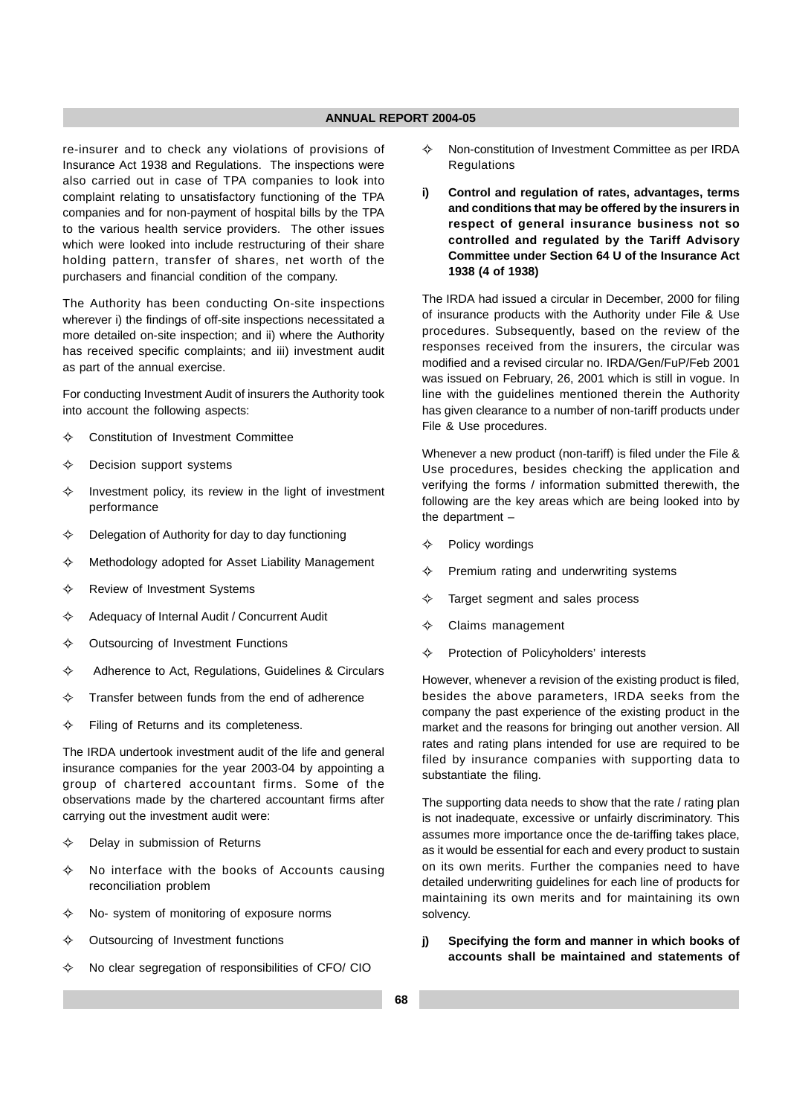re-insurer and to check any violations of provisions of Insurance Act 1938 and Regulations. The inspections were also carried out in case of TPA companies to look into complaint relating to unsatisfactory functioning of the TPA companies and for non-payment of hospital bills by the TPA to the various health service providers. The other issues which were looked into include restructuring of their share holding pattern, transfer of shares, net worth of the purchasers and financial condition of the company.

The Authority has been conducting On-site inspections wherever i) the findings of off-site inspections necessitated a more detailed on-site inspection; and ii) where the Authority has received specific complaints; and iii) investment audit as part of the annual exercise.

For conducting Investment Audit of insurers the Authority took into account the following aspects:

- $\leftrightarrow$ Constitution of Investment Committee
- $\leftrightarrow$ Decision support systems
- $\leftrightarrow$  Investment policy, its review in the light of investment performance
- $\leftrightarrow$ Delegation of Authority for day to day functioning
- $\leftrightarrow$ Methodology adopted for Asset Liability Management
- $\leftrightarrow$ Review of Investment Systems
- $\Leftrightarrow$ Adequacy of Internal Audit / Concurrent Audit
- $\leftrightarrow$ Outsourcing of Investment Functions
- $\leftarrow$ Adherence to Act, Regulations, Guidelines & Circulars
- $\leftrightarrow$ Transfer between funds from the end of adherence
- $\leftrightarrow$ Filing of Returns and its completeness.

The IRDA undertook investment audit of the life and general insurance companies for the year 2003-04 by appointing a group of chartered accountant firms. Some of the observations made by the chartered accountant firms after carrying out the investment audit were:

- $\leftrightarrow$ Delay in submission of Returns
- $\leftrightarrow$  No interface with the books of Accounts causing reconciliation problem
- $\leftrightarrow$ No- system of monitoring of exposure norms
- $\leftrightarrow$ Outsourcing of Investment functions
- $\leftrightarrow$ No clear segregation of responsibilities of CFO/ CIO
- $\leftrightarrow$  Non-constitution of Investment Committee as per IRDA **Regulations**
- **i) Control and regulation of rates, advantages, terms and conditions that may be offered by the insurers in respect of general insurance business not so controlled and regulated by the Tariff Advisory Committee under Section 64 U of the Insurance Act 1938 (4 of 1938)**

The IRDA had issued a circular in December, 2000 for filing of insurance products with the Authority under File & Use procedures. Subsequently, based on the review of the responses received from the insurers, the circular was modified and a revised circular no. IRDA/Gen/FuP/Feb 2001 was issued on February, 26, 2001 which is still in vogue. In line with the guidelines mentioned therein the Authority has given clearance to a number of non-tariff products under File & Use procedures.

Whenever a new product (non-tariff) is filed under the File & Use procedures, besides checking the application and verifying the forms / information submitted therewith, the following are the key areas which are being looked into by the department –

- $\leftrightarrow$ Policy wordings
- $\leftrightarrow$ Premium rating and underwriting systems
- $\leftrightarrow$ Target segment and sales process
- $\rightsquigarrow$ Claims management
- ے Protection of Policyholders' interests

However, whenever a revision of the existing product is filed, besides the above parameters, IRDA seeks from the company the past experience of the existing product in the market and the reasons for bringing out another version. All rates and rating plans intended for use are required to be filed by insurance companies with supporting data to substantiate the filing.

The supporting data needs to show that the rate / rating plan is not inadequate, excessive or unfairly discriminatory. This assumes more importance once the de-tariffing takes place, as it would be essential for each and every product to sustain on its own merits. Further the companies need to have detailed underwriting guidelines for each line of products for maintaining its own merits and for maintaining its own solvency.

**j) Specifying the form and manner in which books of accounts shall be maintained and statements of**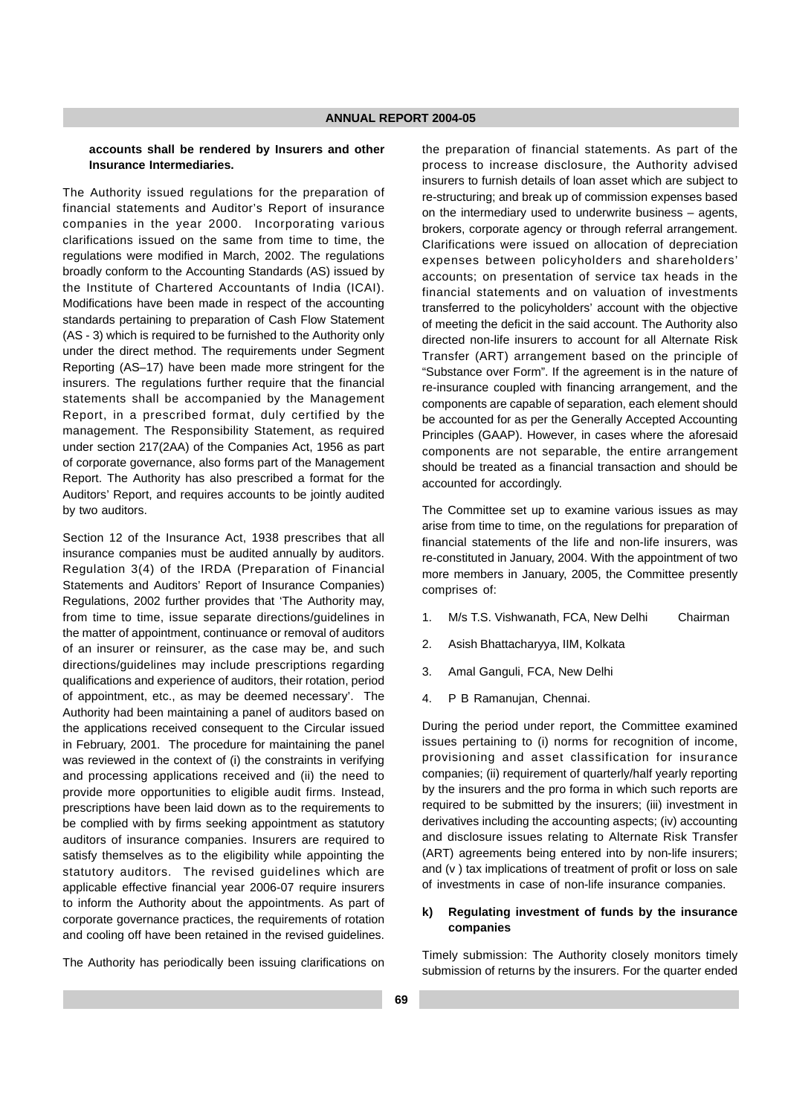#### **accounts shall be rendered by Insurers and other Insurance Intermediaries.**

The Authority issued regulations for the preparation of financial statements and Auditor's Report of insurance companies in the year 2000. Incorporating various clarifications issued on the same from time to time, the regulations were modified in March, 2002. The regulations broadly conform to the Accounting Standards (AS) issued by the Institute of Chartered Accountants of India (ICAI). Modifications have been made in respect of the accounting standards pertaining to preparation of Cash Flow Statement (AS - 3) which is required to be furnished to the Authority only under the direct method. The requirements under Segment Reporting (AS–17) have been made more stringent for the insurers. The regulations further require that the financial statements shall be accompanied by the Management Report, in a prescribed format, duly certified by the management. The Responsibility Statement, as required under section 217(2AA) of the Companies Act, 1956 as part of corporate governance, also forms part of the Management Report. The Authority has also prescribed a format for the Auditors' Report, and requires accounts to be jointly audited by two auditors.

Section 12 of the Insurance Act, 1938 prescribes that all insurance companies must be audited annually by auditors. Regulation 3(4) of the IRDA (Preparation of Financial Statements and Auditors' Report of Insurance Companies) Regulations, 2002 further provides that 'The Authority may, from time to time, issue separate directions/guidelines in the matter of appointment, continuance or removal of auditors of an insurer or reinsurer, as the case may be, and such directions/guidelines may include prescriptions regarding qualifications and experience of auditors, their rotation, period of appointment, etc., as may be deemed necessary'. The Authority had been maintaining a panel of auditors based on the applications received consequent to the Circular issued in February, 2001. The procedure for maintaining the panel was reviewed in the context of (i) the constraints in verifying and processing applications received and (ii) the need to provide more opportunities to eligible audit firms. Instead, prescriptions have been laid down as to the requirements to be complied with by firms seeking appointment as statutory auditors of insurance companies. Insurers are required to satisfy themselves as to the eligibility while appointing the statutory auditors. The revised guidelines which are applicable effective financial year 2006-07 require insurers to inform the Authority about the appointments. As part of corporate governance practices, the requirements of rotation and cooling off have been retained in the revised guidelines.

The Authority has periodically been issuing clarifications on

the preparation of financial statements. As part of the process to increase disclosure, the Authority advised insurers to furnish details of loan asset which are subject to re-structuring; and break up of commission expenses based on the intermediary used to underwrite business – agents, brokers, corporate agency or through referral arrangement. Clarifications were issued on allocation of depreciation expenses between policyholders and shareholders' accounts; on presentation of service tax heads in the financial statements and on valuation of investments transferred to the policyholders' account with the objective of meeting the deficit in the said account. The Authority also directed non-life insurers to account for all Alternate Risk Transfer (ART) arrangement based on the principle of "Substance over Form". If the agreement is in the nature of re-insurance coupled with financing arrangement, and the components are capable of separation, each element should be accounted for as per the Generally Accepted Accounting Principles (GAAP). However, in cases where the aforesaid components are not separable, the entire arrangement should be treated as a financial transaction and should be accounted for accordingly.

The Committee set up to examine various issues as may arise from time to time, on the regulations for preparation of financial statements of the life and non-life insurers, was re-constituted in January, 2004. With the appointment of two more members in January, 2005, the Committee presently comprises of:

- 1. M/s T.S. Vishwanath, FCA, New Delhi Chairman
- 2. Asish Bhattacharyya, IIM, Kolkata
- 3. Amal Ganguli, FCA, New Delhi
- 4. P B Ramanujan, Chennai.

During the period under report, the Committee examined issues pertaining to (i) norms for recognition of income, provisioning and asset classification for insurance companies; (ii) requirement of quarterly/half yearly reporting by the insurers and the pro forma in which such reports are required to be submitted by the insurers; (iii) investment in derivatives including the accounting aspects; (iv) accounting and disclosure issues relating to Alternate Risk Transfer (ART) agreements being entered into by non-life insurers; and (v ) tax implications of treatment of profit or loss on sale of investments in case of non-life insurance companies.

## **k) Regulating investment of funds by the insurance companies**

Timely submission: The Authority closely monitors timely submission of returns by the insurers. For the quarter ended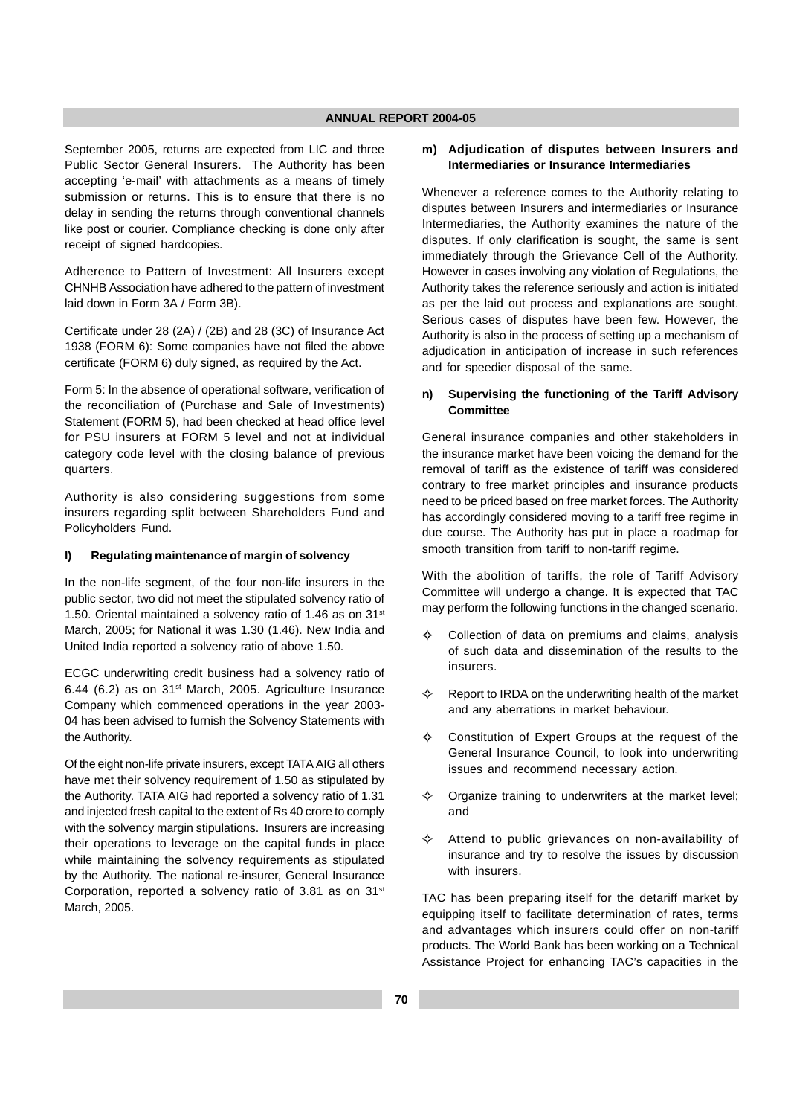September 2005, returns are expected from LIC and three Public Sector General Insurers. The Authority has been accepting 'e-mail' with attachments as a means of timely submission or returns. This is to ensure that there is no delay in sending the returns through conventional channels like post or courier. Compliance checking is done only after receipt of signed hardcopies.

Adherence to Pattern of Investment: All Insurers except CHNHB Association have adhered to the pattern of investment laid down in Form 3A / Form 3B).

Certificate under 28 (2A) / (2B) and 28 (3C) of Insurance Act 1938 (FORM 6): Some companies have not filed the above certificate (FORM 6) duly signed, as required by the Act.

Form 5: In the absence of operational software, verification of the reconciliation of (Purchase and Sale of Investments) Statement (FORM 5), had been checked at head office level for PSU insurers at FORM 5 level and not at individual category code level with the closing balance of previous quarters.

Authority is also considering suggestions from some insurers regarding split between Shareholders Fund and Policyholders Fund.

#### **l) Regulating maintenance of margin of solvency**

In the non-life segment, of the four non-life insurers in the public sector, two did not meet the stipulated solvency ratio of 1.50. Oriental maintained a solvency ratio of 1.46 as on 31<sup>st</sup> March, 2005; for National it was 1.30 (1.46). New India and United India reported a solvency ratio of above 1.50.

ECGC underwriting credit business had a solvency ratio of 6.44 (6.2) as on 31st March, 2005. Agriculture Insurance Company which commenced operations in the year 2003- 04 has been advised to furnish the Solvency Statements with the Authority.

Of the eight non-life private insurers, except TATA AIG all others have met their solvency requirement of 1.50 as stipulated by the Authority. TATA AIG had reported a solvency ratio of 1.31 and injected fresh capital to the extent of Rs 40 crore to comply with the solvency margin stipulations. Insurers are increasing their operations to leverage on the capital funds in place while maintaining the solvency requirements as stipulated by the Authority. The national re-insurer, General Insurance Corporation, reported a solvency ratio of 3.81 as on 31<sup>st</sup> March, 2005.

#### **m) Adjudication of disputes between Insurers and Intermediaries or Insurance Intermediaries**

Whenever a reference comes to the Authority relating to disputes between Insurers and intermediaries or Insurance Intermediaries, the Authority examines the nature of the disputes. If only clarification is sought, the same is sent immediately through the Grievance Cell of the Authority. However in cases involving any violation of Regulations, the Authority takes the reference seriously and action is initiated as per the laid out process and explanations are sought. Serious cases of disputes have been few. However, the Authority is also in the process of setting up a mechanism of adjudication in anticipation of increase in such references and for speedier disposal of the same.

### **n) Supervising the functioning of the Tariff Advisory Committee**

General insurance companies and other stakeholders in the insurance market have been voicing the demand for the removal of tariff as the existence of tariff was considered contrary to free market principles and insurance products need to be priced based on free market forces. The Authority has accordingly considered moving to a tariff free regime in due course. The Authority has put in place a roadmap for smooth transition from tariff to non-tariff regime.

With the abolition of tariffs, the role of Tariff Advisory Committee will undergo a change. It is expected that TAC may perform the following functions in the changed scenario.

- $\rightarrow$  Collection of data on premiums and claims, analysis of such data and dissemination of the results to the insurers.
- $\lambda$  Report to IRDA on the underwriting health of the market and any aberrations in market behaviour.
- $\rightsquigarrow$  Constitution of Expert Groups at the request of the General Insurance Council, to look into underwriting issues and recommend necessary action.
- $\rightarrow$  Organize training to underwriters at the market level; and
- $\rightsquigarrow$  Attend to public grievances on non-availability of insurance and try to resolve the issues by discussion with insurers.

TAC has been preparing itself for the detariff market by equipping itself to facilitate determination of rates, terms and advantages which insurers could offer on non-tariff products. The World Bank has been working on a Technical Assistance Project for enhancing TAC's capacities in the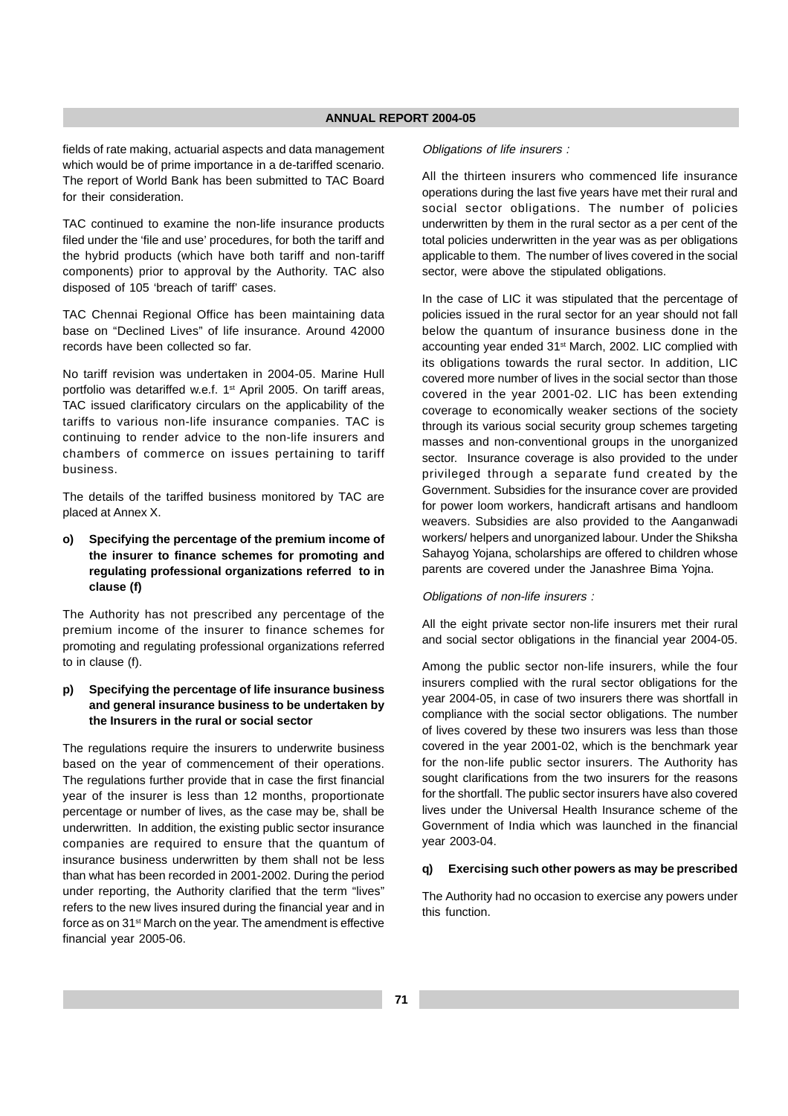fields of rate making, actuarial aspects and data management which would be of prime importance in a de-tariffed scenario. The report of World Bank has been submitted to TAC Board for their consideration.

TAC continued to examine the non-life insurance products filed under the 'file and use' procedures, for both the tariff and the hybrid products (which have both tariff and non-tariff components) prior to approval by the Authority. TAC also disposed of 105 'breach of tariff' cases.

TAC Chennai Regional Office has been maintaining data base on "Declined Lives" of life insurance. Around 42000 records have been collected so far.

No tariff revision was undertaken in 2004-05. Marine Hull portfolio was detariffed w.e.f. 1<sup>st</sup> April 2005. On tariff areas, TAC issued clarificatory circulars on the applicability of the tariffs to various non-life insurance companies. TAC is continuing to render advice to the non-life insurers and chambers of commerce on issues pertaining to tariff business.

The details of the tariffed business monitored by TAC are placed at Annex X.

## **o) Specifying the percentage of the premium income of the insurer to finance schemes for promoting and regulating professional organizations referred to in clause (f)**

The Authority has not prescribed any percentage of the premium income of the insurer to finance schemes for promoting and regulating professional organizations referred to in clause (f).

## **p) Specifying the percentage of life insurance business and general insurance business to be undertaken by the Insurers in the rural or social sector**

The regulations require the insurers to underwrite business based on the year of commencement of their operations. The regulations further provide that in case the first financial year of the insurer is less than 12 months, proportionate percentage or number of lives, as the case may be, shall be underwritten. In addition, the existing public sector insurance companies are required to ensure that the quantum of insurance business underwritten by them shall not be less than what has been recorded in 2001-2002. During the period under reporting, the Authority clarified that the term "lives" refers to the new lives insured during the financial year and in force as on 31st March on the year. The amendment is effective financial year 2005-06.

Obligations of life insurers :

All the thirteen insurers who commenced life insurance operations during the last five years have met their rural and social sector obligations. The number of policies underwritten by them in the rural sector as a per cent of the total policies underwritten in the year was as per obligations applicable to them. The number of lives covered in the social sector, were above the stipulated obligations.

In the case of LIC it was stipulated that the percentage of policies issued in the rural sector for an year should not fall below the quantum of insurance business done in the accounting year ended 31<sup>st</sup> March, 2002. LIC complied with its obligations towards the rural sector. In addition, LIC covered more number of lives in the social sector than those covered in the year 2001-02. LIC has been extending coverage to economically weaker sections of the society through its various social security group schemes targeting masses and non-conventional groups in the unorganized sector. Insurance coverage is also provided to the under privileged through a separate fund created by the Government. Subsidies for the insurance cover are provided for power loom workers, handicraft artisans and handloom weavers. Subsidies are also provided to the Aanganwadi workers/ helpers and unorganized labour. Under the Shiksha Sahayog Yojana, scholarships are offered to children whose parents are covered under the Janashree Bima Yojna.

#### Obligations of non-life insurers :

All the eight private sector non-life insurers met their rural and social sector obligations in the financial year 2004-05.

Among the public sector non-life insurers, while the four insurers complied with the rural sector obligations for the year 2004-05, in case of two insurers there was shortfall in compliance with the social sector obligations. The number of lives covered by these two insurers was less than those covered in the year 2001-02, which is the benchmark year for the non-life public sector insurers. The Authority has sought clarifications from the two insurers for the reasons for the shortfall. The public sector insurers have also covered lives under the Universal Health Insurance scheme of the Government of India which was launched in the financial year 2003-04.

#### **q) Exercising such other powers as may be prescribed**

The Authority had no occasion to exercise any powers under this function.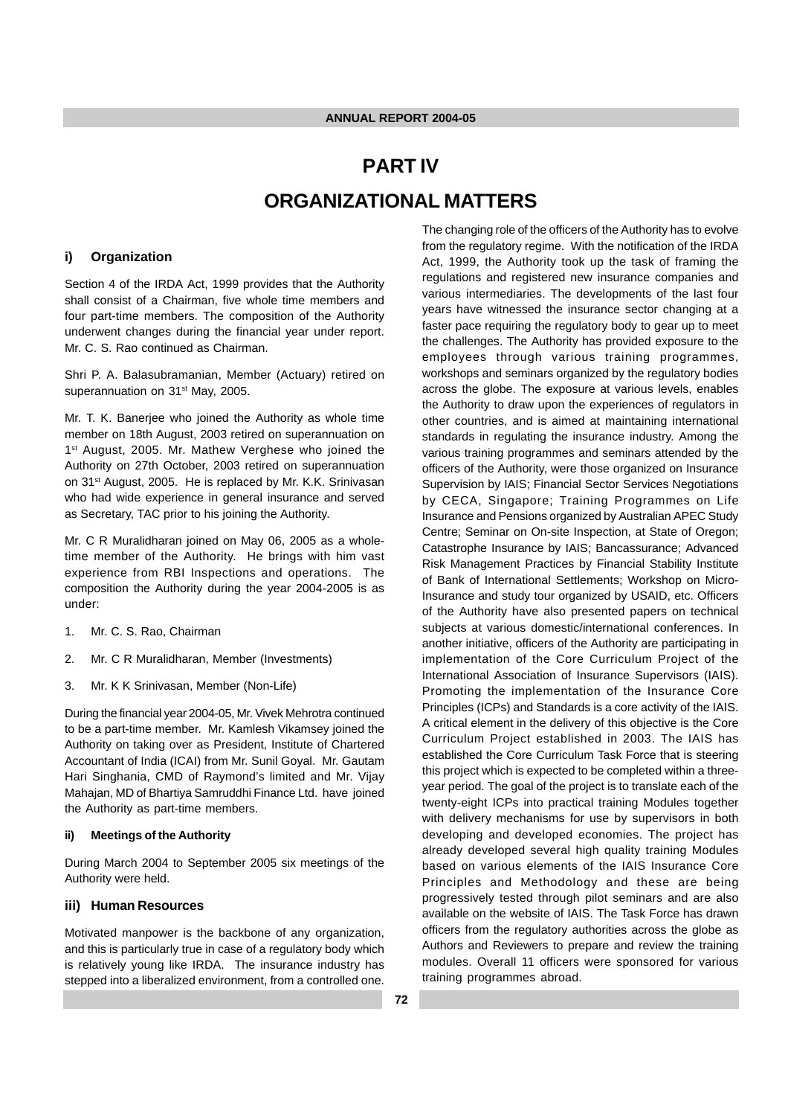# **PART IV ORGANIZATIONAL MATTERS**

#### **i) Organization**

Section 4 of the IRDA Act, 1999 provides that the Authority shall consist of a Chairman, five whole time members and four part-time members. The composition of the Authority underwent changes during the financial year under report. Mr. C. S. Rao continued as Chairman.

Shri P. A. Balasubramanian, Member (Actuary) retired on superannuation on 31<sup>st</sup> May, 2005.

Mr. T. K. Banerjee who joined the Authority as whole time member on 18th August, 2003 retired on superannuation on 1<sup>st</sup> August, 2005. Mr. Mathew Verghese who joined the Authority on 27th October, 2003 retired on superannuation on 31<sup>st</sup> August, 2005. He is replaced by Mr. K.K. Srinivasan who had wide experience in general insurance and served as Secretary, TAC prior to his joining the Authority.

Mr. C R Muralidharan joined on May 06, 2005 as a wholetime member of the Authority. He brings with him vast experience from RBI Inspections and operations. The composition the Authority during the year 2004-2005 is as under:

- 1. Mr. C. S. Rao, Chairman
- 2. Mr. C R Muralidharan, Member (Investments)
- 3. Mr. K K Srinivasan, Member (Non-Life)

During the financial year 2004-05, Mr. Vivek Mehrotra continued to be a part-time member. Mr. Kamlesh Vikamsey joined the Authority on taking over as President, Institute of Chartered Accountant of India (ICAI) from Mr. Sunil Goyal. Mr. Gautam Hari Singhania, CMD of Raymond's limited and Mr. Vijay Mahajan, MD of Bhartiya Samruddhi Finance Ltd. have joined the Authority as part-time members.

#### **ii) Meetings of the Authority**

During March 2004 to September 2005 six meetings of the Authority were held.

#### **iii) Human Resources**

Motivated manpower is the backbone of any organization, and this is particularly true in case of a regulatory body which is relatively young like IRDA. The insurance industry has stepped into a liberalized environment, from a controlled one. The changing role of the officers of the Authority has to evolve from the regulatory regime. With the notification of the IRDA Act, 1999, the Authority took up the task of framing the regulations and registered new insurance companies and various intermediaries. The developments of the last four years have witnessed the insurance sector changing at a faster pace requiring the regulatory body to gear up to meet the challenges. The Authority has provided exposure to the employees through various training programmes, workshops and seminars organized by the regulatory bodies across the globe. The exposure at various levels, enables the Authority to draw upon the experiences of regulators in other countries, and is aimed at maintaining international standards in regulating the insurance industry. Among the various training programmes and seminars attended by the officers of the Authority, were those organized on Insurance Supervision by IAIS; Financial Sector Services Negotiations by CECA, Singapore; Training Programmes on Life Insurance and Pensions organized by Australian APEC Study Centre; Seminar on On-site Inspection, at State of Oregon; Catastrophe Insurance by IAIS; Bancassurance; Advanced Risk Management Practices by Financial Stability Institute of Bank of International Settlements; Workshop on Micro-Insurance and study tour organized by USAID, etc. Officers of the Authority have also presented papers on technical subjects at various domestic/international conferences. In another initiative, officers of the Authority are participating in implementation of the Core Curriculum Project of the International Association of Insurance Supervisors (IAIS). Promoting the implementation of the Insurance Core Principles (ICPs) and Standards is a core activity of the IAIS. A critical element in the delivery of this objective is the Core Curriculum Project established in 2003. The IAIS has established the Core Curriculum Task Force that is steering this project which is expected to be completed within a threeyear period. The goal of the project is to translate each of the twenty-eight ICPs into practical training Modules together with delivery mechanisms for use by supervisors in both developing and developed economies. The project has already developed several high quality training Modules based on various elements of the IAIS Insurance Core Principles and Methodology and these are being progressively tested through pilot seminars and are also available on the website of IAIS. The Task Force has drawn officers from the regulatory authorities across the globe as Authors and Reviewers to prepare and review the training modules. Overall 11 officers were sponsored for various training programmes abroad.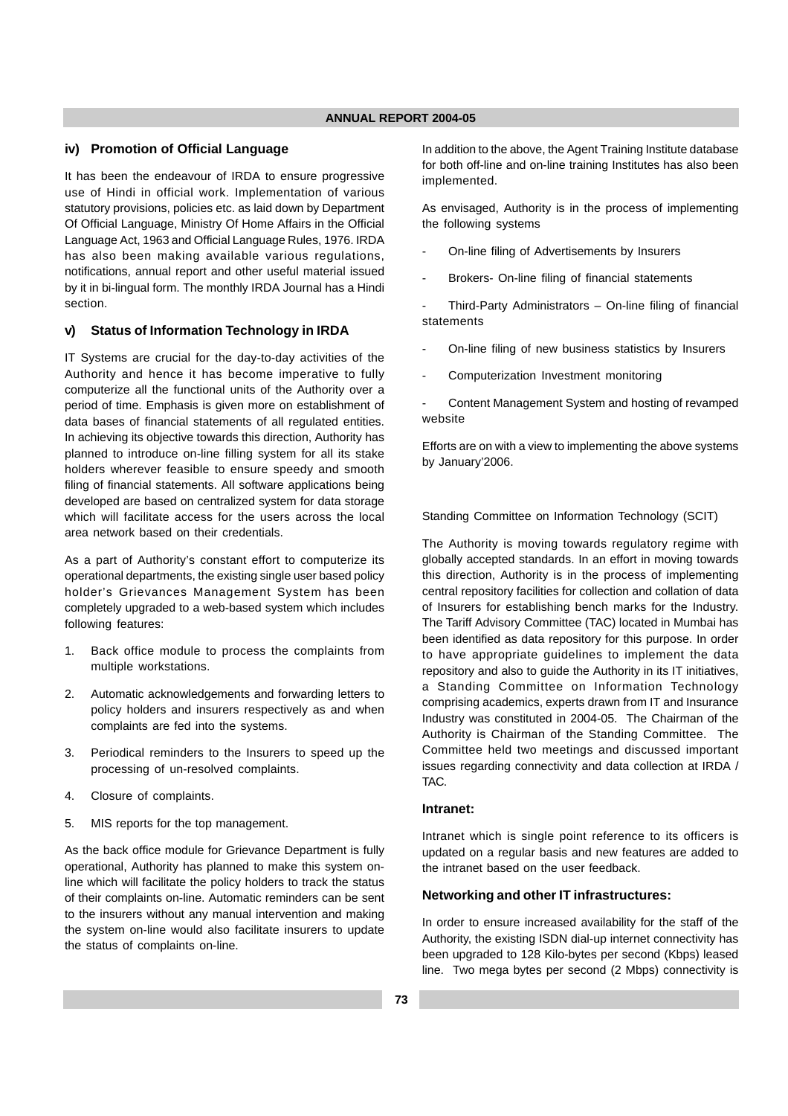#### **iv) Promotion of Official Language**

It has been the endeavour of IRDA to ensure progressive use of Hindi in official work. Implementation of various statutory provisions, policies etc. as laid down by Department Of Official Language, Ministry Of Home Affairs in the Official Language Act, 1963 and Official Language Rules, 1976. IRDA has also been making available various regulations, notifications, annual report and other useful material issued by it in bi-lingual form. The monthly IRDA Journal has a Hindi section.

#### **v) Status of Information Technology in IRDA**

IT Systems are crucial for the day-to-day activities of the Authority and hence it has become imperative to fully computerize all the functional units of the Authority over a period of time. Emphasis is given more on establishment of data bases of financial statements of all regulated entities. In achieving its objective towards this direction, Authority has planned to introduce on-line filling system for all its stake holders wherever feasible to ensure speedy and smooth filing of financial statements. All software applications being developed are based on centralized system for data storage which will facilitate access for the users across the local area network based on their credentials.

As a part of Authority's constant effort to computerize its operational departments, the existing single user based policy holder's Grievances Management System has been completely upgraded to a web-based system which includes following features:

- 1. Back office module to process the complaints from multiple workstations.
- 2. Automatic acknowledgements and forwarding letters to policy holders and insurers respectively as and when complaints are fed into the systems.
- 3. Periodical reminders to the Insurers to speed up the processing of un-resolved complaints.
- 4. Closure of complaints.
- 5. MIS reports for the top management.

As the back office module for Grievance Department is fully operational, Authority has planned to make this system online which will facilitate the policy holders to track the status of their complaints on-line. Automatic reminders can be sent to the insurers without any manual intervention and making the system on-line would also facilitate insurers to update the status of complaints on-line.

In addition to the above, the Agent Training Institute database for both off-line and on-line training Institutes has also been implemented.

As envisaged, Authority is in the process of implementing the following systems

- On-line filing of Advertisements by Insurers
- Brokers- On-line filing of financial statements

Third-Party Administrators - On-line filing of financial statements

- On-line filing of new business statistics by Insurers
- Computerization Investment monitoring

Content Management System and hosting of revamped website

Efforts are on with a view to implementing the above systems by January'2006.

Standing Committee on Information Technology (SCIT)

The Authority is moving towards regulatory regime with globally accepted standards. In an effort in moving towards this direction, Authority is in the process of implementing central repository facilities for collection and collation of data of Insurers for establishing bench marks for the Industry. The Tariff Advisory Committee (TAC) located in Mumbai has been identified as data repository for this purpose. In order to have appropriate guidelines to implement the data repository and also to guide the Authority in its IT initiatives, a Standing Committee on Information Technology comprising academics, experts drawn from IT and Insurance Industry was constituted in 2004-05. The Chairman of the Authority is Chairman of the Standing Committee. The Committee held two meetings and discussed important issues regarding connectivity and data collection at IRDA / TAC.

#### **Intranet:**

Intranet which is single point reference to its officers is updated on a regular basis and new features are added to the intranet based on the user feedback.

#### **Networking and other IT infrastructures:**

In order to ensure increased availability for the staff of the Authority, the existing ISDN dial-up internet connectivity has been upgraded to 128 Kilo-bytes per second (Kbps) leased line. Two mega bytes per second (2 Mbps) connectivity is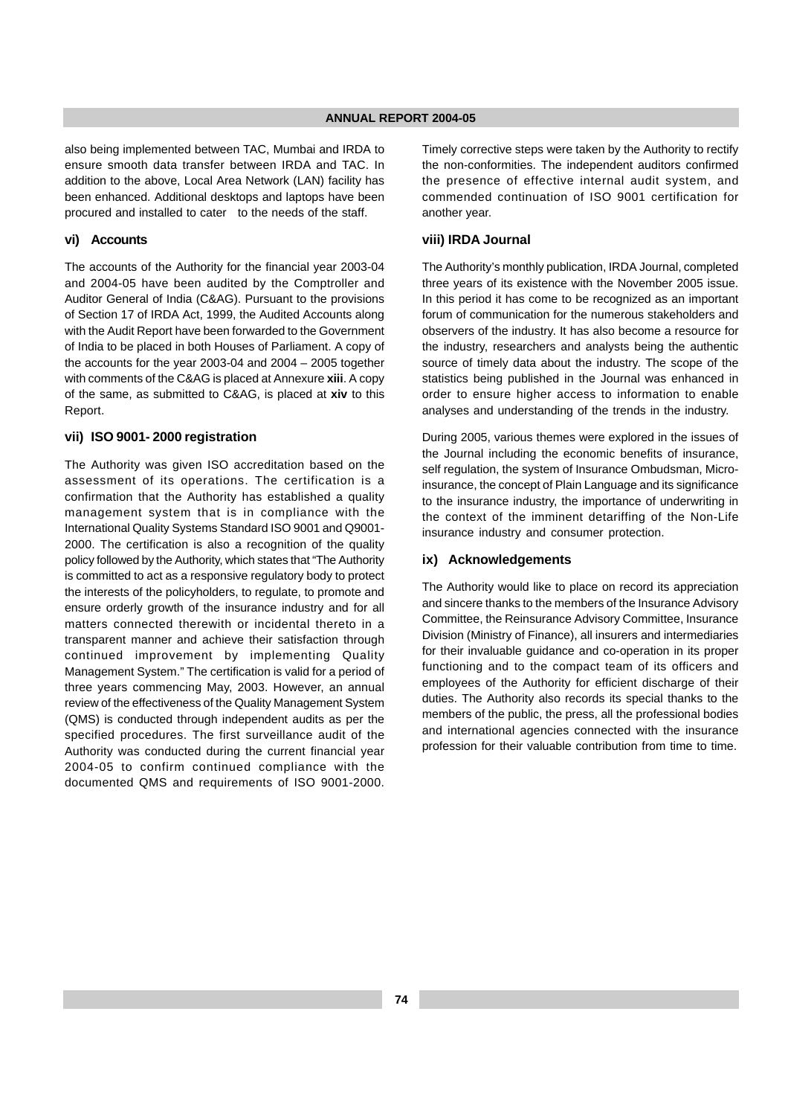also being implemented between TAC, Mumbai and IRDA to ensure smooth data transfer between IRDA and TAC. In addition to the above, Local Area Network (LAN) facility has been enhanced. Additional desktops and laptops have been procured and installed to cater to the needs of the staff.

#### **vi) Accounts**

The accounts of the Authority for the financial year 2003-04 and 2004-05 have been audited by the Comptroller and Auditor General of India (C&AG). Pursuant to the provisions of Section 17 of IRDA Act, 1999, the Audited Accounts along with the Audit Report have been forwarded to the Government of India to be placed in both Houses of Parliament. A copy of the accounts for the year 2003-04 and 2004 – 2005 together with comments of the C&AG is placed at Annexure **xiii**. A copy of the same, as submitted to C&AG, is placed at **xiv** to this Report.

#### **vii) ISO 9001- 2000 registration**

The Authority was given ISO accreditation based on the assessment of its operations. The certification is a confirmation that the Authority has established a quality management system that is in compliance with the International Quality Systems Standard ISO 9001 and Q9001- 2000. The certification is also a recognition of the quality policy followed by the Authority, which states that "The Authority is committed to act as a responsive regulatory body to protect the interests of the policyholders, to regulate, to promote and ensure orderly growth of the insurance industry and for all matters connected therewith or incidental thereto in a transparent manner and achieve their satisfaction through continued improvement by implementing Quality Management System." The certification is valid for a period of three years commencing May, 2003. However, an annual review of the effectiveness of the Quality Management System (QMS) is conducted through independent audits as per the specified procedures. The first surveillance audit of the Authority was conducted during the current financial year 2004-05 to confirm continued compliance with the documented QMS and requirements of ISO 9001-2000.

Timely corrective steps were taken by the Authority to rectify the non-conformities. The independent auditors confirmed the presence of effective internal audit system, and commended continuation of ISO 9001 certification for another year.

## **viii) IRDA Journal**

The Authority's monthly publication, IRDA Journal, completed three years of its existence with the November 2005 issue. In this period it has come to be recognized as an important forum of communication for the numerous stakeholders and observers of the industry. It has also become a resource for the industry, researchers and analysts being the authentic source of timely data about the industry. The scope of the statistics being published in the Journal was enhanced in order to ensure higher access to information to enable analyses and understanding of the trends in the industry.

During 2005, various themes were explored in the issues of the Journal including the economic benefits of insurance, self regulation, the system of Insurance Ombudsman, Microinsurance, the concept of Plain Language and its significance to the insurance industry, the importance of underwriting in the context of the imminent detariffing of the Non-Life insurance industry and consumer protection.

#### **ix) Acknowledgements**

The Authority would like to place on record its appreciation and sincere thanks to the members of the Insurance Advisory Committee, the Reinsurance Advisory Committee, Insurance Division (Ministry of Finance), all insurers and intermediaries for their invaluable guidance and co-operation in its proper functioning and to the compact team of its officers and employees of the Authority for efficient discharge of their duties. The Authority also records its special thanks to the members of the public, the press, all the professional bodies and international agencies connected with the insurance profession for their valuable contribution from time to time.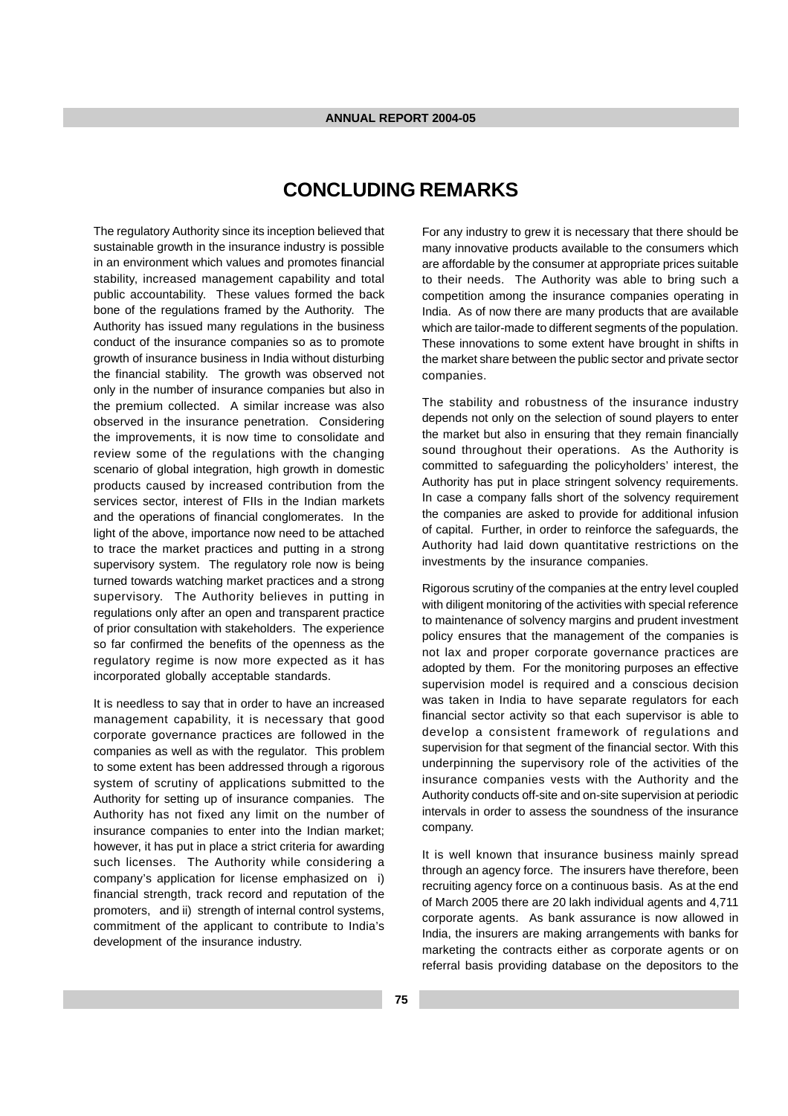# **CONCLUDING REMARKS**

The regulatory Authority since its inception believed that sustainable growth in the insurance industry is possible in an environment which values and promotes financial stability, increased management capability and total public accountability. These values formed the back bone of the regulations framed by the Authority. The Authority has issued many regulations in the business conduct of the insurance companies so as to promote growth of insurance business in India without disturbing the financial stability. The growth was observed not only in the number of insurance companies but also in the premium collected. A similar increase was also observed in the insurance penetration. Considering the improvements, it is now time to consolidate and review some of the regulations with the changing scenario of global integration, high growth in domestic products caused by increased contribution from the services sector, interest of FIIs in the Indian markets and the operations of financial conglomerates. In the light of the above, importance now need to be attached to trace the market practices and putting in a strong supervisory system. The regulatory role now is being turned towards watching market practices and a strong supervisory. The Authority believes in putting in regulations only after an open and transparent practice of prior consultation with stakeholders. The experience so far confirmed the benefits of the openness as the regulatory regime is now more expected as it has incorporated globally acceptable standards.

It is needless to say that in order to have an increased management capability, it is necessary that good corporate governance practices are followed in the companies as well as with the regulator. This problem to some extent has been addressed through a rigorous system of scrutiny of applications submitted to the Authority for setting up of insurance companies. The Authority has not fixed any limit on the number of insurance companies to enter into the Indian market; however, it has put in place a strict criteria for awarding such licenses. The Authority while considering a company's application for license emphasized on i) financial strength, track record and reputation of the promoters, and ii) strength of internal control systems, commitment of the applicant to contribute to India's development of the insurance industry.

For any industry to grew it is necessary that there should be many innovative products available to the consumers which are affordable by the consumer at appropriate prices suitable to their needs. The Authority was able to bring such a competition among the insurance companies operating in India. As of now there are many products that are available which are tailor-made to different segments of the population. These innovations to some extent have brought in shifts in the market share between the public sector and private sector companies.

The stability and robustness of the insurance industry depends not only on the selection of sound players to enter the market but also in ensuring that they remain financially sound throughout their operations. As the Authority is committed to safeguarding the policyholders' interest, the Authority has put in place stringent solvency requirements. In case a company falls short of the solvency requirement the companies are asked to provide for additional infusion of capital. Further, in order to reinforce the safeguards, the Authority had laid down quantitative restrictions on the investments by the insurance companies.

Rigorous scrutiny of the companies at the entry level coupled with diligent monitoring of the activities with special reference to maintenance of solvency margins and prudent investment policy ensures that the management of the companies is not lax and proper corporate governance practices are adopted by them. For the monitoring purposes an effective supervision model is required and a conscious decision was taken in India to have separate regulators for each financial sector activity so that each supervisor is able to develop a consistent framework of regulations and supervision for that segment of the financial sector. With this underpinning the supervisory role of the activities of the insurance companies vests with the Authority and the Authority conducts off-site and on-site supervision at periodic intervals in order to assess the soundness of the insurance company.

It is well known that insurance business mainly spread through an agency force. The insurers have therefore, been recruiting agency force on a continuous basis. As at the end of March 2005 there are 20 lakh individual agents and 4,711 corporate agents. As bank assurance is now allowed in India, the insurers are making arrangements with banks for marketing the contracts either as corporate agents or on referral basis providing database on the depositors to the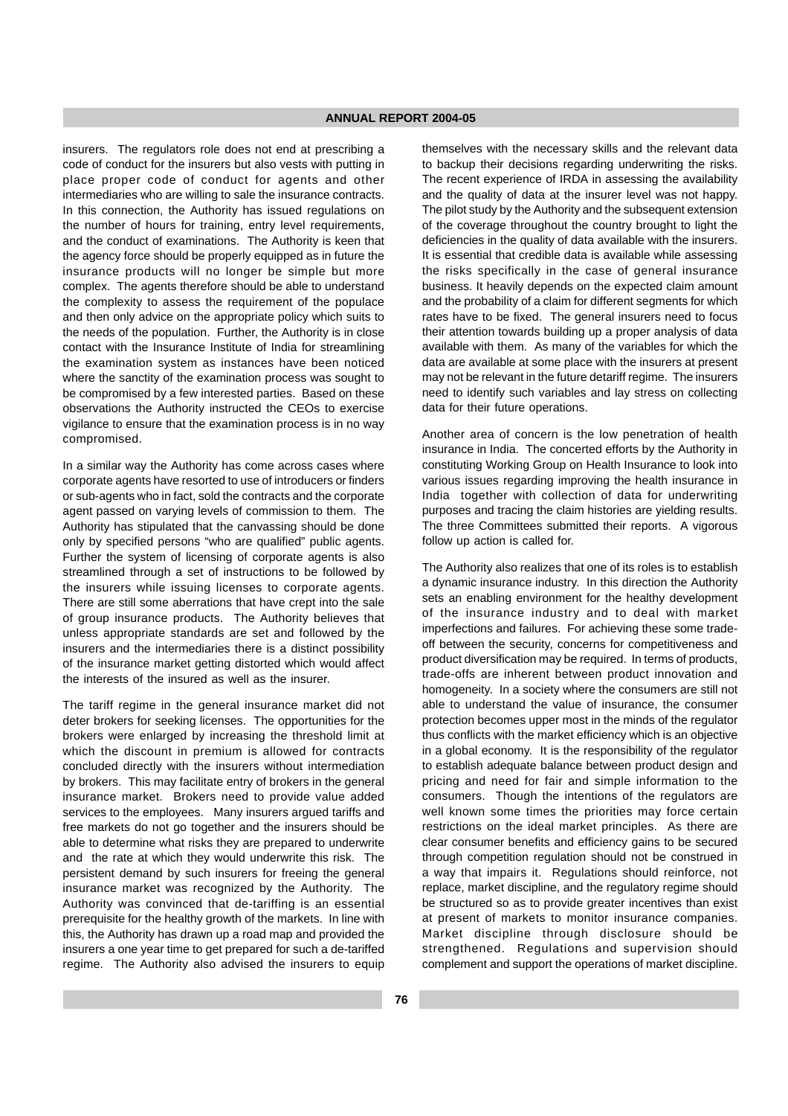insurers. The regulators role does not end at prescribing a code of conduct for the insurers but also vests with putting in place proper code of conduct for agents and other intermediaries who are willing to sale the insurance contracts. In this connection, the Authority has issued regulations on the number of hours for training, entry level requirements, and the conduct of examinations. The Authority is keen that the agency force should be properly equipped as in future the insurance products will no longer be simple but more complex. The agents therefore should be able to understand the complexity to assess the requirement of the populace and then only advice on the appropriate policy which suits to the needs of the population. Further, the Authority is in close contact with the Insurance Institute of India for streamlining the examination system as instances have been noticed where the sanctity of the examination process was sought to be compromised by a few interested parties. Based on these observations the Authority instructed the CEOs to exercise vigilance to ensure that the examination process is in no way compromised.

In a similar way the Authority has come across cases where corporate agents have resorted to use of introducers or finders or sub-agents who in fact, sold the contracts and the corporate agent passed on varying levels of commission to them. The Authority has stipulated that the canvassing should be done only by specified persons "who are qualified" public agents. Further the system of licensing of corporate agents is also streamlined through a set of instructions to be followed by the insurers while issuing licenses to corporate agents. There are still some aberrations that have crept into the sale of group insurance products. The Authority believes that unless appropriate standards are set and followed by the insurers and the intermediaries there is a distinct possibility of the insurance market getting distorted which would affect the interests of the insured as well as the insurer.

The tariff regime in the general insurance market did not deter brokers for seeking licenses. The opportunities for the brokers were enlarged by increasing the threshold limit at which the discount in premium is allowed for contracts concluded directly with the insurers without intermediation by brokers. This may facilitate entry of brokers in the general insurance market. Brokers need to provide value added services to the employees. Many insurers argued tariffs and free markets do not go together and the insurers should be able to determine what risks they are prepared to underwrite and the rate at which they would underwrite this risk. The persistent demand by such insurers for freeing the general insurance market was recognized by the Authority. The Authority was convinced that de-tariffing is an essential prerequisite for the healthy growth of the markets. In line with this, the Authority has drawn up a road map and provided the insurers a one year time to get prepared for such a de-tariffed regime. The Authority also advised the insurers to equip

themselves with the necessary skills and the relevant data to backup their decisions regarding underwriting the risks. The recent experience of IRDA in assessing the availability and the quality of data at the insurer level was not happy. The pilot study by the Authority and the subsequent extension of the coverage throughout the country brought to light the deficiencies in the quality of data available with the insurers. It is essential that credible data is available while assessing the risks specifically in the case of general insurance business. It heavily depends on the expected claim amount and the probability of a claim for different segments for which rates have to be fixed. The general insurers need to focus their attention towards building up a proper analysis of data available with them. As many of the variables for which the data are available at some place with the insurers at present may not be relevant in the future detariff regime. The insurers need to identify such variables and lay stress on collecting data for their future operations.

Another area of concern is the low penetration of health insurance in India. The concerted efforts by the Authority in constituting Working Group on Health Insurance to look into various issues regarding improving the health insurance in India together with collection of data for underwriting purposes and tracing the claim histories are yielding results. The three Committees submitted their reports. A vigorous follow up action is called for.

The Authority also realizes that one of its roles is to establish a dynamic insurance industry. In this direction the Authority sets an enabling environment for the healthy development of the insurance industry and to deal with market imperfections and failures. For achieving these some tradeoff between the security, concerns for competitiveness and product diversification may be required. In terms of products, trade-offs are inherent between product innovation and homogeneity. In a society where the consumers are still not able to understand the value of insurance, the consumer protection becomes upper most in the minds of the regulator thus conflicts with the market efficiency which is an objective in a global economy. It is the responsibility of the regulator to establish adequate balance between product design and pricing and need for fair and simple information to the consumers. Though the intentions of the regulators are well known some times the priorities may force certain restrictions on the ideal market principles. As there are clear consumer benefits and efficiency gains to be secured through competition regulation should not be construed in a way that impairs it. Regulations should reinforce, not replace, market discipline, and the regulatory regime should be structured so as to provide greater incentives than exist at present of markets to monitor insurance companies. Market discipline through disclosure should be strengthened. Regulations and supervision should complement and support the operations of market discipline.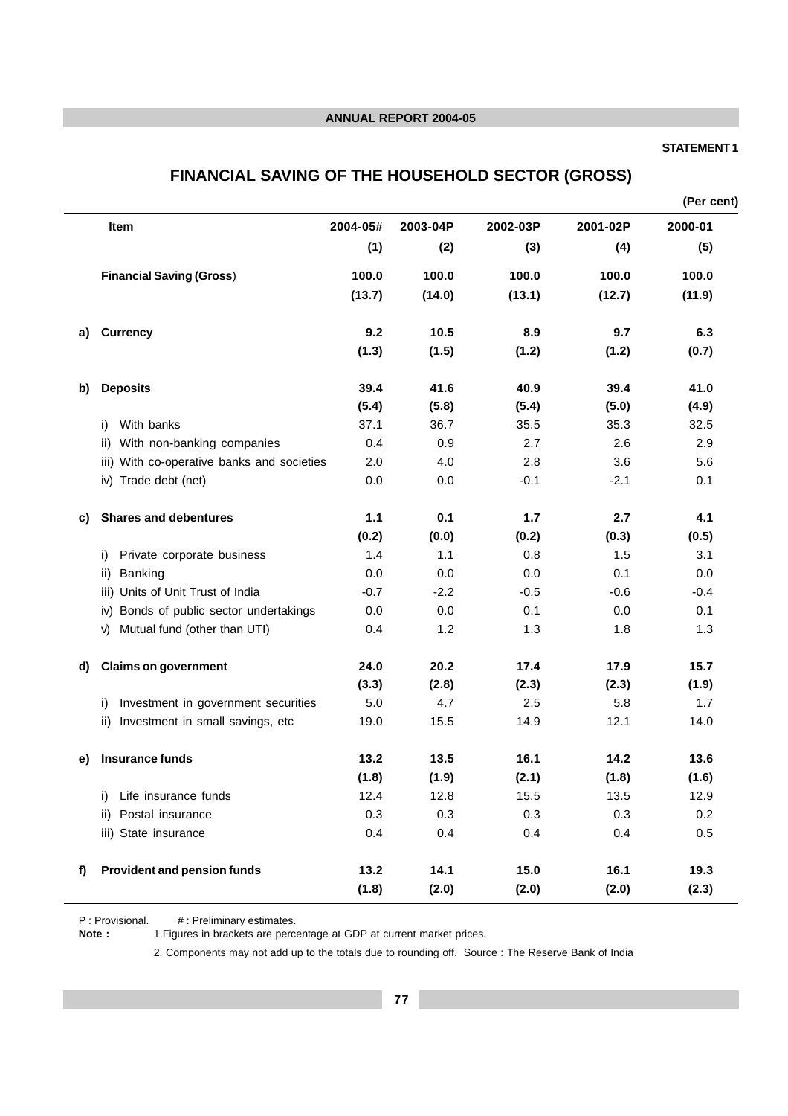## **STATEMENT 1**

# **FINANCIAL SAVING OF THE HOUSEHOLD SECTOR (GROSS)**

|    |                                            |          |          |          |          | (Per cent) |
|----|--------------------------------------------|----------|----------|----------|----------|------------|
|    | Item                                       | 2004-05# | 2003-04P | 2002-03P | 2001-02P | 2000-01    |
|    |                                            | (1)      | (2)      | (3)      | (4)      | (5)        |
|    | <b>Financial Saving (Gross)</b>            | 100.0    | 100.0    | 100.0    | 100.0    | 100.0      |
|    |                                            | (13.7)   | (14.0)   | (13.1)   | (12.7)   | (11.9)     |
| a) | <b>Currency</b>                            | 9.2      | 10.5     | 8.9      | 9.7      | 6.3        |
|    |                                            | (1.3)    | (1.5)    | (1.2)    | (1.2)    | (0.7)      |
| b) | <b>Deposits</b>                            | 39.4     | 41.6     | 40.9     | 39.4     | 41.0       |
|    |                                            | (5.4)    | (5.8)    | (5.4)    | (5.0)    | (4.9)      |
|    | With banks<br>i)                           | 37.1     | 36.7     | 35.5     | 35.3     | 32.5       |
|    | With non-banking companies<br>ii)          | 0.4      | 0.9      | 2.7      | 2.6      | 2.9        |
|    | iii) With co-operative banks and societies | 2.0      | 4.0      | 2.8      | 3.6      | 5.6        |
|    | iv) Trade debt (net)                       | 0.0      | 0.0      | $-0.1$   | $-2.1$   | 0.1        |
| C) | <b>Shares and debentures</b>               | 1.1      | 0.1      | 1.7      | 2.7      | 4.1        |
|    |                                            | (0.2)    | (0.0)    | (0.2)    | (0.3)    | (0.5)      |
|    | Private corporate business<br>i)           | 1.4      | 1.1      | 0.8      | 1.5      | 3.1        |
|    | Banking<br>ii)                             | 0.0      | 0.0      | 0.0      | 0.1      | 0.0        |
|    | Units of Unit Trust of India<br>iii)       | $-0.7$   | $-2.2$   | $-0.5$   | $-0.6$   | $-0.4$     |
|    | Bonds of public sector undertakings<br>iv) | 0.0      | 0.0      | 0.1      | 0.0      | 0.1        |
|    | Mutual fund (other than UTI)<br>V)         | 0.4      | 1.2      | 1.3      | 1.8      | 1.3        |
| d) | <b>Claims on government</b>                | 24.0     | 20.2     | 17.4     | 17.9     | 15.7       |
|    |                                            | (3.3)    | (2.8)    | (2.3)    | (2.3)    | (1.9)      |
|    | Investment in government securities<br>i)  | 5.0      | 4.7      | 2.5      | 5.8      | 1.7        |
|    | Investment in small savings, etc<br>ii)    | 19.0     | 15.5     | 14.9     | 12.1     | 14.0       |
| e) | Insurance funds                            | 13.2     | 13.5     | 16.1     | 14.2     | 13.6       |
|    |                                            | (1.8)    | (1.9)    | (2.1)    | (1.8)    | (1.6)      |
|    | Life insurance funds<br>$\mathbf{I}$       | 12.4     | 12.8     | 15.5     | 13.5     | 12.9       |
|    | Postal insurance<br>ii)                    | 0.3      | 0.3      | 0.3      | 0.3      | 0.2        |
|    | iii) State insurance                       | 0.4      | 0.4      | 0.4      | 0.4      | 0.5        |
| f) | <b>Provident and pension funds</b>         | 13.2     | 14.1     | 15.0     | 16.1     | 19.3       |
|    |                                            | (1.8)    | (2.0)    | (2.0)    | (2.0)    | (2.3)      |

P : Provisional. # : Preliminary estimates.<br>**Note :** 1. Figures in brackets are perce

**Note :** 1.Figures in brackets are percentage at GDP at current market prices.

2. Components may not add up to the totals due to rounding off. Source : The Reserve Bank of India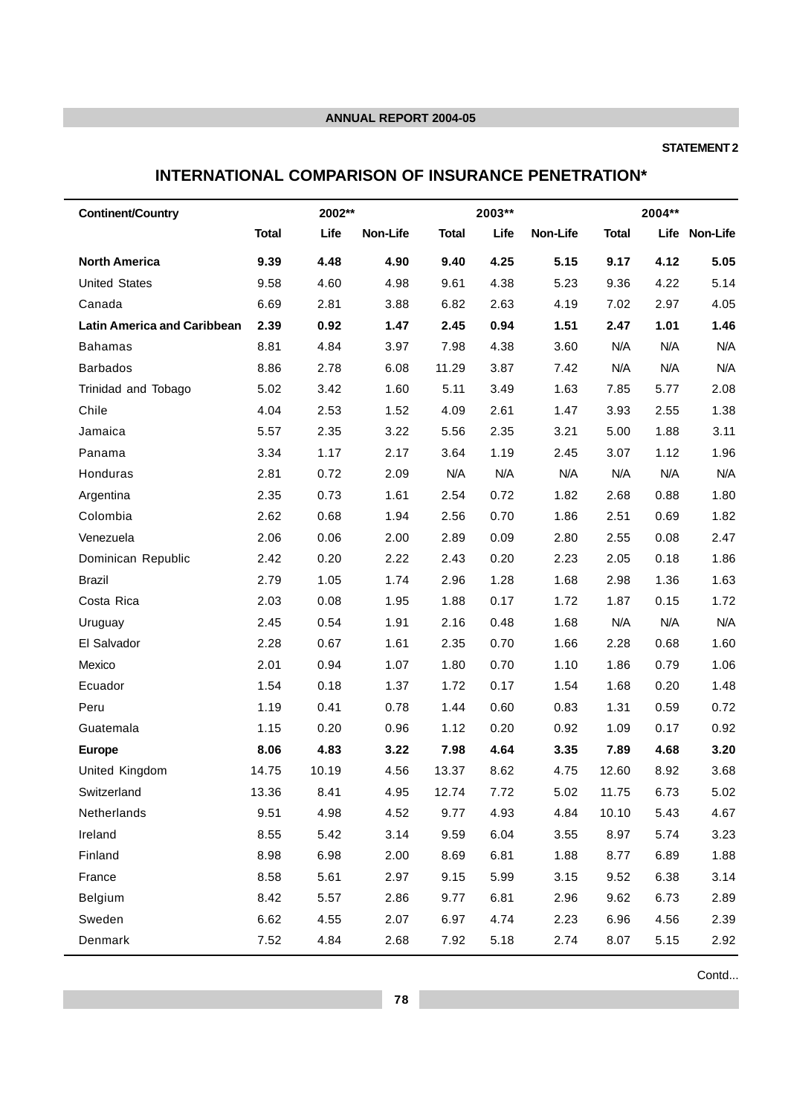## **STATEMENT 2**

# **INTERNATIONAL COMPARISON OF INSURANCE PENETRATION\***

| <b>Continent/Country</b>           |              | 2002** |          |              | 2003** |          |              | 2004** |               |
|------------------------------------|--------------|--------|----------|--------------|--------|----------|--------------|--------|---------------|
|                                    | <b>Total</b> | Life   | Non-Life | <b>Total</b> | Life   | Non-Life | <b>Total</b> |        | Life Non-Life |
| <b>North America</b>               | 9.39         | 4.48   | 4.90     | 9.40         | 4.25   | 5.15     | 9.17         | 4.12   | 5.05          |
| <b>United States</b>               | 9.58         | 4.60   | 4.98     | 9.61         | 4.38   | 5.23     | 9.36         | 4.22   | 5.14          |
| Canada                             | 6.69         | 2.81   | 3.88     | 6.82         | 2.63   | 4.19     | 7.02         | 2.97   | 4.05          |
| <b>Latin America and Caribbean</b> | 2.39         | 0.92   | 1.47     | 2.45         | 0.94   | 1.51     | 2.47         | 1.01   | 1.46          |
| <b>Bahamas</b>                     | 8.81         | 4.84   | 3.97     | 7.98         | 4.38   | 3.60     | N/A          | N/A    | N/A           |
| <b>Barbados</b>                    | 8.86         | 2.78   | 6.08     | 11.29        | 3.87   | 7.42     | N/A          | N/A    | N/A           |
| Trinidad and Tobago                | 5.02         | 3.42   | 1.60     | 5.11         | 3.49   | 1.63     | 7.85         | 5.77   | 2.08          |
| Chile                              | 4.04         | 2.53   | 1.52     | 4.09         | 2.61   | 1.47     | 3.93         | 2.55   | 1.38          |
| Jamaica                            | 5.57         | 2.35   | 3.22     | 5.56         | 2.35   | 3.21     | 5.00         | 1.88   | 3.11          |
| Panama                             | 3.34         | 1.17   | 2.17     | 3.64         | 1.19   | 2.45     | 3.07         | 1.12   | 1.96          |
| Honduras                           | 2.81         | 0.72   | 2.09     | N/A          | N/A    | N/A      | N/A          | N/A    | N/A           |
| Argentina                          | 2.35         | 0.73   | 1.61     | 2.54         | 0.72   | 1.82     | 2.68         | 0.88   | 1.80          |
| Colombia                           | 2.62         | 0.68   | 1.94     | 2.56         | 0.70   | 1.86     | 2.51         | 0.69   | 1.82          |
| Venezuela                          | 2.06         | 0.06   | 2.00     | 2.89         | 0.09   | 2.80     | 2.55         | 0.08   | 2.47          |
| Dominican Republic                 | 2.42         | 0.20   | 2.22     | 2.43         | 0.20   | 2.23     | 2.05         | 0.18   | 1.86          |
| <b>Brazil</b>                      | 2.79         | 1.05   | 1.74     | 2.96         | 1.28   | 1.68     | 2.98         | 1.36   | 1.63          |
| Costa Rica                         | 2.03         | 0.08   | 1.95     | 1.88         | 0.17   | 1.72     | 1.87         | 0.15   | 1.72          |
| Uruguay                            | 2.45         | 0.54   | 1.91     | 2.16         | 0.48   | 1.68     | N/A          | N/A    | N/A           |
| El Salvador                        | 2.28         | 0.67   | 1.61     | 2.35         | 0.70   | 1.66     | 2.28         | 0.68   | 1.60          |
| Mexico                             | 2.01         | 0.94   | 1.07     | 1.80         | 0.70   | 1.10     | 1.86         | 0.79   | 1.06          |
| Ecuador                            | 1.54         | 0.18   | 1.37     | 1.72         | 0.17   | 1.54     | 1.68         | 0.20   | 1.48          |
| Peru                               | 1.19         | 0.41   | 0.78     | 1.44         | 0.60   | 0.83     | 1.31         | 0.59   | 0.72          |
| Guatemala                          | 1.15         | 0.20   | 0.96     | 1.12         | 0.20   | 0.92     | 1.09         | 0.17   | 0.92          |
| <b>Europe</b>                      | 8.06         | 4.83   | 3.22     | 7.98         | 4.64   | 3.35     | 7.89         | 4.68   | 3.20          |
| United Kingdom                     | 14.75        | 10.19  | 4.56     | 13.37        | 8.62   | 4.75     | 12.60        | 8.92   | 3.68          |
| Switzerland                        | 13.36        | 8.41   | 4.95     | 12.74        | 7.72   | 5.02     | 11.75        | 6.73   | 5.02          |
| Netherlands                        | 9.51         | 4.98   | 4.52     | 9.77         | 4.93   | 4.84     | 10.10        | 5.43   | 4.67          |
| Ireland                            | 8.55         | 5.42   | 3.14     | 9.59         | 6.04   | 3.55     | 8.97         | 5.74   | 3.23          |
| Finland                            | 8.98         | 6.98   | 2.00     | 8.69         | 6.81   | 1.88     | 8.77         | 6.89   | 1.88          |
| France                             | 8.58         | 5.61   | 2.97     | 9.15         | 5.99   | 3.15     | 9.52         | 6.38   | 3.14          |
| Belgium                            | 8.42         | 5.57   | 2.86     | 9.77         | 6.81   | 2.96     | 9.62         | 6.73   | 2.89          |
| Sweden                             | 6.62         | 4.55   | 2.07     | 6.97         | 4.74   | 2.23     | 6.96         | 4.56   | 2.39          |
| Denmark                            | 7.52         | 4.84   | 2.68     | 7.92         | 5.18   | 2.74     | 8.07         | 5.15   | 2.92          |

Contd...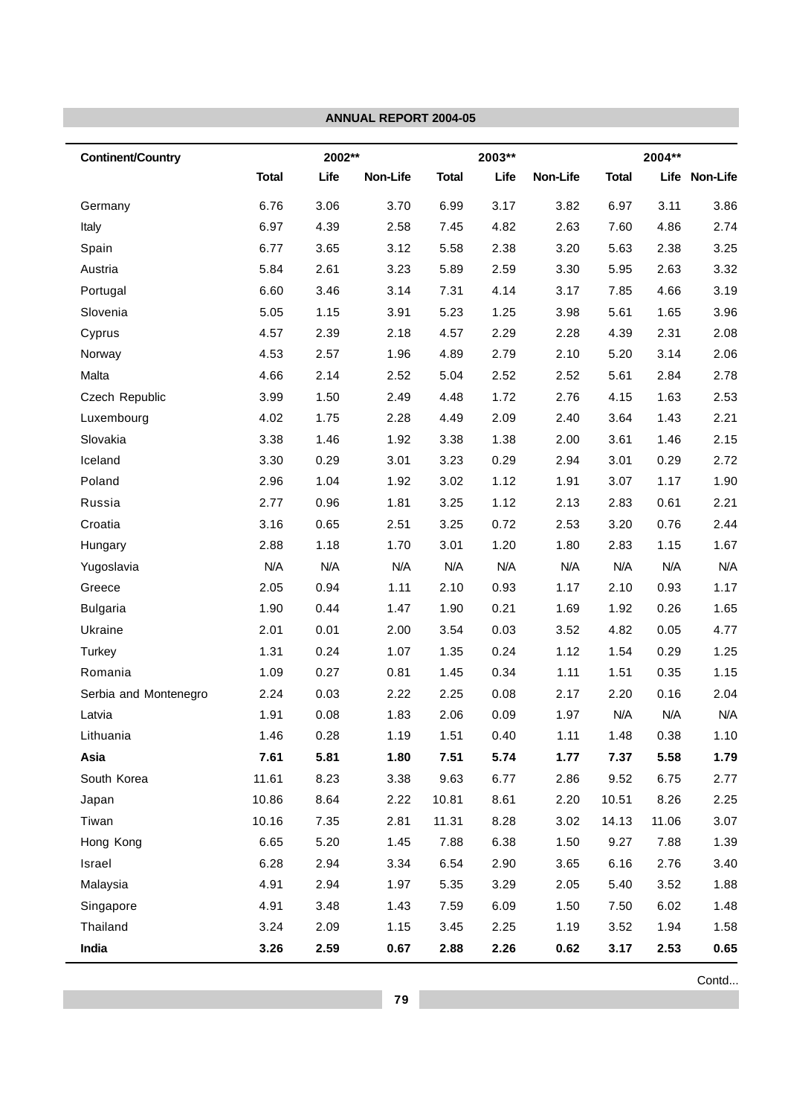|                          |              |        | <b>ANNUAL REPORT 2004-05</b> |              |        |          |              |        |               |
|--------------------------|--------------|--------|------------------------------|--------------|--------|----------|--------------|--------|---------------|
| <b>Continent/Country</b> |              | 2002** |                              |              | 2003** |          |              | 2004** |               |
|                          | <b>Total</b> | Life   | Non-Life                     | <b>Total</b> | Life   | Non-Life | <b>Total</b> |        | Life Non-Life |
| Germany                  | 6.76         | 3.06   | 3.70                         | 6.99         | 3.17   | 3.82     | 6.97         | 3.11   | 3.86          |
| Italy                    | 6.97         | 4.39   | 2.58                         | 7.45         | 4.82   | 2.63     | 7.60         | 4.86   | 2.74          |
| Spain                    | 6.77         | 3.65   | 3.12                         | 5.58         | 2.38   | 3.20     | 5.63         | 2.38   | 3.25          |
| Austria                  | 5.84         | 2.61   | 3.23                         | 5.89         | 2.59   | 3.30     | 5.95         | 2.63   | 3.32          |
| Portugal                 | 6.60         | 3.46   | 3.14                         | 7.31         | 4.14   | 3.17     | 7.85         | 4.66   | 3.19          |
| Slovenia                 | 5.05         | 1.15   | 3.91                         | 5.23         | 1.25   | 3.98     | 5.61         | 1.65   | 3.96          |
| Cyprus                   | 4.57         | 2.39   | 2.18                         | 4.57         | 2.29   | 2.28     | 4.39         | 2.31   | 2.08          |
| Norway                   | 4.53         | 2.57   | 1.96                         | 4.89         | 2.79   | 2.10     | 5.20         | 3.14   | 2.06          |
| Malta                    | 4.66         | 2.14   | 2.52                         | 5.04         | 2.52   | 2.52     | 5.61         | 2.84   | 2.78          |
| Czech Republic           | 3.99         | 1.50   | 2.49                         | 4.48         | 1.72   | 2.76     | 4.15         | 1.63   | 2.53          |
| Luxembourg               | 4.02         | 1.75   | 2.28                         | 4.49         | 2.09   | 2.40     | 3.64         | 1.43   | 2.21          |
| Slovakia                 | 3.38         | 1.46   | 1.92                         | 3.38         | 1.38   | 2.00     | 3.61         | 1.46   | 2.15          |
| Iceland                  | 3.30         | 0.29   | 3.01                         | 3.23         | 0.29   | 2.94     | 3.01         | 0.29   | 2.72          |
| Poland                   | 2.96         | 1.04   | 1.92                         | 3.02         | 1.12   | 1.91     | 3.07         | 1.17   | 1.90          |
| Russia                   | 2.77         | 0.96   | 1.81                         | 3.25         | 1.12   | 2.13     | 2.83         | 0.61   | 2.21          |
| Croatia                  | 3.16         | 0.65   | 2.51                         | 3.25         | 0.72   | 2.53     | 3.20         | 0.76   | 2.44          |
| Hungary                  | 2.88         | 1.18   | 1.70                         | 3.01         | 1.20   | 1.80     | 2.83         | 1.15   | 1.67          |
| Yugoslavia               | N/A          | N/A    | N/A                          | N/A          | N/A    | N/A      | N/A          | N/A    | N/A           |
| Greece                   | 2.05         | 0.94   | 1.11                         | 2.10         | 0.93   | 1.17     | 2.10         | 0.93   | 1.17          |
| <b>Bulgaria</b>          | 1.90         | 0.44   | 1.47                         | 1.90         | 0.21   | 1.69     | 1.92         | 0.26   | 1.65          |
| Ukraine                  | 2.01         | 0.01   | 2.00                         | 3.54         | 0.03   | 3.52     | 4.82         | 0.05   | 4.77          |
| Turkey                   | 1.31         | 0.24   | 1.07                         | 1.35         | 0.24   | 1.12     | 1.54         | 0.29   | 1.25          |
| Romania                  | 1.09         | 0.27   | 0.81                         | 1.45         | 0.34   | 1.11     | 1.51         | 0.35   | 1.15          |
| Serbia and Montenegro    | 2.24         | 0.03   | 2.22                         | 2.25         | 0.08   | 2.17     | 2.20         | 0.16   | 2.04          |
| Latvia                   | 1.91         | 0.08   | 1.83                         | 2.06         | 0.09   | 1.97     | N/A          | N/A    | N/A           |
| Lithuania                | 1.46         | 0.28   | 1.19                         | 1.51         | 0.40   | 1.11     | 1.48         | 0.38   | 1.10          |
| Asia                     | 7.61         | 5.81   | 1.80                         | 7.51         | 5.74   | 1.77     | 7.37         | 5.58   | 1.79          |
| South Korea              | 11.61        | 8.23   | 3.38                         | 9.63         | 6.77   | 2.86     | 9.52         | 6.75   | 2.77          |
| Japan                    | 10.86        | 8.64   | 2.22                         | 10.81        | 8.61   | 2.20     | 10.51        | 8.26   | 2.25          |
| Tiwan                    | 10.16        | 7.35   | 2.81                         | 11.31        | 8.28   | 3.02     | 14.13        | 11.06  | 3.07          |
| Hong Kong                | 6.65         | 5.20   | 1.45                         | 7.88         | 6.38   | 1.50     | 9.27         | 7.88   | 1.39          |
| Israel                   | 6.28         | 2.94   | 3.34                         | 6.54         | 2.90   | 3.65     | 6.16         | 2.76   | 3.40          |
| Malaysia                 | 4.91         | 2.94   | 1.97                         | 5.35         | 3.29   | 2.05     | 5.40         | 3.52   | 1.88          |
| Singapore                | 4.91         | 3.48   | 1.43                         | 7.59         | 6.09   | 1.50     | 7.50         | 6.02   | 1.48          |
| Thailand                 | 3.24         | 2.09   | 1.15                         | 3.45         | 2.25   | 1.19     | 3.52         | 1.94   | 1.58          |
| India                    | 3.26         | 2.59   | 0.67                         | 2.88         | 2.26   | 0.62     | 3.17         | 2.53   | 0.65          |

Contd...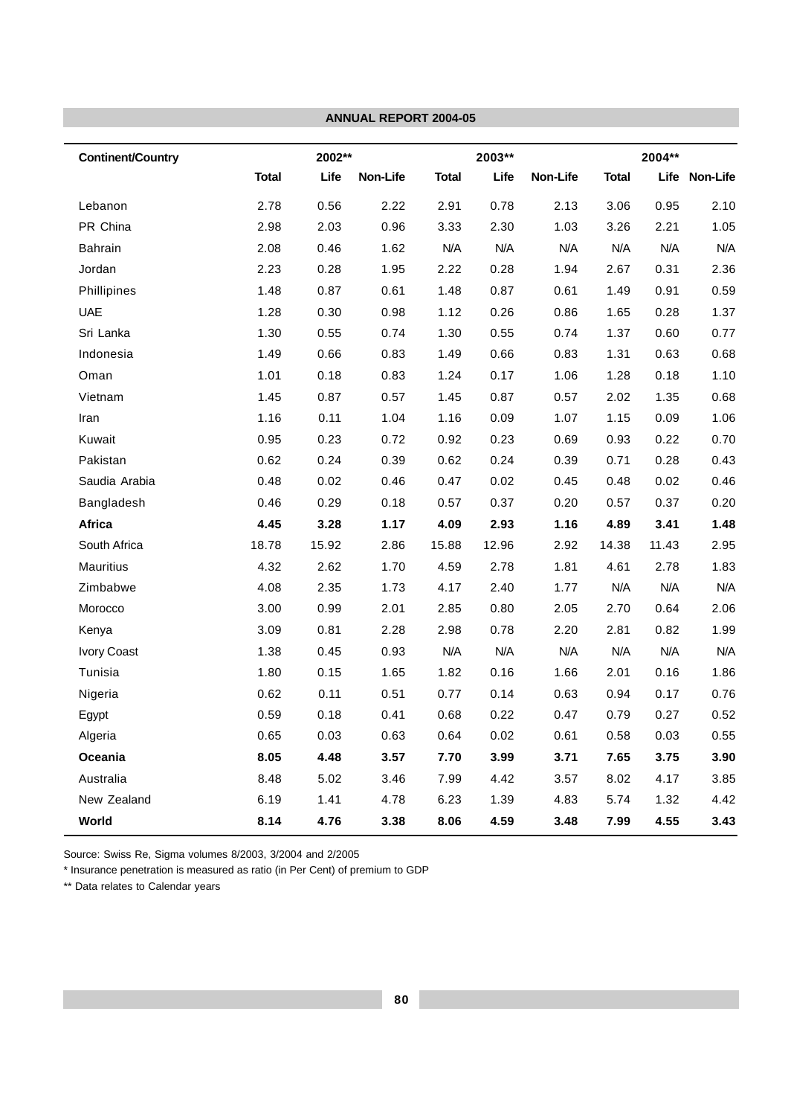|                          |              |        | <b>ANNUAL REPORT 2004-05</b> |              |        |          |              |        |               |
|--------------------------|--------------|--------|------------------------------|--------------|--------|----------|--------------|--------|---------------|
| <b>Continent/Country</b> |              | 2002** |                              |              | 2003** |          |              | 2004** |               |
|                          | <b>Total</b> | Life   | Non-Life                     | <b>Total</b> | Life   | Non-Life | <b>Total</b> |        | Life Non-Life |
| Lebanon                  | 2.78         | 0.56   | 2.22                         | 2.91         | 0.78   | 2.13     | 3.06         | 0.95   | 2.10          |
| PR China                 | 2.98         | 2.03   | 0.96                         | 3.33         | 2.30   | 1.03     | 3.26         | 2.21   | 1.05          |
| <b>Bahrain</b>           | 2.08         | 0.46   | 1.62                         | N/A          | N/A    | N/A      | N/A          | N/A    | N/A           |
| Jordan                   | 2.23         | 0.28   | 1.95                         | 2.22         | 0.28   | 1.94     | 2.67         | 0.31   | 2.36          |
| Phillipines              | 1.48         | 0.87   | 0.61                         | 1.48         | 0.87   | 0.61     | 1.49         | 0.91   | 0.59          |
| <b>UAE</b>               | 1.28         | 0.30   | 0.98                         | 1.12         | 0.26   | 0.86     | 1.65         | 0.28   | 1.37          |
| Sri Lanka                | 1.30         | 0.55   | 0.74                         | 1.30         | 0.55   | 0.74     | 1.37         | 0.60   | 0.77          |
| Indonesia                | 1.49         | 0.66   | 0.83                         | 1.49         | 0.66   | 0.83     | 1.31         | 0.63   | 0.68          |
| Oman                     | 1.01         | 0.18   | 0.83                         | 1.24         | 0.17   | 1.06     | 1.28         | 0.18   | 1.10          |
| Vietnam                  | 1.45         | 0.87   | 0.57                         | 1.45         | 0.87   | 0.57     | 2.02         | 1.35   | 0.68          |
| Iran                     | 1.16         | 0.11   | 1.04                         | 1.16         | 0.09   | 1.07     | 1.15         | 0.09   | 1.06          |
| Kuwait                   | 0.95         | 0.23   | 0.72                         | 0.92         | 0.23   | 0.69     | 0.93         | 0.22   | 0.70          |
| Pakistan                 | 0.62         | 0.24   | 0.39                         | 0.62         | 0.24   | 0.39     | 0.71         | 0.28   | 0.43          |
| Saudia Arabia            | 0.48         | 0.02   | 0.46                         | 0.47         | 0.02   | 0.45     | 0.48         | 0.02   | 0.46          |
| Bangladesh               | 0.46         | 0.29   | 0.18                         | 0.57         | 0.37   | 0.20     | 0.57         | 0.37   | 0.20          |
| Africa                   | 4.45         | 3.28   | 1.17                         | 4.09         | 2.93   | 1.16     | 4.89         | 3.41   | 1.48          |
| South Africa             | 18.78        | 15.92  | 2.86                         | 15.88        | 12.96  | 2.92     | 14.38        | 11.43  | 2.95          |
| <b>Mauritius</b>         | 4.32         | 2.62   | 1.70                         | 4.59         | 2.78   | 1.81     | 4.61         | 2.78   | 1.83          |
| Zimbabwe                 | 4.08         | 2.35   | 1.73                         | 4.17         | 2.40   | 1.77     | N/A          | N/A    | N/A           |
| Morocco                  | 3.00         | 0.99   | 2.01                         | 2.85         | 0.80   | 2.05     | 2.70         | 0.64   | 2.06          |
| Kenya                    | 3.09         | 0.81   | 2.28                         | 2.98         | 0.78   | 2.20     | 2.81         | 0.82   | 1.99          |
| Ivory Coast              | 1.38         | 0.45   | 0.93                         | N/A          | N/A    | N/A      | N/A          | N/A    | N/A           |
| Tunisia                  | 1.80         | 0.15   | 1.65                         | 1.82         | 0.16   | 1.66     | 2.01         | 0.16   | 1.86          |
| Nigeria                  | 0.62         | 0.11   | 0.51                         | 0.77         | 0.14   | 0.63     | 0.94         | 0.17   | 0.76          |
| Egypt                    | 0.59         | 0.18   | 0.41                         | 0.68         | 0.22   | 0.47     | 0.79         | 0.27   | 0.52          |
| Algeria                  | 0.65         | 0.03   | 0.63                         | 0.64         | 0.02   | 0.61     | 0.58         | 0.03   | 0.55          |
| Oceania                  | 8.05         | 4.48   | 3.57                         | 7.70         | 3.99   | 3.71     | 7.65         | 3.75   | 3.90          |
| Australia                | 8.48         | 5.02   | 3.46                         | 7.99         | 4.42   | 3.57     | 8.02         | 4.17   | 3.85          |
| New Zealand              | 6.19         | 1.41   | 4.78                         | 6.23         | 1.39   | 4.83     | 5.74         | 1.32   | 4.42          |
| World                    | 8.14         | 4.76   | 3.38                         | 8.06         | 4.59   | 3.48     | 7.99         | 4.55   | 3.43          |

Source: Swiss Re, Sigma volumes 8/2003, 3/2004 and 2/2005

\* Insurance penetration is measured as ratio (in Per Cent) of premium to GDP

\*\* Data relates to Calendar years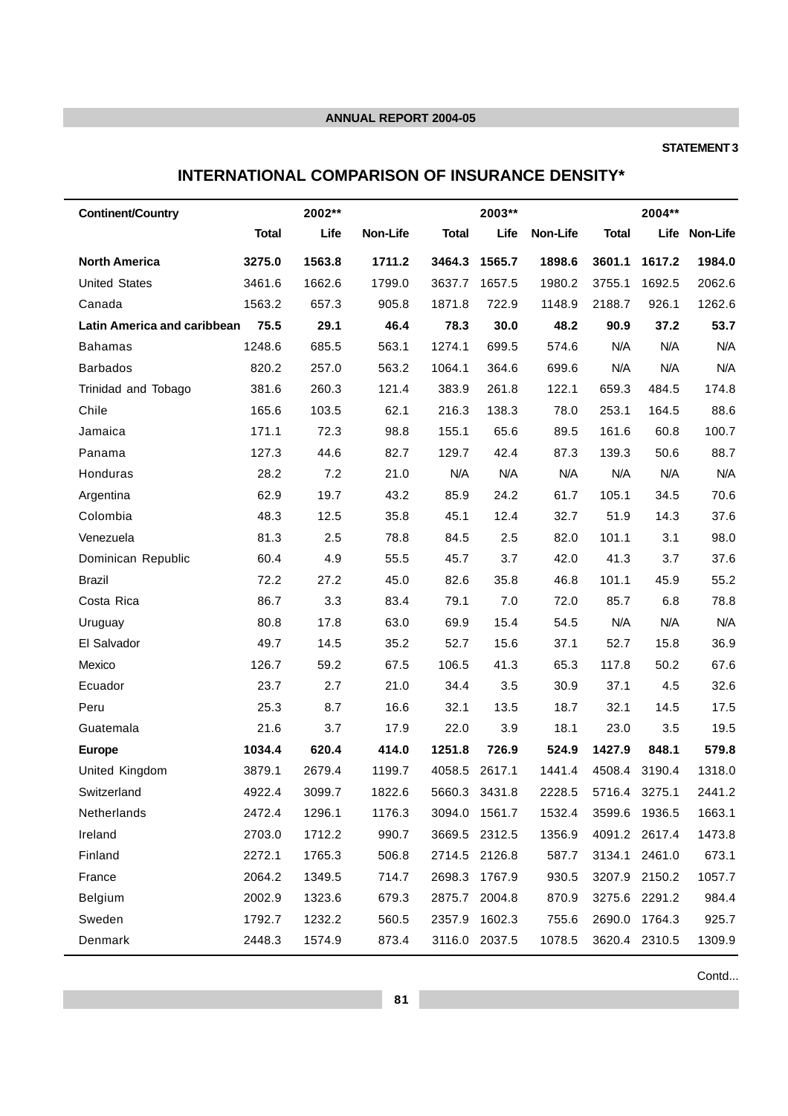## **STATEMENT 3**

# **INTERNATIONAL COMPARISON OF INSURANCE DENSITY\***

| <b>Continent/Country</b>           |              | 2002** |          |              | 2003**        |          |                      | 2004**        |               |
|------------------------------------|--------------|--------|----------|--------------|---------------|----------|----------------------|---------------|---------------|
|                                    | <b>Total</b> | Life   | Non-Life | <b>Total</b> | Life          | Non-Life | <b>Total</b>         |               | Life Non-Life |
| <b>North America</b>               | 3275.0       | 1563.8 | 1711.2   | 3464.3       | 1565.7        | 1898.6   | 3601.1               | 1617.2        | 1984.0        |
| <b>United States</b>               | 3461.6       | 1662.6 | 1799.0   | 3637.7       | 1657.5        | 1980.2   | 3755.1               | 1692.5        | 2062.6        |
| Canada                             | 1563.2       | 657.3  | 905.8    | 1871.8       | 722.9         | 1148.9   | 2188.7               | 926.1         | 1262.6        |
| <b>Latin America and caribbean</b> | 75.5         | 29.1   | 46.4     | 78.3         | 30.0          | 48.2     | 90.9                 | 37.2          | 53.7          |
| <b>Bahamas</b>                     | 1248.6       | 685.5  | 563.1    | 1274.1       | 699.5         | 574.6    | N/A                  | N/A           | N/A           |
| <b>Barbados</b>                    | 820.2        | 257.0  | 563.2    | 1064.1       | 364.6         | 699.6    | N/A                  | N/A           | N/A           |
| Trinidad and Tobago                | 381.6        | 260.3  | 121.4    | 383.9        | 261.8         | 122.1    | 659.3                | 484.5         | 174.8         |
| Chile                              | 165.6        | 103.5  | 62.1     | 216.3        | 138.3         | 78.0     | 253.1                | 164.5         | 88.6          |
| Jamaica                            | 171.1        | 72.3   | 98.8     | 155.1        | 65.6          | 89.5     | 161.6                | 60.8          | 100.7         |
| Panama                             | 127.3        | 44.6   | 82.7     | 129.7        | 42.4          | 87.3     | 139.3                | 50.6          | 88.7          |
| Honduras                           | 28.2         | 7.2    | 21.0     | N/A          | N/A           | N/A      | N/A                  | N/A           | N/A           |
| Argentina                          | 62.9         | 19.7   | 43.2     | 85.9         | 24.2          | 61.7     | 105.1                | 34.5          | 70.6          |
| Colombia                           | 48.3         | 12.5   | 35.8     | 45.1         | 12.4          | 32.7     | 51.9                 | 14.3          | 37.6          |
| Venezuela                          | 81.3         | 2.5    | 78.8     | 84.5         | 2.5           | 82.0     | 101.1                | 3.1           | 98.0          |
| Dominican Republic                 | 60.4         | 4.9    | 55.5     | 45.7         | 3.7           | 42.0     | 41.3                 | 3.7           | 37.6          |
| <b>Brazil</b>                      | 72.2         | 27.2   | 45.0     | 82.6         | 35.8          | 46.8     | 101.1                | 45.9          | 55.2          |
| Costa Rica                         | 86.7         | 3.3    | 83.4     | 79.1         | 7.0           | 72.0     | 85.7                 | 6.8           | 78.8          |
| Uruguay                            | 80.8         | 17.8   | 63.0     | 69.9         | 15.4          | 54.5     | N/A                  | N/A           | N/A           |
| El Salvador                        | 49.7         | 14.5   | 35.2     | 52.7         | 15.6          | 37.1     | 52.7                 | 15.8          | 36.9          |
| Mexico                             | 126.7        | 59.2   | 67.5     | 106.5        | 41.3          | 65.3     | 117.8                | 50.2          | 67.6          |
| Ecuador                            | 23.7         | 2.7    | 21.0     | 34.4         | 3.5           | 30.9     | 37.1                 | 4.5           | 32.6          |
| Peru                               | 25.3         | 8.7    | 16.6     | 32.1         | 13.5          | 18.7     | 32.1                 | 14.5          | 17.5          |
| Guatemala                          | 21.6         | 3.7    | 17.9     | 22.0         | 3.9           | 18.1     | 23.0                 | 3.5           | 19.5          |
| <b>Europe</b>                      | 1034.4       | 620.4  | 414.0    | 1251.8       | 726.9         | 524.9    | 1427.9               | 848.1         | 579.8         |
| United Kingdom                     | 3879.1       | 2679.4 | 1199.7   |              | 4058.5 2617.1 | 1441.4   |                      | 4508.4 3190.4 | 1318.0        |
| Switzerland                        | 4922.4       | 3099.7 | 1822.6   |              | 5660.3 3431.8 |          | 2228.5 5716.4 3275.1 |               | 2441.2        |
| Netherlands                        | 2472.4       | 1296.1 | 1176.3   | 3094.0       | 1561.7        | 1532.4   | 3599.6               | 1936.5        | 1663.1        |
| Ireland                            | 2703.0       | 1712.2 | 990.7    |              | 3669.5 2312.5 | 1356.9   |                      | 4091.2 2617.4 | 1473.8        |
| Finland                            | 2272.1       | 1765.3 | 506.8    |              | 2714.5 2126.8 | 587.7    | 3134.1               | 2461.0        | 673.1         |
| France                             | 2064.2       | 1349.5 | 714.7    | 2698.3       | 1767.9        | 930.5    | 3207.9               | 2150.2        | 1057.7        |
| Belgium                            | 2002.9       | 1323.6 | 679.3    |              | 2875.7 2004.8 | 870.9    |                      | 3275.6 2291.2 | 984.4         |
| Sweden                             | 1792.7       | 1232.2 | 560.5    | 2357.9       | 1602.3        | 755.6    | 2690.0               | 1764.3        | 925.7         |
| Denmark                            | 2448.3       | 1574.9 | 873.4    |              | 3116.0 2037.5 | 1078.5   |                      | 3620.4 2310.5 | 1309.9        |

Contd...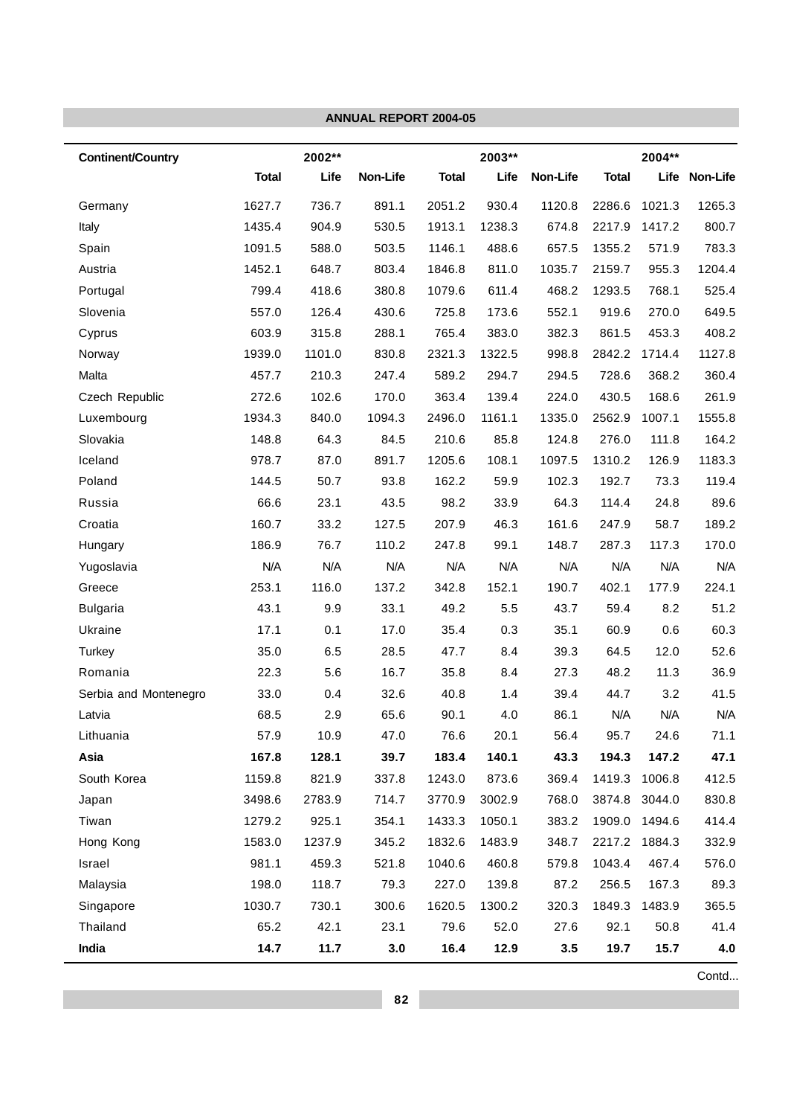| 2002**<br>2003**<br><b>Continent/Country</b><br><b>Total</b><br>Life<br>Non-Life<br><b>Total</b><br>Life<br>Non-Life<br><b>Total</b><br>736.7<br>930.4<br>1627.7<br>891.1<br>2051.2<br>1120.8<br>2286.6<br>Germany<br>530.5<br>1435.4<br>904.9<br>1913.1<br>1238.3<br>674.8<br>2217.9<br>Italy<br>1091.5<br>588.0<br>503.5<br>1146.1<br>488.6<br>657.5<br>1355.2<br>Spain<br>1452.1<br>648.7<br>803.4<br>1846.8<br>811.0<br>1035.7<br>2159.7<br>Austria<br>380.8<br>611.4<br>Portugal<br>799.4<br>418.6<br>1079.6<br>468.2<br>1293.5<br>557.0<br>126.4<br>430.6<br>725.8<br>173.6<br>552.1<br>919.6<br>Slovenia<br>603.9<br>315.8<br>288.1<br>765.4<br>383.0<br>382.3<br>861.5<br>Cyprus<br>830.8<br>1939.0<br>1101.0<br>2321.3<br>1322.5<br>998.8<br>2842.2<br>Norway<br>Malta<br>457.7<br>210.3<br>247.4<br>589.2<br>294.7<br>728.6<br>294.5<br>Czech Republic<br>272.6<br>102.6<br>170.0<br>363.4<br>139.4<br>224.0<br>430.5<br>1161.1<br>1934.3<br>840.0<br>1094.3<br>2496.0<br>1335.0<br>2562.9<br>Luxembourg<br>Slovakia<br>148.8<br>64.3<br>84.5<br>210.6<br>85.8<br>124.8<br>276.0 | 2004**<br>Life Non-Life<br>1021.3<br>1417.2<br>571.9<br>955.3<br>768.1<br>270.0<br>453.3 | 1265.3<br>800.7<br>783.3<br>1204.4<br>525.4<br>649.5 |
|--------------------------------------------------------------------------------------------------------------------------------------------------------------------------------------------------------------------------------------------------------------------------------------------------------------------------------------------------------------------------------------------------------------------------------------------------------------------------------------------------------------------------------------------------------------------------------------------------------------------------------------------------------------------------------------------------------------------------------------------------------------------------------------------------------------------------------------------------------------------------------------------------------------------------------------------------------------------------------------------------------------------------------------------------------------------------------------------|------------------------------------------------------------------------------------------|------------------------------------------------------|
|                                                                                                                                                                                                                                                                                                                                                                                                                                                                                                                                                                                                                                                                                                                                                                                                                                                                                                                                                                                                                                                                                            |                                                                                          |                                                      |
|                                                                                                                                                                                                                                                                                                                                                                                                                                                                                                                                                                                                                                                                                                                                                                                                                                                                                                                                                                                                                                                                                            |                                                                                          |                                                      |
|                                                                                                                                                                                                                                                                                                                                                                                                                                                                                                                                                                                                                                                                                                                                                                                                                                                                                                                                                                                                                                                                                            |                                                                                          |                                                      |
|                                                                                                                                                                                                                                                                                                                                                                                                                                                                                                                                                                                                                                                                                                                                                                                                                                                                                                                                                                                                                                                                                            |                                                                                          |                                                      |
|                                                                                                                                                                                                                                                                                                                                                                                                                                                                                                                                                                                                                                                                                                                                                                                                                                                                                                                                                                                                                                                                                            |                                                                                          |                                                      |
|                                                                                                                                                                                                                                                                                                                                                                                                                                                                                                                                                                                                                                                                                                                                                                                                                                                                                                                                                                                                                                                                                            |                                                                                          |                                                      |
|                                                                                                                                                                                                                                                                                                                                                                                                                                                                                                                                                                                                                                                                                                                                                                                                                                                                                                                                                                                                                                                                                            |                                                                                          |                                                      |
|                                                                                                                                                                                                                                                                                                                                                                                                                                                                                                                                                                                                                                                                                                                                                                                                                                                                                                                                                                                                                                                                                            |                                                                                          |                                                      |
|                                                                                                                                                                                                                                                                                                                                                                                                                                                                                                                                                                                                                                                                                                                                                                                                                                                                                                                                                                                                                                                                                            |                                                                                          | 408.2                                                |
|                                                                                                                                                                                                                                                                                                                                                                                                                                                                                                                                                                                                                                                                                                                                                                                                                                                                                                                                                                                                                                                                                            | 1714.4                                                                                   | 1127.8                                               |
|                                                                                                                                                                                                                                                                                                                                                                                                                                                                                                                                                                                                                                                                                                                                                                                                                                                                                                                                                                                                                                                                                            | 368.2                                                                                    | 360.4                                                |
|                                                                                                                                                                                                                                                                                                                                                                                                                                                                                                                                                                                                                                                                                                                                                                                                                                                                                                                                                                                                                                                                                            | 168.6                                                                                    | 261.9                                                |
|                                                                                                                                                                                                                                                                                                                                                                                                                                                                                                                                                                                                                                                                                                                                                                                                                                                                                                                                                                                                                                                                                            | 1007.1                                                                                   | 1555.8                                               |
|                                                                                                                                                                                                                                                                                                                                                                                                                                                                                                                                                                                                                                                                                                                                                                                                                                                                                                                                                                                                                                                                                            | 111.8                                                                                    | 164.2                                                |
| 108.1<br>978.7<br>87.0<br>891.7<br>1205.6<br>1097.5<br>1310.2<br>Iceland                                                                                                                                                                                                                                                                                                                                                                                                                                                                                                                                                                                                                                                                                                                                                                                                                                                                                                                                                                                                                   | 126.9                                                                                    | 1183.3                                               |
| 50.7<br>93.8<br>Poland<br>144.5<br>162.2<br>59.9<br>102.3<br>192.7                                                                                                                                                                                                                                                                                                                                                                                                                                                                                                                                                                                                                                                                                                                                                                                                                                                                                                                                                                                                                         | 73.3                                                                                     | 119.4                                                |
| 23.1<br>43.5<br>66.6<br>98.2<br>33.9<br>64.3<br>114.4<br>Russia                                                                                                                                                                                                                                                                                                                                                                                                                                                                                                                                                                                                                                                                                                                                                                                                                                                                                                                                                                                                                            | 24.8                                                                                     | 89.6                                                 |
| 33.2<br>46.3<br>160.7<br>127.5<br>207.9<br>161.6<br>247.9<br>Croatia                                                                                                                                                                                                                                                                                                                                                                                                                                                                                                                                                                                                                                                                                                                                                                                                                                                                                                                                                                                                                       | 58.7                                                                                     | 189.2                                                |
| 76.7<br>186.9<br>110.2<br>247.8<br>99.1<br>148.7<br>287.3<br>Hungary                                                                                                                                                                                                                                                                                                                                                                                                                                                                                                                                                                                                                                                                                                                                                                                                                                                                                                                                                                                                                       | 117.3                                                                                    | 170.0                                                |
| N/A<br>N/A<br>N/A<br>N/A<br>N/A<br>N/A<br>N/A<br>Yugoslavia                                                                                                                                                                                                                                                                                                                                                                                                                                                                                                                                                                                                                                                                                                                                                                                                                                                                                                                                                                                                                                | N/A                                                                                      | N/A                                                  |
| 253.1<br>116.0<br>152.1<br>402.1<br>137.2<br>342.8<br>190.7<br>Greece                                                                                                                                                                                                                                                                                                                                                                                                                                                                                                                                                                                                                                                                                                                                                                                                                                                                                                                                                                                                                      | 177.9                                                                                    | 224.1                                                |
| 33.1<br>43.1<br>9.9<br>49.2<br>5.5<br>43.7<br>59.4<br><b>Bulgaria</b>                                                                                                                                                                                                                                                                                                                                                                                                                                                                                                                                                                                                                                                                                                                                                                                                                                                                                                                                                                                                                      | 8.2                                                                                      | 51.2                                                 |
| 17.1<br>0.1<br>17.0<br>35.4<br>0.3<br>35.1<br>60.9<br>Ukraine                                                                                                                                                                                                                                                                                                                                                                                                                                                                                                                                                                                                                                                                                                                                                                                                                                                                                                                                                                                                                              | 0.6                                                                                      | 60.3                                                 |
| 35.0<br>6.5<br>28.5<br>47.7<br>8.4<br>39.3<br>64.5<br>Turkey                                                                                                                                                                                                                                                                                                                                                                                                                                                                                                                                                                                                                                                                                                                                                                                                                                                                                                                                                                                                                               | 12.0                                                                                     | 52.6                                                 |
| Romania<br>5.6<br>16.7<br>35.8<br>8.4<br>27.3<br>48.2<br>22.3                                                                                                                                                                                                                                                                                                                                                                                                                                                                                                                                                                                                                                                                                                                                                                                                                                                                                                                                                                                                                              | 11.3                                                                                     | 36.9                                                 |
| 33.0<br>32.6<br>40.8<br>1.4<br>39.4<br>44.7<br>Serbia and Montenegro<br>0.4                                                                                                                                                                                                                                                                                                                                                                                                                                                                                                                                                                                                                                                                                                                                                                                                                                                                                                                                                                                                                | 3.2                                                                                      | 41.5                                                 |
| 68.5<br>65.6<br>90.1<br>4.0<br>86.1<br>N/A<br>2.9<br>Latvia                                                                                                                                                                                                                                                                                                                                                                                                                                                                                                                                                                                                                                                                                                                                                                                                                                                                                                                                                                                                                                | N/A                                                                                      | N/A                                                  |
| 57.9<br>10.9<br>47.0<br>Lithuania<br>76.6<br>20.1<br>56.4<br>95.7                                                                                                                                                                                                                                                                                                                                                                                                                                                                                                                                                                                                                                                                                                                                                                                                                                                                                                                                                                                                                          | 24.6                                                                                     | 71.1                                                 |
| Asia<br>167.8<br>128.1<br>39.7<br>183.4<br>140.1<br>43.3<br>194.3                                                                                                                                                                                                                                                                                                                                                                                                                                                                                                                                                                                                                                                                                                                                                                                                                                                                                                                                                                                                                          | 147.2                                                                                    | 47.1                                                 |
| South Korea<br>1159.8<br>821.9<br>337.8<br>1243.0<br>873.6<br>369.4<br>1419.3                                                                                                                                                                                                                                                                                                                                                                                                                                                                                                                                                                                                                                                                                                                                                                                                                                                                                                                                                                                                              | 1006.8                                                                                   | 412.5                                                |
| 3498.6<br>2783.9<br>714.7<br>3770.9<br>3002.9<br>768.0<br>3874.8<br>Japan                                                                                                                                                                                                                                                                                                                                                                                                                                                                                                                                                                                                                                                                                                                                                                                                                                                                                                                                                                                                                  | 3044.0                                                                                   | 830.8                                                |
| Tiwan<br>1279.2<br>925.1<br>1433.3<br>1050.1<br>383.2<br>1909.0<br>354.1                                                                                                                                                                                                                                                                                                                                                                                                                                                                                                                                                                                                                                                                                                                                                                                                                                                                                                                                                                                                                   | 1494.6                                                                                   | 414.4                                                |
| 1583.0<br>1237.9<br>345.2<br>1832.6<br>1483.9<br>348.7<br>Hong Kong                                                                                                                                                                                                                                                                                                                                                                                                                                                                                                                                                                                                                                                                                                                                                                                                                                                                                                                                                                                                                        | 2217.2 1884.3                                                                            | 332.9                                                |
| Israel<br>981.1<br>459.3<br>521.8<br>1040.6<br>460.8<br>579.8<br>1043.4                                                                                                                                                                                                                                                                                                                                                                                                                                                                                                                                                                                                                                                                                                                                                                                                                                                                                                                                                                                                                    | 467.4                                                                                    | 576.0                                                |
| Malaysia<br>198.0<br>118.7<br>79.3<br>227.0<br>139.8<br>87.2<br>256.5                                                                                                                                                                                                                                                                                                                                                                                                                                                                                                                                                                                                                                                                                                                                                                                                                                                                                                                                                                                                                      | 167.3                                                                                    | 89.3                                                 |
| 1030.7<br>730.1<br>300.6<br>1620.5<br>1300.2<br>320.3<br>1849.3<br>Singapore                                                                                                                                                                                                                                                                                                                                                                                                                                                                                                                                                                                                                                                                                                                                                                                                                                                                                                                                                                                                               | 1483.9                                                                                   | 365.5                                                |
| Thailand<br>65.2<br>42.1<br>23.1<br>79.6<br>52.0<br>27.6<br>92.1                                                                                                                                                                                                                                                                                                                                                                                                                                                                                                                                                                                                                                                                                                                                                                                                                                                                                                                                                                                                                           | 50.8                                                                                     | 41.4                                                 |
| 14.7<br>India<br>11.7<br>3.0<br>16.4<br>12.9<br>3.5<br>19.7                                                                                                                                                                                                                                                                                                                                                                                                                                                                                                                                                                                                                                                                                                                                                                                                                                                                                                                                                                                                                                | 15.7                                                                                     | 4.0                                                  |

Contd...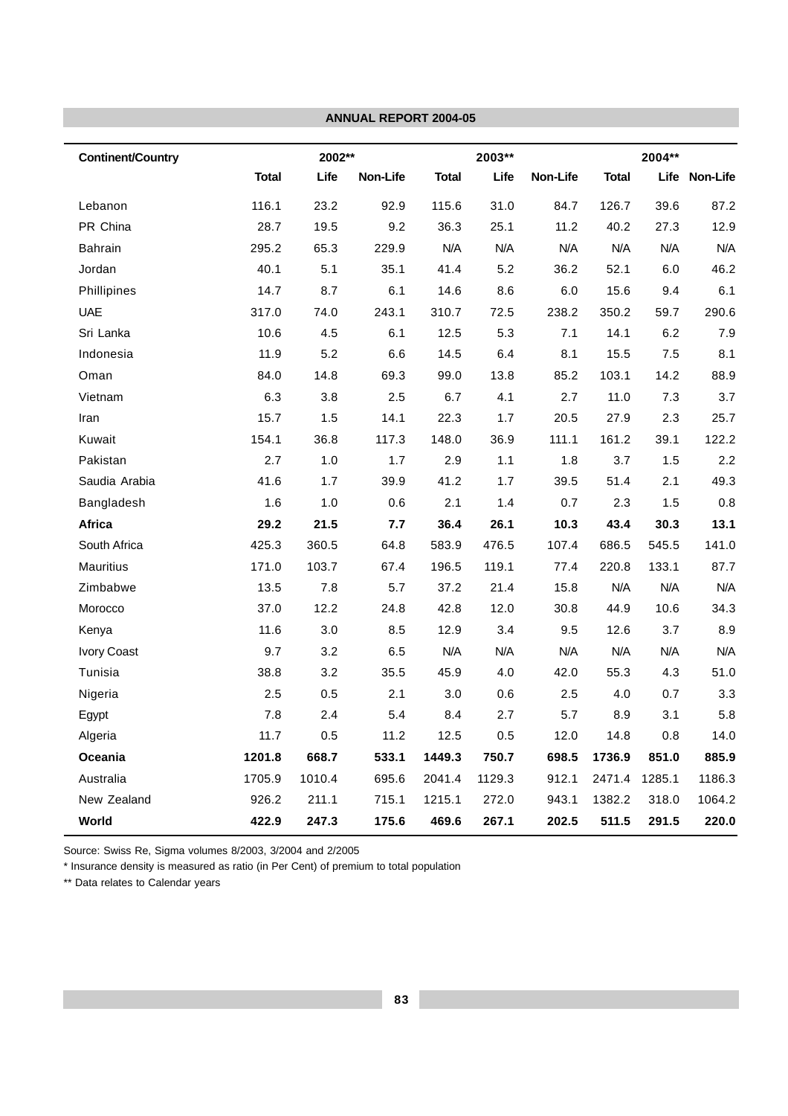|                          |              |        | <b>ANNUAL REPORT 2004-05</b> |              |        |          |              |        |               |
|--------------------------|--------------|--------|------------------------------|--------------|--------|----------|--------------|--------|---------------|
| <b>Continent/Country</b> |              | 2002** |                              |              | 2003** |          |              | 2004** |               |
|                          | <b>Total</b> | Life   | Non-Life                     | <b>Total</b> | Life   | Non-Life | <b>Total</b> |        | Life Non-Life |
| Lebanon                  | 116.1        | 23.2   | 92.9                         | 115.6        | 31.0   | 84.7     | 126.7        | 39.6   | 87.2          |
| PR China                 | 28.7         | 19.5   | 9.2                          | 36.3         | 25.1   | 11.2     | 40.2         | 27.3   | 12.9          |
| <b>Bahrain</b>           | 295.2        | 65.3   | 229.9                        | N/A          | N/A    | N/A      | N/A          | N/A    | N/A           |
| Jordan                   | 40.1         | 5.1    | 35.1                         | 41.4         | 5.2    | 36.2     | 52.1         | 6.0    | 46.2          |
| Phillipines              | 14.7         | 8.7    | 6.1                          | 14.6         | 8.6    | 6.0      | 15.6         | 9.4    | 6.1           |
| <b>UAE</b>               | 317.0        | 74.0   | 243.1                        | 310.7        | 72.5   | 238.2    | 350.2        | 59.7   | 290.6         |
| Sri Lanka                | 10.6         | 4.5    | 6.1                          | 12.5         | 5.3    | 7.1      | 14.1         | 6.2    | 7.9           |
| Indonesia                | 11.9         | 5.2    | 6.6                          | 14.5         | 6.4    | 8.1      | 15.5         | 7.5    | 8.1           |
| Oman                     | 84.0         | 14.8   | 69.3                         | 99.0         | 13.8   | 85.2     | 103.1        | 14.2   | 88.9          |
| Vietnam                  | 6.3          | 3.8    | 2.5                          | 6.7          | 4.1    | 2.7      | 11.0         | 7.3    | 3.7           |
| Iran                     | 15.7         | 1.5    | 14.1                         | 22.3         | 1.7    | 20.5     | 27.9         | 2.3    | 25.7          |
| Kuwait                   | 154.1        | 36.8   | 117.3                        | 148.0        | 36.9   | 111.1    | 161.2        | 39.1   | 122.2         |
| Pakistan                 | 2.7          | 1.0    | 1.7                          | 2.9          | 1.1    | 1.8      | 3.7          | 1.5    | 2.2           |
| Saudia Arabia            | 41.6         | 1.7    | 39.9                         | 41.2         | 1.7    | 39.5     | 51.4         | 2.1    | 49.3          |
| Bangladesh               | 1.6          | 1.0    | 0.6                          | 2.1          | 1.4    | 0.7      | 2.3          | 1.5    | 0.8           |
| <b>Africa</b>            | 29.2         | 21.5   | 7.7                          | 36.4         | 26.1   | 10.3     | 43.4         | 30.3   | 13.1          |
| South Africa             | 425.3        | 360.5  | 64.8                         | 583.9        | 476.5  | 107.4    | 686.5        | 545.5  | 141.0         |
| <b>Mauritius</b>         | 171.0        | 103.7  | 67.4                         | 196.5        | 119.1  | 77.4     | 220.8        | 133.1  | 87.7          |
| Zimbabwe                 | 13.5         | 7.8    | 5.7                          | 37.2         | 21.4   | 15.8     | N/A          | N/A    | N/A           |
| Morocco                  | 37.0         | 12.2   | 24.8                         | 42.8         | 12.0   | 30.8     | 44.9         | 10.6   | 34.3          |
| Kenya                    | 11.6         | 3.0    | 8.5                          | 12.9         | 3.4    | 9.5      | 12.6         | 3.7    | 8.9           |
| Ivory Coast              | 9.7          | 3.2    | 6.5                          | N/A          | N/A    | N/A      | N/A          | N/A    | N/A           |
| Tunisia                  | 38.8         | 3.2    | 35.5                         | 45.9         | 4.0    | 42.0     | 55.3         | 4.3    | 51.0          |
| Nigeria                  | 2.5          | 0.5    | 2.1                          | 3.0          | 0.6    | 2.5      | 4.0          | 0.7    | 3.3           |
| Egypt                    | 7.8          | 2.4    | 5.4                          | 8.4          | 2.7    | 5.7      | 8.9          | 3.1    | 5.8           |
| Algeria                  | 11.7         | 0.5    | 11.2                         | 12.5         | 0.5    | 12.0     | 14.8         | 0.8    | 14.0          |
| Oceania                  | 1201.8       | 668.7  | 533.1                        | 1449.3       | 750.7  | 698.5    | 1736.9       | 851.0  | 885.9         |
| Australia                | 1705.9       | 1010.4 | 695.6                        | 2041.4       | 1129.3 | 912.1    | 2471.4       | 1285.1 | 1186.3        |
| New Zealand              | 926.2        | 211.1  | 715.1                        | 1215.1       | 272.0  | 943.1    | 1382.2       | 318.0  | 1064.2        |
| World                    | 422.9        | 247.3  | 175.6                        | 469.6        | 267.1  | 202.5    | 511.5        | 291.5  | 220.0         |

Source: Swiss Re, Sigma volumes 8/2003, 3/2004 and 2/2005

\* Insurance density is measured as ratio (in Per Cent) of premium to total population

\*\* Data relates to Calendar years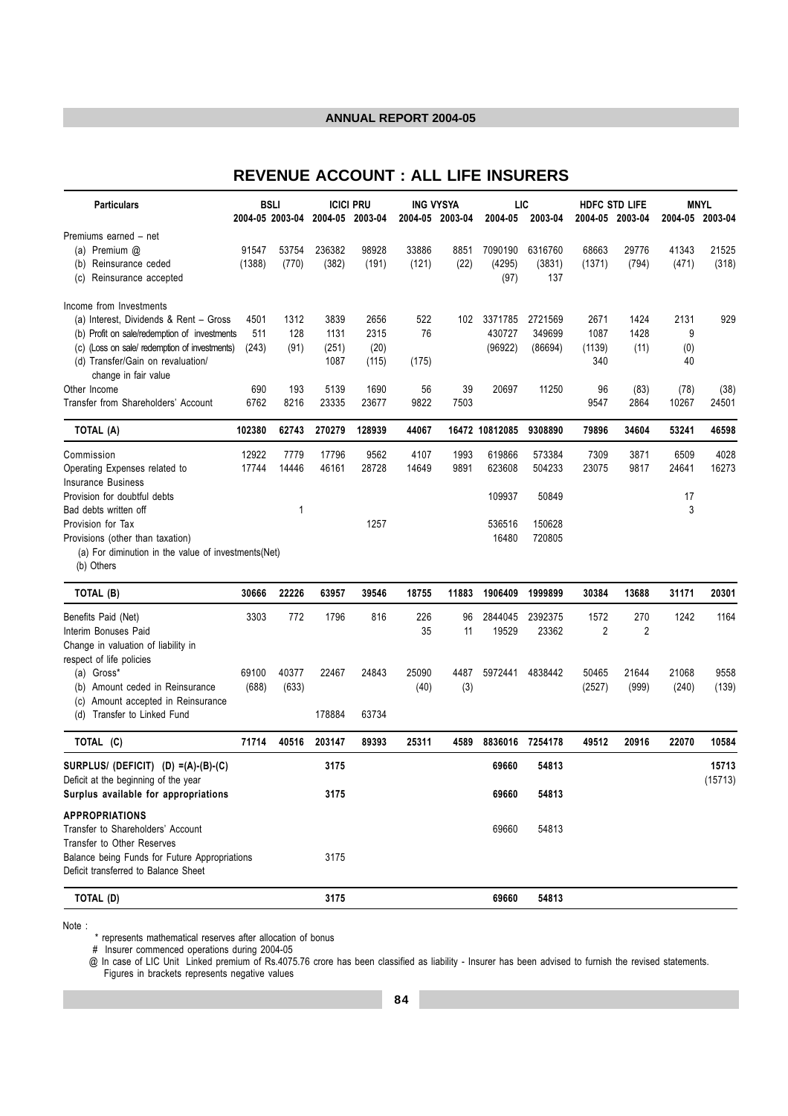# REVENUE ACCOUNT : ALL LIFE INSURERS

| <b>Particulars</b>                                  |        | <b>BSLI</b>     |         | <b>ICICI PRU</b> | <b>ING VYSYA</b> |       | LIC            |                 |                | <b>HDFC STD LIFE</b> |       | <b>MNYL</b>     |
|-----------------------------------------------------|--------|-----------------|---------|------------------|------------------|-------|----------------|-----------------|----------------|----------------------|-------|-----------------|
|                                                     |        | 2004-05 2003-04 | 2004-05 | 2003-04          | 2004-05 2003-04  |       | 2004-05        | 2003-04         | 2004-05        | 2003-04              |       | 2004-05 2003-04 |
| Premiums earned - net                               |        |                 |         |                  |                  |       |                |                 |                |                      |       |                 |
| (a) Premium @                                       | 91547  | 53754           | 236382  | 98928            | 33886            | 8851  | 7090190        | 6316760         | 68663          | 29776                | 41343 | 21525           |
| Reinsurance ceded<br>(b)                            | (1388) | (770)           | (382)   | (191)            | (121)            | (22)  | (4295)         | (3831)          | (1371)         | (794)                | (471) | (318)           |
| Reinsurance accepted<br>(c)                         |        |                 |         |                  |                  |       | (97)           | 137             |                |                      |       |                 |
| Income from Investments                             |        |                 |         |                  |                  |       |                |                 |                |                      |       |                 |
| (a) Interest, Dividends & Rent - Gross              | 4501   | 1312            | 3839    | 2656             | 522              | 102   | 3371785        | 2721569         | 2671           | 1424                 | 2131  | 929             |
| (b) Profit on sale/redemption of investments        | 511    | 128             | 1131    | 2315             | 76               |       | 430727         | 349699          | 1087           | 1428                 | 9     |                 |
| (c) (Loss on sale/ redemption of investments)       | (243)  | (91)            | (251)   | (20)             |                  |       | (96922)        | (86694)         | (1139)         | (11)                 | (0)   |                 |
| (d) Transfer/Gain on revaluation/                   |        |                 | 1087    | (115)            | (175)            |       |                |                 | 340            |                      | 40    |                 |
| change in fair value                                |        |                 |         |                  |                  |       |                |                 |                |                      |       |                 |
| Other Income                                        | 690    | 193             | 5139    | 1690             | 56               | 39    | 20697          | 11250           | 96             | (83)                 | (78)  | (38)            |
| Transfer from Shareholders' Account                 | 6762   | 8216            | 23335   | 23677            | 9822             | 7503  |                |                 | 9547           | 2864                 | 10267 | 24501           |
| TOTAL (A)                                           | 102380 | 62743           | 270279  | 128939           | 44067            |       | 16472 10812085 | 9308890         | 79896          | 34604                | 53241 | 46598           |
| Commission                                          | 12922  | 7779            | 17796   | 9562             | 4107             | 1993  | 619866         | 573384          | 7309           | 3871                 | 6509  | 4028            |
| Operating Expenses related to                       | 17744  | 14446           | 46161   | 28728            | 14649            | 9891  | 623608         | 504233          | 23075          | 9817                 | 24641 | 16273           |
| <b>Insurance Business</b>                           |        |                 |         |                  |                  |       |                |                 |                |                      |       |                 |
| Provision for doubtful debts                        |        |                 |         |                  |                  |       | 109937         | 50849           |                |                      | 17    |                 |
| Bad debts written off                               |        | 1               |         |                  |                  |       |                |                 |                |                      | 3     |                 |
| Provision for Tax                                   |        |                 |         | 1257             |                  |       | 536516         | 150628          |                |                      |       |                 |
| Provisions (other than taxation)                    |        |                 |         |                  |                  |       | 16480          | 720805          |                |                      |       |                 |
| (a) For diminution in the value of investments(Net) |        |                 |         |                  |                  |       |                |                 |                |                      |       |                 |
| (b) Others                                          |        |                 |         |                  |                  |       |                |                 |                |                      |       |                 |
| TOTAL (B)                                           | 30666  | 22226           | 63957   | 39546            | 18755            | 11883 | 1906409        | 1999899         | 30384          | 13688                | 31171 | 20301           |
| Benefits Paid (Net)                                 | 3303   | 772             | 1796    | 816              | 226              | 96    | 2844045        | 2392375         | 1572           | 270                  | 1242  | 1164            |
| Interim Bonuses Paid                                |        |                 |         |                  | 35               | 11    | 19529          | 23362           | $\overline{2}$ | $\overline{2}$       |       |                 |
| Change in valuation of liability in                 |        |                 |         |                  |                  |       |                |                 |                |                      |       |                 |
| respect of life policies                            |        |                 |         |                  |                  |       |                |                 |                |                      |       |                 |
| (a) Gross*                                          | 69100  | 40377           | 22467   | 24843            | 25090            | 4487  | 5972441        | 4838442         | 50465          | 21644                | 21068 | 9558            |
| (b) Amount ceded in Reinsurance                     | (688)  | (633)           |         |                  | (40)             | (3)   |                |                 | (2527)         | (999)                | (240) | (139)           |
| Amount accepted in Reinsurance<br>(c)               |        |                 |         |                  |                  |       |                |                 |                |                      |       |                 |
| (d) Transfer to Linked Fund                         |        |                 | 178884  | 63734            |                  |       |                |                 |                |                      |       |                 |
| TOTAL (C)                                           | 71714  | 40516           | 203147  | 89393            | 25311            | 4589  |                | 8836016 7254178 | 49512          | 20916                | 22070 | 10584           |
| SURPLUS/ (DEFICIT) (D) =(A)-(B)-(C)                 |        |                 | 3175    |                  |                  |       | 69660          | 54813           |                |                      |       | 15713           |
| Deficit at the beginning of the year                |        |                 |         |                  |                  |       |                |                 |                |                      |       | (15713)         |
| Surplus available for appropriations                |        |                 | 3175    |                  |                  |       | 69660          | 54813           |                |                      |       |                 |
| <b>APPROPRIATIONS</b>                               |        |                 |         |                  |                  |       |                |                 |                |                      |       |                 |
| Transfer to Shareholders' Account                   |        |                 |         |                  |                  |       | 69660          | 54813           |                |                      |       |                 |
| Transfer to Other Reserves                          |        |                 |         |                  |                  |       |                |                 |                |                      |       |                 |
| Balance being Funds for Future Appropriations       |        |                 | 3175    |                  |                  |       |                |                 |                |                      |       |                 |
| Deficit transferred to Balance Sheet                |        |                 |         |                  |                  |       |                |                 |                |                      |       |                 |
| TOTAL (D)                                           |        |                 | 3175    |                  |                  |       | 69660          | 54813           |                |                      |       |                 |

Note:

:<br># Insurer commenced operations during 2004-05<br>@ In case of LIC Unit\_Linked premium of Rs.4075.76 crore has been classified as liability - Insurer has been advised to furnish the revised statements. Figures in brackets represents negative values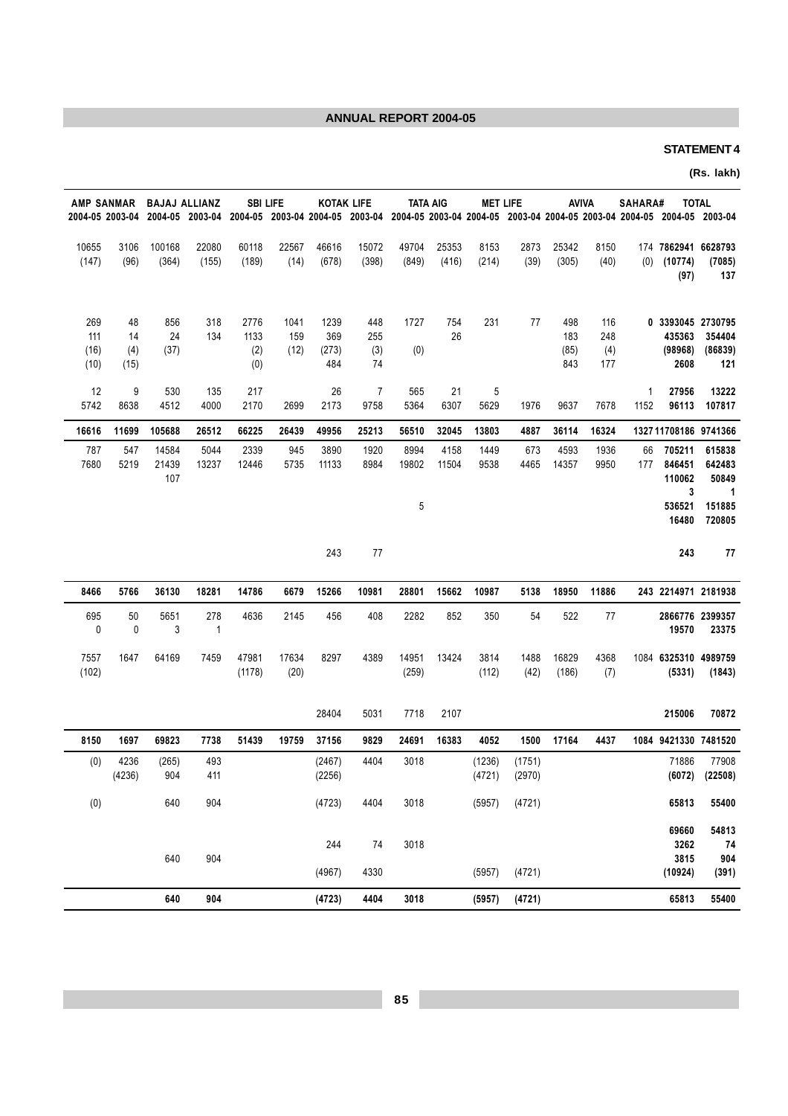## **STATEMENT 4**

(Rs. lakh)

| <b>AMP SANMAR</b>          |                         | <b>BAJAJ ALLIANZ</b>  |                     |                            | <b>SBI LIFE</b>     | <b>KOTAK LIFE</b>           |                         | <b>TATA AIG</b><br>2004-05 2003-04 2004-05 2003-04 2004-05 2003-04 2004-05 2003-04 2004-05 2003-04 2004-05 2003-04 2004-05 2003-04 2004-05 2004-05 2004-05 2004-05 2004-05 2003-04 |                | <b>MET LIFE</b>  |                  |                           | AVIVA                    | SAHARA#   |                                                | <b>TOTAL</b>                   |
|----------------------------|-------------------------|-----------------------|---------------------|----------------------------|---------------------|-----------------------------|-------------------------|------------------------------------------------------------------------------------------------------------------------------------------------------------------------------------|----------------|------------------|------------------|---------------------------|--------------------------|-----------|------------------------------------------------|--------------------------------|
| 10655<br>(147)             | 3106<br>(96)            | 100168<br>(364)       | 22080<br>(155)      | 60118<br>(189)             | 22567<br>(14)       | 46616<br>(678)              | 15072<br>(398)          | 49704<br>(849)                                                                                                                                                                     | 25353<br>(416) | 8153<br>(214)    | 2873<br>(39)     | 25342<br>(305)            | 8150<br>(40)             | (0)       | 174 7862941 6628793<br>(10774)<br>(97)         | (7085)<br>137                  |
| 269<br>111<br>(16)<br>(10) | 48<br>14<br>(4)<br>(15) | 856<br>24<br>(37)     | 318<br>134          | 2776<br>1133<br>(2)<br>(0) | 1041<br>159<br>(12) | 1239<br>369<br>(273)<br>484 | 448<br>255<br>(3)<br>74 | 1727<br>(0)                                                                                                                                                                        | 754<br>26      | 231              | 77               | 498<br>183<br>(85)<br>843 | 116<br>248<br>(4)<br>177 |           | 0 3393045 2730795<br>435363<br>(98968)<br>2608 | 354404<br>(86839)<br>121       |
| 12<br>5742                 | 9<br>8638               | 530<br>4512           | 135<br>4000         | 217<br>2170                | 2699                | 26<br>2173                  | 7<br>9758               | 565<br>5364                                                                                                                                                                        | 21<br>6307     | 5<br>5629        | 1976             | 9637                      | 7678                     | 1<br>1152 | 27956<br>96113                                 | 13222<br>107817                |
| 16616                      | 11699                   | 105688                | 26512               | 66225                      | 26439               | 49956                       | 25213                   | 56510                                                                                                                                                                              | 32045          | 13803            | 4887             | 36114                     | 16324                    |           | 1327 11708186 9741366                          |                                |
| 787<br>7680                | 547<br>5219             | 14584<br>21439<br>107 | 5044<br>13237       | 2339<br>12446              | 945<br>5735         | 3890<br>11133               | 1920<br>8984            | 8994<br>19802                                                                                                                                                                      | 4158<br>11504  | 1449<br>9538     | 673<br>4465      | 4593<br>14357             | 1936<br>9950             | 66<br>177 | 705211<br>846451<br>110062<br>3                | 615838<br>642483<br>50849<br>1 |
|                            |                         |                       |                     |                            |                     |                             |                         | 5                                                                                                                                                                                  |                |                  |                  |                           |                          |           | 536521<br>16480                                | 151885<br>720805               |
|                            |                         |                       |                     |                            |                     | 243                         | 77                      |                                                                                                                                                                                    |                |                  |                  |                           |                          |           | 243                                            | 77                             |
| 8466                       | 5766                    | 36130                 | 18281               | 14786                      | 6679                | 15266                       | 10981                   | 28801                                                                                                                                                                              | 15662          | 10987            | 5138             | 18950                     | 11886                    |           | 243 2214971 2181938                            |                                |
| 695<br>$\pmb{0}$           | 50<br>$\mathbf 0$       | 5651<br>3             | 278<br>$\mathbf{1}$ | 4636                       | 2145                | 456                         | 408                     | 2282                                                                                                                                                                               | 852            | 350              | 54               | 522                       | 77                       |           | 19570                                          | 2866776 2399357<br>23375       |
| 7557<br>(102)              | 1647                    | 64169                 | 7459                | 47981<br>(1178)            | 17634<br>(20)       | 8297                        | 4389                    | 14951<br>(259)                                                                                                                                                                     | 13424          | 3814<br>(112)    | 1488<br>(42)     | 16829<br>(186)            | 4368<br>(7)              |           | 1084 6325310 4989759<br>(5331)                 | (1843)                         |
|                            |                         |                       |                     |                            |                     | 28404                       | 5031                    | 7718                                                                                                                                                                               | 2107           |                  |                  |                           |                          |           | 215006                                         | 70872                          |
| 8150                       | 1697                    | 69823                 | 7738                | 51439                      | 19759               | 37156                       | 9829                    | 24691                                                                                                                                                                              | 16383          | 4052             | 1500             | 17164                     | 4437                     |           | 1084 9421330 7481520                           |                                |
| (0)                        | 4236<br>(4236)          | (265)<br>904          | 493<br>411          |                            |                     | (2467)<br>(2256)            | 4404                    | 3018                                                                                                                                                                               |                | (1236)<br>(4721) | (1751)<br>(2970) |                           |                          |           | 71886<br>(6072)                                | 77908<br>(22508)               |
| (0)                        |                         | 640                   | 904                 |                            |                     | (4723)                      | 4404                    | 3018                                                                                                                                                                               |                | (5957)           | (4721)           |                           |                          |           | 65813                                          | 55400                          |
|                            |                         |                       |                     |                            |                     |                             |                         |                                                                                                                                                                                    |                |                  |                  |                           |                          |           | 69660                                          | 54813                          |
|                            |                         | 640                   | 904                 |                            |                     | 244                         | 74                      | 3018                                                                                                                                                                               |                |                  |                  |                           |                          |           | 3262<br>3815                                   | 74<br>904                      |
|                            |                         |                       |                     |                            |                     | (4967)                      | 4330                    |                                                                                                                                                                                    |                | (5957)           | (4721)           |                           |                          |           | (10924)                                        | (391)                          |
|                            |                         | 640                   | 904                 |                            |                     | (4723)                      | 4404                    | 3018                                                                                                                                                                               |                | (5957)           | (4721)           |                           |                          |           | 65813                                          | 55400                          |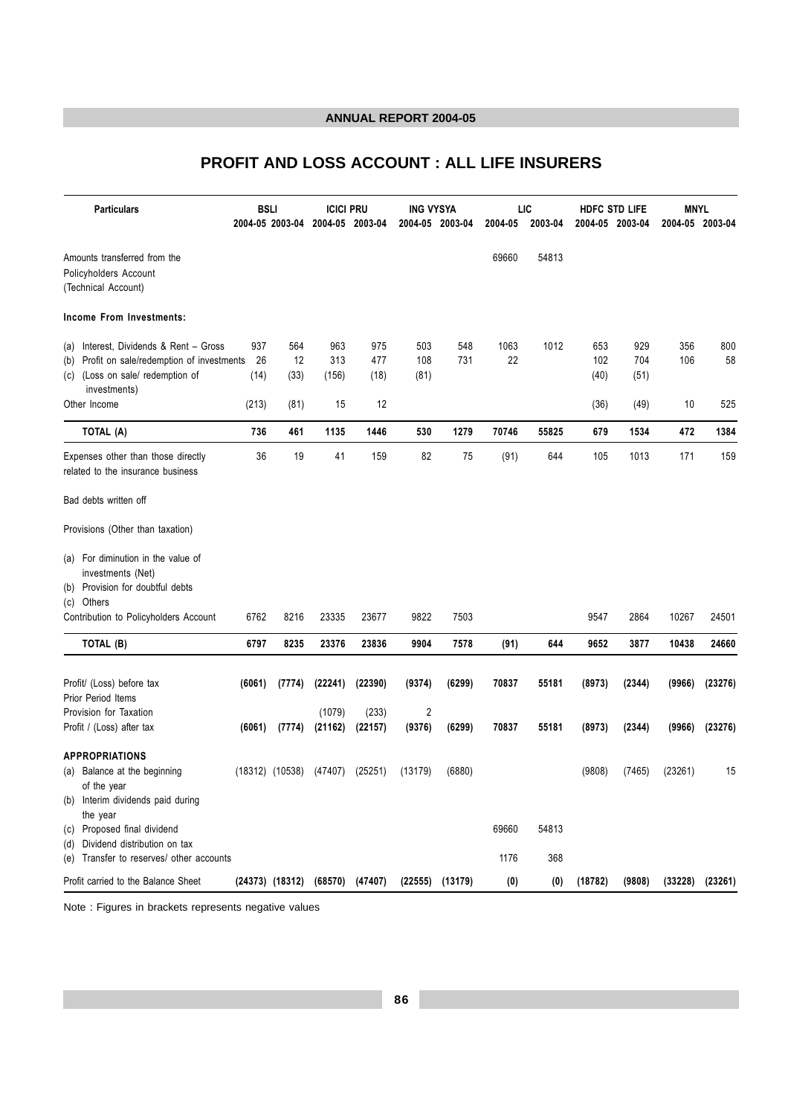# PROFIT AND LOSS ACCOUNT : ALL LIFE INSURERS

|     | <b>Particulars</b>                                                                                                                     | <b>BSLI</b>       | 2004-05 2003-04     | <b>ICICI PRU</b><br>2004-05 2003-04 |                    | <b>ING VYSYA</b><br>2004-05 2003-04 |            | 2004-05    | LIC<br>2003-04 | 2004-05 2003-04    | <b>HDFC STD LIFE</b> | <b>MNYL</b> | 2004-05 2003-04     |
|-----|----------------------------------------------------------------------------------------------------------------------------------------|-------------------|---------------------|-------------------------------------|--------------------|-------------------------------------|------------|------------|----------------|--------------------|----------------------|-------------|---------------------|
|     | Amounts transferred from the<br>Policyholders Account<br>(Technical Account)                                                           |                   |                     |                                     |                    |                                     |            | 69660      | 54813          |                    |                      |             |                     |
|     | Income From Investments:                                                                                                               |                   |                     |                                     |                    |                                     |            |            |                |                    |                      |             |                     |
| (b) | (a) Interest, Dividends & Rent - Gross<br>Profit on sale/redemption of investments<br>(c) (Loss on sale/ redemption of<br>investments) | 937<br>26<br>(14) | 564<br>12<br>(33)   | 963<br>313<br>(156)                 | 975<br>477<br>(18) | 503<br>108<br>(81)                  | 548<br>731 | 1063<br>22 | 1012           | 653<br>102<br>(40) | 929<br>704<br>(51)   | 356<br>106  | 800<br>58           |
|     | Other Income                                                                                                                           | (213)             | (81)                | 15                                  | 12                 |                                     |            |            |                | (36)               | (49)                 | 10          | 525                 |
|     | TOTAL (A)                                                                                                                              | 736               | 461                 | 1135                                | 1446               | 530                                 | 1279       | 70746      | 55825          | 679                | 1534                 | 472         | 1384                |
|     | Expenses other than those directly<br>related to the insurance business                                                                | 36                | 19                  | 41                                  | 159                | 82                                  | 75         | (91)       | 644            | 105                | 1013                 | 171         | 159                 |
|     | Bad debts written off                                                                                                                  |                   |                     |                                     |                    |                                     |            |            |                |                    |                      |             |                     |
|     | Provisions (Other than taxation)                                                                                                       |                   |                     |                                     |                    |                                     |            |            |                |                    |                      |             |                     |
|     | (a) For diminution in the value of<br>investments (Net)<br>(b) Provision for doubtful debts                                            |                   |                     |                                     |                    |                                     |            |            |                |                    |                      |             |                     |
|     | (c) Others<br>Contribution to Policyholders Account                                                                                    | 6762              | 8216                | 23335                               | 23677              | 9822                                | 7503       |            |                | 9547               | 2864                 | 10267       | 24501               |
|     | TOTAL (B)                                                                                                                              | 6797              | 8235                | 23376                               | 23836              | 9904                                | 7578       | (91)       | 644            | 9652               | 3877                 | 10438       | 24660               |
|     | Profit/ (Loss) before tax<br>Prior Period Items                                                                                        | (6061)            | (7774)              | (22241)                             | (22390)            | (9374)                              | (6299)     | 70837      | 55181          | (8973)             | (2344)               | (9966)      | (23276)             |
|     | Provision for Taxation<br>Profit / (Loss) after tax                                                                                    |                   | $(6061)$ $(7774)$   | (1079)<br>(21162)                   | (233)<br>(22157)   | $\overline{2}$<br>(9376)            | (6299)     | 70837      | 55181          | (8973)             | (2344)               | (9966)      | (23276)             |
|     | <b>APPROPRIATIONS</b><br>(a) Balance at the beginning<br>of the year<br>(b) Interim dividends paid during                              |                   | $(18312)$ $(10538)$ | (47407)                             | (25251)            | (13179)                             | (6880)     |            |                | (9808)             | (7465)               | (23261)     | 15                  |
|     | the year<br>(c) Proposed final dividend                                                                                                |                   |                     |                                     |                    |                                     |            | 69660      | 54813          |                    |                      |             |                     |
|     | (d) Dividend distribution on tax<br>(e) Transfer to reserves/ other accounts                                                           |                   |                     |                                     |                    |                                     |            | 1176       | 368            |                    |                      |             |                     |
|     | Profit carried to the Balance Sheet                                                                                                    |                   |                     | (24373) (18312) (68570) (47407)     |                    | (22555)                             | (13179)    | (0)        | (0)            | (18782)            | (9808)               |             | $(33228)$ $(23261)$ |

Note : Figures in brackets represents negative values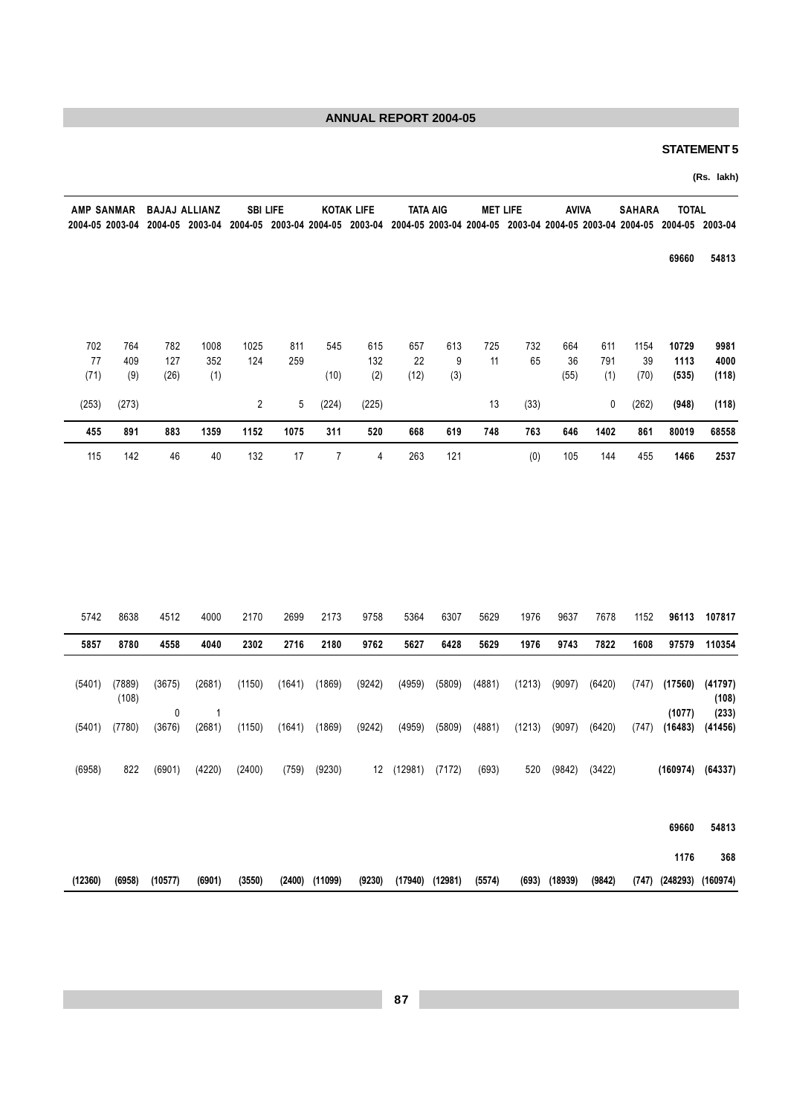## **STATEMENT 5**

 $(747)$   $(248293)$   $(160974)$ 

(Rs. lakh)

|       | <b>AMP SANMAR</b> | <b>BAJAJ ALLIANZ</b> |                 |                | <b>SBI LIFE</b> |       | <b>KOTAK LIFE</b>               |      | <b>TATA AIG</b> | <b>MET LIFE</b> |                                                         | AVIVA |      | <b>SAHARA</b> | <b>TOTAL</b> |                 |
|-------|-------------------|----------------------|-----------------|----------------|-----------------|-------|---------------------------------|------|-----------------|-----------------|---------------------------------------------------------|-------|------|---------------|--------------|-----------------|
|       | 2004-05 2003-04   |                      | 2004-05 2003-04 |                |                 |       | 2004-05 2003-04 2004-05 2003-04 |      |                 |                 | 2004-05 2003-04 2004-05 2003-04 2004-05 2003-04 2004-05 |       |      |               |              | 2004-05 2003-04 |
|       |                   |                      |                 |                |                 |       |                                 |      |                 |                 |                                                         |       |      |               | 69660        | 54813           |
|       |                   |                      |                 |                |                 |       |                                 |      |                 |                 |                                                         |       |      |               |              |                 |
| 702   | 764               | 782                  | 1008            | 1025           | 811             | 545   | 615                             | 657  | 613             | 725             | 732                                                     | 664   | 611  | 1154          | 10729        | 9981            |
| 77    | 409               | 127                  | 352             | 124            | 259             |       | 132                             | 22   | 9               | 11              | 65                                                      | 36    | 791  | 39            | 1113         | 4000            |
| (71)  | (9)               | (26)                 | (1)             |                |                 | (10)  | (2)                             | (12) | (3)             |                 |                                                         | (55)  | (1)  | (70)          | (535)        | (118)           |
| (253) | (273)             |                      |                 | $\overline{2}$ | 5               | (224) | (225)                           |      |                 | 13              | (33)                                                    |       | 0    | (262)         | (948)        | (118)           |
| 455   | 891               | 883                  | 1359            | 1152           | 1075            | 311   | 520                             | 668  | 619             | 748             | 763                                                     | 646   | 1402 | 861           | 80019        | 68558           |
| 115   | 142               | 46                   | 40              | 132            | 17              | 7     | 4                               | 263  | 121             |                 | (0)                                                     | 105   | 144  | 455           | 1466         | 2537            |

| 107817                    | 96113             | 1152  | 7678   | 9637   | 1976   | 5629   | 6307   | 5364    | 9758   | 2173   | 2699   | 2170   | 4000   | 4512                  | 8638            | 5742   |
|---------------------------|-------------------|-------|--------|--------|--------|--------|--------|---------|--------|--------|--------|--------|--------|-----------------------|-----------------|--------|
| 110354                    | 97579             | 1608  | 7822   | 9743   | 1976   | 5629   | 6428   | 5627    | 9762   | 2180   | 2716   | 2302   | 4040   | 4558                  | 8780            | 5857   |
| (41797)<br>(108)<br>(233) | (17560)<br>(1077) | (747) | (6420) | (9097) | (1213) | (4881) | (5809) | (4959)  | (9242) | (1869) | (1641) | (1150) | (2681) | (3675)<br>$\mathbf 0$ | (7889)<br>(108) | (5401) |
| (41456)                   | (16483)           | (747) | (6420) | (9097) | (1213) | (4881) | (5809) | (4959)  | (9242) | (1869) | (1641) | (1150) | (2681) | (3676)                | (7780)          | (5401) |
| (64337)                   | (160974)          |       | (3422) | (9842) | 520    | (693)  | (7172) | (12981) | 12     | (9230) | (759)  | (2400) | (4220) | (6901)                | 822             | (6958) |
| 54813                     | 69660             |       |        |        |        |        |        |         |        |        |        |        |        |                       |                 |        |
| 368                       | 1176              |       |        |        |        |        |        |         |        |        |        |        |        |                       |                 |        |

(9230) (17940) (12981) (5574) (693) (18939) (9842)

 $(3550)$   $(2400)$   $(11099)$ 

 $(12360)$   $(6958)$   $(10577)$   $(6901)$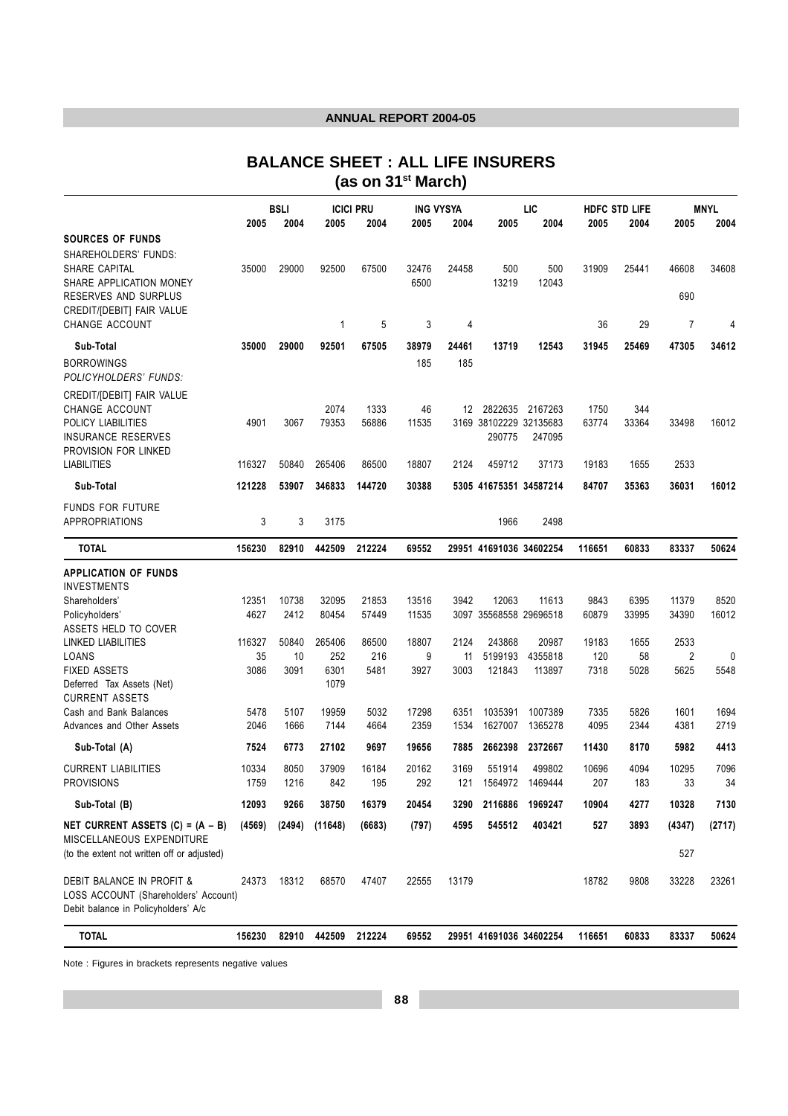# **BALANCE SHEET : ALL LIFE INSURERS (as on 31st March)**

|                                                                             |            | <b>BSLI</b> |              | <b>ICICI PRU</b> | <b>ING VYSYA</b> |            |                         | LIC               |             | HDFC STD LIFE |           | <b>MNYL</b>    |
|-----------------------------------------------------------------------------|------------|-------------|--------------|------------------|------------------|------------|-------------------------|-------------------|-------------|---------------|-----------|----------------|
|                                                                             | 2005       | 2004        | 2005         | 2004             | 2005             | 2004       | 2005                    | 2004              | 2005        | 2004          | 2005      | 2004           |
| <b>SOURCES OF FUNDS</b><br>SHAREHOLDERS' FUNDS:                             |            |             |              |                  |                  |            |                         |                   |             |               |           |                |
| SHARE CAPITAL                                                               | 35000      | 29000       | 92500        | 67500            | 32476            | 24458      | 500                     | 500               | 31909       | 25441         | 46608     | 34608          |
| SHARE APPLICATION MONEY                                                     |            |             |              |                  | 6500             |            | 13219                   | 12043             |             |               |           |                |
| RESERVES AND SURPLUS                                                        |            |             |              |                  |                  |            |                         |                   |             |               | 690       |                |
| CREDIT/[DEBIT] FAIR VALUE                                                   |            |             |              |                  |                  |            |                         |                   |             |               |           |                |
| CHANGE ACCOUNT                                                              |            |             | 1            | 5                | 3                | 4          |                         |                   | 36          | 29            | 7         | $\overline{4}$ |
| Sub-Total                                                                   | 35000      | 29000       | 92501        | 67505            | 38979            | 24461      | 13719                   | 12543             | 31945       | 25469         | 47305     | 34612          |
| <b>BORROWINGS</b><br>POLICYHOLDERS' FUNDS:                                  |            |             |              |                  | 185              | 185        |                         |                   |             |               |           |                |
| CREDIT/[DEBIT] FAIR VALUE                                                   |            |             |              |                  |                  |            |                         |                   |             |               |           |                |
| CHANGE ACCOUNT                                                              |            |             | 2074         | 1333             | 46               | 12         | 2822635                 | 2167263           | 1750        | 344           |           |                |
| POLICY LIABILITIES                                                          | 4901       | 3067        | 79353        | 56886            | 11535            |            | 3169 38102229 32135683  |                   | 63774       | 33364         | 33498     | 16012          |
| <b>INSURANCE RESERVES</b>                                                   |            |             |              |                  |                  |            | 290775                  | 247095            |             |               |           |                |
| PROVISION FOR LINKED<br><b>LIABILITIES</b>                                  | 116327     | 50840       | 265406       | 86500            | 18807            | 2124       | 459712                  | 37173             | 19183       | 1655          | 2533      |                |
|                                                                             |            |             |              |                  |                  |            |                         |                   |             |               |           |                |
| Sub-Total                                                                   | 121228     | 53907       | 346833       | 144720           | 30388            |            | 5305 41675351 34587214  |                   | 84707       | 35363         | 36031     | 16012          |
| <b>FUNDS FOR FUTURE</b>                                                     |            |             |              |                  |                  |            |                         |                   |             |               |           |                |
| <b>APPROPRIATIONS</b>                                                       | 3          | 3           | 3175         |                  |                  |            | 1966                    | 2498              |             |               |           |                |
| <b>TOTAL</b>                                                                | 156230     | 82910       | 442509       | 212224           | 69552            |            | 29951 41691036 34602254 |                   | 116651      | 60833         | 83337     | 50624          |
| <b>APPLICATION OF FUNDS</b>                                                 |            |             |              |                  |                  |            |                         |                   |             |               |           |                |
| <b>INVESTMENTS</b>                                                          |            |             |              |                  |                  |            |                         |                   |             |               |           |                |
| Shareholders'                                                               | 12351      | 10738       | 32095        | 21853            | 13516            | 3942       | 12063                   | 11613             | 9843        | 6395          | 11379     | 8520           |
| Policyholders'                                                              | 4627       | 2412        | 80454        | 57449            | 11535            |            | 3097 35568558 29696518  |                   | 60879       | 33995         | 34390     | 16012          |
| ASSETS HELD TO COVER                                                        |            |             |              |                  |                  |            |                         |                   |             |               |           |                |
| LINKED LIABILITIES                                                          | 116327     | 50840       | 265406       | 86500            | 18807            | 2124       | 243868                  | 20987             | 19183       | 1655          | 2533      |                |
| LOANS<br><b>FIXED ASSETS</b>                                                | 35<br>3086 | 10<br>3091  | 252<br>6301  | 216<br>5481      | 9<br>3927        | 11<br>3003 | 5199193<br>121843       | 4355818<br>113897 | 120<br>7318 | 58<br>5028    | 2<br>5625 | 0<br>5548      |
| Deferred Tax Assets (Net)                                                   |            |             | 1079         |                  |                  |            |                         |                   |             |               |           |                |
| <b>CURRENT ASSETS</b>                                                       |            |             |              |                  |                  |            |                         |                   |             |               |           |                |
| Cash and Bank Balances                                                      | 5478       | 5107        | 19959        | 5032             | 17298            | 6351       | 1035391                 | 1007389           | 7335        | 5826          | 1601      | 1694           |
| Advances and Other Assets                                                   | 2046       | 1666        | 7144         | 4664             | 2359             | 1534       | 1627007                 | 1365278           | 4095        | 2344          | 4381      | 2719           |
| Sub-Total (A)                                                               | 7524       | 6773        | 27102        | 9697             | 19656            | 7885       | 2662398                 | 2372667           | 11430       | 8170          | 5982      | 4413           |
| <b>CURRENT LIABILITIES</b>                                                  | 10334      | 8050        | 37909        | 16184            | 20162            | 3169       | 551914                  | 499802            | 10696       | 4094          | 10295     | 7096           |
| <b>PROVISIONS</b>                                                           | 1759       | 1216        | 842          | 195              | 292              | 121        | 1564972                 | 1469444           | 207         | 183           | 33        | 34             |
| Sub-Total (B)                                                               | 12093      | 9266        | 38750        | 16379            | 20454            | 3290       | 2116886                 | 1969247           | 10904       | 4277          | 10328     | 7130           |
| NET CURRENT ASSETS $(C) = (A - B)$                                          | (4569)     | (2494)      | (11648)      | (6683)           | (797)            | 4595       | 545512                  | 403421            | 527         | 3893          | (4347)    | (2717)         |
| MISCELLANEOUS EXPENDITURE<br>(to the extent not written off or adjusted)    |            |             |              |                  |                  |            |                         |                   |             |               | 527       |                |
| DEBIT BALANCE IN PROFIT &                                                   | 24373      | 18312       | 68570        | 47407            | 22555            | 13179      |                         |                   | 18782       | 9808          | 33228     | 23261          |
| LOSS ACCOUNT (Shareholders' Account)<br>Debit balance in Policyholders' A/c |            |             |              |                  |                  |            |                         |                   |             |               |           |                |
| <b>TOTAL</b>                                                                | 156230     |             | 82910 442509 | 212224           | 69552            |            | 29951 41691036 34602254 |                   | 116651      | 60833         | 83337     | 50624          |

Note : Figures in brackets represents negative values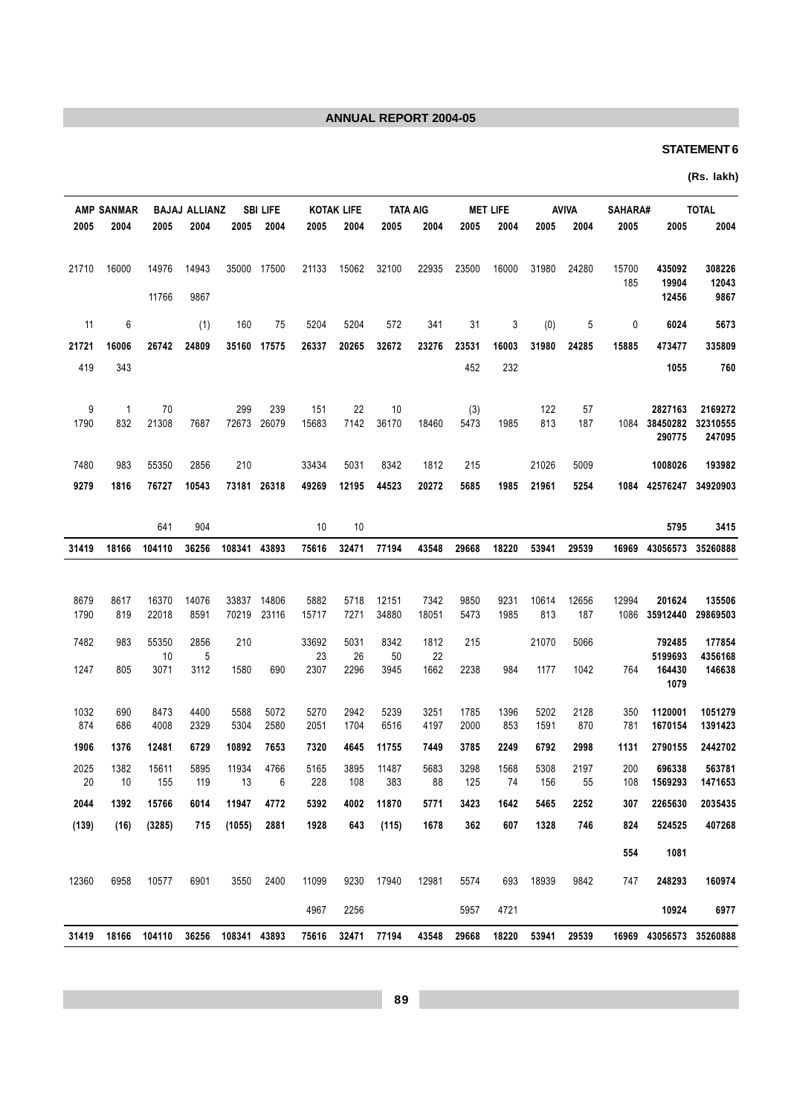## **STATEMENT 6**

## (Rs. lakh)

| <b>TOTAL</b>        |                         | <b>SAHARA#</b> | <b>AVIVA</b> |              | <b>MET LIFE</b> |              |               | <b>TATA AIG</b> | <b>KOTAK LIFE</b> |               | <b>SBI LIFE</b>    |                    | <b>BAJAJ ALLIANZ</b> |                | <b>AMP SANMAR</b>   |              |
|---------------------|-------------------------|----------------|--------------|--------------|-----------------|--------------|---------------|-----------------|-------------------|---------------|--------------------|--------------------|----------------------|----------------|---------------------|--------------|
| 2004                | 2005                    | 2005           | 2004         | 2005         | 2004            | 2005         | 2004          | 2005            | 2004              | 2005          | 2004               | 2005               | 2004                 | 2005           | 2004                | 2005         |
|                     |                         |                |              |              |                 |              |               |                 |                   |               |                    |                    |                      |                |                     |              |
| 308226              | 435092                  | 15700          | 24280        | 31980        | 16000           | 23500        | 22935         | 32100           | 15062             | 21133         | 17500              | 35000              | 14943                | 14976          | 16000               | 21710        |
| 12043<br>9867       | 19904<br>12456          | 185            |              |              |                 |              |               |                 |                   |               |                    |                    | 9867                 | 11766          |                     |              |
|                     |                         |                |              |              |                 |              |               |                 |                   |               |                    |                    |                      |                |                     |              |
| 5673                | 6024                    | 0              | 5            | (0)          | 3               | 31           | 341           | 572             | 5204              | 5204          | 75                 | 160                | (1)                  |                | 6                   | 11           |
| 335809              | 473477                  | 15885          | 24285        | 31980        | 16003           | 23531        | 23276         | 32672           | 20265             | 26337         | 17575              | 35160              | 24809                | 26742          | 16006               | 21721        |
| 760                 | 1055                    |                |              |              | 232             | 452          |               |                 |                   |               |                    |                    |                      |                | 343                 | 419          |
|                     |                         |                |              |              |                 |              |               |                 |                   |               |                    |                    |                      |                |                     |              |
| 2169272<br>32310555 | 2827163<br>38450282     | 1084           | 57<br>187    | 122<br>813   | 1985            | (3)<br>5473  | 18460         | 10<br>36170     | 22<br>7142        | 151<br>15683  | 239<br>72673 26079 | 299                | 7687                 | 70<br>21308    | $\mathbf{1}$<br>832 | 9<br>1790    |
| 247095              | 290775                  |                |              |              |                 |              |               |                 |                   |               |                    |                    |                      |                |                     |              |
| 193982              | 1008026                 |                | 5009         | 21026        |                 | 215          | 1812          | 8342            | 5031              | 33434         |                    | 210                | 2856                 | 55350          | 983                 | 7480         |
| 34920903            | 1084 42576247           |                | 5254         | 21961        | 1985            | 5685         | 20272         | 44523           | 12195             | 49269         | 73181 26318        |                    | 10543                | 76727          | 1816                | 9279         |
|                     |                         |                |              |              |                 |              |               |                 |                   |               |                    |                    |                      |                |                     |              |
| 3415                | 5795                    |                |              |              |                 |              |               |                 | 10                | 10            |                    |                    | 904                  | 641            |                     |              |
|                     | 16969 43056573 35260888 |                | 29539        | 53941        | 18220           | 29668        | 43548         | 77194           | 32471             | 75616         |                    | 108341 43893       | 36256                | 104110         | 18166               | 31419        |
|                     |                         |                |              |              |                 |              |               |                 |                   |               |                    |                    |                      |                |                     |              |
|                     |                         |                |              |              |                 |              |               |                 |                   |               |                    |                    |                      |                |                     |              |
| 135506<br>29869503  | 201624<br>35912440      | 12994<br>1086  | 12656<br>187 | 10614<br>813 | 9231<br>1985    | 9850<br>5473 | 7342<br>18051 | 12151<br>34880  | 5718<br>7271      | 5882<br>15717 | 14806<br>23116     | 33837<br>70219     | 14076<br>8591        | 16370<br>22018 | 8617<br>819         | 8679<br>1790 |
|                     |                         |                |              |              |                 |              |               |                 |                   |               |                    |                    |                      |                |                     |              |
| 177854<br>4356168   | 792485<br>5199693       |                | 5066         | 21070        |                 | 215          | 1812<br>22    | 8342<br>50      | 5031<br>26        | 33692<br>23   |                    | 210                | 2856<br>5            | 55350<br>10    | 983                 | 7482         |
| 146638              | 164430                  | 764            | 1042         | 1177         | 984             | 2238         | 1662          | 3945            | 2296              | 2307          | 690                | 1580               | 3112                 | 3071           | 805                 | 1247         |
|                     | 1079                    |                |              |              |                 |              |               |                 |                   |               |                    |                    |                      |                |                     |              |
| 1051279             | 1120001                 | 350            | 2128         | 5202         | 1396            | 1785         | 3251          | 5239            | 2942              | 5270          | 5072               | 5588               | 4400                 | 8473           | 690                 | 1032         |
| 1391423             | 1670154                 | 781            | 870          | 1591         | 853             | 2000         | 4197          | 6516            | 1704              | 2051          | 2580               | 5304               | 2329                 | 4008           | 686                 | 874          |
| 2442702             | 2790155                 | 1131           | 2998         | 6792         | 2249            | 3785         | 7449          | 11755           | 4645              | 7320          | 7653               | 10892              | 6729                 | 12481          | 1376                | 1906         |
| 563781              | 696338                  | 200            | 2197         | 5308         | 1568            | 3298         | 5683          | 11487           | 3895              | 5165          | 4766               | 11934              | 5895                 | 15611          | 1382                | 2025         |
| 1471653             | 1569293                 | 108            | 55           | 156          | 74              | 125          | 88            | 383             | 108               | 228           | 6                  | 13                 | 119                  | 155            | 10                  | 20           |
| 2035435             | 2265630                 | 307            | 2252         | 5465         | 1642            | 3423         | 5771          | 11870           | 4002              | 5392          | 4772               | 11947              | 6014                 | 15766          | 1392                | 2044         |
| 407268              | 524525                  | 824            | 746          | 1328         | 607             | 362          | 1678          | (115)           | 643               | 1928          | 2881               | (1055)             | 715                  | (3285)         | (16)                | (139)        |
|                     | 1081                    | 554            |              |              |                 |              |               |                 |                   |               |                    |                    |                      |                |                     |              |
| 160974              | 248293                  | 747            | 9842         | 18939        | 693             | 5574         | 12981         | 17940           | 9230              | 11099         | 2400               | 3550               | 6901                 | 10577          | 6958                | 12360        |
| 6977                | 10924                   |                |              |              | 4721            | 5957         |               |                 | 2256              | 4967          |                    |                    |                      |                |                     |              |
|                     | 16969 43056573 35260888 |                | 29539        | 53941        | 18220           | 29668        | 43548         | 77194           | 32471             | 75616         |                    | 36256 108341 43893 |                      | 104110         | 18166               | 31419        |
|                     |                         |                |              |              |                 |              |               |                 |                   |               |                    |                    |                      |                |                     |              |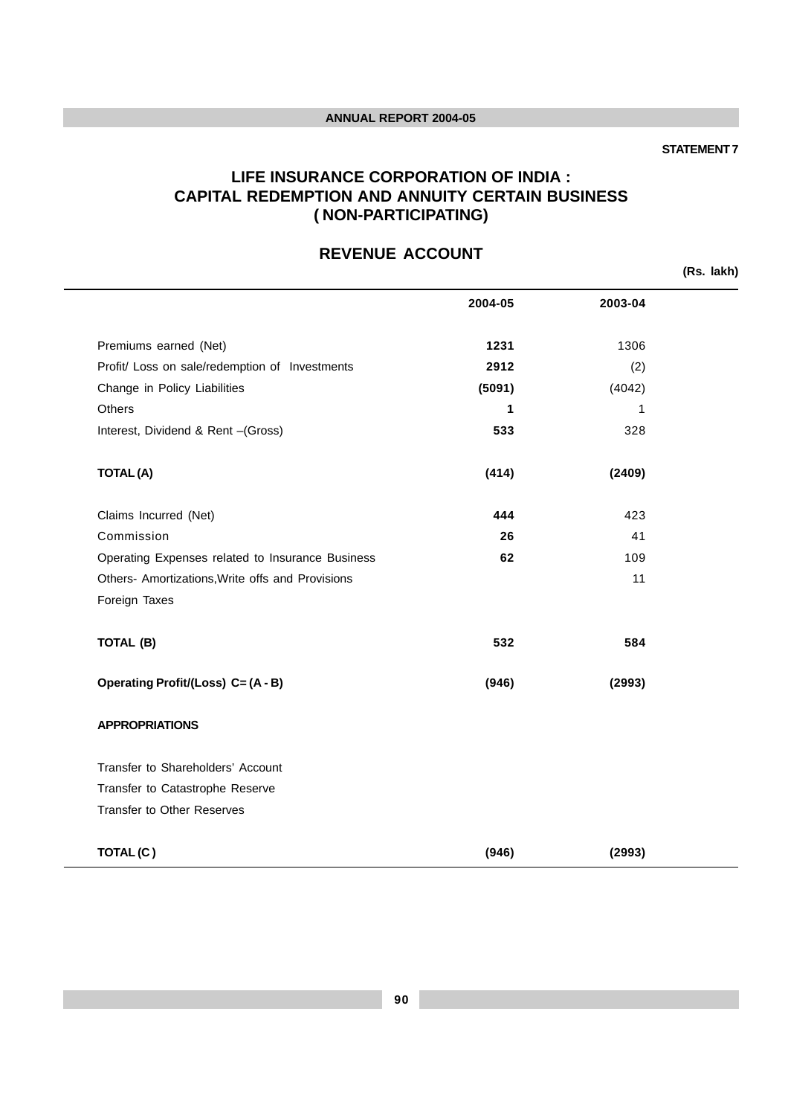#### **STATEMENT 7**

## **LIFE INSURANCE CORPORATION OF INDIA : CAPITAL REDEMPTION AND ANNUITY CERTAIN BUSINESS ( NON-PARTICIPATING)**

# **REVENUE ACCOUNT**

**(Rs. lakh)**

|                                                  | 2004-05 | 2003-04 |  |
|--------------------------------------------------|---------|---------|--|
| Premiums earned (Net)                            | 1231    | 1306    |  |
| Profit/ Loss on sale/redemption of Investments   | 2912    | (2)     |  |
| Change in Policy Liabilities                     | (5091)  | (4042)  |  |
| Others                                           | 1       | 1       |  |
| Interest, Dividend & Rent -(Gross)               | 533     | 328     |  |
| <b>TOTAL(A)</b>                                  | (414)   | (2409)  |  |
| Claims Incurred (Net)                            | 444     | 423     |  |
| Commission                                       | 26      | 41      |  |
| Operating Expenses related to Insurance Business | 62      | 109     |  |
| Others- Amortizations, Write offs and Provisions |         | 11      |  |
| Foreign Taxes                                    |         |         |  |
| TOTAL (B)                                        | 532     | 584     |  |
| Operating Profit/(Loss) C= (A - B)               | (946)   | (2993)  |  |
| <b>APPROPRIATIONS</b>                            |         |         |  |
| Transfer to Shareholders' Account                |         |         |  |
| Transfer to Catastrophe Reserve                  |         |         |  |
| <b>Transfer to Other Reserves</b>                |         |         |  |
| TOTAL(C)                                         | (946)   | (2993)  |  |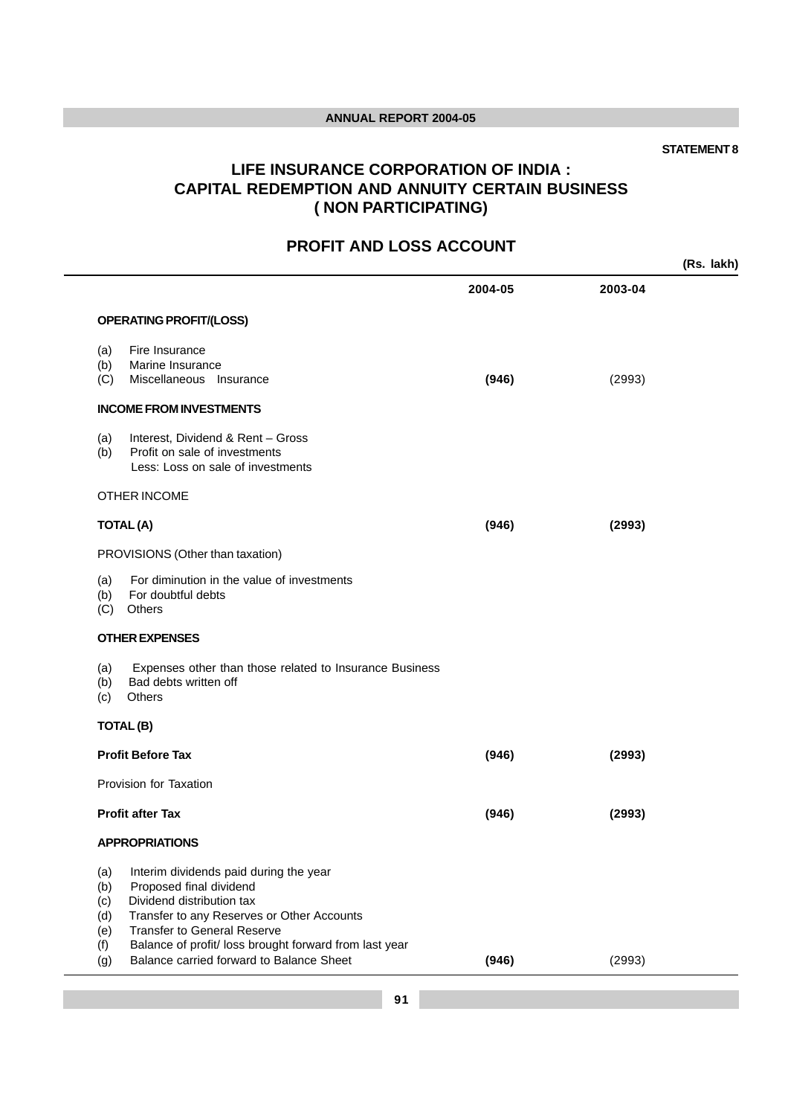#### **STATEMENT 8**

# **LIFE INSURANCE CORPORATION OF INDIA : CAPITAL REDEMPTION AND ANNUITY CERTAIN BUSINESS ( NON PARTICIPATING)**

# **PROFIT AND LOSS ACCOUNT**

|                                               |                                                                                                                                                                                                                                                                                          |         |         | (Rs. lakh) |
|-----------------------------------------------|------------------------------------------------------------------------------------------------------------------------------------------------------------------------------------------------------------------------------------------------------------------------------------------|---------|---------|------------|
|                                               |                                                                                                                                                                                                                                                                                          | 2004-05 | 2003-04 |            |
|                                               | <b>OPERATING PROFIT/(LOSS)</b>                                                                                                                                                                                                                                                           |         |         |            |
| (a)<br>(b)<br>(C)                             | Fire Insurance<br>Marine Insurance<br>Miscellaneous Insurance                                                                                                                                                                                                                            | (946)   | (2993)  |            |
|                                               | <b>INCOME FROM INVESTMENTS</b>                                                                                                                                                                                                                                                           |         |         |            |
| (a)<br>(b)                                    | Interest, Dividend & Rent - Gross<br>Profit on sale of investments<br>Less: Loss on sale of investments                                                                                                                                                                                  |         |         |            |
|                                               | <b>OTHER INCOME</b>                                                                                                                                                                                                                                                                      |         |         |            |
|                                               | <b>TOTAL (A)</b>                                                                                                                                                                                                                                                                         | (946)   | (2993)  |            |
|                                               | PROVISIONS (Other than taxation)                                                                                                                                                                                                                                                         |         |         |            |
| (a)<br>(b)<br>(C)                             | For diminution in the value of investments<br>For doubtful debts<br>Others                                                                                                                                                                                                               |         |         |            |
|                                               | <b>OTHER EXPENSES</b>                                                                                                                                                                                                                                                                    |         |         |            |
| (a)<br>(b)<br>(c)                             | Expenses other than those related to Insurance Business<br>Bad debts written off<br>Others                                                                                                                                                                                               |         |         |            |
|                                               | TOTAL(B)                                                                                                                                                                                                                                                                                 |         |         |            |
|                                               | <b>Profit Before Tax</b>                                                                                                                                                                                                                                                                 | (946)   | (2993)  |            |
|                                               | Provision for Taxation                                                                                                                                                                                                                                                                   |         |         |            |
|                                               | <b>Profit after Tax</b>                                                                                                                                                                                                                                                                  | (946)   | (2993)  |            |
|                                               | <b>APPROPRIATIONS</b>                                                                                                                                                                                                                                                                    |         |         |            |
| (a)<br>(b)<br>(c)<br>(d)<br>(e)<br>(f)<br>(g) | Interim dividends paid during the year<br>Proposed final dividend<br>Dividend distribution tax<br>Transfer to any Reserves or Other Accounts<br><b>Transfer to General Reserve</b><br>Balance of profit/ loss brought forward from last year<br>Balance carried forward to Balance Sheet | (946)   | (2993)  |            |
|                                               |                                                                                                                                                                                                                                                                                          |         |         |            |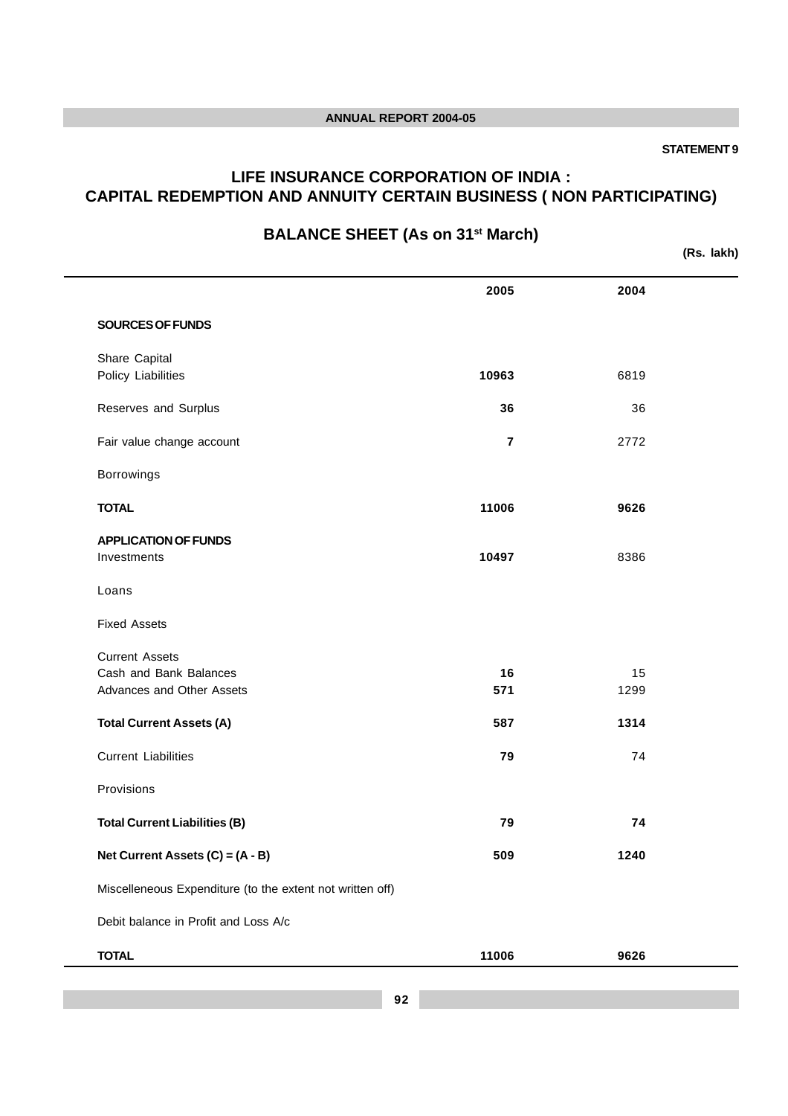#### **STATEMENT 9**

## **LIFE INSURANCE CORPORATION OF INDIA : CAPITAL REDEMPTION AND ANNUITY CERTAIN BUSINESS ( NON PARTICIPATING)**

# **BALANCE SHEET (As on 31st March)**

**(Rs. lakh)**

|                                                                              | 2005                    | 2004       |  |
|------------------------------------------------------------------------------|-------------------------|------------|--|
| SOURCES OF FUNDS                                                             |                         |            |  |
| Share Capital<br>Policy Liabilities                                          | 10963                   | 6819       |  |
| Reserves and Surplus                                                         | 36                      | 36         |  |
| Fair value change account                                                    | $\overline{\mathbf{r}}$ | 2772       |  |
| Borrowings                                                                   |                         |            |  |
| <b>TOTAL</b>                                                                 | 11006                   | 9626       |  |
| <b>APPLICATION OF FUNDS</b><br>Investments                                   | 10497                   | 8386       |  |
| Loans                                                                        |                         |            |  |
| <b>Fixed Assets</b>                                                          |                         |            |  |
| <b>Current Assets</b><br>Cash and Bank Balances<br>Advances and Other Assets | 16<br>571               | 15<br>1299 |  |
| <b>Total Current Assets (A)</b>                                              | 587                     | 1314       |  |
| <b>Current Liabilities</b>                                                   | 79                      | 74         |  |
| Provisions                                                                   |                         |            |  |
| <b>Total Current Liabilities (B)</b>                                         | 79                      | 74         |  |
| Net Current Assets (C) = (A - B)                                             | 509                     | 1240       |  |
| Miscelleneous Expenditure (to the extent not written off)                    |                         |            |  |
| Debit balance in Profit and Loss A/c                                         |                         |            |  |
| <b>TOTAL</b>                                                                 | 11006                   | 9626       |  |
|                                                                              |                         |            |  |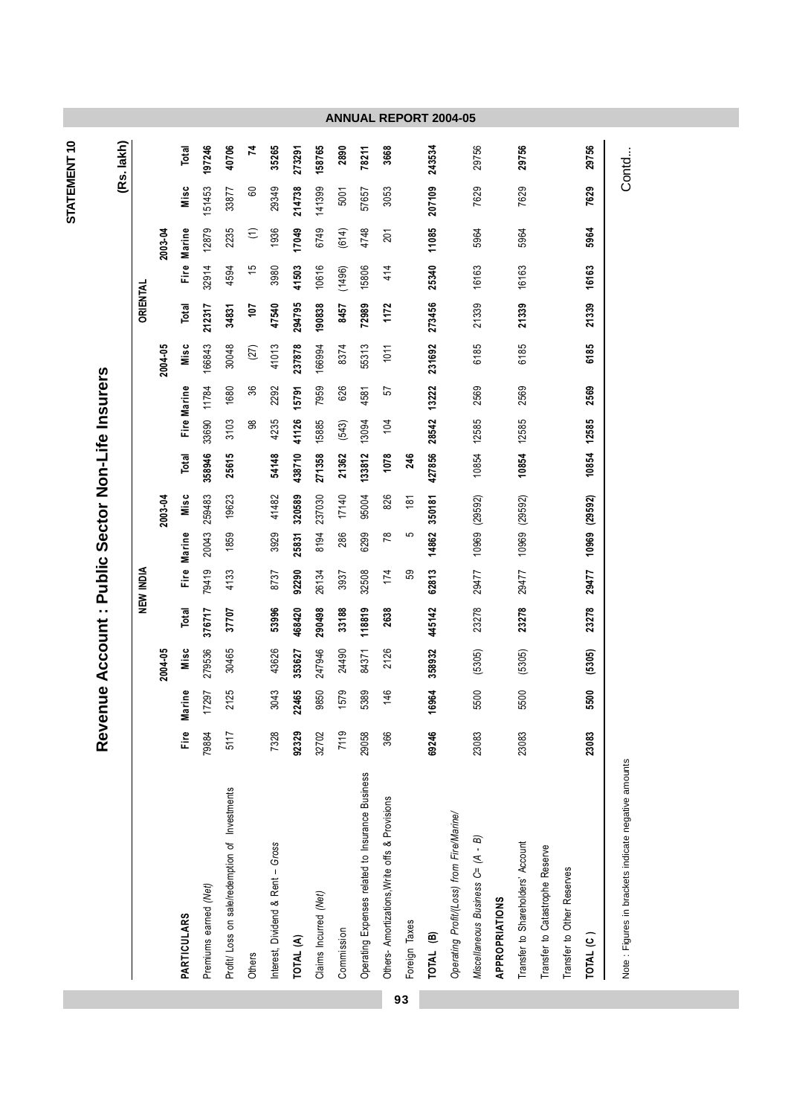| 279536<br>358932<br>Misc<br>30465<br>43626<br>247946<br>24490<br>2004-05<br>353627<br>2126<br>84371<br>22465<br>17297<br>2125<br>043<br>9850<br>579<br>5389<br>146<br>16964<br>Marine<br>ო<br>Fire<br>Eire<br>92329<br>69246<br>79884<br>7328<br>7119<br>32702<br>29058<br>366<br>5117<br>Operating Expenses related to Insurance Business<br>Profit/ Loss on sale/redemption of Investments<br>Others- Amortizations, Write offs & Provisions<br>Interest, Dividend & Rent - Gross | 53996<br>Total<br>468420<br>290498<br>376717<br>37707 | $\frac{1}{10}$<br>NEW INDIA<br>79419 |        |               |             |       |                    |         |          |        |                      |        |        |
|-------------------------------------------------------------------------------------------------------------------------------------------------------------------------------------------------------------------------------------------------------------------------------------------------------------------------------------------------------------------------------------------------------------------------------------------------------------------------------------|-------------------------------------------------------|--------------------------------------|--------|---------------|-------------|-------|--------------------|---------|----------|--------|----------------------|--------|--------|
|                                                                                                                                                                                                                                                                                                                                                                                                                                                                                     |                                                       |                                      |        |               |             |       |                    |         | ORIENTAL |        |                      |        |        |
|                                                                                                                                                                                                                                                                                                                                                                                                                                                                                     |                                                       |                                      |        | 2003-04       |             |       |                    | 2004-05 |          |        | 2003-04              |        |        |
|                                                                                                                                                                                                                                                                                                                                                                                                                                                                                     |                                                       |                                      | Marine | Misc          | Total       |       | <b>Fire Marine</b> | Misc    | Total    |        | Fire Marine          | Misc   | Total  |
|                                                                                                                                                                                                                                                                                                                                                                                                                                                                                     |                                                       |                                      | 20043  | 259483        | 358946      | 33690 | 11784              | 166843  | 212317   | 32914  | 12879                | 151453 | 197246 |
|                                                                                                                                                                                                                                                                                                                                                                                                                                                                                     |                                                       | 4133                                 | 1859   | 19623         | 25615       | 3103  | 1680               | 30048   | 34831    | 4594   | 2235                 | 33877  | 40706  |
|                                                                                                                                                                                                                                                                                                                                                                                                                                                                                     |                                                       |                                      |        |               |             | 88    | 36                 | (27)    | 107      | 15     | $\widehat{\epsilon}$ | 60     | 74     |
|                                                                                                                                                                                                                                                                                                                                                                                                                                                                                     |                                                       | 8737                                 | 3929   | 41482         | 54148       | 4235  | 2292               | 41013   | 47540    | 3980   | 1936                 | 29349  | 35265  |
|                                                                                                                                                                                                                                                                                                                                                                                                                                                                                     |                                                       | 92290                                | 25831  | 320589        | 438710      | 41126 | 15791              | 237878  | 294795   | 41503  | 17049                | 214738 | 273291 |
|                                                                                                                                                                                                                                                                                                                                                                                                                                                                                     |                                                       | 26134                                | 8194   | 237030        | 271358      | 15885 | 7959               | 166994  | 190838   | 10616  | 6749                 | 141399 | 158765 |
|                                                                                                                                                                                                                                                                                                                                                                                                                                                                                     | 33188                                                 | 3937                                 | 286    | 17140         | 21362       | (543) | 626                | 8374    | 8457     | (1496) | (614)                | 5001   | 2890   |
|                                                                                                                                                                                                                                                                                                                                                                                                                                                                                     | 118819                                                | 32508                                | 6299   | 95004         | 133812      | 13094 | 4581               | 55313   | 72989    | 15806  | 4748                 | 57657  | 78211  |
|                                                                                                                                                                                                                                                                                                                                                                                                                                                                                     | 2638                                                  | 174                                  | 78     | 826           | 1078        | 104   | 57                 | 1011    | 1172     | 414    | 201                  | 3053   | 3668   |
|                                                                                                                                                                                                                                                                                                                                                                                                                                                                                     |                                                       | S9                                   | မာ     | 181           | 246         |       |                    |         |          |        |                      |        |        |
|                                                                                                                                                                                                                                                                                                                                                                                                                                                                                     | 445142                                                | 62813                                | 14862  | 350181        | 427856      | 28542 | 13222              | 231692  | 273456   | 25340  | 11085                | 207109 | 243534 |
| Operating Profit/(Loss) from Fire/Marine/                                                                                                                                                                                                                                                                                                                                                                                                                                           |                                                       |                                      |        |               |             |       |                    |         |          |        |                      |        |        |
| (5305)<br>5500<br>23083<br>Miscellaneous Business C= (A - B)                                                                                                                                                                                                                                                                                                                                                                                                                        | 23278                                                 | 29477                                |        | 10969 (29592) | 10854       | 12585 | 2569               | 6185    | 21339    | 16163  | 5964                 | 7629   | 29756  |
|                                                                                                                                                                                                                                                                                                                                                                                                                                                                                     |                                                       |                                      |        |               |             |       |                    |         |          |        |                      |        |        |
| (5305)<br>5500<br>23083<br>Transfer to Shareholders' Account                                                                                                                                                                                                                                                                                                                                                                                                                        | 23278                                                 | 29477                                |        | 10969 (29592) | 10854       | 12585 | 2569               | 6185    | 21339    | 16163  | 5964                 | 7629   | 29756  |
| Transfer to Catastrophe Reserve                                                                                                                                                                                                                                                                                                                                                                                                                                                     |                                                       |                                      |        |               |             |       |                    |         |          |        |                      |        |        |
|                                                                                                                                                                                                                                                                                                                                                                                                                                                                                     |                                                       |                                      |        |               |             |       |                    |         |          |        |                      |        |        |
| (5305)<br>500<br>ဟ<br>23083                                                                                                                                                                                                                                                                                                                                                                                                                                                         | 23278                                                 | 29477                                |        | 10969 (29592) | 10854 12585 |       | 2569               | 6185    | 21339    | 16163  | 5964                 | 7629   | 29756  |

93

STATEMENT10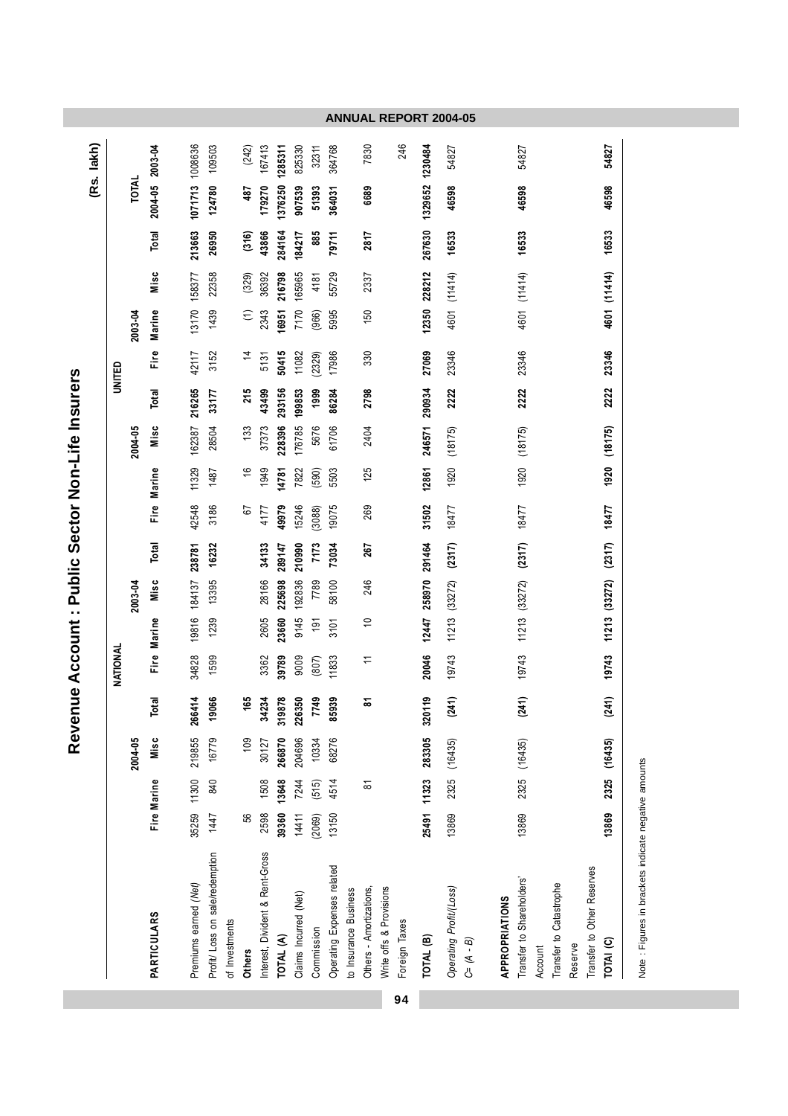|    |                                          |        |             | Reve         |                       |                |               |               |        | nue Account : Public Sector Non-Life Insurers |               |              |        |                |                      |              |        |                 |                 |
|----|------------------------------------------|--------|-------------|--------------|-----------------------|----------------|---------------|---------------|--------|-----------------------------------------------|---------------|--------------|--------|----------------|----------------------|--------------|--------|-----------------|-----------------|
|    |                                          |        |             |              |                       |                |               |               |        |                                               |               |              |        |                |                      |              |        |                 | (Rs. lakh)      |
|    |                                          |        |             |              |                       | NATIONAL       |               |               |        |                                               |               |              |        | UNITED         |                      |              |        |                 |                 |
|    |                                          |        |             | 2004-05      |                       |                |               | 2003-04       |        |                                               |               | 2004-05      |        |                | 2003-04              |              |        | <b>TOTAL</b>    |                 |
|    | <b>PARTICULARS</b>                       |        | Fire Marine | Misc         | Total                 |                | Fire Marine   | Misc          | Total  |                                               | Fire Marine   | Misc         | Total  | e<br>تأ        | Marine               | Misc         | Total  |                 | 2004-05 2003-04 |
|    | Premiums earned (Net)                    | 35259  | 11300       | 219855       | 6414<br>ສ             | 34828          | 19816         | 184137        | 238781 | 42548                                         | 11329         | 162387       | 216265 | 42117          | 13170                | 158377       | 213663 | 1071713         | 1008636         |
|    | Profit/ Loss on sale/redemption          | 1447   | 840         | 16779        | 9066                  | 1599           | 1239          | 13395         | 16232  | 3186                                          | 1487          | 28504        | 33177  | 3152           | 1439                 | 22358        | 26950  | 124780          | 109503          |
|    | of Investments                           |        |             |              |                       |                |               |               |        |                                               |               |              |        |                |                      |              |        |                 |                 |
|    | <b>Others</b>                            | 99     |             | 109          | 165                   |                |               |               |        | 67                                            | $\frac{6}{5}$ | 133          | 215    | $\overline{4}$ | $\widehat{\epsilon}$ | (329)        | (316)  | 487             | (242)           |
|    | Interest, Divident & Rent-Gross          | 2598   | 1508        | 30127        | 34234                 | 3362           | 2605          | 28166         | 34133  | 4177                                          | 1949          | 37373        | 43499  | 5131           | 2343                 | 36392        | 43866  | 179270          | 167413          |
|    | TOTAL (A)                                | 39360  | 13648       | 266870       | 19878<br>స్           | 39789          | 23660         | 225698        | 289147 | 49979                                         | 14781         | 228396       | 293156 | 50415          | 16951                | 216798       | 284164 | 1376250         | 1285311         |
|    | Claims Incurred (Net)                    | 14411  | 7244        | 204696       | \$350<br>$\mathbf{z}$ | 9009           | 9145          | 192836        | 210990 | 15246                                         | 7822          | 176785       | 199853 | 11082          | 7170                 | 165965       | 184217 | 907539          | 825330          |
|    | Commission                               | (2069) | (515)       | 10334        | 7749                  | (807)          | 191           | 7789          | 7173   | (3088)                                        | (590)         | 5676         | 1999   | (2329)         | (966)                | 4181         | 885    | 51393           | 32311           |
|    | Operating Expenses related               | 13150  | 4514        | 68276        | 5939                  | 11833          | 3101          | 58100         | 73034  | 19075                                         | 5503          | 61706        | 86284  | 17986          | 5995                 | 55729        | 79711  | 364031          | 364768          |
|    | to Insurance Business                    |        |             |              |                       |                |               |               |        |                                               |               |              |        |                |                      |              |        |                 |                 |
|    | Others - Amortizations,                  |        | 5           |              | ౚ                     | $\overline{a}$ | $\Rightarrow$ | 246           | 267    | 269                                           | 125           | 2404         | 2798   | 330            | 150                  | 2337         | 2817   | 6689            | 7830            |
|    | Write offs & Provisions                  |        |             |              |                       |                |               |               |        |                                               |               |              |        |                |                      |              |        |                 |                 |
| 94 | Foreign Taxes                            |        |             |              |                       |                |               |               |        |                                               |               |              |        |                |                      |              |        |                 | 246             |
|    | TOTAL <sup>(B)</sup>                     |        | 25491 11323 | 283305       | 320119                | 20046          |               | 12447 258970  | 291464 | 31502                                         | 12861         | 246571       | 290934 | 27069          |                      | 12350 228212 | 267630 | 1329652 1230484 |                 |
|    | Operating Profit/(Loss)<br>$C = (A - B)$ | 13869  |             | 2325 (16435) | (241)                 | 19743          | 11213         | (33272)       | (2317) | 18477                                         | 1920          | (18175)      | 2222   | 23346          | 4601                 | (11414)      | 16533  | 46598           | 54827           |
|    | APPROPRIATIONS                           |        |             |              |                       |                |               |               |        |                                               |               |              |        |                |                      |              |        |                 |                 |
|    | Transfer to Shareholders'                | 13869  |             | 2325 (16435) | (241)                 | 19743          |               | 11213 (33272) | (2317) | 18477                                         | 1920          | (18175)      | 2222   | 23346          |                      | 4601 (11414) | 16533  | 46598           | 54827           |
|    | Account                                  |        |             |              |                       |                |               |               |        |                                               |               |              |        |                |                      |              |        |                 |                 |
|    | Transfer to Catastrophe                  |        |             |              |                       |                |               |               |        |                                               |               |              |        |                |                      |              |        |                 |                 |
|    | Transfer to Other Reserves<br>Reserve    |        |             |              |                       |                |               |               |        |                                               |               |              |        |                |                      |              |        |                 |                 |
|    | TOTAI (C)                                | 13869  |             | 2325 (16435) | (241)                 | 19743          |               | 11213 (33272) | (2317) | 18477                                         |               | 1920 (18175) | 2222   | 23346          |                      | 4601 (11414) | 16533  | 46598           | 54827           |
|    |                                          |        |             |              |                       |                |               |               |        |                                               |               |              |        |                |                      |              |        |                 |                 |

Note : Figures in brackets indicate negative amounts

**ANNUAL REPORT 2004-05**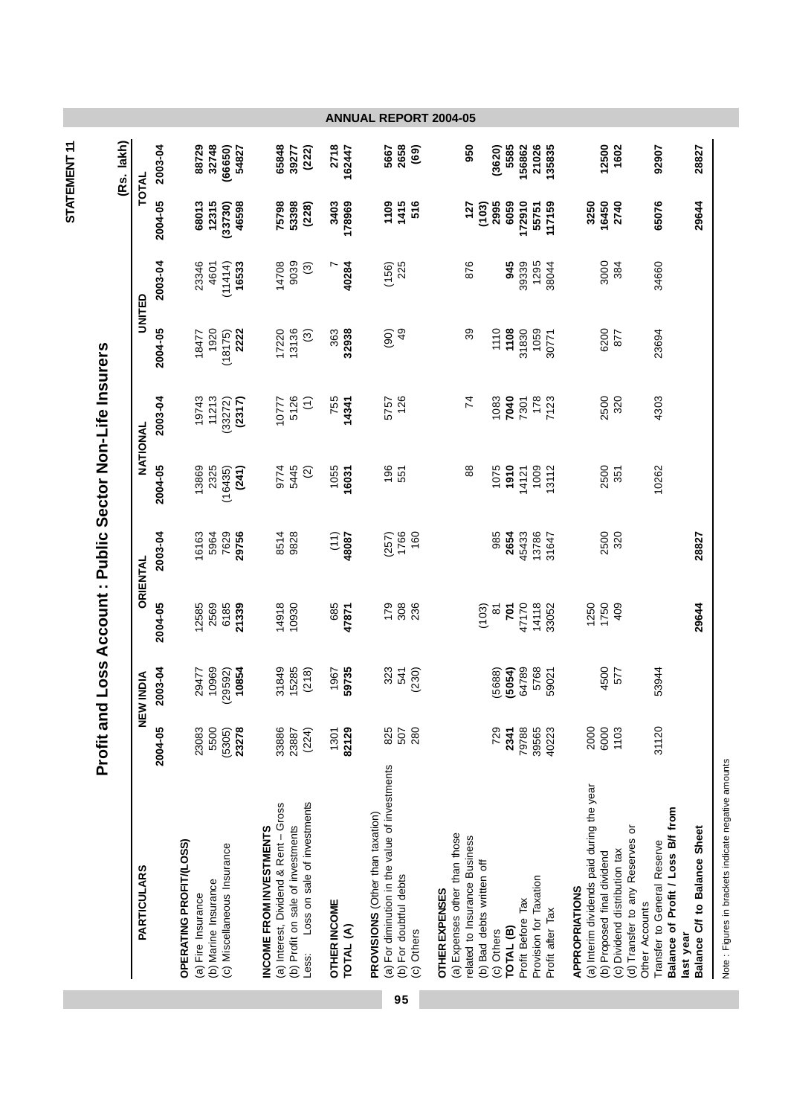| (Rs. lakh)         | 2003-04 | 32748<br>88729<br>(66650)                                             | 54827                       | 65848<br>(222)<br>39277                                                                                                                       | 2718<br>162447                   | 2658<br>5667<br>(69)                                                                                                       | 950                                                                                     | (3620)<br>5585                                                  | 156862<br>21026<br>135835                                       | 12500<br>1602                                                                                                                                                   | 92907                                                                              | 28827                                     |
|--------------------|---------|-----------------------------------------------------------------------|-----------------------------|-----------------------------------------------------------------------------------------------------------------------------------------------|----------------------------------|----------------------------------------------------------------------------------------------------------------------------|-----------------------------------------------------------------------------------------|-----------------------------------------------------------------|-----------------------------------------------------------------|-----------------------------------------------------------------------------------------------------------------------------------------------------------------|------------------------------------------------------------------------------------|-------------------------------------------|
| <b>TOTAL</b>       | 2004-05 | 68013<br>12315<br>(33730)                                             | 46598                       | 75798<br>53398<br>(228)                                                                                                                       | 178969<br>3403                   | 1415<br>1109<br>516                                                                                                        | 127                                                                                     | 2995<br>6059<br>(103)                                           | 172910<br>117159<br>55751                                       | 3250<br>16450<br>2740                                                                                                                                           | 65076                                                                              | 29644                                     |
| UNITED             | 2003-04 | 23346<br>(11414)<br>4601                                              | 16533                       | 14708<br>9039<br>$\odot$                                                                                                                      | 40284                            | 225<br>(156)                                                                                                               | 876                                                                                     | 345                                                             | 39339<br>1295<br>38044                                          | 3000<br>384                                                                                                                                                     | 34660                                                                              |                                           |
|                    | 2004-05 | 1920<br>18477<br>(18175)                                              | 2222                        | 17220<br>13136<br>$\widetilde{\mathcal{E}}$                                                                                                   | 363<br>32938                     | $\frac{9}{4}$<br>(90)                                                                                                      | 39                                                                                      | 1110<br>1108                                                    | 31830<br>1059<br>30771                                          | 6200<br>877                                                                                                                                                     | 23694                                                                              |                                           |
|                    | 2003-04 | 19743<br>11213<br>(33272)                                             | (2317)                      | 5126<br>10777<br>$\widehat{E}$                                                                                                                | 755<br>14341                     | 126<br>5757                                                                                                                | 74                                                                                      | 7040<br>1083                                                    | 178<br>7123<br>7301                                             | 2500<br>320                                                                                                                                                     | 4303                                                                               |                                           |
| NATIONAL           | 2004-05 | 2325<br>13869<br>(16435)                                              | (241)                       | 9774<br>5445<br>$\widetilde{2}$                                                                                                               | 1055<br>16031                    | 196<br>551                                                                                                                 | 88                                                                                      | 1075<br>1910                                                    | 1009<br>13112<br>14121                                          | 2500<br>351                                                                                                                                                     | 10262                                                                              |                                           |
| ORIENTAL           | 2003-04 | 16163<br>7629<br>5964                                                 | 29756                       | 8514<br>9828                                                                                                                                  | (11)<br>48087                    | 1766<br>160<br>(257)                                                                                                       |                                                                                         | 985<br>2654                                                     | 45433<br>13786<br>31647                                         | 2500<br>320                                                                                                                                                     |                                                                                    | 28827                                     |
|                    | 2004-05 | 2569<br>12585<br>6185                                                 | 21339                       | 14918<br>10930                                                                                                                                | 685<br>47871                     | 179<br>308<br>236                                                                                                          |                                                                                         | (103)<br>$\overline{5}$<br>$\approx$                            | 47170<br>14118<br>33052                                         | 1250<br>1750<br>409                                                                                                                                             |                                                                                    | 29644                                     |
| <b>NEW INDIA</b>   | 2003-04 | 10969<br>29477<br>(29592)                                             | 10854                       | 31849<br>15285<br>(218)                                                                                                                       | 59735<br>1967                    | 323<br>541<br>(230)                                                                                                        |                                                                                         | (5054)<br>5688)                                                 | 64789<br>5768<br>59021                                          | 4500<br>577                                                                                                                                                     | 53944                                                                              |                                           |
|                    | 2004-05 | 23083<br>5500<br>(5305)                                               | 23278                       | 33886<br>23887<br>(224)                                                                                                                       | 82129<br>1301                    | 825<br>507<br>280                                                                                                          |                                                                                         | 729<br>2341                                                     | 79788<br>39565<br>40223                                         | 2000<br>6000<br>1103                                                                                                                                            | 31120                                                                              |                                           |
| <b>PARTICULARS</b> |         | OPERATING PROFIT/(LOSS)<br>(b) Marine Insurance<br>(a) Fire Insurance | (c) Miscellaneous Insurance | Loss on sale of investments<br>(a) Interest, Dividend & Rent - Gross<br>(b) Profit on sale of investments<br>INCOME FROM INVESTMENTS<br>Less: | <b>OTHER INCOME</b><br>TOTAL (A) | (a) For diminution in the value of investments<br>PROVISIONS (Other than taxation)<br>(b) For doubtful debts<br>(c) Others | (a) Expenses other than those<br>related to Insurance Business<br><b>OTHER EXPENSES</b> | (b) Bad debts written off<br>TOTAL <sub>(B)</sub><br>(c) Others | Provision for Taxation<br>Profit Before Tax<br>Profit after Tax | (a) Interim dividends paid during the year<br>(d) Transfer to any Reserves or<br>(c) Dividend distribution tax<br>(b) Proposed final dividend<br>APPROPRIATIONS | Balance of Profit / Loss B/f from<br>Transfer to General Reserve<br>Other Accounts | Balance C/f to Balance Sheet<br>last year |
|                    |         |                                                                       |                             |                                                                                                                                               |                                  | 95                                                                                                                         |                                                                                         |                                                                 |                                                                 |                                                                                                                                                                 |                                                                                    |                                           |

Note : Figures in brackets indicate negative amounts Note : Figures in brackets indicate negative amounts

STATEMENT 11 **STATEMENT 11**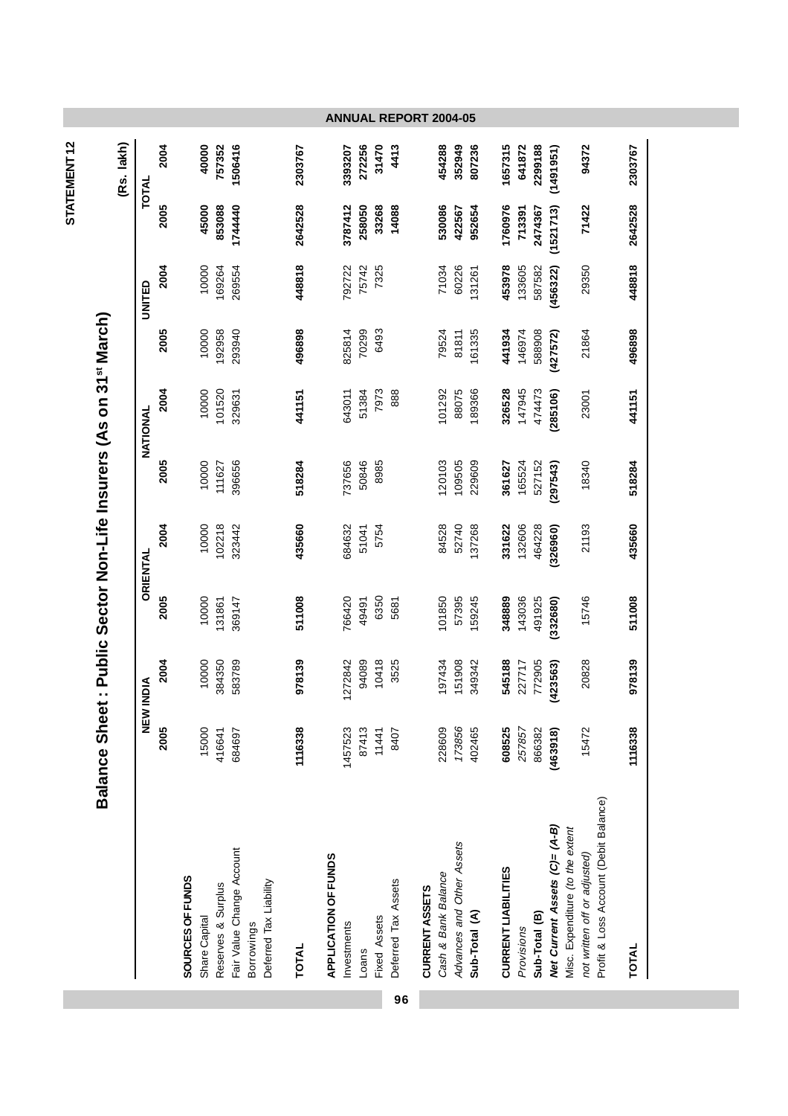|             |                                                                  |          |      |                  |               |                    |                                                |                        |              |                      |             |        |              | <b>ANNUAL REPORT 2004-05</b> |                       |                     |                           |               |                            |            |               |                               |                                                                  |                                       |         |  |
|-------------|------------------------------------------------------------------|----------|------|------------------|---------------|--------------------|------------------------------------------------|------------------------|--------------|----------------------|-------------|--------|--------------|------------------------------|-----------------------|---------------------|---------------------------|---------------|----------------------------|------------|---------------|-------------------------------|------------------------------------------------------------------|---------------------------------------|---------|--|
| STATEMENT12 | (Rs. lakh)                                                       | TOTAL    | 2004 |                  | 40000         | 757352             | 1506416                                        |                        | 2303767      |                      | 3393207     | 272256 | 31470        | 4413                         |                       | 454288              | 352949                    | 807236        | 1657315                    | 641872     | 2299188       | (1491951)                     | 94372                                                            |                                       | 2303767 |  |
|             |                                                                  |          | 2005 |                  | 45000         | 853088             | 1744440                                        |                        | 2642528      |                      | 3787412     | 258050 | 33268        | 14088                        |                       | 530086              | 422567                    | 952654        | 1760976                    | 713391     | 2474367       | (1521713)                     | 71422                                                            |                                       | 2642528 |  |
|             |                                                                  | UNITED   | 2004 |                  | 10000         | 169264             | 269554                                         |                        | 448818       |                      | 792722      | 75742  | 7325         |                              |                       | 71034               | 60226                     | 31261         | 453978                     | 133605     | 587582        | (456322)                      | 29350                                                            |                                       | 448818  |  |
|             |                                                                  |          | 2005 |                  | 10000         | 192958             | 293940                                         |                        | 496898       |                      | 825814      | 70299  | 6493         |                              |                       | 79524               | 81811                     | 61335         | 441934                     | 146974     | 588908        | (427572)                      | 21864                                                            |                                       | 496898  |  |
|             | : Public Sector Non-Life Insurers (As on 31 <sup>st</sup> March) | NATIONAL | 2004 |                  | 10000         | 101520             | 329631                                         |                        | 441151       |                      | 643011      | 51384  | 7973         | 888                          |                       | 01292               | 88075                     | 189366        | 326528                     | 147945     | 474473        | (285106)                      | 23001                                                            |                                       | 441151  |  |
|             |                                                                  |          | 2005 |                  | 10000         | 111627             | 396656                                         |                        | 518284       |                      | 737656      | 50846  | 8985         |                              |                       | 120103              | 109505                    | 229609        | 361627                     | 165524     | 527152        | (297543)                      | 18340                                                            |                                       | 518284  |  |
|             |                                                                  | ORIENTAL | 2004 |                  | 10000         | 102218             | 323442                                         |                        | 435660       |                      | 684632      | 51041  | 5754         |                              |                       | 84528               | 52740                     | 37268         | 331622                     | 132606     | 464228        | (326960)                      | 21193                                                            |                                       | 435660  |  |
|             |                                                                  |          | 2005 |                  | 10000         | 131861             | 369147                                         |                        | 511008       |                      | 766420      | 49491  | 6350         | 5681                         |                       | 01850               | 57395                     | 159245        | 348889                     | 143036     | 491925        | (332680)                      | 15746                                                            |                                       | 511008  |  |
|             |                                                                  | NDIA     | 2004 |                  | 10000         | 384350             | 583789                                         |                        | 978139       |                      | 1272842     | 94089  | 10418        | 3525                         |                       | 97434               | 151908                    | 349342        | 545188                     | 227717     | 772905        | 423563)                       | 20828                                                            |                                       | 978139  |  |
|             | <b>Balance Sheet</b>                                             | NEW II   | 2005 |                  | 15000         | 416641             | 684697                                         |                        | 1116338      |                      | 1457523     | 87413  | 11441        | 8407                         |                       | 228609              | 173856                    | 402465        | 608525                     | 257857     | 866382        | (463918)                      | 15472                                                            |                                       | 1116338 |  |
|             |                                                                  |          |      | SOURCES OF FUNDS | Share Capital | Reserves & Surplus | Fair Value Change Account<br><b>Borrowings</b> | Deferred Tax Liability | <b>TOTAL</b> | APPLICATION OF FUNDS | Investments | Loans  | Fixed Assets | Deferred Tax Assets          | <b>CURRENT ASSETS</b> | Cash & Bank Balance | Advances and Other Assets | Sub-Total (A) | <b>CURRENT LIABILITIES</b> | Provisions | Sub-Total (B) | Net Current Assets (C)= (A-B) | Misc. Expenditure (to the extent<br>not written off or adjusted) | Profit & Loss Account (Debit Balance) | TOTAL   |  |
|             |                                                                  |          |      |                  |               |                    |                                                |                        |              |                      |             |        |              | 96                           |                       |                     |                           |               |                            |            |               |                               |                                                                  |                                       |         |  |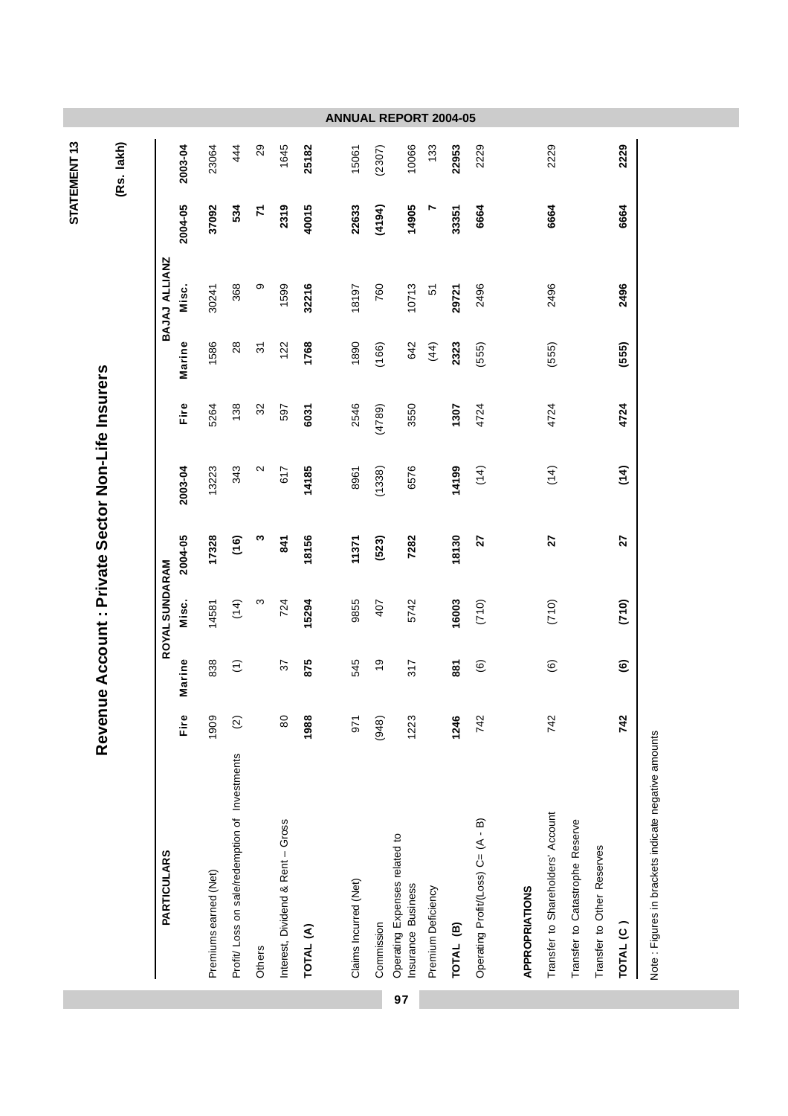|                         |                                           |                         |                       |                                                |                   |                                   |           |                       |               | <b>ANNUAL REPORT 2004-05</b>                        |                    |                      |                                    |                       |                                   |                                 |                            |                        |                                                     |
|-------------------------|-------------------------------------------|-------------------------|-----------------------|------------------------------------------------|-------------------|-----------------------------------|-----------|-----------------------|---------------|-----------------------------------------------------|--------------------|----------------------|------------------------------------|-----------------------|-----------------------------------|---------------------------------|----------------------------|------------------------|-----------------------------------------------------|
| STATEMENT <sub>13</sub> | (Rs. lakh)                                | 2003-04                 | 23064                 | 444                                            | 29                | 1645                              | 25182     | 15061                 | (2307)        | 10066                                               | 133                | 22953                | 2229                               |                       | 2229                              |                                 |                            | 2229                   |                                                     |
|                         |                                           | 2004-05                 | 37092                 | 534                                            | $\mathbf{z}$      | 2319                              | 40015     | 22633                 | (4194)        | 14905                                               | r                  | 33351                | 6664                               |                       | 6664                              |                                 |                            | 6664                   |                                                     |
|                         |                                           | BAJAJ ALLIANZ<br>Misc.  | 30241                 | 368                                            | თ                 | 1599                              | 32216     | 18197                 | 760           | 10713                                               | 5                  | 29721                | 2496                               |                       | 2496                              |                                 |                            | 2496                   |                                                     |
|                         |                                           | Marine                  | 1586                  | $28$                                           | $\overline{5}$    | 122                               | 1768      | 1890                  | (166)         | 642                                                 | (44)               | 2323                 | (555)                              |                       | (555)                             |                                 |                            | (555)                  |                                                     |
|                         |                                           | Fire                    | 5264                  | 138                                            | $\mathfrak{S}$    | 597                               | 6031      | 2546                  | (4789)        | 3550                                                |                    | 1307                 | 4724                               |                       | 4724                              |                                 |                            | 4724                   |                                                     |
|                         |                                           | 2003-04                 | 13223                 | 343                                            | $\mathbf{\Omega}$ | 617                               | 14185     | 8961                  | (1338)        | 6576                                                |                    | 14199                | (14)                               |                       | (14)                              |                                 |                            | (14)                   |                                                     |
|                         | Account: Private Sector Non-Life Insurers | 2004-05                 | 17328                 | (16)                                           | S                 | 841                               | 18156     | 11371                 | (523)         | 7282                                                |                    | 18130                | 27                                 |                       | 27                                |                                 |                            | 27                     |                                                     |
|                         |                                           | ROYAL SUNDARAM<br>Misc. | 14581                 | (14)                                           | ო                 | 724                               | 15294     | 9855                  | 407           | 5742                                                |                    | 16003                | (710)                              |                       | (710)                             |                                 |                            | (710)                  |                                                     |
|                         |                                           | larine<br>2             | 838                   | $\widehat{\left( \cdot \right)}$               |                   | 57                                | 875       | 545                   | $\frac{6}{3}$ | 317                                                 |                    | 881                  | $\odot$                            |                       | $\widehat{\mathbf{e}}$            |                                 |                            | $\widehat{\mathbf{e}}$ |                                                     |
|                         | Revenue                                   | Fire                    | 1909                  | $\widehat{\omega}$                             |                   | $\rm ^{80}$                       | 1988      | 971                   | (948)         | 1223                                                |                    | 1246                 | 742                                |                       | 742                               |                                 |                            | 742                    |                                                     |
|                         |                                           | <b>PARTICULARS</b>      | Premiums earned (Net) | Profit/ Loss on sale/redemption of Investments | Others            | Interest, Dividend & Rent - Gross | TOTAL (A) | Claims Incurred (Net) | Commission    | Operating Expenses related to<br>Insurance Business | Premium Deficiency | TOTAL <sub>(B)</sub> | Operating Profit/(Loss) C= (A - B) | <b>APPROPRIATIONS</b> | Transfer to Shareholders' Account | Transfer to Catastrophe Reserve | Transfer to Other Reserves | <b>TOTAL (C</b>        | Note: Figures in brackets indicate negative amounts |
|                         |                                           |                         |                       |                                                |                   |                                   |           |                       |               | 97                                                  |                    |                      |                                    |                       |                                   |                                 |                            |                        |                                                     |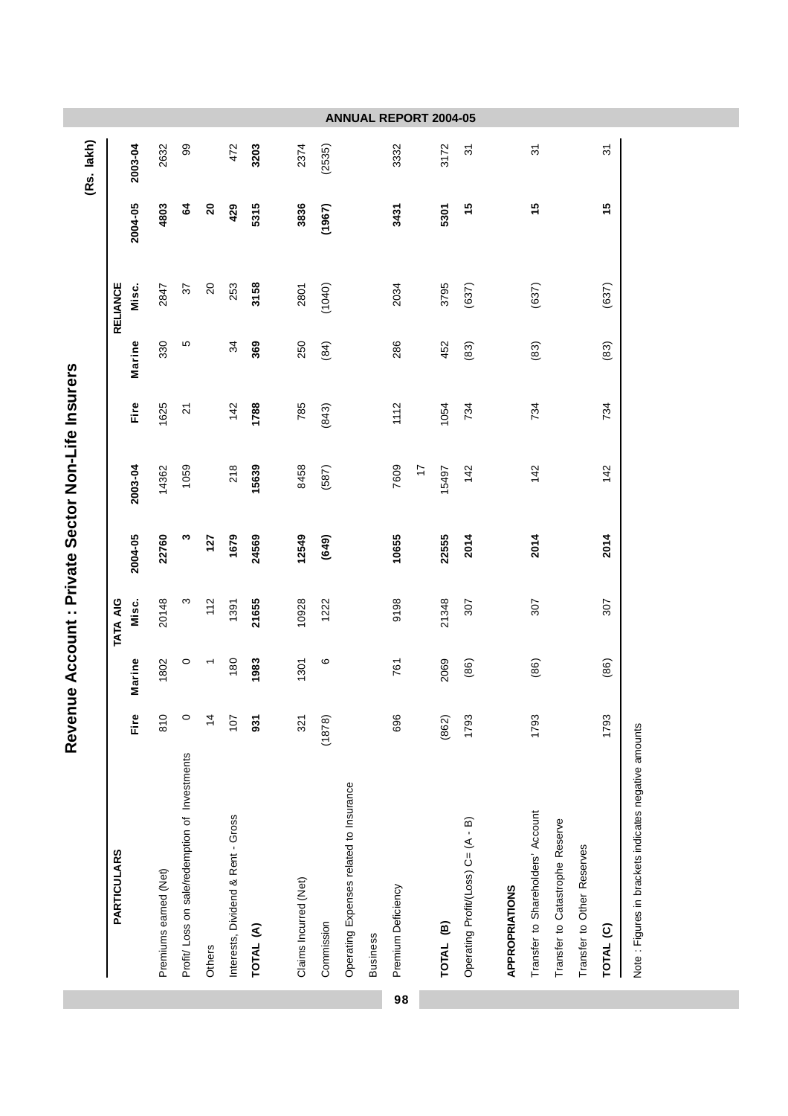|    |                                                      |               |        |                 |         |            |                |        |                 |                 | (Rs. lakh)     |
|----|------------------------------------------------------|---------------|--------|-----------------|---------|------------|----------------|--------|-----------------|-----------------|----------------|
|    | <b>PARTICULARS</b>                                   |               |        | <b>TATA AIG</b> |         |            |                |        | <b>RELIANCE</b> |                 |                |
|    |                                                      | Fire          | Marine | Misc.           | 2004-05 | 2003-04    | Fire           | Marine | Misc.           | 2004-05         | 2003-04        |
|    | Premiums earned (Net)                                | 810           | 1802   | 20148           | 22760   | 14362      | 1625           | 330    | 2847            | 4803            | 2632           |
|    | Profit/ Loss on sale/redemption of Investments       | $\circ$       | 0      | ω               | ო       | 1059       | $\overline{2}$ | Ю      | 57              | 2               | 99             |
|    | Others                                               | $\frac{4}{3}$ |        | 112             | 127     |            |                |        | $\overline{c}$  | $\overline{20}$ |                |
|    | Interests, Dividend & Rent - Gross                   | 107           | 180    | 1391            | 1679    | 218        | 142            | 34     | 253             | 429             | 472            |
|    | TOTAL (A)                                            | 931           | 1983   | 21655           | 24569   | 15639      | 1788           | 369    | 3158            | 5315            | 3203           |
|    |                                                      |               |        |                 |         |            |                |        |                 |                 |                |
|    | Claims Incurred (Net)                                | 321           | 1301   | 10928           | 12549   | 8458       | 785            | 250    | 2801            | 3836            | 2374           |
|    | Commission                                           | (1878)        | ဖ      | 1222            | (649)   | (587)      | (843)          | (84)   | (1040)          | (1967)          | (2535)         |
|    | Operating Expenses related to Insurance              |               |        |                 |         |            |                |        |                 |                 |                |
|    | <b>Business</b>                                      |               |        |                 |         |            |                |        |                 |                 |                |
| 98 | Premium Deficiency                                   | 696           | 761    | 9198            | 10655   | 7609       | 1112           | 286    | 2034            | 3431            | 3332           |
|    |                                                      |               |        |                 |         | $\ddot{ }$ |                |        |                 |                 |                |
|    | TOTAL <sub>(B)</sub>                                 | (862)         | 2069   | 21348           | 22555   | 15497      | 1054           | 452    | 3795            | 5301            | 3172           |
|    | Operating Profit/(Loss) C= (A - B)                   | 1793          | (86)   | 307             | 2014    | 142        | 734            | (83)   | (637)           | 15              | $\overline{5}$ |
|    | APPROPRIATIONS                                       |               |        |                 |         |            |                |        |                 |                 |                |
|    | Transfer to Shareholders' Account                    | 1793          | (86)   | 307             | 2014    | 142        | 734            | (83)   | (637)           | 15              | $\overline{5}$ |
|    | Transfer to Catastrophe Reserve                      |               |        |                 |         |            |                |        |                 |                 |                |
|    | Transfer to Other Reserves                           |               |        |                 |         |            |                |        |                 |                 |                |
|    | TOTAL <sup>(C)</sup>                                 | 1793          | (86)   | 307             | 2014    | 142        | 734            | (83)   | (637)           | 15              | $\overline{5}$ |
|    | Note: Figures in brackets indicates negative amounts |               |        |                 |         |            |                |        |                 |                 |                |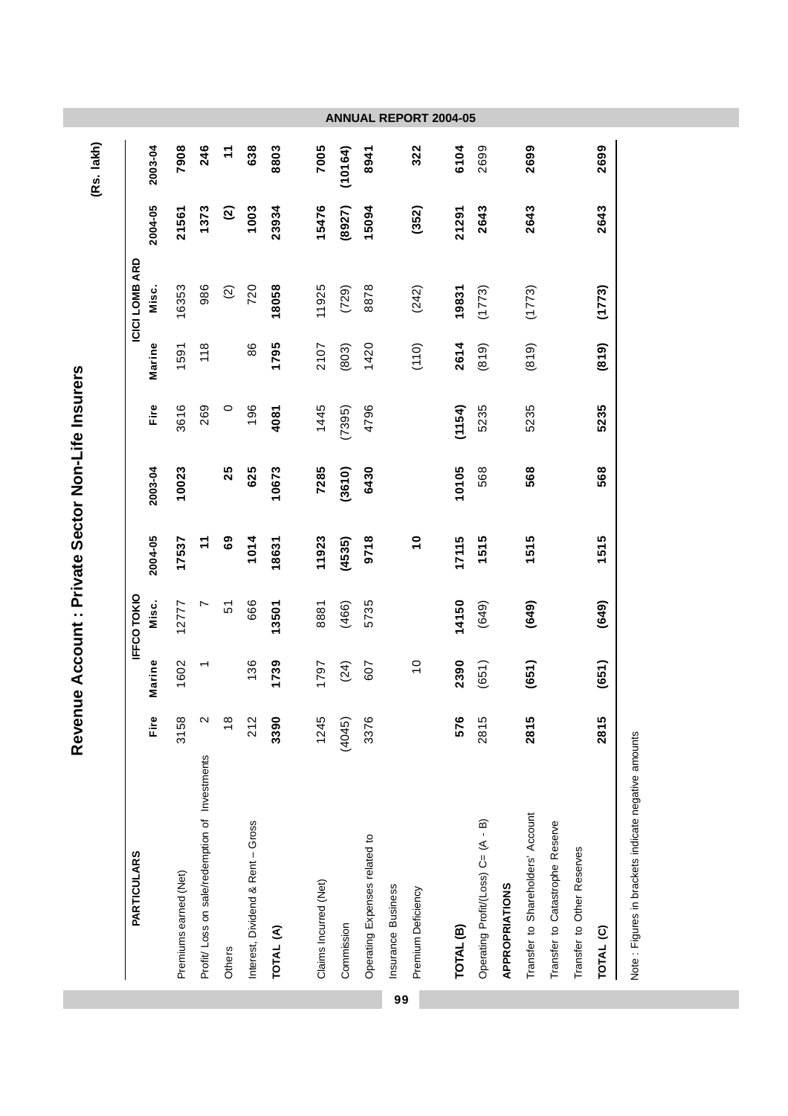|                                                |                   |                |            |                |         |         |        |                |         | (Rs. lakh) |
|------------------------------------------------|-------------------|----------------|------------|----------------|---------|---------|--------|----------------|---------|------------|
| <b>PARTICULARS</b>                             |                   |                | IFFCOTOKIO |                |         |         |        | ICICI LOMB ARD |         |            |
|                                                | Fire              | Marine         | Misc.      | 2004-05        | 2003-04 | Fire    | Marine | Misc.          | 2004-05 | 2003-04    |
| Premiums earned (Net)                          | 3158              | 1602           | 12777      | 17537          | 10023   | 3616    | 1591   | 16353          | 21561   | 7908       |
| Profit/ Loss on sale/redemption of Investments | $\mathbf{\Omega}$ |                | L          | $\tilde{\tau}$ |         | 269     | 118    | 986            | 1373    | 246        |
|                                                | $\frac{8}{1}$     |                | 57         | 69             | 25      | $\circ$ |        | ତ୍ର            | ତ୍ର     | $\dot{r}$  |
| Interest, Dividend & Rent - Gross              | 212               | 136            | 666        | 1014           | 625     | 196     | 86     | 720            | 1003    | 638        |
|                                                | 3390              | 1739           | 13501      | 18631          | 10673   | 4081    | 1795   | 18058          | 23934   | 8803       |
|                                                | 1245              | 1797           | 8881       | 11923          | 7285    | 1445    | 2107   | 11925          | 15476   | 7005       |
|                                                | (4045)            | (24)           | (466)      | (4535)         | (3610)  | (7395)  | (803)  | (729)          | (8927)  | (10164)    |
|                                                |                   |                |            |                |         |         |        |                |         |            |
| Operating Expenses related to                  | 3376              | 607            | 5735       | 9718           | 6430    | 4796    | 1420   | 8878           | 15094   | 8941       |
|                                                |                   |                |            |                |         |         |        |                |         |            |
|                                                |                   | $\overline{0}$ |            | $\frac{1}{2}$  |         |         | (110)  | (242)          | (352)   | 322        |
|                                                | 576               | 2390           | 14150      | 17115          | 10105   | (1154)  | 2614   | 19831          | 21291   | 6104       |
| Operating Profit/(Loss) C= (A - B)             | 2815              | (651)          | (649)      | 1515           | 568     | 5235    | (819)  | (1773)         | 2643    | 2699       |
|                                                |                   |                |            |                |         |         |        |                |         |            |
| Transfer to Shareholders' Account              | 2815              | (651)          | (649)      | 1515           | 568     | 5235    | (819)  | (1773)         | 2643    | 2699       |
| Transfer to Catastrophe Reserve                |                   |                |            |                |         |         |        |                |         |            |
| Transfer to Other Reserves                     |                   |                |            |                |         |         |        |                |         |            |
|                                                | 2815              | (651)          | (649)      | 1515           | 568     | 5235    | (819)  | (1773)         | 2643    | 2699       |

**99**

Note : Figures in brackets indicate negative amounts Note : Figures in brackets indicate negative amounts

Revenue Account : Private Sector Non-Life Insurers **Revenue Account : Private Sector Non-Life Insurers**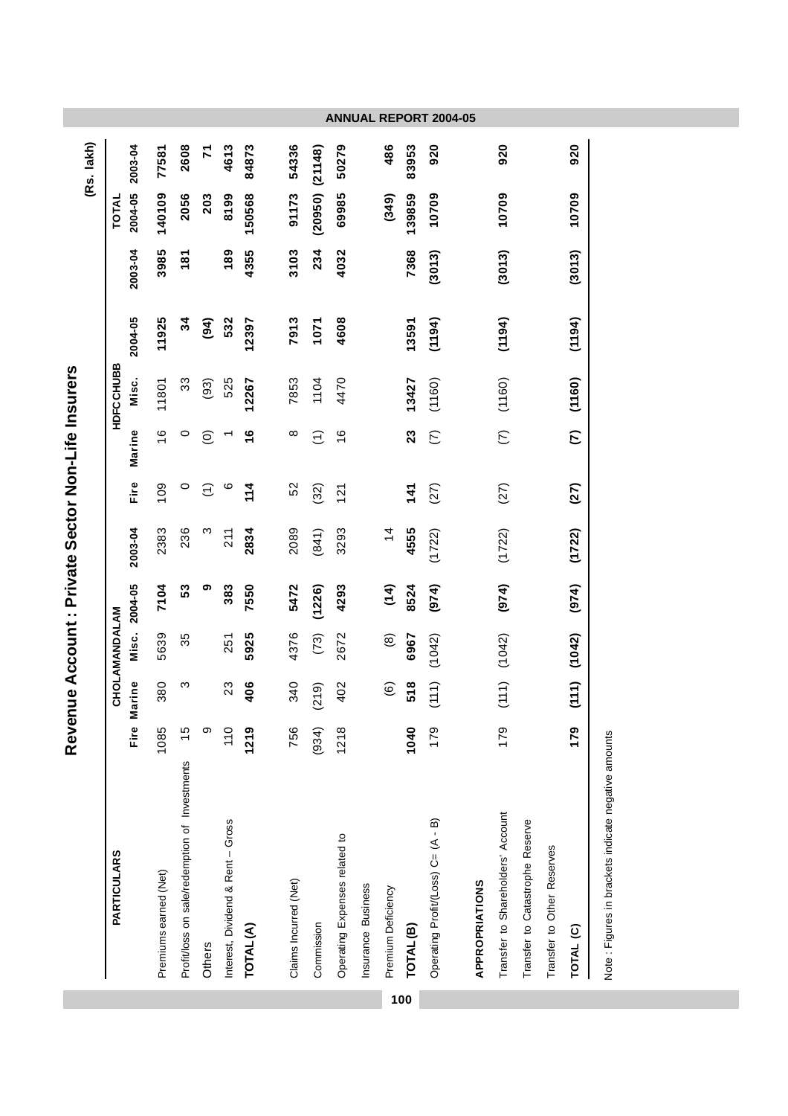|     |                                               |               |                   |               |               |               |          |                      |           |         |         |                     | (Rs. lakh)   |
|-----|-----------------------------------------------|---------------|-------------------|---------------|---------------|---------------|----------|----------------------|-----------|---------|---------|---------------------|--------------|
|     | <b>PARTICULARS</b>                            |               |                   | CHOLAMANDALAM |               |               |          |                      | HDFCCHUBB |         |         | TOTAL               |              |
|     |                                               | Fire          | Marine            |               | Misc. 2004-05 | 2003-04       | Fire     | Marine               | Misc.     | 2004-05 | 2003-04 | 2004-05             | 2003-04      |
|     | Premiums earned (Net)                         | 1085          | 380               | 5639          | 7104          | 2383          | 109      | $\frac{6}{1}$        | 11801     | 11925   | 3985    | 140109              | 77581        |
|     | Profit/loss on sale/redemption of Investments | $\frac{5}{1}$ | ო                 | 35            | 53            | 236           | 0        | 0                    | 33        | 34      | 181     | 2056                | 2608         |
|     | Others                                        | $\circ$       |                   |               | თ             | ო             | Ξ        | $\widehat{\circ}$    | (93)      | (94)    |         | 203                 | $\mathbf{z}$ |
|     | Interest, Dividend & Rent - Gross             | 110           | 23                | 251           | 383           | 211           | ဖ        |                      | 525       | 532     | 189     | 8199                | 4613         |
|     | TOTAL (A)                                     | 1219          | 406               | 5925          | 7550          | 2834          | 11<br>14 | $\frac{6}{1}$        | 12267     | 12397   | 4355    | 150568              | 84873        |
|     |                                               |               |                   |               |               |               |          |                      |           |         |         |                     |              |
|     | Claims Incurred (Net)                         | 756           | 340               | 4376          | 5472          | 2089          | 52       | $^{\circ}$           | 7853      | 7913    | 3103    | 91173               | 54336        |
|     | Commission                                    | (934)         | (219)             | (73)          | (1226)        | (841)         | (32)     | $\widehat{\epsilon}$ | 1104      | 1071    | 234     | $(20950)$ $(21148)$ |              |
|     | Operating Expenses related to                 | 1218          | 402               | 2672          | 4293          | 3293          | 121      | $\frac{6}{5}$        | 4470      | 4608    | 4032    | 69985               | 50279        |
|     | Insurance Business                            |               |                   |               |               |               |          |                      |           |         |         |                     |              |
|     | Premium Deficiency                            |               | $\widehat{\circ}$ | $\circledast$ | (14)          | $\frac{4}{3}$ |          |                      |           |         |         | (349)               | 486          |
| 100 | TOTAL <sup>(B)</sup>                          | 1040          | 518               | 6967          | 8524          | 4555          | 141      | 23                   | 13427     | 13591   | 7368    | 139859              | 83953        |
|     | Operating Profit/(Loss) C= (A - B)            | 179           | (111)             | (1042)        | (974)         | (1722)        | (27)     | $\widehat{\in}$      | (1160)    | (194)   | (3013)  | 10709               | 920          |
|     | <b>APPROPRIATIONS</b>                         |               |                   |               |               |               |          |                      |           |         |         |                     |              |
|     | Transfer to Shareholders' Account             | 179           | (111)             | (1042)        | (974)         | (1722)        | (27)     | $\widehat{\in}$      | (1160)    | (1194)  | (3013)  | 10709               | 920          |
|     | Transfer to Catastrophe Reserve               |               |                   |               |               |               |          |                      |           |         |         |                     |              |
|     | Transfer to Other Reserves                    |               |                   |               |               |               |          |                      |           |         |         |                     |              |
|     | TOTAL (C)                                     | 179           | (111)             | (1042)        | (974)         | (1722)        | (27)     | $\mathcal{L}$        | (1160)    | (1194)  | (3013)  | 10709               | 920          |
|     |                                               |               |                   |               |               |               |          |                      |           |         |         |                     |              |

Note : Figures in brackets indicate negative amounts Note : Figures in brackets indicate negative amounts

Revenue Account : Private Sector Non-Life Insurers **Revenue Account : Private Sector Non-Life Insurers**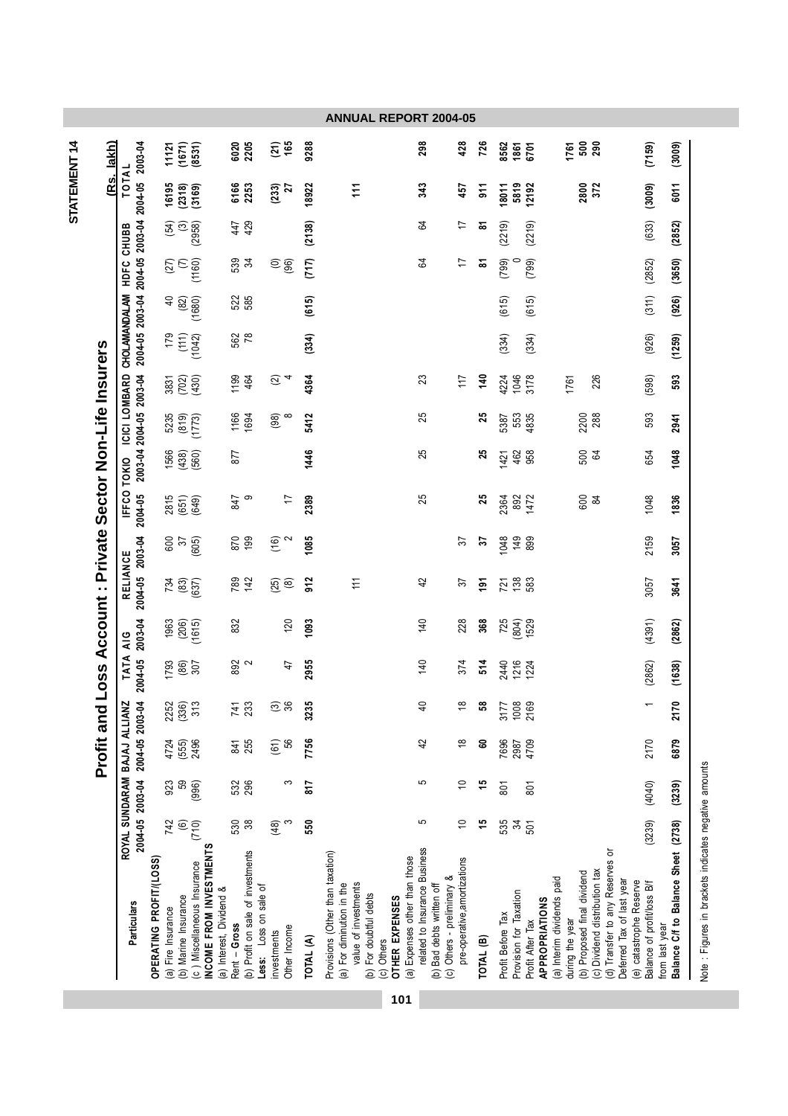|                                                            | 2003-04                                                         | 11121                                        | (1671)                        | (8531)                                                |                          | 6020         | 2205                                                       | $(21)$<br>165                           | 9288      |                                                                                                                                                                                 | <b>ANNUAL REPORT 2004-05</b><br>298                        | 428                                                        | 726                    | 8562              | 1861<br>6701                               |                                                     | 1761                                           | ទី និ                         |                                                              | (7159)                                                | (3009)                                                |
|------------------------------------------------------------|-----------------------------------------------------------------|----------------------------------------------|-------------------------------|-------------------------------------------------------|--------------------------|--------------|------------------------------------------------------------|-----------------------------------------|-----------|---------------------------------------------------------------------------------------------------------------------------------------------------------------------------------|------------------------------------------------------------|------------------------------------------------------------|------------------------|-------------------|--------------------------------------------|-----------------------------------------------------|------------------------------------------------|-------------------------------|--------------------------------------------------------------|-------------------------------------------------------|-------------------------------------------------------|
| (Rs. lakh)                                                 | TOTAL                                                           | 16195                                        | (2318)                        | (3169)                                                |                          | 6166         | 2253                                                       | (233)<br>$\overline{z}$                 | 18922     | 111                                                                                                                                                                             | 343                                                        | 457                                                        | 51                     | 18011             | 5819<br>12192                              |                                                     | 2800                                           | 372                           |                                                              | (3009)                                                | 6011                                                  |
|                                                            |                                                                 |                                              | $(54)$<br>$(3)$<br>$(2958)$   |                                                       |                          | 447          | 429                                                        |                                         | (2138)    |                                                                                                                                                                                 | 54                                                         | 17                                                         | $\bf \overline{\bf 8}$ | (2219)            | (2219)                                     |                                                     |                                                |                               |                                                              | (633)                                                 | (2852)                                                |
|                                                            | HDFC CHUBB                                                      |                                              | $\widetilde{S}_{\mathcal{C}}$ | (1160)                                                |                          | 539          | 34                                                         | $\widehat{\circ}\,\widehat{\mathbf{g}}$ | (717)     |                                                                                                                                                                                 | 64                                                         | 17                                                         | ៵                      | (799)             | (799)                                      |                                                     |                                                |                               |                                                              | (2852)                                                | (3650)                                                |
|                                                            |                                                                 |                                              |                               | (1680)                                                |                          | 522          | 585                                                        |                                         | (615)     |                                                                                                                                                                                 |                                                            |                                                            |                        | (615)             | (615)                                      |                                                     |                                                |                               |                                                              | (311)                                                 | (926)                                                 |
|                                                            | 2004-05 2003-04 2004-05 2003-04 2004-05<br>CHOLAMANDALAM        | 179                                          |                               | $(111)$<br>$(1042)$                                   |                          | 562          | 78                                                         |                                         | (334)     |                                                                                                                                                                                 |                                                            |                                                            |                        | (334)             | (334)                                      |                                                     |                                                |                               |                                                              | (926)                                                 | (1259)                                                |
|                                                            |                                                                 |                                              | 3831<br>(702)<br>(430)        |                                                       |                          | 1199         | 464                                                        | $\widehat{\omega}$                      | 4364      |                                                                                                                                                                                 | 23                                                         | 117                                                        | 140                    | 4224              | 1046<br>3178                               |                                                     | 1761                                           | 226                           |                                                              | (598)                                                 | 593                                                   |
|                                                            | 2003-04 2004-05 2003-04<br>ICICI LOMBARD                        | 5235                                         | (819)                         | (1773)                                                |                          | 1166<br>1694 |                                                            | (98)<br>$\infty$                        | 5412      |                                                                                                                                                                                 | 25                                                         |                                                            | 25                     | 5387              | 553<br>4835                                |                                                     | 2200                                           | 288                           |                                                              | 593                                                   | 2941                                                  |
|                                                            | TOKIO                                                           |                                              | 1566<br>(438)                 | (560)                                                 |                          | 877          |                                                            |                                         | 1446      |                                                                                                                                                                                 | 25                                                         |                                                            | 25                     | 1421              | 462<br>958                                 |                                                     | 500                                            | 54                            |                                                              | 654                                                   | 1048                                                  |
| Profit and Loss Account : Private Sector Non-Life Insurers | <b>IFFCO</b><br>2004-05                                         | 2815                                         | (651)                         | (649)                                                 |                          | 847          | တ                                                          | $\overline{1}$                          | 2389      |                                                                                                                                                                                 | 25                                                         |                                                            | 25                     | 2364              | 892<br>1472                                |                                                     | 600                                            | $\frac{2}{3}$                 |                                                              | 1048                                                  | 1836                                                  |
|                                                            |                                                                 | 600                                          | 57                            | (605)                                                 |                          | 870          | 199                                                        | (16)                                    | 1085      |                                                                                                                                                                                 |                                                            | 57                                                         | 2                      | 1048              | 149<br>899                                 |                                                     |                                                |                               |                                                              | 2159                                                  | 3057                                                  |
|                                                            | 2004-05 2003-04<br>RELIANCE                                     | 734                                          | (83)                          | (537)                                                 |                          | 789          | 142                                                        | $\left(\frac{25}{8}\right)$             | 912       | $\widetilde{\tau}$                                                                                                                                                              | 42                                                         | 37                                                         | $\tilde{e}$            | 721               | 138                                        |                                                     |                                                |                               |                                                              | 3057                                                  | 3641                                                  |
|                                                            | 2003-04<br>$rac{6}{4}$                                          | 1963                                         | (206)                         | (1615)                                                |                          | 832          |                                                            | 120                                     | 1093      |                                                                                                                                                                                 | 140                                                        | 228                                                        | 368                    | 725               | $(804)$<br>1529                            |                                                     |                                                |                               |                                                              | (4391)                                                | (2862)                                                |
|                                                            | <b>TATA</b><br>2004-05                                          | 1793                                         | (86)                          | 307                                                   |                          | 892<br>2     |                                                            | $\ddot{4}$                              | 2955      |                                                                                                                                                                                 | 140                                                        | 374                                                        | 514                    | 2440              | 1216<br>1224                               |                                                     |                                                |                               |                                                              | (2862)                                                | (1638)                                                |
|                                                            |                                                                 |                                              | 2252<br>(336)<br>313          |                                                       |                          | 741<br>233   |                                                            | 36<br>ᢛ                                 | 3235      |                                                                                                                                                                                 | $\overline{a}$                                             | $\frac{8}{1}$                                              | ន                      | 3177              | 1008<br>2169                               |                                                     |                                                |                               |                                                              | $\overline{\phantom{0}}$                              | 2<br>$\ddot{z}$                                       |
|                                                            |                                                                 | 4724                                         | (555)                         | 2496                                                  |                          | 841          | 255                                                        | (61)<br>.<br>56                         | 7756      |                                                                                                                                                                                 | 42                                                         | $\frac{8}{1}$                                              | 6                      | 7696              | 4709<br>2987                               |                                                     |                                                |                               |                                                              | 2170                                                  | 6879                                                  |
|                                                            | 2004-05 2003-04 2004-05 2003-04<br>ROYAL SUNDARAM BAJAJ ALLIANZ | 923                                          | 59                            | (996)                                                 |                          | 532          | 296                                                        | က                                       | 817       |                                                                                                                                                                                 | 5                                                          | S                                                          | 46                     | 801               | 801                                        |                                                     |                                                |                               |                                                              | (4040)                                                | (3239)                                                |
|                                                            |                                                                 | 742                                          | $\circledcirc$                | (710)                                                 |                          | 530          | $38$                                                       | (48)<br>S                               | 550       |                                                                                                                                                                                 | 5                                                          | $\tilde{0}$                                                | 45                     | 535               | $\mathfrak{z}$<br>501                      |                                                     |                                                |                               |                                                              | (3239)                                                |                                                       |
|                                                            | Particulars                                                     | OPERATING PROFIT/(LOSS<br>(a) Fire Insurance | (b) Marine Insurance          | INCOME FROM INVESTMENTS<br>c) Miscellaneous Insurance | (a) Interest, Dividend & | Rent - Gross | (b) Profit on sale of investments<br>Less: Loss on sale of | Other Income<br>investments             | TOTAL (A) | Provisions (Other than taxation)<br>(a) Expenses other than those<br>value of investments<br>(a) For diminution in the<br>(b) For doubtful debts<br>OTHER EXPENSES<br>c) Others | related to Insurance Business<br>(b) Bad debts written off | pre-operative, amortizations<br>(c) Others - preliminary & | TOTAL (B)              | Profit Before Tax | Provision for Taxation<br>Profit After Tax | (a) Interim dividends paid<br><b>APPROPRIATIONS</b> | (b) Proposed final dividend<br>during the year | (c) Dividend distribution tax | (d) Transfer to any Reserves or<br>Deferred Tax of last year | (e) catastrophe Reserve<br>Balance of profit/loss B/f | Balance C/f to Balance Sheet (2738)<br>from last year |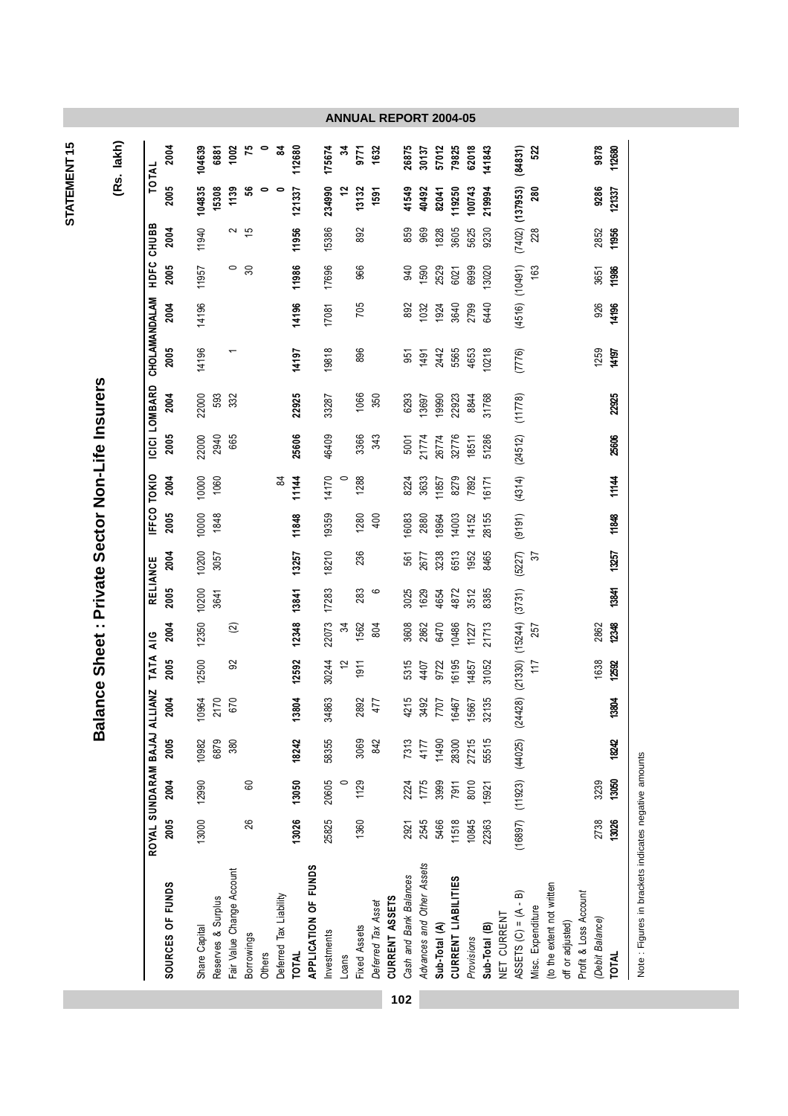| 2005<br>14196<br>19818<br>896<br>5565<br>1259<br>(7776)<br>2442<br>4653<br>10218<br>14197<br>951<br>1491<br>22000<br>593<br>332<br>22925<br>1066<br>2004<br>350<br>6293<br>22923<br>31768<br>(11778)<br>33287<br>13697<br>19990<br>8844<br>2005<br>25606<br>3366<br>(24512)<br>22000<br>665<br>46409<br>2940<br>343<br>21774<br>26774<br>32776<br>51286<br>5001<br>18511<br>1288<br>(4314)<br>10000<br>14170<br>2004<br>1060<br>11144<br>$\circ$<br>3633<br>8279<br>$\frac{8}{4}$<br>7892<br>8224<br>1857<br>16171<br>2005<br>10000<br>1848<br>19359<br>(9191)<br>11848<br>1280<br>400<br>16083<br>14003<br>28155<br>2880<br>14152<br>8964<br>10200<br>18210<br>236<br>2004<br>13257<br>3238<br>6513<br>1952<br>8465<br>(5227)<br>561<br>57<br>3057<br>2677<br>(3731)<br>2005<br>10200<br>17283<br>13841<br>283<br>6<br>3025<br>1629<br>8385<br>4872<br>3512<br>3641<br>4654<br>(15244)<br>12350<br>12348<br>22073<br>2004<br>1562<br>804<br>3608<br>10486<br>21713<br>2862<br>$\widehat{\infty}$<br>2862<br>6470<br>34<br>11227<br>257<br>$(24428)$ $(21330)$<br>2005<br>12500<br>92<br>12592<br>6195<br>1638<br>30244<br>$\tilde{c}$<br>5315<br>31052<br>1911<br>9722<br>4407<br>14857<br>117<br>13804<br>34863<br>32135<br>2004<br>10964<br>670<br>2892<br>4215<br>2170<br>3492<br>477<br>6467<br>5667<br>7707<br>$(16897)$ $(11923)$ $(44025)$<br>2005<br>10982<br>380<br>18242<br>58355<br>27215<br>55515<br>6879<br>3069<br>842<br>7313<br>28300<br>4177<br>11490<br>2004<br>12990<br>20605<br>1775<br>3239<br>13050<br>$\circ$<br>3999<br>60<br>1129<br>2224<br>8010<br>7911<br>15921<br>2005<br>13000<br>13026<br>2738<br>26<br>25825<br>2545<br>11518<br>10845<br>5466<br>22363<br>1360<br>2921<br>Advances and Other Assets<br>APPLICATION OF FUNDS<br>Fair Value Change Account<br>Cash and Bank Balances<br>CURRENT LIABILITIES<br>SOURCES OF FUNDS<br>(to the extent not written<br>Profit & Loss Account<br>ഌ<br>Deferred Tax Liability<br>CURRENT ASSETS<br>Reserves & Surplus<br>ASSETS $(C) = (A -$<br>Deferred Tax Asset<br>Misc. Expenditure<br>NET CURRENT<br>(Debit Balance)<br>off or adjusted)<br>Sub-Total (A)<br>Sub-Total (B)<br>Share Capital<br>Fixed Assets<br>Investments<br><b>Borrowings</b><br>Provisions<br>Others<br><b>TOTAL</b><br>Loans |              | ROYAL SUNDARAM BAJAJ ALLIANZ |       |       |       | TATA AIG |       | RELIANCE |       | <b>FFCO TOKIO</b> |       |       | ICICI LOMBARD |       | CHOLAMANDALAM | HDFC    | CHUBB               |        | TOTAL   |
|-------------------------------------------------------------------------------------------------------------------------------------------------------------------------------------------------------------------------------------------------------------------------------------------------------------------------------------------------------------------------------------------------------------------------------------------------------------------------------------------------------------------------------------------------------------------------------------------------------------------------------------------------------------------------------------------------------------------------------------------------------------------------------------------------------------------------------------------------------------------------------------------------------------------------------------------------------------------------------------------------------------------------------------------------------------------------------------------------------------------------------------------------------------------------------------------------------------------------------------------------------------------------------------------------------------------------------------------------------------------------------------------------------------------------------------------------------------------------------------------------------------------------------------------------------------------------------------------------------------------------------------------------------------------------------------------------------------------------------------------------------------------------------------------------------------------------------------------------------------------------------------------------------------------------------------------------------------------------------------------------------------------------------------------------------------------------------------------------------------------------------------------------------------------------------------------------------------------------------------------------------------------------------|--------------|------------------------------|-------|-------|-------|----------|-------|----------|-------|-------------------|-------|-------|---------------|-------|---------------|---------|---------------------|--------|---------|
|                                                                                                                                                                                                                                                                                                                                                                                                                                                                                                                                                                                                                                                                                                                                                                                                                                                                                                                                                                                                                                                                                                                                                                                                                                                                                                                                                                                                                                                                                                                                                                                                                                                                                                                                                                                                                                                                                                                                                                                                                                                                                                                                                                                                                                                                               |              |                              |       |       |       |          |       |          |       |                   |       |       |               |       | 2004          | 2005    | 2004                | 2005   | 2004    |
|                                                                                                                                                                                                                                                                                                                                                                                                                                                                                                                                                                                                                                                                                                                                                                                                                                                                                                                                                                                                                                                                                                                                                                                                                                                                                                                                                                                                                                                                                                                                                                                                                                                                                                                                                                                                                                                                                                                                                                                                                                                                                                                                                                                                                                                                               |              |                              |       |       |       |          |       |          |       |                   |       |       |               |       | 14196         | 11957   | 11940               | 104835 | 104639  |
|                                                                                                                                                                                                                                                                                                                                                                                                                                                                                                                                                                                                                                                                                                                                                                                                                                                                                                                                                                                                                                                                                                                                                                                                                                                                                                                                                                                                                                                                                                                                                                                                                                                                                                                                                                                                                                                                                                                                                                                                                                                                                                                                                                                                                                                                               |              |                              |       |       |       |          |       |          |       |                   |       |       |               |       |               |         |                     | 15308  | 6881    |
|                                                                                                                                                                                                                                                                                                                                                                                                                                                                                                                                                                                                                                                                                                                                                                                                                                                                                                                                                                                                                                                                                                                                                                                                                                                                                                                                                                                                                                                                                                                                                                                                                                                                                                                                                                                                                                                                                                                                                                                                                                                                                                                                                                                                                                                                               |              |                              |       |       |       |          |       |          |       |                   |       |       |               |       |               | $\circ$ | 2                   | 1139   | 1002    |
|                                                                                                                                                                                                                                                                                                                                                                                                                                                                                                                                                                                                                                                                                                                                                                                                                                                                                                                                                                                                                                                                                                                                                                                                                                                                                                                                                                                                                                                                                                                                                                                                                                                                                                                                                                                                                                                                                                                                                                                                                                                                                                                                                                                                                                                                               |              |                              |       |       |       |          |       |          |       |                   |       |       |               |       |               | 30      | $\frac{15}{2}$      | 56     | 75      |
|                                                                                                                                                                                                                                                                                                                                                                                                                                                                                                                                                                                                                                                                                                                                                                                                                                                                                                                                                                                                                                                                                                                                                                                                                                                                                                                                                                                                                                                                                                                                                                                                                                                                                                                                                                                                                                                                                                                                                                                                                                                                                                                                                                                                                                                                               |              |                              |       |       |       |          |       |          |       |                   |       |       |               |       |               |         |                     |        | 0       |
|                                                                                                                                                                                                                                                                                                                                                                                                                                                                                                                                                                                                                                                                                                                                                                                                                                                                                                                                                                                                                                                                                                                                                                                                                                                                                                                                                                                                                                                                                                                                                                                                                                                                                                                                                                                                                                                                                                                                                                                                                                                                                                                                                                                                                                                                               |              |                              |       |       |       |          |       |          |       |                   |       |       |               |       |               |         |                     |        | ತ       |
|                                                                                                                                                                                                                                                                                                                                                                                                                                                                                                                                                                                                                                                                                                                                                                                                                                                                                                                                                                                                                                                                                                                                                                                                                                                                                                                                                                                                                                                                                                                                                                                                                                                                                                                                                                                                                                                                                                                                                                                                                                                                                                                                                                                                                                                                               |              |                              |       |       |       |          |       |          |       |                   |       |       |               |       | 14196         | 11986   | 11956               | 121337 | 112680  |
|                                                                                                                                                                                                                                                                                                                                                                                                                                                                                                                                                                                                                                                                                                                                                                                                                                                                                                                                                                                                                                                                                                                                                                                                                                                                                                                                                                                                                                                                                                                                                                                                                                                                                                                                                                                                                                                                                                                                                                                                                                                                                                                                                                                                                                                                               |              |                              |       |       |       |          |       |          |       |                   |       |       |               |       |               |         |                     |        |         |
|                                                                                                                                                                                                                                                                                                                                                                                                                                                                                                                                                                                                                                                                                                                                                                                                                                                                                                                                                                                                                                                                                                                                                                                                                                                                                                                                                                                                                                                                                                                                                                                                                                                                                                                                                                                                                                                                                                                                                                                                                                                                                                                                                                                                                                                                               |              |                              |       |       |       |          |       |          |       |                   |       |       |               |       | 17081         | 17696   | 15386               | 234990 | 175674  |
|                                                                                                                                                                                                                                                                                                                                                                                                                                                                                                                                                                                                                                                                                                                                                                                                                                                                                                                                                                                                                                                                                                                                                                                                                                                                                                                                                                                                                                                                                                                                                                                                                                                                                                                                                                                                                                                                                                                                                                                                                                                                                                                                                                                                                                                                               |              |                              |       |       |       |          |       |          |       |                   |       |       |               |       |               |         |                     | 12     | z       |
|                                                                                                                                                                                                                                                                                                                                                                                                                                                                                                                                                                                                                                                                                                                                                                                                                                                                                                                                                                                                                                                                                                                                                                                                                                                                                                                                                                                                                                                                                                                                                                                                                                                                                                                                                                                                                                                                                                                                                                                                                                                                                                                                                                                                                                                                               |              |                              |       |       |       |          |       |          |       |                   |       |       |               |       | 705           | 966     | 892                 | 13132  | 9771    |
|                                                                                                                                                                                                                                                                                                                                                                                                                                                                                                                                                                                                                                                                                                                                                                                                                                                                                                                                                                                                                                                                                                                                                                                                                                                                                                                                                                                                                                                                                                                                                                                                                                                                                                                                                                                                                                                                                                                                                                                                                                                                                                                                                                                                                                                                               |              |                              |       |       |       |          |       |          |       |                   |       |       |               |       |               |         |                     | 1591   | 1632    |
|                                                                                                                                                                                                                                                                                                                                                                                                                                                                                                                                                                                                                                                                                                                                                                                                                                                                                                                                                                                                                                                                                                                                                                                                                                                                                                                                                                                                                                                                                                                                                                                                                                                                                                                                                                                                                                                                                                                                                                                                                                                                                                                                                                                                                                                                               |              |                              |       |       |       |          |       |          |       |                   |       |       |               |       |               |         |                     |        |         |
|                                                                                                                                                                                                                                                                                                                                                                                                                                                                                                                                                                                                                                                                                                                                                                                                                                                                                                                                                                                                                                                                                                                                                                                                                                                                                                                                                                                                                                                                                                                                                                                                                                                                                                                                                                                                                                                                                                                                                                                                                                                                                                                                                                                                                                                                               |              |                              |       |       |       |          |       |          |       |                   |       |       |               |       | 892           | 940     | 859                 | 41549  | 26875   |
|                                                                                                                                                                                                                                                                                                                                                                                                                                                                                                                                                                                                                                                                                                                                                                                                                                                                                                                                                                                                                                                                                                                                                                                                                                                                                                                                                                                                                                                                                                                                                                                                                                                                                                                                                                                                                                                                                                                                                                                                                                                                                                                                                                                                                                                                               |              |                              |       |       |       |          |       |          |       |                   |       |       |               |       | 1032          | 1590    | 969                 | 40492  | 30137   |
|                                                                                                                                                                                                                                                                                                                                                                                                                                                                                                                                                                                                                                                                                                                                                                                                                                                                                                                                                                                                                                                                                                                                                                                                                                                                                                                                                                                                                                                                                                                                                                                                                                                                                                                                                                                                                                                                                                                                                                                                                                                                                                                                                                                                                                                                               |              |                              |       |       |       |          |       |          |       |                   |       |       |               |       | 1924          | 2529    | 1828                | 82041  | 57012   |
|                                                                                                                                                                                                                                                                                                                                                                                                                                                                                                                                                                                                                                                                                                                                                                                                                                                                                                                                                                                                                                                                                                                                                                                                                                                                                                                                                                                                                                                                                                                                                                                                                                                                                                                                                                                                                                                                                                                                                                                                                                                                                                                                                                                                                                                                               |              |                              |       |       |       |          |       |          |       |                   |       |       |               |       | 3640          | 6021    | 3605                | 119250 | 79825   |
|                                                                                                                                                                                                                                                                                                                                                                                                                                                                                                                                                                                                                                                                                                                                                                                                                                                                                                                                                                                                                                                                                                                                                                                                                                                                                                                                                                                                                                                                                                                                                                                                                                                                                                                                                                                                                                                                                                                                                                                                                                                                                                                                                                                                                                                                               |              |                              |       |       |       |          |       |          |       |                   |       |       |               |       | 2799          | 6999    | 5625                | 100743 | 62018   |
|                                                                                                                                                                                                                                                                                                                                                                                                                                                                                                                                                                                                                                                                                                                                                                                                                                                                                                                                                                                                                                                                                                                                                                                                                                                                                                                                                                                                                                                                                                                                                                                                                                                                                                                                                                                                                                                                                                                                                                                                                                                                                                                                                                                                                                                                               |              |                              |       |       |       |          |       |          |       |                   |       |       |               |       | 6440          | 13020   | 9230                | 219994 | 141843  |
|                                                                                                                                                                                                                                                                                                                                                                                                                                                                                                                                                                                                                                                                                                                                                                                                                                                                                                                                                                                                                                                                                                                                                                                                                                                                                                                                                                                                                                                                                                                                                                                                                                                                                                                                                                                                                                                                                                                                                                                                                                                                                                                                                                                                                                                                               |              |                              |       |       |       |          |       |          |       |                   |       |       |               |       |               |         |                     |        |         |
|                                                                                                                                                                                                                                                                                                                                                                                                                                                                                                                                                                                                                                                                                                                                                                                                                                                                                                                                                                                                                                                                                                                                                                                                                                                                                                                                                                                                                                                                                                                                                                                                                                                                                                                                                                                                                                                                                                                                                                                                                                                                                                                                                                                                                                                                               |              |                              |       |       |       |          |       |          |       |                   |       |       |               |       | (4516)        | (10491) | $(7402)$ $(137953)$ |        | (84831) |
|                                                                                                                                                                                                                                                                                                                                                                                                                                                                                                                                                                                                                                                                                                                                                                                                                                                                                                                                                                                                                                                                                                                                                                                                                                                                                                                                                                                                                                                                                                                                                                                                                                                                                                                                                                                                                                                                                                                                                                                                                                                                                                                                                                                                                                                                               |              |                              |       |       |       |          |       |          |       |                   |       |       |               |       |               | 163     | 228                 | 280    | 522     |
|                                                                                                                                                                                                                                                                                                                                                                                                                                                                                                                                                                                                                                                                                                                                                                                                                                                                                                                                                                                                                                                                                                                                                                                                                                                                                                                                                                                                                                                                                                                                                                                                                                                                                                                                                                                                                                                                                                                                                                                                                                                                                                                                                                                                                                                                               |              |                              |       |       |       |          |       |          |       |                   |       |       |               |       |               |         |                     |        |         |
|                                                                                                                                                                                                                                                                                                                                                                                                                                                                                                                                                                                                                                                                                                                                                                                                                                                                                                                                                                                                                                                                                                                                                                                                                                                                                                                                                                                                                                                                                                                                                                                                                                                                                                                                                                                                                                                                                                                                                                                                                                                                                                                                                                                                                                                                               |              |                              |       |       |       |          |       |          |       |                   |       |       |               |       |               |         |                     |        |         |
|                                                                                                                                                                                                                                                                                                                                                                                                                                                                                                                                                                                                                                                                                                                                                                                                                                                                                                                                                                                                                                                                                                                                                                                                                                                                                                                                                                                                                                                                                                                                                                                                                                                                                                                                                                                                                                                                                                                                                                                                                                                                                                                                                                                                                                                                               |              |                              |       |       |       |          |       |          |       |                   |       |       |               |       |               |         |                     |        |         |
|                                                                                                                                                                                                                                                                                                                                                                                                                                                                                                                                                                                                                                                                                                                                                                                                                                                                                                                                                                                                                                                                                                                                                                                                                                                                                                                                                                                                                                                                                                                                                                                                                                                                                                                                                                                                                                                                                                                                                                                                                                                                                                                                                                                                                                                                               |              |                              |       |       |       |          |       |          |       |                   |       |       |               |       | 926           | 3651    | 2852                | 9286   | 9878    |
|                                                                                                                                                                                                                                                                                                                                                                                                                                                                                                                                                                                                                                                                                                                                                                                                                                                                                                                                                                                                                                                                                                                                                                                                                                                                                                                                                                                                                                                                                                                                                                                                                                                                                                                                                                                                                                                                                                                                                                                                                                                                                                                                                                                                                                                                               | <b>TOTAL</b> | 13026                        | 13050 | 18242 | 13804 | 12592    | 12348 | 13841    | 13257 | 11848             | 11144 | 25606 | 22925         | 14197 | 14196         | 11986   | 11956               | 121337 | 112680  |

Note : Figures in brackets indicates negative amounts Note : Figures in brackets indicates negative amounts

STATEMENT15 **STATEMENT 15**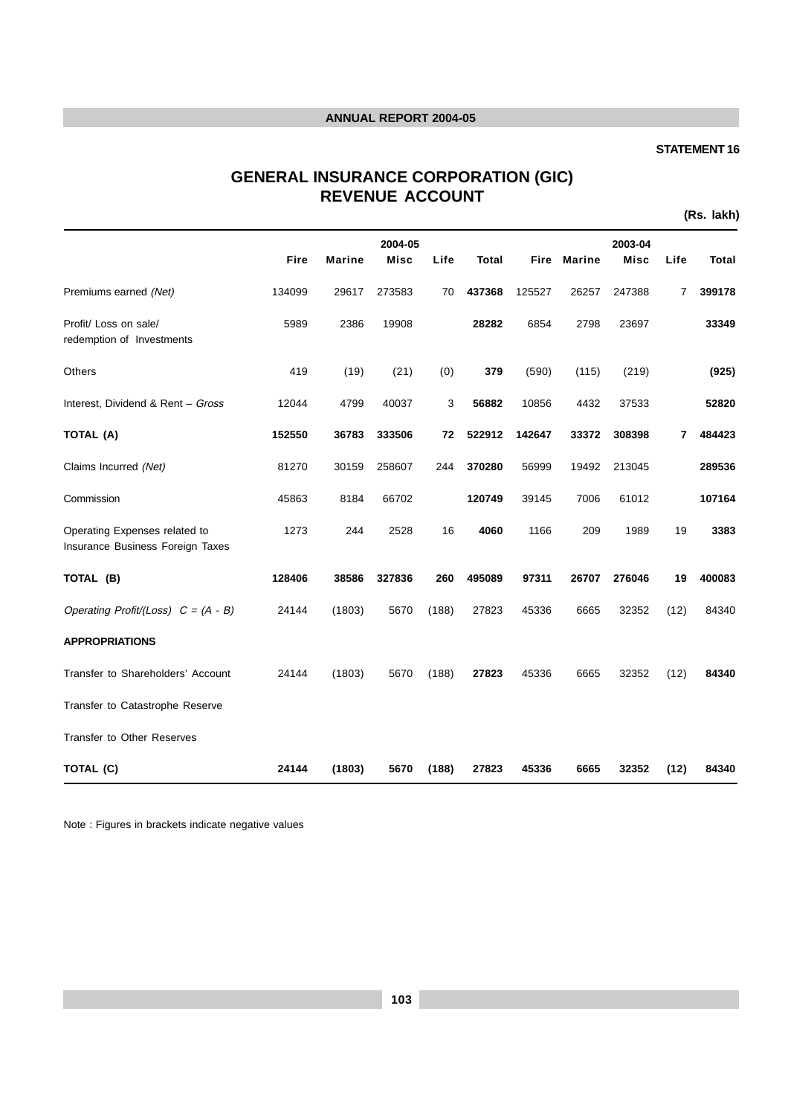#### **STATEMENT 16**

# **GENERAL INSURANCE CORPORATION (GIC) REVENUE ACCOUNT**

**(Rs. lakh)**

|                                                                   |        |               | 2004-05     |       |        |        |               | 2003-04     |      |              |
|-------------------------------------------------------------------|--------|---------------|-------------|-------|--------|--------|---------------|-------------|------|--------------|
|                                                                   | Fire   | <b>Marine</b> | <b>Misc</b> | Life  | Total  | Fire   | <b>Marine</b> | <b>Misc</b> | Life | <b>Total</b> |
| Premiums earned (Net)                                             | 134099 | 29617         | 273583      | 70    | 437368 | 125527 | 26257         | 247388      | 7    | 399178       |
| Profit/ Loss on sale/<br>redemption of Investments                | 5989   | 2386          | 19908       |       | 28282  | 6854   | 2798          | 23697       |      | 33349        |
| Others                                                            | 419    | (19)          | (21)        | (0)   | 379    | (590)  | (115)         | (219)       |      | (925)        |
| Interest, Dividend & Rent - Gross                                 | 12044  | 4799          | 40037       | 3     | 56882  | 10856  | 4432          | 37533       |      | 52820        |
| TOTAL (A)                                                         | 152550 | 36783         | 333506      | 72    | 522912 | 142647 | 33372         | 308398      | 7    | 484423       |
| Claims Incurred (Net)                                             | 81270  | 30159         | 258607      | 244   | 370280 | 56999  | 19492         | 213045      |      | 289536       |
| Commission                                                        | 45863  | 8184          | 66702       |       | 120749 | 39145  | 7006          | 61012       |      | 107164       |
| Operating Expenses related to<br>Insurance Business Foreign Taxes | 1273   | 244           | 2528        | 16    | 4060   | 1166   | 209           | 1989        | 19   | 3383         |
| TOTAL (B)                                                         | 128406 | 38586         | 327836      | 260   | 495089 | 97311  | 26707         | 276046      | 19   | 400083       |
| Operating Profit/(Loss) $C = (A - B)$                             | 24144  | (1803)        | 5670        | (188) | 27823  | 45336  | 6665          | 32352       | (12) | 84340        |
| <b>APPROPRIATIONS</b>                                             |        |               |             |       |        |        |               |             |      |              |
| Transfer to Shareholders' Account                                 | 24144  | (1803)        | 5670        | (188) | 27823  | 45336  | 6665          | 32352       | (12) | 84340        |
| Transfer to Catastrophe Reserve                                   |        |               |             |       |        |        |               |             |      |              |
| Transfer to Other Reserves                                        |        |               |             |       |        |        |               |             |      |              |
| TOTAL (C)                                                         | 24144  | (1803)        | 5670        | (188) | 27823  | 45336  | 6665          | 32352       | (12) | 84340        |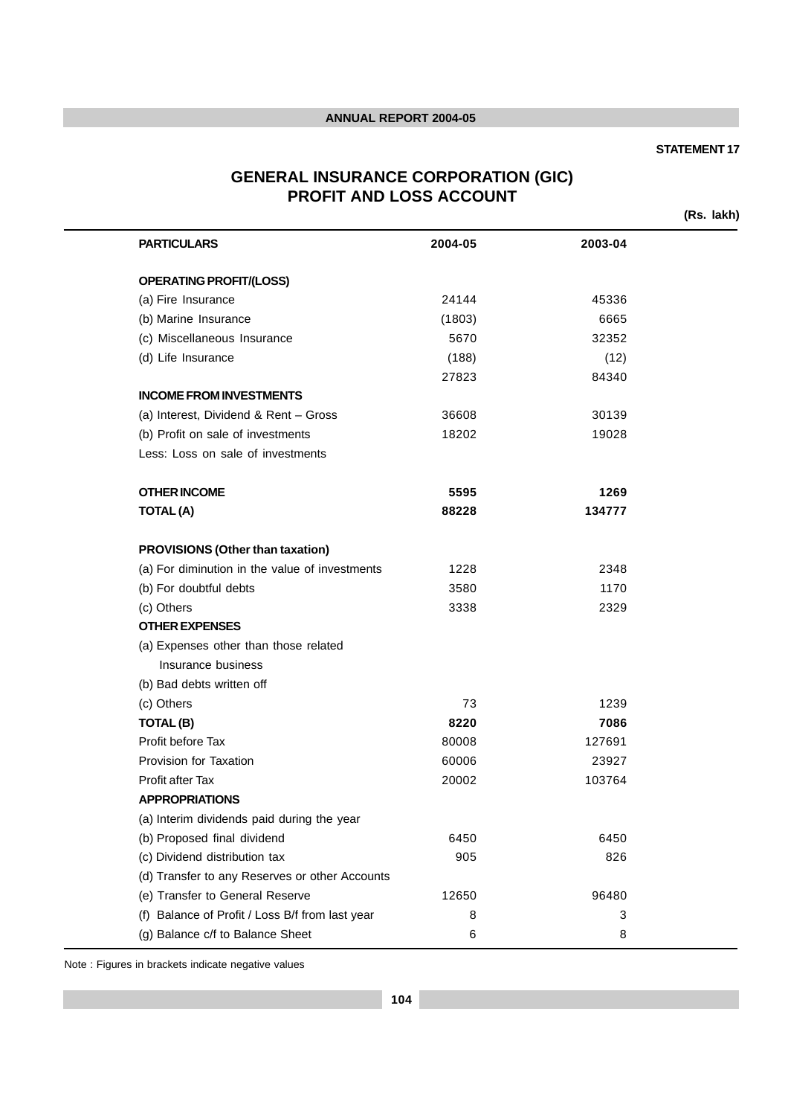#### **STATEMENT 17**

# **GENERAL INSURANCE CORPORATION (GIC) PROFIT AND LOSS ACCOUNT**

**(Rs. lakh)**

| <b>PARTICULARS</b>                              | 2004-05 | 2003-04 |  |
|-------------------------------------------------|---------|---------|--|
| <b>OPERATING PROFIT/(LOSS)</b>                  |         |         |  |
| (a) Fire Insurance                              | 24144   | 45336   |  |
| (b) Marine Insurance                            | (1803)  | 6665    |  |
| (c) Miscellaneous Insurance                     | 5670    | 32352   |  |
| (d) Life Insurance                              | (188)   | (12)    |  |
|                                                 | 27823   | 84340   |  |
| <b>INCOME FROM INVESTMENTS</b>                  |         |         |  |
| (a) Interest, Dividend & Rent - Gross           | 36608   | 30139   |  |
| (b) Profit on sale of investments               | 18202   | 19028   |  |
| Less: Loss on sale of investments               |         |         |  |
| <b>OTHER INCOME</b>                             | 5595    | 1269    |  |
| <b>TOTAL(A)</b>                                 | 88228   | 134777  |  |
| <b>PROVISIONS (Other than taxation)</b>         |         |         |  |
| (a) For diminution in the value of investments  | 1228    | 2348    |  |
| (b) For doubtful debts                          | 3580    | 1170    |  |
| (c) Others                                      | 3338    | 2329    |  |
| <b>OTHER EXPENSES</b>                           |         |         |  |
| (a) Expenses other than those related           |         |         |  |
| Insurance business                              |         |         |  |
| (b) Bad debts written off                       |         |         |  |
| (c) Others                                      | 73      | 1239    |  |
| TOTAL(B)                                        | 8220    | 7086    |  |
| Profit before Tax                               | 80008   | 127691  |  |
| Provision for Taxation                          | 60006   | 23927   |  |
| <b>Profit after Tax</b>                         | 20002   | 103764  |  |
| <b>APPROPRIATIONS</b>                           |         |         |  |
| (a) Interim dividends paid during the year      |         |         |  |
| (b) Proposed final dividend                     | 6450    | 6450    |  |
| (c) Dividend distribution tax                   | 905     | 826     |  |
| (d) Transfer to any Reserves or other Accounts  |         |         |  |
| (e) Transfer to General Reserve                 | 12650   | 96480   |  |
| (f) Balance of Profit / Loss B/f from last year | 8       | 3       |  |
| (g) Balance c/f to Balance Sheet                | 6       | 8       |  |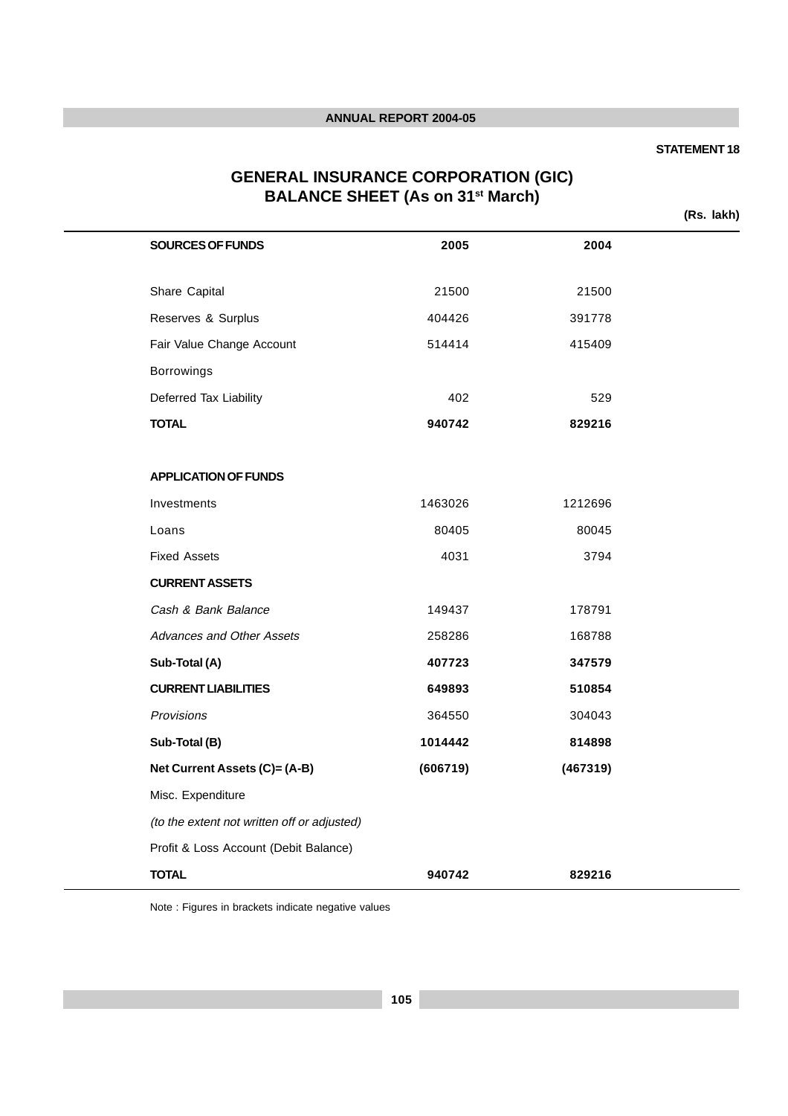#### **STATEMENT 18**

# **GENERAL INSURANCE CORPORATION (GIC) BALANCE SHEET (As on 31st March)**

**(Rs. lakh)**

| SOURCES OF FUNDS                            | 2005     | 2004     |
|---------------------------------------------|----------|----------|
|                                             |          |          |
| Share Capital                               | 21500    | 21500    |
| Reserves & Surplus                          | 404426   | 391778   |
| Fair Value Change Account                   | 514414   | 415409   |
| Borrowings                                  |          |          |
| Deferred Tax Liability                      | 402      | 529      |
| <b>TOTAL</b>                                | 940742   | 829216   |
|                                             |          |          |
| <b>APPLICATION OF FUNDS</b>                 |          |          |
| Investments                                 | 1463026  | 1212696  |
| Loans                                       | 80405    | 80045    |
| <b>Fixed Assets</b>                         | 4031     | 3794     |
| <b>CURRENT ASSETS</b>                       |          |          |
| Cash & Bank Balance                         | 149437   | 178791   |
| Advances and Other Assets                   | 258286   | 168788   |
| Sub-Total (A)                               | 407723   | 347579   |
| <b>CURRENT LIABILITIES</b>                  | 649893   | 510854   |
| Provisions                                  | 364550   | 304043   |
| Sub-Total (B)                               | 1014442  | 814898   |
| Net Current Assets (C)= (A-B)               | (606719) | (467319) |
| Misc. Expenditure                           |          |          |
| (to the extent not written off or adjusted) |          |          |
| Profit & Loss Account (Debit Balance)       |          |          |
| <b>TOTAL</b>                                | 940742   | 829216   |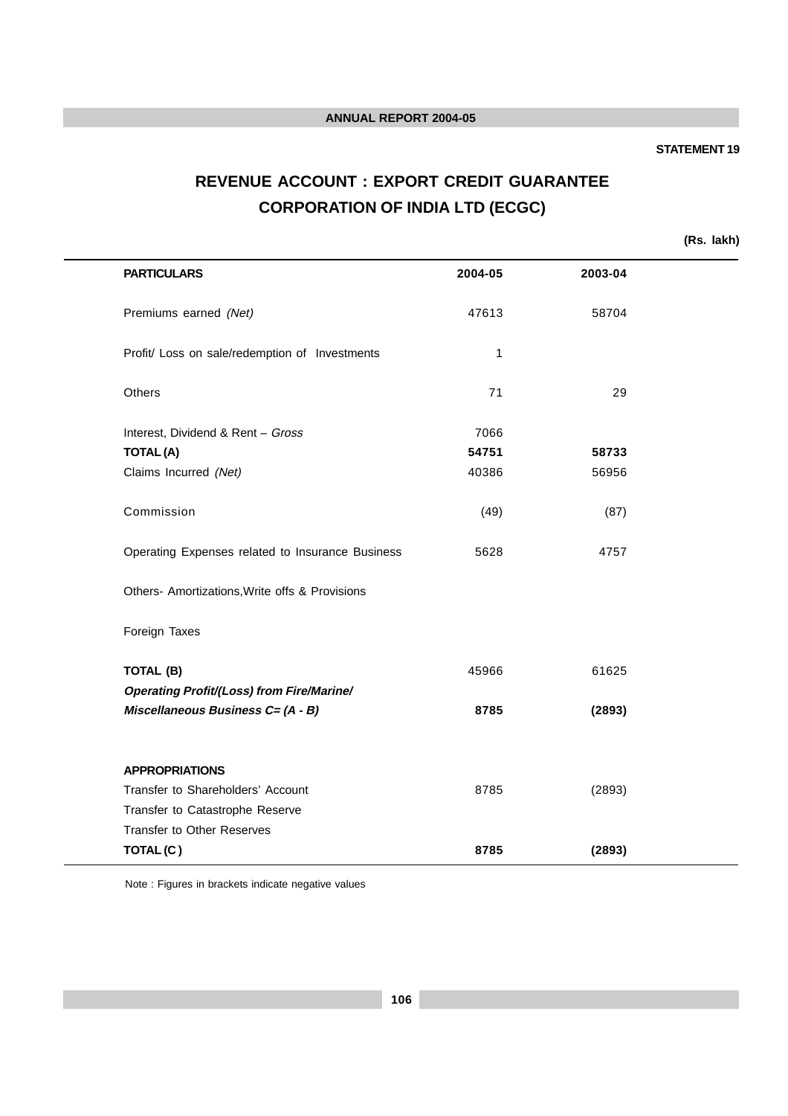#### **STATEMENT 19**

# **REVENUE ACCOUNT : EXPORT CREDIT GUARANTEE CORPORATION OF INDIA LTD (ECGC)**

**(Rs. lakh)**

| <b>PARTICULARS</b>                               | 2004-05 | 2003-04 |  |
|--------------------------------------------------|---------|---------|--|
| Premiums earned (Net)                            | 47613   | 58704   |  |
| Profit/ Loss on sale/redemption of Investments   | 1       |         |  |
| <b>Others</b>                                    | 71      | 29      |  |
| Interest, Dividend & Rent - Gross                | 7066    |         |  |
| <b>TOTAL(A)</b>                                  | 54751   | 58733   |  |
| Claims Incurred (Net)                            | 40386   | 56956   |  |
| Commission                                       | (49)    | (87)    |  |
| Operating Expenses related to Insurance Business | 5628    | 4757    |  |
| Others- Amortizations, Write offs & Provisions   |         |         |  |
| Foreign Taxes                                    |         |         |  |
| <b>TOTAL (B)</b>                                 | 45966   | 61625   |  |
| <b>Operating Profit/(Loss) from Fire/Marine/</b> |         |         |  |
| Miscellaneous Business C= (A - B)                | 8785    | (2893)  |  |
| <b>APPROPRIATIONS</b>                            |         |         |  |
| Transfer to Shareholders' Account                | 8785    | (2893)  |  |
| Transfer to Catastrophe Reserve                  |         |         |  |
| <b>Transfer to Other Reserves</b>                |         |         |  |
| TOTAL(C)                                         | 8785    | (2893)  |  |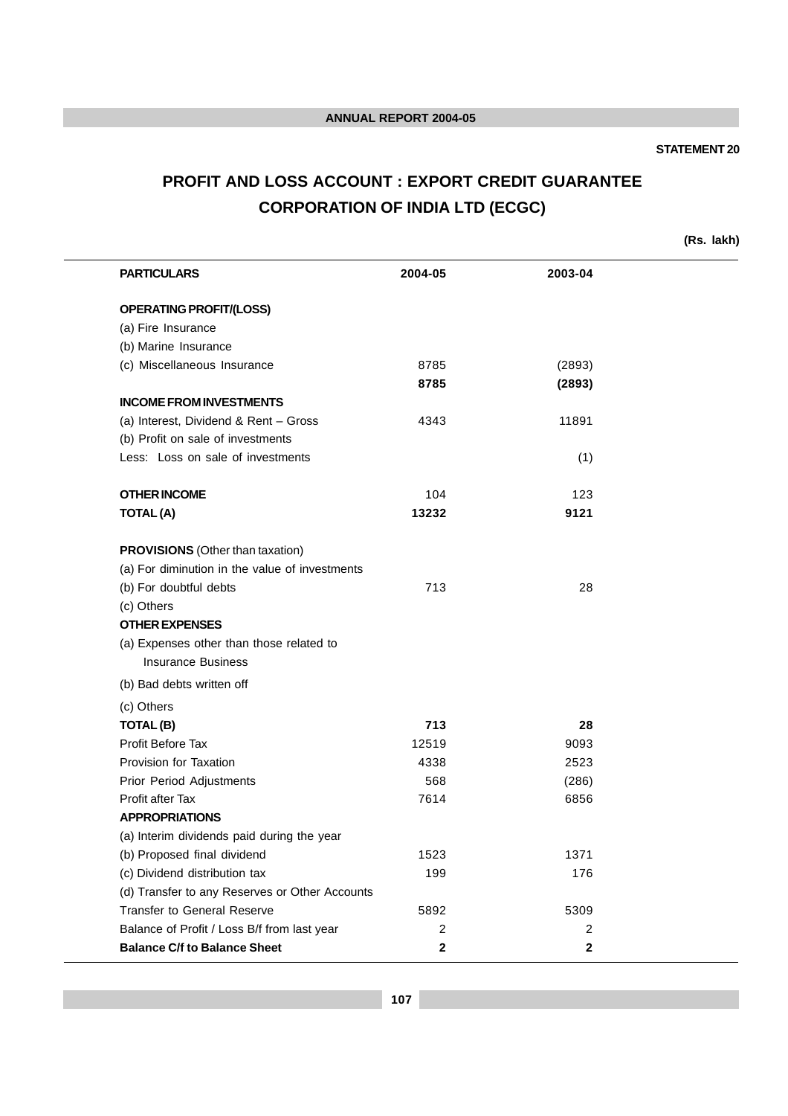# **STATEMENT 20**

# **PROFIT AND LOSS ACCOUNT : EXPORT CREDIT GUARANTEE CORPORATION OF INDIA LTD (ECGC)**

**(Rs. lakh)**

| <b>PARTICULARS</b>                             | 2004-05     | 2003-04      |  |
|------------------------------------------------|-------------|--------------|--|
| <b>OPERATING PROFIT/(LOSS)</b>                 |             |              |  |
| (a) Fire Insurance                             |             |              |  |
| (b) Marine Insurance                           |             |              |  |
| (c) Miscellaneous Insurance                    | 8785        | (2893)       |  |
|                                                | 8785        | (2893)       |  |
| <b>INCOME FROM INVESTMENTS</b>                 |             |              |  |
| (a) Interest, Dividend & Rent - Gross          | 4343        | 11891        |  |
| (b) Profit on sale of investments              |             |              |  |
| Less: Loss on sale of investments              |             | (1)          |  |
| <b>OTHER INCOME</b>                            | 104         | 123          |  |
| <b>TOTAL(A)</b>                                | 13232       | 9121         |  |
| <b>PROVISIONS</b> (Other than taxation)        |             |              |  |
| (a) For diminution in the value of investments |             |              |  |
| (b) For doubtful debts                         | 713         | 28           |  |
| (c) Others                                     |             |              |  |
| <b>OTHER EXPENSES</b>                          |             |              |  |
| (a) Expenses other than those related to       |             |              |  |
| <b>Insurance Business</b>                      |             |              |  |
| (b) Bad debts written off                      |             |              |  |
| (c) Others                                     |             |              |  |
| TOTAL(B)                                       | 713         | 28           |  |
| <b>Profit Before Tax</b>                       | 12519       | 9093         |  |
| Provision for Taxation                         | 4338        | 2523         |  |
| Prior Period Adjustments                       | 568         | (286)        |  |
| Profit after Tax                               | 7614        | 6856         |  |
| <b>APPROPRIATIONS</b>                          |             |              |  |
| (a) Interim dividends paid during the year     |             |              |  |
| (b) Proposed final dividend                    | 1523        | 1371         |  |
| (c) Dividend distribution tax                  | 199         | 176          |  |
| (d) Transfer to any Reserves or Other Accounts |             |              |  |
| <b>Transfer to General Reserve</b>             | 5892        | 5309         |  |
| Balance of Profit / Loss B/f from last year    | 2           | 2            |  |
| <b>Balance C/f to Balance Sheet</b>            | $\mathbf 2$ | $\mathbf{2}$ |  |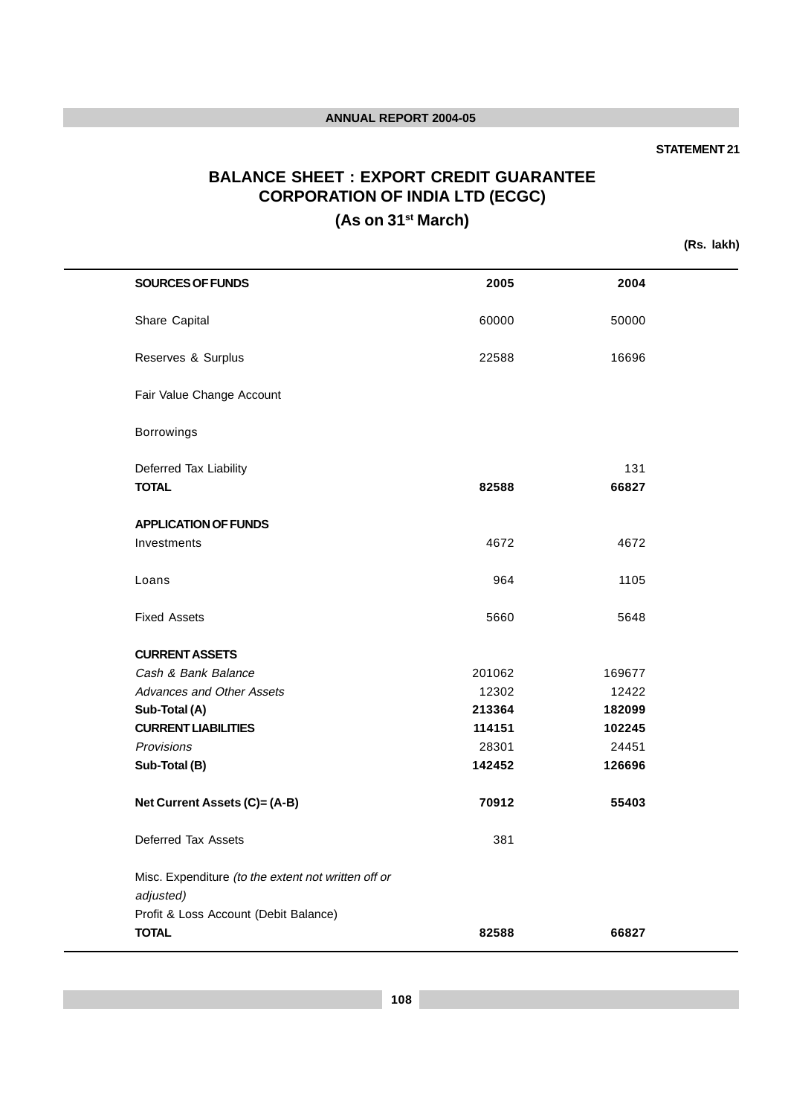### **STATEMENT 21**

# **BALANCE SHEET : EXPORT CREDIT GUARANTEE CORPORATION OF INDIA LTD (ECGC)**

**(As on 31st March)**

**(Rs. lakh)**

| <b>SOURCES OF FUNDS</b>                                          | 2005   | 2004   |  |
|------------------------------------------------------------------|--------|--------|--|
| Share Capital                                                    | 60000  | 50000  |  |
| Reserves & Surplus                                               | 22588  | 16696  |  |
| Fair Value Change Account                                        |        |        |  |
| Borrowings                                                       |        |        |  |
| Deferred Tax Liability                                           |        | 131    |  |
| <b>TOTAL</b>                                                     | 82588  | 66827  |  |
| <b>APPLICATION OF FUNDS</b>                                      |        |        |  |
| Investments                                                      | 4672   | 4672   |  |
| Loans                                                            | 964    | 1105   |  |
| <b>Fixed Assets</b>                                              | 5660   | 5648   |  |
| <b>CURRENT ASSETS</b>                                            |        |        |  |
| Cash & Bank Balance                                              | 201062 | 169677 |  |
| <b>Advances and Other Assets</b>                                 | 12302  | 12422  |  |
| Sub-Total (A)                                                    | 213364 | 182099 |  |
| <b>CURRENT LIABILITIES</b>                                       | 114151 | 102245 |  |
| Provisions                                                       | 28301  | 24451  |  |
| Sub-Total (B)                                                    | 142452 | 126696 |  |
| Net Current Assets (C)= (A-B)                                    | 70912  | 55403  |  |
| Deferred Tax Assets                                              | 381    |        |  |
| Misc. Expenditure (to the extent not written off or<br>adjusted) |        |        |  |
| Profit & Loss Account (Debit Balance)                            |        |        |  |
| <b>TOTAL</b>                                                     | 82588  | 66827  |  |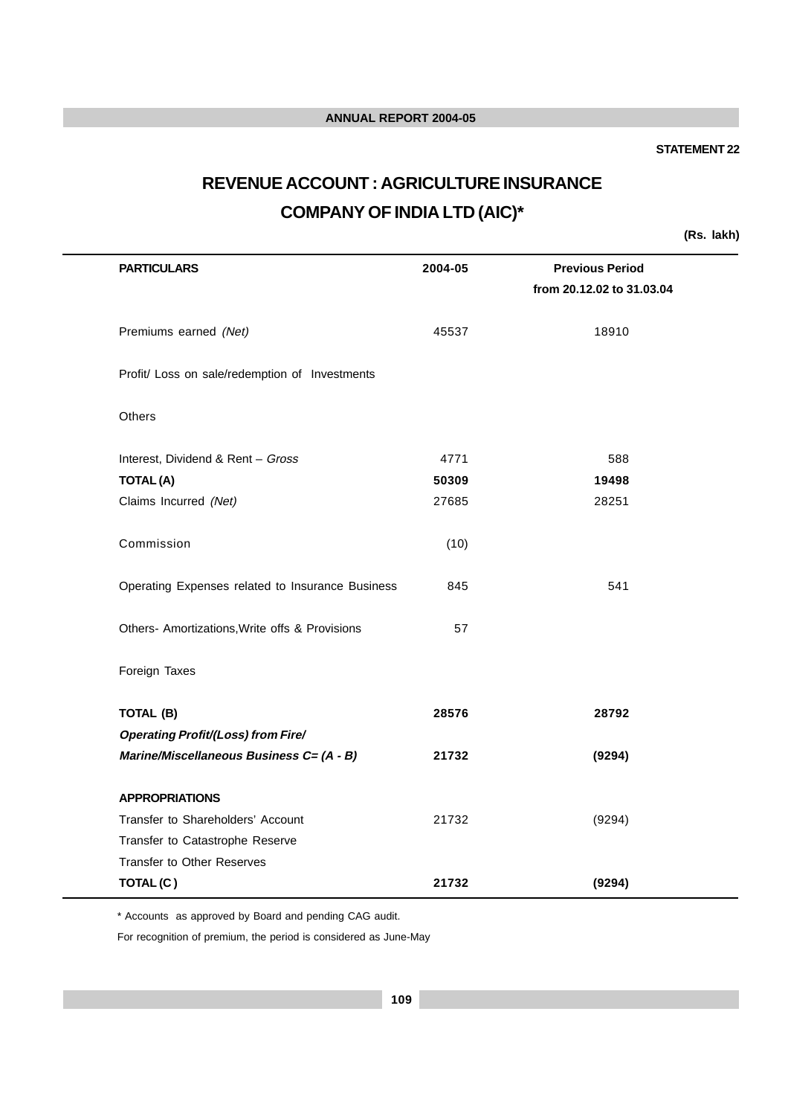#### **STATEMENT 22**

# **REVENUE ACCOUNT : AGRICULTURE INSURANCE COMPANY OF INDIA LTD (AIC)\***

**(Rs. lakh)**

| <b>PARTICULARS</b>                               | 2004-05 | <b>Previous Period</b><br>from 20.12.02 to 31.03.04 |
|--------------------------------------------------|---------|-----------------------------------------------------|
| Premiums earned (Net)                            | 45537   | 18910                                               |
| Profit/ Loss on sale/redemption of Investments   |         |                                                     |
| Others                                           |         |                                                     |
| Interest, Dividend & Rent - Gross                | 4771    | 588                                                 |
| <b>TOTAL(A)</b>                                  | 50309   | 19498                                               |
| Claims Incurred (Net)                            | 27685   | 28251                                               |
| Commission                                       | (10)    |                                                     |
| Operating Expenses related to Insurance Business | 845     | 541                                                 |
| Others- Amortizations, Write offs & Provisions   | 57      |                                                     |
| Foreign Taxes                                    |         |                                                     |
| TOTAL (B)                                        | 28576   | 28792                                               |
| <b>Operating Profit/(Loss) from Fire/</b>        |         |                                                     |
| Marine/Miscellaneous Business C= (A - B)         | 21732   | (9294)                                              |
| <b>APPROPRIATIONS</b>                            |         |                                                     |
| Transfer to Shareholders' Account                | 21732   | (9294)                                              |
| Transfer to Catastrophe Reserve                  |         |                                                     |
| <b>Transfer to Other Reserves</b>                |         |                                                     |
| TOTAL(C)                                         | 21732   | (9294)                                              |

\* Accounts as approved by Board and pending CAG audit.

For recognition of premium, the period is considered as June-May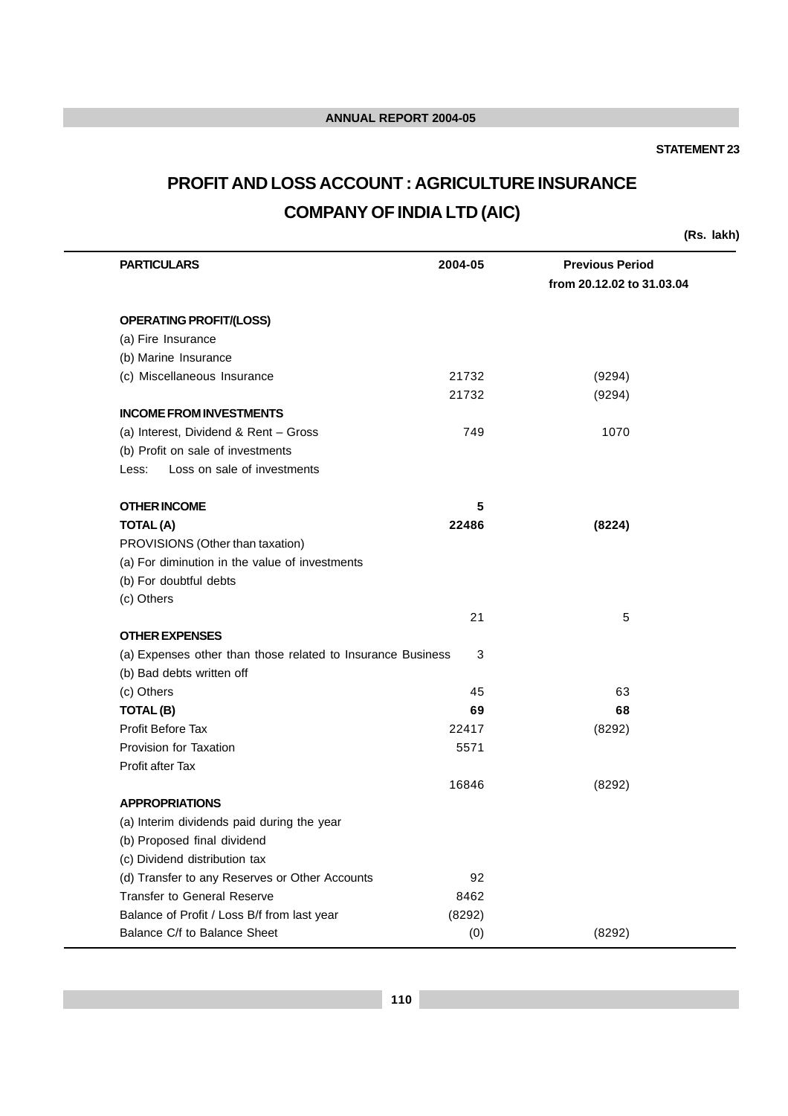### **STATEMENT 23**

# **PROFIT AND LOSS ACCOUNT : AGRICULTURE INSURANCE COMPANY OF INDIA LTD (AIC)**

**(Rs. lakh)**

| <b>PARTICULARS</b>                                          | 2004-05 | <b>Previous Period</b>    |  |
|-------------------------------------------------------------|---------|---------------------------|--|
|                                                             |         | from 20.12.02 to 31.03.04 |  |
| <b>OPERATING PROFIT/(LOSS)</b>                              |         |                           |  |
| (a) Fire Insurance                                          |         |                           |  |
| (b) Marine Insurance                                        |         |                           |  |
| (c) Miscellaneous Insurance                                 | 21732   | (9294)                    |  |
|                                                             | 21732   | (9294)                    |  |
| <b>INCOME FROM INVESTMENTS</b>                              |         |                           |  |
| (a) Interest, Dividend & Rent - Gross                       | 749     | 1070                      |  |
| (b) Profit on sale of investments                           |         |                           |  |
| Loss on sale of investments<br>Less:                        |         |                           |  |
|                                                             | 5       |                           |  |
| <b>OTHER INCOME</b><br><b>TOTAL(A)</b>                      | 22486   |                           |  |
| PROVISIONS (Other than taxation)                            |         | (8224)                    |  |
| (a) For diminution in the value of investments              |         |                           |  |
| (b) For doubtful debts                                      |         |                           |  |
| (c) Others                                                  |         |                           |  |
|                                                             | 21      | 5                         |  |
| <b>OTHER EXPENSES</b>                                       |         |                           |  |
| (a) Expenses other than those related to Insurance Business | 3       |                           |  |
| (b) Bad debts written off                                   |         |                           |  |
| (c) Others                                                  | 45      | 63                        |  |
| TOTAL(B)                                                    | 69      | 68                        |  |
| Profit Before Tax                                           | 22417   | (8292)                    |  |
| Provision for Taxation                                      | 5571    |                           |  |
| Profit after Tax                                            |         |                           |  |
|                                                             | 16846   | (8292)                    |  |
| <b>APPROPRIATIONS</b>                                       |         |                           |  |
| (a) Interim dividends paid during the year                  |         |                           |  |
| (b) Proposed final dividend                                 |         |                           |  |
| (c) Dividend distribution tax                               |         |                           |  |
| (d) Transfer to any Reserves or Other Accounts              | 92      |                           |  |
| <b>Transfer to General Reserve</b>                          | 8462    |                           |  |
| Balance of Profit / Loss B/f from last year                 | (8292)  |                           |  |
| Balance C/f to Balance Sheet                                | (0)     | (8292)                    |  |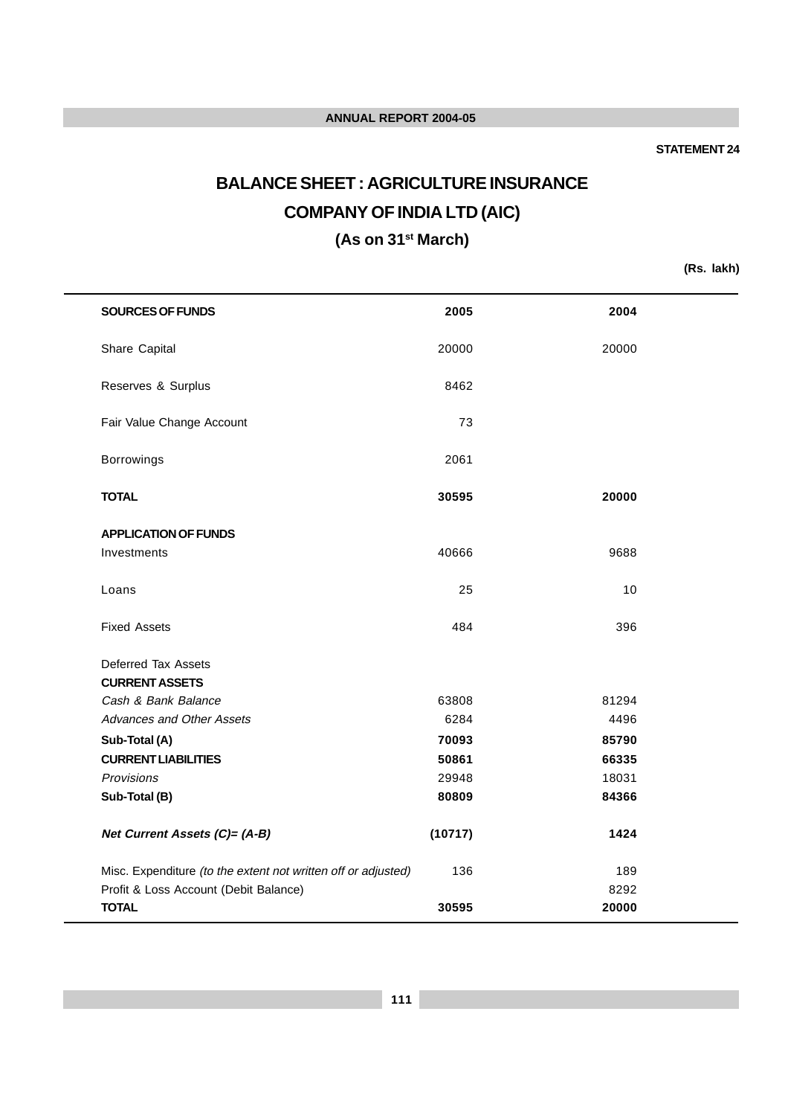### **STATEMENT 24**

# **BALANCE SHEET : AGRICULTURE INSURANCE COMPANY OF INDIA LTD (AIC)**

**(As on 31st March)**

**(Rs. lakh)**

| SOURCES OF FUNDS                                              | 2005    | 2004  |  |
|---------------------------------------------------------------|---------|-------|--|
| Share Capital                                                 | 20000   | 20000 |  |
| Reserves & Surplus                                            | 8462    |       |  |
| Fair Value Change Account                                     | 73      |       |  |
| Borrowings                                                    | 2061    |       |  |
| <b>TOTAL</b>                                                  | 30595   | 20000 |  |
| <b>APPLICATION OF FUNDS</b>                                   |         |       |  |
| Investments                                                   | 40666   | 9688  |  |
| Loans                                                         | 25      | 10    |  |
| <b>Fixed Assets</b>                                           | 484     | 396   |  |
| Deferred Tax Assets                                           |         |       |  |
| <b>CURRENT ASSETS</b>                                         |         |       |  |
| Cash & Bank Balance                                           | 63808   | 81294 |  |
| Advances and Other Assets                                     | 6284    | 4496  |  |
| Sub-Total (A)                                                 | 70093   | 85790 |  |
| <b>CURRENT LIABILITIES</b>                                    | 50861   | 66335 |  |
| Provisions                                                    | 29948   | 18031 |  |
| Sub-Total (B)                                                 | 80809   | 84366 |  |
| Net Current Assets (C)= (A-B)                                 | (10717) | 1424  |  |
| Misc. Expenditure (to the extent not written off or adjusted) | 136     | 189   |  |
| Profit & Loss Account (Debit Balance)                         |         | 8292  |  |
| <b>TOTAL</b>                                                  | 30595   | 20000 |  |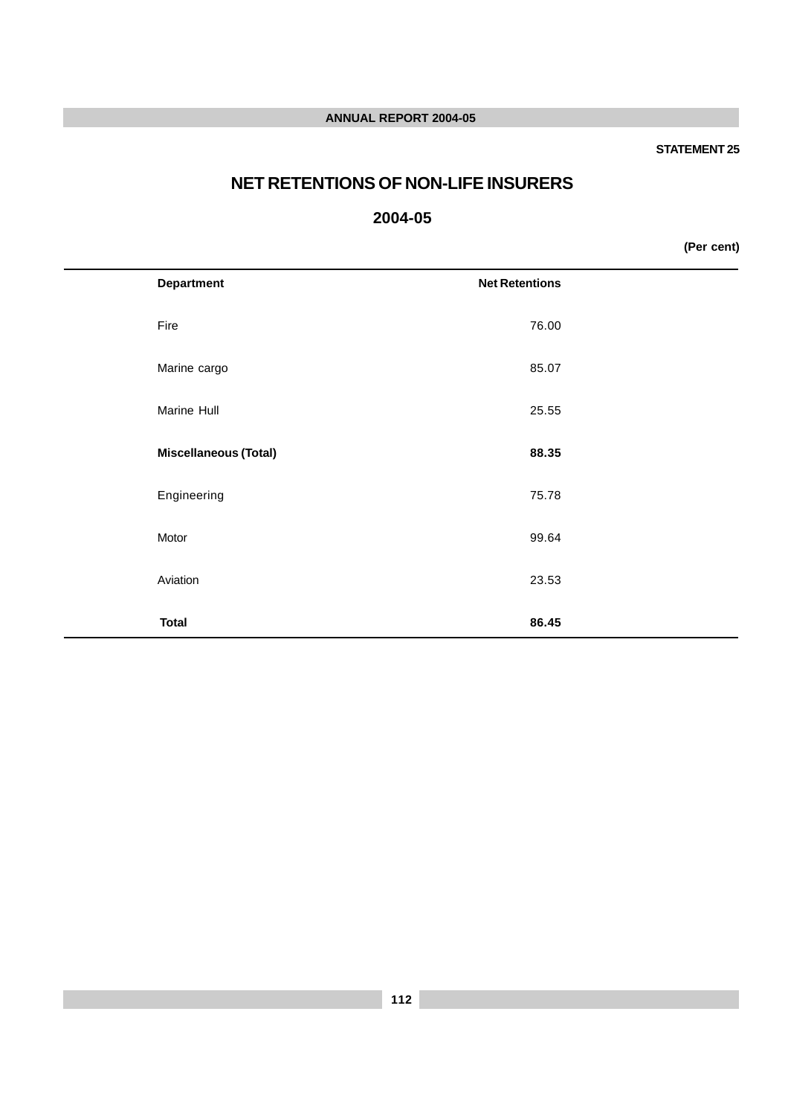### **STATEMENT 25**

# **NET RETENTIONS OF NON-LIFE INSURERS**

# **2004-05**

**(Per cent)**

| <b>Department</b>            | <b>Net Retentions</b> |  |
|------------------------------|-----------------------|--|
| Fire                         | 76.00                 |  |
| Marine cargo                 | 85.07                 |  |
| Marine Hull                  | 25.55                 |  |
| <b>Miscellaneous (Total)</b> | 88.35                 |  |
| Engineering                  | 75.78                 |  |
| Motor                        | 99.64                 |  |
| Aviation                     | 23.53                 |  |
| <b>Total</b>                 | 86.45                 |  |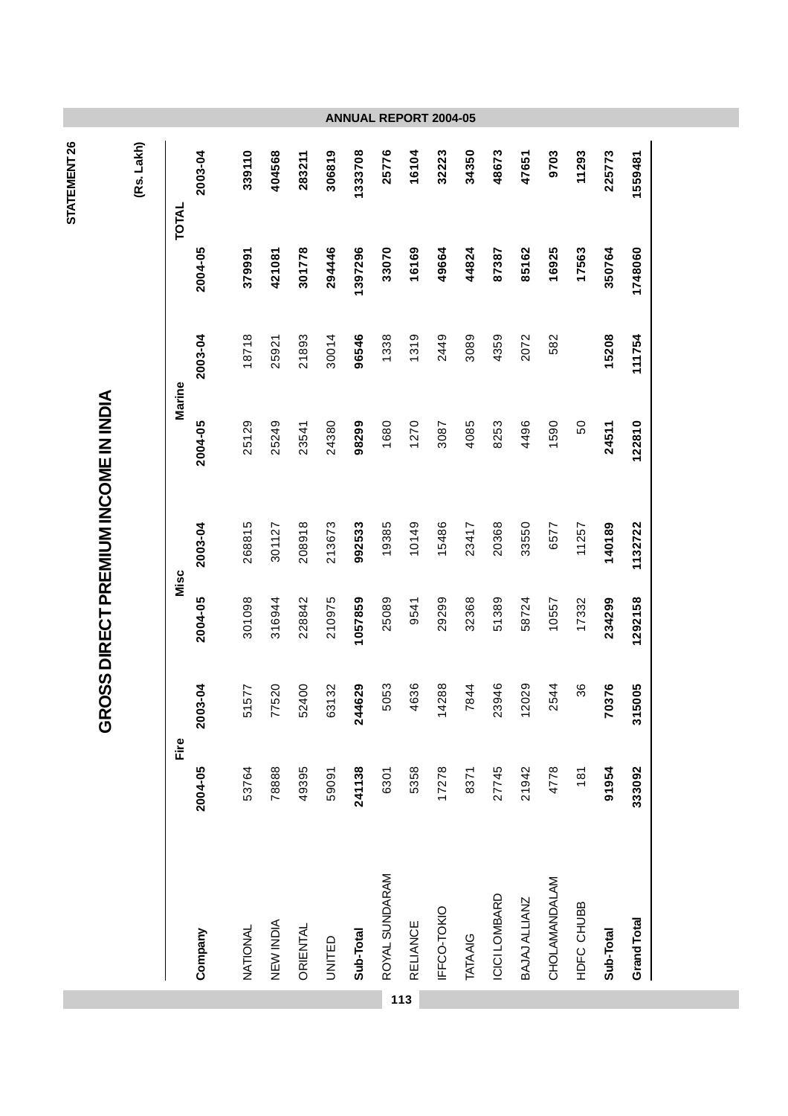| (Rs. Lakh) | TOTAL  | 2003-04               | 339110   | 404568    | 283211   | 306819 | 1333708   | 25776          | 16104    | 32223       | 34350    | 48673         | 47651         | 9703          | 11293      | 225773    | 1559481     |
|------------|--------|-----------------------|----------|-----------|----------|--------|-----------|----------------|----------|-------------|----------|---------------|---------------|---------------|------------|-----------|-------------|
|            |        | 2004-05               | 379991   | 421081    | 301778   | 294446 | 1397296   | 33070          | 16169    | 49664       | 44824    | 87387         | 85162         | 16925         | 17563      | 350764    | 1748060     |
|            |        | 2003-04               | 18718    | 25921     | 21893    | 30014  | 96546     | 1338           | 1319     | 2449        | 3089     | 4359          | 2072          | 582           |            | 15208     | 111754      |
|            | Marine | 2004-05               | 25129    | 25249     | 23541    | 24380  | 98299     | 1680           | 1270     | 3087        | 4085     | 8253          | 4496          | 1590          | 50         | 24511     | 122810      |
|            |        | 2003-04               | 268815   | 301127    | 208918   | 213673 | 992533    | 19385          | 10149    | 15486       | 23417    | 20368         | 33550         | 6577          | 11257      | 140189    | 1132722     |
|            | Misc   | 2004-05               | 301098   | 316944    | 228842   | 210975 | 1057859   | 25089          | 9541     | 29299       | 32368    | 51389         | 58724         | 10557         | 17332      | 234299    | 1292158     |
|            | Fire   | $\frac{5}{2}$<br>2003 | 51577    | 77520     | 52400    | 63132  | 244629    | 5053           | 4636     | 14288       | 7844     | 23946         | 12029         | 2544          | 36         | 70376     | 315005      |
|            |        | 2004-05               | 53764    | 78888     | 49395    | 59091  | 241138    | 6301           | 5358     | 17278       | 8371     | 27745         | 21942         | 4778          | 181        | 91954     | 333092      |
|            |        | Company               | NATIONAL | NEW INDIA | ORIENTAL | UNITED | Sub-Total | ROYAL SUNDARAM | RELIANCE | IFFCO-TOKIO | TATA AIG | ICICI LOMBARD | BAJAJ ALLIANZ | CHOLAMANDALAM | HDFC CHUBB | Sub-Total | Grand Total |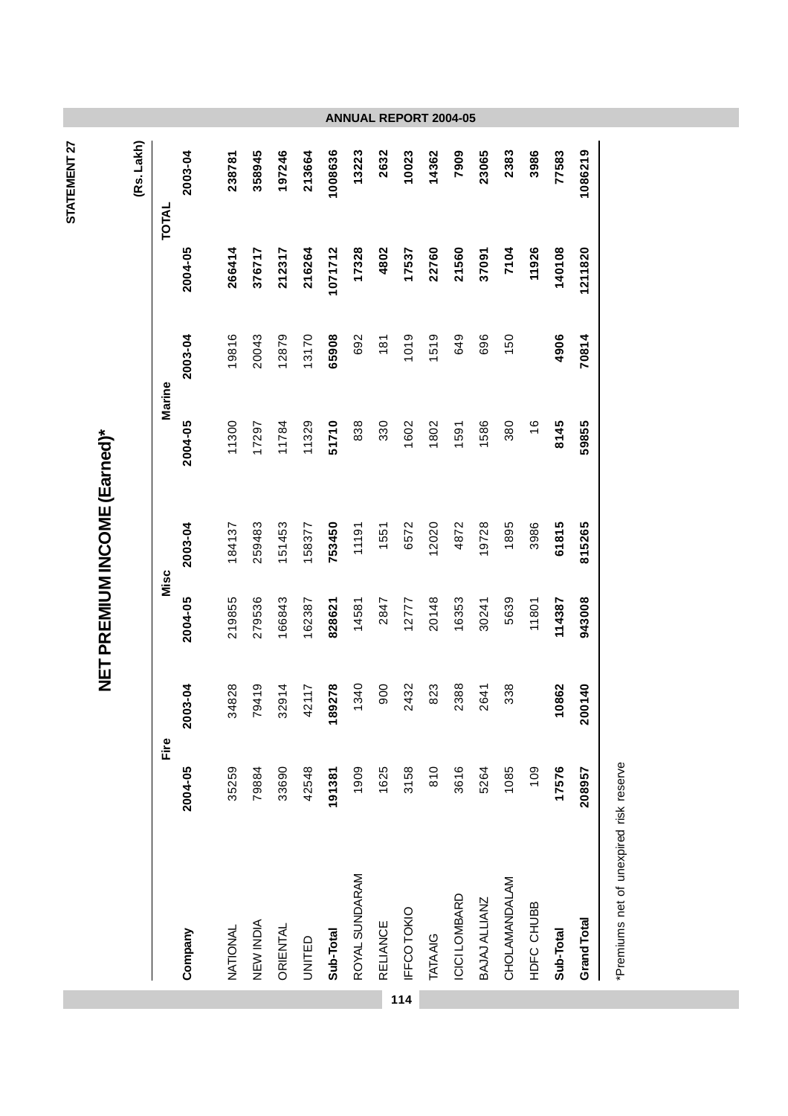|     |                 |         |         |         | NET PREMIUM INCOME (Earned)* |               |         |         |            |
|-----|-----------------|---------|---------|---------|------------------------------|---------------|---------|---------|------------|
|     |                 |         |         |         |                              |               |         |         | (Rs. Lakh) |
|     |                 | Fire    |         | Misc    |                              |               | Marine  |         | TOTAL      |
|     | Company         | 2004-05 | 2003-04 | 2004-05 | 2003-04                      | 2004-05       | 2003-04 | 2004-05 | 2003-04    |
|     | NATIONAL        | 35259   | 34828   | 219855  | 184137                       | 11300         | 19816   | 266414  | 238781     |
|     | NEW INDIA       | 79884   | 79419   | 279536  | 259483                       | 17297         | 20043   | 376717  | 358945     |
|     | ORIENTAL        | 33690   | 32914   | 166843  | 151453                       | 11784         | 12879   | 212317  | 197246     |
|     | UNITED          | 42548   | 42117   | 162387  | 158377                       | 11329         | 13170   | 216264  | 213664     |
|     | Sub-Total       | 191381  | 89278   | 828621  | 753450                       | 51710         | 65908   | 1071712 | 1008636    |
|     | ROYAL SUNDARAM  | 1909    | 1340    | 14581   | 11191                        | 838           | 692     | 17328   | 13223      |
|     | RELIANCE        | 1625    | 900     | 2847    | 1551                         | 330           | 181     | 4802    | 2632       |
| 114 | IFFCO TOKIO     | 3158    | 2432    | 12777   | 6572                         | 1602          | 1019    | 17537   | 10023      |
|     | <b>TATA AIG</b> | 810     | 823     | 20148   | 12020                        | 1802          | 1519    | 22760   | 14362      |
|     | ICICI LOMBARD   | 3616    | 2388    | 16353   | 4872                         | 1591          | 649     | 21560   | 7909       |
|     | BAJAJ ALLIANZ   | 5264    | 2641    | 30241   | 19728                        | 1586          | 696     | 37091   | 23065      |
|     | CHOLAMANDALAM   | 1085    | 338     | 5639    | 1895                         | 380           | 150     | 7104    | 2383       |
|     | HDFC CHUBB      | 109     |         | 11801   | 3986                         | $\frac{6}{5}$ |         | 11926   | 3986       |
|     | Sub-Total       | 17576   | 10862   | 114387  | 61815                        | 8145          | 4906    | 140108  | 77583      |
|     | Grand Total     | 208957  | 200140  | 943008  | 815265                       | 59855         | 70814   | 1211820 | 1086219    |

STATEMENT 27 **STATEMENT 27**

> \*Premiums net of unexpired risk reserve \*Premiums net of unexpired risk reserve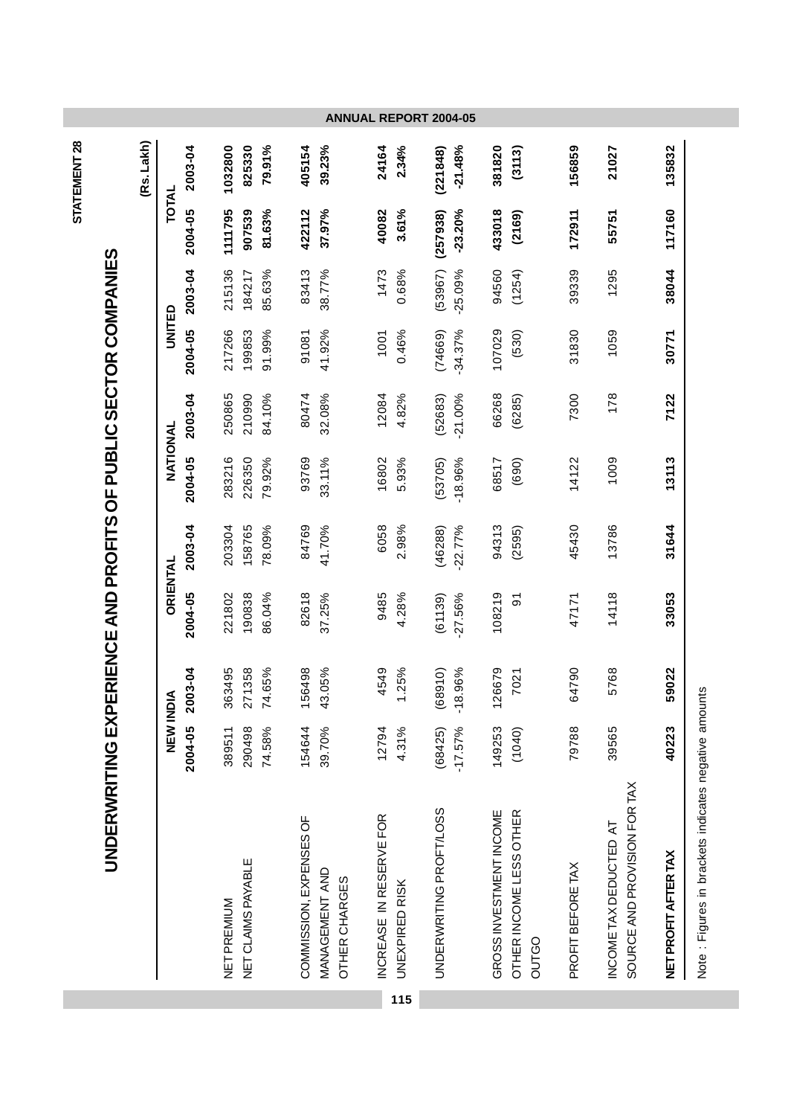|                                                |                 |         |            |                    |        |                                   | <b>ANNUAL REPORT 2004-05</b>    |                         |                       |                         |           |                         |                                  |                   |                                                        |                      |                                                      |
|------------------------------------------------|-----------------|---------|------------|--------------------|--------|-----------------------------------|---------------------------------|-------------------------|-----------------------|-------------------------|-----------|-------------------------|----------------------------------|-------------------|--------------------------------------------------------|----------------------|------------------------------------------------------|
| (Rs. Lakh)                                     |                 | 2003-04 | 1032800    | 825330             | 79.91% | 405154                            | 39.23%                          | 24164                   | 2.34%                 | (221848)                | $-21.48%$ | 381820                  | (3113)                           | 156859            | 21027                                                  | 135832               |                                                      |
|                                                | TOTAL           | 2004-05 | 1111795    | 907539             | 81.63% | 422112                            | 37.97%                          | 40082                   | 3.61%                 | (257938)                | $-23.20%$ | 433018                  | (2169)                           | 172911            | 55751                                                  | 117160               |                                                      |
|                                                |                 | 2003-04 | 215136     | 184217             | 85.63% | 83413                             | 38.77%                          | 1473                    | 0.68%                 | (53967)                 | $-25.09%$ | 94560                   | (1254)                           | 39339             | 1295                                                   | 38044                |                                                      |
|                                                | UNITED          | 2004-05 | 217266     | 199853             | 91.99% | 91081                             | 41.92%                          | 1001                    | 0.46%                 | (74669)                 | $-34.37%$ | 107029                  | (530)                            | 31830             | 1059                                                   | 30771                |                                                      |
| ERIENCE AND PROFITS OF PUBLIC SECTOR COMPANIES |                 | 2003-04 | 250865     | 210990             | 84.10% | 80474                             | 32.08%                          | 12084                   | 4.82%                 | (52683)                 | $-21.00%$ | 66268                   | (6285)                           | 7300              | 178                                                    | 7122                 |                                                      |
|                                                | NATIONAL        | 2004-05 | 283216     | 226350             | 79.92% | 93769                             | 33.11%                          | 16802                   | 5.93%                 | (53705)                 | $-18.96%$ | 68517                   | (690)                            | 14122             | 1009                                                   | 13113                |                                                      |
|                                                |                 | 2003-04 | 203304     | 158765             | 78.09% | 84769                             | 41.70%                          | 6058                    | 2.98%                 | (46288)                 | $-22.77%$ | 94313                   | (2595)                           | 45430             | 13786                                                  | 31644                |                                                      |
|                                                | ORIENTAL        | 2004-05 | 221802     | 190838             | 86.04% | 82618                             | 37.25%                          | 9485                    | 4.28%                 | (61139)                 | $-27.56%$ | 108219                  | $\overline{5}$                   | 47171             | 14118                                                  | 33053                |                                                      |
|                                                | ≤               | 2003-04 | 363495     | 271358             | 74.65% | 56498<br>$\overline{\phantom{0}}$ | 43.05%                          | 4549                    | 1.25%                 | (68910)                 | $-18.96%$ | 126679                  | 7021                             | 64790             | 5768                                                   | 59022                |                                                      |
|                                                | <b>NEW INDI</b> | 2004-05 | 389511     | 290498             | 74.58% | 154644                            | 39.70%                          | 12794                   | 4.31%                 | (68425)                 | $-17.57%$ | 149253                  | (1040)                           | 79788             | 39565                                                  | 40223                |                                                      |
|                                                |                 |         | NETPREMIUM | NET CLAIMS PAYABLE |        | COMMISSION, EXPENSES OF           | MANAGEMENT AND<br>OTHER CHARGES | INCREASE IN RESERVE FOR | <b>UNEXPIRED RISK</b> | UNDERWRITING PROFT/LOSS |           | GROSS INVESTMENT INCOME | OTHER INCOME LESS OTHER<br>OUTGO | PROFIT BEFORE TAX | SOURCE AND PROVISION FOR TAX<br>INCOME TAX DEDUCTED AT | NET PROFIT AFTER TAX | Note: Figures in brackets indicates negative amounts |
|                                                |                 |         |            |                    |        |                                   |                                 |                         | 115                   |                         |           |                         |                                  |                   |                                                        |                      |                                                      |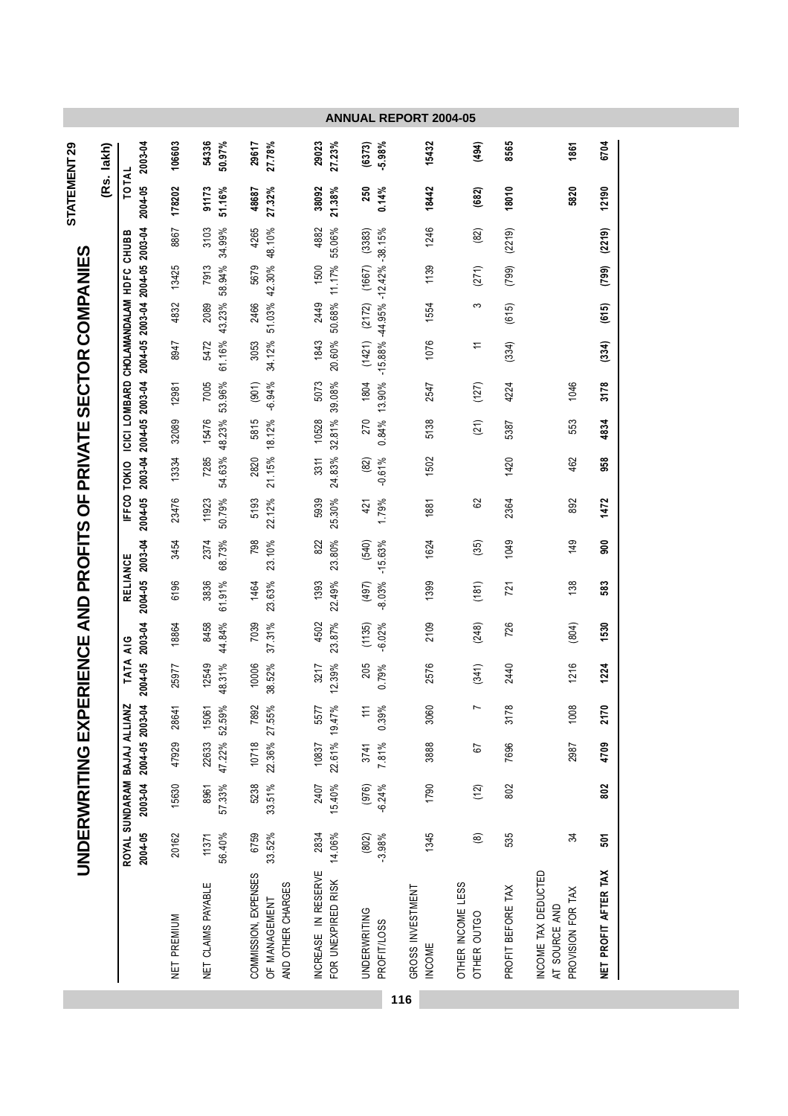|                                                         | (Rs. lakh) | 2003-04                                                             | 106603      | 54336<br>50.97%        | 27.78%<br>29617                                            | 29023<br>27.23%                           | $-5.98%$<br>(6373)                        | 15432                             | (494)                            | 8565              | 1861                                                      | 6704                 |
|---------------------------------------------------------|------------|---------------------------------------------------------------------|-------------|------------------------|------------------------------------------------------------|-------------------------------------------|-------------------------------------------|-----------------------------------|----------------------------------|-------------------|-----------------------------------------------------------|----------------------|
| STATEMENT 29                                            |            | TOTAL<br>2004-05                                                    | 178202      | 91173<br>51.16%        | 27.32%<br>48687                                            | 38092<br>$21.38\%$                        | 250<br>0.14%                              | 18442                             | (682)                            | 18010             | 5820                                                      | 12190                |
|                                                         |            | CHUBB                                                               | 8867        | 34.99%<br>3103         | 4265                                                       | 4882<br>55.06%                            | $-38.15%$<br>(3383)                       | 1246                              | (82)                             | (2219)            |                                                           | (2219)               |
|                                                         |            |                                                                     | 13425       | 58.94%<br>7913         | 42.30% 48.10%<br>5679                                      | 11.17%<br>1500                            | (1667)                                    | 1139                              | (271)                            | (799)             |                                                           | (799)                |
|                                                         |            |                                                                     | 4832        | 43.23%<br>2089         | 51.03%<br>2466                                             | 50.68%<br>2449                            | (2172)                                    | 1554                              | က                                | (615)             |                                                           | (615)                |
| <b>PERIENCE AND PROFITS OF PRIVATE SECTOR COMPANIES</b> |            | 2004-05 2003-04 2004-05 2003-04<br>ICICI LOMBARD CHOLAMANDALAM HDFC | 8947        | 61.16%<br>5472         | 34.12%<br>3053                                             | 1843<br>20.60%                            | $-15.88\% -44.95\% -12.42\%$<br>(1421)    | 1076                              | ≓                                | (334)             |                                                           | (334)                |
|                                                         |            |                                                                     | 12981       | 53.96%<br>7005         | $-6.94%$<br>(901)                                          | 5073<br>39.08%                            | 13.90%<br>1804                            | 2547                              | (127)                            | 4224              | 1046                                                      | 3178                 |
|                                                         |            |                                                                     | 32089       | 48.23%<br>15476        | 18.12%<br>5815                                             | 10528<br>32.81%                           | 0.84%<br>270                              | 5138                              | (21)                             | 5387              | 553                                                       | 4834                 |
|                                                         |            | 2003-04 2004-05 2003-04                                             | 13334       | 54.63%<br>7285         | 21.15%<br>2820                                             | 24.83%<br>3311                            | (82)<br>$-0.61%$                          | 1502                              |                                  | 1420              | 462                                                       | 958                  |
|                                                         |            | IFFCO TOKIO<br>2004-05                                              | 23476       | 11923<br>50.79%        | 5193<br>22.12%                                             | 5939<br>25.30%                            | 1.79%<br>421                              | 1881                              | 82                               | 2364              | 892                                                       | 1472                 |
|                                                         |            |                                                                     | 3454        | 68.73%<br>2374         | 798<br>23.10%                                              | 822<br>23.80%                             | $-15.63%$<br>(540)                        | 1624                              | (35)                             | 1049              | 149                                                       | $\frac{8}{2}$        |
|                                                         |            | 2004-05 2003-04<br>RELIANCE                                         | 6196        | 61.91%<br>3836         | 23.63%<br>1464                                             | 22.49%<br>1393                            | $-8.03%$<br>(497)                         | 1399                              | (181)                            | 721               | 138                                                       | 583                  |
|                                                         |            | 2003-04<br>$\frac{6}{4}$                                            | 18864       | 8458<br>44.84%         | 7039<br>37.31%                                             | 4502<br>23.87%                            | $-6.02%$<br>(1135)                        | 2109                              | (248)                            | 726               | (804)                                                     | 1530                 |
|                                                         |            | <b>TATA</b><br>2004-05                                              | 25977       | 12549<br>48.31%        | 38.52%<br>10006                                            | 3217<br>12.39%                            | 205<br>0.79%                              | 2576                              | (341)                            | 2440              | 1216                                                      | 1224                 |
|                                                         |            |                                                                     | 28641       | 15061                  | 7892                                                       | 5577                                      | 0.39%<br>$\overline{11}$                  | 3060                              | $\overline{ }$                   | 3178              | 1008                                                      | 2170                 |
|                                                         |            |                                                                     | 47929       | 47.22% 52.59%<br>22633 | 22.36% 27.55%<br>10718                                     | 22.61% 19.47%<br>10837                    | 3741<br>7.81%                             | 3888                              | 57                               | 7696              | 2987                                                      | 4709                 |
| <b>UNDERWRITING EXI</b>                                 |            | ROYAL SUNDARAM BAJAJ ALLIANZ<br>2003-04 2004-05 2003-04             | 15630       | 57.33%<br>8961         | 33.51%<br>5238                                             | 15.40%<br>2407                            | $-6.24%$<br>(976)                         | 1790                              | (12)                             | 802               |                                                           | 802                  |
|                                                         |            | 2004-05                                                             | 20162       | 56.40%<br>11371        | 6759<br>33.52%                                             | 2834<br>14.06%                            | $-3.98%$<br>(802)                         | 1345                              | $\circledR$                      | 535               | 34                                                        | 501                  |
|                                                         |            |                                                                     | NET PREMIUM | NET CLAIMS PAYABLE     | COMMISSION, EXPENSES<br>AND OTHER CHARGES<br>OF MANAGEMENT | INCREASE IN RESERVE<br>FOR UNEXPIRED RISK | <b>UNDERWRITING</b><br><b>PROFIT/LOSS</b> | GROSS INVESTMENT<br><b>INCOME</b> | OTHER INCOME LESS<br>OTHER OUTGO | PROFIT BEFORE TAX | INCOME TAX DEDUCTED<br>PROVISION FOR TAX<br>AT SOURCE AND | NET PROFIT AFTER TAX |
|                                                         |            |                                                                     |             |                        |                                                            |                                           |                                           | 116                               |                                  |                   |                                                           |                      |

**College**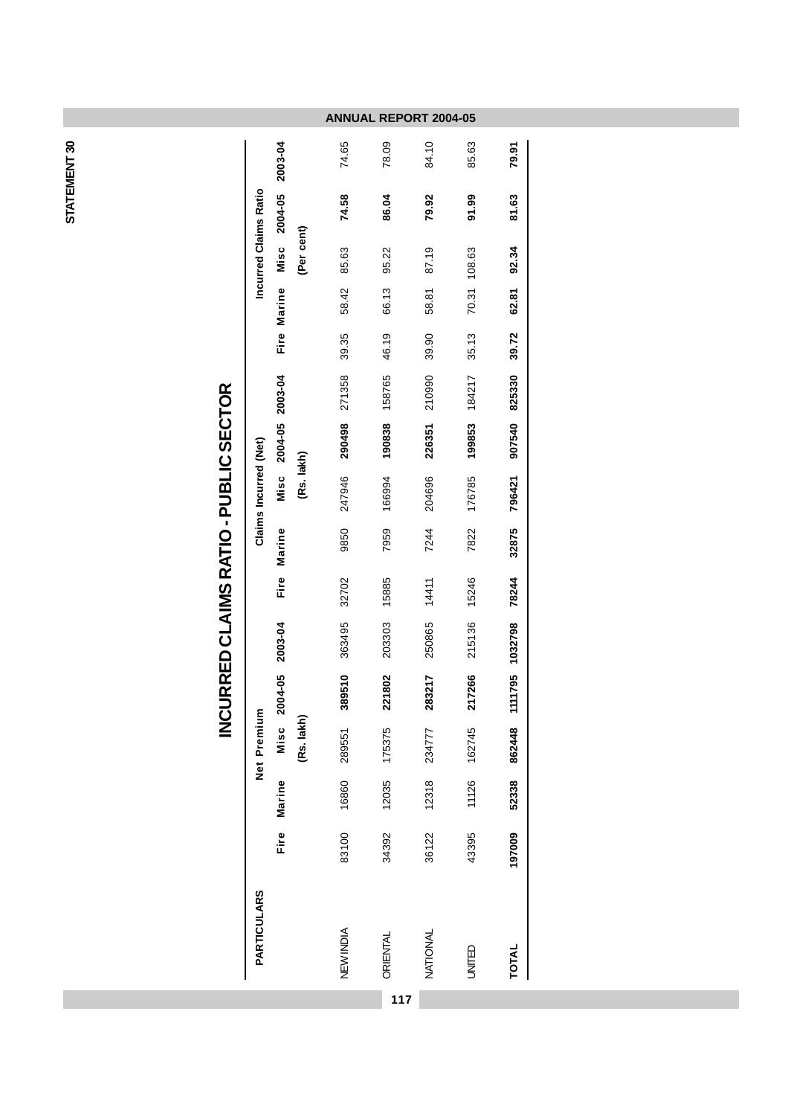STATEMENT 30 **STATEMENT 30**

| Incurred Claims Ratio                              |
|----------------------------------------------------|
|                                                    |
| Misc                                               |
| (Per cent)<br>Fire Marine                          |
| 58.42<br>39.35                                     |
| 271358                                             |
| 158765<br>Misc 2004-05 2003-04<br>290498<br>190838 |
| (Rs. lakh)<br>247946<br>166994                     |
| Marine                                             |
| Fire                                               |
| 2003-04                                            |
| 2004-05<br>(Rs. lakh)                              |
| Misc                                               |
|                                                    |
|                                                    |
| <b>PARTICULARS</b>                                 |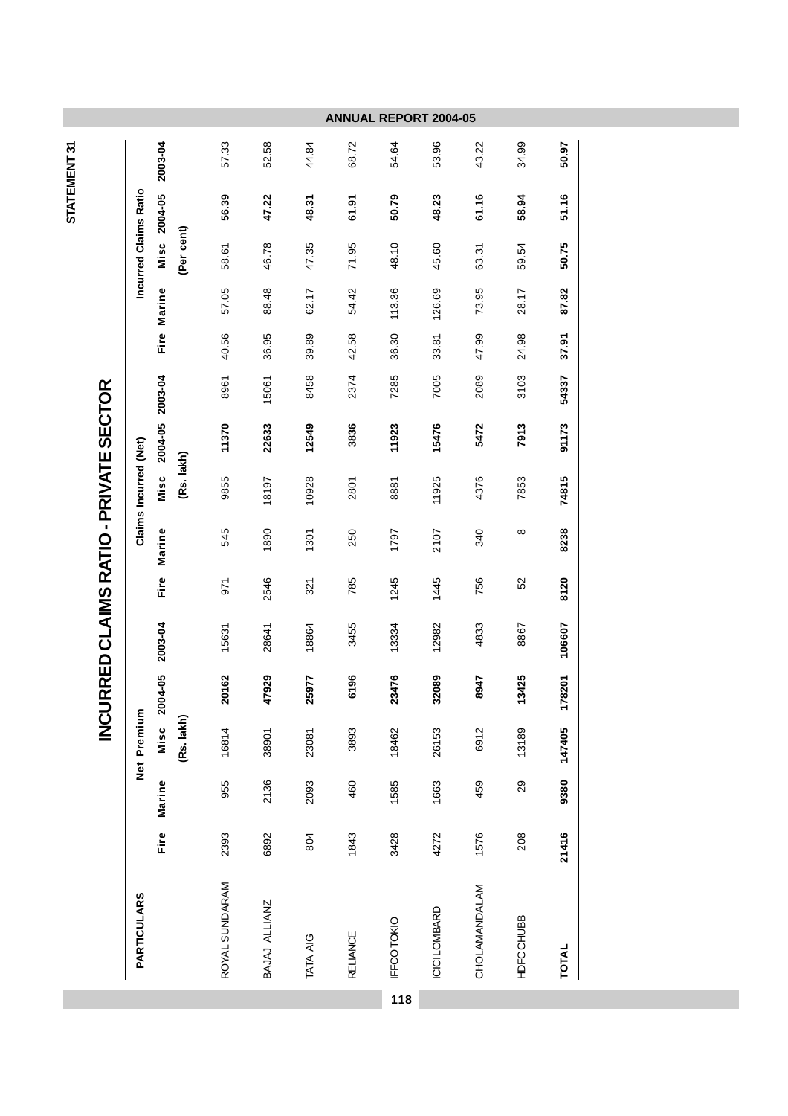|                       |                 |            |                |               |                 | ANNUA           | <b>REPORT</b> | 2004-05       |               |                  |              |
|-----------------------|-----------------|------------|----------------|---------------|-----------------|-----------------|---------------|---------------|---------------|------------------|--------------|
|                       | 2003-04         |            | 57.33          | 52.58         | 44.84           | 68.72           | 54.64         | 53.96         | 43.22         | 34.99            | 50.97        |
| Incurred Claims Ratio | Misc 2004-05    |            | 56.39          | 47.22         | 48.31           | 61.91           | 50.79         | 48.23         | 61.16         | 58.94            | 51.16        |
|                       |                 | (Per cent) | 58.61          | 46.78         | 47.35           | 71.95           | 48.10         | 45.60         | 63.31         | 59.54            | 50.75        |
|                       | Fire Marine     |            | 57.05          | 88.48         | 62.17           | 54.42           | 113.36        | 126.69        | 73.95         | 28.17            | 87.82        |
|                       |                 |            | 40.56          | 36.95         | 39.89           | 42.58           | 36.30         | 33.81         | 47.99         | 24.98            | 37.91        |
|                       |                 |            | 8961           | 15061         | 8458            | 2374            | 7285          | 7005          | 2089          | 3103             | 54337        |
|                       | 2004-05 2003-04 |            | 11370          | 22633         | 12549           | 3836            | 11923         | 15476         | 5472          | 7913             | 91173        |
| Claims Incurred (Net) | Misc            | (Rs. lakh) | 9855           | 18197         | 10928           | 2801            | 8881          | 11925         | 4376          | 7853             | 74815        |
|                       | Marine          |            | 545            | 1890          | 1301            | 250             | 1797          | 2107          | 340           | $\infty$         | 8238         |
|                       | <b>Fire</b>     |            | 971            | 2546          | 321             | 785             | 1245          | 1445          | 756           | 52               | 8120         |
|                       | 2003-04         |            | 15631          | 28641         | 18864           | 3455            | 13334         | 12982         | 4833          | 8867             | 106607       |
|                       | 2004-05         |            | 20162          | 47929         | 25977           | 6196            | 23476         | 32089         | 8947          | 13425            | 78201<br>↽   |
| Net Premium           | Misc            | (Rs. lakh) | 16814          | 38901         | 23081           | 3893            | 18462         | 26153         | 6912          | 13189            | 147405       |
|                       | Marine          |            | 955            | 2136          | 2093            | 460             | 1585          | 1663          | 459           | 29               | 9380         |
|                       | Fire            |            | 2393           | 6892          | 804             | 1843            | 3428          | 4272          | 1576          | 208              | 21416        |
| <b>PARTICULARS</b>    |                 |            | ROYAL SUNDARAM | BAJAJ ALLIANZ | <b>TATA AIG</b> | <b>RELIANCE</b> | IFFCOTOKIO    | ICICI LOMBARD | CHOLAMANDALAM | <b>HDFCCHUBB</b> | <b>TOTAL</b> |
|                       |                 |            |                |               |                 |                 | 118           |               |               |                  |              |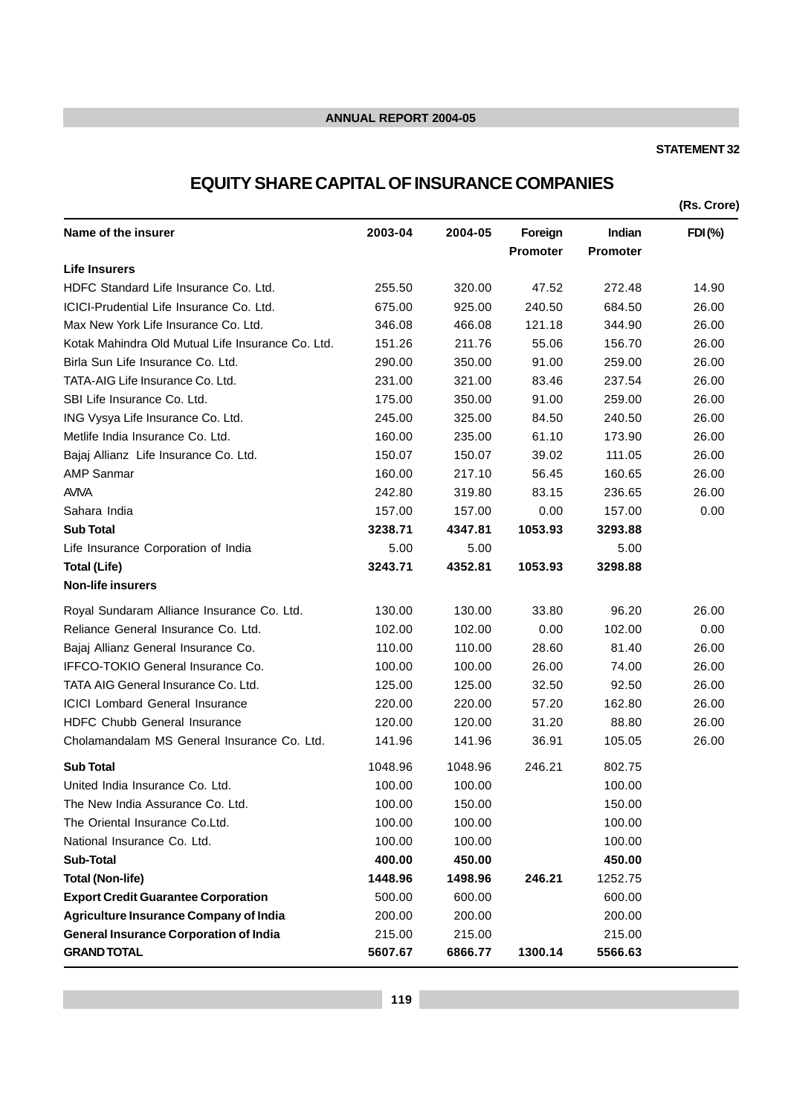#### **STATEMENT 32**

# **EQUITY SHARE CAPITAL OF INSURANCE COMPANIES**

**(Rs. Crore) Name of the insurer 2003-04 2004-05 Foreign Indian FDI (%) Promoter Promoter Life Insurers** HDFC Standard Life Insurance Co. Ltd. 255.50 320.00 47.52 272.48 14.90 ICICI-Prudential Life Insurance Co. Ltd. 675.00 925.00 240.50 684.50 26.00 Max New York Life Insurance Co. Ltd.  $346.08$   $466.08$   $121.18$   $344.90$   $26.00$ Kotak Mahindra Old Mutual Life Insurance Co. Ltd. 151.26 211.76 55.06 156.70 26.00 Birla Sun Life Insurance Co. Ltd. 290.00 350.00 91.00 259.00 26.00 TATA-AIG Life Insurance Co. Ltd. 231.00 321.00 83.46 237.54 26.00 SBI Life Insurance Co. Ltd. 175.00 350.00 91.00 259.00 26.00 ING Vysya Life Insurance Co. Ltd. 245.00 325.00 84.50 240.50 26.00 Metlife India Insurance Co. Ltd. 160.00 235.00 61.10 173.90 26.00 Bajaj Allianz Life Insurance Co. Ltd. 150.07 150.07 39.02 111.05 26.00 AMP Sanmar 160.00 217.10 56.45 160.65 26.00 AVIVA 242.80 319.80 83.15 236.65 26.00 Sahara India 157.00 157.00 0.00 157.00 0.00 **Sub Total 3238.71 4347.81 1053.93 3293.88** Life Insurance Corporation of India 5.00 5.00 5.00 **Total (Life) 3243.71 4352.81 1053.93 3298.88 Non-life insurers** Royal Sundaram Alliance Insurance Co. Ltd. 130.00 130.00 33.80 96.20 26.00 Reliance General Insurance Co. Ltd. 102.00 102.00 102.00 0.00 102.00 0.00 Bajaj Allianz General Insurance Co. 110.00 110.00 28.60 81.40 26.00 IFFCO-TOKIO General Insurance Co. 100.00 100.00 26.00 74.00 26.00 TATA AIG General Insurance Co. Ltd. 125.00 125.00 32.50 92.50 26.00 ICICI Lombard General Insurance 220.00 220.00 57.20 162.80 26.00 HDFC Chubb General Insurance 120.00 120.00 31.20 88.80 26.00 Cholamandalam MS General Insurance Co. Ltd. 141.96 141.96 36.91 105.05 26.00 **Sub Total** 1048.96 1048.96 246.21 802.75 United India Insurance Co. Ltd. 100.00 100.00 100.00 100.00 100.00 The New India Assurance Co. Ltd. 100.00 150.00 150.00 The Oriental Insurance Co.Ltd. 100.00 100.00 100.00 National Insurance Co. Ltd. 100.00 100.00 100.00 100.00 **Sub-Total 400.00 450.00 450.00 Total (Non-life) 1448.96 1498.96 246.21** 1252.75 **Export Credit Guarantee Corporation** 500.00 600.00 600.00 **Agriculture Insurance Company of India** 200.00 200.00 200.00 **General Insurance Corporation of India** 215.00 215.00 215.00 **GRAND TOTAL 5607.67 6866.77 1300.14 5566.63**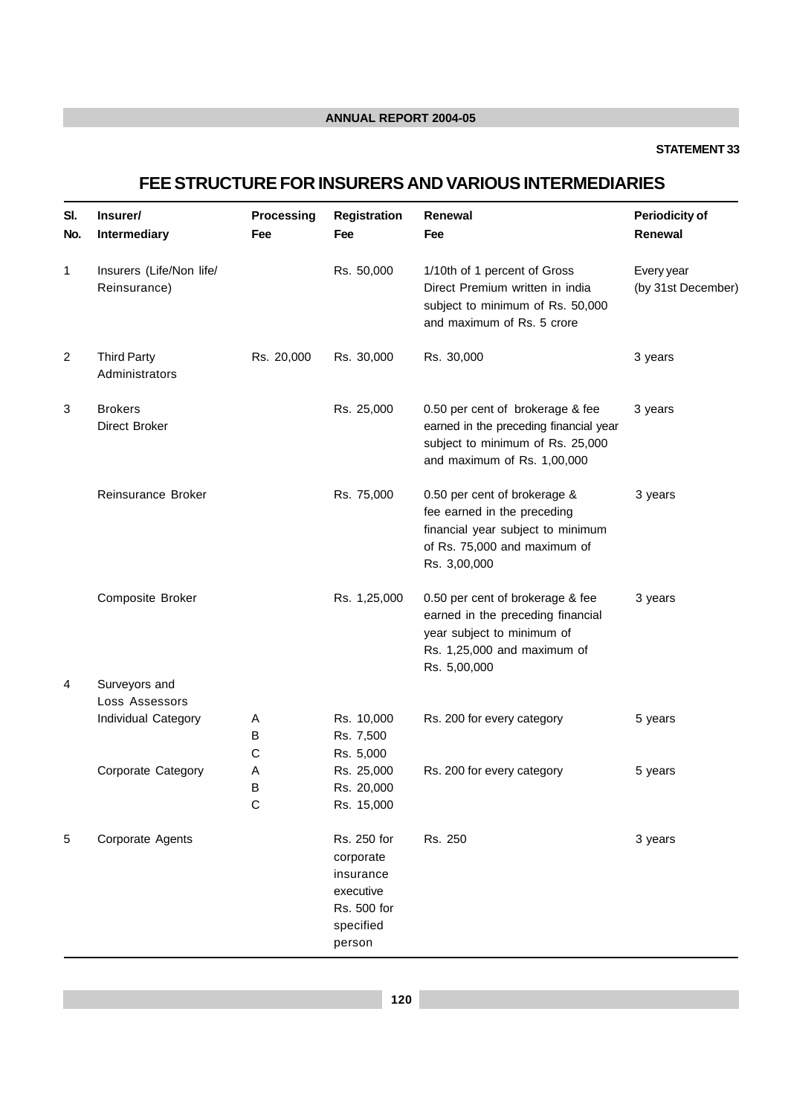#### **STATEMENT 33**

# **FEE STRUCTURE FOR INSURERS AND VARIOUS INTERMEDIARIES**

| SI.<br>No.     | Insurer/<br>Intermediary                 | Processing<br>Fee | <b>Registration</b><br>Fee                                                               | Renewal<br>Fee                                                                                                                                     | <b>Periodicity of</b><br>Renewal |
|----------------|------------------------------------------|-------------------|------------------------------------------------------------------------------------------|----------------------------------------------------------------------------------------------------------------------------------------------------|----------------------------------|
| 1              | Insurers (Life/Non life/<br>Reinsurance) |                   | Rs. 50,000                                                                               | 1/10th of 1 percent of Gross<br>Direct Premium written in india<br>subject to minimum of Rs. 50,000<br>and maximum of Rs. 5 crore                  | Every year<br>(by 31st December) |
| $\overline{2}$ | <b>Third Party</b><br>Administrators     | Rs. 20,000        | Rs. 30,000                                                                               | Rs. 30,000                                                                                                                                         | 3 years                          |
| 3              | <b>Brokers</b><br>Direct Broker          |                   | Rs. 25,000                                                                               | 0.50 per cent of brokerage & fee<br>earned in the preceding financial year<br>subject to minimum of Rs. 25,000<br>and maximum of Rs. 1,00,000      | 3 years                          |
|                | Reinsurance Broker                       |                   | Rs. 75,000                                                                               | 0.50 per cent of brokerage &<br>fee earned in the preceding<br>financial year subject to minimum<br>of Rs. 75,000 and maximum of<br>Rs. 3,00,000   | 3 years                          |
|                | Composite Broker                         |                   | Rs. 1,25,000                                                                             | 0.50 per cent of brokerage & fee<br>earned in the preceding financial<br>year subject to minimum of<br>Rs. 1,25,000 and maximum of<br>Rs. 5,00,000 | 3 years                          |
| 4              | Surveyors and                            |                   |                                                                                          |                                                                                                                                                    |                                  |
|                | Loss Assessors<br>Individual Category    | A<br>В<br>C       | Rs. 10,000<br>Rs. 7,500<br>Rs. 5,000                                                     | Rs. 200 for every category                                                                                                                         | 5 years                          |
|                | Corporate Category                       | Α<br>B<br>C       | Rs. 25,000<br>Rs. 20,000<br>Rs. 15,000                                                   | Rs. 200 for every category                                                                                                                         | 5 years                          |
| 5              | Corporate Agents                         |                   | Rs. 250 for<br>corporate<br>insurance<br>executive<br>Rs. 500 for<br>specified<br>person | Rs. 250                                                                                                                                            | 3 years                          |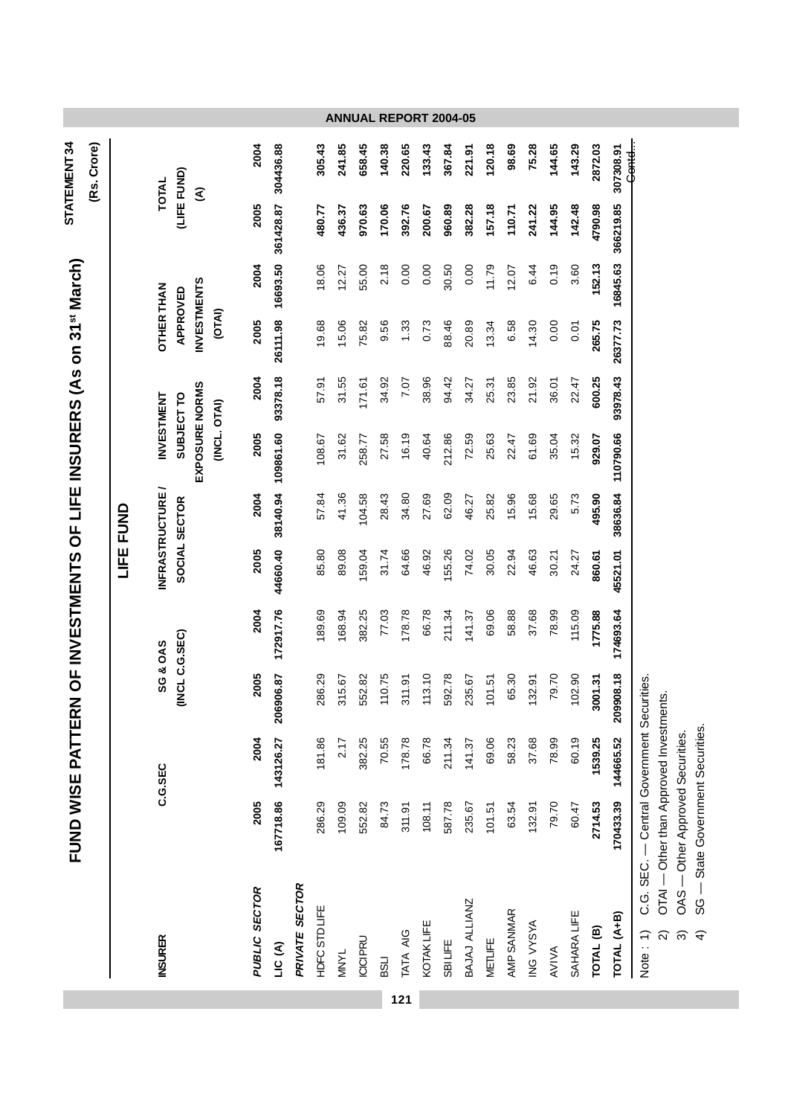|                      | FUND WISE PATTERN OF INVESTMENTS OF LIFE INSURERS (As on 31st March) |                     |                      |                     |          |                        |                                |            |                                          |          |           | STATEMENT 34     |                              |
|----------------------|----------------------------------------------------------------------|---------------------|----------------------|---------------------|----------|------------------------|--------------------------------|------------|------------------------------------------|----------|-----------|------------------|------------------------------|
|                      |                                                                      |                     |                      |                     |          |                        |                                |            |                                          |          |           | (Rs. Crore)      |                              |
|                      |                                                                      |                     |                      |                     |          | LIFE FUND              |                                |            |                                          |          |           |                  |                              |
| <b>INSURER</b>       |                                                                      | C.G.SEC             |                      | <b>SG &amp; OAS</b> |          | <b>INFRASTRUCTURE/</b> |                                | INVESTMENT | <b>OTHER THAN</b>                        |          |           | <b>TOTAL</b>     |                              |
|                      |                                                                      |                     | (INCL C.G.SEC)       |                     |          | SOCIAL SECTOR          | EXPOSURE NORMS<br>(INCL. OTAI) | SUBJECT TO | <b>INVESTMENTS</b><br>APPROVED<br>(OTAI) |          |           | (LIFE FUND)<br>Ŝ |                              |
| PUBLIC SECTOR        | 2005                                                                 | 2004                | 2005                 | 2004                | 2005     | 2004                   | 2005                           | 2004       | 2005                                     | 2004     | 2005      | 2004             |                              |
| LIC(A)               |                                                                      | 167718.86 143126.27 | 306.87<br><b>206</b> | 172917.76           | 44660.40 | 38140.94               | 109861.60                      | 93378.18   | 26111.98                                 | 16693.50 | 361428.87 | 304436.88        |                              |
| PRIVATE SECTOR       |                                                                      |                     |                      |                     |          |                        |                                |            |                                          |          |           |                  |                              |
| <b>HDFCSTDLIFE</b>   | 286.29                                                               | 181.86              | 286.29               | 189.69              | 85.80    | 57.84                  | 108.67                         | 57.91      | 19.68                                    | 18.06    | 480.77    | 305.43           |                              |
| <b>MNYL</b>          | 109.09                                                               | 2.17                | 315.67               | 168.94              | 89.08    | 41.36                  | 31.62                          | 31.55      | 15.06                                    | 12.27    | 436.37    | 241.85           |                              |
| <b>ICICIPRU</b>      | 552.82                                                               | 382.25              | 552.82               | 382.25              | 159.04   | 04.58                  | 258.77                         | 171.61     | 75.82                                    | 55.00    | 970.63    | 658.45           |                              |
| <b>LISS</b>          | 84.73                                                                | 70.55               | 110.75               | 77.03               | 31.74    | 28.43                  | 27.58                          | 34.92      | 9.56                                     | 2.18     | 170.06    | 140.38           | <b>ANNUAL REPORT 2004-05</b> |
| TATA AIG             | 311.91                                                               | 178.78              | 311.91               | 178.78              | 64.66    | 34.80                  | 16.19                          | 7.07       | 1.33                                     | 0.00     | 392.76    | 220.65           |                              |
| KOTAKLIFE            | 108.11                                                               | 66.78               | 113.10               | 66.78               | 46.92    | 27.69                  | 40.64                          | 38.96      | 0.73                                     | 0.00     | 200.67    | 133.43           |                              |
| SBILIFE              | 587.78                                                               | 211.34              | 592.78               | 211.34              | 155.26   | 62.09                  | 212.86                         | 94.42      | 88.46                                    | 30.50    | 960.89    | 367.84           |                              |
| BAJAJ ALLIANZ        | 235.67                                                               | 141.37              | 235.67               | 141.37              | 74.02    | 46.27                  | 72.59                          | 34.27      | 20.89                                    | 0.00     | 382.28    | 221.91           |                              |
| METLIFE              | 101.51                                                               | 69.06               | 101.51               | 69.06               | 30.05    | 25.82                  | 25.63                          | 25.31      | 13.34                                    | 11.79    | 157.18    | 120.18           |                              |
| AMP SANMAR           | 63.54                                                                | 58.23               | 65.30                | 58.88               | 22.94    | 15.96                  | 22.47                          | 23.85      | 6.58                                     | 12.07    | 110.71    | 98.69            |                              |
| ING VYSYA            | 132.91                                                               | 37.68               | 132.91               | 37.68               | 46.63    | 5.68                   | 61.69                          | 21.92      | 14.30                                    | 6.44     | 241.22    | 75.28            |                              |
| AVIVA                | 79.70                                                                | 78.99               | 79.70                | 78.99               | 30.21    | 29.65                  | 35.04                          | 36.01      | 0.00                                     | 0.19     | 144.95    | 144.65           |                              |
| SAHARA LIFE          | 60.47                                                                | 60.19               | 102.90               | 115.09              | 24.27    | 5.73                   | 15.32                          | 22.47      | 0.01                                     | 3.60     | 142.48    | 143.29           |                              |
| TOTAL <sup>(B)</sup> | 2714.53                                                              | 1539.25             | 3001.31              | 1775.88             | 860.61   | 495.90                 | 929.07                         | 600.25     | 265.75                                   | 152.13   | 4790.98   | 2872.03          |                              |
| TOTAL (A+B)          | 170433.39                                                            | 144665.52           | 209908.18            | 174693.64           | 45521.01 | 38636.84               | 110790.66                      | 93978.43   | 26377.73                                 | 16845.63 | 366219.85 | 307308.91        |                              |
| Note: 1)             | C.G. SEC. - Central Government Securities.                           |                     |                      |                     |          |                        |                                |            |                                          |          |           | <del>Contd</del> |                              |

**121**

OTAI — Other than Approved Investments.<br>OAS — Other Approved Securities.<br>SG — State Government Securities. 2) OTAI — Other than Approved Investments.

3) OAS — Other Approved Securities.

4) SG — State Government Securities.  $\widehat{N}$   $\widehat{\sigma}$   $\widehat{\tau}$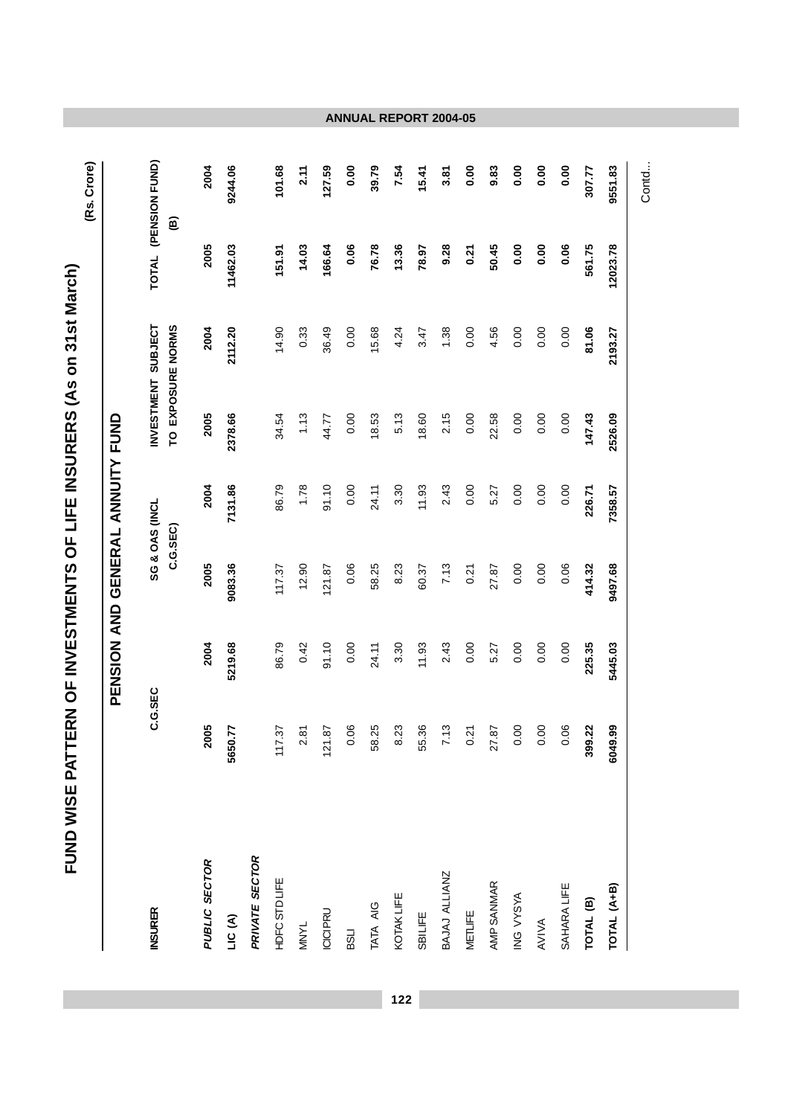|                      |         | PENSION AND GENERAL ANNUITY FUND |          |                |         |                                         |          |                     |
|----------------------|---------|----------------------------------|----------|----------------|---------|-----------------------------------------|----------|---------------------|
| <b>NSURER</b>        | C.G.SEC |                                  | C.G.SEC) | SG & OAS (INCL |         | INVESTMENT SUBJECT<br>TO EXPOSURE NORMS | TOTAL    | (PENSION FUND)<br>© |
| PUBLIC SECTOR        | 2005    | 2004                             | 2005     | 2004           | 2005    | 2004                                    | 2005     | 2004                |
| LIC (A)              | 5650.77 | 5219.68                          | 9083.36  | 7131.86        | 2378.66 | 2112.20                                 | 11462.03 | 9244.06             |
| PRIVATE SECTOR       |         |                                  |          |                |         |                                         |          |                     |
| <b>HDFCSTDLIFE</b>   | 117.37  | 86.79                            | 117.37   | 86.79          | 34.54   | 14.90                                   | 151.91   | 101.68              |
| <b>MNYL</b>          | 2.81    | 0.42                             | 12.90    | 1.78           | 1.13    | 0.33                                    | 14.03    | 2.11                |
| <b>ICICIPRU</b>      | 121.87  | 91.10                            | 121.87   | 91.10          | 44.77   | 36.49                                   | 166.64   | 127.59              |
| <b>LISS</b>          | 0.06    | 0.00                             | 0.06     | 0.00           | 0.00    | 0.00                                    | 0.06     | 0.00                |
| TATA AIG             | 58.25   | 24.11                            | 58.25    | 24.11          | 18.53   | 15.68                                   | 76.78    | 39.79               |
| <b>KOTAKLIFE</b>     | 8.23    | 3.30                             | 8.23     | 3.30           | 5.13    | 4.24                                    | 13.36    | 7.54                |
| SBILIFE              | 55.36   | 11.93                            | 60.37    | 11.93          | 18.60   | 3.47                                    | 78.97    | 15.41               |
| BAJAJ ALLIANZ        | 7.13    | 2.43                             | 7.13     | 2.43           | 2.15    | 1.38                                    | 9.28     | 3.81                |
| <b>METLIFE</b>       | 0.21    | 0.00                             | 0.21     | 0.00           | 0.00    | 0.00                                    | 0.21     | 0.00                |
| AMP SANMAR           | 27.87   | 5.27                             | 27.87    | 5.27           | 22.58   | 4.56                                    | 50.45    | 9.83                |
| ING VYSYA            | 0.00    | 0.00                             | 0.00     | 0.00           | 0.00    | 0.00                                    | 0.00     | 0.00                |
| AVIVA                | 0.00    | 0.00                             | 0.00     | 0.00           | 0.00    | 0.00                                    | 0.00     | 0.00                |
| SAHARALIFE           | 0.06    | 0.00                             | 0.06     | 0.00           | 0.00    | 0.00                                    | 0.06     | 0.00                |
| TOTAL <sup>(B)</sup> | 399.22  | 225.35                           | 414.32   | 226.71         | 147.43  | 81.06                                   | 561.75   | 307.77              |
| TOTAL (A+B)          | 6049.99 | 5445.03                          | 9497.68  | 7358.57        | 2526.09 | 2193.27                                 | 12023.78 | 9551.83             |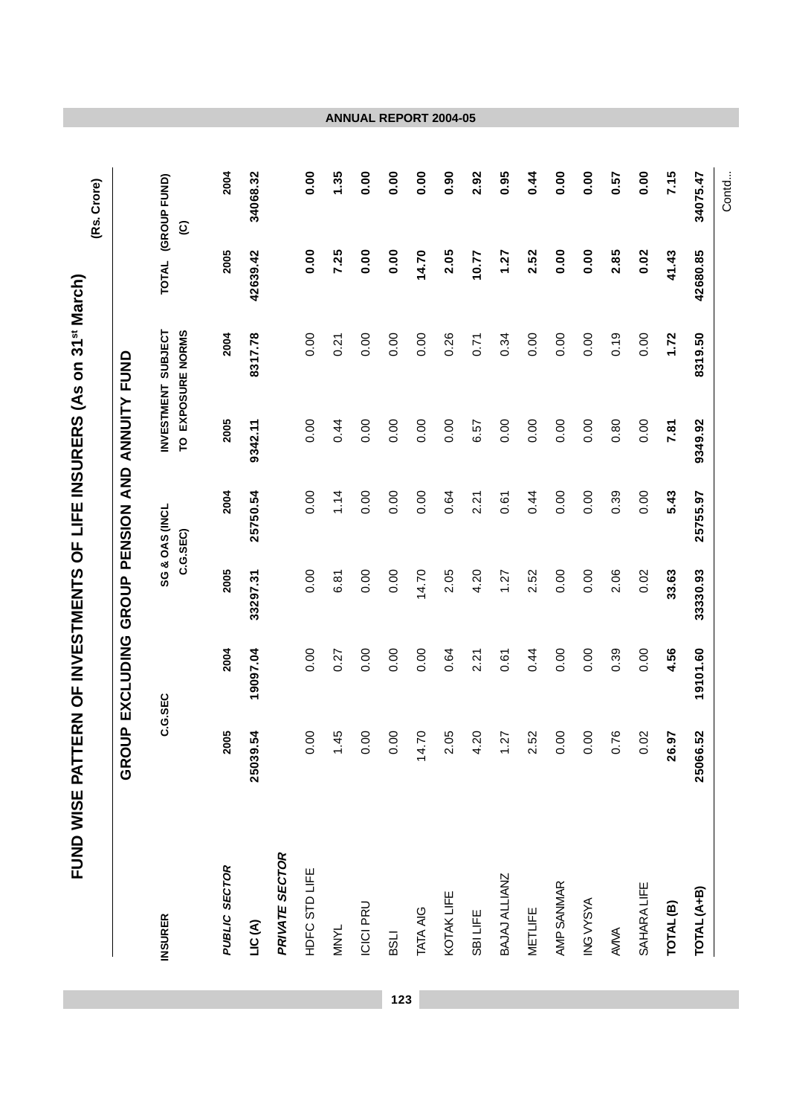|                      | GROUP EXCLUDING |          |          | GROUP PENSION AND ANNUITY FUND |         |                                         |              |                                        |
|----------------------|-----------------|----------|----------|--------------------------------|---------|-----------------------------------------|--------------|----------------------------------------|
| <b>INSURER</b>       |                 | C.G.SEC  |          | SG & OAS (INCL<br>C.G.SEC)     |         | TO EXPOSURE NORMS<br>INVESTMENT SUBJECT | <b>TOTAL</b> | (GROUP FUND)<br>$\widehat{\mathbf{e}}$ |
| PUBLIC SECTOR        | 2005            | 2004     | 2005     | 2004                           | 2005    | 2004                                    | 2005         | 2004                                   |
| LIC(A)               | 25039.54        | 19097.04 | 33297.31 | 25750.54                       | 9342.11 | 8317.78                                 | 42639.42     | 34068.32                               |
| PRIVATE SECTOR       |                 |          |          |                                |         |                                         |              |                                        |
| HDFC STD LIFE        | 0.00            | 0.00     | 0.00     | 0.00                           | 0.00    | 0.00                                    | 0.00         | 0.00                                   |
| <b>MNYL</b>          | 1.45            | 0.27     | 6.81     | 1.14                           | 0.44    | 0.21                                    | 7.25         | 1.35                                   |
| <b>ICICI PRU</b>     | 0.00            | 0.00     | 0.00     | 0.00                           | 0.00    | 0.00                                    | 0.00         | 0.00                                   |
| <b>ITSS</b>          | 0.00            | 0.00     | 0.00     | 0.00                           | 0.00    | 0.00                                    | 0.00         | 0.00                                   |
| TATA AIG             | 14.70           | 0.00     | 14.70    | 0.00                           | 0.00    | 0.00                                    | 14.70        | 0.00                                   |
| KOTAK LIFE           | 2.05            | 0.64     | 2.05     | 0.64                           | 0.00    | 0.26                                    | 2.05         | 0.90                                   |
| SBILIFE              | 4.20            | 2.21     | 4.20     | 2.21                           | 6.57    | 0.71                                    | 10.77        | 2.92                                   |
| BAJAJ ALLIANZ        | 1.27            | 0.61     | 1.27     | 0.61                           | 0.00    | 0.34                                    | 1.27         | 0.95                                   |
| <b>METLIFE</b>       | 2.52            | 0.44     | 2.52     | 0.44                           | 0.00    | 0.00                                    | 2.52         | 0.44                                   |
| AMP SANMAR           | 0.00            | 0.00     | 0.00     | 0.00                           | 0.00    | 0.00                                    | 0.00         | 0.00                                   |
| ING VYSYA            | 0.00            | 0.00     | 0.00     | 0.00                           | 0.00    | 0.00                                    | 0.00         | 0.00                                   |
| AVIVA                | 0.76            | 0.39     | 2.06     | 0.39                           | 0.80    | 0.19                                    | 2.85         | 0.57                                   |
| SAHARA LIFE          | 0.02            | 0.00     | 0.02     | 0.00                           | 0.00    | 0.00                                    | 0.02         | 0.00                                   |
| TOTAL <sup>(B)</sup> | 26.97           | 4.56     | 33.63    | 5.43                           | 7.81    | 1.72                                    | 41.43        | 7.15                                   |
| TOTAL (A+B)          | 25066.52        | 19101.60 | 33330.93 | 25755.97                       | 9349.92 | 8319.50                                 | 42680.85     | 34075.47                               |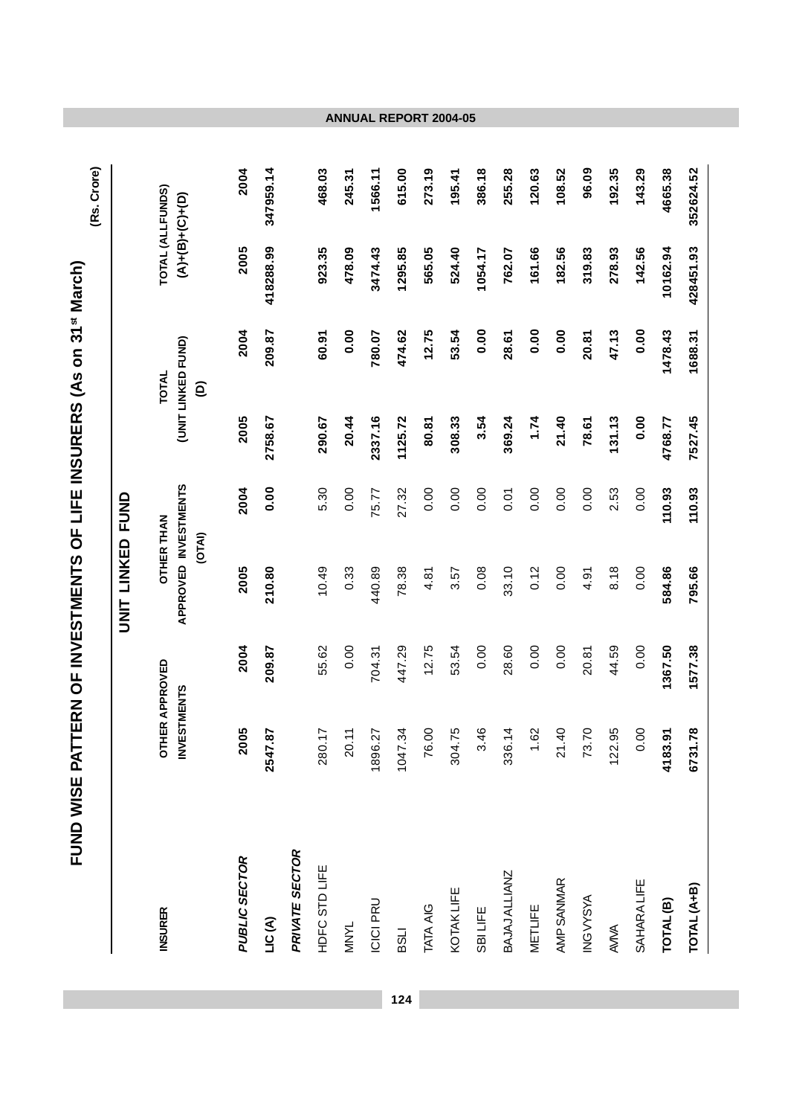|                      | FUND WISE PATTERN OF INVESTMENTS OF LIFE INSURERS (As on 31 <sup>st</sup> March) |                     |                                           |          |         |                                         |           | (Rs. Crore)                                 |
|----------------------|----------------------------------------------------------------------------------|---------------------|-------------------------------------------|----------|---------|-----------------------------------------|-----------|---------------------------------------------|
|                      |                                                                                  |                     | LINKED<br><b>INS</b>                      | DND<br>N |         |                                         |           |                                             |
| <b>INSURER</b>       | <b>ESTMENTS</b><br>5<br>$\tilde{\mathbf{z}}$                                     | <b>HER APPROVED</b> | APPROVED INVESTMENTS<br><b>OTHER THAN</b> | (OTAI)   |         | (UNIT LINKED FUND)<br><b>TOTAL</b><br>ê |           | TOTAL (ALLFUNDS)<br>$(4) + (5) + (6) + (7)$ |
| PUBLIC SECTOR        | 2005                                                                             | 2004                | 2005                                      | 2004     | 2005    | 2004                                    | 2005      | 2004                                        |
| LIC(A)               | -87<br>2547                                                                      | 209.87              | 210.80                                    | 0.00     | 2758.67 | 209.87                                  | 418288.99 | 347959.14                                   |
| PRIVATE SECTOR       |                                                                                  |                     |                                           |          |         |                                         |           |                                             |
| HDFC STD LIFE        | 280.17                                                                           | 55.62               | 10.49                                     | 5.30     | 290.67  | 60.91                                   | 923.35    | 468.03                                      |
| <b>MNYL</b>          | 20.11                                                                            | 0.00                | 0.33                                      | 0.00     | 20.44   | 0.00                                    | 478.09    | 245.31                                      |
| ICICI PRU            | $\overline{27}$<br>1896                                                          | 704.31              | 440.89                                    | 75.77    | 2337.16 | 780.07                                  | 3474.43   | 1566.11                                     |
| <b>LISS</b>          | $\ddot{3}$<br>1047.                                                              | 447.29              | 78.38                                     | 27.32    | 1125.72 | 474.62                                  | 1295.85   | 615.00                                      |
| TATA AIG             | 76.00                                                                            | 12.75               | 4.81                                      | 0.00     | 80.81   | 12.75                                   | 565.05    | 273.19                                      |
| KOTAK LIFE           | 304.75                                                                           | 53.54               | 3.57                                      | 0.00     | 308.33  | 53.54                                   | 524.40    | 195.41                                      |
| <b>SBILIFE</b>       | 3.46                                                                             | 0.00                | 0.08                                      | 0.00     | 3.54    | 0.00                                    | 1054.17   | 386.18                                      |
| BAJAJ ALLIANZ        | 336.14                                                                           | 28.60               | 33.10                                     | 0.01     | 369.24  | 28.61                                   | 762.07    | 255.28                                      |
| <b>METLIFE</b>       | .62                                                                              | 0.00                | 0.12                                      | 0.00     | 1.74    | 0.00                                    | 161.66    | 120.63                                      |
| AMP SANMAR           | $\overline{4}$<br>$\overline{\mathsf{S}}$                                        | 0.00                | 0.00                                      | 0.00     | 21.40   | 0.00                                    | 182.56    | 108.52                                      |
| ING VYSYA            | 73.70                                                                            | 20.81               | 4.91                                      | 0.00     | 78.61   | 20.81                                   | 319.83    | 96.09                                       |
| AVIVA                | 122.95                                                                           | 44.59               | 8.18                                      | 2.53     | 131.13  | 47.13                                   | 278.93    | 192.35                                      |
| <b>SAHARA LIFE</b>   | 00<br>$\circ$                                                                    | 0.00                | 0.00                                      | 0.00     | 0.00    | 0.00                                    | 142.56    | 143.29                                      |
| TOTAL <sup>(B)</sup> | 4183.91                                                                          | 1367.50             | 584.86                                    | 110.93   | 4768.77 | 1478.43                                 | 10162.94  | 4665.38                                     |
| TOTAL (A+B)          | 6731.78                                                                          | 1577.38             | 795.66                                    | 110.93   | 7527.45 | 1688.31                                 | 428451.93 | 352624.52                                   |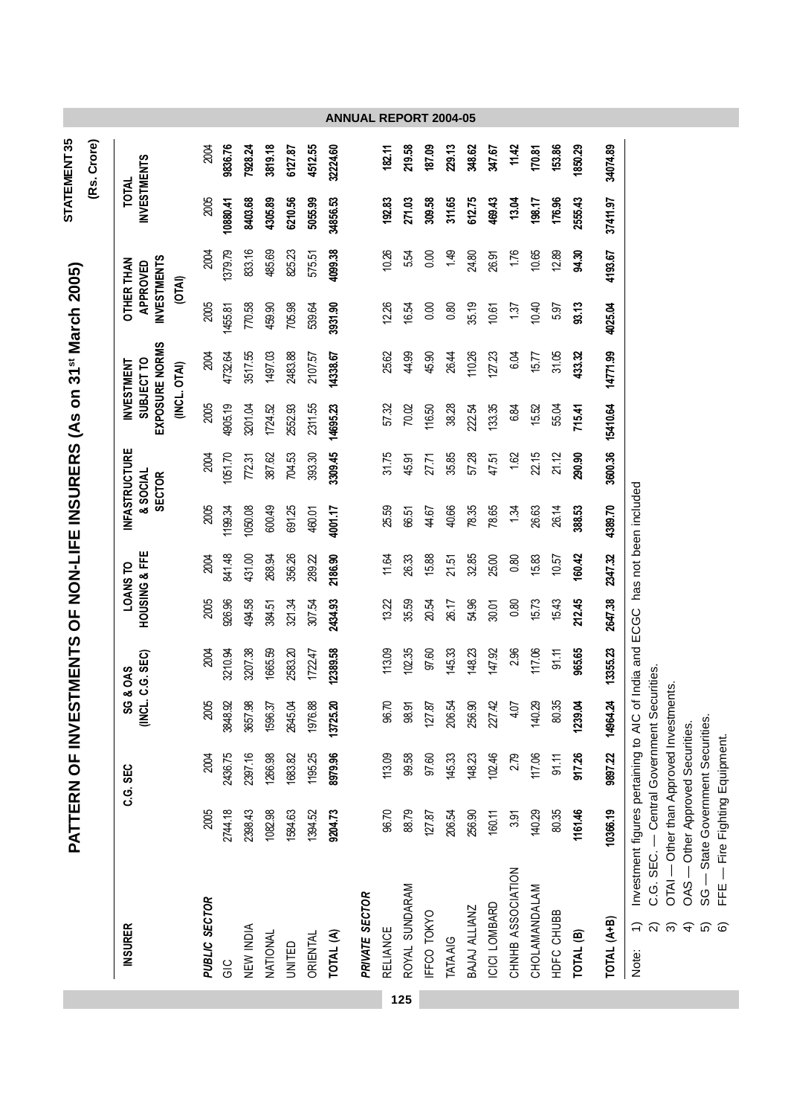|                                  |                                                                              | PATTERN OF INV |          | <b>ESTMENTS</b>              | $\overline{5}$ |                           |         |                                                  |          | NON-LIFE INSURERS (As on 31st March 2005)                         |         |                                                     |                                    | STATEMENT 35<br>(Rs. Crore) |
|----------------------------------|------------------------------------------------------------------------------|----------------|----------|------------------------------|----------------|---------------------------|---------|--------------------------------------------------|----------|-------------------------------------------------------------------|---------|-----------------------------------------------------|------------------------------------|-----------------------------|
| <b>INSURER</b>                   |                                                                              | C.G. SEC       |          | (INCL. C.G. SEC)<br>SG & OAS |                | HOUSING & FFE<br>LOANS TO |         | <b>NFASTRUCTURE</b><br>& SOCIAL<br><b>SECTOR</b> |          | EXPOSURE NORMS<br>SUBJECT TO<br><b>INVESTMENT</b><br>(INCL. OTAI) | (OTAI)  | <b>INVESTMENTS</b><br><b>OTHER THAN</b><br>APPROVED | <b>INVESTMENTS</b><br><b>TOTAL</b> |                             |
| PUBLIC SECTOR                    | 2005                                                                         | <b>2004</b>    | 2005     | 2004                         | 2005           | 2004                      | 2005    | 2004                                             | 2005     | 2004                                                              | 2005    | 2004                                                | 2005                               | 2004                        |
| $\frac{0}{0}$                    | 2744.18                                                                      | 2436.75        | 3848.92  | 3210.94                      | 926.96         | 841.48                    | 1199.34 | 1051.70                                          | 4905.19  | 4732.64                                                           | 1455.81 | 1379.79                                             | 10880.41                           | 9836.76                     |
| NEW INDIA                        | 2398.43                                                                      | 2397.16        | 3657.98  | 3207.38                      | 494.58         | 431.00                    | 1050.08 | 772.31                                           | 3201.04  | 3517.55                                                           | 770.58  | 833.16                                              | 8403.68                            | 7928.24                     |
| NATIONAL                         | 1082.98                                                                      | 1266.98        | 1596.37  | 1665.59                      | 384.51         | 268.94                    | 600.49  | 387.62                                           | 1724.52  | 1497.03                                                           | 459.90  | 485.69                                              | 4305.89                            | 3819.18                     |
| UNITED                           | 1584.63                                                                      | 1683.82        | 2645.04  | 2583.20                      | 321.34         | 356.26                    | 691.25  | 704.53                                           | 2552.93  | 2483.88                                                           | 705.98  | 825.23                                              | 6210.56                            | 6127.87                     |
| <b>ORIENTAL</b>                  | 1394.52                                                                      | 1195.25        | 1976.88  | 1722.47                      | 307.54         | 289.22                    | 460.01  | 393.30                                           | 2311.55  | 2107.57                                                           | 539.64  | 575.51                                              | 5055.99                            | 4512.55                     |
| TOTAL (A)                        | 9204.73                                                                      | 8979.96        | 13725.20 | 12389.58                     | 2434.93        | 2186.90                   | 4001.17 | 3309.45                                          | 14695.23 | 14338.67                                                          | 3931.90 | 4099.38                                             | 34856.53                           | 32224.60                    |
| PRIVATE SECTOR                   |                                                                              |                |          |                              |                |                           |         |                                                  |          |                                                                   |         |                                                     |                                    |                             |
| <b>RELIANCE</b>                  | 96.70                                                                        | 113.09         | 96.70    | 113.09                       | 13.22          | 11.64                     | 25.59   | 31.75                                            | 57.32    | 25.62                                                             | 12.26   | 10.26                                               | 192.83                             | 182.11                      |
| ROYAL SUNDARAM                   | 88.79                                                                        | 99.58          | 98.91    | 102.35                       | 35.59          | 26.33                     | 66.51   | 45.91                                            | 70.02    | 44.99                                                             | 16.54   | 5.54                                                | 271.03                             | 219.58                      |
| IFFCO TOKYO                      | 127.87                                                                       | 97.60          | 127.87   | 97.60                        | 20.54          | 15.88                     | 44.67   | 27.71                                            | 116.50   | 45.90                                                             | 0.00    | 0.00                                                | 309.58                             | 187.09                      |
| TATA AIG                         | 206.54                                                                       | 145.33         | 206.54   | 145.33                       | 26.17          | 21.51                     | 40.66   | 35.85                                            | 38.28    | 26.44                                                             | 0.80    | 1.49                                                | 311.65                             | 229.13                      |
| BAJAJ ALLIANZ                    | 256.90                                                                       | 148.23         | 256.90   | 148.23                       | 54.96          | 32.85                     | 78.35   | 57.28                                            | 22.54    | 110.26                                                            | 35.19   | 24.80                                               | 612.75                             | 348.62                      |
| ICICI LOMBARD                    | 160.11                                                                       | 102.46         | 227.42   | 147.92                       | 30.01          | 25.00                     | 78.65   | 47.51                                            | 133.35   | 127.23                                                            | 10.61   | 26.91                                               | 469.43                             | 347.67                      |
| CHNHB ASSOCIATION                | 3.91                                                                         | 2.79           | 4.07     | 2.96                         | 0.80           | 0.80                      | 1.34    | 1.62                                             | 6.84     | 6.04                                                              | 137     | 1.76                                                | 13.04                              | 11.42                       |
| CHOLAMANDALAM                    | 140.29                                                                       | 117.06         | 140.29   | 117.06                       | 15.73          | 15.83                     | 26.63   | 22.15                                            | 15.52    | 15.77                                                             | 10.40   | 10.65                                               | 198.17                             | 170.81                      |
| HDFC CHUBB                       | 80.35                                                                        | 91.11          | 80.35    | 91.11                        | 15.43          | 10.57                     | 26.14   | 21.12                                            | 55.04    | 31.05                                                             | 5.97    | 12.89                                               | 176.96                             | 153.86                      |
| TOTAL <sup>(B)</sup>             | 1161.46                                                                      | 917.26         | 1239.04  | 965.65                       | 212.45         | 160.42                    | 388.53  | 290.90                                           | 715.41   | 433.32                                                            | 93.13   | 94.30                                               | 2555.43                            | 1850.29                     |
| TOTAL (A+B)                      | 10366.19                                                                     | 9897.22        | 14964.24 | 13355.23                     | 2647.38        | 2347.32                   | 4389.70 | 3600.36                                          | 15410.64 | 14771.99                                                          | 4025.04 | 4193.67                                             | 37411.97                           | 34074.89                    |
| $\widehat{\mathcal{L}}$<br>Note: | Investment figures pertaining to AIC of India and ECGC has not been included |                |          |                              |                |                           |         |                                                  |          |                                                                   |         |                                                     |                                    |                             |

**125**

**ANNUAL REPORT 2004-05**

Investment figures pertaining to AIC of India and ECGC has not been included Note: 1) Investment figures pertaining to AIC of India and ECGC has not been included C.G. SEC. - Central Government Securities. 2) C.G. SEC. — Central Government Securities. 

OTAI — Other than Approved Investments. 3) OTAI — Other than Approved Investments.

OAS - Other Approved Securities. 4) OAS — Other Approved Securities.

SG — State Government Securities.<br>FFE — Fire Fighting Equipment. 5) SG — State Government Securities.

6) FFE — Fire Fighting Equipment.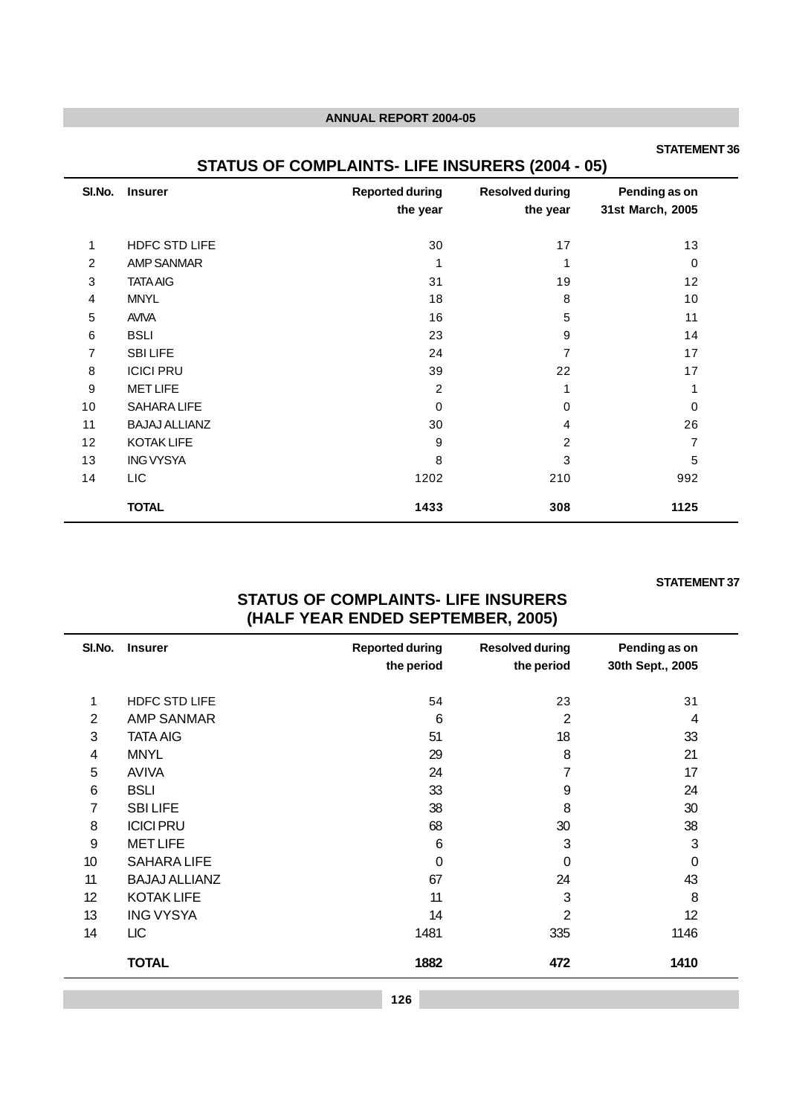#### **STATEMENT 36**

# **STATUS OF COMPLAINTS- LIFE INSURERS (2004 - 05)**

| SI.No.         | <b>Insurer</b>       | <b>Reported during</b><br>the year | <b>Resolved during</b><br>the year | Pending as on<br>31st March, 2005 |
|----------------|----------------------|------------------------------------|------------------------------------|-----------------------------------|
| 1              | <b>HDFC STD LIFE</b> | 30                                 | 17                                 | 13                                |
| 2              | <b>AMP SANMAR</b>    |                                    |                                    | 0                                 |
| 3              | <b>TATA AIG</b>      | 31                                 | 19                                 | 12                                |
| $\overline{4}$ | <b>MNYL</b>          | 18                                 | 8                                  | 10                                |
| 5              | <b>AVIVA</b>         | 16                                 | 5                                  | 11                                |
| $\,6$          | <b>BSLI</b>          | 23                                 | 9                                  | 14                                |
| 7              | <b>SBILIFE</b>       | 24                                 | 7                                  | 17                                |
| 8              | <b>ICICI PRU</b>     | 39                                 | 22                                 | 17                                |
| 9              | <b>MET LIFE</b>      | 2                                  |                                    | 1                                 |
| 10             | <b>SAHARA LIFE</b>   | 0                                  | 0                                  | 0                                 |
| 11             | <b>BAJAJ ALLIANZ</b> | 30                                 | 4                                  | 26                                |
| 12             | <b>KOTAK LIFE</b>    | 9                                  | 2                                  | 7                                 |
| 13             | <b>ING VYSYA</b>     | 8                                  | 3                                  | 5                                 |
| 14             | LIC                  | 1202                               | 210                                | 992                               |
|                | <b>TOTAL</b>         | 1433                               | 308                                | 1125                              |

### **STATEMENT 37**

# **STATUS OF COMPLAINTS- LIFE INSURERS (HALF YEAR ENDED SEPTEMBER, 2005)**

| SI.No.         | <b>Insurer</b>       | <b>Reported during</b><br>the period | <b>Resolved during</b><br>the period | Pending as on<br>30th Sept., 2005 |
|----------------|----------------------|--------------------------------------|--------------------------------------|-----------------------------------|
| 1              | <b>HDFC STD LIFE</b> | 54                                   | 23                                   | 31                                |
| $\overline{2}$ | <b>AMP SANMAR</b>    | 6                                    | $\overline{2}$                       | 4                                 |
| 3              | <b>TATA AIG</b>      | 51                                   | 18                                   | 33                                |
| 4              | <b>MNYL</b>          | 29                                   | 8                                    | 21                                |
| 5              | <b>AVIVA</b>         | 24                                   | 7                                    | 17                                |
| 6              | <b>BSLI</b>          | 33                                   | 9                                    | 24                                |
| 7              | <b>SBILIFE</b>       | 38                                   | 8                                    | 30                                |
| 8              | <b>ICICI PRU</b>     | 68                                   | 30                                   | 38                                |
| 9              | <b>MET LIFE</b>      | 6                                    | 3                                    | 3                                 |
| 10             | <b>SAHARA LIFE</b>   | $\Omega$                             | 0                                    | 0                                 |
| 11             | <b>BAJAJ ALLIANZ</b> | 67                                   | 24                                   | 43                                |
| 12             | <b>KOTAK LIFE</b>    | 11                                   | 3                                    | 8                                 |
| 13             | <b>ING VYSYA</b>     | 14                                   | $\overline{2}$                       | 12                                |
| 14             | <b>LIC</b>           | 1481                                 | 335                                  | 1146                              |
|                | <b>TOTAL</b>         | 1882                                 | 472                                  | 1410                              |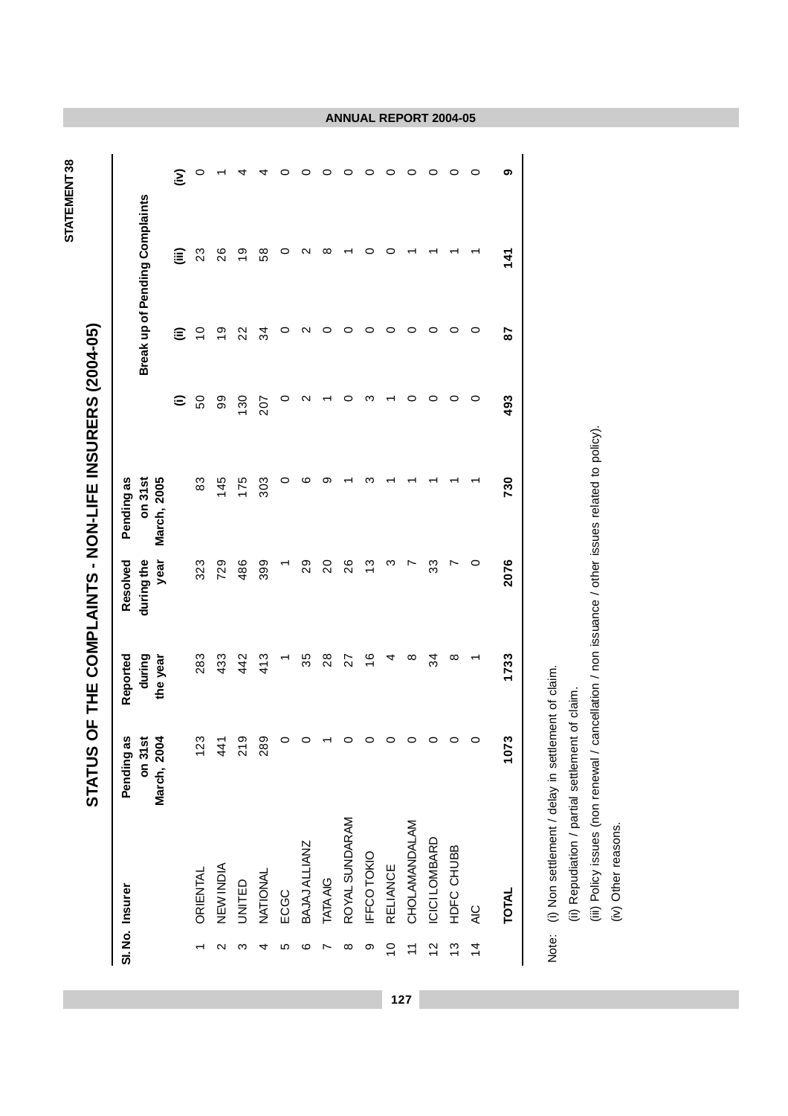| i<br><                                               |
|------------------------------------------------------|
|                                                      |
|                                                      |
|                                                      |
|                                                      |
|                                                      |
| <b>COLORING INTERNATIONAL COLORING COLORING</b><br>Ï |

**STATEMENT 38**

STATEMENT 38

|                    |                 | <b>STATUS</b>                    |                    |                        | OF THE COMPLAINTS - NON-LIFE INSURERS (2004-05) |                        |                |                                       |   |
|--------------------|-----------------|----------------------------------|--------------------|------------------------|-------------------------------------------------|------------------------|----------------|---------------------------------------|---|
|                    | SI. No. Insurer | <u>ທ</u><br>on 31st<br>Pending a | during<br>Reported | during the<br>Resolved | on 31st<br>Pending as                           |                        |                | <b>Break up of Pending Complaints</b> |   |
|                    |                 | 4<br>March, 200                  | the year           | year                   | March, 2005                                     | $\widehat{\mathbf{c}}$ | ε              | ⊜                                     | Ξ |
|                    | ORIENTAL        | ო<br>$\tilde{c}$                 | 283                | 323                    | 83                                              | 50                     | $\overline{C}$ | 23                                    | 0 |
| $\scriptstyle\sim$ | NEW INDIA       | $\frac{4}{4}$                    | 433                | 729                    | 145                                             | 99                     | $\frac{6}{1}$  | 26                                    |   |
| ო                  | UNITED          | თ<br>$\overline{2}$              | 442                | 486                    | 175                                             | 130                    | 22             | $\frac{6}{5}$                         |   |
| 4                  | <b>NATIONAL</b> | ග<br>$\frac{8}{2}$               | 413                | 399                    | 303                                             | 207                    | 34             | 58                                    |   |
| ю                  | ECGC            | o                                |                    |                        | 0                                               | 0                      | 0              |                                       |   |
| ဖ                  | BAJAJ ALLIANZ   | 0                                | 35                 | 29                     | ဖ                                               | ∾                      | N              |                                       | 0 |
|                    | <b>TATA AIG</b> |                                  | 28                 | $\overline{20}$        | တ                                               |                        | 0              | ∞                                     | 0 |
| ∞                  | ROYAL SUNDARAM  |                                  | 27                 | 26                     |                                                 | c                      | 0              |                                       | 0 |
| თ                  | IFFCOTOKIO      |                                  | $\frac{6}{1}$      | $\frac{3}{2}$          |                                                 | ო                      | 0              |                                       | o |
| $\frac{0}{1}$      | <b>RELIANCE</b> | 0                                | 4                  | ო                      |                                                 |                        | 0              |                                       | 0 |
| $\overline{1}$     | CHOLAMANDALAM   | 0                                | ∞                  |                        |                                                 | 0                      | 0              |                                       | 0 |
| $\frac{2}{3}$      | ICICI LOMBARD   | 0                                | 34                 | 33                     |                                                 | 0                      | 0              |                                       | 0 |
| $\frac{3}{2}$      | HDFC CHUBB      | 0                                | ∞                  |                        |                                                 | 0                      | 0              |                                       | 0 |
| $\frac{4}{4}$      | $rac{C}{4}$     | 0                                |                    | 0                      |                                                 | 0                      | 0              |                                       | 0 |
|                    | <b>TOTAL</b>    | ო<br>107                         | 1733               | 2076                   | 730                                             | 493                    | 28             | 141                                   | ග |
|                    |                 |                                  |                    |                        |                                                 |                        |                |                                       |   |

<sup>(</sup>i) Non settlement / delay in settlement of claim. Note: (i) Non settlement / delay in settlement of claim. Note:

(ii) Repudiation / partial settlement of claim.

(ii) Repudiation / partial settlement of claim.<br>(iii) Policy issues (non renewal / cancellation / non issuance / other issues related to policy).<br>(iv) Other reasons. (iii) Policy issues (non renewal / cancellation / non issuance / other issues related to policy).

(iv) Other reasons.

**ANNUAL REPORT 2004-05**

**127**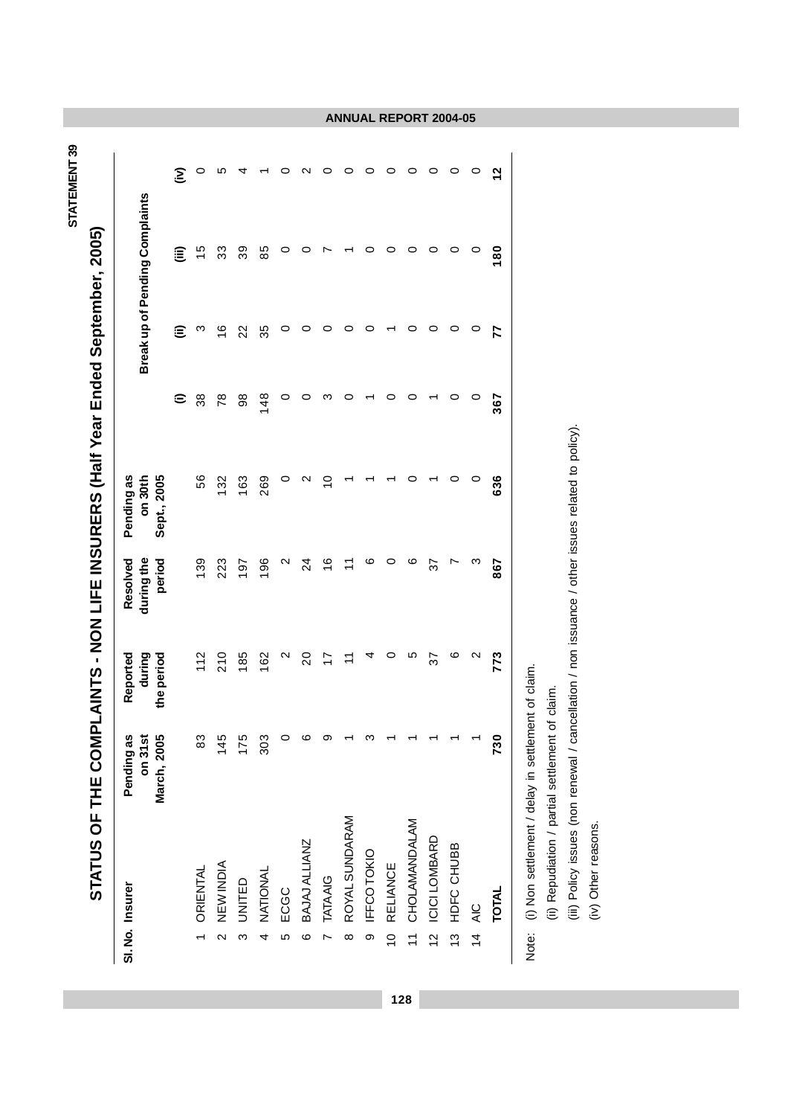| STATEMENT 39 |                                                                |
|--------------|----------------------------------------------------------------|
|              |                                                                |
|              |                                                                |
|              |                                                                |
|              |                                                                |
|              | ו 2005 -<br>ראמא י                                             |
|              |                                                                |
|              |                                                                |
|              |                                                                |
|              |                                                                |
|              |                                                                |
|              |                                                                |
|              |                                                                |
|              |                                                                |
|              |                                                                |
|              |                                                                |
|              |                                                                |
|              | <b>APLAINTS - NON LIFE INSURERS (Half Year Ended September</b> |
|              |                                                                |
|              |                                                                |
|              |                                                                |
|              |                                                                |
|              |                                                                |
|              |                                                                |
|              |                                                                |
|              |                                                                |
|              |                                                                |
|              |                                                                |
|              |                                                                |
|              |                                                                |
|              | i<br>č                                                         |
|              |                                                                |
|              | ロコト                                                            |
|              | ں<br>C                                                         |
|              |                                                                |
|              | <b>STATUS</b>                                                  |
|              |                                                                |
|              |                                                                |

|               | SI. No. Insurer  | Pending as<br>March, 2005<br>on <sub>31s</sub> | Reported<br>during<br>the period | during the<br>Resolved<br>period | Pending as<br>on 30th<br>Sept., 2005 |                     |               | Break up of Pending Complaints |         |
|---------------|------------------|------------------------------------------------|----------------------------------|----------------------------------|--------------------------------------|---------------------|---------------|--------------------------------|---------|
|               |                  |                                                |                                  |                                  |                                      | $\widehat{\cdot}$   | ε             | ε                              | Ξ       |
|               | <b>ORIENTAL</b>  | జ                                              | 112                              | 139                              | 56                                   | 38                  | ო             | $\frac{5}{2}$                  | O       |
| $\sim$        | <b>NEW INDIA</b> | 145                                            | 210                              | 223                              | 132                                  | 78                  | $\frac{6}{1}$ | 33                             | ю       |
| က             | UNITED           | 175                                            | 185                              | 197                              | 163                                  | $_{\rm 98}^{\rm 8}$ | 22            | 39                             | 4       |
| 4             | NATIONAL         | 303                                            | 162                              | 196                              | 269                                  | 148                 | 35            | 85                             |         |
| Ю             | ECGC             |                                                | N                                | $\mathsf{\alpha}$                | 0                                    | 0                   | 0             | 0                              | 0       |
| $\circ$       | BAJAJ ALLIANZ    |                                                | $\overline{c}$                   | $^{24}$                          | N                                    | 0                   | 0             | 0                              | N       |
|               | <b>TATAAIG</b>   |                                                | $\overline{1}$                   | $\frac{6}{1}$                    | S                                    | ო                   | 0             |                                | 0       |
| $\infty$      | ROYAL SUNDARAM   |                                                | $\div$                           | $\tilde{+}$                      |                                      | $\circ$             | 0             |                                | 0       |
| ၜ             | IFFCOTOKIO       |                                                | 4                                | ဖ                                |                                      |                     | 0             | 0                              | 0       |
| $\frac{1}{2}$ | <b>RELIANCE</b>  |                                                | 0                                | 0                                |                                      | 0                   |               | 0                              | 0       |
| $\frac{1}{2}$ | CHOLAMANDALAM    |                                                | ഥ                                | ဖ                                |                                      | 0                   | 0             | 0                              | 0       |
| $\frac{2}{3}$ | ICICI LOMBARD    |                                                | 22                               | 22                               |                                      |                     | 0             | 0                              | 0       |
| <u>ო</u>      | HDFC CHUBB       |                                                | ဖ                                | Ņ                                |                                      | 0                   | 0             | $\circ$                        | $\circ$ |
|               | 14 AIC           |                                                | $\mathbf{\Omega}$                | ო                                | 0                                    | 0                   | 0             | 0                              | $\circ$ |
|               | <b>TOTAL</b>     | 730                                            | 773                              | 867                              | 636                                  | 367                 | 77            | $\frac{80}{1}$                 | ี       |
|               |                  |                                                |                                  |                                  |                                      |                     |               |                                |         |

# **ANNUAL REPORT 2004-05**

Note: (i) Non settlement / delay in settlement of claim. Note: (i) Non settlement / delay in settlement of claim.

**128**

(ii) Repudiation / partial settlement of claim.

(ii) Repudiation / partial settlement of claim.<br>(iii) Policy issues (non renewal / cancellation / non issuance / other issues related to policy).<br>(iv) Other reasons. (iii) Policy issues (non renewal / cancellation / non issuance / other issues related to policy).

(iv) Other reasons.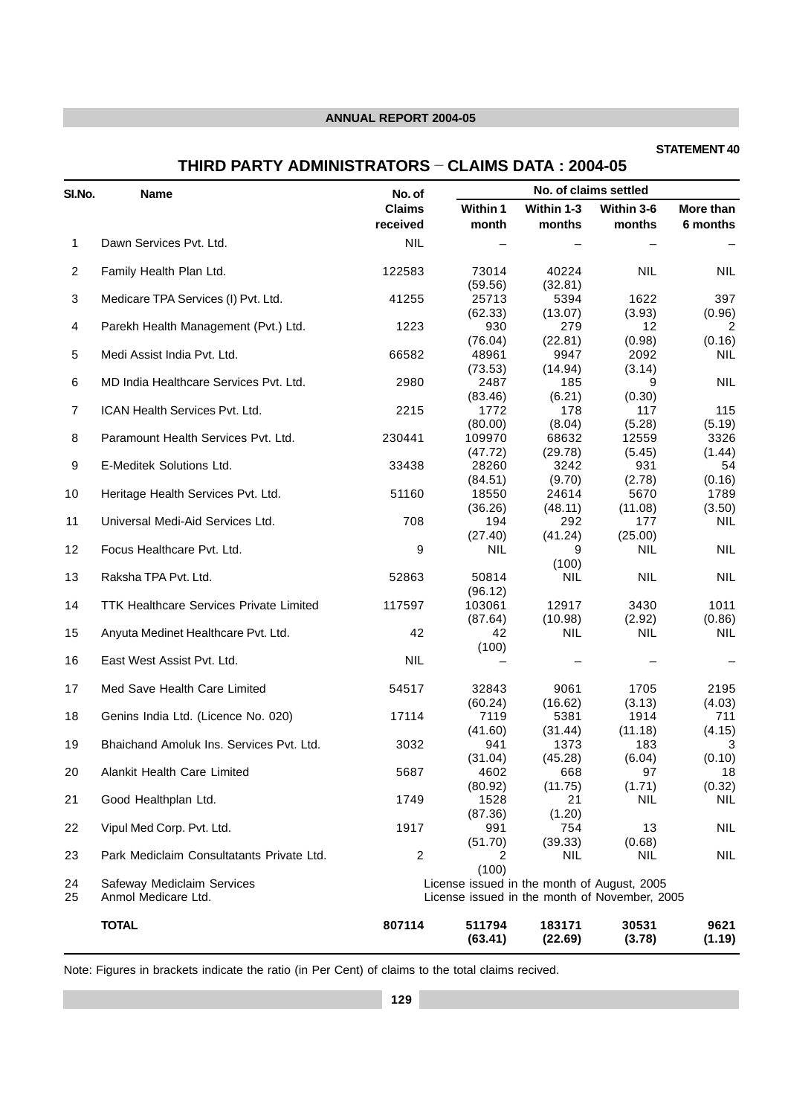# **STATEMENT 40**

# **THIRD PARTY ADMINISTRATORS - CLAIMS DATA : 2004-05**

| SI.No.         | <b>Name</b>                                       | No. of         |                                             |                   | No. of claims settled                         |                |
|----------------|---------------------------------------------------|----------------|---------------------------------------------|-------------------|-----------------------------------------------|----------------|
|                |                                                   | <b>Claims</b>  | Within 1                                    | Within 1-3        | Within 3-6                                    | More than      |
|                |                                                   | received       | month                                       | months            | months                                        | 6 months       |
| 1              | Dawn Services Pvt. Ltd.                           | <b>NIL</b>     |                                             |                   |                                               |                |
| $\overline{2}$ | Family Health Plan Ltd.                           | 122583         | 73014                                       | 40224             | <b>NIL</b>                                    | <b>NIL</b>     |
| 3              | Medicare TPA Services (I) Pvt. Ltd.               | 41255          | (59.56)<br>25713                            | (32.81)<br>5394   | 1622                                          | 397            |
| 4              | Parekh Health Management (Pvt.) Ltd.              | 1223           | (62.33)<br>930                              | (13.07)<br>279    | (3.93)<br>12                                  | (0.96)<br>2    |
| 5              | Medi Assist India Pvt. Ltd.                       | 66582          | (76.04)<br>48961                            | (22.81)<br>9947   | (0.98)<br>2092                                | (0.16)<br>NIL. |
| 6              | MD India Healthcare Services Pvt. Ltd.            | 2980           | (73.53)<br>2487                             | (14.94)<br>185    | (3.14)<br>9                                   | NIL            |
| $\overline{7}$ | ICAN Health Services Pvt. Ltd.                    | 2215           | (83.46)<br>1772                             | (6.21)<br>178     | (0.30)<br>117                                 | 115            |
| 8              | Paramount Health Services Pvt. Ltd.               | 230441         | (80.00)<br>109970                           | (8.04)<br>68632   | (5.28)<br>12559                               | (5.19)<br>3326 |
| 9              | E-Meditek Solutions Ltd.                          | 33438          | (47.72)<br>28260                            | (29.78)<br>3242   | (5.45)<br>931                                 | (1.44)<br>54   |
|                |                                                   |                | (84.51)                                     | (9.70)            | (2.78)                                        | (0.16)         |
| 10             | Heritage Health Services Pvt. Ltd.                | 51160          | 18550                                       | 24614             | 5670                                          | 1789           |
| 11             | Universal Medi-Aid Services Ltd.                  | 708            | (36.26)<br>194                              | (48.11)<br>292    | (11.08)<br>177                                | (3.50)<br>NIL. |
| 12             | Focus Healthcare Pvt. Ltd.                        | 9              | (27.40)<br><b>NIL</b>                       | (41.24)<br>9      | (25.00)<br><b>NIL</b>                         | <b>NIL</b>     |
| 13             | Raksha TPA Pvt. Ltd.                              | 52863          | 50814                                       | (100)<br>NIL.     | <b>NIL</b>                                    | NIL            |
|                |                                                   |                | (96.12)                                     |                   |                                               |                |
| 14             | <b>TTK Healthcare Services Private Limited</b>    | 117597         | 103061<br>(87.64)                           | 12917<br>(10.98)  | 3430<br>(2.92)                                | 1011<br>(0.86) |
| 15             | Anyuta Medinet Healthcare Pvt. Ltd.               | 42             | 42<br>(100)                                 | NIL.              | <b>NIL</b>                                    | NIL.           |
| 16             | East West Assist Pvt. Ltd.                        | <b>NIL</b>     |                                             |                   |                                               |                |
| 17             | Med Save Health Care Limited                      | 54517          | 32843                                       | 9061              | 1705                                          | 2195           |
| 18             | Genins India Ltd. (Licence No. 020)               | 17114          | (60.24)<br>7119                             | (16.62)<br>5381   | (3.13)<br>1914                                | (4.03)<br>711  |
| 19             | Bhaichand Amoluk Ins. Services Pvt. Ltd.          | 3032           | (41.60)<br>941                              | (31.44)<br>1373   | (11.18)<br>183                                | (4.15)<br>3    |
| 20             | Alankit Health Care Limited                       | 5687           | (31.04)<br>4602                             | (45.28)<br>668    | (6.04)<br>97                                  | (0.10)<br>18   |
|                |                                                   |                | (80.92)                                     | (11.75)           | (1.71)                                        | (0.32)         |
| 21             | Good Healthplan Ltd.                              | 1749           | 1528<br>(87.36)                             | 21<br>(1.20)      | <b>NIL</b>                                    | NIL.           |
| 22             | Vipul Med Corp. Pvt. Ltd.                         | 1917           | 991<br>(51.70)                              | 754<br>(39.33)    | 13<br>(0.68)                                  | NIL            |
| 23             | Park Mediclaim Consultatants Private Ltd.         | $\overline{2}$ | 2<br>(100)                                  | NIL               | <b>NIL</b>                                    | <b>NIL</b>     |
| 24<br>25       | Safeway Mediclaim Services<br>Anmol Medicare Ltd. |                | License issued in the month of August, 2005 |                   | License issued in the month of November, 2005 |                |
|                | <b>TOTAL</b>                                      | 807114         | 511794<br>(63.41)                           | 183171<br>(22.69) | 30531<br>(3.78)                               | 9621<br>(1.19) |

Note: Figures in brackets indicate the ratio (in Per Cent) of claims to the total claims recived.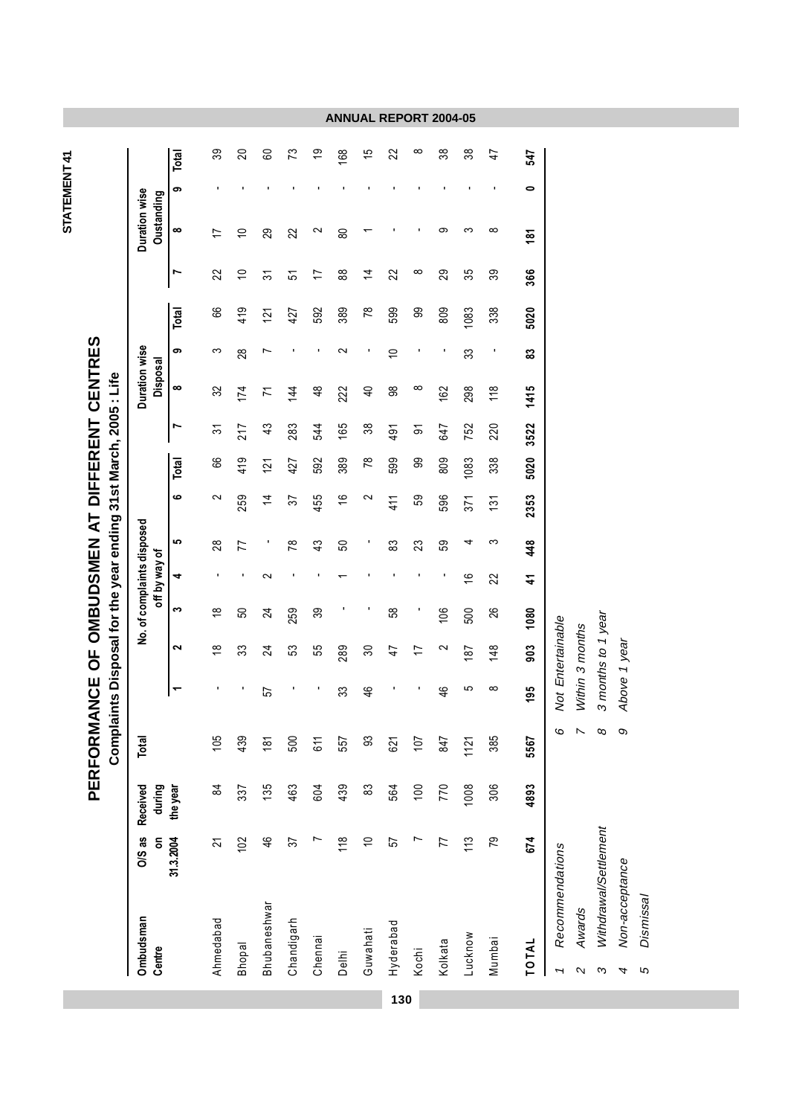| ۳ |  |
|---|--|
|   |  |
|   |  |
|   |  |
|   |  |
|   |  |
|   |  |

PERFORMANCE OF OMBUDSMEN AT DIFFERENT CENTRES **PERFORMANCE OF OMBUDSMEN AT DIFFERENT CENTRES**

|                                     |                |                    |                           | Complaints Disposal for the year ending 31st March, 2005 : Life |                    |                            |               |                 |                |                 |                |                           |               |                 |                |                             |           |               |
|-------------------------------------|----------------|--------------------|---------------------------|-----------------------------------------------------------------|--------------------|----------------------------|---------------|-----------------|----------------|-----------------|----------------|---------------------------|---------------|-----------------|----------------|-----------------------------|-----------|---------------|
| Ombudsman<br>Centre                 | O/S as<br>g    | during<br>Received | Total                     |                                                                 |                    | No. of complaints disposed | off by way of |                 |                |                 |                | Duration wise<br>Disposal |               |                 |                | Duration wise<br>Oustanding |           |               |
|                                     | 31.3.2004      | the year           |                           | ↽                                                               | $\mathbf{\Omega}$  | S                          | 4             | မာ              | ဖ              | Total           | Ľ              | ∞                         | တ             | Total           | Ľ              | ထ                           | တ         | Total         |
| Ahmedabad                           | 2              | \$                 | 105                       | ı                                                               | $\frac{8}{1}$      | $\frac{8}{1}$              | J.            | 28              | $\sim$         | 89              | స్             | 32                        | S             | 89              | 22             |                             |           | 39            |
| <b>Bhopal</b>                       | 102            | 337                | 439                       | ٠                                                               | 33                 | 50                         | ×             | 77              | 259            | 419             | 217            | 174                       | 28            | 419             | $\overline{C}$ | $\overline{C}$              |           | 20            |
| Bhubaneshwar                        | 46             | 135                | $\frac{18}{1}$            | 57                                                              | $\overline{24}$    | $\overline{2}$             | $\sim$        |                 | $\overline{4}$ | 121             | 43             | 71                        | Ľ             | $\overline{21}$ | 57             | 29                          |           | 60            |
| Chandigarh                          | 57             | 463                | 500                       |                                                                 | S3                 | 259                        |               | $\overline{78}$ | 57             | 427             | 283            | $\frac{44}{3}$            |               | 427             | 5              | 22                          |           | 73            |
| Chennai                             |                | 604                | 611                       | л                                                               | 55                 | 39                         |               | 43              | 455            | 592             | 544            | $\frac{8}{4}$             | л             | 592             | $\overline{1}$ | $\sim$                      |           | <u>ღ</u>      |
| Delhi                               | 118            | 439                | 557                       | 33                                                              | 289                |                            |               | 50              | $\frac{6}{1}$  | 389             | 165            | 222                       | N             | 389             | 88             | 80                          |           | 89            |
| Guwahati                            | $\overline{C}$ | 83                 | 33                        | 46                                                              | 30                 |                            |               |                 | 2              | $\overline{78}$ | 38             | $\overline{4}$            |               | $\overline{78}$ | $\overline{4}$ |                             |           | $\frac{5}{3}$ |
| Hyderabad                           | 57             | 564                | 621                       |                                                                 | $\ddot{4}$         | 58                         |               | 83              | 411            | 599             | 491            | 88                        | $\Rightarrow$ | 599             | 22             |                             |           | 22            |
| Kochi                               | Ľ              | 100                | 107                       |                                                                 | 17                 |                            |               | 23              | 59             | 8               | $\overline{5}$ | ∞                         |               | ဓွ              | $\infty$       |                             |           | $\infty$      |
| Kolkata                             | 77             | 770                | 847                       | $\frac{4}{6}$                                                   | 2                  | 106                        | ı             | 59              | 596            | 809             | 647            | 162                       | ٠             | 809             | 29             | တ                           |           | 38            |
| Lucknow                             | 113            | 1008               | $1121$                    | 5                                                               | 187                | 500                        | $\frac{6}{5}$ | 4               | 371            | 1083            | 752            | 298                       | 33            | 1083            | 35             | ო                           |           | 38            |
| Mumbai                              | 79             | 306                | 385                       | $\infty$                                                        | 148                | 26                         | 22            | က               | 131            | 338             | 220            | 118                       |               | 338             | 39             | $\infty$                    |           | 47            |
| TOTAL                               | 674            | 4893               | 5567                      | 195                                                             | 903                | 1080                       | 4             | 448             | 2353           | 5020            | 3522           | 1415                      | 33            | 5020            | 366            | $\frac{5}{2}$               | $\bullet$ | 547           |
| Recommendations<br>T                |                |                    | 6                         |                                                                 | Not Entertainable  |                            |               |                 |                |                 |                |                           |               |                 |                |                             |           |               |
| Awards<br>$\boldsymbol{\mathsf{N}}$ |                |                    | $\boldsymbol{\mathsf{N}}$ |                                                                 | Within 3 months    |                            |               |                 |                |                 |                |                           |               |                 |                |                             |           |               |
| Withdrawal/Settlement<br>S          |                |                    | $\infty$                  |                                                                 | 3 months to 1 year |                            |               |                 |                |                 |                |                           |               |                 |                |                             |           |               |
| Non-acceptance<br>4                 |                |                    | $\infty$                  | Above 1 year                                                    |                    |                            |               |                 |                |                 |                |                           |               |                 |                |                             |           |               |
| Dismissal<br>5                      |                |                    |                           |                                                                 |                    |                            |               |                 |                |                 |                |                           |               |                 |                |                             |           |               |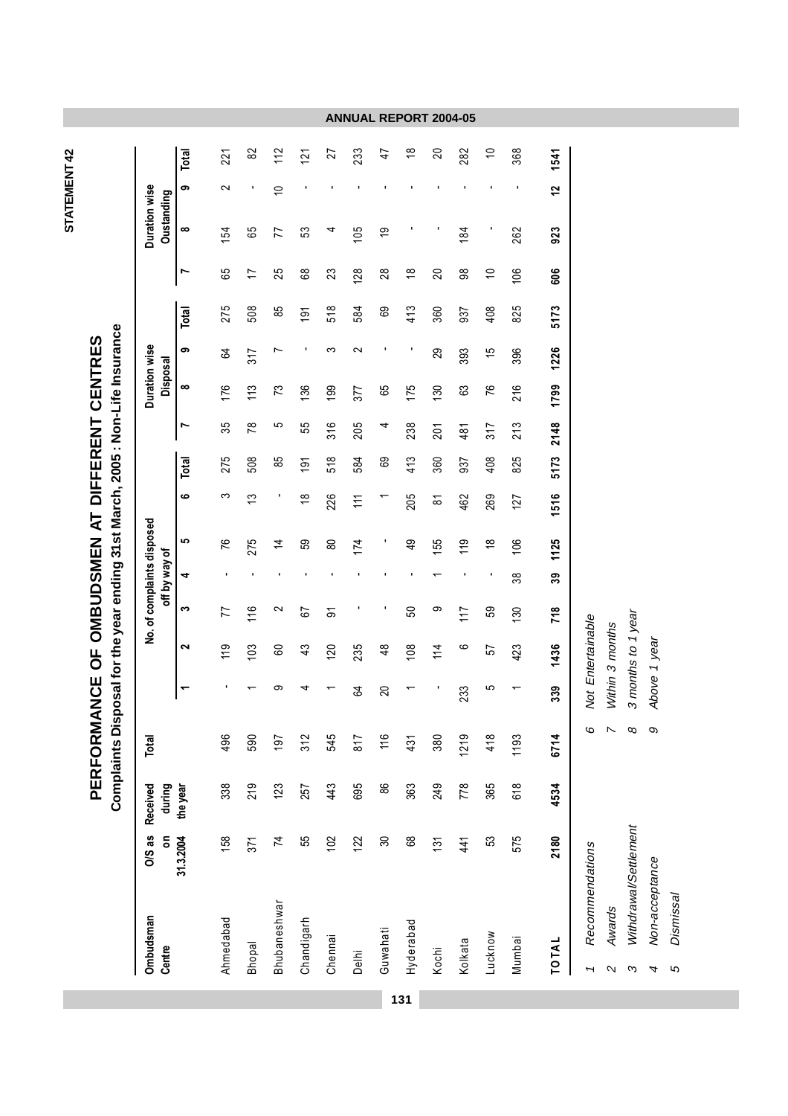| Ξ |  |
|---|--|
|   |  |

Complaints Disposal for the year ending 31st March, 2005 : Non-Life Insurance **Complaints Disposal for the year ending 31st March, 2005 : Non-Life Insurance** PERFORMANCE OF OMBUDSMEN AT DIFFERENT CENTRES **PERFORMANCE OF OMBUDSMEN AT DIFFERENT CENTRES**

 $82$  $112$ 233  $\frac{8}{1}$  $\overline{20}$ 282  $\overline{C}$ 368 1541 221  $\overline{21}$ 27  $\ddot{+}$ = Bappal 17 371 371 376 13 326 326 326 326 13 326 327 327 327 328 329 13 327 327 328 329 14 329 14 329 14 329 14 eshwar 74 123 197 9 9 9 9 85 5 73 7 85 7 75 77 10 112 > > 0elhi 122 695 817 64 235 - 111 584 205 377 2 584 128 105 - 233 '6 , > > > > > A9 > > > > H!, > > > H!(; 
 > > !6 > > > Mumbai 575 618 618 1193 1 423 196 106 127 825 213 216 306 825 106 262 - 368 101AL 2180 4534 6714 339 1436 718 39 1125 1516 5173 2148 17<u>99</u> 1726 5173 606 923 12 1541 Ahmedabad 158 158 158 119 77 - 76 3 275 35 176 64 275 65 154 221 - , > > > **1**<br> **1**<br> **1**<br> **1**<br> **1**<br> **1**<br> **1**<br> **1** ക  $\sim$ 12  $\overline{C}$ **Se Oustanding** <u>**1**</u> **a**<br>**a**<br>**1** 105 923  $\infty$ ഉ 154 65  $\overline{7}$ 53 184 262 م<br>الا M 65 25 89 88 106 606 **C0 C C**  $\overline{1}$ 23 **28** 28  $\frac{8}{1}$  $\infty$  $\Rightarrow$ Total 5173 275 508  $518$ 413 85  $\overline{9}$ 584 69 360  $408$ 825 937 **1**<br> **8**<br> **1**<br> **1**<br> **2**<br> **8 Duration wise** ക  $\infty$  $\sim$ 1226  $64$  $317$  $\overline{ }$ 29 393  $\frac{5}{1}$ 396 Disposal **21** Disposa 1799  $\infty$ 176  $113$ 175  $130$ 216  $\mathcal{L}$ 377 76 136 199 65 63 disposed Dura 316 205 238  $213$ 5173 2148 N 35  $\overline{78}$ မာ 55 4  $201$  $481$  $317$ 413 408 Total 275 508 85 518 584 89 360 937 825  $\overline{9}$ **b c 1 c 2 c 3 c c c c c c** o  $\infty$  $\overline{c}$  $\frac{\infty}{\infty}$ 226 205 462 269 1516  $\overline{11}$  $\overline{\infty}$  $127$ 1125 မာ 76 275  $174$  $\frac{9}{4}$ 55  $119$  $\frac{8}{1}$ 106  $\overline{4}$ 59  $80$ **C-E** *<u>ints</u>*  $39$  $\rightarrow$ 38 **/E** compla **Centre b5D** 718  $\tilde{\mathbf{c}}$ 77  $16$  $\sim$ 67 50  $\circ$  $117$ 59  $\overline{5}$  $130$ 3 months to 1 year 3 Withdrawal/Settlement 8 3 months to 1 year Not Entertainable 'চ 1 Recommendations 6 Not Entertainable Within 3 months 2 Awards 7 Within 3 months **2**<br> **2**<br> **2** Above 1 year 4 Non-acceptance 9 Above 1 year  $119$ 235 1436  $\sim$  $103$  $\frac{3}{4}$ 120  $\frac{8}{3}$  $\overline{08}$  $114$  $\circ$ 423 60 57 o: c 339 233  $\mathfrak{g}$  $\overline{20}$  $\infty$  $\infty$  $\overline{N}$  $\infty$ Total **219** 1193 6714 496 590  $312$ 545 817 418 197  $116$ 380  $\frac{5}{3}$ Received Tota during 219 **23** 257 443 695 88 363 249 778 365 618 4534 Received 338 **E0-31.3.2004** the Withdrawal/Settlement 2180 31.3.2004 55  $\Omega$  $\infty$ 89  $\frac{4}{4}$ 575 58  $371$  $\overline{z}$  $122$  $\overline{5}$ 53 **-**  Recommendations **2**<br>**2**<br>**2**<br>**2** Non-acceptance **Dismissal** 5 Dismissal **3hubaneshwar** Awards **Ombudsman** Ahmedabad Chandigarh Hyderabad Ombudsma Guwahati ucknow Mumbai Kolkata TOTAL **Bhopal** Centre Kochi Chenn Delhi  $\mathfrak{c}$  $\mathbf{\Omega}$  $\infty$ 4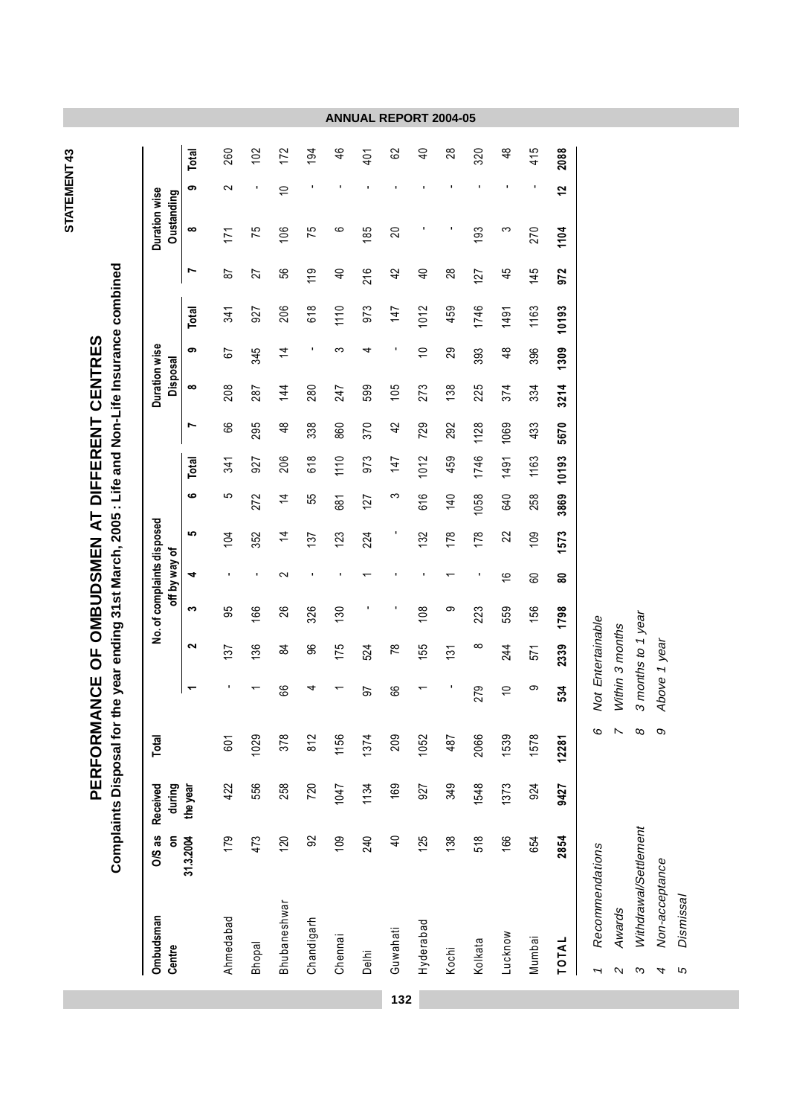| ٦ |  |
|---|--|
|   |  |
|   |  |

Complaints Disposal for the year ending 31st March, 2005 : Life and Non-Life Insurance combined **Complaints Disposal for the year ending 31st March, 2005 : Life and Non-Life Insurance combined** PERFORMANCE OF OMBUDSMEN AT DIFFERENT CENTRES **PERFORMANCE OF OMBUDSMEN AT DIFFERENT CENTRES**

**ANNUAL REPORT 2004-05**

**132**

4 Non-acceptance 9 Above 1 year

5 Dismissal

 $\mathfrak{g}$ 

Dismissal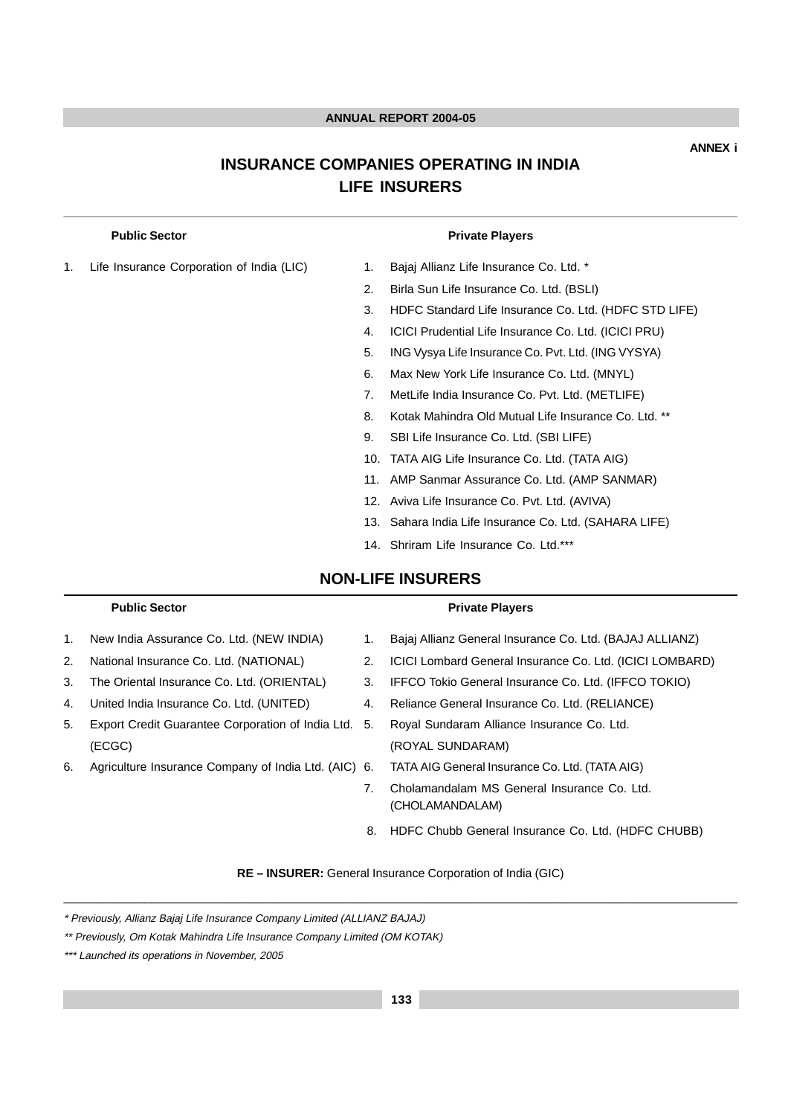# **INSURANCE COMPANIES OPERATING IN INDIA LIFE INSURERS**

**\_\_\_\_\_\_\_\_\_\_\_\_\_\_\_\_\_\_\_\_\_\_\_\_\_\_\_\_\_\_\_\_\_\_\_\_\_\_\_\_\_\_\_\_\_\_\_\_\_\_\_\_\_\_\_\_\_\_\_\_\_\_\_\_\_\_\_\_\_\_\_\_\_\_\_\_\_\_\_\_\_\_\_\_\_\_\_\_\_\_\_\_\_\_\_\_\_\_\_\_**

1. Life Insurance Corporation of India (LIC) 1. Bajaj Allianz Life Insurance Co. Ltd. \*

#### **Public Sector Public Sector Private Players**

- 
- 2. Birla Sun Life Insurance Co. Ltd. (BSLI)
- 3. HDFC Standard Life Insurance Co. Ltd. (HDFC STD LIFE)
- 4. ICICI Prudential Life Insurance Co. Ltd. (ICICI PRU)
- 5. ING Vysya Life Insurance Co. Pvt. Ltd. (ING VYSYA)
- 6. Max New York Life Insurance Co. Ltd. (MNYL)
- 7. MetLife India Insurance Co. Pvt. Ltd. (METLIFE)
- 8. Kotak Mahindra Old Mutual Life Insurance Co. Ltd. \*\*
- 9. SBI Life Insurance Co. Ltd. (SBI LIFE)
- 10. TATA AIG Life Insurance Co. Ltd. (TATA AIG)
- 11. AMP Sanmar Assurance Co. Ltd. (AMP SANMAR)
- 12. Aviva Life Insurance Co. Pvt. Ltd. (AVIVA)
- 13. Sahara India Life Insurance Co. Ltd. (SAHARA LIFE)
- 14. Shriram Life Insurance Co. Ltd.\*\*\*

# **NON-LIFE INSURERS**

#### Public Sector **Public Sector Private Players**

- 
- 
- 
- 
- 5. Export Credit Guarantee Corporation of India Ltd. 5. Royal Sundaram Alliance Insurance Co. Ltd. (ECGC) (ROYAL SUNDARAM)
- 
- 1. New India Assurance Co. Ltd. (NEW INDIA) 1. Bajaj Allianz General Insurance Co. Ltd. (BAJAJ ALLIANZ)
- 2. National Insurance Co. Ltd. (NATIONAL) 2. ICICI Lombard General Insurance Co. Ltd. (ICICI LOMBARD)
- 3. The Oriental Insurance Co. Ltd. (ORIENTAL) 3. IFFCO Tokio General Insurance Co. Ltd. (IFFCO TOKIO)
- 4. United India Insurance Co. Ltd. (UNITED) 4. Reliance General Insurance Co. Ltd. (RELIANCE)
	-
- 6. Agriculture Insurance Company of India Ltd. (AIC) 6. TATA AIG General Insurance Co. Ltd. (TATA AIG)
	- 7. Cholamandalam MS General Insurance Co. Ltd. (CHOLAMANDALAM)
	- 8. HDFC Chubb General Insurance Co. Ltd. (HDFC CHUBB)

**RE – INSURER:** General Insurance Corporation of India (GIC) \_\_\_\_\_\_\_\_\_\_\_\_\_\_\_\_\_\_\_\_\_\_\_\_\_\_\_\_\_\_\_\_\_\_\_\_\_\_\_\_\_\_\_\_\_\_\_\_\_\_\_\_\_\_\_\_\_\_\_\_\_\_\_\_\_\_\_\_\_\_\_\_\_\_\_\_\_\_\_\_\_\_\_\_\_\_\_\_\_\_\_\_\_\_\_\_\_\_\_\_

<sup>\*</sup> Previously, Allianz Bajaj Life Insurance Company Limited (ALLIANZ BAJAJ)

<sup>\*\*</sup> Previously, Om Kotak Mahindra Life Insurance Company Limited (OM KOTAK)

<sup>\*\*\*</sup> Launched its operations in November, 2005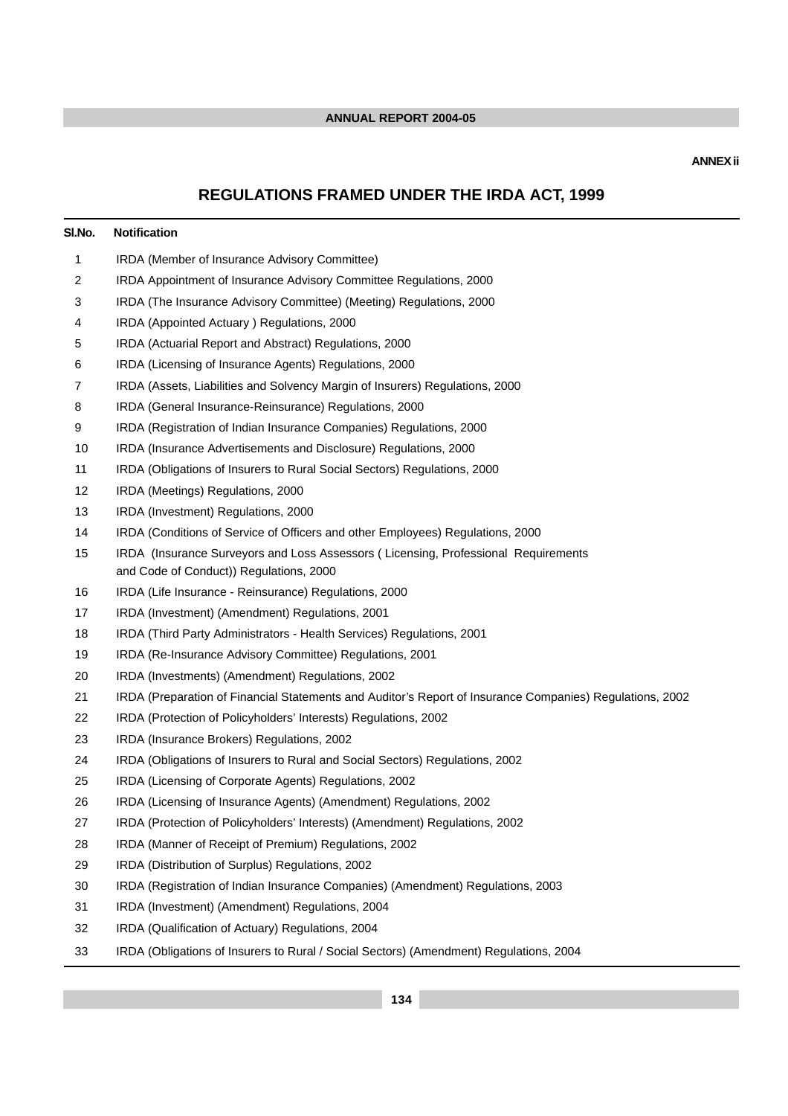### **ANNEX ii**

# **REGULATIONS FRAMED UNDER THE IRDA ACT, 1999**

| SI.No. | <b>Notification</b>                                                                                                           |
|--------|-------------------------------------------------------------------------------------------------------------------------------|
| 1      | IRDA (Member of Insurance Advisory Committee)                                                                                 |
| 2      | IRDA Appointment of Insurance Advisory Committee Regulations, 2000                                                            |
| 3      | IRDA (The Insurance Advisory Committee) (Meeting) Regulations, 2000                                                           |
| 4      | IRDA (Appointed Actuary) Regulations, 2000                                                                                    |
| 5      | IRDA (Actuarial Report and Abstract) Regulations, 2000                                                                        |
| 6      | IRDA (Licensing of Insurance Agents) Regulations, 2000                                                                        |
| 7      | IRDA (Assets, Liabilities and Solvency Margin of Insurers) Regulations, 2000                                                  |
| 8      | IRDA (General Insurance-Reinsurance) Regulations, 2000                                                                        |
| 9      | IRDA (Registration of Indian Insurance Companies) Regulations, 2000                                                           |
| 10     | IRDA (Insurance Advertisements and Disclosure) Regulations, 2000                                                              |
| 11     | IRDA (Obligations of Insurers to Rural Social Sectors) Regulations, 2000                                                      |
| 12     | IRDA (Meetings) Regulations, 2000                                                                                             |
| 13     | IRDA (Investment) Regulations, 2000                                                                                           |
| 14     | IRDA (Conditions of Service of Officers and other Employees) Regulations, 2000                                                |
| 15     | IRDA (Insurance Surveyors and Loss Assessors (Licensing, Professional Requirements<br>and Code of Conduct)) Regulations, 2000 |
| 16     | IRDA (Life Insurance - Reinsurance) Regulations, 2000                                                                         |
| 17     | IRDA (Investment) (Amendment) Regulations, 2001                                                                               |
| 18     | IRDA (Third Party Administrators - Health Services) Regulations, 2001                                                         |
| 19     | IRDA (Re-Insurance Advisory Committee) Regulations, 2001                                                                      |
| 20     | IRDA (Investments) (Amendment) Regulations, 2002                                                                              |
| 21     | IRDA (Preparation of Financial Statements and Auditor's Report of Insurance Companies) Regulations, 2002                      |
| 22     | IRDA (Protection of Policyholders' Interests) Regulations, 2002                                                               |
| 23     | IRDA (Insurance Brokers) Regulations, 2002                                                                                    |
| 24     | IRDA (Obligations of Insurers to Rural and Social Sectors) Regulations, 2002                                                  |
| 25     | IRDA (Licensing of Corporate Agents) Regulations, 2002                                                                        |
| 26     | IRDA (Licensing of Insurance Agents) (Amendment) Regulations, 2002                                                            |
| 27     | IRDA (Protection of Policyholders' Interests) (Amendment) Regulations, 2002                                                   |
| 28     | IRDA (Manner of Receipt of Premium) Regulations, 2002                                                                         |
| 29     | IRDA (Distribution of Surplus) Regulations, 2002                                                                              |
| 30     | IRDA (Registration of Indian Insurance Companies) (Amendment) Regulations, 2003                                               |
| 31     | IRDA (Investment) (Amendment) Regulations, 2004                                                                               |
| 32     | IRDA (Qualification of Actuary) Regulations, 2004                                                                             |
| 33     | IRDA (Obligations of Insurers to Rural / Social Sectors) (Amendment) Regulations, 2004                                        |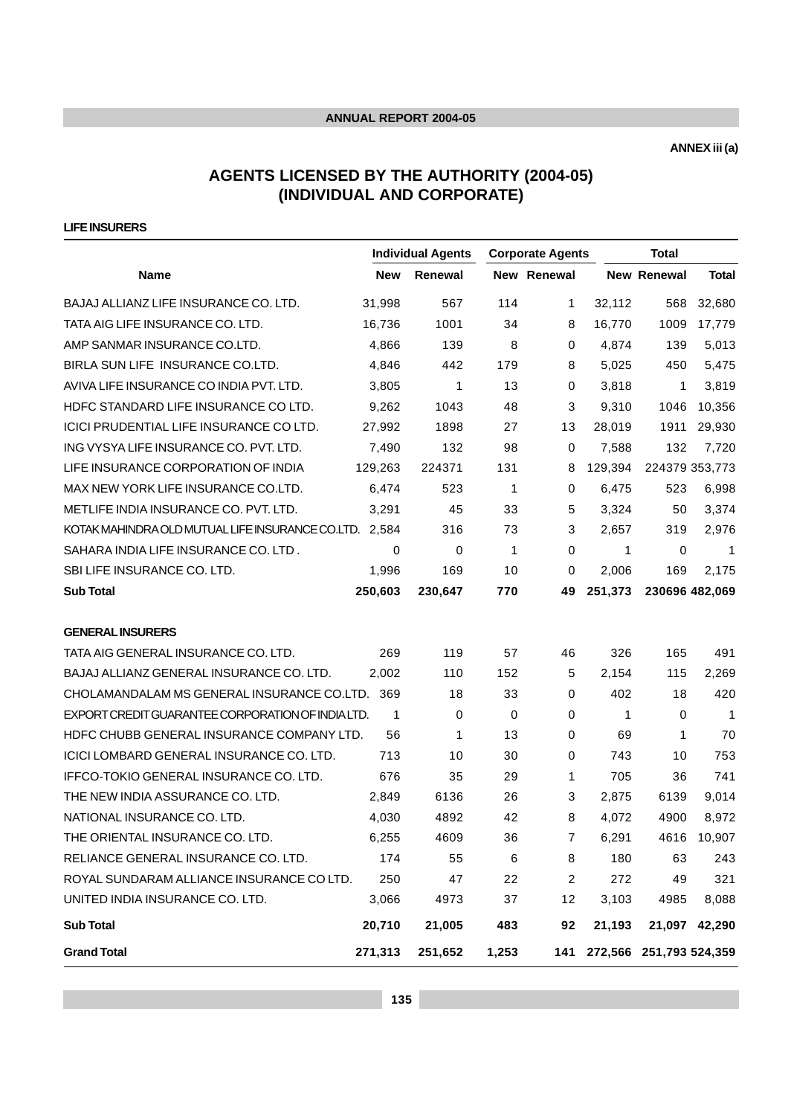**ANNEX iii (a)**

# **AGENTS LICENSED BY THE AUTHORITY (2004-05) (INDIVIDUAL AND CORPORATE)**

**LIFE INSURERS**

|                                                        | <b>Individual Agents</b> |         |       | <b>Corporate Agents</b> |         | <b>Total</b>            |                |
|--------------------------------------------------------|--------------------------|---------|-------|-------------------------|---------|-------------------------|----------------|
| <b>Name</b>                                            | <b>New</b>               | Renewal |       | New Renewal             |         | New Renewal             | <b>Total</b>   |
| BAJAJ ALLIANZ LIFE INSURANCE CO. LTD.                  | 31,998                   | 567     | 114   | 1                       | 32,112  | 568                     | 32,680         |
| TATA AIG LIFE INSURANCE CO. LTD.                       | 16,736                   | 1001    | 34    | 8                       | 16,770  | 1009                    | 17,779         |
| AMP SANMAR INSURANCE CO.LTD.                           | 4,866                    | 139     | 8     | 0                       | 4,874   | 139                     | 5,013          |
| BIRLA SUN LIFE INSURANCE CO.LTD.                       | 4,846                    | 442     | 179   | 8                       | 5,025   | 450                     | 5,475          |
| AVIVA LIFE INSURANCE CO INDIA PVT. LTD.                | 3,805                    | 1       | 13    | 0                       | 3,818   | $\mathbf{1}$            | 3,819          |
| HDFC STANDARD LIFE INSURANCE CO LTD.                   | 9,262                    | 1043    | 48    | 3                       | 9.310   | 1046                    | 10,356         |
| ICICI PRUDENTIAL LIFE INSURANCE CO LTD.                | 27,992                   | 1898    | 27    | 13                      | 28,019  | 1911                    | 29,930         |
| ING VYSYA LIFE INSURANCE CO. PVT. LTD.                 | 7,490                    | 132     | 98    | 0                       | 7,588   | 132                     | 7,720          |
| LIFE INSURANCE CORPORATION OF INDIA                    | 129,263                  | 224371  | 131   | 8                       | 129,394 | 224379 353,773          |                |
| MAX NEW YORK LIFE INSURANCE CO.LTD.                    | 6,474                    | 523     | 1     | 0                       | 6,475   | 523                     | 6,998          |
| METLIFE INDIA INSURANCE CO. PVT. LTD.                  | 3,291                    | 45      | 33    | 5                       | 3,324   | 50                      | 3,374          |
| KOTAK MAHINDRA OLD MUTUAL LIFE INSURANCE CO.LTD. 2,584 |                          | 316     | 73    | 3                       | 2,657   | 319                     | 2,976          |
| SAHARA INDIA LIFE INSURANCE CO. LTD.                   | 0                        | 0       | 1     | $\mathbf 0$             | 1       | 0                       | 1              |
| SBI LIFE INSURANCE CO. LTD.                            | 1,996                    | 169     | 10    | $\mathbf 0$             | 2,006   | 169                     | 2,175          |
| <b>Sub Total</b>                                       | 250,603                  | 230,647 | 770   | 49                      | 251,373 |                         | 230696 482,069 |
| <b>GENERAL INSURERS</b>                                |                          |         |       |                         |         |                         |                |
| TATA AIG GENERAL INSURANCE CO. LTD.                    | 269                      | 119     | 57    | 46                      | 326     | 165                     | 491            |
| BAJAJ ALLIANZ GENERAL INSURANCE CO. LTD.               | 2,002                    | 110     | 152   | 5                       | 2,154   | 115                     | 2,269          |
| CHOLAMANDALAM MS GENERAL INSURANCE CO.LTD. 369         |                          | 18      | 33    | 0                       | 402     | 18                      | 420            |
| EXPORT CREDIT GUARANTEE CORPORATION OF INDIA LTD.      | 1                        | 0       | 0     | 0                       | 1       | 0                       | 1              |
| HDFC CHUBB GENERAL INSURANCE COMPANY LTD.              | 56                       | 1       | 13    | 0                       | 69      | 1                       | 70             |
| ICICI LOMBARD GENERAL INSURANCE CO. LTD.               | 713                      | 10      | 30    | 0                       | 743     | 10                      | 753            |
| IFFCO-TOKIO GENERAL INSURANCE CO. LTD.                 | 676                      | 35      | 29    | 1                       | 705     | 36                      | 741            |
| THE NEW INDIA ASSURANCE CO. LTD.                       | 2,849                    | 6136    | 26    | 3                       | 2,875   | 6139                    | 9,014          |
| NATIONAL INSURANCE CO. LTD.                            | 4,030                    | 4892    | 42    | 8                       | 4,072   | 4900                    | 8,972          |
| THE ORIENTAL INSURANCE CO. LTD.                        | 6,255                    | 4609    | 36    | 7                       | 6,291   | 4616                    | 10,907         |
| RELIANCE GENERAL INSURANCE CO. LTD.                    | 174                      | 55      | 6     | 8                       | 180     | 63                      | 243            |
| ROYAL SUNDARAM ALLIANCE INSURANCE CO LTD.              | 250                      | 47      | 22    | 2                       | 272     | 49                      | 321            |
| UNITED INDIA INSURANCE CO. LTD.                        | 3,066                    | 4973    | 37    | 12                      | 3,103   | 4985                    | 8,088          |
| <b>Sub Total</b>                                       | 20,710                   | 21,005  | 483   | 92                      | 21,193  | 21,097                  | 42,290         |
| <b>Grand Total</b>                                     | 271,313                  | 251,652 | 1,253 | 141                     |         | 272,566 251,793 524,359 |                |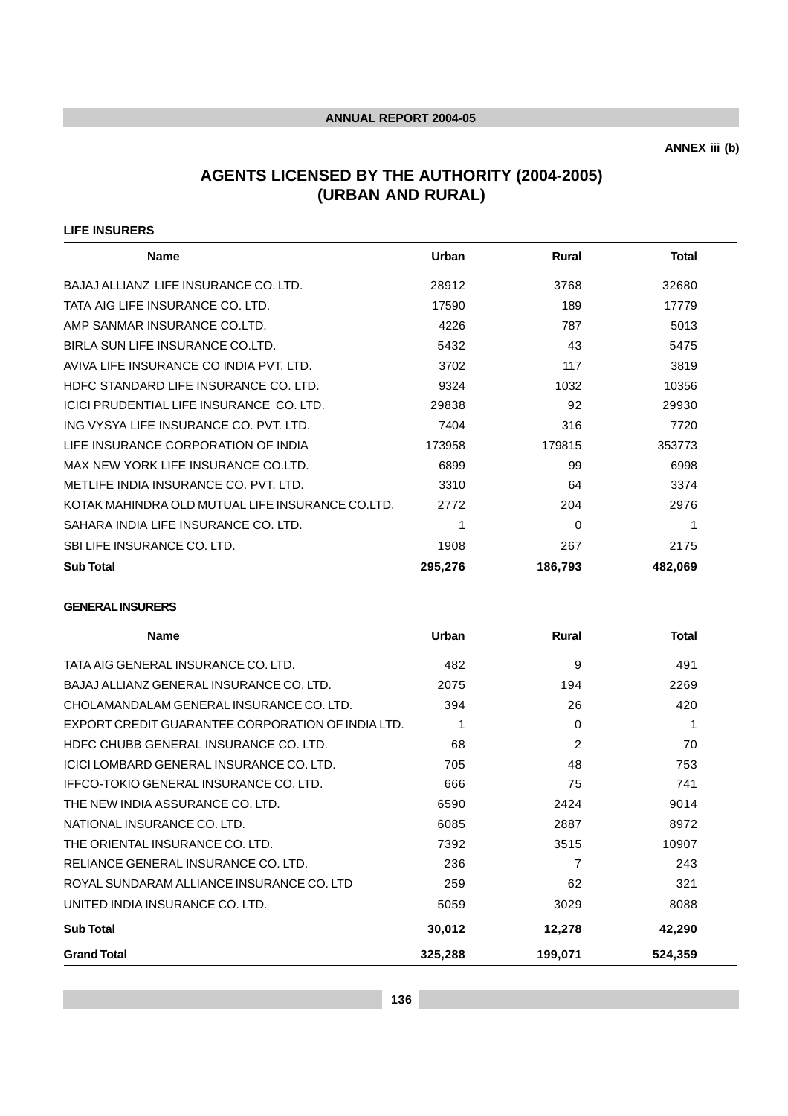**ANNEX iii (b)**

# **AGENTS LICENSED BY THE AUTHORITY (2004-2005) (URBAN AND RURAL)**

#### **LIFE INSURERS**

| <b>Name</b>                                      | Urban   | <b>Rural</b> | Total   |  |
|--------------------------------------------------|---------|--------------|---------|--|
| BAJAJ ALLIANZ LIFE INSURANCE CO. LTD.            | 28912   | 3768         | 32680   |  |
| TATA AIG LIFE INSURANCE CO. LTD.                 | 17590   | 189          | 17779   |  |
| AMP SANMAR INSURANCE CO.LTD.                     | 4226    | 787          | 5013    |  |
| BIRLA SUN LIFE INSURANCE CO.LTD.                 | 5432    | 43           | 5475    |  |
| AVIVA LIFE INSURANCE CO INDIA PVT. LTD.          | 3702    | 117          | 3819    |  |
| HDFC STANDARD LIFE INSURANCE CO. LTD.            | 9324    | 1032         | 10356   |  |
| ICICI PRUDENTIAL LIFE INSURANCE CO. LTD.         | 29838   | 92           | 29930   |  |
| ING VYSYA LIFE INSURANCE CO. PVT. LTD.           | 7404    | 316          | 7720    |  |
| LIFE INSURANCE CORPORATION OF INDIA              | 173958  | 179815       | 353773  |  |
| MAX NEW YORK LIFE INSURANCE CO.LTD.              | 6899    | 99           | 6998    |  |
| METLIFE INDIA INSURANCE CO. PVT. LTD.            | 3310    | 64           | 3374    |  |
| KOTAK MAHINDRA OLD MUTUAL LIFE INSURANCE CO.LTD. | 2772    | 204          | 2976    |  |
| SAHARA INDIA LIFE INSURANCE CO. LTD.             | 1       | $\Omega$     | 1       |  |
| SBI LIFE INSURANCE CO. LTD.                      | 1908    | 267          | 2175    |  |
| <b>Sub Total</b>                                 | 295,276 | 186,793      | 482,069 |  |

#### **GENERAL INSURERS**

| <b>Name</b>                                       | Urban   | <b>Rural</b> | <b>Total</b> |
|---------------------------------------------------|---------|--------------|--------------|
| TATA AIG GENERAL INSURANCE CO. LTD.               | 482     | 9            | 491          |
| BAJAJ ALLIANZ GENERAL INSURANCE CO. LTD.          | 2075    | 194          | 2269         |
| CHOLAMANDALAM GENERAL INSURANCE CO. LTD.          | 394     | 26           | 420          |
| EXPORT CREDIT GUARANTEE CORPORATION OF INDIA LTD. |         | $\Omega$     |              |
| HDFC CHUBB GENERAL INSURANCE CO. LTD.             | 68      | 2            | 70           |
| ICICI LOMBARD GENERAL INSURANCE CO. LTD.          | 705     | 48           | 753          |
| IFFCO-TOKIO GENERAL INSURANCE CO. LTD.            | 666     | 75           | 741          |
| THE NEW INDIA ASSURANCE CO. LTD.                  | 6590    | 2424         | 9014         |
| NATIONAL INSURANCE CO. LTD.                       | 6085    | 2887         | 8972         |
| THE ORIENTAL INSURANCE CO. LTD.                   | 7392    | 3515         | 10907        |
| RELIANCE GENERAL INSURANCE CO. LTD.               | 236     | 7            | 243          |
| ROYAL SUNDARAM ALLIANCE INSURANCE CO. LTD         | 259     | 62           | 321          |
| UNITED INDIA INSURANCE CO. LTD.                   | 5059    | 3029         | 8088         |
| <b>Sub Total</b>                                  | 30,012  | 12,278       | 42,290       |
| <b>Grand Total</b>                                | 325,288 | 199,071      | 524,359      |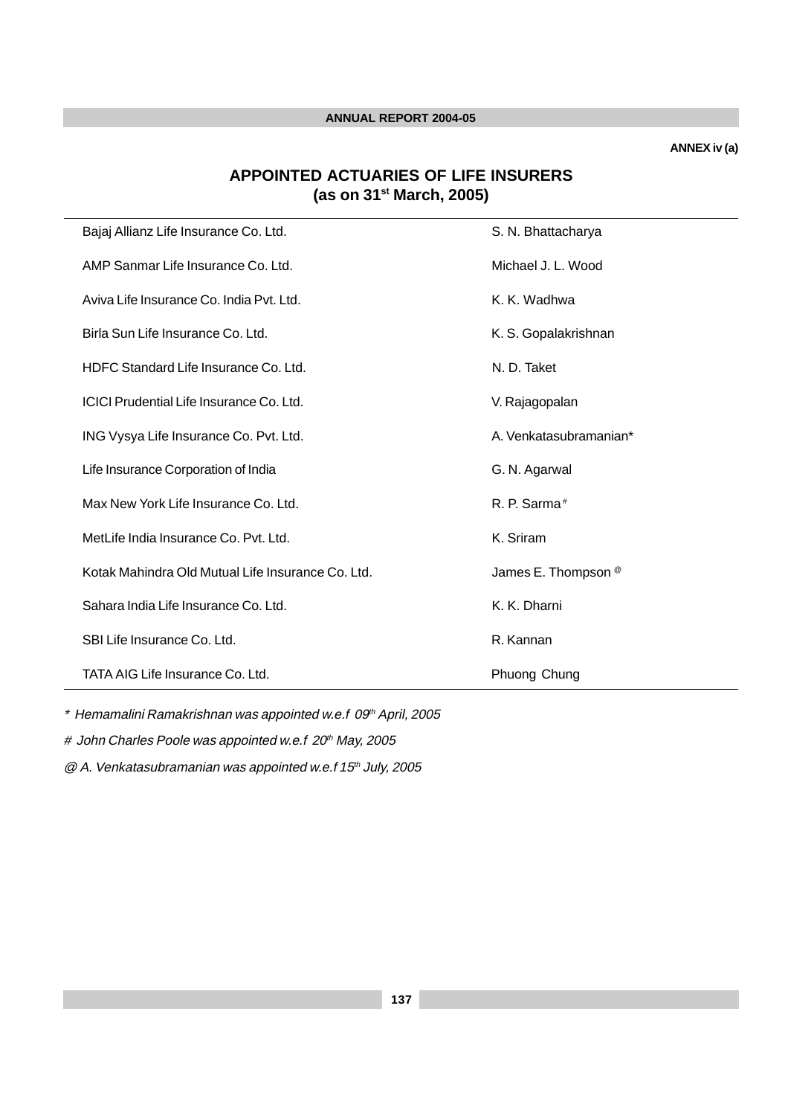**ANNEX iv (a)**

# **APPOINTED ACTUARIES OF LIFE INSURERS (as on 31st March, 2005)**

| Bajaj Allianz Life Insurance Co. Ltd.             | S. N. Bhattacharya             |
|---------------------------------------------------|--------------------------------|
| AMP Sanmar Life Insurance Co. Ltd.                | Michael J. L. Wood             |
| Aviva Life Insurance Co. India Pvt. Ltd.          | K. K. Wadhwa                   |
| Birla Sun Life Insurance Co. Ltd.                 | K. S. Gopalakrishnan           |
| HDFC Standard Life Insurance Co. Ltd.             | N. D. Taket                    |
| ICICI Prudential Life Insurance Co. Ltd.          | V. Rajagopalan                 |
| ING Vysya Life Insurance Co. Pvt. Ltd.            | A. Venkatasubramanian*         |
| Life Insurance Corporation of India               | G. N. Agarwal                  |
| Max New York Life Insurance Co. Ltd.              | R. P. Sarma <sup>#</sup>       |
| MetLife India Insurance Co. Pyt. Ltd.             | K. Sriram                      |
| Kotak Mahindra Old Mutual Life Insurance Co. Ltd. | James E. Thompson <sup>@</sup> |
| Sahara India Life Insurance Co. Ltd.              | K. K. Dharni                   |
| SBI Life Insurance Co. Ltd.                       | R. Kannan                      |
| TATA AIG Life Insurance Co. Ltd.                  | Phuong Chung                   |

 $*$  Hemamalini Ramakrishnan was appointed w.e.f 09<sup>th</sup> April, 2005

# John Charles Poole was appointed w.e.f 20<sup>th</sup> May, 2005

 $@A.$  Venkatasubramanian was appointed w.e.f 15<sup>th</sup> July, 2005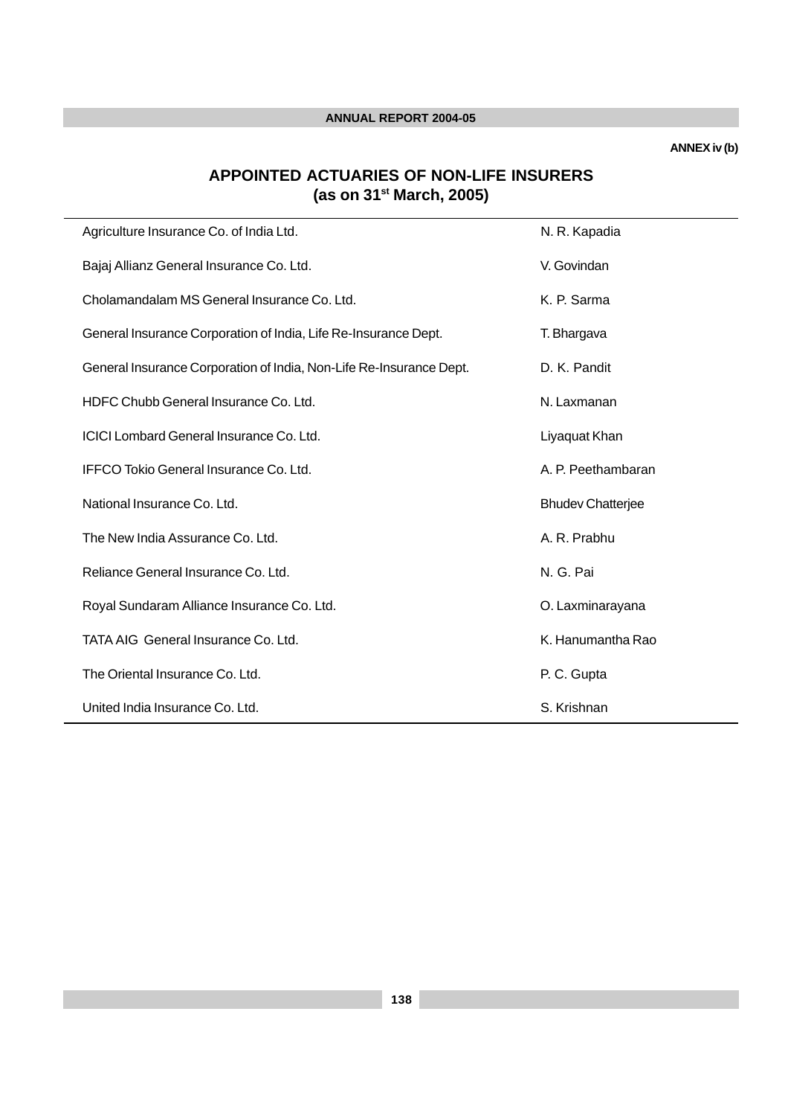**ANNEX iv (b)**

# **APPOINTED ACTUARIES OF NON-LIFE INSURERS (as on 31st March, 2005)**

| Agriculture Insurance Co. of India Ltd.                             | N. R. Kapadia            |
|---------------------------------------------------------------------|--------------------------|
| Bajaj Allianz General Insurance Co. Ltd.                            | V. Govindan              |
| Cholamandalam MS General Insurance Co. Ltd.                         | K. P. Sarma              |
| General Insurance Corporation of India, Life Re-Insurance Dept.     | T. Bhargava              |
| General Insurance Corporation of India, Non-Life Re-Insurance Dept. | D. K. Pandit             |
| HDFC Chubb General Insurance Co. Ltd.                               | N. Laxmanan              |
| ICICI Lombard General Insurance Co. Ltd.                            | Liyaquat Khan            |
| IFFCO Tokio General Insurance Co. Ltd.                              | A. P. Peethambaran       |
| National Insurance Co. Ltd.                                         | <b>Bhudev Chatterjee</b> |
| The New India Assurance Co. Ltd.                                    | A. R. Prabhu             |
| Reliance General Insurance Co. Ltd.                                 | N. G. Pai                |
| Royal Sundaram Alliance Insurance Co. Ltd.                          | O. Laxminarayana         |
| TATA AIG General Insurance Co. Ltd.                                 | K. Hanumantha Rao        |
| The Oriental Insurance Co. Ltd.                                     | P. C. Gupta              |
| United India Insurance Co. Ltd.                                     | S. Krishnan              |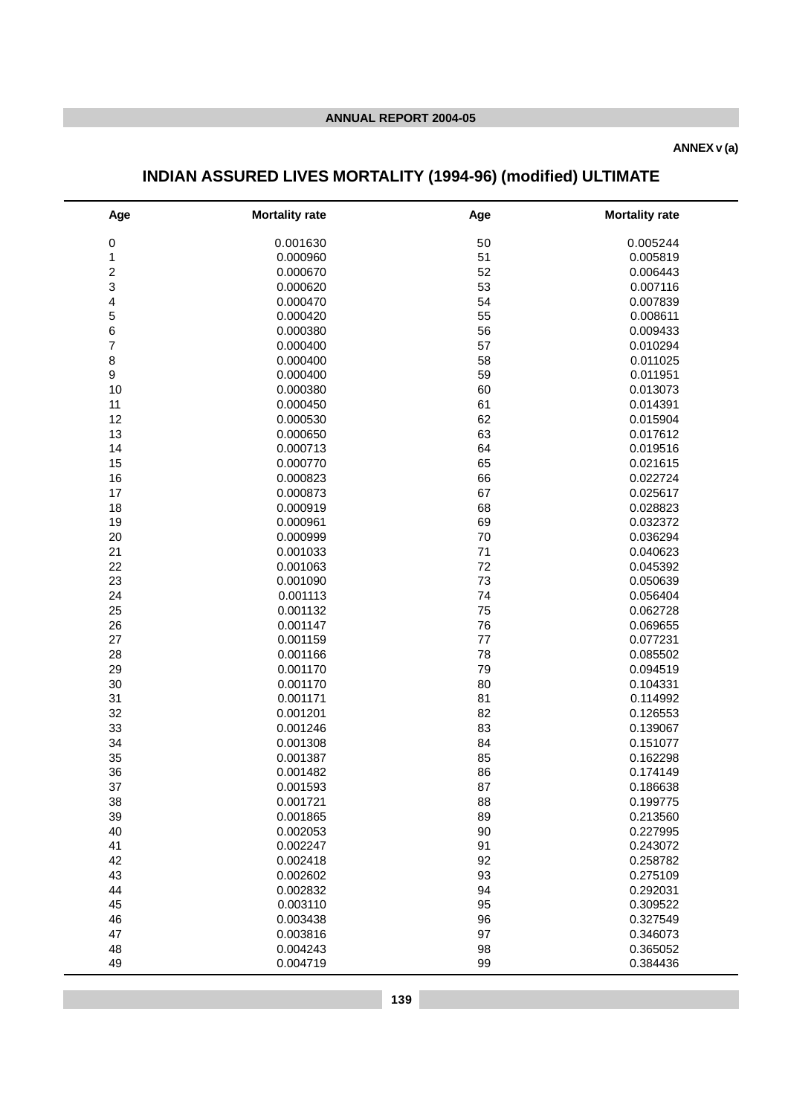#### **ANNEX v (a)**

# **INDIAN ASSURED LIVES MORTALITY (1994-96) (modified) ULTIMATE**

| Age                     | <b>Mortality rate</b> | Age | <b>Mortality rate</b> |
|-------------------------|-----------------------|-----|-----------------------|
| $\pmb{0}$               | 0.001630              | 50  | 0.005244              |
| $\mathbf 1$             | 0.000960              | 51  | 0.005819              |
| $\overline{\mathbf{c}}$ | 0.000670              | 52  | 0.006443              |
| 3                       | 0.000620              | 53  | 0.007116              |
| 4                       | 0.000470              | 54  | 0.007839              |
| 5                       | 0.000420              | 55  | 0.008611              |
| 6                       | 0.000380              | 56  | 0.009433              |
| 7                       | 0.000400              | 57  | 0.010294              |
| 8                       | 0.000400              | 58  | 0.011025              |
| 9                       | 0.000400              | 59  | 0.011951              |
| 10                      | 0.000380              | 60  | 0.013073              |
| 11                      | 0.000450              | 61  | 0.014391              |
| 12                      | 0.000530              | 62  | 0.015904              |
| 13                      | 0.000650              | 63  | 0.017612              |
| 14                      | 0.000713              | 64  | 0.019516              |
| 15                      | 0.000770              | 65  | 0.021615              |
| 16                      | 0.000823              | 66  | 0.022724              |
| 17                      | 0.000873              | 67  | 0.025617              |
| 18                      | 0.000919              | 68  | 0.028823              |
| 19                      | 0.000961              | 69  | 0.032372              |
| 20                      | 0.000999              | 70  | 0.036294              |
| 21                      | 0.001033              | 71  | 0.040623              |
| 22                      | 0.001063              | 72  | 0.045392              |
| 23                      | 0.001090              | 73  | 0.050639              |
| 24                      | 0.001113              | 74  | 0.056404              |
| 25                      | 0.001132              | 75  | 0.062728              |
| 26                      | 0.001147              | 76  | 0.069655              |
| 27                      | 0.001159              | 77  | 0.077231              |
| 28                      | 0.001166              | 78  | 0.085502              |
| 29                      | 0.001170              | 79  | 0.094519              |
| 30                      | 0.001170              | 80  | 0.104331              |
| 31                      | 0.001171              | 81  | 0.114992              |
| 32                      | 0.001201              | 82  | 0.126553              |
| 33                      | 0.001246              | 83  | 0.139067              |
| 34                      | 0.001308              | 84  | 0.151077              |
| 35                      | 0.001387              | 85  | 0.162298              |
| 36                      | 0.001482              | 86  | 0.174149              |
| 37                      | 0.001593              | 87  | 0.186638              |
| 38                      | 0.001721              | 88  | 0.199775              |
| 39                      | 0.001865              | 89  | 0.213560              |
| 40                      | 0.002053              | 90  | 0.227995              |
| 41                      | 0.002247              | 91  | 0.243072              |
| 42                      | 0.002418              | 92  | 0.258782              |
| 43                      | 0.002602              | 93  | 0.275109              |
| 44                      | 0.002832              | 94  | 0.292031              |
| 45                      | 0.003110              | 95  | 0.309522              |
| 46                      | 0.003438              | 96  | 0.327549              |
| 47                      | 0.003816              | 97  | 0.346073              |
| 48                      | 0.004243              | 98  | 0.365052              |
| 49                      | 0.004719              | 99  | 0.384436              |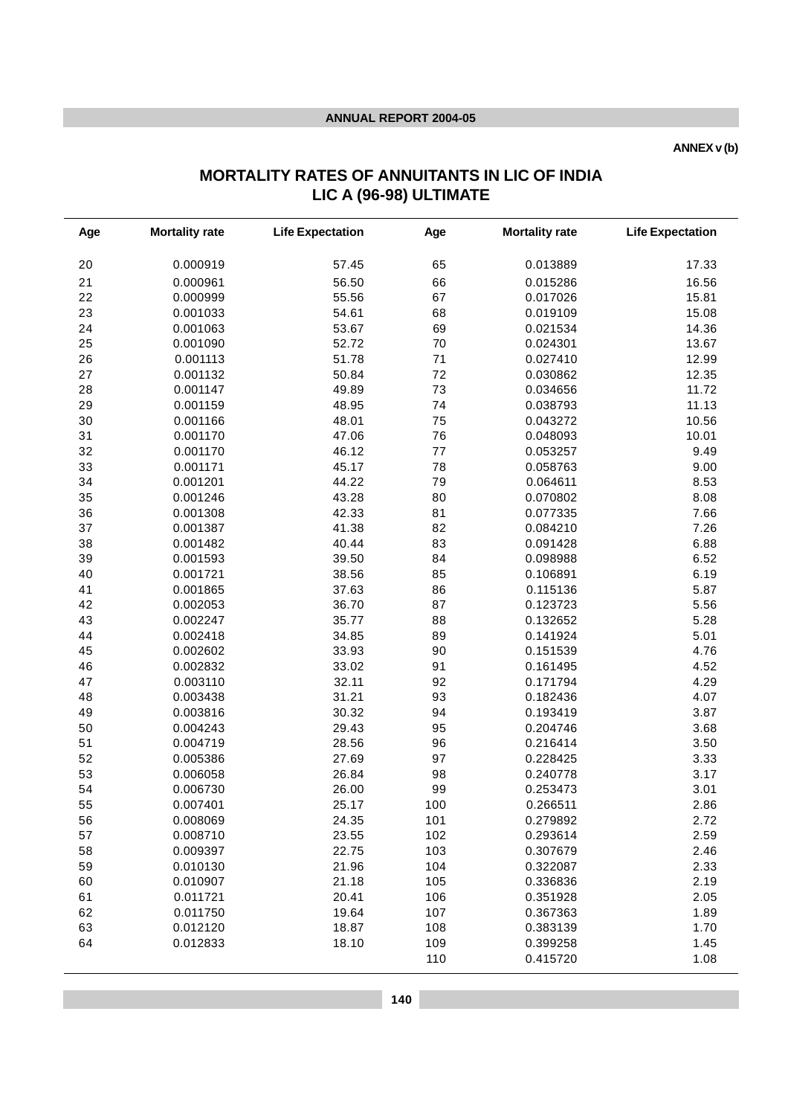**ANNEX v (b)**

# **MORTALITY RATES OF ANNUITANTS IN LIC OF INDIA LIC A (96-98) ULTIMATE**

| Age | <b>Mortality rate</b> | <b>Life Expectation</b> | Age | <b>Mortality rate</b> | <b>Life Expectation</b> |
|-----|-----------------------|-------------------------|-----|-----------------------|-------------------------|
| 20  | 0.000919              | 57.45                   | 65  | 0.013889              | 17.33                   |
| 21  | 0.000961              | 56.50                   | 66  | 0.015286              | 16.56                   |
| 22  | 0.000999              | 55.56                   | 67  | 0.017026              | 15.81                   |
| 23  | 0.001033              | 54.61                   | 68  | 0.019109              | 15.08                   |
| 24  | 0.001063              | 53.67                   | 69  | 0.021534              | 14.36                   |
| 25  | 0.001090              | 52.72                   | 70  | 0.024301              | 13.67                   |
| 26  | 0.001113              | 51.78                   | 71  | 0.027410              | 12.99                   |
| 27  | 0.001132              | 50.84                   | 72  | 0.030862              | 12.35                   |
| 28  | 0.001147              | 49.89                   | 73  | 0.034656              | 11.72                   |
| 29  | 0.001159              | 48.95                   | 74  | 0.038793              | 11.13                   |
| 30  | 0.001166              | 48.01                   | 75  | 0.043272              | 10.56                   |
| 31  | 0.001170              | 47.06                   | 76  | 0.048093              | 10.01                   |
| 32  | 0.001170              | 46.12                   | 77  | 0.053257              | 9.49                    |
| 33  | 0.001171              | 45.17                   | 78  | 0.058763              | 9.00                    |
| 34  | 0.001201              | 44.22                   | 79  | 0.064611              | 8.53                    |
| 35  | 0.001246              | 43.28                   | 80  | 0.070802              | 8.08                    |
| 36  | 0.001308              | 42.33                   | 81  | 0.077335              | 7.66                    |
| 37  | 0.001387              | 41.38                   | 82  | 0.084210              | 7.26                    |
| 38  | 0.001482              | 40.44                   | 83  | 0.091428              | 6.88                    |
| 39  | 0.001593              | 39.50                   | 84  | 0.098988              | 6.52                    |
| 40  | 0.001721              | 38.56                   | 85  | 0.106891              | 6.19                    |
| 41  | 0.001865              | 37.63                   | 86  | 0.115136              | 5.87                    |
| 42  | 0.002053              | 36.70                   | 87  | 0.123723              | 5.56                    |
| 43  | 0.002247              | 35.77                   | 88  | 0.132652              | 5.28                    |
| 44  | 0.002418              | 34.85                   | 89  | 0.141924              | 5.01                    |
| 45  | 0.002602              | 33.93                   | 90  | 0.151539              | 4.76                    |
| 46  | 0.002832              | 33.02                   | 91  | 0.161495              | 4.52                    |
| 47  | 0.003110              | 32.11                   | 92  | 0.171794              | 4.29                    |
| 48  | 0.003438              | 31.21                   | 93  | 0.182436              | 4.07                    |
| 49  | 0.003816              | 30.32                   | 94  | 0.193419              | 3.87                    |
| 50  | 0.004243              | 29.43                   | 95  | 0.204746              | 3.68                    |
| 51  | 0.004719              | 28.56                   | 96  | 0.216414              | 3.50                    |
| 52  | 0.005386              | 27.69                   | 97  | 0.228425              | 3.33                    |
| 53  | 0.006058              | 26.84                   | 98  | 0.240778              | 3.17                    |
| 54  | 0.006730              | 26.00                   | 99  | 0.253473              | 3.01                    |
| 55  | 0.007401              | 25.17                   | 100 | 0.266511              | 2.86                    |
| 56  | 0.008069              | 24.35                   | 101 | 0.279892              | 2.72                    |
| 57  | 0.008710              | 23.55                   | 102 | 0.293614              | 2.59                    |
| 58  | 0.009397              | 22.75                   | 103 | 0.307679              | 2.46                    |
| 59  | 0.010130              | 21.96                   | 104 | 0.322087              | 2.33                    |
| 60  | 0.010907              | 21.18                   | 105 | 0.336836              | 2.19                    |
| 61  | 0.011721              | 20.41                   | 106 | 0.351928              | 2.05                    |
| 62  | 0.011750              | 19.64                   | 107 | 0.367363              | 1.89                    |
| 63  | 0.012120              | 18.87                   | 108 | 0.383139              | 1.70                    |
| 64  | 0.012833              | 18.10                   | 109 | 0.399258              | 1.45                    |
|     |                       |                         | 110 | 0.415720              | 1.08                    |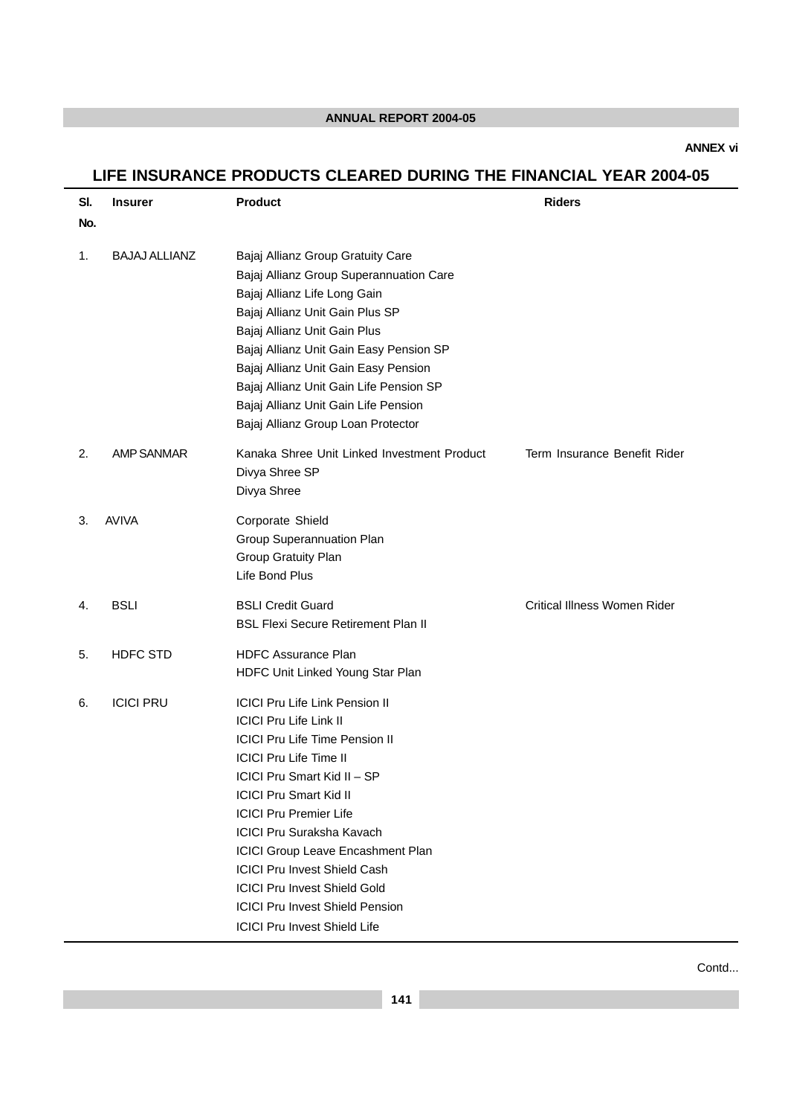**ANNEX vi**

# **LIFE INSURANCE PRODUCTS CLEARED DURING THE FINANCIAL YEAR 2004-05**

| SI.<br>No. | <b>Insurer</b>       | <b>Product</b>                                                                                                                                                                                                                                                                                                                                                                                                                                                                            | <b>Riders</b>                       |
|------------|----------------------|-------------------------------------------------------------------------------------------------------------------------------------------------------------------------------------------------------------------------------------------------------------------------------------------------------------------------------------------------------------------------------------------------------------------------------------------------------------------------------------------|-------------------------------------|
| 1.         | <b>BAJAJ ALLIANZ</b> | Bajaj Allianz Group Gratuity Care<br>Bajaj Allianz Group Superannuation Care<br>Bajaj Allianz Life Long Gain<br>Bajaj Allianz Unit Gain Plus SP<br>Bajaj Allianz Unit Gain Plus<br>Bajaj Allianz Unit Gain Easy Pension SP<br>Bajaj Allianz Unit Gain Easy Pension<br>Bajaj Allianz Unit Gain Life Pension SP<br>Bajaj Allianz Unit Gain Life Pension<br>Bajaj Allianz Group Loan Protector                                                                                               |                                     |
| 2.         | <b>AMP SANMAR</b>    | Kanaka Shree Unit Linked Investment Product<br>Divya Shree SP<br>Divya Shree                                                                                                                                                                                                                                                                                                                                                                                                              | Term Insurance Benefit Rider        |
| 3.         | <b>AVIVA</b>         | Corporate Shield<br>Group Superannuation Plan<br>Group Gratuity Plan<br>Life Bond Plus                                                                                                                                                                                                                                                                                                                                                                                                    |                                     |
| 4.         | <b>BSLI</b>          | <b>BSLI Credit Guard</b><br><b>BSL Flexi Secure Retirement Plan II</b>                                                                                                                                                                                                                                                                                                                                                                                                                    | <b>Critical Illness Women Rider</b> |
| 5.         | <b>HDFC STD</b>      | <b>HDFC Assurance Plan</b><br>HDFC Unit Linked Young Star Plan                                                                                                                                                                                                                                                                                                                                                                                                                            |                                     |
| 6.         | <b>ICICI PRU</b>     | <b>ICICI Pru Life Link Pension II</b><br><b>ICICI Pru Life Link II</b><br><b>ICICI Pru Life Time Pension II</b><br><b>ICICI Pru Life Time II</b><br>ICICI Pru Smart Kid II - SP<br><b>ICICI Pru Smart Kid II</b><br><b>ICICI Pru Premier Life</b><br><b>ICICI Pru Suraksha Kavach</b><br>ICICI Group Leave Encashment Plan<br><b>ICICI Pru Invest Shield Cash</b><br><b>ICICI Pru Invest Shield Gold</b><br><b>ICICI Pru Invest Shield Pension</b><br><b>ICICI Pru Invest Shield Life</b> |                                     |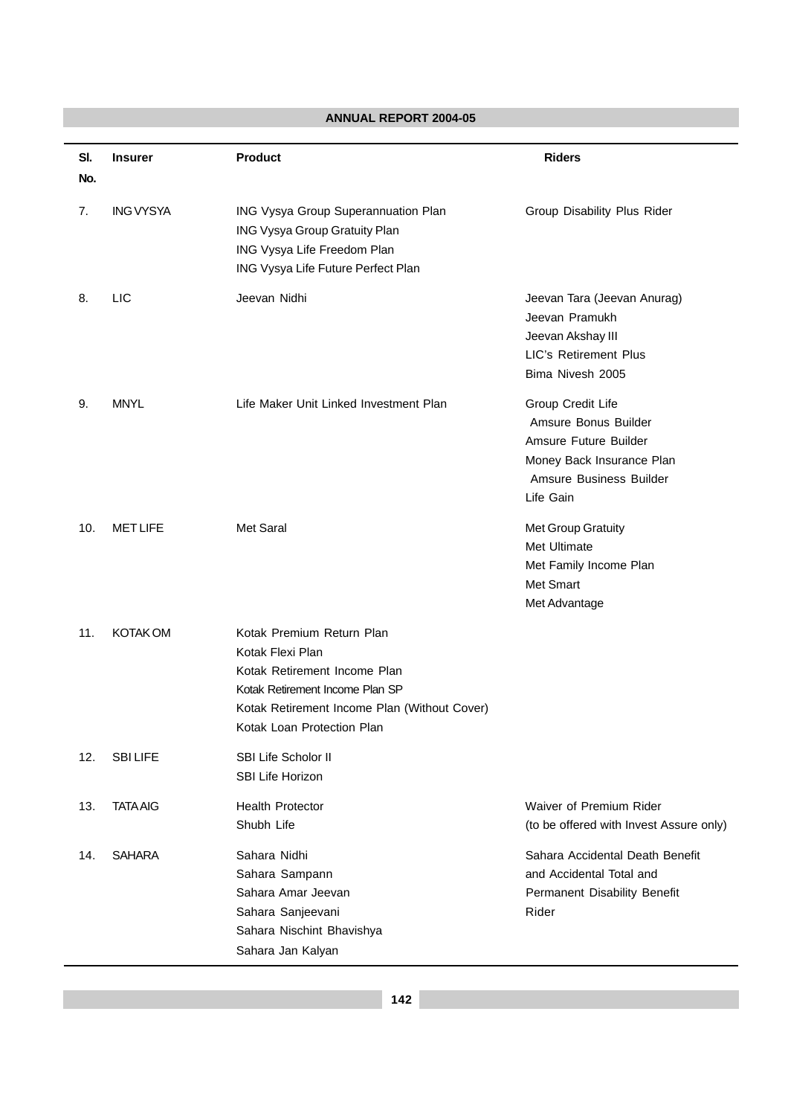|            | <b>ANNUAL REPORT 2004-05</b> |                                                                                                                                                                                                |                                                                                                                                         |  |  |  |
|------------|------------------------------|------------------------------------------------------------------------------------------------------------------------------------------------------------------------------------------------|-----------------------------------------------------------------------------------------------------------------------------------------|--|--|--|
| SI.<br>No. | <b>Insurer</b>               | <b>Product</b>                                                                                                                                                                                 | <b>Riders</b>                                                                                                                           |  |  |  |
| 7.         | <b>ING VYSYA</b>             | ING Vysya Group Superannuation Plan<br>ING Vysya Group Gratuity Plan<br>ING Vysya Life Freedom Plan<br>ING Vysya Life Future Perfect Plan                                                      | Group Disability Plus Rider                                                                                                             |  |  |  |
| 8.         | <b>LIC</b>                   | Jeevan Nidhi                                                                                                                                                                                   | Jeevan Tara (Jeevan Anurag)<br>Jeevan Pramukh<br>Jeevan Akshay III<br><b>LIC's Retirement Plus</b><br>Bima Nivesh 2005                  |  |  |  |
| 9.         | <b>MNYL</b>                  | Life Maker Unit Linked Investment Plan                                                                                                                                                         | Group Credit Life<br>Amsure Bonus Builder<br>Amsure Future Builder<br>Money Back Insurance Plan<br>Amsure Business Builder<br>Life Gain |  |  |  |
| 10.        | <b>MET LIFE</b>              | Met Saral                                                                                                                                                                                      | Met Group Gratuity<br>Met Ultimate<br>Met Family Income Plan<br>Met Smart<br>Met Advantage                                              |  |  |  |
| 11.        | <b>KOTAK OM</b>              | Kotak Premium Return Plan<br>Kotak Flexi Plan<br>Kotak Retirement Income Plan<br>Kotak Retirement Income Plan SP<br>Kotak Retirement Income Plan (Without Cover)<br>Kotak Loan Protection Plan |                                                                                                                                         |  |  |  |
| 12.        | <b>SBILIFE</b>               | SBI Life Scholor II<br><b>SBI Life Horizon</b>                                                                                                                                                 |                                                                                                                                         |  |  |  |
| 13.        | <b>TATA AIG</b>              | <b>Health Protector</b><br>Shubh Life                                                                                                                                                          | Waiver of Premium Rider<br>(to be offered with Invest Assure only)                                                                      |  |  |  |
| 14.        | <b>SAHARA</b>                | Sahara Nidhi<br>Sahara Sampann<br>Sahara Amar Jeevan<br>Sahara Sanjeevani<br>Sahara Nischint Bhavishya<br>Sahara Jan Kalyan                                                                    | Sahara Accidental Death Benefit<br>and Accidental Total and<br>Permanent Disability Benefit<br>Rider                                    |  |  |  |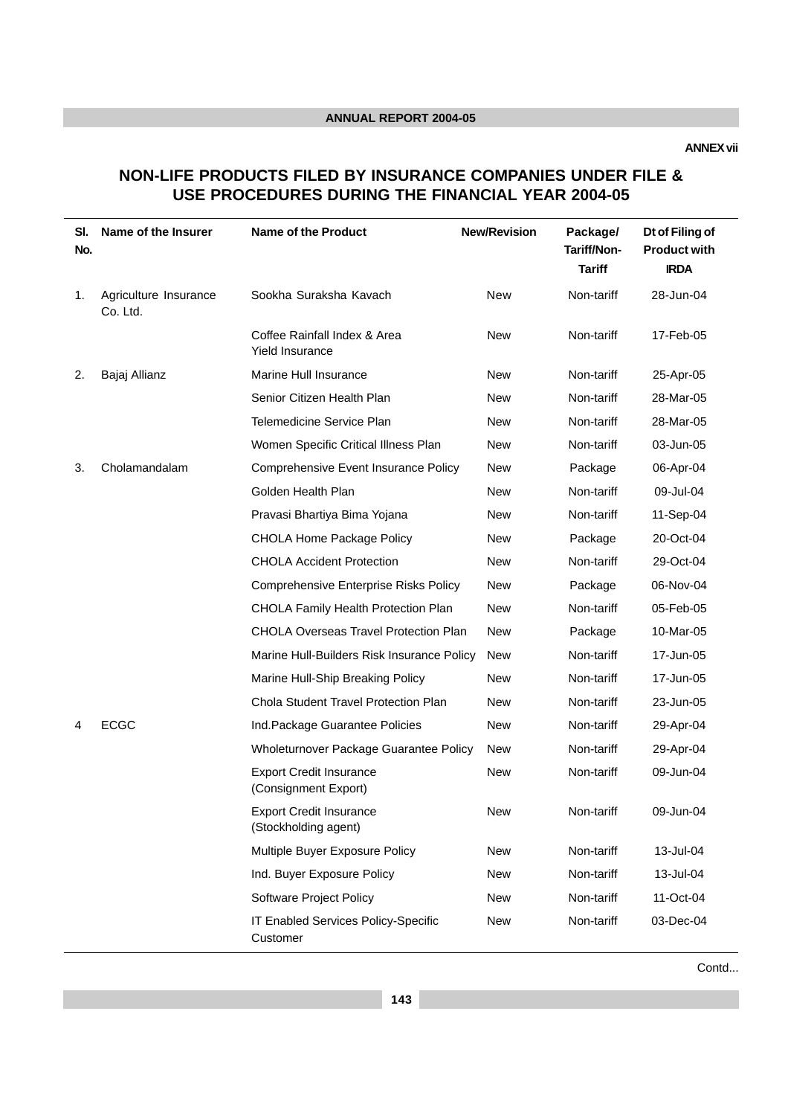**ANNEX vii**

# **NON-LIFE PRODUCTS FILED BY INSURANCE COMPANIES UNDER FILE & USE PROCEDURES DURING THE FINANCIAL YEAR 2004-05**

| SI.<br>No. | Name of the Insurer               | <b>Name of the Product</b>                             | <b>New/Revision</b> | Package/<br>Tariff/Non-<br><b>Tariff</b> | Dt of Filing of<br><b>Product with</b><br><b>IRDA</b> |
|------------|-----------------------------------|--------------------------------------------------------|---------------------|------------------------------------------|-------------------------------------------------------|
| 1.         | Agriculture Insurance<br>Co. Ltd. | Sookha Suraksha Kavach                                 | New                 | Non-tariff                               | 28-Jun-04                                             |
|            |                                   | Coffee Rainfall Index & Area<br><b>Yield Insurance</b> | <b>New</b>          | Non-tariff                               | 17-Feb-05                                             |
| 2.         | Bajaj Allianz                     | Marine Hull Insurance                                  | <b>New</b>          | Non-tariff                               | 25-Apr-05                                             |
|            |                                   | Senior Citizen Health Plan                             | <b>New</b>          | Non-tariff                               | 28-Mar-05                                             |
|            |                                   | Telemedicine Service Plan                              | <b>New</b>          | Non-tariff                               | 28-Mar-05                                             |
|            |                                   | Women Specific Critical Illness Plan                   | <b>New</b>          | Non-tariff                               | 03-Jun-05                                             |
| 3.         | Cholamandalam                     | Comprehensive Event Insurance Policy                   | <b>New</b>          | Package                                  | 06-Apr-04                                             |
|            |                                   | Golden Health Plan                                     | <b>New</b>          | Non-tariff                               | 09-Jul-04                                             |
|            |                                   | Pravasi Bhartiya Bima Yojana                           | <b>New</b>          | Non-tariff                               | 11-Sep-04                                             |
|            |                                   | <b>CHOLA Home Package Policy</b>                       | <b>New</b>          | Package                                  | 20-Oct-04                                             |
|            |                                   | <b>CHOLA Accident Protection</b>                       | <b>New</b>          | Non-tariff                               | 29-Oct-04                                             |
|            |                                   | <b>Comprehensive Enterprise Risks Policy</b>           | <b>New</b>          | Package                                  | 06-Nov-04                                             |
|            |                                   | CHOLA Family Health Protection Plan                    | <b>New</b>          | Non-tariff                               | 05-Feb-05                                             |
|            |                                   | CHOLA Overseas Travel Protection Plan                  | <b>New</b>          | Package                                  | 10-Mar-05                                             |
|            |                                   | Marine Hull-Builders Risk Insurance Policy             | <b>New</b>          | Non-tariff                               | 17-Jun-05                                             |
|            |                                   | Marine Hull-Ship Breaking Policy                       | <b>New</b>          | Non-tariff                               | 17-Jun-05                                             |
|            |                                   | Chola Student Travel Protection Plan                   | <b>New</b>          | Non-tariff                               | 23-Jun-05                                             |
| 4          | <b>ECGC</b>                       | Ind.Package Guarantee Policies                         | <b>New</b>          | Non-tariff                               | 29-Apr-04                                             |
|            |                                   | Wholeturnover Package Guarantee Policy                 | <b>New</b>          | Non-tariff                               | 29-Apr-04                                             |
|            |                                   | <b>Export Credit Insurance</b><br>(Consignment Export) | <b>New</b>          | Non-tariff                               | 09-Jun-04                                             |
|            |                                   | <b>Export Credit Insurance</b><br>(Stockholding agent) | New                 | Non-tariff                               | 09-Jun-04                                             |
|            |                                   | Multiple Buyer Exposure Policy                         | <b>New</b>          | Non-tariff                               | 13-Jul-04                                             |
|            |                                   | Ind. Buyer Exposure Policy                             | <b>New</b>          | Non-tariff                               | 13-Jul-04                                             |
|            |                                   | Software Project Policy                                | New                 | Non-tariff                               | 11-Oct-04                                             |
|            |                                   | IT Enabled Services Policy-Specific<br>Customer        | New                 | Non-tariff                               | 03-Dec-04                                             |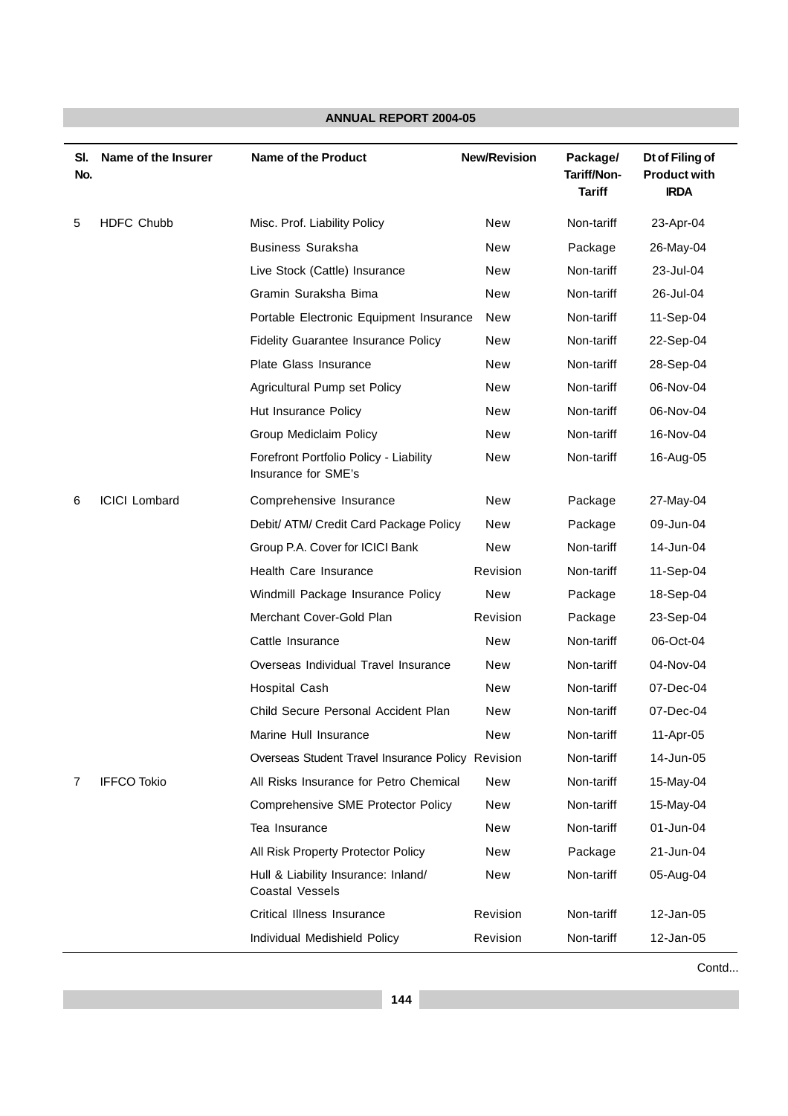| SI.<br>No. | Name of the Insurer  | <b>Name of the Product</b>                                    | <b>New/Revision</b> | Package/<br>Tariff/Non-<br><b>Tariff</b> | Dt of Filing of<br><b>Product with</b><br><b>IRDA</b> |
|------------|----------------------|---------------------------------------------------------------|---------------------|------------------------------------------|-------------------------------------------------------|
| 5          | <b>HDFC Chubb</b>    | Misc. Prof. Liability Policy                                  | New                 | Non-tariff                               | 23-Apr-04                                             |
|            |                      | <b>Business Suraksha</b>                                      | New                 | Package                                  | 26-May-04                                             |
|            |                      | Live Stock (Cattle) Insurance                                 | New                 | Non-tariff                               | 23-Jul-04                                             |
|            |                      | Gramin Suraksha Bima                                          | New                 | Non-tariff                               | 26-Jul-04                                             |
|            |                      | Portable Electronic Equipment Insurance                       | New                 | Non-tariff                               | 11-Sep-04                                             |
|            |                      | Fidelity Guarantee Insurance Policy                           | New                 | Non-tariff                               | 22-Sep-04                                             |
|            |                      | Plate Glass Insurance                                         | New                 | Non-tariff                               | 28-Sep-04                                             |
|            |                      | Agricultural Pump set Policy                                  | New                 | Non-tariff                               | 06-Nov-04                                             |
|            |                      | Hut Insurance Policy                                          | New                 | Non-tariff                               | 06-Nov-04                                             |
|            |                      | Group Mediclaim Policy                                        | New                 | Non-tariff                               | 16-Nov-04                                             |
|            |                      | Forefront Portfolio Policy - Liability<br>Insurance for SME's | New                 | Non-tariff                               | 16-Aug-05                                             |
| 6          | <b>ICICI Lombard</b> | Comprehensive Insurance                                       | New                 | Package                                  | 27-May-04                                             |
|            |                      | Debit/ ATM/ Credit Card Package Policy                        | New                 | Package                                  | 09-Jun-04                                             |
|            |                      | Group P.A. Cover for ICICI Bank                               | New                 | Non-tariff                               | 14-Jun-04                                             |
|            |                      | <b>Health Care Insurance</b>                                  | Revision            | Non-tariff                               | 11-Sep-04                                             |
|            |                      | Windmill Package Insurance Policy                             | New                 | Package                                  | 18-Sep-04                                             |
|            |                      | Merchant Cover-Gold Plan                                      | Revision            | Package                                  | 23-Sep-04                                             |
|            |                      | Cattle Insurance                                              | <b>New</b>          | Non-tariff                               | 06-Oct-04                                             |
|            |                      | Overseas Individual Travel Insurance                          | New                 | Non-tariff                               | 04-Nov-04                                             |
|            |                      | Hospital Cash                                                 | New                 | Non-tariff                               | 07-Dec-04                                             |
|            |                      | Child Secure Personal Accident Plan                           | New                 | Non-tariff                               | 07-Dec-04                                             |
|            |                      | Marine Hull Insurance                                         | New                 | Non-tariff                               | 11-Apr-05                                             |
|            |                      | Overseas Student Travel Insurance Policy Revision             |                     | Non-tariff                               | 14-Jun-05                                             |
| 7          | <b>IFFCO Tokio</b>   | All Risks Insurance for Petro Chemical                        | New                 | Non-tariff                               | 15-May-04                                             |
|            |                      | <b>Comprehensive SME Protector Policy</b>                     | New                 | Non-tariff                               | 15-May-04                                             |
|            |                      | Tea Insurance                                                 | New                 | Non-tariff                               | 01-Jun-04                                             |
|            |                      | All Risk Property Protector Policy                            | New                 | Package                                  | 21-Jun-04                                             |
|            |                      | Hull & Liability Insurance: Inland/<br><b>Coastal Vessels</b> | New                 | Non-tariff                               | 05-Aug-04                                             |
|            |                      | Critical Illness Insurance                                    | Revision            | Non-tariff                               | 12-Jan-05                                             |
|            |                      | Individual Medishield Policy                                  | Revision            | Non-tariff                               | 12-Jan-05                                             |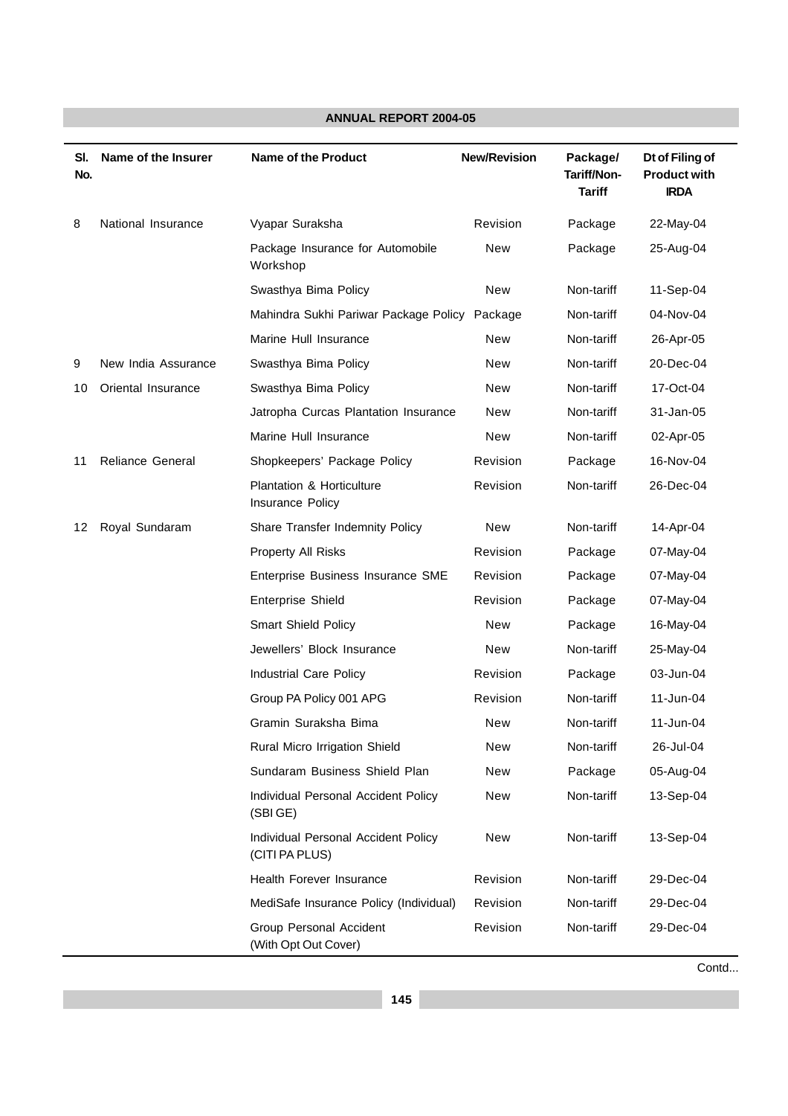| SI.<br>No. | Name of the Insurer | <b>Name of the Product</b>                            | <b>New/Revision</b> | Package/<br>Tariff/Non-<br><b>Tariff</b> | Dt of Filing of<br><b>Product with</b><br><b>IRDA</b> |
|------------|---------------------|-------------------------------------------------------|---------------------|------------------------------------------|-------------------------------------------------------|
| 8          | National Insurance  | Vyapar Suraksha                                       | Revision            | Package                                  | 22-May-04                                             |
|            |                     | Package Insurance for Automobile<br>Workshop          | <b>New</b>          | Package                                  | 25-Aug-04                                             |
|            |                     | Swasthya Bima Policy                                  | New                 | Non-tariff                               | 11-Sep-04                                             |
|            |                     | Mahindra Sukhi Pariwar Package Policy Package         |                     | Non-tariff                               | 04-Nov-04                                             |
|            |                     | Marine Hull Insurance                                 | New                 | Non-tariff                               | 26-Apr-05                                             |
| 9          | New India Assurance | Swasthya Bima Policy                                  | New                 | Non-tariff                               | 20-Dec-04                                             |
| 10         | Oriental Insurance  | Swasthya Bima Policy                                  | New                 | Non-tariff                               | 17-Oct-04                                             |
|            |                     | Jatropha Curcas Plantation Insurance                  | New                 | Non-tariff                               | 31-Jan-05                                             |
|            |                     | Marine Hull Insurance                                 | New                 | Non-tariff                               | 02-Apr-05                                             |
| 11         | Reliance General    | Shopkeepers' Package Policy                           | Revision            | Package                                  | 16-Nov-04                                             |
|            |                     | Plantation & Horticulture<br>Insurance Policy         | Revision            | Non-tariff                               | 26-Dec-04                                             |
| 12         | Royal Sundaram      | Share Transfer Indemnity Policy                       | <b>New</b>          | Non-tariff                               | 14-Apr-04                                             |
|            |                     | Property All Risks                                    | Revision            | Package                                  | 07-May-04                                             |
|            |                     | Enterprise Business Insurance SME                     | Revision            | Package                                  | 07-May-04                                             |
|            |                     | Enterprise Shield                                     | Revision            | Package                                  | 07-May-04                                             |
|            |                     | <b>Smart Shield Policy</b>                            | New                 | Package                                  | 16-May-04                                             |
|            |                     | Jewellers' Block Insurance                            | New                 | Non-tariff                               | 25-May-04                                             |
|            |                     | Industrial Care Policy                                | Revision            | Package                                  | 03-Jun-04                                             |
|            |                     | Group PA Policy 001 APG                               | Revision            | Non-tariff                               | 11-Jun-04                                             |
|            |                     | Gramin Suraksha Bima                                  | New                 | Non-tariff                               | 11-Jun-04                                             |
|            |                     | Rural Micro Irrigation Shield                         | New                 | Non-tariff                               | 26-Jul-04                                             |
|            |                     | Sundaram Business Shield Plan                         | New                 | Package                                  | 05-Aug-04                                             |
|            |                     | Individual Personal Accident Policy<br>(SBIGE)        | New                 | Non-tariff                               | 13-Sep-04                                             |
|            |                     | Individual Personal Accident Policy<br>(CITI PA PLUS) | New                 | Non-tariff                               | 13-Sep-04                                             |
|            |                     | Health Forever Insurance                              | Revision            | Non-tariff                               | 29-Dec-04                                             |
|            |                     | MediSafe Insurance Policy (Individual)                | Revision            | Non-tariff                               | 29-Dec-04                                             |
|            |                     | Group Personal Accident<br>(With Opt Out Cover)       | Revision            | Non-tariff                               | 29-Dec-04                                             |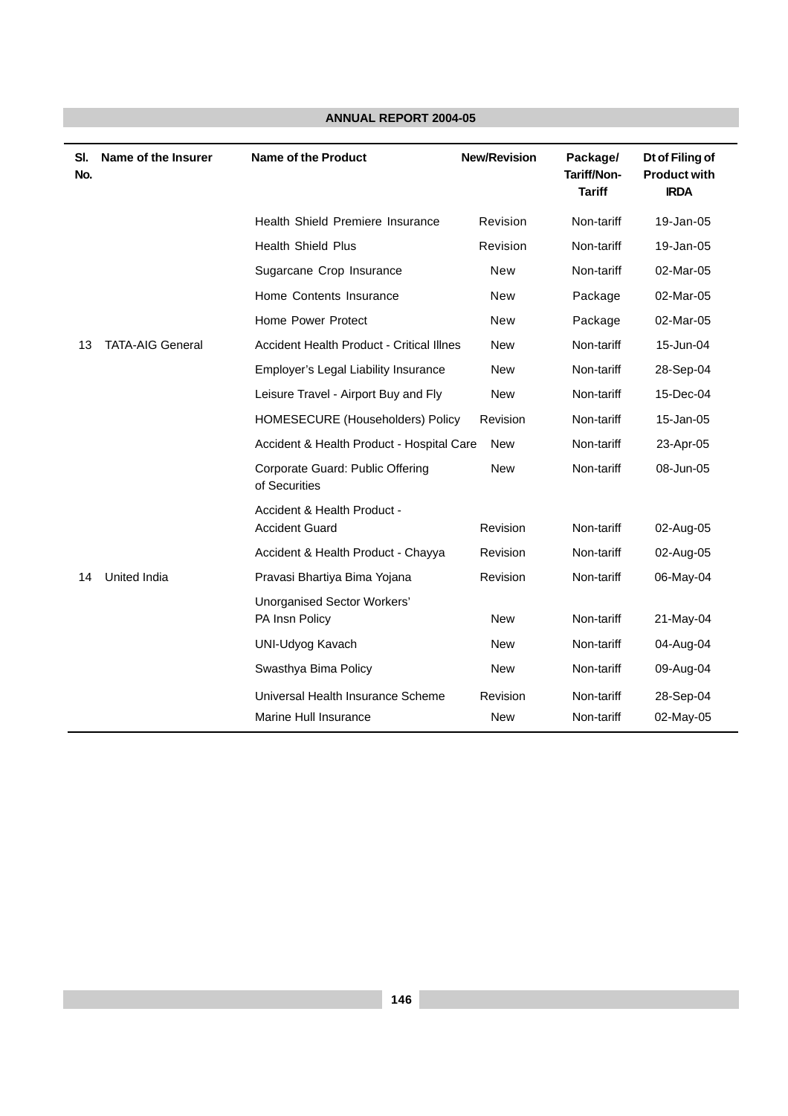| SI.<br>No. | Name of the Insurer     | <b>Name of the Product</b>                           | <b>New/Revision</b> | Package/<br>Tariff/Non-<br><b>Tariff</b> | Dt of Filing of<br><b>Product with</b><br><b>IRDA</b> |
|------------|-------------------------|------------------------------------------------------|---------------------|------------------------------------------|-------------------------------------------------------|
|            |                         | Health Shield Premiere Insurance                     | Revision            | Non-tariff                               | 19-Jan-05                                             |
|            |                         | <b>Health Shield Plus</b>                            | Revision            | Non-tariff                               | 19-Jan-05                                             |
|            |                         | Sugarcane Crop Insurance                             | <b>New</b>          | Non-tariff                               | 02-Mar-05                                             |
|            |                         | Home Contents Insurance                              | <b>New</b>          | Package                                  | 02-Mar-05                                             |
|            |                         | Home Power Protect                                   | <b>New</b>          | Package                                  | 02-Mar-05                                             |
| 13         | <b>TATA-AIG General</b> | <b>Accident Health Product - Critical Illnes</b>     | <b>New</b>          | Non-tariff                               | 15-Jun-04                                             |
|            |                         | Employer's Legal Liability Insurance                 | <b>New</b>          | Non-tariff                               | 28-Sep-04                                             |
|            |                         | Leisure Travel - Airport Buy and Fly                 | <b>New</b>          | Non-tariff                               | 15-Dec-04                                             |
|            |                         | HOMESECURE (Householders) Policy                     | Revision            | Non-tariff                               | 15-Jan-05                                             |
|            |                         | Accident & Health Product - Hospital Care            | <b>New</b>          | Non-tariff                               | 23-Apr-05                                             |
|            |                         | Corporate Guard: Public Offering<br>of Securities    | <b>New</b>          | Non-tariff                               | 08-Jun-05                                             |
|            |                         | Accident & Health Product -<br><b>Accident Guard</b> | Revision            | Non-tariff                               | 02-Aug-05                                             |
|            |                         | Accident & Health Product - Chayya                   | Revision            | Non-tariff                               | 02-Aug-05                                             |
| 14         | United India            | Pravasi Bhartiya Bima Yojana                         | Revision            | Non-tariff                               | 06-May-04                                             |
|            |                         | <b>Unorganised Sector Workers'</b><br>PA Insn Policy | <b>New</b>          | Non-tariff                               | 21-May-04                                             |
|            |                         | <b>UNI-Udyog Kavach</b>                              | <b>New</b>          | Non-tariff                               | 04-Aug-04                                             |
|            |                         | Swasthya Bima Policy                                 | <b>New</b>          | Non-tariff                               | 09-Aug-04                                             |
|            |                         | Universal Health Insurance Scheme                    | Revision            | Non-tariff                               | 28-Sep-04                                             |
|            |                         | Marine Hull Insurance                                | New                 | Non-tariff                               | 02-May-05                                             |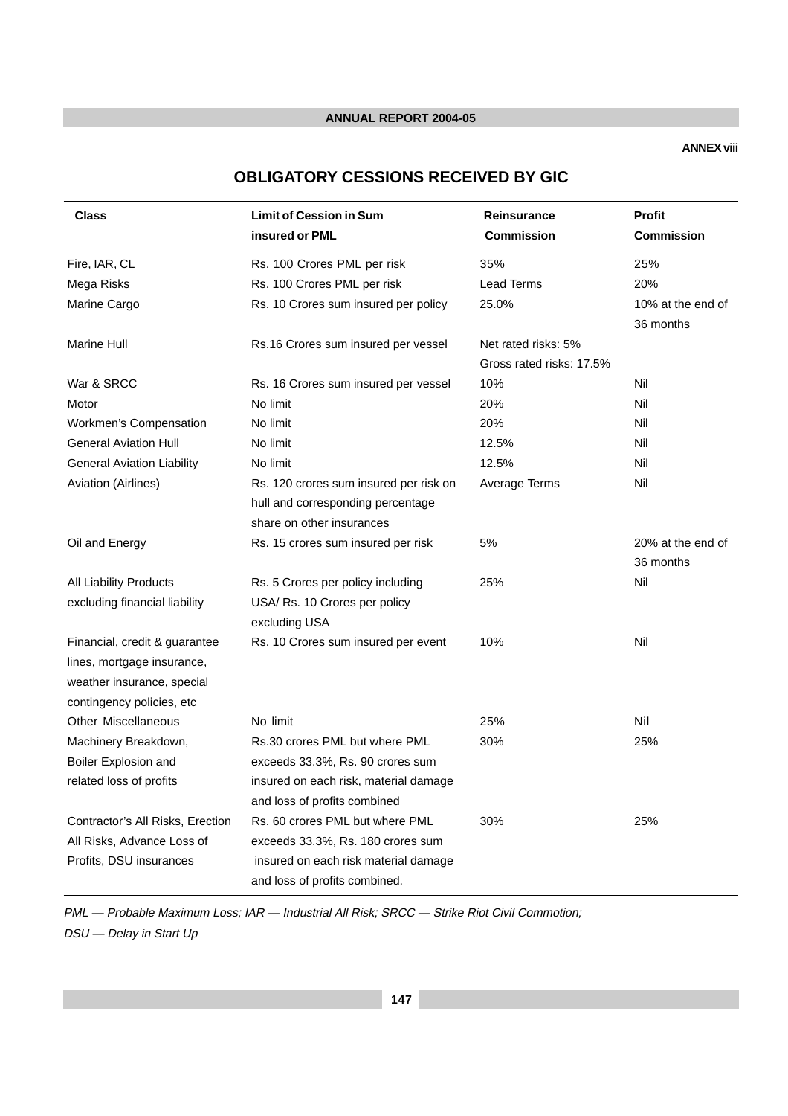#### **ANNEX viii**

# **OBLIGATORY CESSIONS RECEIVED BY GIC**

| <b>Class</b>                      | <b>Limit of Cession in Sum</b>         | <b>Reinsurance</b>       | <b>Profit</b>     |
|-----------------------------------|----------------------------------------|--------------------------|-------------------|
|                                   | insured or PML                         | <b>Commission</b>        | <b>Commission</b> |
| Fire, IAR, CL                     | Rs. 100 Crores PML per risk            | 35%                      | 25%               |
| Mega Risks                        | Rs. 100 Crores PML per risk            | <b>Lead Terms</b>        | 20%               |
| Marine Cargo                      | Rs. 10 Crores sum insured per policy   | 25.0%                    | 10% at the end of |
|                                   |                                        |                          | 36 months         |
| <b>Marine Hull</b>                | Rs.16 Crores sum insured per vessel    | Net rated risks: 5%      |                   |
|                                   |                                        | Gross rated risks: 17.5% |                   |
| War & SRCC                        | Rs. 16 Crores sum insured per vessel   | 10%                      | Nil               |
| Motor                             | No limit                               | 20%                      | Nil               |
| <b>Workmen's Compensation</b>     | No limit                               | 20%                      | Nil               |
| <b>General Aviation Hull</b>      | No limit                               | 12.5%                    | Nil               |
| <b>General Aviation Liability</b> | No limit                               | 12.5%                    | Nil               |
| Aviation (Airlines)               | Rs. 120 crores sum insured per risk on | Average Terms            | Nil               |
|                                   | hull and corresponding percentage      |                          |                   |
|                                   | share on other insurances              |                          |                   |
| Oil and Energy                    | Rs. 15 crores sum insured per risk     | 5%                       | 20% at the end of |
|                                   |                                        |                          | 36 months         |
| All Liability Products            | Rs. 5 Crores per policy including      | 25%                      | Nil               |
| excluding financial liability     | USA/ Rs. 10 Crores per policy          |                          |                   |
|                                   | excluding USA                          |                          |                   |
| Financial, credit & guarantee     | Rs. 10 Crores sum insured per event    | 10%                      | Nil               |
| lines, mortgage insurance,        |                                        |                          |                   |
| weather insurance, special        |                                        |                          |                   |
| contingency policies, etc         |                                        |                          |                   |
| <b>Other Miscellaneous</b>        | No limit                               | 25%                      | Nil               |
| Machinery Breakdown,              | Rs.30 crores PML but where PML         | 30%                      | 25%               |
| Boiler Explosion and              | exceeds 33.3%, Rs. 90 crores sum       |                          |                   |
| related loss of profits           | insured on each risk, material damage  |                          |                   |
|                                   | and loss of profits combined           |                          |                   |
| Contractor's All Risks, Erection  | Rs. 60 crores PML but where PML        | 30%                      | 25%               |
| All Risks, Advance Loss of        | exceeds 33.3%, Rs. 180 crores sum      |                          |                   |
| Profits, DSU insurances           | insured on each risk material damage   |                          |                   |
|                                   | and loss of profits combined.          |                          |                   |

PML — Probable Maximum Loss; IAR — Industrial All Risk; SRCC — Strike Riot Civil Commotion; DSU — Delay in Start Up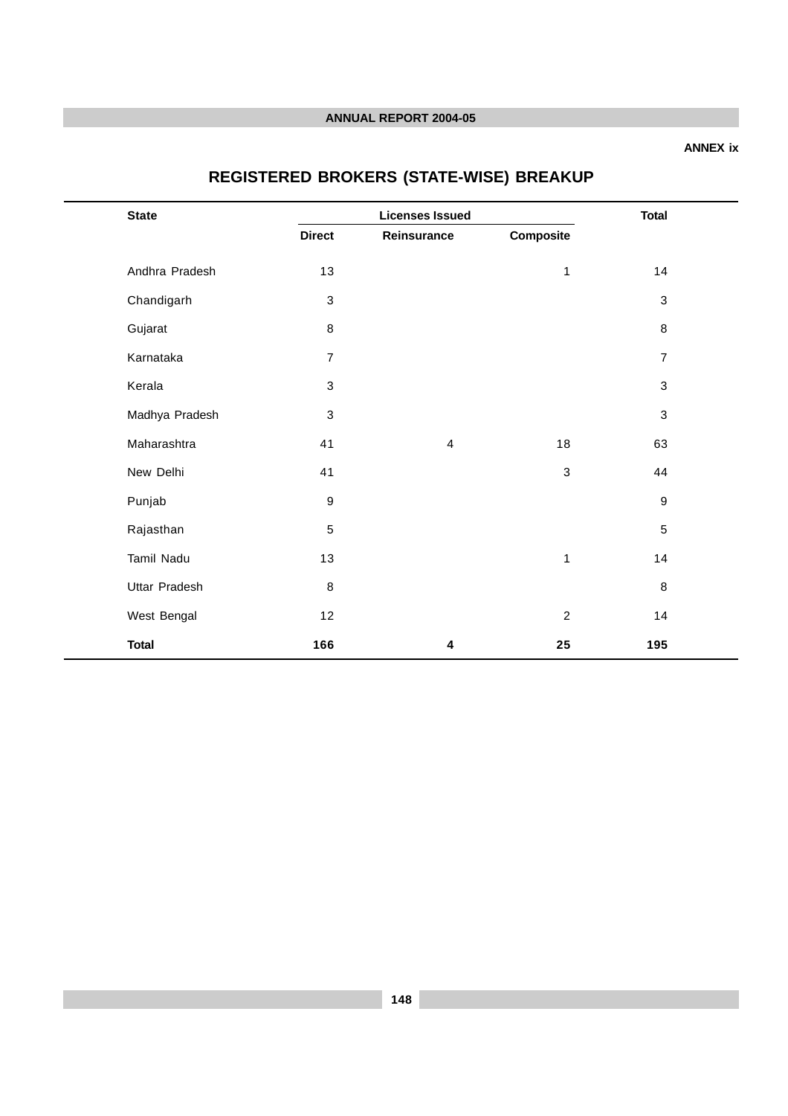#### **ANNEX ix**

# **REGISTERED BROKERS (STATE-WISE) BREAKUP**

| <b>State</b>   |                  | <b>Licenses Issued</b> |              |                  |  |
|----------------|------------------|------------------------|--------------|------------------|--|
|                | <b>Direct</b>    | Reinsurance            | Composite    |                  |  |
| Andhra Pradesh | 13               |                        | $\mathbf{1}$ | 14               |  |
| Chandigarh     | 3                |                        |              | $\mathfrak{S}$   |  |
| Gujarat        | 8                |                        |              | 8                |  |
| Karnataka      | $\overline{7}$   |                        |              | $\overline{7}$   |  |
| Kerala         | 3                |                        |              | $\mathfrak{S}$   |  |
| Madhya Pradesh | 3                |                        |              | 3                |  |
| Maharashtra    | 41               | $\overline{4}$         | 18           | 63               |  |
| New Delhi      | 41               |                        | 3            | 44               |  |
| Punjab         | $\boldsymbol{9}$ |                        |              | $\boldsymbol{9}$ |  |
| Rajasthan      | 5                |                        |              | $\,$ 5 $\,$      |  |
| Tamil Nadu     | 13               |                        | $\mathbf{1}$ | 14               |  |
| Uttar Pradesh  | $\,8\,$          |                        |              | $\, 8$           |  |
| West Bengal    | 12               |                        | $\sqrt{2}$   | 14               |  |
| <b>Total</b>   | 166              | 4                      | 25           | 195              |  |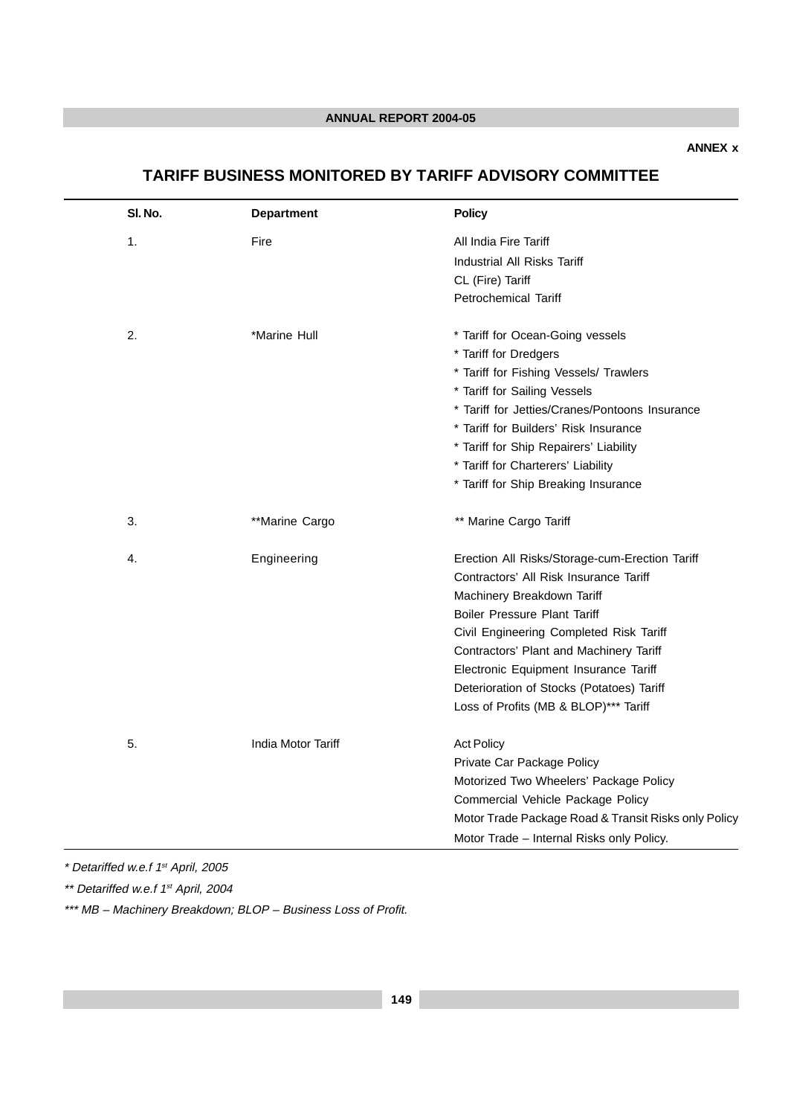# **TARIFF BUSINESS MONITORED BY TARIFF ADVISORY COMMITTEE**

| SI. No. | <b>Department</b>  | <b>Policy</b>                                        |
|---------|--------------------|------------------------------------------------------|
| 1.      | Fire               | All India Fire Tariff                                |
|         |                    | Industrial All Risks Tariff                          |
|         |                    | CL (Fire) Tariff                                     |
|         |                    | <b>Petrochemical Tariff</b>                          |
| 2.      | *Marine Hull       | * Tariff for Ocean-Going vessels                     |
|         |                    | * Tariff for Dredgers                                |
|         |                    | * Tariff for Fishing Vessels/ Trawlers               |
|         |                    | * Tariff for Sailing Vessels                         |
|         |                    | * Tariff for Jetties/Cranes/Pontoons Insurance       |
|         |                    | * Tariff for Builders' Risk Insurance                |
|         |                    | * Tariff for Ship Repairers' Liability               |
|         |                    | * Tariff for Charterers' Liability                   |
|         |                    | * Tariff for Ship Breaking Insurance                 |
| 3.      | **Marine Cargo     | ** Marine Cargo Tariff                               |
| 4.      | Engineering        | Erection All Risks/Storage-cum-Erection Tariff       |
|         |                    | Contractors' All Risk Insurance Tariff               |
|         |                    | Machinery Breakdown Tariff                           |
|         |                    | <b>Boiler Pressure Plant Tariff</b>                  |
|         |                    | Civil Engineering Completed Risk Tariff              |
|         |                    | Contractors' Plant and Machinery Tariff              |
|         |                    | Electronic Equipment Insurance Tariff                |
|         |                    | Deterioration of Stocks (Potatoes) Tariff            |
|         |                    | Loss of Profits (MB & BLOP)*** Tariff                |
| 5.      | India Motor Tariff | <b>Act Policy</b>                                    |
|         |                    | Private Car Package Policy                           |
|         |                    | Motorized Two Wheelers' Package Policy               |
|         |                    | Commercial Vehicle Package Policy                    |
|         |                    | Motor Trade Package Road & Transit Risks only Policy |
|         |                    | Motor Trade - Internal Risks only Policy.            |

\* Detariffed w.e.f 1st April, 2005

\*\* Detariffed w.e.f 1<sup>st</sup> April, 2004

\*\*\* MB - Machinery Breakdown; BLOP - Business Loss of Profit.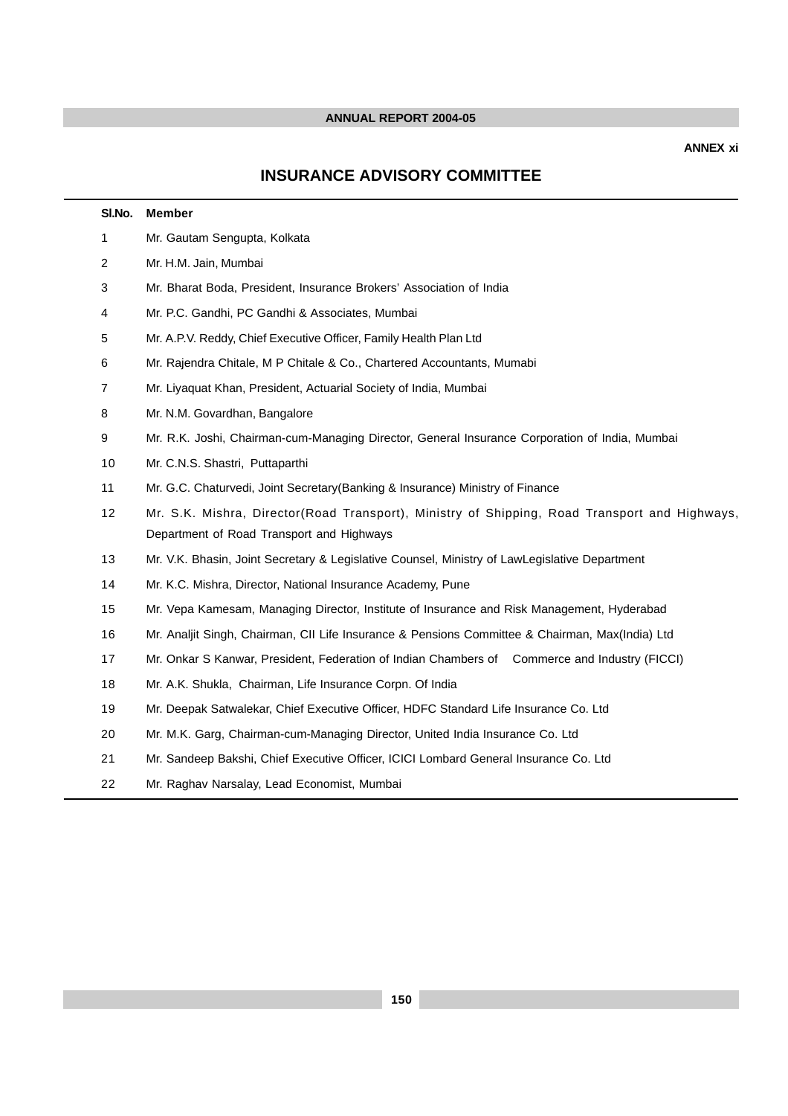# **INSURANCE ADVISORY COMMITTEE**

| SI.No.         | <b>Member</b>                                                                                   |  |  |  |  |  |  |
|----------------|-------------------------------------------------------------------------------------------------|--|--|--|--|--|--|
| 1              | Mr. Gautam Sengupta, Kolkata                                                                    |  |  |  |  |  |  |
| $\overline{2}$ | Mr. H.M. Jain, Mumbai                                                                           |  |  |  |  |  |  |
| 3              | Mr. Bharat Boda, President, Insurance Brokers' Association of India                             |  |  |  |  |  |  |
| 4              | Mr. P.C. Gandhi, PC Gandhi & Associates, Mumbai                                                 |  |  |  |  |  |  |
| 5              | Mr. A.P.V. Reddy, Chief Executive Officer, Family Health Plan Ltd                               |  |  |  |  |  |  |
| 6              | Mr. Rajendra Chitale, M P Chitale & Co., Chartered Accountants, Mumabi                          |  |  |  |  |  |  |
| $\overline{7}$ | Mr. Liyaquat Khan, President, Actuarial Society of India, Mumbai                                |  |  |  |  |  |  |
| 8              | Mr. N.M. Govardhan, Bangalore                                                                   |  |  |  |  |  |  |
| 9              | Mr. R.K. Joshi, Chairman-cum-Managing Director, General Insurance Corporation of India, Mumbai  |  |  |  |  |  |  |
| 10             | Mr. C.N.S. Shastri, Puttaparthi                                                                 |  |  |  |  |  |  |
| 11             | Mr. G.C. Chaturvedi, Joint Secretary (Banking & Insurance) Ministry of Finance                  |  |  |  |  |  |  |
| 12             | Mr. S.K. Mishra, Director(Road Transport), Ministry of Shipping, Road Transport and Highways,   |  |  |  |  |  |  |
|                | Department of Road Transport and Highways                                                       |  |  |  |  |  |  |
| 13             | Mr. V.K. Bhasin, Joint Secretary & Legislative Counsel, Ministry of LawLegislative Department   |  |  |  |  |  |  |
| 14             | Mr. K.C. Mishra, Director, National Insurance Academy, Pune                                     |  |  |  |  |  |  |
| 15             | Mr. Vepa Kamesam, Managing Director, Institute of Insurance and Risk Management, Hyderabad      |  |  |  |  |  |  |
| 16             | Mr. Analjit Singh, Chairman, CII Life Insurance & Pensions Committee & Chairman, Max(India) Ltd |  |  |  |  |  |  |
| 17             | Mr. Onkar S Kanwar, President, Federation of Indian Chambers of Commerce and Industry (FICCI)   |  |  |  |  |  |  |
| 18             | Mr. A.K. Shukla, Chairman, Life Insurance Corpn. Of India                                       |  |  |  |  |  |  |
| 19             | Mr. Deepak Satwalekar, Chief Executive Officer, HDFC Standard Life Insurance Co. Ltd            |  |  |  |  |  |  |
| 20             | Mr. M.K. Garg, Chairman-cum-Managing Director, United India Insurance Co. Ltd                   |  |  |  |  |  |  |
| 21             | Mr. Sandeep Bakshi, Chief Executive Officer, ICICI Lombard General Insurance Co. Ltd            |  |  |  |  |  |  |
| 22             | Mr. Raghav Narsalay, Lead Economist, Mumbai                                                     |  |  |  |  |  |  |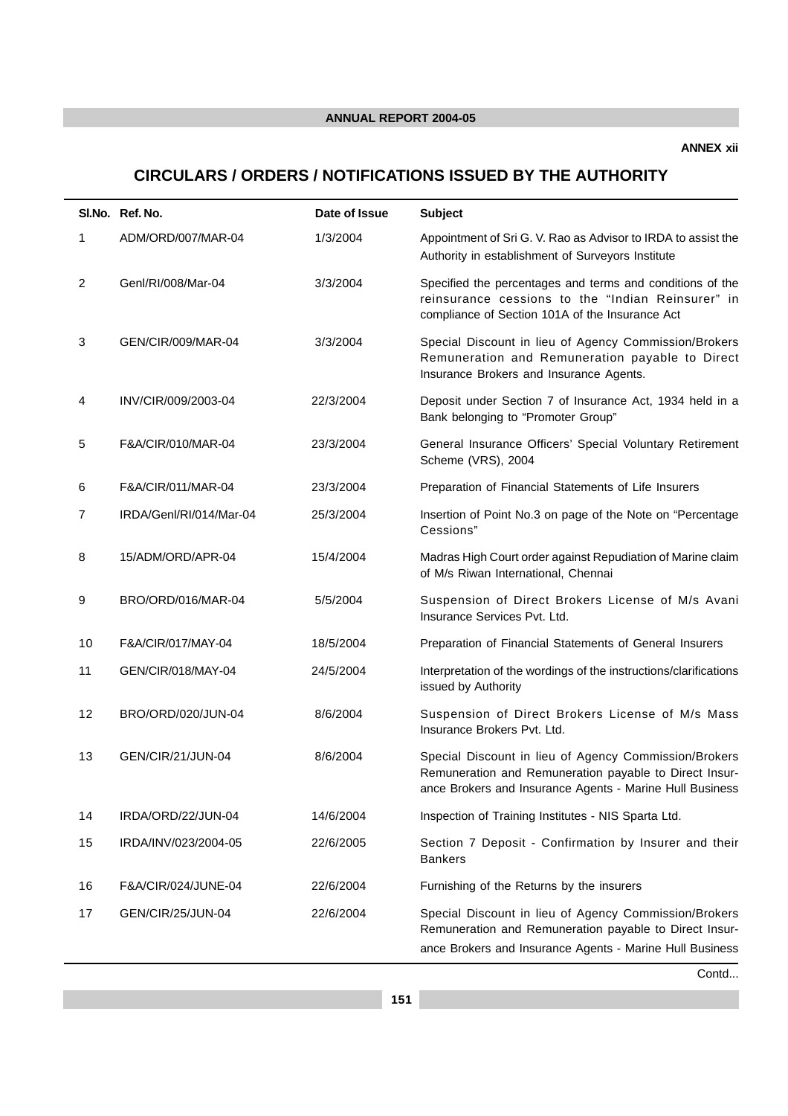# **CIRCULARS / ORDERS / NOTIFICATIONS ISSUED BY THE AUTHORITY**

|                | SI.No. Ref. No.         | Date of Issue | <b>Subject</b>                                                                                                                                                              |
|----------------|-------------------------|---------------|-----------------------------------------------------------------------------------------------------------------------------------------------------------------------------|
| 1              | ADM/ORD/007/MAR-04      | 1/3/2004      | Appointment of Sri G. V. Rao as Advisor to IRDA to assist the<br>Authority in establishment of Surveyors Institute                                                          |
| $\overline{c}$ | Genl/RI/008/Mar-04      | 3/3/2004      | Specified the percentages and terms and conditions of the<br>reinsurance cessions to the "Indian Reinsurer" in<br>compliance of Section 101A of the Insurance Act           |
| 3              | GEN/CIR/009/MAR-04      | 3/3/2004      | Special Discount in lieu of Agency Commission/Brokers<br>Remuneration and Remuneration payable to Direct<br>Insurance Brokers and Insurance Agents.                         |
| 4              | INV/CIR/009/2003-04     | 22/3/2004     | Deposit under Section 7 of Insurance Act, 1934 held in a<br>Bank belonging to "Promoter Group"                                                                              |
| 5              | F&A/CIR/010/MAR-04      | 23/3/2004     | General Insurance Officers' Special Voluntary Retirement<br>Scheme (VRS), 2004                                                                                              |
| 6              | F&A/CIR/011/MAR-04      | 23/3/2004     | Preparation of Financial Statements of Life Insurers                                                                                                                        |
| 7              | IRDA/Genl/RI/014/Mar-04 | 25/3/2004     | Insertion of Point No.3 on page of the Note on "Percentage<br>Cessions"                                                                                                     |
| 8              | 15/ADM/ORD/APR-04       | 15/4/2004     | Madras High Court order against Repudiation of Marine claim<br>of M/s Riwan International, Chennai                                                                          |
| 9              | BRO/ORD/016/MAR-04      | 5/5/2004      | Suspension of Direct Brokers License of M/s Avani<br>Insurance Services Pvt. Ltd.                                                                                           |
| 10             | F&A/CIR/017/MAY-04      | 18/5/2004     | Preparation of Financial Statements of General Insurers                                                                                                                     |
| 11             | GEN/CIR/018/MAY-04      | 24/5/2004     | Interpretation of the wordings of the instructions/clarifications<br>issued by Authority                                                                                    |
| 12             | BRO/ORD/020/JUN-04      | 8/6/2004      | Suspension of Direct Brokers License of M/s Mass<br>Insurance Brokers Pvt. Ltd.                                                                                             |
| 13             | GEN/CIR/21/JUN-04       | 8/6/2004      | Special Discount in lieu of Agency Commission/Brokers<br>Remuneration and Remuneration payable to Direct Insur-<br>ance Brokers and Insurance Agents - Marine Hull Business |
| 14             | IRDA/ORD/22/JUN-04      | 14/6/2004     | Inspection of Training Institutes - NIS Sparta Ltd.                                                                                                                         |
| 15             | IRDA/INV/023/2004-05    | 22/6/2005     | Section 7 Deposit - Confirmation by Insurer and their<br><b>Bankers</b>                                                                                                     |
| 16             | F&A/CIR/024/JUNE-04     | 22/6/2004     | Furnishing of the Returns by the insurers                                                                                                                                   |
| 17             | GEN/CIR/25/JUN-04       | 22/6/2004     | Special Discount in lieu of Agency Commission/Brokers<br>Remuneration and Remuneration payable to Direct Insur-<br>ance Brokers and Insurance Agents - Marine Hull Business |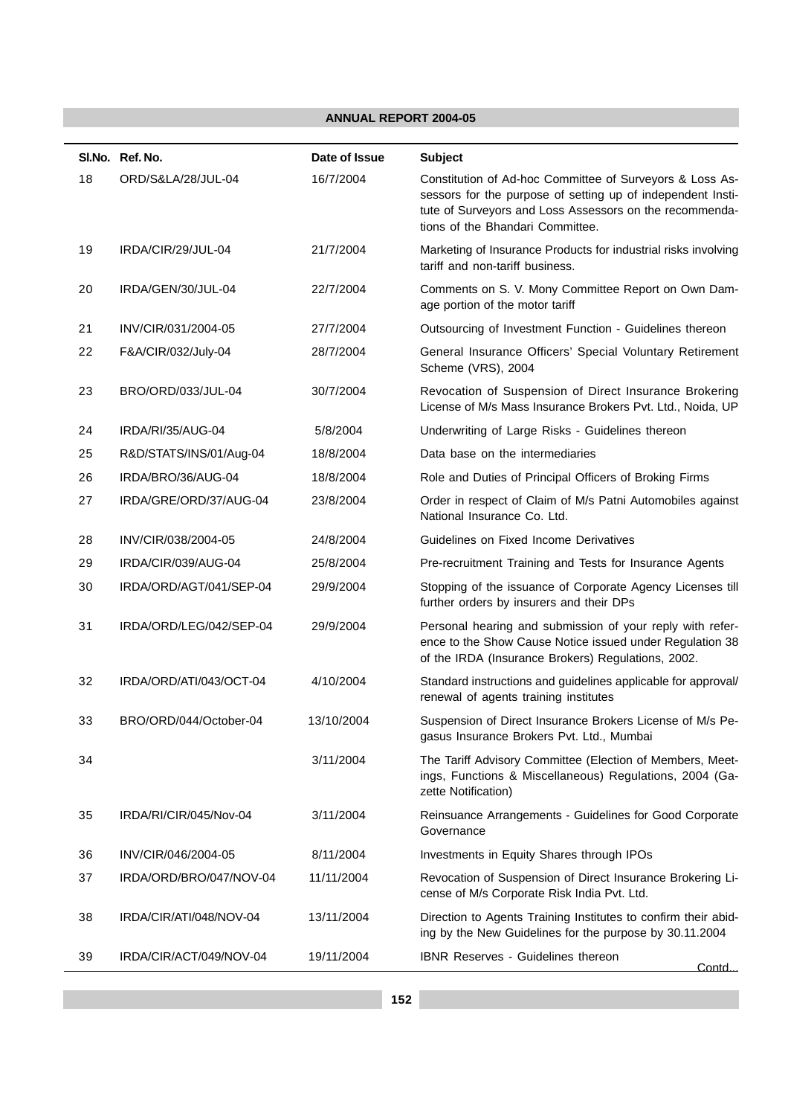|    | SI.No. Ref. No.         | Date of Issue | <b>Subject</b>                                                                                                                                                                                                         |
|----|-------------------------|---------------|------------------------------------------------------------------------------------------------------------------------------------------------------------------------------------------------------------------------|
| 18 | ORD/S&LA/28/JUL-04      | 16/7/2004     | Constitution of Ad-hoc Committee of Surveyors & Loss As-<br>sessors for the purpose of setting up of independent Insti-<br>tute of Surveyors and Loss Assessors on the recommenda-<br>tions of the Bhandari Committee. |
| 19 | IRDA/CIR/29/JUL-04      | 21/7/2004     | Marketing of Insurance Products for industrial risks involving<br>tariff and non-tariff business.                                                                                                                      |
| 20 | IRDA/GEN/30/JUL-04      | 22/7/2004     | Comments on S. V. Mony Committee Report on Own Dam-<br>age portion of the motor tariff                                                                                                                                 |
| 21 | INV/CIR/031/2004-05     | 27/7/2004     | Outsourcing of Investment Function - Guidelines thereon                                                                                                                                                                |
| 22 | F&A/CIR/032/July-04     | 28/7/2004     | General Insurance Officers' Special Voluntary Retirement<br>Scheme (VRS), 2004                                                                                                                                         |
| 23 | BRO/ORD/033/JUL-04      | 30/7/2004     | Revocation of Suspension of Direct Insurance Brokering<br>License of M/s Mass Insurance Brokers Pvt. Ltd., Noida, UP                                                                                                   |
| 24 | IRDA/RI/35/AUG-04       | 5/8/2004      | Underwriting of Large Risks - Guidelines thereon                                                                                                                                                                       |
| 25 | R&D/STATS/INS/01/Aug-04 | 18/8/2004     | Data base on the intermediaries                                                                                                                                                                                        |
| 26 | IRDA/BRO/36/AUG-04      | 18/8/2004     | Role and Duties of Principal Officers of Broking Firms                                                                                                                                                                 |
| 27 | IRDA/GRE/ORD/37/AUG-04  | 23/8/2004     | Order in respect of Claim of M/s Patni Automobiles against<br>National Insurance Co. Ltd.                                                                                                                              |
| 28 | INV/CIR/038/2004-05     | 24/8/2004     | Guidelines on Fixed Income Derivatives                                                                                                                                                                                 |
| 29 | IRDA/CIR/039/AUG-04     | 25/8/2004     | Pre-recruitment Training and Tests for Insurance Agents                                                                                                                                                                |
| 30 | IRDA/ORD/AGT/041/SEP-04 | 29/9/2004     | Stopping of the issuance of Corporate Agency Licenses till<br>further orders by insurers and their DPs                                                                                                                 |
| 31 | IRDA/ORD/LEG/042/SEP-04 | 29/9/2004     | Personal hearing and submission of your reply with refer-<br>ence to the Show Cause Notice issued under Regulation 38<br>of the IRDA (Insurance Brokers) Regulations, 2002.                                            |
| 32 | IRDA/ORD/ATI/043/OCT-04 | 4/10/2004     | Standard instructions and guidelines applicable for approval/<br>renewal of agents training institutes                                                                                                                 |
| 33 | BRO/ORD/044/October-04  | 13/10/2004    | Suspension of Direct Insurance Brokers License of M/s Pe-<br>gasus Insurance Brokers Pvt. Ltd., Mumbai                                                                                                                 |
| 34 |                         | 3/11/2004     | The Tariff Advisory Committee (Election of Members, Meet-<br>ings, Functions & Miscellaneous) Regulations, 2004 (Ga-<br>zette Notification)                                                                            |
| 35 | IRDA/RI/CIR/045/Nov-04  | 3/11/2004     | Reinsuance Arrangements - Guidelines for Good Corporate<br>Governance                                                                                                                                                  |
| 36 | INV/CIR/046/2004-05     | 8/11/2004     | Investments in Equity Shares through IPOs                                                                                                                                                                              |
| 37 | IRDA/ORD/BRO/047/NOV-04 | 11/11/2004    | Revocation of Suspension of Direct Insurance Brokering Li-<br>cense of M/s Corporate Risk India Pvt. Ltd.                                                                                                              |
| 38 | IRDA/CIR/ATI/048/NOV-04 | 13/11/2004    | Direction to Agents Training Institutes to confirm their abid-<br>ing by the New Guidelines for the purpose by 30.11.2004                                                                                              |
| 39 | IRDA/CIR/ACT/049/NOV-04 | 19/11/2004    | IBNR Reserves - Guidelines thereon<br>Contd_                                                                                                                                                                           |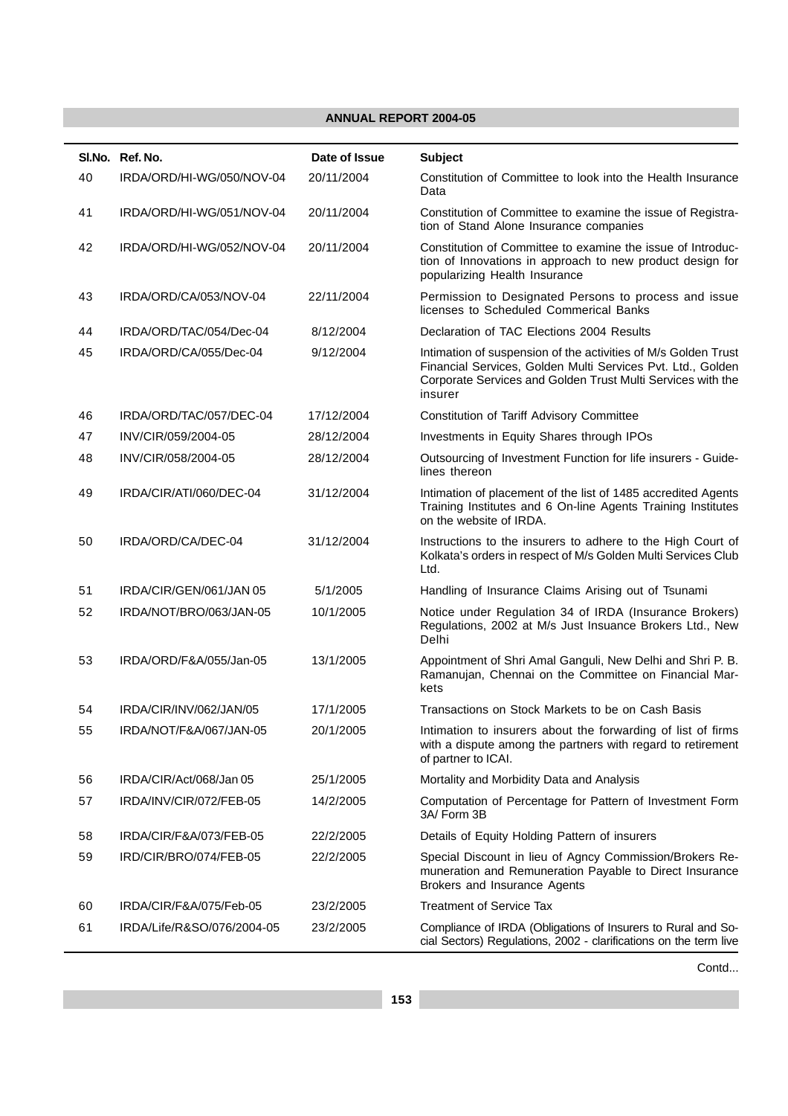|    | SI.No. Ref. No.            | Date of Issue | <b>Subject</b>                                                                                                                                                                                          |
|----|----------------------------|---------------|---------------------------------------------------------------------------------------------------------------------------------------------------------------------------------------------------------|
| 40 | IRDA/ORD/HI-WG/050/NOV-04  | 20/11/2004    | Constitution of Committee to look into the Health Insurance<br>Data                                                                                                                                     |
| 41 | IRDA/ORD/HI-WG/051/NOV-04  | 20/11/2004    | Constitution of Committee to examine the issue of Registra-<br>tion of Stand Alone Insurance companies                                                                                                  |
| 42 | IRDA/ORD/HI-WG/052/NOV-04  | 20/11/2004    | Constitution of Committee to examine the issue of Introduc-<br>tion of Innovations in approach to new product design for<br>popularizing Health Insurance                                               |
| 43 | IRDA/ORD/CA/053/NOV-04     | 22/11/2004    | Permission to Designated Persons to process and issue<br>licenses to Scheduled Commerical Banks                                                                                                         |
| 44 | IRDA/ORD/TAC/054/Dec-04    | 8/12/2004     | Declaration of TAC Elections 2004 Results                                                                                                                                                               |
| 45 | IRDA/ORD/CA/055/Dec-04     | 9/12/2004     | Intimation of suspension of the activities of M/s Golden Trust<br>Financial Services, Golden Multi Services Pvt. Ltd., Golden<br>Corporate Services and Golden Trust Multi Services with the<br>insurer |
| 46 | IRDA/ORD/TAC/057/DEC-04    | 17/12/2004    | <b>Constitution of Tariff Advisory Committee</b>                                                                                                                                                        |
| 47 | INV/CIR/059/2004-05        | 28/12/2004    | Investments in Equity Shares through IPOs                                                                                                                                                               |
| 48 | INV/CIR/058/2004-05        | 28/12/2004    | Outsourcing of Investment Function for life insurers - Guide-<br>lines thereon                                                                                                                          |
| 49 | IRDA/CIR/ATI/060/DEC-04    | 31/12/2004    | Intimation of placement of the list of 1485 accredited Agents<br>Training Institutes and 6 On-line Agents Training Institutes<br>on the website of IRDA.                                                |
| 50 | IRDA/ORD/CA/DEC-04         | 31/12/2004    | Instructions to the insurers to adhere to the High Court of<br>Kolkata's orders in respect of M/s Golden Multi Services Club<br>Ltd.                                                                    |
| 51 | IRDA/CIR/GEN/061/JAN 05    | 5/1/2005      | Handling of Insurance Claims Arising out of Tsunami                                                                                                                                                     |
| 52 | IRDA/NOT/BRO/063/JAN-05    | 10/1/2005     | Notice under Regulation 34 of IRDA (Insurance Brokers)<br>Regulations, 2002 at M/s Just Insuance Brokers Ltd., New<br>Delhi                                                                             |
| 53 | IRDA/ORD/F&A/055/Jan-05    | 13/1/2005     | Appointment of Shri Amal Ganguli, New Delhi and Shri P. B.<br>Ramanujan, Chennai on the Committee on Financial Mar-<br>kets                                                                             |
| 54 | IRDA/CIR/INV/062/JAN/05    | 17/1/2005     | Transactions on Stock Markets to be on Cash Basis                                                                                                                                                       |
| 55 | IRDA/NOT/F&A/067/JAN-05    | 20/1/2005     | Intimation to insurers about the forwarding of list of firms<br>with a dispute among the partners with regard to retirement<br>of partner to ICAI.                                                      |
| 56 | IRDA/CIR/Act/068/Jan 05    | 25/1/2005     | Mortality and Morbidity Data and Analysis                                                                                                                                                               |
| 57 | IRDA/INV/CIR/072/FEB-05    | 14/2/2005     | Computation of Percentage for Pattern of Investment Form<br>3A/ Form 3B                                                                                                                                 |
| 58 | IRDA/CIR/F&A/073/FEB-05    | 22/2/2005     | Details of Equity Holding Pattern of insurers                                                                                                                                                           |
| 59 | IRD/CIR/BRO/074/FEB-05     | 22/2/2005     | Special Discount in lieu of Agncy Commission/Brokers Re-<br>muneration and Remuneration Payable to Direct Insurance<br>Brokers and Insurance Agents                                                     |
| 60 | IRDA/CIR/F&A/075/Feb-05    | 23/2/2005     | <b>Treatment of Service Tax</b>                                                                                                                                                                         |
| 61 | IRDA/Life/R&SO/076/2004-05 | 23/2/2005     | Compliance of IRDA (Obligations of Insurers to Rural and So-<br>cial Sectors) Regulations, 2002 - clarifications on the term live                                                                       |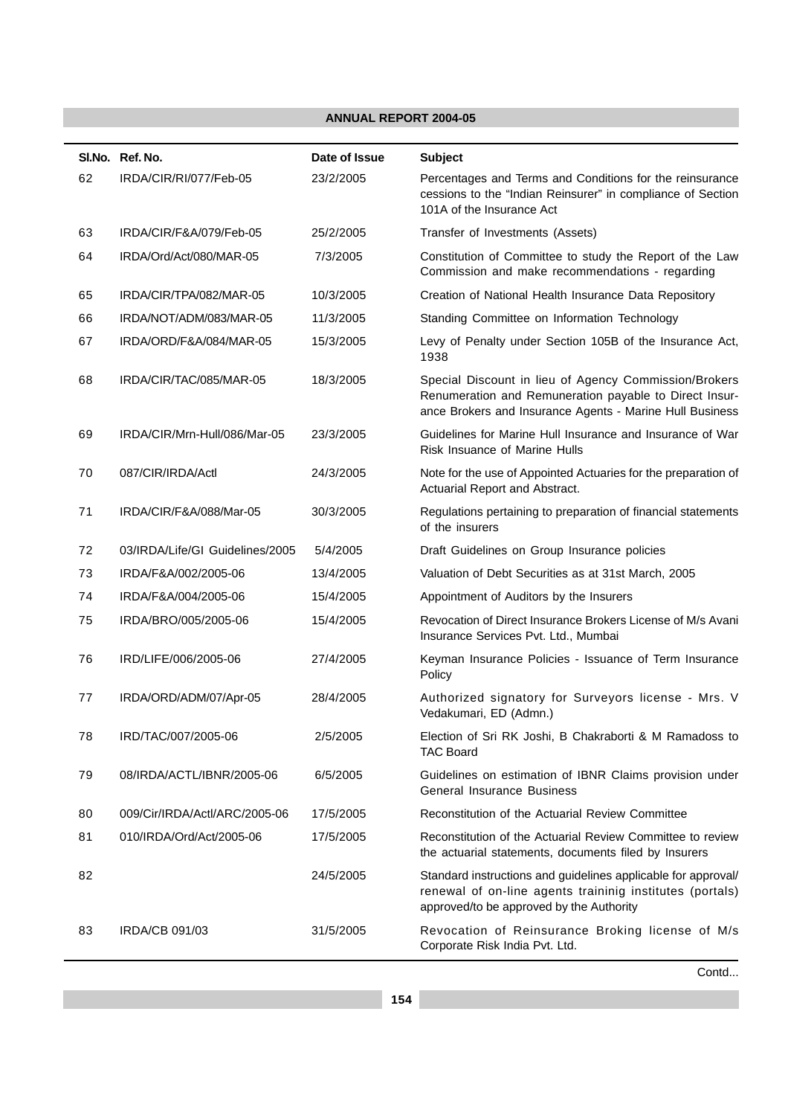|    | SI.No. Ref. No.                 | Date of Issue | <b>Subject</b>                                                                                                                                                              |
|----|---------------------------------|---------------|-----------------------------------------------------------------------------------------------------------------------------------------------------------------------------|
| 62 | IRDA/CIR/RI/077/Feb-05          | 23/2/2005     | Percentages and Terms and Conditions for the reinsurance<br>cessions to the "Indian Reinsurer" in compliance of Section<br>101A of the Insurance Act                        |
| 63 | IRDA/CIR/F&A/079/Feb-05         | 25/2/2005     | Transfer of Investments (Assets)                                                                                                                                            |
| 64 | IRDA/Ord/Act/080/MAR-05         | 7/3/2005      | Constitution of Committee to study the Report of the Law<br>Commission and make recommendations - regarding                                                                 |
| 65 | IRDA/CIR/TPA/082/MAR-05         | 10/3/2005     | Creation of National Health Insurance Data Repository                                                                                                                       |
| 66 | IRDA/NOT/ADM/083/MAR-05         | 11/3/2005     | Standing Committee on Information Technology                                                                                                                                |
| 67 | IRDA/ORD/F&A/084/MAR-05         | 15/3/2005     | Levy of Penalty under Section 105B of the Insurance Act,<br>1938                                                                                                            |
| 68 | IRDA/CIR/TAC/085/MAR-05         | 18/3/2005     | Special Discount in lieu of Agency Commission/Brokers<br>Renumeration and Remuneration payable to Direct Insur-<br>ance Brokers and Insurance Agents - Marine Hull Business |
| 69 | IRDA/CIR/Mrn-Hull/086/Mar-05    | 23/3/2005     | Guidelines for Marine Hull Insurance and Insurance of War<br>Risk Insuance of Marine Hulls                                                                                  |
| 70 | 087/CIR/IRDA/Actl               | 24/3/2005     | Note for the use of Appointed Actuaries for the preparation of<br>Actuarial Report and Abstract.                                                                            |
| 71 | IRDA/CIR/F&A/088/Mar-05         | 30/3/2005     | Regulations pertaining to preparation of financial statements<br>of the insurers                                                                                            |
| 72 | 03/IRDA/Life/GI Guidelines/2005 | 5/4/2005      | Draft Guidelines on Group Insurance policies                                                                                                                                |
| 73 | IRDA/F&A/002/2005-06            | 13/4/2005     | Valuation of Debt Securities as at 31st March, 2005                                                                                                                         |
| 74 | IRDA/F&A/004/2005-06            | 15/4/2005     | Appointment of Auditors by the Insurers                                                                                                                                     |
| 75 | IRDA/BRO/005/2005-06            | 15/4/2005     | Revocation of Direct Insurance Brokers License of M/s Avani<br>Insurance Services Pvt. Ltd., Mumbai                                                                         |
| 76 | IRD/LIFE/006/2005-06            | 27/4/2005     | Keyman Insurance Policies - Issuance of Term Insurance<br>Policy                                                                                                            |
| 77 | IRDA/ORD/ADM/07/Apr-05          | 28/4/2005     | Authorized signatory for Surveyors license - Mrs. V<br>Vedakumari, ED (Admn.)                                                                                               |
| 78 | IRD/TAC/007/2005-06             | 2/5/2005      | Election of Sri RK Joshi, B Chakraborti & M Ramadoss to<br><b>TAC Board</b>                                                                                                 |
| 79 | 08/IRDA/ACTL/IBNR/2005-06       | 6/5/2005      | Guidelines on estimation of IBNR Claims provision under<br><b>General Insurance Business</b>                                                                                |
| 80 | 009/Cir/IRDA/Actl/ARC/2005-06   | 17/5/2005     | Reconstitution of the Actuarial Review Committee                                                                                                                            |
| 81 | 010/IRDA/Ord/Act/2005-06        | 17/5/2005     | Reconstitution of the Actuarial Review Committee to review<br>the actuarial statements, documents filed by Insurers                                                         |
| 82 |                                 | 24/5/2005     | Standard instructions and guidelines applicable for approval/<br>renewal of on-line agents traininig institutes (portals)<br>approved/to be approved by the Authority       |
| 83 | <b>IRDA/CB 091/03</b>           | 31/5/2005     | Revocation of Reinsurance Broking license of M/s<br>Corporate Risk India Pvt. Ltd.                                                                                          |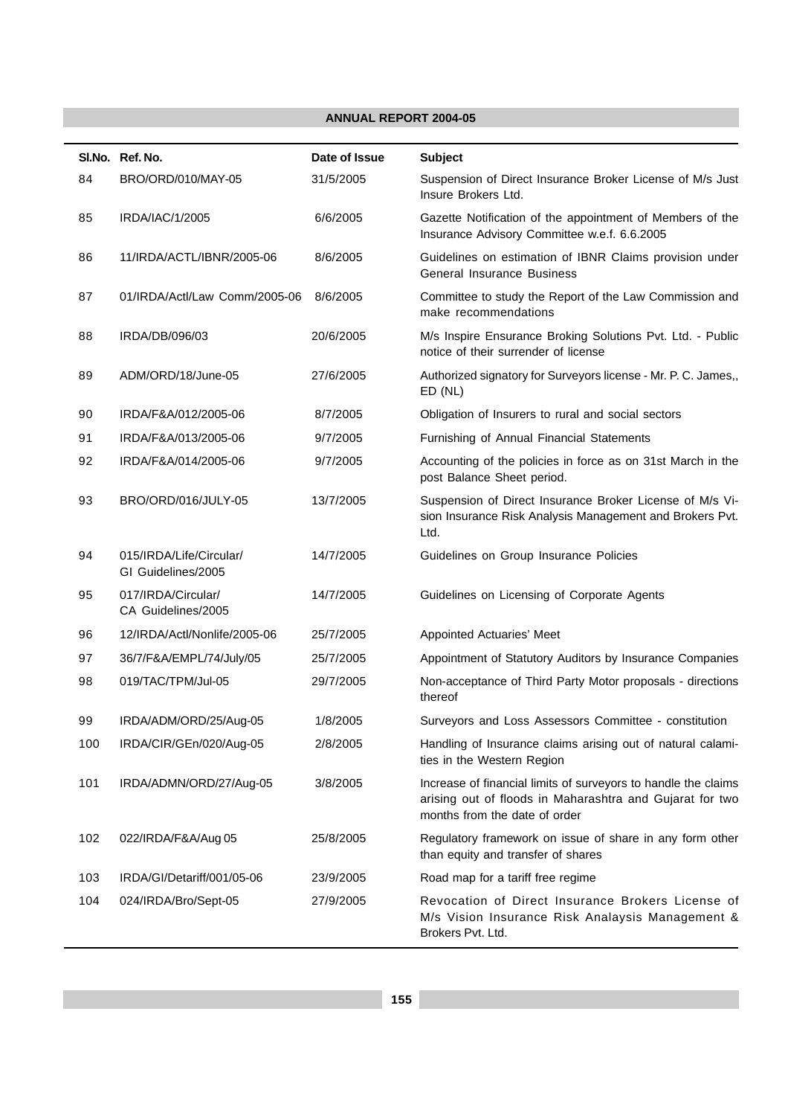|     | SI.No. Ref. No.                               | Date of Issue | <b>Subject</b>                                                                                                                                              |  |  |
|-----|-----------------------------------------------|---------------|-------------------------------------------------------------------------------------------------------------------------------------------------------------|--|--|
| 84  | BRO/ORD/010/MAY-05                            | 31/5/2005     | Suspension of Direct Insurance Broker License of M/s Just<br>Insure Brokers Ltd.                                                                            |  |  |
| 85  | IRDA/IAC/1/2005                               | 6/6/2005      | Gazette Notification of the appointment of Members of the<br>Insurance Advisory Committee w.e.f. 6.6.2005                                                   |  |  |
| 86  | 11/IRDA/ACTL/IBNR/2005-06                     | 8/6/2005      | Guidelines on estimation of IBNR Claims provision under<br>General Insurance Business                                                                       |  |  |
| 87  | 01/IRDA/Actl/Law Comm/2005-06                 | 8/6/2005      | Committee to study the Report of the Law Commission and<br>make recommendations                                                                             |  |  |
| 88  | IRDA/DB/096/03                                | 20/6/2005     | M/s Inspire Ensurance Broking Solutions Pvt. Ltd. - Public<br>notice of their surrender of license                                                          |  |  |
| 89  | ADM/ORD/18/June-05                            | 27/6/2005     | Authorized signatory for Surveyors license - Mr. P. C. James,,<br>$ED$ (NL)                                                                                 |  |  |
| 90  | IRDA/F&A/012/2005-06                          | 8/7/2005      | Obligation of Insurers to rural and social sectors                                                                                                          |  |  |
| 91  | IRDA/F&A/013/2005-06                          | 9/7/2005      | Furnishing of Annual Financial Statements                                                                                                                   |  |  |
| 92  | IRDA/F&A/014/2005-06                          | 9/7/2005      | Accounting of the policies in force as on 31st March in the<br>post Balance Sheet period.                                                                   |  |  |
| 93  | BRO/ORD/016/JULY-05                           | 13/7/2005     | Suspension of Direct Insurance Broker License of M/s Vi-<br>sion Insurance Risk Analysis Management and Brokers Pvt.<br>Ltd.                                |  |  |
| 94  | 015/IRDA/Life/Circular/<br>GI Guidelines/2005 | 14/7/2005     | Guidelines on Group Insurance Policies                                                                                                                      |  |  |
| 95  | 017/IRDA/Circular/<br>CA Guidelines/2005      | 14/7/2005     | Guidelines on Licensing of Corporate Agents                                                                                                                 |  |  |
| 96  | 12/IRDA/Actl/Nonlife/2005-06                  | 25/7/2005     | Appointed Actuaries' Meet                                                                                                                                   |  |  |
| 97  | 36/7/F&A/EMPL/74/July/05                      | 25/7/2005     | Appointment of Statutory Auditors by Insurance Companies                                                                                                    |  |  |
| 98  | 019/TAC/TPM/Jul-05                            | 29/7/2005     | Non-acceptance of Third Party Motor proposals - directions<br>thereof                                                                                       |  |  |
| 99  | IRDA/ADM/ORD/25/Aug-05                        | 1/8/2005      | Surveyors and Loss Assessors Committee - constitution                                                                                                       |  |  |
| 100 | IRDA/CIR/GEn/020/Aug-05                       | 2/8/2005      | Handling of Insurance claims arising out of natural calami-<br>ties in the Western Region                                                                   |  |  |
| 101 | IRDA/ADMN/ORD/27/Aug-05                       | 3/8/2005      | Increase of financial limits of surveyors to handle the claims<br>arising out of floods in Maharashtra and Gujarat for two<br>months from the date of order |  |  |
| 102 | 022/IRDA/F&A/Aug 05                           | 25/8/2005     | Regulatory framework on issue of share in any form other<br>than equity and transfer of shares                                                              |  |  |
| 103 | IRDA/GI/Detariff/001/05-06                    | 23/9/2005     | Road map for a tariff free regime                                                                                                                           |  |  |
| 104 | 024/IRDA/Bro/Sept-05                          | 27/9/2005     | Revocation of Direct Insurance Brokers License of<br>M/s Vision Insurance Risk Analaysis Management &<br>Brokers Pvt. Ltd.                                  |  |  |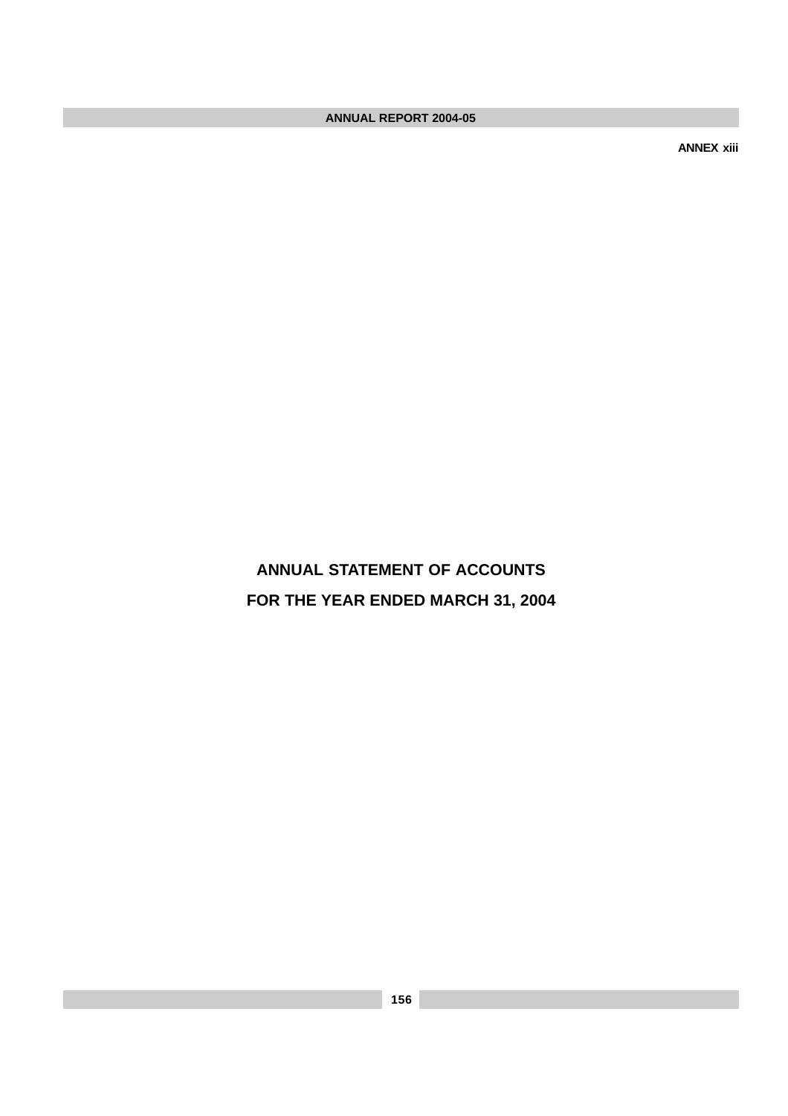**ANNEX xiii**

**ANNUAL STATEMENT OF ACCOUNTS FOR THE YEAR ENDED MARCH 31, 2004**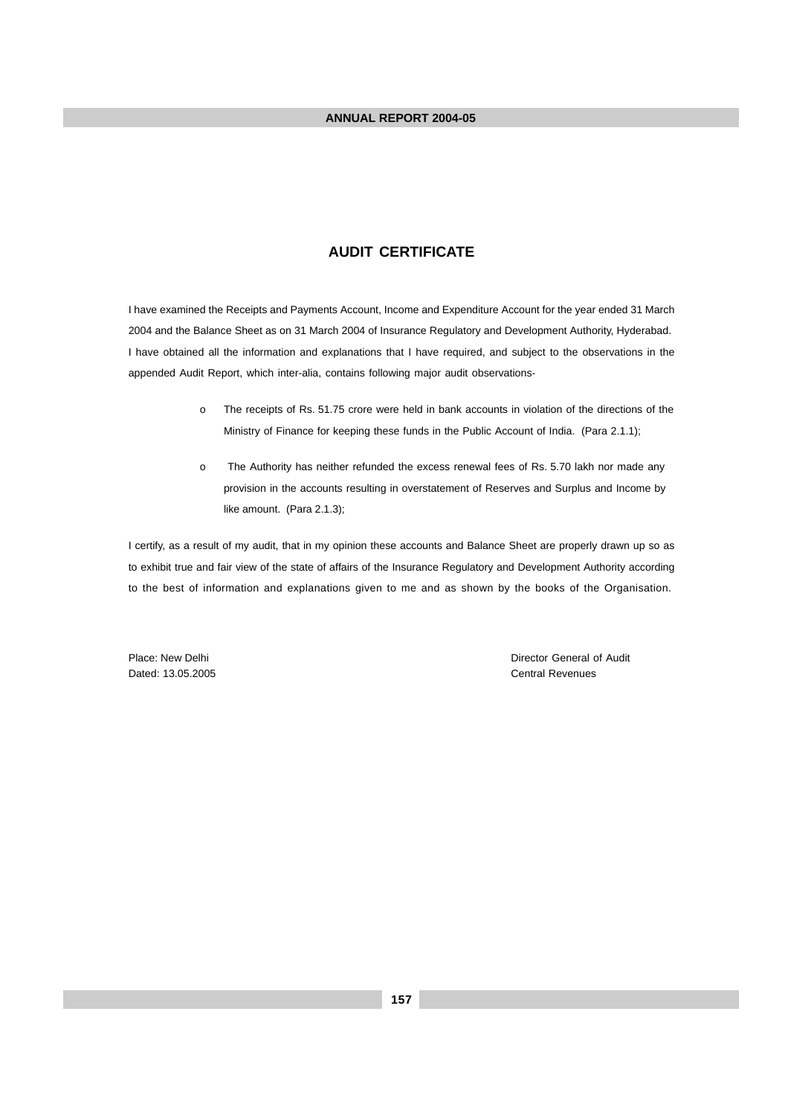#### **AUDIT CERTIFICATE**

I have examined the Receipts and Payments Account, Income and Expenditure Account for the year ended 31 March 2004 and the Balance Sheet as on 31 March 2004 of Insurance Regulatory and Development Authority, Hyderabad. I have obtained all the information and explanations that I have required, and subject to the observations in the appended Audit Report, which inter-alia, contains following major audit observations-

- o The receipts of Rs. 51.75 crore were held in bank accounts in violation of the directions of the Ministry of Finance for keeping these funds in the Public Account of India. (Para 2.1.1);
- o The Authority has neither refunded the excess renewal fees of Rs. 5.70 lakh nor made any provision in the accounts resulting in overstatement of Reserves and Surplus and Income by like amount. (Para 2.1.3);

I certify, as a result of my audit, that in my opinion these accounts and Balance Sheet are properly drawn up so as to exhibit true and fair view of the state of affairs of the Insurance Regulatory and Development Authority according to the best of information and explanations given to me and as shown by the books of the Organisation.

Dated: 13.05.2005 Central Revenues

Place: New Delhi Director General of Audit Director General of Audit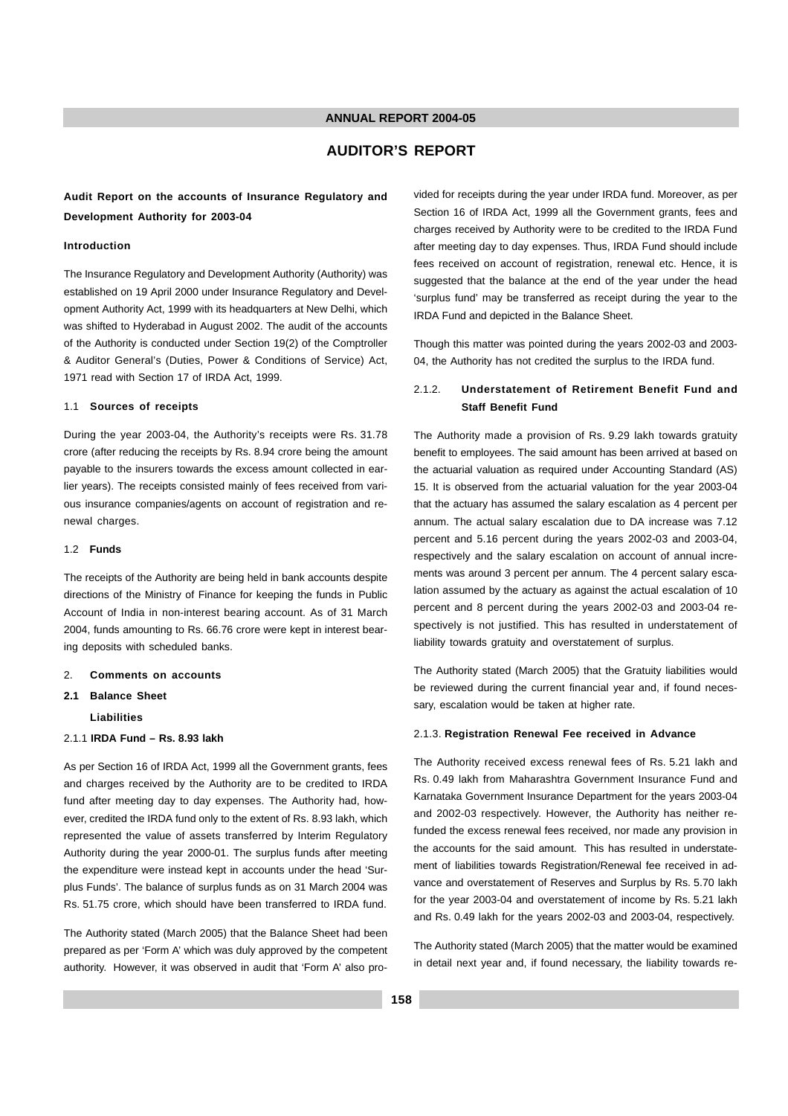### **AUDITOR'S REPORT**

#### **Audit Report on the accounts of Insurance Regulatory and Development Authority for 2003-04**

#### **Introduction**

The Insurance Regulatory and Development Authority (Authority) was established on 19 April 2000 under Insurance Regulatory and Development Authority Act, 1999 with its headquarters at New Delhi, which was shifted to Hyderabad in August 2002. The audit of the accounts of the Authority is conducted under Section 19(2) of the Comptroller & Auditor General's (Duties, Power & Conditions of Service) Act, 1971 read with Section 17 of IRDA Act, 1999.

#### 1.1 **Sources of receipts**

During the year 2003-04, the Authority's receipts were Rs. 31.78 crore (after reducing the receipts by Rs. 8.94 crore being the amount payable to the insurers towards the excess amount collected in earlier years). The receipts consisted mainly of fees received from various insurance companies/agents on account of registration and renewal charges.

#### 1.2 **Funds**

The receipts of the Authority are being held in bank accounts despite directions of the Ministry of Finance for keeping the funds in Public Account of India in non-interest bearing account. As of 31 March 2004, funds amounting to Rs. 66.76 crore were kept in interest bearing deposits with scheduled banks.

#### 2. **Comments on accounts**

#### **2.1 Balance Sheet**

**Liabilities**

#### 2.1.1 **IRDA Fund – Rs. 8.93 lakh**

As per Section 16 of IRDA Act, 1999 all the Government grants, fees and charges received by the Authority are to be credited to IRDA fund after meeting day to day expenses. The Authority had, however, credited the IRDA fund only to the extent of Rs. 8.93 lakh, which represented the value of assets transferred by Interim Regulatory Authority during the year 2000-01. The surplus funds after meeting the expenditure were instead kept in accounts under the head 'Surplus Funds'. The balance of surplus funds as on 31 March 2004 was Rs. 51.75 crore, which should have been transferred to IRDA fund.

The Authority stated (March 2005) that the Balance Sheet had been prepared as per 'Form A' which was duly approved by the competent authority. However, it was observed in audit that 'Form A' also pro-

vided for receipts during the year under IRDA fund. Moreover, as per Section 16 of IRDA Act, 1999 all the Government grants, fees and charges received by Authority were to be credited to the IRDA Fund after meeting day to day expenses. Thus, IRDA Fund should include fees received on account of registration, renewal etc. Hence, it is suggested that the balance at the end of the year under the head 'surplus fund' may be transferred as receipt during the year to the IRDA Fund and depicted in the Balance Sheet.

Though this matter was pointed during the years 2002-03 and 2003- 04, the Authority has not credited the surplus to the IRDA fund.

#### 2.1.2. **Understatement of Retirement Benefit Fund and Staff Benefit Fund**

The Authority made a provision of Rs. 9.29 lakh towards gratuity benefit to employees. The said amount has been arrived at based on the actuarial valuation as required under Accounting Standard (AS) 15. It is observed from the actuarial valuation for the year 2003-04 that the actuary has assumed the salary escalation as 4 percent per annum. The actual salary escalation due to DA increase was 7.12 percent and 5.16 percent during the years 2002-03 and 2003-04, respectively and the salary escalation on account of annual increments was around 3 percent per annum. The 4 percent salary escalation assumed by the actuary as against the actual escalation of 10 percent and 8 percent during the years 2002-03 and 2003-04 respectively is not justified. This has resulted in understatement of liability towards gratuity and overstatement of surplus.

The Authority stated (March 2005) that the Gratuity liabilities would be reviewed during the current financial year and, if found necessary, escalation would be taken at higher rate.

#### 2.1.3. **Registration Renewal Fee received in Advance**

The Authority received excess renewal fees of Rs. 5.21 lakh and Rs. 0.49 lakh from Maharashtra Government Insurance Fund and Karnataka Government Insurance Department for the years 2003-04 and 2002-03 respectively. However, the Authority has neither refunded the excess renewal fees received, nor made any provision in the accounts for the said amount. This has resulted in understatement of liabilities towards Registration/Renewal fee received in advance and overstatement of Reserves and Surplus by Rs. 5.70 lakh for the year 2003-04 and overstatement of income by Rs. 5.21 lakh and Rs. 0.49 lakh for the years 2002-03 and 2003-04, respectively.

The Authority stated (March 2005) that the matter would be examined in detail next year and, if found necessary, the liability towards re-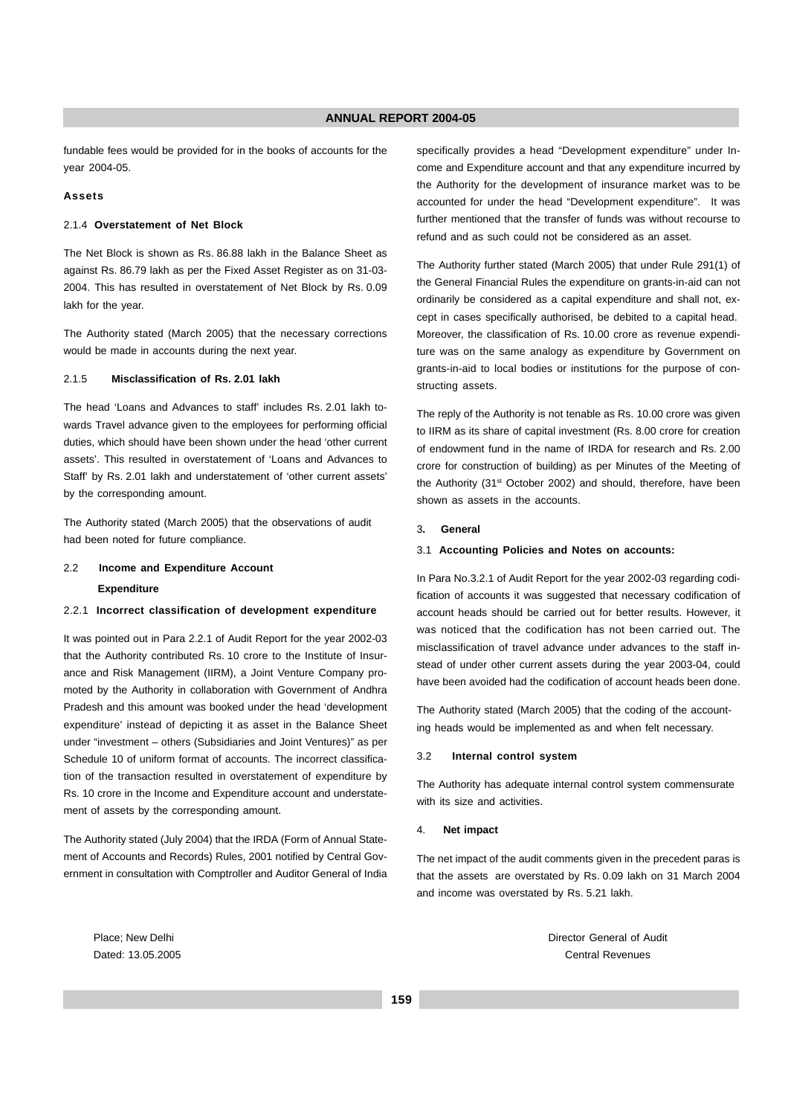fundable fees would be provided for in the books of accounts for the year 2004-05.

#### **Assets**

#### 2.1.4 **Overstatement of Net Block**

The Net Block is shown as Rs. 86.88 lakh in the Balance Sheet as against Rs. 86.79 lakh as per the Fixed Asset Register as on 31-03- 2004. This has resulted in overstatement of Net Block by Rs. 0.09 lakh for the year.

The Authority stated (March 2005) that the necessary corrections would be made in accounts during the next year.

#### 2.1.5 **Misclassification of Rs. 2.01 lakh**

The head 'Loans and Advances to staff' includes Rs. 2.01 lakh towards Travel advance given to the employees for performing official duties, which should have been shown under the head 'other current assets'. This resulted in overstatement of 'Loans and Advances to Staff' by Rs. 2.01 lakh and understatement of 'other current assets' by the corresponding amount.

The Authority stated (March 2005) that the observations of audit had been noted for future compliance.

#### 2.2 **Income and Expenditure Account**

#### **Expenditure**

#### 2.2.1 **Incorrect classification of development expenditure**

It was pointed out in Para 2.2.1 of Audit Report for the year 2002-03 that the Authority contributed Rs. 10 crore to the Institute of Insurance and Risk Management (IIRM), a Joint Venture Company promoted by the Authority in collaboration with Government of Andhra Pradesh and this amount was booked under the head 'development expenditure' instead of depicting it as asset in the Balance Sheet under "investment – others (Subsidiaries and Joint Ventures)" as per Schedule 10 of uniform format of accounts. The incorrect classification of the transaction resulted in overstatement of expenditure by Rs. 10 crore in the Income and Expenditure account and understatement of assets by the corresponding amount.

The Authority stated (July 2004) that the IRDA (Form of Annual Statement of Accounts and Records) Rules, 2001 notified by Central Government in consultation with Comptroller and Auditor General of India specifically provides a head "Development expenditure" under Income and Expenditure account and that any expenditure incurred by the Authority for the development of insurance market was to be accounted for under the head "Development expenditure". It was further mentioned that the transfer of funds was without recourse to refund and as such could not be considered as an asset.

The Authority further stated (March 2005) that under Rule 291(1) of the General Financial Rules the expenditure on grants-in-aid can not ordinarily be considered as a capital expenditure and shall not, except in cases specifically authorised, be debited to a capital head. Moreover, the classification of Rs. 10.00 crore as revenue expenditure was on the same analogy as expenditure by Government on grants-in-aid to local bodies or institutions for the purpose of constructing assets.

The reply of the Authority is not tenable as Rs. 10.00 crore was given to IIRM as its share of capital investment (Rs. 8.00 crore for creation of endowment fund in the name of IRDA for research and Rs. 2.00 crore for construction of building) as per Minutes of the Meeting of the Authority (31<sup>st</sup> October 2002) and should, therefore, have been shown as assets in the accounts.

#### 3**. General**

#### 3.1 **Accounting Policies and Notes on accounts:**

In Para No.3.2.1 of Audit Report for the year 2002-03 regarding codification of accounts it was suggested that necessary codification of account heads should be carried out for better results. However, it was noticed that the codification has not been carried out. The misclassification of travel advance under advances to the staff instead of under other current assets during the year 2003-04, could have been avoided had the codification of account heads been done.

The Authority stated (March 2005) that the coding of the accounting heads would be implemented as and when felt necessary.

#### 3.2 **Internal control system**

The Authority has adequate internal control system commensurate with its size and activities.

#### 4. **Net impact**

The net impact of the audit comments given in the precedent paras is that the assets are overstated by Rs. 0.09 lakh on 31 March 2004 and income was overstated by Rs. 5.21 lakh.

Place: New Delhi Director General of Audit Director General of Audit Director General of Audit Dated: 13.05.2005 Central Revenues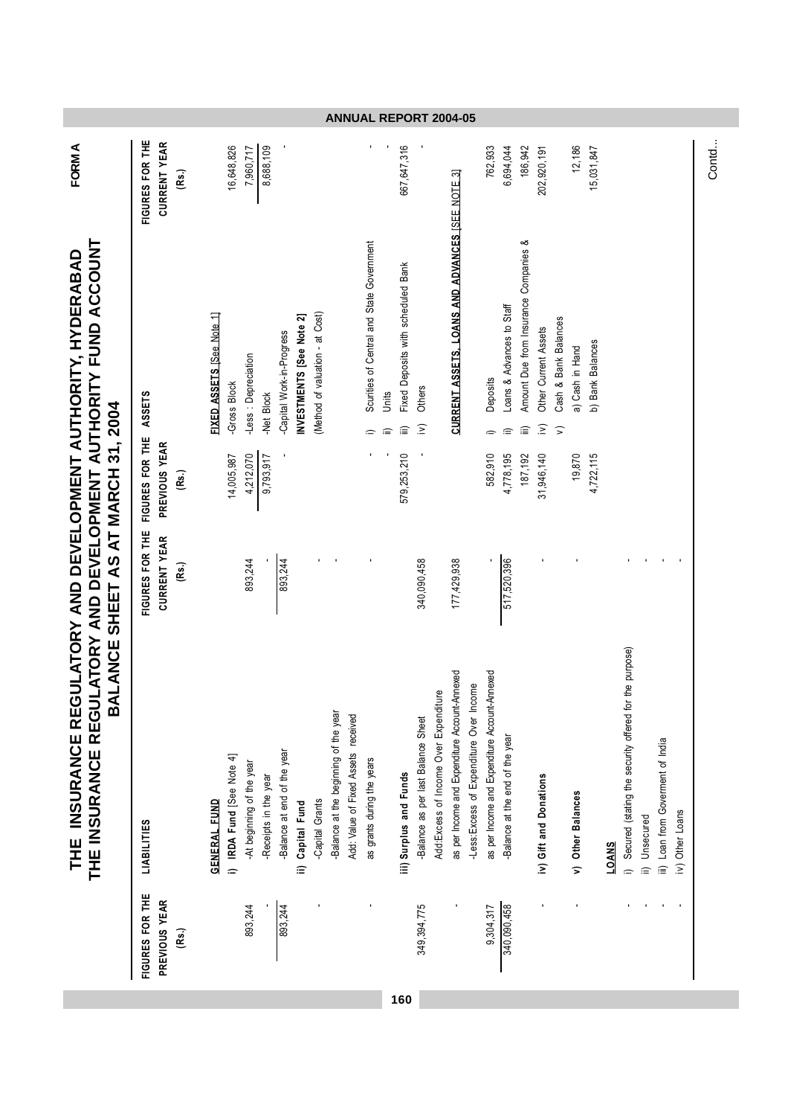| FIGURES FOR THE | <b>LIABILITIES</b>                                        | FIGURES FOR THE     | FIGURES FOR THE | ASSETS                                                     | FIGURES FOR THE |
|-----------------|-----------------------------------------------------------|---------------------|-----------------|------------------------------------------------------------|-----------------|
| PREVIOUS YEAR   |                                                           | <b>CURRENT YEAR</b> | PREVIOUS YEAR   |                                                            | CURRENT YEAR    |
| (Rs.)           |                                                           | (Rs.)               | (Rs.)           |                                                            | (Rs.)           |
|                 | <b>GENERAL FUND</b>                                       |                     |                 | FIXED ASSETS [See Note 1]                                  |                 |
|                 | IRDA Fund [See Note 4]<br>$\Rightarrow$                   |                     | 14,005,987      | -Gross Block                                               | 16,648,826      |
| 893,244         | -At beginning of the year                                 | 893,244             | 4,212,070       | -Less : Depreciation                                       | 7,960,717       |
|                 | -Receipts in the year                                     |                     | 9,793,917       | <b>Net Block</b>                                           | 8,688,109       |
| 893,244         | Balance at end of the year                                | 893,244             |                 | -Capital Work-in-Progress                                  |                 |
|                 | Capital Fund<br>$\widehat{=}$                             |                     |                 | INVESTMENTS [See Note 2]                                   |                 |
|                 | Capital Grants                                            |                     |                 | (Method of valuation - at Cost)                            |                 |
|                 | Balance at the beginning of the year                      |                     |                 |                                                            |                 |
|                 | Add: Value of Fixed Assets received                       |                     |                 |                                                            |                 |
|                 | as grants during the years                                |                     |                 | Scurities of Central and State Government<br>$\widehat{=}$ |                 |
|                 |                                                           |                     |                 | Units<br>≘                                                 |                 |
|                 | iii) Surplus and Funds                                    |                     | 579,253,210     | Fixed Deposits with scheduled Bank<br>倉                    | 667,647,316     |
| 349,394,775     | Balance as per last Balance Sheet                         | 340,090,458         |                 | Others<br>$\sum$                                           |                 |
|                 | Add: Excess of Income Over Expenditure                    |                     |                 |                                                            |                 |
|                 | as per Income and Expenditure Account-Annexed             | 177,429,938         |                 | CURRENT ASSETS, LOANS AND ADVANCES [SEE NOTE 3]            |                 |
|                 | -Less: Excess of Expenditure Over Income                  |                     |                 |                                                            |                 |
| 9,304,317       | as per Income and Expenditure Account-Annexed             |                     | 582,910         | Deposits<br>$\Rightarrow$                                  | 762,933         |
| 340,090,458     | Balance at the end of the year                            | 517,520,396         | 4,778,195       | Loans & Advances to Staff<br>≘                             | 6,694,044       |
|                 |                                                           |                     | 187,192         | Amount Due from Insurance Companies &<br>倉                 | 186,942         |
|                 | iv) Gift and Donations                                    |                     | 31,946,140      | Other Current Assets<br>$\widehat{\geq}$                   | 202,920,191     |
|                 |                                                           |                     |                 | Cash & Bank Balances<br>$\widehat{\phantom{a}}$            |                 |
|                 | v) Other Balances                                         |                     | 19,870          | a) Cash in Hand                                            | 12,186          |
|                 |                                                           |                     | 4,722,115       | b) Bank Balances                                           | 15,031,847      |
|                 | <b>LOANS</b>                                              |                     |                 |                                                            |                 |
|                 | for the purpose)<br>Secured (stating the security offered |                     |                 |                                                            |                 |
|                 | ii) Unsecured                                             |                     |                 |                                                            |                 |
|                 | iii) Loan from Goverment of India                         |                     |                 |                                                            |                 |
|                 | iv) Other Loans                                           |                     |                 |                                                            |                 |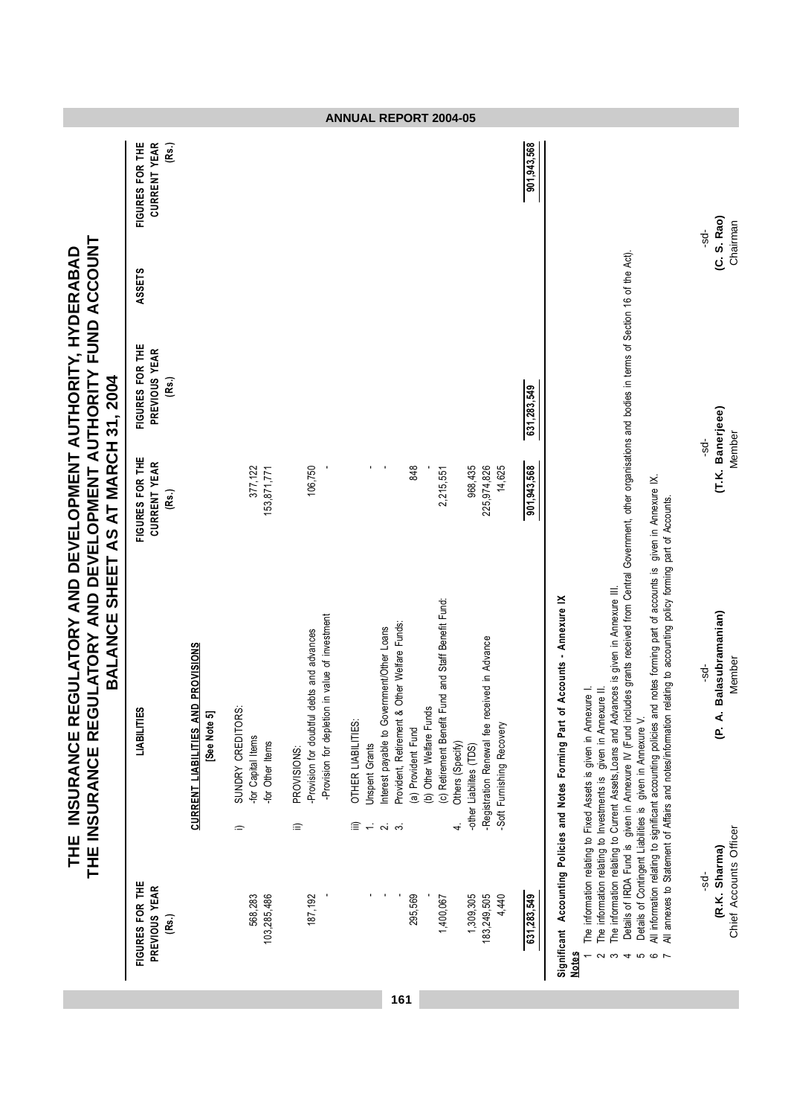|                                                                                                                                                                            |                                                 |                                                           |                                                                                       |                                                                                                                      | <b>ANNUAL REPORT 2004-05</b>                                                      |                                                                                                                               |                                                                                   |                                                                                                                                 |             |                                                                                                                                                                                                                                                                                                                                                                                                                                                                                                                                                                                                                                                                                                                                                                                                           |                                                   |
|----------------------------------------------------------------------------------------------------------------------------------------------------------------------------|-------------------------------------------------|-----------------------------------------------------------|---------------------------------------------------------------------------------------|----------------------------------------------------------------------------------------------------------------------|-----------------------------------------------------------------------------------|-------------------------------------------------------------------------------------------------------------------------------|-----------------------------------------------------------------------------------|---------------------------------------------------------------------------------------------------------------------------------|-------------|-----------------------------------------------------------------------------------------------------------------------------------------------------------------------------------------------------------------------------------------------------------------------------------------------------------------------------------------------------------------------------------------------------------------------------------------------------------------------------------------------------------------------------------------------------------------------------------------------------------------------------------------------------------------------------------------------------------------------------------------------------------------------------------------------------------|---------------------------------------------------|
|                                                                                                                                                                            | FIGURES FOR THE<br><b>CURRENT YEAR</b><br>(Rs.) |                                                           |                                                                                       |                                                                                                                      |                                                                                   |                                                                                                                               |                                                                                   |                                                                                                                                 | 901,943,568 |                                                                                                                                                                                                                                                                                                                                                                                                                                                                                                                                                                                                                                                                                                                                                                                                           | Chairman<br>-sd-                                  |
|                                                                                                                                                                            | ASSETS                                          |                                                           |                                                                                       |                                                                                                                      |                                                                                   |                                                                                                                               |                                                                                   |                                                                                                                                 |             |                                                                                                                                                                                                                                                                                                                                                                                                                                                                                                                                                                                                                                                                                                                                                                                                           | (C. S. Rao)                                       |
|                                                                                                                                                                            | FIGURES FOR THE<br>PREVIOUS YEAR<br>(Rs.)       |                                                           |                                                                                       |                                                                                                                      |                                                                                   |                                                                                                                               |                                                                                   |                                                                                                                                 | 631,283,549 |                                                                                                                                                                                                                                                                                                                                                                                                                                                                                                                                                                                                                                                                                                                                                                                                           |                                                   |
|                                                                                                                                                                            | FIGURES FOR THE<br><b>CURRENT YEAR</b><br>(Rs.) |                                                           | 377,122<br>153,871,771                                                                | 106,750                                                                                                              |                                                                                   | $\blacksquare$<br>848                                                                                                         | 2,215,551                                                                         | 968,435<br>225,974,826<br>14,625                                                                                                | 901,943,568 |                                                                                                                                                                                                                                                                                                                                                                                                                                                                                                                                                                                                                                                                                                                                                                                                           | (T.K. Banerjeee)<br>Member<br>÷sd-                |
| LATORY AND DEVELOPMENT AUTHORITY FUND ACCOUNT<br>THE INSURANCE REGULATORY AND DEVELOPMENT AUTHORITY, HYDERABAD<br>BALANCE SHEET AS AT MARCH 31, 2004<br>THE INSURANCE REGU | LIABILITIES                                     | <b>CURRENT LIABILITIES AND PROVISIONS</b><br>[See Note 5] | SUNDRY CREDITORS:<br>for Capital Items<br>-for Other Items<br>$\widehat{\phantom{a}}$ | value of investment<br>-Provision for doubtful debts and advances<br>-Provision for depletion in<br>PROVISIONS:<br>≘ | OTHER LIABILITIES:<br><b>Jnspent Grants</b><br>$\widehat{=}$ $\rightleftharpoons$ | ner Welfare Funds:<br>Interest payable to Government/Other Loans<br>Provident, Retirement & Ott<br>(a) Provident Fund<br>റിന് | and Staff Benefit Fund:<br>(c) Retirement Benefit Fund<br>(b) Other Welfare Funds | -Registration Renewal fee received in Advance<br>-Soft Furnishing Recovery<br>Others (Specify)<br>-other Liabilites (TDS)<br>4. |             | Details of IRDA Fund is given in Annexure IV (Fund includes grants received from Central Government, other organisations and bodies in terms of Section 16 of the Act).<br>All information relating to significant accounting policies and notes forming part of accounts is given in Annexure IX.<br>All annexes to Statement of Affairs and notes/information relating to accounting policy forming part of Accounts.<br>The information relating to Current Assets, Loans and Advances is given in Annexure III.<br>Significant Accounting Policies and Notes Forming Part of Accounts - Annexure IX<br>The information relating to Investments is given in Annexure II.<br>The information relating to Fixed Assets is given in Annexure<br>Details of Contingent Liabilities is given in Annexure V. | (P. A. Balasubramanian)<br>Member<br>ಕ್ಗೆ         |
|                                                                                                                                                                            | FIGURES FOR THE<br>PREVIOUS YEAR<br>(Rs.)       |                                                           | 568,283<br>103,285,486                                                                | 187,192                                                                                                              |                                                                                   | 295,569<br>161                                                                                                                | 1,400,067                                                                         | 1,309,305<br>183,249,505<br>4,440                                                                                               | 631,283,549 | <b>Notes</b><br>S<br>$\circ$ $\sim$<br>4                                                                                                                                                                                                                                                                                                                                                                                                                                                                                                                                                                                                                                                                                                                                                                  | Chief Accounts Officer<br>(R.K. Sharma)<br>$-5d-$ |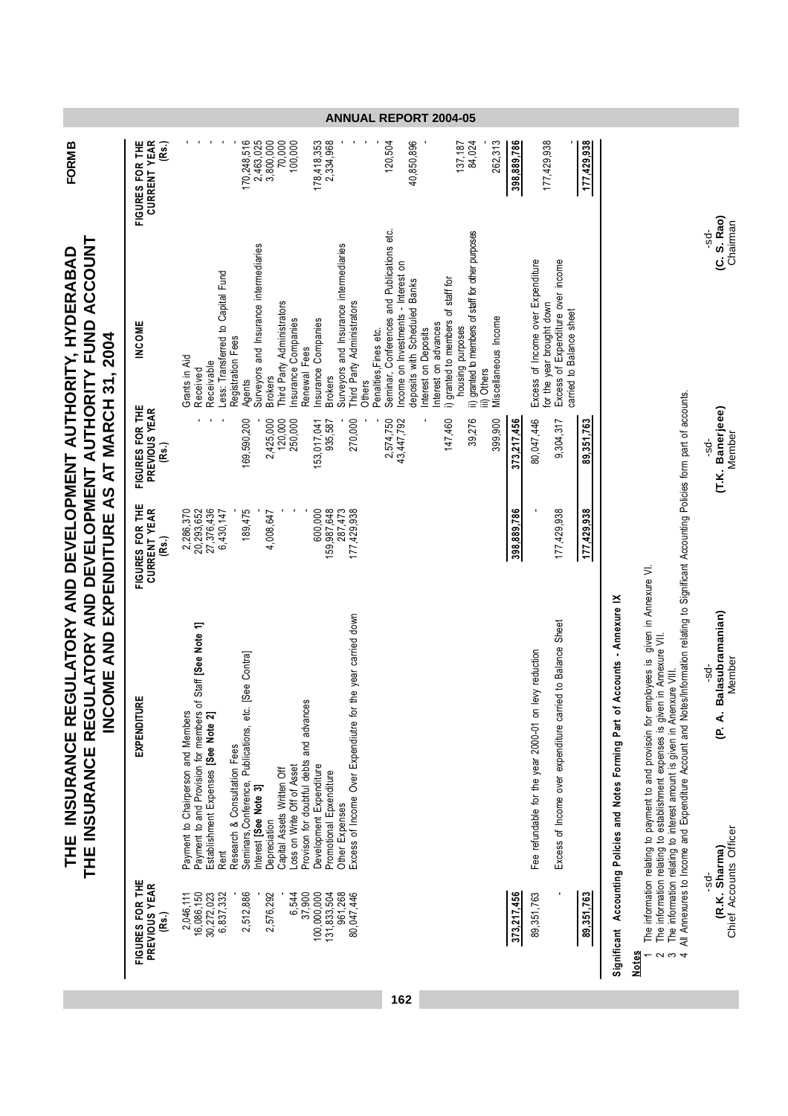| THE INSURANCE REGULATORY AND DEVELOPMENT AUTHORITY, HYDERABAD | THE INSURANCE REGULATORY AND DEVELOPMENT AUTHORITY FUND ACCOUNT | INCOME AND EXPENDITURE AS AT MARCH 31, 2004 |
|---------------------------------------------------------------|-----------------------------------------------------------------|---------------------------------------------|
|                                                               |                                                                 |                                             |

**FORM B**

|                                                                                                 | COME AND EXPENDITURE AS AT MARCH 31, 2004<br>$\mathsf{z}$                                                                                                                                                                                                                                                                                                                                 |                                                                            |                                                              |                                                                                                                                                                                                                                                                                                                          |                                                            |
|-------------------------------------------------------------------------------------------------|-------------------------------------------------------------------------------------------------------------------------------------------------------------------------------------------------------------------------------------------------------------------------------------------------------------------------------------------------------------------------------------------|----------------------------------------------------------------------------|--------------------------------------------------------------|--------------------------------------------------------------------------------------------------------------------------------------------------------------------------------------------------------------------------------------------------------------------------------------------------------------------------|------------------------------------------------------------|
| FIGURES FOR THE<br>PREVIOUS YEAR                                                                | EXPENDITURE                                                                                                                                                                                                                                                                                                                                                                               | FIGURES FOR THE<br>CURRENT YEAR<br>(Rs.)                                   | FIGURES FOR THE<br>PREVIOUS YEAR<br>(Rs.)                    | <b>INCOME</b>                                                                                                                                                                                                                                                                                                            | FIGURES FOR THE<br>CURRENT YEAR<br>(Rs.)                   |
| 2,512,886<br>6,544<br>37,900<br>16,086,150<br>30,272,023<br>6,837,332<br>2,576,292<br>2,046,111 | Payment to and Provision for members of Staff [See Note 1]<br>Establishment Expenses [See Note 2]<br>Seminars, Conference, Publications, etc. [See Contra]<br>Provison for doubtful debts and advances<br>Payment to Chairperson and Members<br>Research & Consultation Fees<br>Loss on Write Off of Asset<br>Capital Assets Written Off<br>Interest [See Note 3]<br>Depreciation<br>Rent | 27,376,436<br>20,293,652<br>189,475<br>2,286,370<br>6,430,147<br>4,008,647 | 169,590,200<br>120,000<br>250,000<br>2,425,000               | Surveyors and Insurance intermediaries<br>ess: Transferred to Capital Fund<br>Third Party Administrators<br>nsurance Companies<br>Registration Fees<br>Renewal Fees<br>Grants in Aid<br>Receivable<br>Received<br><b>Brokers</b><br>Agents                                                                               | 170,248,516<br>2,463,025<br>3,800,000<br>70,000<br>100,000 |
| 100,000,000<br>961,268<br>80,047,446<br>131,833,504                                             | for the year carried down<br>Excess of Income Over Expendiutre<br>Development Expenditure<br>Promotional Epxenditure<br>Other Expenses                                                                                                                                                                                                                                                    | 600,000<br>159,987,648<br>287,473<br>177,429,938                           | 270,000<br>2,574,750<br>43,447,792<br>153,017,041<br>935,587 | Seminar, Conferences and Publications etc.<br>Surveyors and Insurance intermediaries<br>ncome on Investments - Interest on<br>deposits with Scheduled Banks<br>hird Party Administrators<br>nsurance Companies<br>nterest on advances<br>Penalties, Fines etc.<br>nterest on Deposits<br><b>Brokers</b><br><b>Others</b> | 2,334,968<br>40,850,896<br>178,418,353<br>120,504          |
| 373,217,456                                                                                     |                                                                                                                                                                                                                                                                                                                                                                                           | 398,889,786                                                                | 39,276<br>399,900<br>147,460<br>373,217,456                  | ii) granted to members of staff for other purposes<br>i) granted to members of staff for<br>Miscellaneous Income<br>housing purposes<br>ii) Others                                                                                                                                                                       | 137,187<br>84,024<br>262,313<br>398,889,786                |
| 89, 351, 763                                                                                    | Excess of Income over expenditure carried to Balance Sheet<br>Fee refundable for the year 2000-01 on levy reduction                                                                                                                                                                                                                                                                       | 177,429,938                                                                | 80,047,446<br>9,304,317                                      | Excess of Income over Expenditure<br>Excess of Expenditure over income<br>for the year brought down<br>carried to Balance sheet                                                                                                                                                                                          | 177,429,938                                                |
| 89,351,763                                                                                      |                                                                                                                                                                                                                                                                                                                                                                                           | 177,429,938                                                                | 89.351.763                                                   |                                                                                                                                                                                                                                                                                                                          | 177,429,938                                                |

# **Significant Accounting Policies and Notes Forming Part of Accounts - Annexure I** Significant Accounting Policies and Notes Forming Part of Accounts - Annexure IX

# Notes

1. The information relating to payment to and provisoin for employees is given in Annexure VI.

2 The information relating to establishment expenses is given in Annexure VII.

3 The information relating to interest amount is given in Anenxure VIII.

1 The information relating to payment to and provisoin for employees is given in Annexure VI.<br>2 The information relating to establishment expenses is given in Annexure VII.<br>3 The information relating to interest amount is All Annexures to Income and Expenditure Account and Notes/Information relating to Significant Accounting Policies form part of accounts.

-sd- -sd- -sd- -sd- **(R.K. Sharma) (P. A. Balasubramanian) (T.K. Banerjeee) (C. S. Rao)**

Chief Accounts Officer Member Member Chairman -sd-<br>**(R.K. Sharma)**<br>Chief Accounts Officer

-sd-<br>(P. A. Balasubramanian)<br>Member

-sd-<br>**(T.K. Banerjeee)**<br>Member

-sd-<br>**(C. S. Rao)**<br>Chairman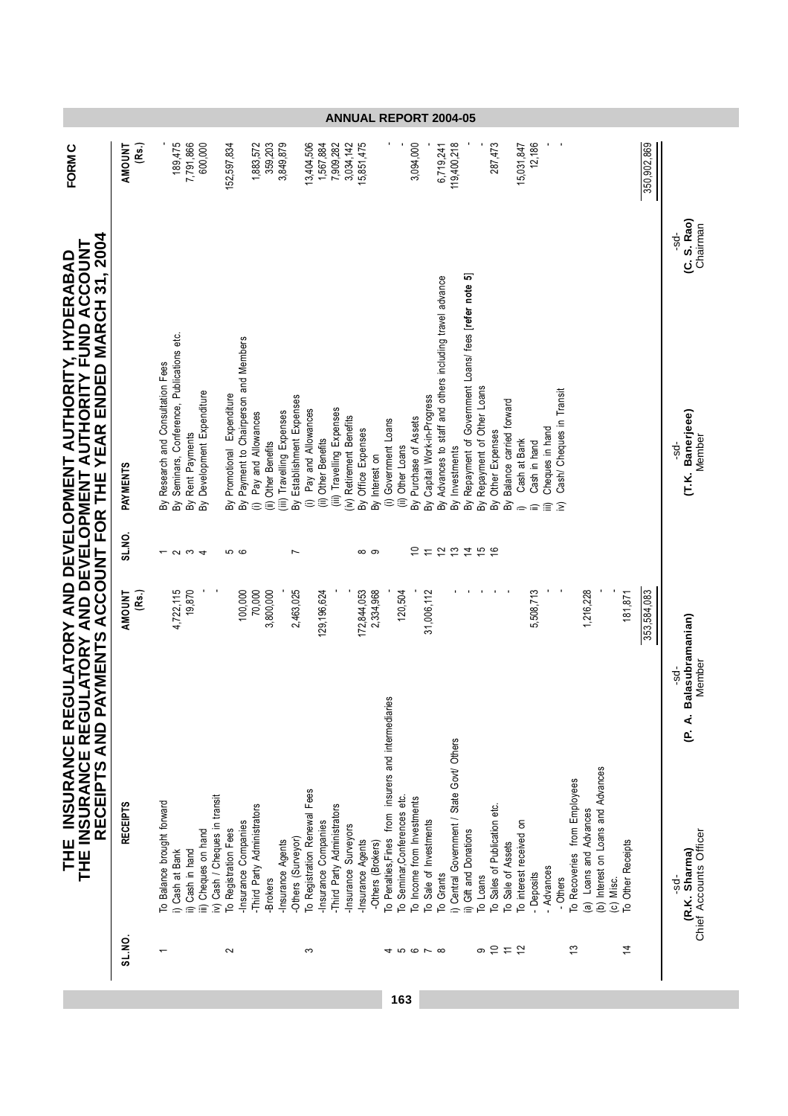|                                                                                                                                                     |                        |                                                                                                                                     |                                                                                                                                                                                                   | <b>ANNUAL REPORT 2004-05</b>                                                                                                                                                                                                                                                                                                                                                                                                                                                                                                                                                                                                                                        |                                                                                          |
|-----------------------------------------------------------------------------------------------------------------------------------------------------|------------------------|-------------------------------------------------------------------------------------------------------------------------------------|---------------------------------------------------------------------------------------------------------------------------------------------------------------------------------------------------|---------------------------------------------------------------------------------------------------------------------------------------------------------------------------------------------------------------------------------------------------------------------------------------------------------------------------------------------------------------------------------------------------------------------------------------------------------------------------------------------------------------------------------------------------------------------------------------------------------------------------------------------------------------------|------------------------------------------------------------------------------------------|
| <b>FORMC</b>                                                                                                                                        | (Rs.)<br>AMOUNT        | 189,475<br>7,791,866<br>600,000                                                                                                     | 152,597,834<br>1,883,572<br>359,203<br>3,849,879                                                                                                                                                  | 287,473<br>12,186<br>13,404,506<br>1,567,884<br>7,909,282<br>3,034,142<br>15,851,475<br>3,094,000<br>119,400,218<br>15,031,847<br>350,902,869<br>6,719,241                                                                                                                                                                                                                                                                                                                                                                                                                                                                                                          |                                                                                          |
|                                                                                                                                                     |                        |                                                                                                                                     |                                                                                                                                                                                                   |                                                                                                                                                                                                                                                                                                                                                                                                                                                                                                                                                                                                                                                                     | (C. S. Rao)<br>Chairman<br>ಕೆ.                                                           |
| AYMENTS ACCOUNT FOR THE YEAR ENDED MARCH 31, 2004                                                                                                   | PAYMENTS               | By Seminars, Conference, Publications etc.<br>Research and Consultation Fees<br>By Development Expenditure<br>By Rent Payments<br>δ | By Payment to Chairperson and Members<br>Promotional Expenditure<br>By Establishment Expenses<br>Travelling Expenses<br>Pay and Allowances<br>(ii) Other Benefits<br>(iii)<br>ଛି<br>$\widehat{=}$ | Repayment of Government Loans/ fees [refer note 5]<br>By Advances to staff and others including travel advance<br>Repayment of Other Loans<br>Cash/ Cheques in Transit<br>By Capital Work-in-Progress<br>Balance carried forward<br>(iii) Travelling Expenses<br>Pay and Allowances<br>(iv) Retirement Benefits<br>By Purchase of Assets<br>Government Loans<br>Cheques in hand<br>By Office Expenses<br>Other Expenses<br>(ii) Other Benefits<br>Cash at Bank<br>Cash in hand<br>Other Loans<br>By Investments<br>By Interest on<br>$\widehat{=}$<br>$\oplus$<br>ε<br>Βỳ<br>δŃ<br>δ<br>δ<br>倉<br>Ξ<br>$\widehat{=}$                                                | (T.K. Banerjeee)<br>Member<br>÷sp                                                        |
|                                                                                                                                                     | SL.NO.                 | $\sim$ $\sim$<br>$\overline{\phantom{0}}$<br>$\overline{\phantom{a}}$                                                               | 6<br>6<br>Ľ                                                                                                                                                                                       | ₽<br>12<br>$\frac{5}{2}$<br><b>15 G</b><br>$\overline{ }$<br>ထ တ                                                                                                                                                                                                                                                                                                                                                                                                                                                                                                                                                                                                    |                                                                                          |
|                                                                                                                                                     | (Rs.)<br><b>AMOUNT</b> | 4,722,115<br>19,870                                                                                                                 | 2,463,025<br>100,000<br>70,000<br>3,800,000                                                                                                                                                       | 120,504<br>31,006,112<br>٠<br>5,508,713<br>1,216,228<br>353,584,083<br>172,844,053<br>2,334,968<br>181,871<br>129, 196, 624                                                                                                                                                                                                                                                                                                                                                                                                                                                                                                                                         | alasubramanian)                                                                          |
| THE INSURANCE REGULATORY AND DEVELOPMENT AUTHORITY, HYDERABAD<br>THE INSURANCE REGULATORY AND DEVELOPMENT AUTHORITY FUND ACCOUNT<br>RECEIPTS AND P/ | <b>RECEIPTS</b>        | iv) Cash / Cheques in transit<br>To Balance brought forward<br>iii) Cheques on hand<br>ii) Cash in hand<br>i) Cash at Bank          | -Third Party Administrators<br>-Insurance Companies<br>To Registration Fees<br>-Others (Surveyor)<br>-Insurance Agents<br>-Brokers                                                                | čő<br>To Penalties, Fines from insurers and intermediarie<br>i) Central Government / State Govt/ Others<br>(b) Interest on Loans and Advances<br>To Recoveries from Employees<br>To Registration Renewal Fees<br>To Seminar, Conferences etc.<br>To Income from Investments<br>To Sales of Publication etc.<br>-Third Party Administrators<br>(a) Loans and Advances<br>To Sale of Investments<br>To interest received on<br>-Insurance Companies<br>-Insurance Surveyors<br>ii) Gift and Donations<br>-Insurance Agents<br>To Other Receipts<br>-Others (Brokers)<br>To Sale of Assets<br>- Advances<br>To Grants<br>- Deposits<br>To Loans<br>Others<br>(c) Misc. | Member<br>ಕೆ<br>m<br>$\overline{P}$ .<br>Chief Accounts Officer<br>(R.K. Sharma)<br>-sd- |
|                                                                                                                                                     | SL.NO.                 | $\overline{\phantom{0}}$                                                                                                            | $\sim$                                                                                                                                                                                            | $\frac{3}{2}$<br>$\overline{4}$<br>စ ၁<br>$\rightleftarrows$<br>$\tilde{c}$<br>S<br><b>45678</b>                                                                                                                                                                                                                                                                                                                                                                                                                                                                                                                                                                    |                                                                                          |

اب المساحة المساحة المساحة المساحة المساحة المساحة المساحة المساحة المساحة المساحة المساحة المساحة المساحة الم<br>المساحة المساحة المساحة المساحة المساحة المساحة المساحة المساحة المساحة المساحة المساحة المساحة المساحة المسا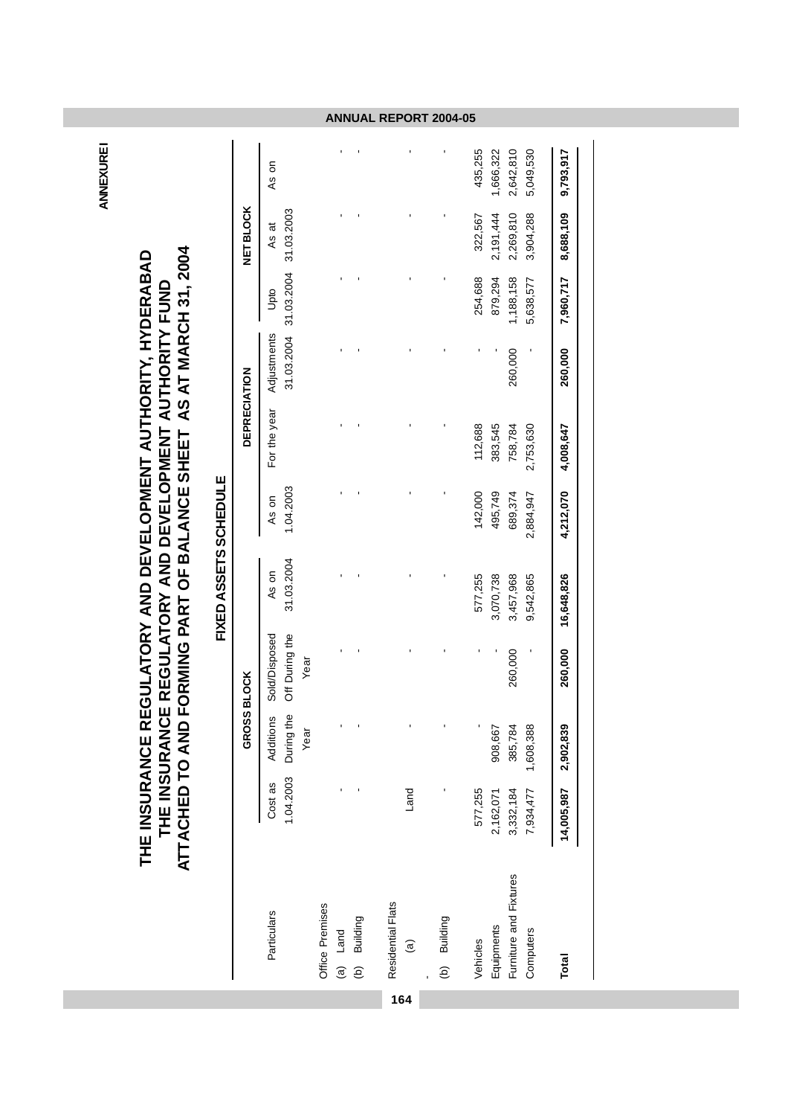**ANNEXURE1 ANNEXURE I**

# THE INSURANCE REGULATORY AND DEVELOPMENT AUTHORITY FUND<br>ATTACHED TO AND FORMING PART OF BALANCE SHEET AS AT MARCH 31, 2004 THE INSURANCE REGULATORY AND DEVELOPMENT AUTHORITY, HYDERABAD **ATTACHED TO AND FORMING PART OF BALANCE SHEET AS AT MARCH 31, 2004 THE INSURANCE REGULATORY AND DEVELOPMENT AUTHORITY, HYDERABAD THE INSURANCE REGULATORY AND DEVELOPMENT AUTHORITY FUND**

|                                             |                        |                                           |                                         | FIXED ASSETS SCHEDULE  |                      |                      |                           |                        |                                |                        |
|---------------------------------------------|------------------------|-------------------------------------------|-----------------------------------------|------------------------|----------------------|----------------------|---------------------------|------------------------|--------------------------------|------------------------|
|                                             |                        | GROSS BLOCK                               |                                         |                        |                      | <b>DEPRECIATION</b>  |                           |                        | <b>NET BLOCK</b>               |                        |
| Particulars                                 | Cost as                | 1.04.2003 During the<br>Additions<br>Year | Off During the<br>Sold/Disposed<br>Year | 31.03.2004<br>As on    | 1.04.2003<br>As on   | For the year         | Adjustments<br>31.03.2004 | Upto                   | 31.03.2004 31.03.2003<br>As at | As on                  |
| Office Premises<br>(b) Building<br>(a) Land |                        |                                           |                                         |                        |                      |                      |                           |                        |                                |                        |
| Residential Flats<br>$\widehat{a}$          | Land                   |                                           |                                         |                        |                      |                      |                           |                        |                                |                        |
| (b) Building                                |                        |                                           |                                         |                        |                      |                      |                           |                        |                                | $\blacksquare$         |
| Equipments<br>Vehicles                      | 577,255<br>2,162,071   | 908,667                                   |                                         | 577,255<br>3,070,738   | 142,000<br>495,749   | 112,688<br>383,545   |                           | 254,688<br>879,294     | 2,191,444<br>322,567           | 435,255<br>1,666,322   |
| Furniture and Fixtures<br>Computers         | 7,934,477<br>3,332,184 | 1,608,388<br>385,784                      | 260,000                                 | 3,457,968<br>9,542,865 | 689,374<br>2,884,947 | 758,784<br>2,753,630 | 260,000                   | 1,188,158<br>5,638,577 | 2,269,810<br>3,904,288         | 2,642,810<br>5,049,530 |
| Total                                       | 14,005,987             | 2,902,839                                 | 260,000                                 | 16,648,826             | 4,212,070            | 4,008,647            | 260,000                   | 7,960,717              | 8,688,109                      | 9,793,917              |

**164**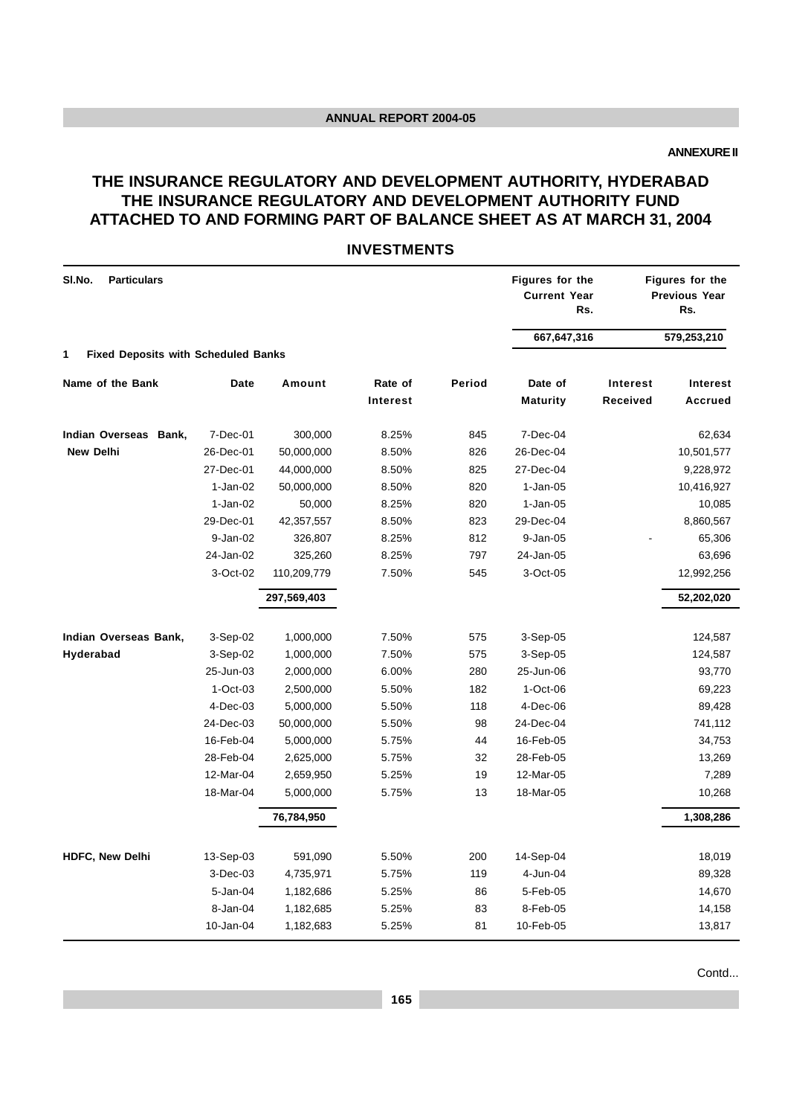**ANNEXURE II**

# **THE INSURANCE REGULATORY AND DEVELOPMENT AUTHORITY, HYDERABAD THE INSURANCE REGULATORY AND DEVELOPMENT AUTHORITY FUND ATTACHED TO AND FORMING PART OF BALANCE SHEET AS AT MARCH 31, 2004**

#### **INVESTMENTS**

| SI.No.<br><b>Particulars</b>                    |             |             |                     |        | Figures for the<br><b>Current Year</b><br>Rs. |                             | Figures for the<br><b>Previous Year</b><br>Rs. |
|-------------------------------------------------|-------------|-------------|---------------------|--------|-----------------------------------------------|-----------------------------|------------------------------------------------|
| <b>Fixed Deposits with Scheduled Banks</b><br>1 |             |             |                     |        | 667,647,316                                   |                             | 579,253,210                                    |
|                                                 |             |             |                     |        |                                               |                             |                                                |
| Name of the Bank                                | <b>Date</b> | Amount      | Rate of<br>Interest | Period | Date of<br><b>Maturity</b>                    | <b>Interest</b><br>Received | Interest<br><b>Accrued</b>                     |
|                                                 |             |             |                     |        |                                               |                             |                                                |
| Indian Overseas Bank,                           | 7-Dec-01    | 300,000     | 8.25%               | 845    | 7-Dec-04                                      |                             | 62,634                                         |
| <b>New Delhi</b>                                | 26-Dec-01   | 50,000,000  | 8.50%               | 826    | 26-Dec-04                                     |                             | 10,501,577                                     |
|                                                 | 27-Dec-01   | 44,000,000  | 8.50%               | 825    | 27-Dec-04                                     |                             | 9,228,972                                      |
|                                                 | $1-Jan-02$  | 50,000,000  | 8.50%               | 820    | $1-Jan-05$                                    |                             | 10,416,927                                     |
|                                                 | 1-Jan-02    | 50,000      | 8.25%               | 820    | $1-Jan-05$                                    |                             | 10,085                                         |
|                                                 | 29-Dec-01   | 42,357,557  | 8.50%               | 823    | 29-Dec-04                                     |                             | 8,860,567                                      |
|                                                 | 9-Jan-02    | 326,807     | 8.25%               | 812    | 9-Jan-05                                      |                             | 65,306                                         |
|                                                 | 24-Jan-02   | 325,260     | 8.25%               | 797    | 24-Jan-05                                     |                             | 63,696                                         |
|                                                 | 3-Oct-02    | 110,209,779 | 7.50%               | 545    | 3-Oct-05                                      |                             | 12,992,256                                     |
|                                                 |             | 297,569,403 |                     |        |                                               |                             | 52,202,020                                     |
|                                                 |             |             |                     |        |                                               |                             |                                                |
| Indian Overseas Bank,                           | $3-Sep-02$  | 1,000,000   | 7.50%               | 575    | 3-Sep-05                                      |                             | 124,587                                        |
| Hyderabad                                       | $3-Sep-02$  | 1,000,000   | 7.50%               | 575    | $3-Sep-05$                                    |                             | 124,587                                        |
|                                                 | 25-Jun-03   | 2,000,000   | 6.00%               | 280    | 25-Jun-06                                     |                             | 93,770                                         |
|                                                 | $1-Oct-03$  | 2,500,000   | 5.50%               | 182    | $1-Oct-06$                                    |                             | 69,223                                         |
|                                                 | $4-Dec-03$  | 5,000,000   | 5.50%               | 118    | $4-Dec-06$                                    |                             | 89,428                                         |
|                                                 | 24-Dec-03   | 50,000,000  | 5.50%               | 98     | 24-Dec-04                                     |                             | 741,112                                        |
|                                                 | 16-Feb-04   | 5,000,000   | 5.75%               | 44     | 16-Feb-05                                     |                             | 34,753                                         |
|                                                 | 28-Feb-04   | 2,625,000   | 5.75%               | 32     | 28-Feb-05                                     |                             | 13,269                                         |
|                                                 | 12-Mar-04   | 2,659,950   | 5.25%               | 19     | 12-Mar-05                                     |                             | 7,289                                          |
|                                                 | 18-Mar-04   | 5,000,000   | 5.75%               | 13     | 18-Mar-05                                     |                             | 10,268                                         |
|                                                 |             | 76,784,950  |                     |        |                                               |                             | 1,308,286                                      |
| <b>HDFC, New Delhi</b>                          | 13-Sep-03   | 591,090     | 5.50%               | 200    | 14-Sep-04                                     |                             | 18,019                                         |
|                                                 | $3-Dec-03$  | 4,735,971   | 5.75%               | 119    | 4-Jun-04                                      |                             | 89,328                                         |
|                                                 | 5-Jan-04    | 1,182,686   | 5.25%               | 86     | 5-Feb-05                                      |                             | 14,670                                         |
|                                                 | 8-Jan-04    | 1,182,685   | 5.25%               | 83     | 8-Feb-05                                      |                             | 14,158                                         |
|                                                 | 10-Jan-04   | 1,182,683   | 5.25%               | 81     | 10-Feb-05                                     |                             | 13,817                                         |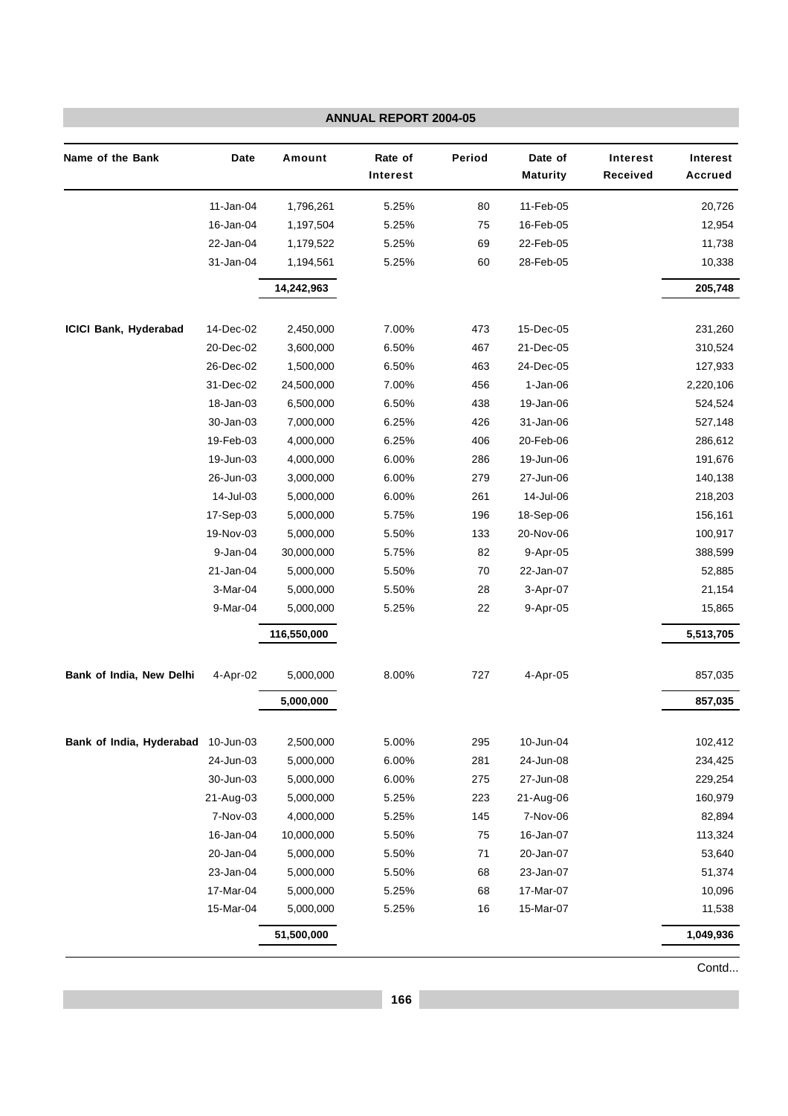|                          |           |             | <b>ANNUAL REPORT 2004-05</b> |        |                            |                      |                            |
|--------------------------|-----------|-------------|------------------------------|--------|----------------------------|----------------------|----------------------------|
| Name of the Bank         | Date      | Amount      | Rate of<br>Interest          | Period | Date of<br><b>Maturity</b> | Interest<br>Received | Interest<br><b>Accrued</b> |
|                          | 11-Jan-04 | 1,796,261   | 5.25%                        | 80     | 11-Feb-05                  |                      | 20,726                     |
|                          | 16-Jan-04 | 1,197,504   | 5.25%                        | 75     | 16-Feb-05                  |                      | 12,954                     |
|                          | 22-Jan-04 | 1,179,522   | 5.25%                        | 69     | 22-Feb-05                  |                      | 11,738                     |
|                          | 31-Jan-04 | 1,194,561   | 5.25%                        | 60     | 28-Feb-05                  |                      | 10,338                     |
|                          |           | 14,242,963  |                              |        |                            |                      | 205,748                    |
| ICICI Bank, Hyderabad    | 14-Dec-02 | 2,450,000   | 7.00%                        | 473    | 15-Dec-05                  |                      | 231,260                    |
|                          | 20-Dec-02 | 3,600,000   | 6.50%                        | 467    | 21-Dec-05                  |                      | 310,524                    |
|                          | 26-Dec-02 | 1,500,000   | 6.50%                        | 463    | 24-Dec-05                  |                      | 127,933                    |
|                          | 31-Dec-02 | 24,500,000  | 7.00%                        | 456    | $1-Jan-06$                 |                      | 2,220,106                  |
|                          | 18-Jan-03 | 6,500,000   | 6.50%                        | 438    | 19-Jan-06                  |                      | 524,524                    |
|                          | 30-Jan-03 | 7,000,000   | 6.25%                        | 426    | 31-Jan-06                  |                      | 527,148                    |
|                          | 19-Feb-03 | 4,000,000   | 6.25%                        | 406    | 20-Feb-06                  |                      | 286,612                    |
|                          | 19-Jun-03 | 4,000,000   | 6.00%                        | 286    | 19-Jun-06                  |                      | 191,676                    |
|                          | 26-Jun-03 | 3,000,000   | 6.00%                        | 279    | 27-Jun-06                  |                      | 140,138                    |
|                          | 14-Jul-03 | 5,000,000   | 6.00%                        | 261    | 14-Jul-06                  |                      | 218,203                    |
|                          | 17-Sep-03 | 5,000,000   | 5.75%                        | 196    | 18-Sep-06                  |                      | 156,161                    |
|                          | 19-Nov-03 | 5,000,000   | 5.50%                        | 133    | 20-Nov-06                  |                      | 100,917                    |
|                          | 9-Jan-04  | 30,000,000  | 5.75%                        | 82     | 9-Apr-05                   |                      | 388,599                    |
|                          | 21-Jan-04 | 5,000,000   | 5.50%                        | 70     | 22-Jan-07                  |                      | 52,885                     |
|                          | 3-Mar-04  | 5,000,000   | 5.50%                        | 28     | 3-Apr-07                   |                      | 21,154                     |
|                          | 9-Mar-04  | 5,000,000   | 5.25%                        | 22     | 9-Apr-05                   |                      | 15,865                     |
|                          |           | 116,550,000 |                              |        |                            |                      | 5,513,705                  |
| Bank of India, New Delhi | 4-Apr-02  | 5,000,000   | 8.00%                        | 727    | 4-Apr-05                   |                      | 857,035                    |
|                          |           | 5,000,000   |                              |        |                            |                      | 857,035                    |
| Bank of India, Hyderabad | 10-Jun-03 | 2,500,000   | 5.00%                        | 295    | 10-Jun-04                  |                      | 102,412                    |
|                          | 24-Jun-03 | 5,000,000   | 6.00%                        | 281    | 24-Jun-08                  |                      | 234,425                    |
|                          | 30-Jun-03 | 5,000,000   | 6.00%                        | 275    | 27-Jun-08                  |                      | 229,254                    |
|                          | 21-Aug-03 | 5,000,000   | 5.25%                        | 223    | 21-Aug-06                  |                      | 160,979                    |
|                          | 7-Nov-03  | 4,000,000   | 5.25%                        | 145    | 7-Nov-06                   |                      | 82,894                     |
|                          | 16-Jan-04 | 10,000,000  | 5.50%                        | 75     | 16-Jan-07                  |                      | 113,324                    |
|                          | 20-Jan-04 | 5,000,000   | 5.50%                        | 71     | 20-Jan-07                  |                      | 53,640                     |
|                          | 23-Jan-04 | 5,000,000   | 5.50%                        | 68     | 23-Jan-07                  |                      | 51,374                     |
|                          | 17-Mar-04 | 5,000,000   | 5.25%                        | 68     | 17-Mar-07                  |                      | 10,096                     |
|                          | 15-Mar-04 | 5,000,000   | 5.25%                        | 16     | 15-Mar-07                  |                      | 11,538                     |
|                          |           | 51,500,000  |                              |        |                            |                      | 1,049,936                  |
|                          |           |             |                              |        |                            |                      |                            |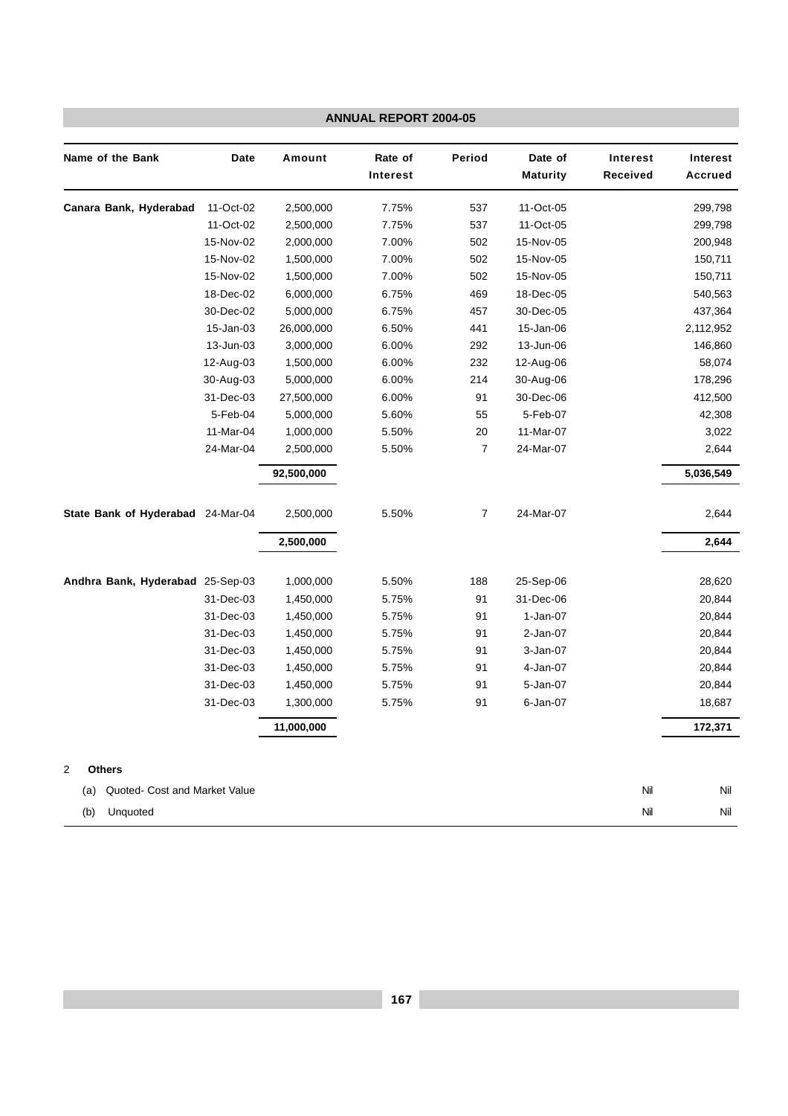|                                      |           |            | ANNUAL REPORT 2004-05 |                |                            |                      |                            |
|--------------------------------------|-----------|------------|-----------------------|----------------|----------------------------|----------------------|----------------------------|
| Name of the Bank                     | Date      | Amount     | Rate of<br>Interest   | Period         | Date of<br><b>Maturity</b> | Interest<br>Received | Interest<br><b>Accrued</b> |
| Canara Bank, Hyderabad               | 11-Oct-02 | 2,500,000  | 7.75%                 | 537            | 11-Oct-05                  |                      | 299,798                    |
|                                      | 11-Oct-02 | 2,500,000  | 7.75%                 | 537            | 11-Oct-05                  |                      | 299,798                    |
|                                      | 15-Nov-02 | 2,000,000  | 7.00%                 | 502            | 15-Nov-05                  |                      | 200,948                    |
|                                      | 15-Nov-02 | 1,500,000  | 7.00%                 | 502            | 15-Nov-05                  |                      | 150,711                    |
|                                      | 15-Nov-02 | 1,500,000  | 7.00%                 | 502            | 15-Nov-05                  |                      | 150,711                    |
|                                      | 18-Dec-02 | 6,000,000  | 6.75%                 | 469            | 18-Dec-05                  |                      | 540,563                    |
|                                      | 30-Dec-02 | 5,000,000  | 6.75%                 | 457            | 30-Dec-05                  |                      | 437,364                    |
|                                      | 15-Jan-03 | 26,000,000 | 6.50%                 | 441            | 15-Jan-06                  |                      | 2,112,952                  |
|                                      | 13-Jun-03 | 3,000,000  | 6.00%                 | 292            | 13-Jun-06                  |                      | 146,860                    |
|                                      | 12-Aug-03 | 1,500,000  | 6.00%                 | 232            | 12-Aug-06                  |                      | 58,074                     |
|                                      | 30-Aug-03 | 5,000,000  | 6.00%                 | 214            | 30-Aug-06                  |                      | 178,296                    |
|                                      | 31-Dec-03 | 27,500,000 | 6.00%                 | 91             | 30-Dec-06                  |                      | 412,500                    |
|                                      | 5-Feb-04  | 5,000,000  | 5.60%                 | 55             | 5-Feb-07                   |                      | 42,308                     |
|                                      | 11-Mar-04 | 1,000,000  | 5.50%                 | 20             | 11-Mar-07                  |                      | 3,022                      |
|                                      | 24-Mar-04 | 2,500,000  | 5.50%                 | 7              | 24-Mar-07                  |                      | 2,644                      |
|                                      |           | 92,500,000 |                       |                |                            |                      | 5,036,549                  |
| State Bank of Hyderabad 24-Mar-04    |           | 2,500,000  | 5.50%                 | $\overline{7}$ | 24-Mar-07                  |                      | 2,644                      |
|                                      |           | 2,500,000  |                       |                |                            |                      | 2,644                      |
| Andhra Bank, Hyderabad 25-Sep-03     |           | 1,000,000  | 5.50%                 | 188            | 25-Sep-06                  |                      | 28,620                     |
|                                      | 31-Dec-03 | 1,450,000  | 5.75%                 | 91             | 31-Dec-06                  |                      | 20,844                     |
|                                      | 31-Dec-03 | 1,450,000  | 5.75%                 | 91             | 1-Jan-07                   |                      | 20,844                     |
|                                      | 31-Dec-03 | 1,450,000  | 5.75%                 | 91             | 2-Jan-07                   |                      | 20,844                     |
|                                      | 31-Dec-03 | 1,450,000  | 5.75%                 | 91             | 3-Jan-07                   |                      | 20,844                     |
|                                      | 31-Dec-03 | 1,450,000  | 5.75%                 | 91             | 4-Jan-07                   |                      | 20,844                     |
|                                      | 31-Dec-03 | 1,450,000  | 5.75%                 | 91             | 5-Jan-07                   |                      | 20,844                     |
|                                      | 31-Dec-03 | 1,300,000  | 5.75%                 | 91             | 6-Jan-07                   |                      | 18,687                     |
|                                      |           | 11,000,000 |                       |                |                            |                      | 172,371                    |
| <b>Others</b><br>2                   |           |            |                       |                |                            |                      |                            |
| Quoted- Cost and Market Value<br>(a) |           |            |                       |                |                            | Nil                  | Nil                        |
| Unquoted<br>(b)                      |           |            |                       |                |                            | $\mathsf{Nil}$       | Nil                        |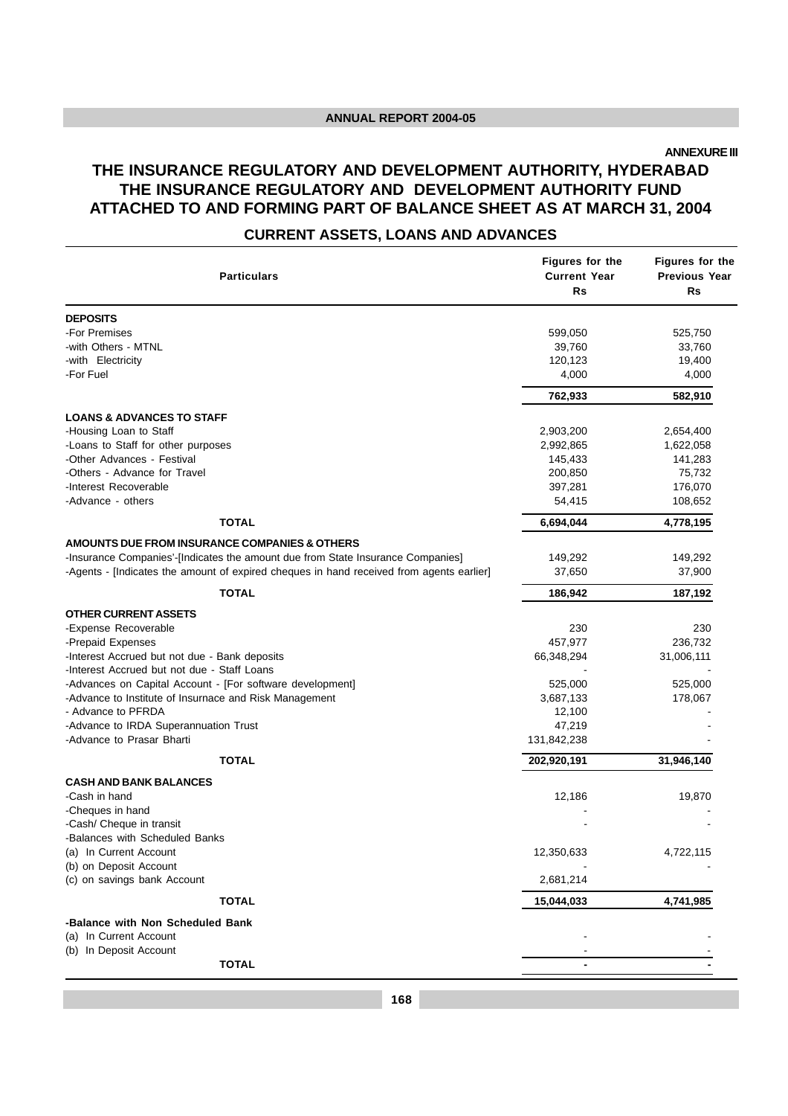**ANNEXURE III**

# **THE INSURANCE REGULATORY AND DEVELOPMENT AUTHORITY, HYDERABAD THE INSURANCE REGULATORY AND DEVELOPMENT AUTHORITY FUND ATTACHED TO AND FORMING PART OF BALANCE SHEET AS AT MARCH 31, 2004**

# **CURRENT ASSETS, LOANS AND ADVANCES**

| <b>Particulars</b>                                                                       | Figures for the<br><b>Current Year</b><br><b>Rs</b> | Figures for the<br>Previous Year<br>Rs |
|------------------------------------------------------------------------------------------|-----------------------------------------------------|----------------------------------------|
| <b>DEPOSITS</b>                                                                          |                                                     |                                        |
| -For Premises                                                                            | 599,050                                             | 525,750                                |
| -with Others - MTNL                                                                      | 39,760                                              | 33,760                                 |
| -with Electricity                                                                        | 120,123                                             | 19,400                                 |
| -For Fuel                                                                                | 4,000                                               | 4,000                                  |
|                                                                                          | 762,933                                             | 582,910                                |
| <b>LOANS &amp; ADVANCES TO STAFF</b>                                                     |                                                     |                                        |
| -Housing Loan to Staff                                                                   | 2,903,200                                           | 2,654,400                              |
| -Loans to Staff for other purposes                                                       | 2,992,865                                           | 1,622,058                              |
| -Other Advances - Festival                                                               | 145,433                                             | 141,283                                |
| -Others - Advance for Travel                                                             | 200,850                                             | 75,732                                 |
| -Interest Recoverable                                                                    | 397,281                                             | 176,070                                |
| -Advance - others                                                                        | 54,415                                              | 108,652                                |
| <b>TOTAL</b>                                                                             | 6,694,044                                           | 4,778,195                              |
| AMOUNTS DUE FROM INSURANCE COMPANIES & OTHERS                                            |                                                     |                                        |
| -Insurance Companies'-[Indicates the amount due from State Insurance Companies]          | 149,292                                             | 149,292                                |
| -Agents - [Indicates the amount of expired cheques in hand received from agents earlier] | 37,650                                              | 37,900                                 |
| <b>TOTAL</b>                                                                             | 186,942                                             | 187,192                                |
| <b>OTHER CURRENT ASSETS</b>                                                              |                                                     |                                        |
| -Expense Recoverable                                                                     | 230                                                 | 230                                    |
| -Prepaid Expenses                                                                        | 457,977                                             | 236,732                                |
| -Interest Accrued but not due - Bank deposits                                            | 66,348,294                                          | 31,006,111                             |
| -Interest Accrued but not due - Staff Loans                                              |                                                     |                                        |
| -Advances on Capital Account - [For software development]                                | 525,000                                             | 525,000                                |
| -Advance to Institute of Insurnace and Risk Management                                   | 3,687,133                                           | 178,067                                |
| - Advance to PFRDA                                                                       | 12,100                                              |                                        |
| -Advance to IRDA Superannuation Trust                                                    | 47,219                                              |                                        |
| -Advance to Prasar Bharti                                                                | 131,842,238                                         |                                        |
| <b>TOTAL</b>                                                                             | 202,920,191                                         | 31,946,140                             |
| <b>CASH AND BANK BALANCES</b>                                                            |                                                     |                                        |
| -Cash in hand                                                                            | 12,186                                              | 19,870                                 |
| -Cheques in hand                                                                         |                                                     |                                        |
| -Cash/ Cheque in transit                                                                 |                                                     |                                        |
| -Balances with Scheduled Banks                                                           |                                                     |                                        |
| (a) In Current Account                                                                   | 12,350,633                                          | 4,722,115                              |
| (b) on Deposit Account                                                                   |                                                     |                                        |
| (c) on savings bank Account                                                              | 2,681,214                                           |                                        |
| <b>TOTAL</b>                                                                             | 15,044,033                                          | 4,741,985                              |
| -Balance with Non Scheduled Bank                                                         |                                                     |                                        |
| (a) In Current Account                                                                   |                                                     |                                        |
| (b) In Deposit Account                                                                   |                                                     |                                        |
| <b>TOTAL</b>                                                                             |                                                     |                                        |
|                                                                                          |                                                     |                                        |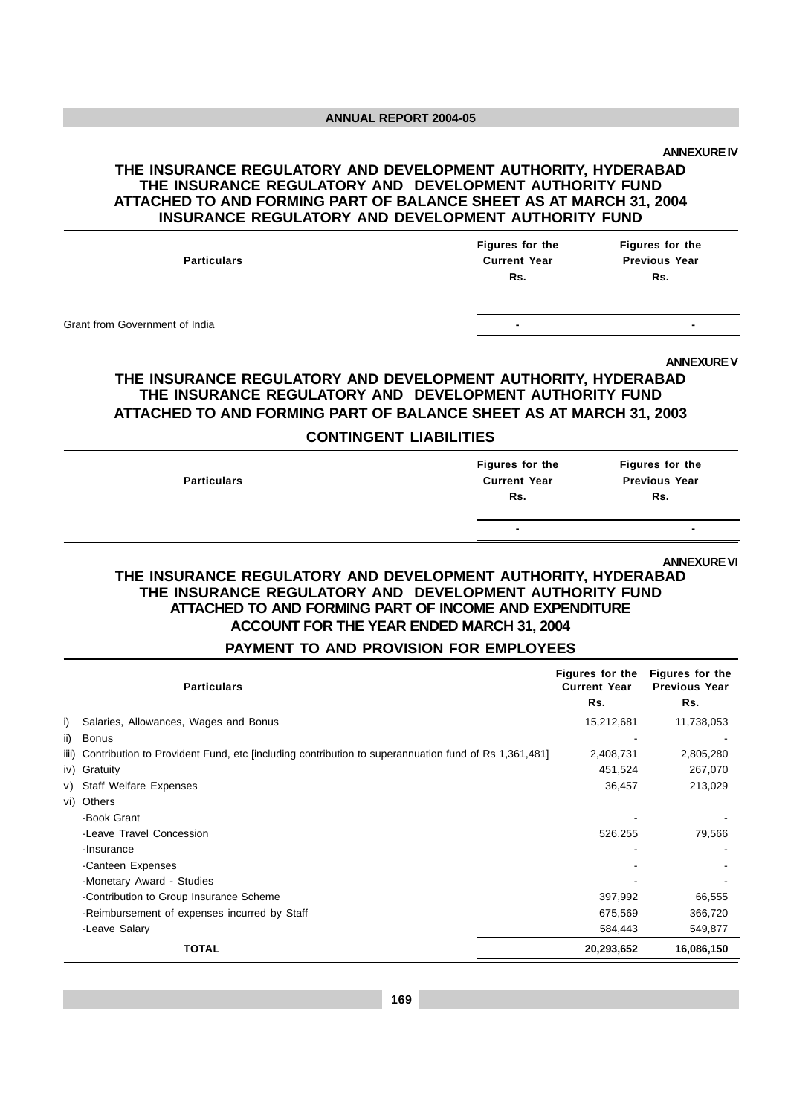**ANNEXURE IV**

#### **THE INSURANCE REGULATORY AND DEVELOPMENT AUTHORITY, HYDERABAD THE INSURANCE REGULATORY AND DEVELOPMENT AUTHORITY FUND ATTACHED TO AND FORMING PART OF BALANCE SHEET AS AT MARCH 31, 2004 INSURANCE REGULATORY AND DEVELOPMENT AUTHORITY FUND**

| <b>Particulars</b>             | Figures for the<br><b>Current Year</b><br>Rs. | Figures for the<br><b>Previous Year</b><br>Rs. |
|--------------------------------|-----------------------------------------------|------------------------------------------------|
| Grant from Government of India | $\overline{\phantom{0}}$                      |                                                |

**ANNEXURE V**

## **THE INSURANCE REGULATORY AND DEVELOPMENT AUTHORITY, HYDERABAD THE INSURANCE REGULATORY AND DEVELOPMENT AUTHORITY FUND ATTACHED TO AND FORMING PART OF BALANCE SHEET AS AT MARCH 31, 2003**

#### **CONTINGENT LIABILITIES**

| <b>Particulars</b> | Figures for the<br><b>Current Year</b><br>Rs. | Figures for the<br><b>Previous Year</b><br>Rs. |
|--------------------|-----------------------------------------------|------------------------------------------------|
|                    | $\blacksquare$                                | $\overline{\phantom{0}}$                       |
|                    |                                               |                                                |

**ANNEXURE VI**

#### **THE INSURANCE REGULATORY AND DEVELOPMENT AUTHORITY, HYDERABAD THE INSURANCE REGULATORY AND DEVELOPMENT AUTHORITY FUND ATTACHED TO AND FORMING PART OF INCOME AND EXPENDITURE ACCOUNT FOR THE YEAR ENDED MARCH 31, 2004**

#### **PAYMENT TO AND PROVISION FOR EMPLOYEES**

|       | <b>Particulars</b>                                                                                  | Figures for the<br><b>Current Year</b><br>Rs. | Figures for the<br><b>Previous Year</b><br>Rs. |
|-------|-----------------------------------------------------------------------------------------------------|-----------------------------------------------|------------------------------------------------|
| i)    | Salaries, Allowances, Wages and Bonus                                                               | 15,212,681                                    | 11,738,053                                     |
| ii)   | Bonus                                                                                               |                                               |                                                |
| iiii) | Contribution to Provident Fund, etc [including contribution to superannuation fund of Rs 1,361,481] | 2,408,731                                     | 2,805,280                                      |
|       | iv) Gratuity                                                                                        | 451,524                                       | 267,070                                        |
| V)    | <b>Staff Welfare Expenses</b>                                                                       | 36,457                                        | 213,029                                        |
| vi)   | Others                                                                                              |                                               |                                                |
|       | -Book Grant                                                                                         |                                               |                                                |
|       | -Leave Travel Concession                                                                            | 526,255                                       | 79,566                                         |
|       | -Insurance                                                                                          |                                               |                                                |
|       | -Canteen Expenses                                                                                   |                                               |                                                |
|       | -Monetary Award - Studies                                                                           |                                               |                                                |
|       | -Contribution to Group Insurance Scheme                                                             | 397,992                                       | 66,555                                         |
|       | -Reimbursement of expenses incurred by Staff                                                        | 675,569                                       | 366,720                                        |
|       | -Leave Salary                                                                                       | 584,443                                       | 549,877                                        |
|       | <b>TOTAL</b>                                                                                        | 20,293,652                                    | 16,086,150                                     |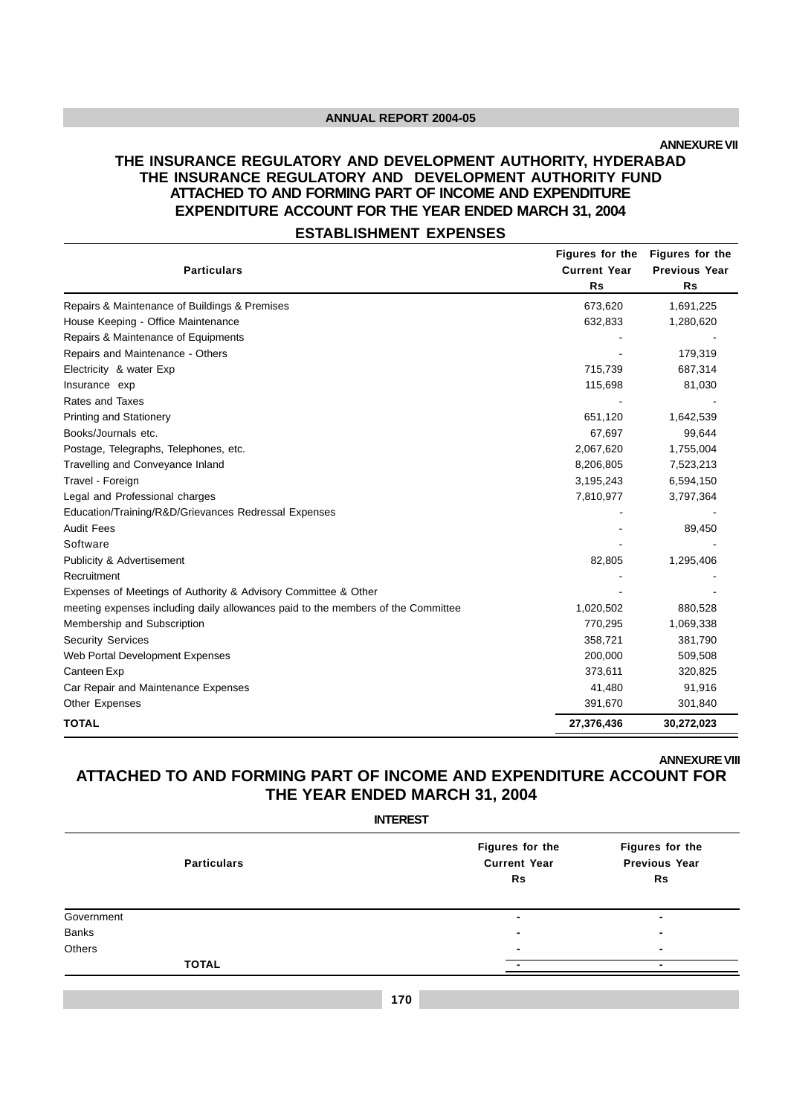**ANNEXURE VII**

# **THE INSURANCE REGULATORY AND DEVELOPMENT AUTHORITY, HYDERABAD THE INSURANCE REGULATORY AND DEVELOPMENT AUTHORITY FUND ATTACHED TO AND FORMING PART OF INCOME AND EXPENDITURE EXPENDITURE ACCOUNT FOR THE YEAR ENDED MARCH 31, 2004**

#### **ESTABLISHMENT EXPENSES**

|                                                                                  | Figures for the     | <b>Figures for the</b> |
|----------------------------------------------------------------------------------|---------------------|------------------------|
| <b>Particulars</b>                                                               | <b>Current Year</b> | <b>Previous Year</b>   |
|                                                                                  | <b>Rs</b>           | <b>Rs</b>              |
| Repairs & Maintenance of Buildings & Premises                                    | 673,620             | 1,691,225              |
| House Keeping - Office Maintenance                                               | 632,833             | 1,280,620              |
| Repairs & Maintenance of Equipments                                              |                     |                        |
| Repairs and Maintenance - Others                                                 |                     | 179,319                |
| Electricity & water Exp                                                          | 715,739             | 687,314                |
| Insurance exp                                                                    | 115,698             | 81,030                 |
| Rates and Taxes                                                                  |                     |                        |
| <b>Printing and Stationery</b>                                                   | 651,120             | 1,642,539              |
| Books/Journals etc.                                                              | 67,697              | 99,644                 |
| Postage, Telegraphs, Telephones, etc.                                            | 2,067,620           | 1,755,004              |
| Travelling and Conveyance Inland                                                 | 8,206,805           | 7,523,213              |
| Travel - Foreign                                                                 | 3,195,243           | 6,594,150              |
| Legal and Professional charges                                                   | 7,810,977           | 3,797,364              |
| Education/Training/R&D/Grievances Redressal Expenses                             |                     |                        |
| <b>Audit Fees</b>                                                                |                     | 89,450                 |
| Software                                                                         |                     |                        |
| <b>Publicity &amp; Advertisement</b>                                             | 82,805              | 1,295,406              |
| Recruitment                                                                      |                     |                        |
| Expenses of Meetings of Authority & Advisory Committee & Other                   |                     |                        |
| meeting expenses including daily allowances paid to the members of the Committee | 1,020,502           | 880,528                |
| Membership and Subscription                                                      | 770,295             | 1,069,338              |
| <b>Security Services</b>                                                         | 358,721             | 381,790                |
| Web Portal Development Expenses                                                  | 200,000             | 509,508                |
| Canteen Exp                                                                      | 373,611             | 320,825                |
| Car Repair and Maintenance Expenses                                              | 41,480              | 91,916                 |
| Other Expenses                                                                   | 391,670             | 301,840                |
| <b>TOTAL</b>                                                                     | 27,376,436          | 30,272,023             |

**ANNEXURE VIII**

# **ATTACHED TO AND FORMING PART OF INCOME AND EXPENDITURE ACCOUNT FOR THE YEAR ENDED MARCH 31, 2004**

|              |                    | <b>INTEREST</b>                              |                                               |
|--------------|--------------------|----------------------------------------------|-----------------------------------------------|
|              | <b>Particulars</b> | Figures for the<br><b>Current Year</b><br>Rs | Figures for the<br><b>Previous Year</b><br>Rs |
| Government   |                    | $\blacksquare$                               |                                               |
| <b>Banks</b> |                    | ٠                                            |                                               |
| Others       |                    | $\blacksquare$                               | -                                             |
|              | <b>TOTAL</b>       |                                              |                                               |
|              |                    |                                              |                                               |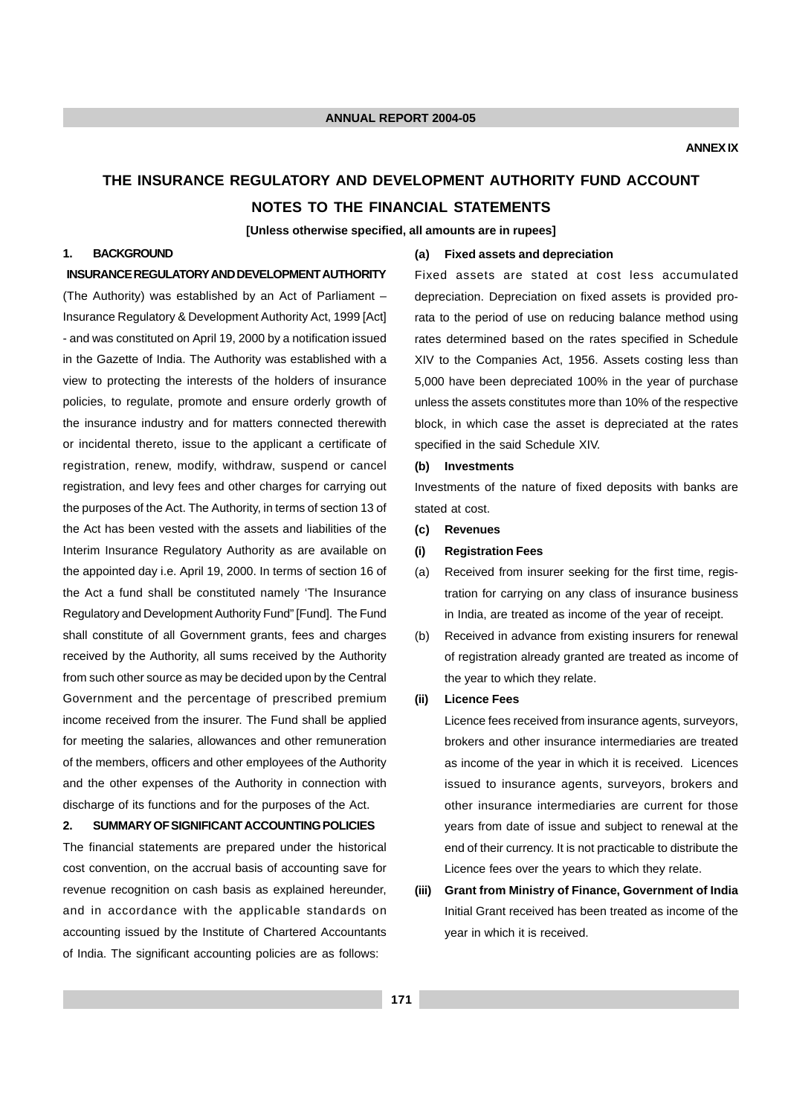# **THE INSURANCE REGULATORY AND DEVELOPMENT AUTHORITY FUND ACCOUNT NOTES TO THE FINANCIAL STATEMENTS**

**[Unless otherwise specified, all amounts are in rupees]**

#### **1. BACKGROUND**

#### **INSURANCE REGULATORY AND DEVELOPMENT AUTHORITY**

(The Authority) was established by an Act of Parliament – Insurance Regulatory & Development Authority Act, 1999 [Act] - and was constituted on April 19, 2000 by a notification issued in the Gazette of India. The Authority was established with a view to protecting the interests of the holders of insurance policies, to regulate, promote and ensure orderly growth of the insurance industry and for matters connected therewith or incidental thereto, issue to the applicant a certificate of registration, renew, modify, withdraw, suspend or cancel registration, and levy fees and other charges for carrying out the purposes of the Act. The Authority, in terms of section 13 of the Act has been vested with the assets and liabilities of the Interim Insurance Regulatory Authority as are available on the appointed day i.e. April 19, 2000. In terms of section 16 of the Act a fund shall be constituted namely 'The Insurance Regulatory and Development Authority Fund" [Fund]. The Fund shall constitute of all Government grants, fees and charges received by the Authority, all sums received by the Authority from such other source as may be decided upon by the Central Government and the percentage of prescribed premium income received from the insurer. The Fund shall be applied for meeting the salaries, allowances and other remuneration of the members, officers and other employees of the Authority and the other expenses of the Authority in connection with discharge of its functions and for the purposes of the Act.

#### **2. SUMMARY OF SIGNIFICANT ACCOUNTING POLICIES**

The financial statements are prepared under the historical cost convention, on the accrual basis of accounting save for revenue recognition on cash basis as explained hereunder, and in accordance with the applicable standards on accounting issued by the Institute of Chartered Accountants of India. The significant accounting policies are as follows:

#### **(a) Fixed assets and depreciation**

Fixed assets are stated at cost less accumulated depreciation. Depreciation on fixed assets is provided prorata to the period of use on reducing balance method using rates determined based on the rates specified in Schedule XIV to the Companies Act, 1956. Assets costing less than 5,000 have been depreciated 100% in the year of purchase unless the assets constitutes more than 10% of the respective block, in which case the asset is depreciated at the rates specified in the said Schedule XIV.

#### **(b) Investments**

Investments of the nature of fixed deposits with banks are stated at cost.

**(c) Revenues**

#### **(i) Registration Fees**

- (a) Received from insurer seeking for the first time, registration for carrying on any class of insurance business in India, are treated as income of the year of receipt.
- (b) Received in advance from existing insurers for renewal of registration already granted are treated as income of the year to which they relate.

#### **(ii) Licence Fees**

Licence fees received from insurance agents, surveyors, brokers and other insurance intermediaries are treated as income of the year in which it is received. Licences issued to insurance agents, surveyors, brokers and other insurance intermediaries are current for those years from date of issue and subject to renewal at the end of their currency. It is not practicable to distribute the Licence fees over the years to which they relate.

**(iii) Grant from Ministry of Finance, Government of India** Initial Grant received has been treated as income of the year in which it is received.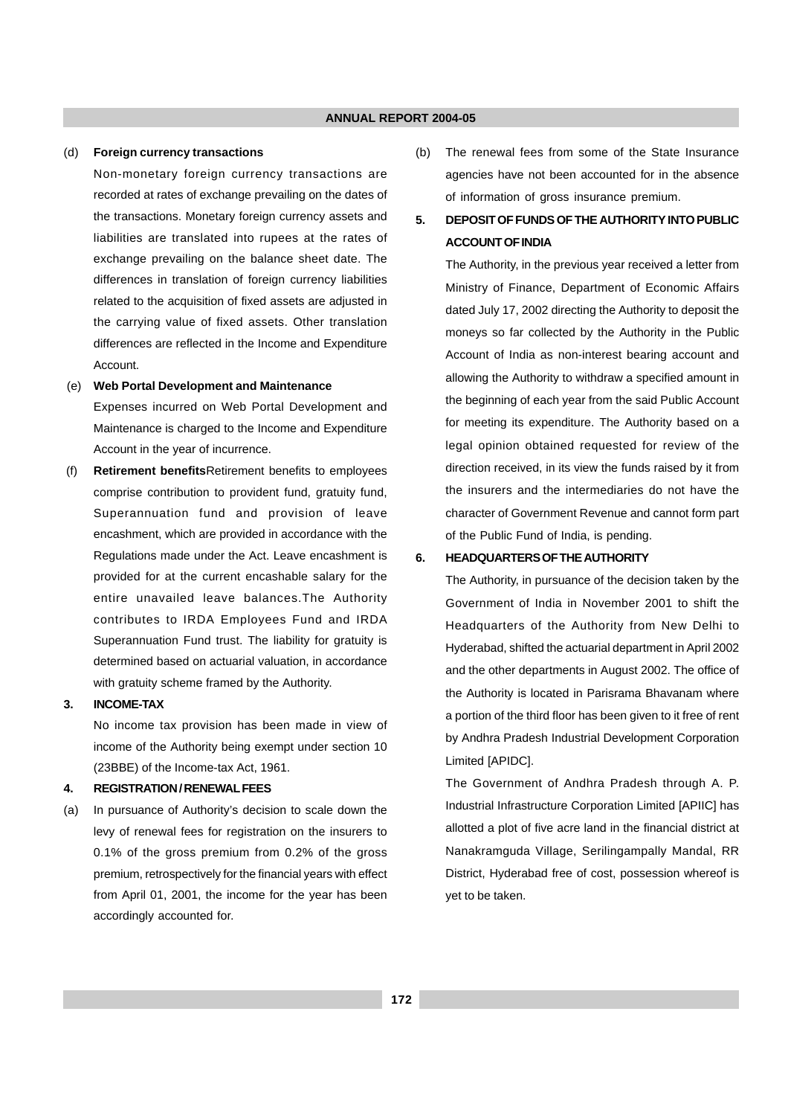#### (d) **Foreign currency transactions**

Non-monetary foreign currency transactions are recorded at rates of exchange prevailing on the dates of the transactions. Monetary foreign currency assets and liabilities are translated into rupees at the rates of exchange prevailing on the balance sheet date. The differences in translation of foreign currency liabilities related to the acquisition of fixed assets are adjusted in the carrying value of fixed assets. Other translation differences are reflected in the Income and Expenditure Account.

#### (e) **Web Portal Development and Maintenance**

Expenses incurred on Web Portal Development and Maintenance is charged to the Income and Expenditure Account in the year of incurrence.

 (f) **Retirement benefits**Retirement benefits to employees comprise contribution to provident fund, gratuity fund, Superannuation fund and provision of leave encashment, which are provided in accordance with the Regulations made under the Act. Leave encashment is provided for at the current encashable salary for the entire unavailed leave balances.The Authority contributes to IRDA Employees Fund and IRDA Superannuation Fund trust. The liability for gratuity is determined based on actuarial valuation, in accordance with gratuity scheme framed by the Authority.

#### **3. INCOME-TAX**

No income tax provision has been made in view of income of the Authority being exempt under section 10 (23BBE) of the Income-tax Act, 1961.

#### **4. REGISTRATION / RENEWAL FEES**

(a) In pursuance of Authority's decision to scale down the levy of renewal fees for registration on the insurers to 0.1% of the gross premium from 0.2% of the gross premium, retrospectively for the financial years with effect from April 01, 2001, the income for the year has been accordingly accounted for.

(b) The renewal fees from some of the State Insurance agencies have not been accounted for in the absence of information of gross insurance premium.

#### **5. DEPOSIT OF FUNDS OF THE AUTHORITY INTO PUBLIC ACCOUNT OF INDIA**

The Authority, in the previous year received a letter from Ministry of Finance, Department of Economic Affairs dated July 17, 2002 directing the Authority to deposit the moneys so far collected by the Authority in the Public Account of India as non-interest bearing account and allowing the Authority to withdraw a specified amount in the beginning of each year from the said Public Account for meeting its expenditure. The Authority based on a legal opinion obtained requested for review of the direction received, in its view the funds raised by it from the insurers and the intermediaries do not have the character of Government Revenue and cannot form part of the Public Fund of India, is pending.

#### **6. HEADQUARTERS OF THE AUTHORITY**

The Authority, in pursuance of the decision taken by the Government of India in November 2001 to shift the Headquarters of the Authority from New Delhi to Hyderabad, shifted the actuarial department in April 2002 and the other departments in August 2002. The office of the Authority is located in Parisrama Bhavanam where a portion of the third floor has been given to it free of rent by Andhra Pradesh Industrial Development Corporation Limited [APIDC].

The Government of Andhra Pradesh through A. P. Industrial Infrastructure Corporation Limited [APIIC] has allotted a plot of five acre land in the financial district at Nanakramguda Village, Serilingampally Mandal, RR District, Hyderabad free of cost, possession whereof is yet to be taken.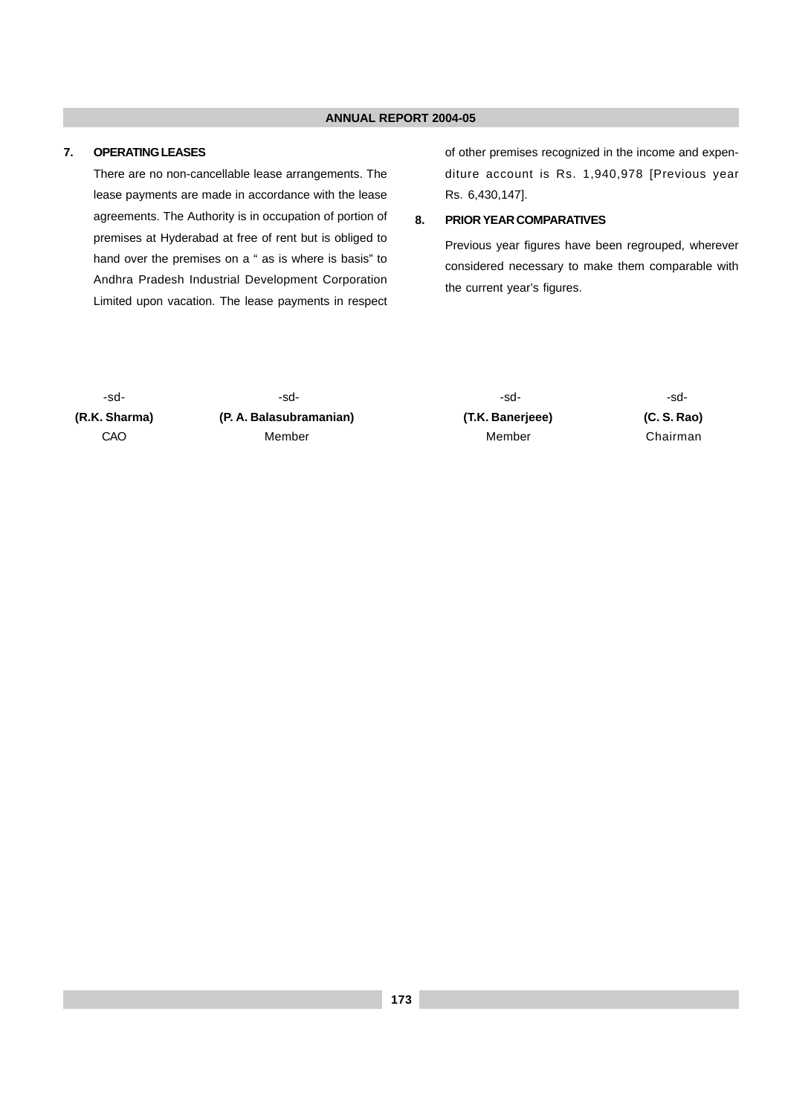#### **7. OPERATING LEASES**

There are no non-cancellable lease arrangements. The lease payments are made in accordance with the lease agreements. The Authority is in occupation of portion of premises at Hyderabad at free of rent but is obliged to hand over the premises on a " as is where is basis" to Andhra Pradesh Industrial Development Corporation Limited upon vacation. The lease payments in respect of other premises recognized in the income and expenditure account is Rs. 1,940,978 [Previous year Rs. 6,430,147].

#### **8. PRIOR YEAR COMPARATIVES**

Previous year figures have been regrouped, wherever considered necessary to make them comparable with the current year's figures.

**(R.K. Sharma) (P. A. Balasubramanian) (T.K. Banerjeee) (C. S. Rao)** CAO Member Member Chairman

-sd- -sd- -sd- -sd-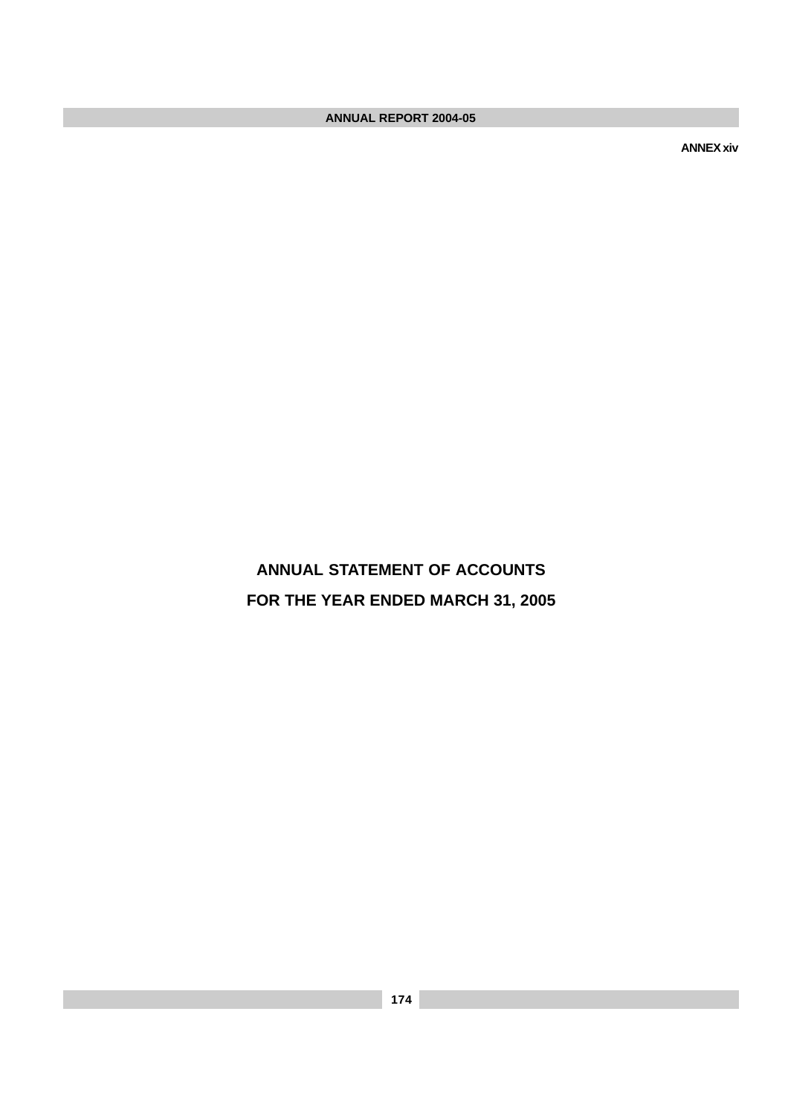**ANNEX xiv**

**ANNUAL STATEMENT OF ACCOUNTS FOR THE YEAR ENDED MARCH 31, 2005**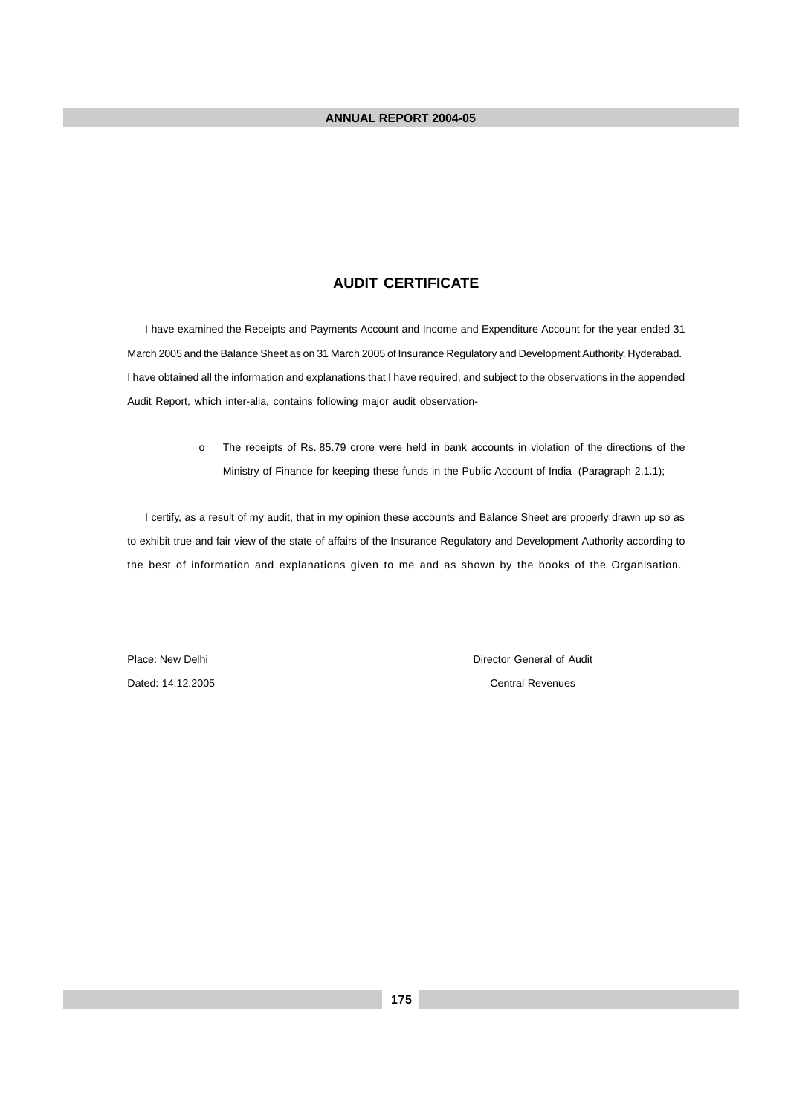#### **AUDIT CERTIFICATE**

 I have examined the Receipts and Payments Account and Income and Expenditure Account for the year ended 31 March 2005 and the Balance Sheet as on 31 March 2005 of Insurance Regulatory and Development Authority, Hyderabad. I have obtained all the information and explanations that I have required, and subject to the observations in the appended Audit Report, which inter-alia, contains following major audit observation-

> o The receipts of Rs. 85.79 crore were held in bank accounts in violation of the directions of the Ministry of Finance for keeping these funds in the Public Account of India (Paragraph 2.1.1);

 I certify, as a result of my audit, that in my opinion these accounts and Balance Sheet are properly drawn up so as to exhibit true and fair view of the state of affairs of the Insurance Regulatory and Development Authority according to the best of information and explanations given to me and as shown by the books of the Organisation.

Place: New Delhi Director General of Audit Dated: 14.12.2005 Central Revenues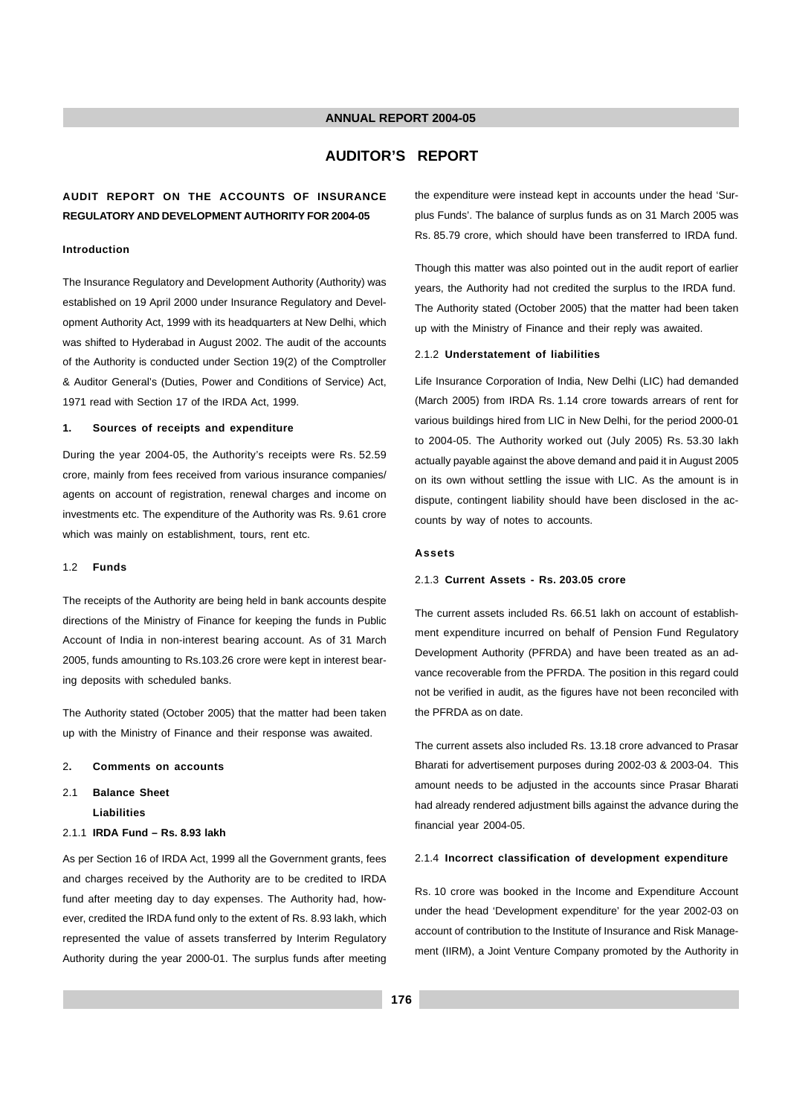#### **AUDITOR'S REPORT**

#### **AUDIT REPORT ON THE ACCOUNTS OF INSURANCE REGULATORY AND DEVELOPMENT AUTHORITY FOR 2004-05**

#### **Introduction**

The Insurance Regulatory and Development Authority (Authority) was established on 19 April 2000 under Insurance Regulatory and Development Authority Act, 1999 with its headquarters at New Delhi, which was shifted to Hyderabad in August 2002. The audit of the accounts of the Authority is conducted under Section 19(2) of the Comptroller & Auditor General's (Duties, Power and Conditions of Service) Act, 1971 read with Section 17 of the IRDA Act, 1999.

#### **1. Sources of receipts and expenditure**

During the year 2004-05, the Authority's receipts were Rs. 52.59 crore, mainly from fees received from various insurance companies/ agents on account of registration, renewal charges and income on investments etc. The expenditure of the Authority was Rs. 9.61 crore which was mainly on establishment, tours, rent etc.

#### 1.2 **Funds**

The receipts of the Authority are being held in bank accounts despite directions of the Ministry of Finance for keeping the funds in Public Account of India in non-interest bearing account. As of 31 March 2005, funds amounting to Rs.103.26 crore were kept in interest bearing deposits with scheduled banks.

The Authority stated (October 2005) that the matter had been taken up with the Ministry of Finance and their response was awaited.

- 2**. Comments on accounts**
- 2.1 **Balance Sheet Liabilities**
- 2.1.1 **IRDA Fund Rs. 8.93 lakh**

As per Section 16 of IRDA Act, 1999 all the Government grants, fees and charges received by the Authority are to be credited to IRDA fund after meeting day to day expenses. The Authority had, however, credited the IRDA fund only to the extent of Rs. 8.93 lakh, which represented the value of assets transferred by Interim Regulatory Authority during the year 2000-01. The surplus funds after meeting the expenditure were instead kept in accounts under the head 'Surplus Funds'. The balance of surplus funds as on 31 March 2005 was Rs. 85.79 crore, which should have been transferred to IRDA fund.

Though this matter was also pointed out in the audit report of earlier years, the Authority had not credited the surplus to the IRDA fund. The Authority stated (October 2005) that the matter had been taken up with the Ministry of Finance and their reply was awaited.

#### 2.1.2 **Understatement of liabilities**

Life Insurance Corporation of India, New Delhi (LIC) had demanded (March 2005) from IRDA Rs. 1.14 crore towards arrears of rent for various buildings hired from LIC in New Delhi, for the period 2000-01 to 2004-05. The Authority worked out (July 2005) Rs. 53.30 lakh actually payable against the above demand and paid it in August 2005 on its own without settling the issue with LIC. As the amount is in dispute, contingent liability should have been disclosed in the accounts by way of notes to accounts.

#### **Assets**

#### 2.1.3 **Current Assets - Rs. 203.05 crore**

The current assets included Rs. 66.51 lakh on account of establishment expenditure incurred on behalf of Pension Fund Regulatory Development Authority (PFRDA) and have been treated as an advance recoverable from the PFRDA. The position in this regard could not be verified in audit, as the figures have not been reconciled with the PFRDA as on date.

The current assets also included Rs. 13.18 crore advanced to Prasar Bharati for advertisement purposes during 2002-03 & 2003-04. This amount needs to be adjusted in the accounts since Prasar Bharati had already rendered adjustment bills against the advance during the financial year 2004-05.

#### 2.1.4 **Incorrect classification of development expenditure**

Rs. 10 crore was booked in the Income and Expenditure Account under the head 'Development expenditure' for the year 2002-03 on account of contribution to the Institute of Insurance and Risk Management (IIRM), a Joint Venture Company promoted by the Authority in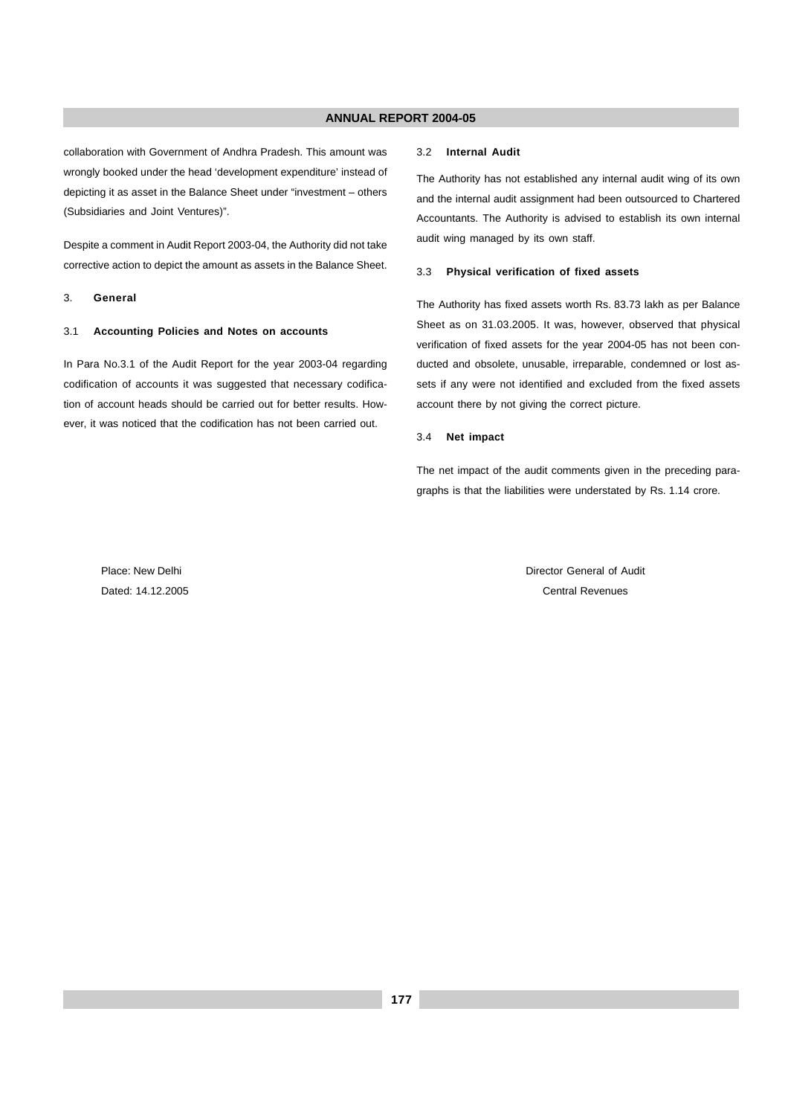collaboration with Government of Andhra Pradesh. This amount was wrongly booked under the head 'development expenditure' instead of depicting it as asset in the Balance Sheet under "investment – others (Subsidiaries and Joint Ventures)".

Despite a comment in Audit Report 2003-04, the Authority did not take corrective action to depict the amount as assets in the Balance Sheet.

#### 3. **General**

#### 3.1 **Accounting Policies and Notes on accounts**

In Para No.3.1 of the Audit Report for the year 2003-04 regarding codification of accounts it was suggested that necessary codification of account heads should be carried out for better results. However, it was noticed that the codification has not been carried out.

#### 3.2 **Internal Audit**

The Authority has not established any internal audit wing of its own and the internal audit assignment had been outsourced to Chartered Accountants. The Authority is advised to establish its own internal audit wing managed by its own staff.

#### 3.3 **Physical verification of fixed assets**

The Authority has fixed assets worth Rs. 83.73 lakh as per Balance Sheet as on 31.03.2005. It was, however, observed that physical verification of fixed assets for the year 2004-05 has not been conducted and obsolete, unusable, irreparable, condemned or lost assets if any were not identified and excluded from the fixed assets account there by not giving the correct picture.

#### 3.4 **Net impact**

The net impact of the audit comments given in the preceding paragraphs is that the liabilities were understated by Rs. 1.14 crore.

Place: New Delhi Director General of Audit Director General of Audit Director General of Audit Dated: 14.12.2005 Central Revenues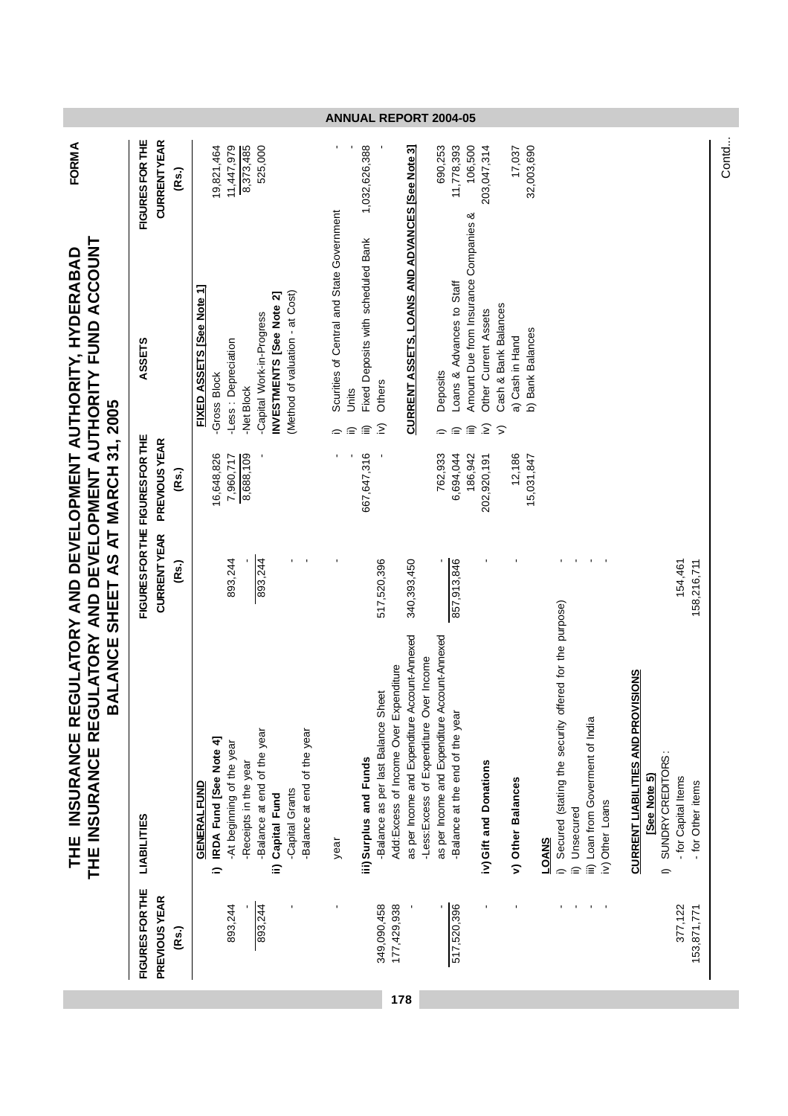|                                                                                                                                  |                                 |                               |                                                           |                           |                                                      |                          |                                                | ANNUAL KEPUK I                                             |                                                  |                                              |                                        |                                                        |                                                                                           |                                                 | <b>ZUU4-U5</b>                             |                                          |                                                                    |                  |              |                                                        |                        |                                   |                 |                                           |              |                                               |                                          |
|----------------------------------------------------------------------------------------------------------------------------------|---------------------------------|-------------------------------|-----------------------------------------------------------|---------------------------|------------------------------------------------------|--------------------------|------------------------------------------------|------------------------------------------------------------|--------------------------------------------------|----------------------------------------------|----------------------------------------|--------------------------------------------------------|-------------------------------------------------------------------------------------------|-------------------------------------------------|--------------------------------------------|------------------------------------------|--------------------------------------------------------------------|------------------|--------------|--------------------------------------------------------|------------------------|-----------------------------------|-----------------|-------------------------------------------|--------------|-----------------------------------------------|------------------------------------------|
| <b>FORMA</b>                                                                                                                     | FIGURES FOR THE                 | <b>CURRENTYEAR</b><br>(Rs.)   | 19,821,464                                                | 11,447,979                | 8,373,485<br>525,000                                 |                          |                                                |                                                            | 1,032,626,388                                    |                                              |                                        |                                                        | 690,253                                                                                   | 11,778,393                                      | 106,500                                    | 203,047,314                              | 17,037                                                             | 32,003,690       |              |                                                        |                        |                                   |                 |                                           |              |                                               |                                          |
|                                                                                                                                  | <b>ASSETS</b>                   |                               | FIXED ASSETS [See Note 1]<br><b>Gross Block</b>           | -Less : Depreciation      | -Capital Work-in-Progress<br>-Net Block              | INVESTMENTS [See Note 2] | (Method of valuation - at Cost)                | Scurities of Central and State Government<br>$\Rightarrow$ | Fixed Deposits with scheduled Bank<br>Units<br>≘ | Others<br>$\widehat{\equiv}$ $\widehat{\ge}$ |                                        | <b>CURRENT ASSETS, LOANS AND ADVANCES [See Note 3]</b> | Deposits                                                                                  | Loans & Advances to Staff<br>≘<br>$\Rightarrow$ | Amount Due from Insurance Companies &<br>≘ | Other Current Assets<br>$\widehat{\geq}$ | Cash & Bank Balances<br>a) Cash in Hand<br>$\widehat{\phantom{a}}$ | b) Bank Balances |              |                                                        |                        |                                   |                 |                                           |              |                                               |                                          |
|                                                                                                                                  |                                 | <b>PREVIOUS YEAR</b><br>(Rs.) | 16,648,826                                                | 7,960,717                 | 8,688,109                                            |                          |                                                |                                                            | 667,647,316                                      |                                              |                                        |                                                        | 762,933                                                                                   |                                                 | 6,694,044<br>186,942                       | 202,920,191                              | 12,186                                                             | 15,031,847       |              |                                                        |                        |                                   |                 |                                           |              |                                               |                                          |
| BALANCE SHEET AS AT MARCH 31, 2005                                                                                               | FIGURES FOR THE FIGURES FOR THE | <b>CURRENTYEAR</b><br>(Rs.)   |                                                           | 893,244                   | 893,244                                              |                          | $\blacksquare$                                 |                                                            |                                                  | 517,520,396                                  |                                        | 340,393,450                                            |                                                                                           | 857,913,846                                     |                                            |                                          |                                                                    |                  |              |                                                        |                        |                                   |                 |                                           |              |                                               | 154,461<br>158,216,711                   |
| THE INSURANCE REGULATORY AND DEVELOPMENT AUTHORITY FUND ACCOUNT<br>THE INSURANCE REGULATORY AND DEVELOPMENT AUTHORITY, HYDERABAD | LIABILITIES                     |                               | IRDA Fund [See Note 4]<br><b>GENERAL FUND</b><br>$\equiv$ | -At beginning of the year | -Balance at end of the year<br>-Receipts in the year | ii) Capital Fund         | -Balance at end of the year<br>-Capital Grants | year                                                       | iii) Surplus and Funds                           | -Balance as per last Balance Sheet           | Add: Excess of Income Over Expenditure | as per Income and Expenditure Account-Annexed          | as per Income and Expenditure Account-Annexed<br>-Less: Excess of Expenditure Over Income |                                                 | Balance at the end of the year             | iv) Gift and Donations                   | v) Other Balances                                                  |                  | <b>LOANS</b> | Secured (stating the security offered for the purpose) | Unsecured<br>$\hat{=}$ | iii) Loan from Goverment of India | iv) Other Loans | <b>CURRENT LIABILITIES AND PROVISIONS</b> | [See Note 5) | SUNDRY CREDITORS:<br>$\overline{\phantom{0}}$ | - for Capital Items<br>- for Other items |
|                                                                                                                                  | FIGURES FOR THE                 | PREVIOUS YEAR<br>(Rs.)        |                                                           | 893,244                   | 893,244                                              |                          |                                                |                                                            |                                                  | 349,090,458                                  | 177,429,938                            |                                                        |                                                                                           | 517,520,396                                     |                                            |                                          |                                                                    |                  |              |                                                        |                        |                                   |                 |                                           |              |                                               | 377,122<br>153,871,771                   |
|                                                                                                                                  |                                 |                               |                                                           |                           |                                                      |                          |                                                |                                                            |                                                  |                                              | 178                                    |                                                        |                                                                                           |                                                 |                                            |                                          |                                                                    |                  |              |                                                        |                        |                                   |                 |                                           |              |                                               |                                          |

Contd...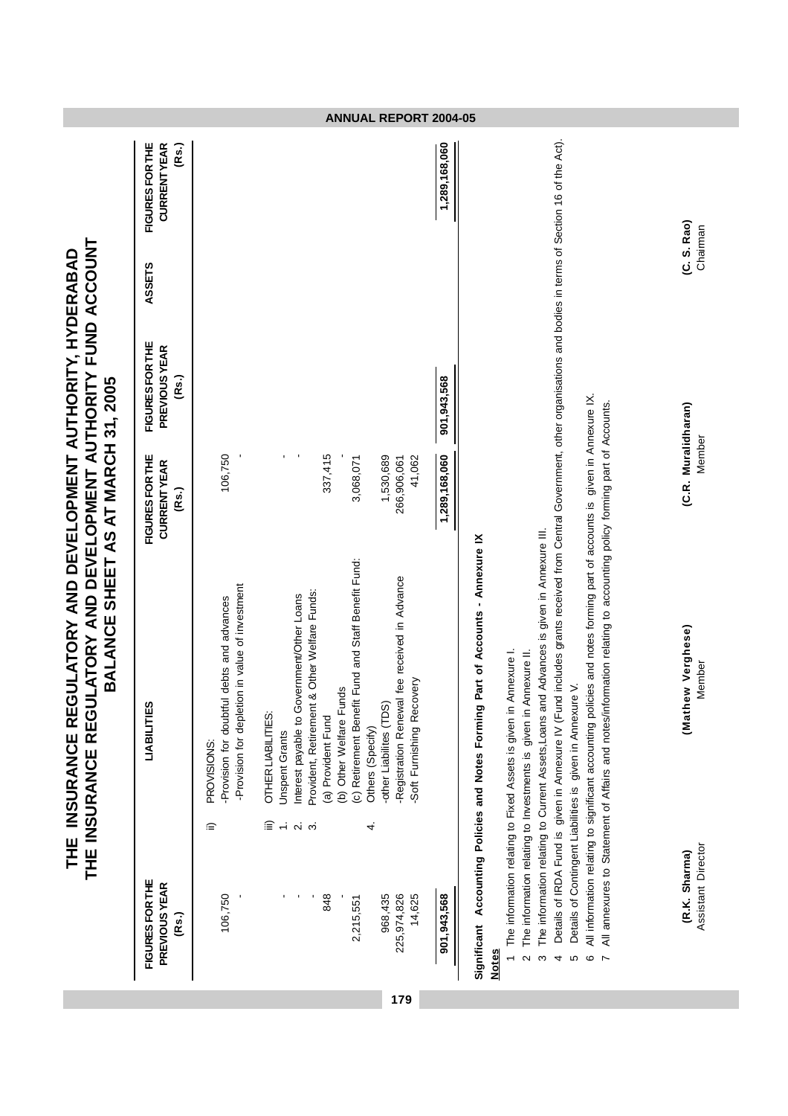THE INSURANCE REGULATORY AND DEVELOPMENT AUTHORITY, HYDERABAD<br>THE INSURANCE REGULATORY AND DEVELOPMENT AUTHORITY FUND ACCOUNT **THE INSURANCE REGULATORY AND DEVELOPMENT AUTHORITY FUND ACCOUNT THE INSURANCE REGULATORY AND DEVELOPMENT AUTHORITY, HYDERABAD** BALANCE SHEET AS AT MARCH 31, 2005 **BALANCE SHEET AS AT MARCH 31, 2005**

|                                                  |                                                                                                                                                                                                                                                                                                                                                                                                                                                                                 |                                                | i<br>;<br>)                                      |        |                                                       |
|--------------------------------------------------|---------------------------------------------------------------------------------------------------------------------------------------------------------------------------------------------------------------------------------------------------------------------------------------------------------------------------------------------------------------------------------------------------------------------------------------------------------------------------------|------------------------------------------------|--------------------------------------------------|--------|-------------------------------------------------------|
| <b>FIGURES FOR THE</b><br>PREVIOUS YEAR<br>(Rs.) | <b>LIABILITIES</b>                                                                                                                                                                                                                                                                                                                                                                                                                                                              | FIGURES FOR THE<br><b>CURRENTYEAR</b><br>(Rs.) | <b>FIGURES FOR THE</b><br>PREVIOUS YEAR<br>(Rs.) | ASSETS | <b>FIGURES FOR THE</b><br><b>CURRENTYEAR</b><br>(Rs.) |
| 106,750                                          | -Provision for depletion in value of investment<br>-Provision for doubtful debts and advances<br>PROVISIONS:<br>≘                                                                                                                                                                                                                                                                                                                                                               | 106,750                                        |                                                  |        |                                                       |
|                                                  | Provident, Retirement & Other Welfare Funds:<br>Interest payable to Government/Other Loans<br>OTHER LIABILITIES:<br><b>Unspent Grants</b><br>$\overline{\mathsf{N}}$<br>3                                                                                                                                                                                                                                                                                                       |                                                |                                                  |        |                                                       |
| 848<br>2,215,551                                 | (c) Retirement Benefit Fund and Staff Benefit Fund:<br><b>Funds</b><br>(a) Provident Fund<br>(b) Other Welfare                                                                                                                                                                                                                                                                                                                                                                  | 337,415<br>3,068,071                           |                                                  |        |                                                       |
| 968,435<br>225,974,826<br>14,625                 | Registration Renewal fee received in Advance<br>Recovery<br>-other Liabilites (TDS)<br>Others (Specify)<br>Soft Furnishing<br>4.                                                                                                                                                                                                                                                                                                                                                | 1,530,689<br>41,062<br>266,906,061             |                                                  |        |                                                       |
| 901,943,568                                      |                                                                                                                                                                                                                                                                                                                                                                                                                                                                                 | 1,289,168,060                                  | 901,943,568                                      |        | 1,289,168,060                                         |
| <b>Notes</b>                                     | Significant Accounting Policies and Notes Forming Part of Accounts - Annexure IX                                                                                                                                                                                                                                                                                                                                                                                                |                                                |                                                  |        |                                                       |
| ო<br>5<br>4                                      | (Fund includes grants received from Central Government, other organisations and bodies in terms of Section 16 of the Act).<br>The information relating to Current Assets, Loans and Advances is given in Annexure III<br>The information relating to Fixed Assets is given in Annexure I.<br>in Annexure II.<br>Details of Contingent Liabilities is given in Annexure V.<br>The information relating to Investments is given<br>Details of IRDA Fund is given in Annexure IV ( |                                                |                                                  |        |                                                       |
| c                                                | policies and notes forming part of accounts is given in Appexure $X$<br>All information relating to significant accounting                                                                                                                                                                                                                                                                                                                                                      |                                                |                                                  |        |                                                       |

**179**

**ANNUAL REPORT 2004-05**

6 All information relating to significant accounting policies and notes forming part of accounts is given in Annexure IX.

o An information relating to significant accounting poincies and incles rothing part of accountis is given in Antibacure ix<br>7 All annexures to Statement of Affairs and notes/information relating to accounting policy formin 7 All annexures to Statement of Affairs and notes/information relating to accounting policy forming part of Accounts.

(R.K. Sharma)<br>Assistant Director

**(R.K. Sharma) (Mathew Verghese) (C.R. Muralidharan) (C. S. Rao)** Assistant Director Member Member Chairman (Mathew Verghese)<br>Member

Member

(C. S. Rao)<br>Chairman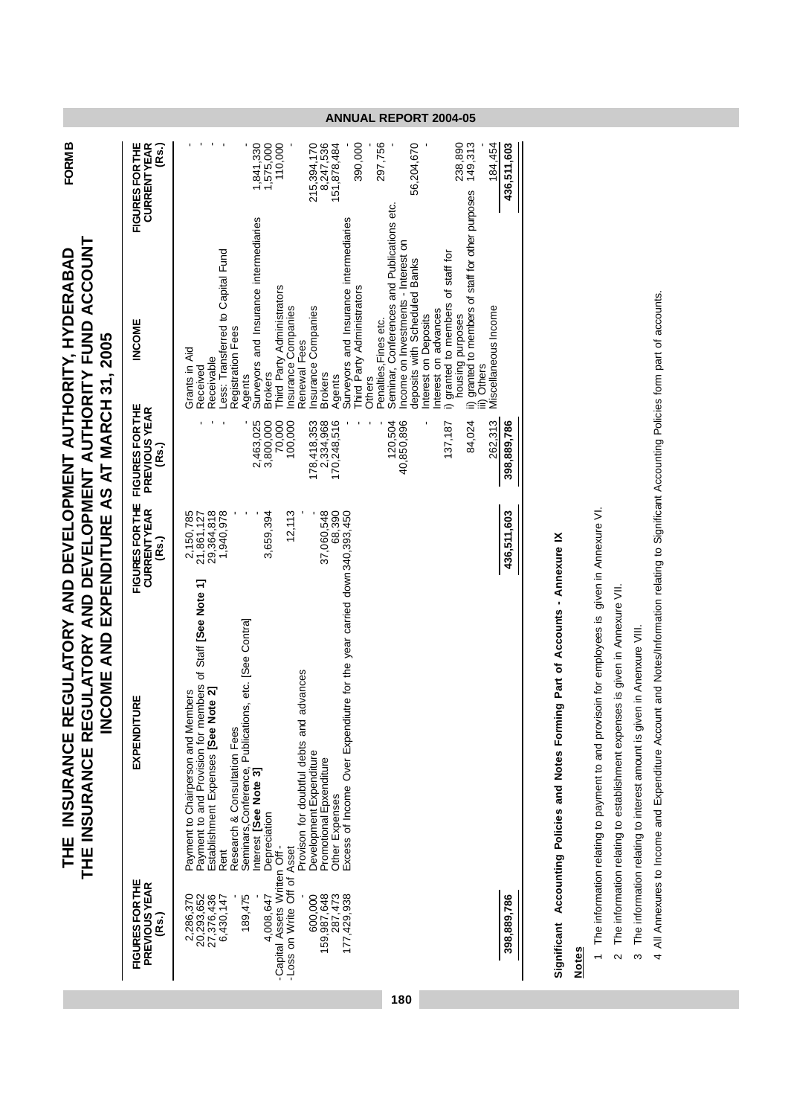| THE INSURANCE REGULATORY AND DEVELOPMENT AUTHORITY, HYDERABAD | THE INSURANCE REGULATORY AND DEVELOPMENT AUTHORITY FUND ACCOUNT | INCOME AND EXPENDITURE AS AT MARCH 31. 2005 |
|---------------------------------------------------------------|-----------------------------------------------------------------|---------------------------------------------|

**FORM B**

|                                                                          | INCOME AND EXPENDITURE AS AT MARCH 31, 2005                                                                                                                                                                                                                    |                                                                |                                             |                                                                                                                                                                                                     |                                                     |
|--------------------------------------------------------------------------|----------------------------------------------------------------------------------------------------------------------------------------------------------------------------------------------------------------------------------------------------------------|----------------------------------------------------------------|---------------------------------------------|-----------------------------------------------------------------------------------------------------------------------------------------------------------------------------------------------------|-----------------------------------------------------|
| FIGURES FOR THE<br><b>PREVIOUS YEAR</b><br>(Rs.)                         | EXPENDITURE                                                                                                                                                                                                                                                    | FIGURES FOR THE FIGURES FOR THE<br><b>CURRENTYEAR</b><br>(Rs.) | <b>PREVIOUS YEAR</b><br>(Rs.)               | <b>INCOME</b>                                                                                                                                                                                       | <b>FIGURESFORTHE</b><br><b>CURRENTYEAR</b><br>(Rs.) |
| 189,475<br>20,293,652<br>27,376,436<br>2,286,370<br>6,430,147            | Payment to and Provision for members of Staff <b>[See Note 1]</b><br>Establishment Expenses <b>[See Note 2</b> ]<br>Seminars, Conference, Publications, etc. [See Contra]<br>Payment to Chairperson and Members<br>Research & Consultation Fees<br><b>Rent</b> | 2,150,785<br>21,861,127<br>29,364,818<br>1,940,978             |                                             | Less: Transferred to Capital Fund<br>Registration Fees<br>Grants in Aid<br>Receivable<br>Received<br>Agents                                                                                         |                                                     |
| -Capital Assets Written Off-<br>-Loss on Write Off of Asset<br>4,008,647 | Provison for doubtful debts and advances<br>Interest [See Note 3]<br>Depreciation                                                                                                                                                                              | 12,113<br>3,659,394                                            | 100,000<br>2,463,025<br>3,800,000<br>70,000 | Surveyors and Insurance intermediaries<br>Third Party Administrators<br>Insurance Companies<br>Renewal Fees<br><b>Brokers</b>                                                                       | 1,841,330<br>1,575,000<br>110,000                   |
| 600,000<br>159,987,648<br>287,473<br>177,429,938                         | Excess of Income Over Expendiutre for the year carried down 340,393,450<br>Development Expenditure<br>Promotional Epxenditure<br><b>Other Expenses</b>                                                                                                         | 37,060,548<br>68,390                                           | 178,418,353<br>170,248,516<br>2,334,968     | Surveyors and Insurance intermediaries<br>Insurance Companies<br><b>Brokers</b><br>Agents                                                                                                           | 8,247,536<br>215,394,170<br>151,878,484             |
|                                                                          |                                                                                                                                                                                                                                                                |                                                                | 120,504<br>40.850.896                       | Seminar, Conferences and Publications etc.<br>Income on Investments - Interest on<br>deposits with Scheduled Banks<br>Third Party Administrators<br>Penalties, Fines etc.<br><b>Others</b>          | 390,000<br>297,756<br>56,204,670                    |
|                                                                          |                                                                                                                                                                                                                                                                |                                                                | 84,024<br>262.313<br>137,187                | ii) granted to members of staff for other purposes<br>i) granted to members of staff for<br>Miscellaneous Income<br>Interest on advances<br>Interest on Deposits<br>housing purposes<br>iii) Others | 238,890<br>149,313<br>184.454                       |
| 398,889,786                                                              |                                                                                                                                                                                                                                                                | 436,511,603                                                    | 398,889,786                                 |                                                                                                                                                                                                     | 436,511,603                                         |

# Significant Accounting Policies and Notes Forming Part of Accounts - Annexure IX **Significant Accounting Policies and Notes Forming Part of Accounts - Annexure IX**

### **Notes**

- 1 The information relating to payment to and provisoin for employees is given in Annexure VI. 1 The information relating to payment to and provisoin for employees is given in Annexure VI.
- 2 The information relating to establishment expenses is given in Annexure VII. 2 The information relating to establishment expenses is given in Annexure VII.
- 3 The information relating to interest amount is given in Anenxure VIII. 3 The information relating to interest amount is given in Anenxure VIII.
- 4 All Annexures to Income and Expenditure Account and Notes/Information relating to Significant Accounting Policies form part of accounts. 4 All Annexures to Income and Expenditure Account and Notes/Information relating to Significant Accounting Policies form part of accounts.

#### **ANNUAL REPORT 2004-05**

**180**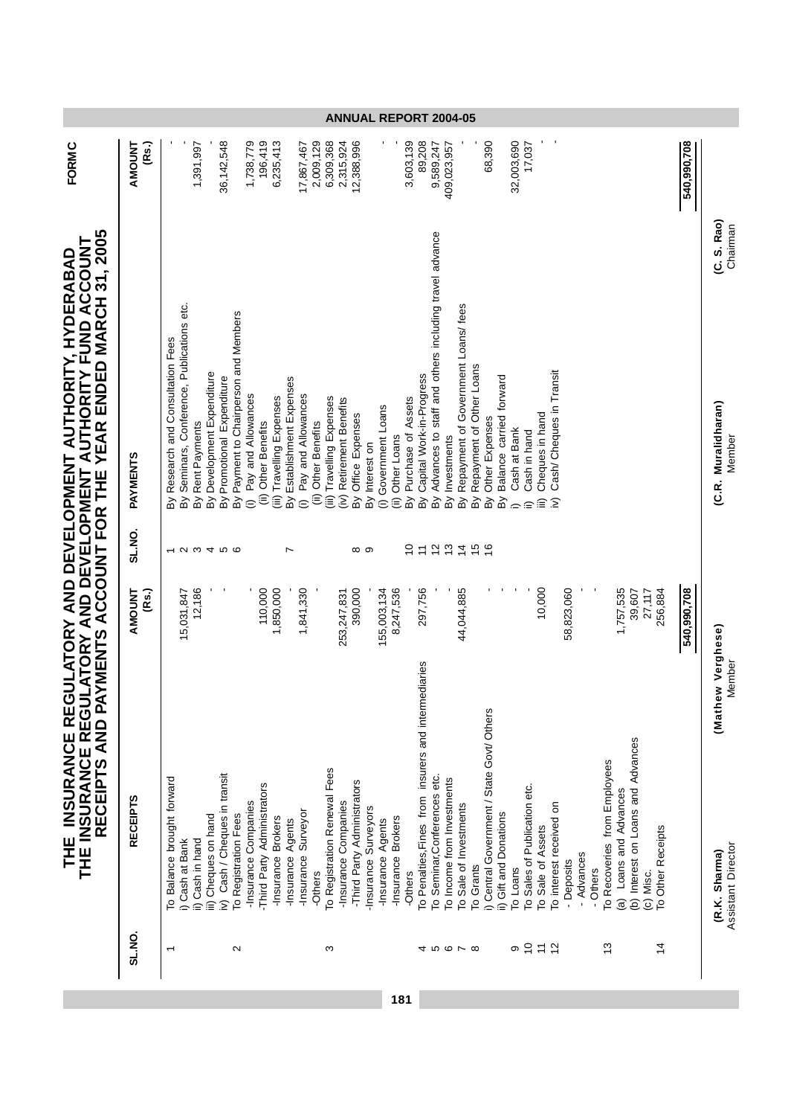| (Rs.)<br><b>AMOUNT</b>                                         |                                     |                                         | 1,391,997                      |                            | 36,142,548                    |                                       | 1,738,779                           | 196,419                                     | 6,235,413                 |                               | 17,867,467                          | 2,009,129              | 6,309,368                    | 2,315,924                               | 12,388,996                  |                     |                                   |                    | 3,603,139                | 89,208                                               | 9,589,247                                                    | 409,023,957                |                                                                           |               | 68,390                                                               | 32,003,690   | 17,037                       |                        |                                                |            |            |          |                              |                                     |                                    |                                | 540,990,708 |                                    |
|----------------------------------------------------------------|-------------------------------------|-----------------------------------------|--------------------------------|----------------------------|-------------------------------|---------------------------------------|-------------------------------------|---------------------------------------------|---------------------------|-------------------------------|-------------------------------------|------------------------|------------------------------|-----------------------------------------|-----------------------------|---------------------|-----------------------------------|--------------------|--------------------------|------------------------------------------------------|--------------------------------------------------------------|----------------------------|---------------------------------------------------------------------------|---------------|----------------------------------------------------------------------|--------------|------------------------------|------------------------|------------------------------------------------|------------|------------|----------|------------------------------|-------------------------------------|------------------------------------|--------------------------------|-------------|------------------------------------|
| PAYMENTS ACCOUNT FOR THE YEAR ENDED MARCH 31, 2005<br>PAYMENTS | Research and Consultation Fees<br>ă | Seminars, Conference, Publications etc. | Rent Payments<br>$\frac{1}{2}$ | By Development Expenditure | By Promotional Expenditure    | By Payment to Chairperson and Members | Pay and Allowances<br>$\widehat{c}$ | <b>Other Benefits</b><br>$\widehat{\equiv}$ | (iii) Travelling Expenses | Establishment Expenses<br>କ୍ଷ | Pay and Allowances<br>$\widehat{c}$ | Other Benefits<br>(ii) | iii) Travelling Expenses     | Retirement Benefits<br>$\sum_{i=1}^{n}$ | By Office Expenses          | By Interest on      | Government Loans<br>$\widehat{=}$ | (ii) Other Loans   | Purchase of Assets<br>Βỳ | Capital Work-in-Progress<br>ΔÌ                       | Advances to staff and others including travel advance<br>କ୍ର | Investments<br>ă           | Repayment of Government Loans/ fees<br>Repayment of Other Loans<br>ă<br>ă |               | Balance carried forward<br>Other Expenses<br>ΒŅ<br>ΔÝ                | Cash at Bank | Cash in hand                 | Cheques in hand<br>îii | Cash/ Cheques in Transit<br>$\hat{\mathbf{z}}$ |            |            |          |                              |                                     |                                    |                                |             | (C. S. Rao)<br>(C.R. Muralidharan) |
| SL.NO.                                                         |                                     |                                         |                                |                            | 000000                        |                                       |                                     |                                             |                           | $\overline{ }$                |                                     |                        |                              |                                         | ∞ ာ                         |                     |                                   |                    | ₽                        | $\overline{ }$                                       |                                                              |                            | 2272                                                                      | $\frac{6}{5}$ |                                                                      |              |                              |                        |                                                |            |            |          |                              |                                     |                                    |                                |             |                                    |
| (Rs.)<br>AMOUNT                                                |                                     | 15,031,847                              | 12,186                         |                            |                               |                                       |                                     | 110,000                                     | 1,850,000                 |                               | 1,841,330                           |                        |                              | 253,247,831                             | 390,000                     |                     | 155,003,134                       | 8,247,536          |                          | 297,756                                              |                                                              |                            | 44,044,885                                                                |               |                                                                      |              |                              | 10,000                 |                                                | 58,823,060 |            |          |                              | 1,757,535                           | 39,607<br>27,117                   | 256,884                        | 540,990,708 |                                    |
| <b>RECEIPTS</b>                                                | To Balance brought forward          | i) Cash at Bank                         | ii) Cash in hand               | iii) Cheques on hand       | iv) Cash / Cheques in transit | To Registration Fees                  | -Insurance Companies                | -Third Party Administrators                 | -Insurance Brokers        | -Insurance Agents             | -Insurance Surveyor                 | -Others                | To Registration Renewal Fees | -Insurance Companies                    | -Third Party Administrators | Insurance Surveyors | -Insurance Agents                 | -Insurance Brokers | -Others                  | To Penalties, Fines from insurers and intermediaries | To Seminar, Conferences etc.                                 | To Income from Investments | To Sale of Investments<br>To Grants                                       |               | i) Central Government / State Govt/ Others<br>ii) Gift and Donations | To Loans     | To Sales of Publication etc. | To Sale of Assets      | To interest received on                        | - Deposits | - Advances | - Others | To Recoveries from Employees | Loans and Advances<br>$\widehat{a}$ | (b) Interest on Loans and Advances | To Other Receipts<br>(c) Misc. |             | (Mathew Verghese)<br>(R.K. Sharma) |
| <b>SL.NO.</b>                                                  |                                     |                                         |                                |                            |                               | $\sim$                                |                                     |                                             |                           |                               |                                     |                        | ω                            |                                         |                             |                     |                                   |                    |                          |                                                      |                                                              |                            | 4 10 10 N 10                                                              |               |                                                                      |              | 이 능 는                        |                        | $\frac{2}{3}$                                  |            |            |          | $\frac{3}{2}$                |                                     |                                    | $\frac{4}{3}$                  |             |                                    |

**181**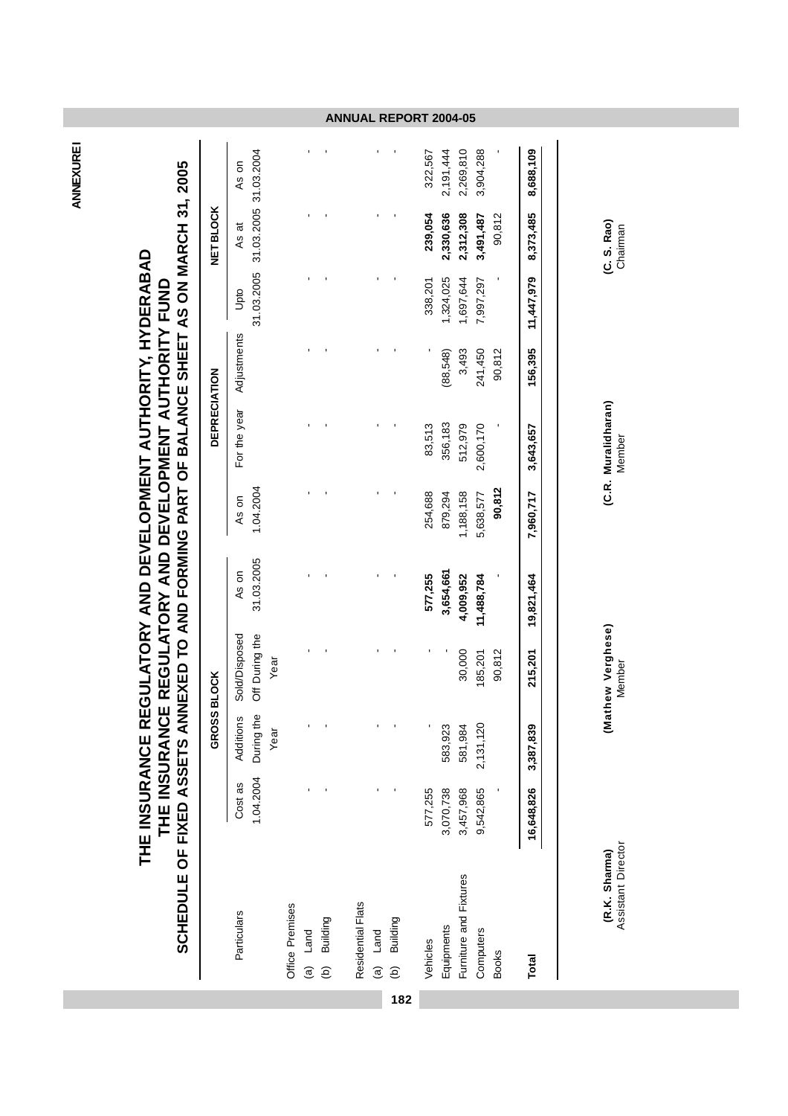**ANNEXURE1 ANNEXURE I**

## THE INSURANCE REGULATORY AND DEVELOPMENT AUTHORITY FUND<br>SCHEDULE OF FIXED ASSETS ANNEXED TO AND FORMING PART OF BALANCE SHEET AS ON MARCH 31, 2005 **SCHEDULE OF FIXED ASSETS ANNEXED TO AND FORMING PART OF BALANCE SHEET AS ON MARCH 31, 2005** THE INSURANCE REGULATORY AND DEVELOPMENT AUTHORITY, HYDERABAD **THE INSURANCE REGULATORY AND DEVELOPMENT AUTHORITY, HYDERABAD THE INSURANCE REGULATORY AND DEVELOPMENT AUTHORITY FUND**

|                          |                      | GROSS BLOCK                    |                                         |                     |                    | DEPRECIATION |             |                    | <b>NET BLOCK</b>               |           |
|--------------------------|----------------------|--------------------------------|-----------------------------------------|---------------------|--------------------|--------------|-------------|--------------------|--------------------------------|-----------|
| Particulars              | 1.04.2004<br>Cost as | During the<br>Additions<br>Yea | Off During the<br>Sold/Disposed<br>Year | 31.03.2005<br>As on | 1.04.2004<br>As on | For the year | Adjustments | 31.03.2005<br>Upto | 31.03.2005 31.03.2004<br>As at | As on     |
| Office Premises          |                      |                                |                                         |                     |                    |              |             |                    |                                |           |
| (b) Building<br>(a) Land |                      | ı                              |                                         |                     |                    |              |             |                    |                                |           |
| Residential Flats        |                      |                                |                                         |                     |                    |              |             |                    |                                |           |
| (a) Land                 |                      |                                |                                         |                     |                    |              |             |                    |                                |           |
| (b) Building             |                      |                                |                                         |                     |                    |              |             |                    |                                |           |
| Vehicles                 | 577,255              |                                |                                         | 577,255             | 254,688            | 83,513       |             | 338,201            | 239,054                        | 322,567   |
| Equipments               | 3,070,738            | 583,923                        |                                         | 3,654,661           | 879,294            | 356,183      | (88,548)    | 1,324,025          | 2,330,636                      | 2,191,444 |
| Furniture and Fixtures   | 3,457,968            | 581,984                        | 30,000                                  | 4,009,952           | 1,188,158          | 512,979      | 3,493       | 1,697,644          | 2,312,308                      | 2,269,810 |
| Computers                | 9,542,865            | 2,131,120                      | 185,201                                 | 11,488,784          | 5,638,577          | 2,600,170    | 241,450     | 7,997,297          | 3,491,487                      | 3,904,288 |
| <b>Books</b>             |                      |                                | 90,812                                  |                     | 90,812             |              | 90,812      |                    | 90,812                         |           |
| Total                    | 16,648,826           | 3,387,839                      | 215,201                                 | 19,821,464          | 7,960,717          | 3,643,657    | 156,395     | 11,447,979         | 8,373,485                      | 8,688,109 |
|                          |                      |                                |                                         |                     |                    |              |             |                    |                                |           |
|                          |                      |                                |                                         |                     |                    |              |             |                    |                                |           |

**182**

(C. S. Rao)<br>Chairman

(C.R. Muralidharan)<br>Member

**(R.K. Sharma) (Mathew Verghese) (C.R. Muralidharan) (C. S. Rao)**

(Mathew Verghese)<br>Member

Assistant Director Member Member Chairman(R.K. Sharma)<br>Assistant Director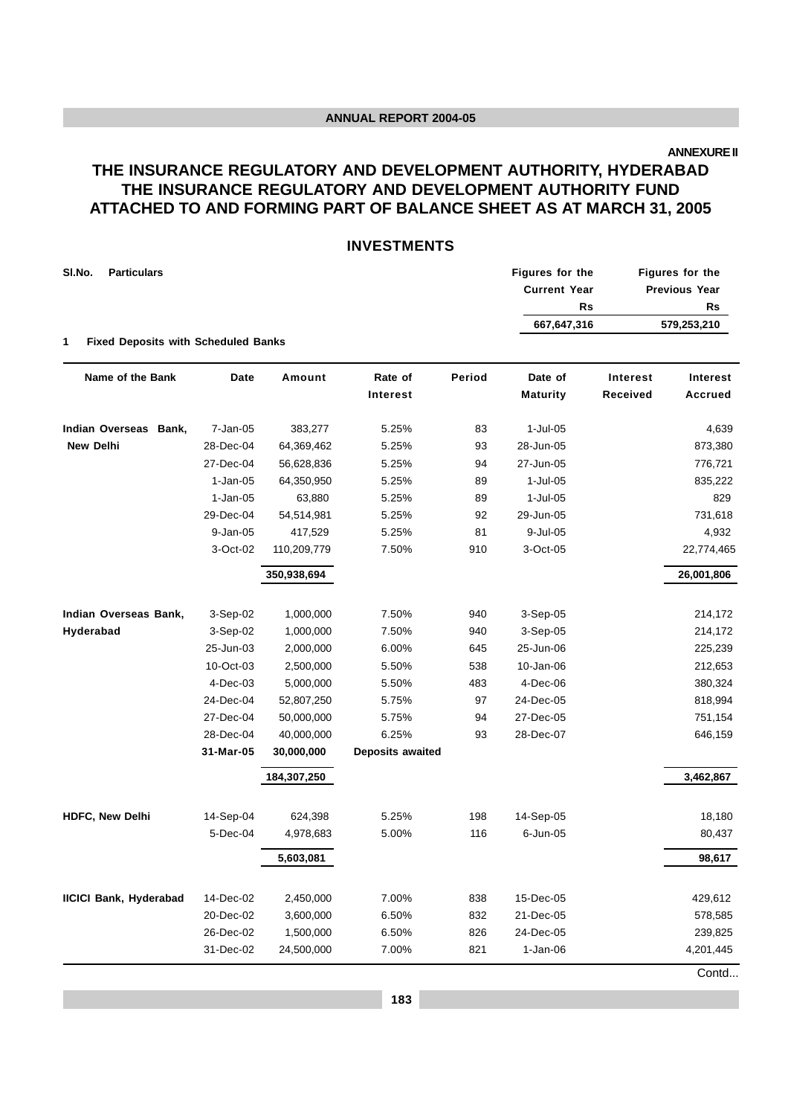**ANNEXURE II**

#### **THE INSURANCE REGULATORY AND DEVELOPMENT AUTHORITY, HYDERABAD THE INSURANCE REGULATORY AND DEVELOPMENT AUTHORITY FUND ATTACHED TO AND FORMING PART OF BALANCE SHEET AS AT MARCH 31, 2005**

#### **INVESTMENTS**

|            |             |                                            |        |                 |                                                     | Figures for the      |
|------------|-------------|--------------------------------------------|--------|-----------------|-----------------------------------------------------|----------------------|
|            |             |                                            |        |                 |                                                     | <b>Previous Year</b> |
|            |             |                                            |        |                 |                                                     | <b>Rs</b>            |
|            |             |                                            |        | 667,647,316     |                                                     | 579,253,210          |
|            |             |                                            |        |                 |                                                     |                      |
| Date       | Amount      | Rate of                                    | Period | Date of         | Interest                                            | <b>Interest</b>      |
|            |             | Interest                                   |        | <b>Maturity</b> | Received                                            | <b>Accrued</b>       |
| 7-Jan-05   | 383,277     | 5.25%                                      | 83     | 1-Jul-05        |                                                     | 4,639                |
| 28-Dec-04  | 64,369,462  | 5.25%                                      | 93     | 28-Jun-05       |                                                     | 873,380              |
| 27-Dec-04  | 56,628,836  | 5.25%                                      | 94     | 27-Jun-05       |                                                     | 776,721              |
| $1-Jan-05$ | 64,350,950  | 5.25%                                      | 89     | 1-Jul-05        |                                                     | 835,222              |
| $1-Jan-05$ | 63,880      | 5.25%                                      | 89     | $1$ -Jul-05     |                                                     | 829                  |
| 29-Dec-04  | 54,514,981  | 5.25%                                      | 92     | 29-Jun-05       |                                                     | 731,618              |
| 9-Jan-05   | 417,529     | 5.25%                                      | 81     | 9-Jul-05        |                                                     | 4,932                |
| 3-Oct-02   | 110,209,779 | 7.50%                                      | 910    | 3-Oct-05        |                                                     | 22,774,465           |
|            | 350,938,694 |                                            |        |                 |                                                     | 26,001,806           |
| 3-Sep-02   | 1,000,000   | 7.50%                                      | 940    | $3-Sep-05$      |                                                     | 214,172              |
| 3-Sep-02   | 1,000,000   | 7.50%                                      | 940    | 3-Sep-05        |                                                     | 214,172              |
| 25-Jun-03  | 2,000,000   | 6.00%                                      | 645    | 25-Jun-06       |                                                     | 225,239              |
| 10-Oct-03  | 2,500,000   | 5.50%                                      | 538    | 10-Jan-06       |                                                     | 212,653              |
| 4-Dec-03   | 5,000,000   | 5.50%                                      | 483    | 4-Dec-06        |                                                     | 380,324              |
| 24-Dec-04  | 52,807,250  | 5.75%                                      | 97     | 24-Dec-05       |                                                     | 818,994              |
| 27-Dec-04  | 50,000,000  | 5.75%                                      | 94     | 27-Dec-05       |                                                     | 751,154              |
| 28-Dec-04  | 40,000,000  | 6.25%                                      | 93     | 28-Dec-07       |                                                     | 646,159              |
| 31-Mar-05  | 30,000,000  | Deposits awaited                           |        |                 |                                                     |                      |
|            | 184,307,250 |                                            |        |                 |                                                     | 3,462,867            |
|            | 624,398     | 5.25%                                      | 198    |                 |                                                     | 18,180               |
| 5-Dec-04   | 4,978,683   | 5.00%                                      | 116    | 6-Jun-05        |                                                     | 80,437               |
|            | 5,603,081   |                                            |        |                 |                                                     | 98,617               |
| 14-Dec-02  | 2,450,000   | 7.00%                                      | 838    | 15-Dec-05       |                                                     | 429,612              |
| 20-Dec-02  | 3,600,000   | 6.50%                                      | 832    | 21-Dec-05       |                                                     | 578,585              |
| 26-Dec-02  | 1,500,000   | 6.50%                                      | 826    | 24-Dec-05       |                                                     | 239,825              |
| 31-Dec-02  | 24,500,000  | 7.00%                                      | 821    | $1-Jan-06$      |                                                     | 4,201,445            |
|            | 14-Sep-04   | <b>Fixed Deposits with Scheduled Banks</b> |        |                 | Figures for the<br><b>Current Year</b><br>14-Sep-05 | <b>Rs</b>            |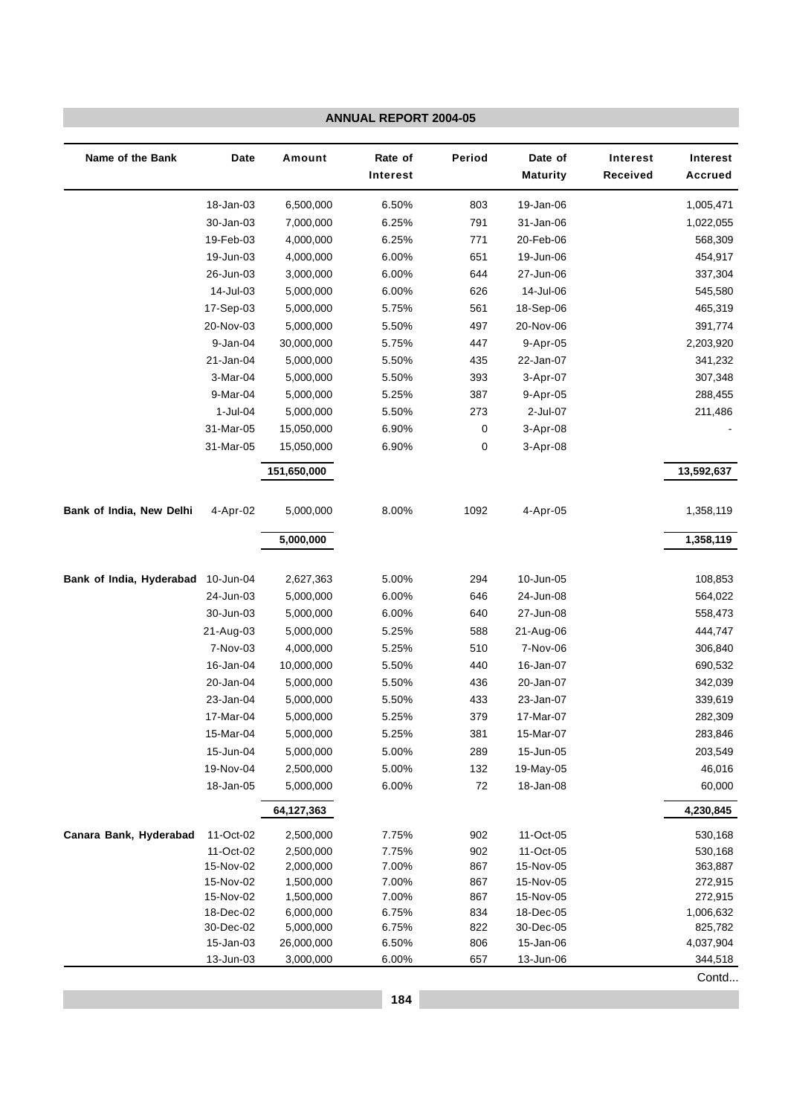|                          |                        |                        | <b>ANNUAL REPORT 2004-05</b> |               |                            |                             |                                   |
|--------------------------|------------------------|------------------------|------------------------------|---------------|----------------------------|-----------------------------|-----------------------------------|
| Name of the Bank         | <b>Date</b>            | Amount                 | Rate of<br>Interest          | Period        | Date of<br><b>Maturity</b> | <b>Interest</b><br>Received | <b>Interest</b><br><b>Accrued</b> |
|                          | 18-Jan-03              | 6,500,000              | 6.50%                        | 803           | 19-Jan-06                  |                             | 1,005,471                         |
|                          | 30-Jan-03              | 7,000,000              | 6.25%                        | 791           | 31-Jan-06                  |                             | 1,022,055                         |
|                          | 19-Feb-03              | 4,000,000              | 6.25%                        | 771           | 20-Feb-06                  |                             | 568,309                           |
|                          | 19-Jun-03              | 4,000,000              | 6.00%                        | 651           | 19-Jun-06                  |                             | 454,917                           |
|                          | 26-Jun-03              | 3,000,000              | 6.00%                        | 644           | 27-Jun-06                  |                             | 337,304                           |
|                          | 14-Jul-03              | 5,000,000              | 6.00%                        | 626           | 14-Jul-06                  |                             | 545,580                           |
|                          | 17-Sep-03              | 5,000,000              | 5.75%                        | 561           | 18-Sep-06                  |                             | 465,319                           |
|                          | 20-Nov-03              | 5,000,000              | 5.50%                        | 497           | 20-Nov-06                  |                             | 391,774                           |
|                          | 9-Jan-04               | 30,000,000             | 5.75%                        | 447           | 9-Apr-05                   |                             | 2,203,920                         |
|                          | 21-Jan-04              | 5,000,000              | 5.50%                        | 435           | 22-Jan-07                  |                             | 341,232                           |
|                          | 3-Mar-04               | 5,000,000              | 5.50%                        | 393           | 3-Apr-07                   |                             | 307,348                           |
|                          | 9-Mar-04               | 5,000,000              | 5.25%                        | 387           | 9-Apr-05                   |                             | 288,455                           |
|                          | $1$ -Jul-04            | 5,000,000              | 5.50%                        | 273           | 2-Jul-07                   |                             | 211,486                           |
|                          | 31-Mar-05              | 15,050,000             | 6.90%                        | 0             | 3-Apr-08                   |                             |                                   |
|                          | 31-Mar-05              | 15,050,000             | 6.90%                        | 0             | 3-Apr-08                   |                             |                                   |
|                          |                        | 151,650,000            |                              |               |                            |                             | 13,592,637                        |
| Bank of India, New Delhi | 4-Apr-02               | 5,000,000              | 8.00%                        | 1092          | 4-Apr-05                   |                             | 1,358,119                         |
|                          |                        | 5,000,000              |                              |               |                            |                             | 1,358,119                         |
|                          |                        |                        |                              |               |                            |                             |                                   |
| Bank of India, Hyderabad | 10-Jun-04              | 2,627,363              | 5.00%                        | 294           | 10-Jun-05                  |                             | 108,853                           |
|                          | 24-Jun-03              | 5,000,000              | 6.00%                        | 646           | 24-Jun-08                  |                             | 564,022                           |
|                          | 30-Jun-03              | 5,000,000              | 6.00%                        | 640           | 27-Jun-08                  |                             | 558,473                           |
|                          | 21-Aug-03              | 5,000,000              | 5.25%                        | 588           | 21-Aug-06                  |                             | 444,747                           |
|                          | 7-Nov-03               | 4,000,000              | 5.25%                        | 510           | 7-Nov-06                   |                             | 306,840                           |
|                          | 16-Jan-04              | 10,000,000             | 5.50%                        | 440           | 16-Jan-07                  |                             | 690,532                           |
|                          | 20-Jan-04              | 5,000,000              | 5.50%                        | 436           | 20-Jan-07                  |                             | 342,039                           |
|                          | 23-Jan-04              | 5,000,000              | 5.50%                        | 433           | 23-Jan-07                  |                             | 339,619                           |
|                          | 17-Mar-04              | 5,000,000              | 5.25%                        | 379           | 17-Mar-07                  |                             | 282,309                           |
|                          | 15-Mar-04              | 5,000,000              | 5.25%                        | 381           | 15-Mar-07                  |                             | 283,846                           |
|                          | 15-Jun-04              | 5,000,000              | 5.00%                        | 289           | 15-Jun-05                  |                             | 203,549                           |
|                          | 19-Nov-04              | 2,500,000              | 5.00%                        | 132<br>$72\,$ | 19-May-05<br>18-Jan-08     |                             | 46,016                            |
|                          | 18-Jan-05              | 5,000,000              | 6.00%                        |               |                            |                             | 60,000<br>4,230,845               |
|                          |                        | 64,127,363             |                              |               |                            |                             |                                   |
| Canara Bank, Hyderabad   | 11-Oct-02              | 2,500,000              | 7.75%                        | 902           | 11-Oct-05                  |                             | 530,168                           |
|                          | 11-Oct-02              | 2,500,000              | 7.75%                        | 902           | 11-Oct-05                  |                             | 530,168                           |
|                          | 15-Nov-02              | 2,000,000              | 7.00%                        | 867           | 15-Nov-05                  |                             | 363,887                           |
|                          | 15-Nov-02<br>15-Nov-02 | 1,500,000              | 7.00%                        | 867           | 15-Nov-05<br>15-Nov-05     |                             | 272,915                           |
|                          | 18-Dec-02              | 1,500,000<br>6,000,000 | 7.00%<br>6.75%               | 867<br>834    | 18-Dec-05                  |                             | 272,915<br>1,006,632              |
|                          | 30-Dec-02              | 5,000,000              | 6.75%                        | 822           | 30-Dec-05                  |                             | 825,782                           |
|                          | 15-Jan-03              | 26,000,000             | 6.50%                        | 806           | 15-Jan-06                  |                             | 4,037,904                         |
|                          | 13-Jun-03              | 3,000,000              | 6.00%                        | 657           | 13-Jun-06                  |                             | 344,518                           |
|                          |                        |                        |                              |               |                            |                             | Contd                             |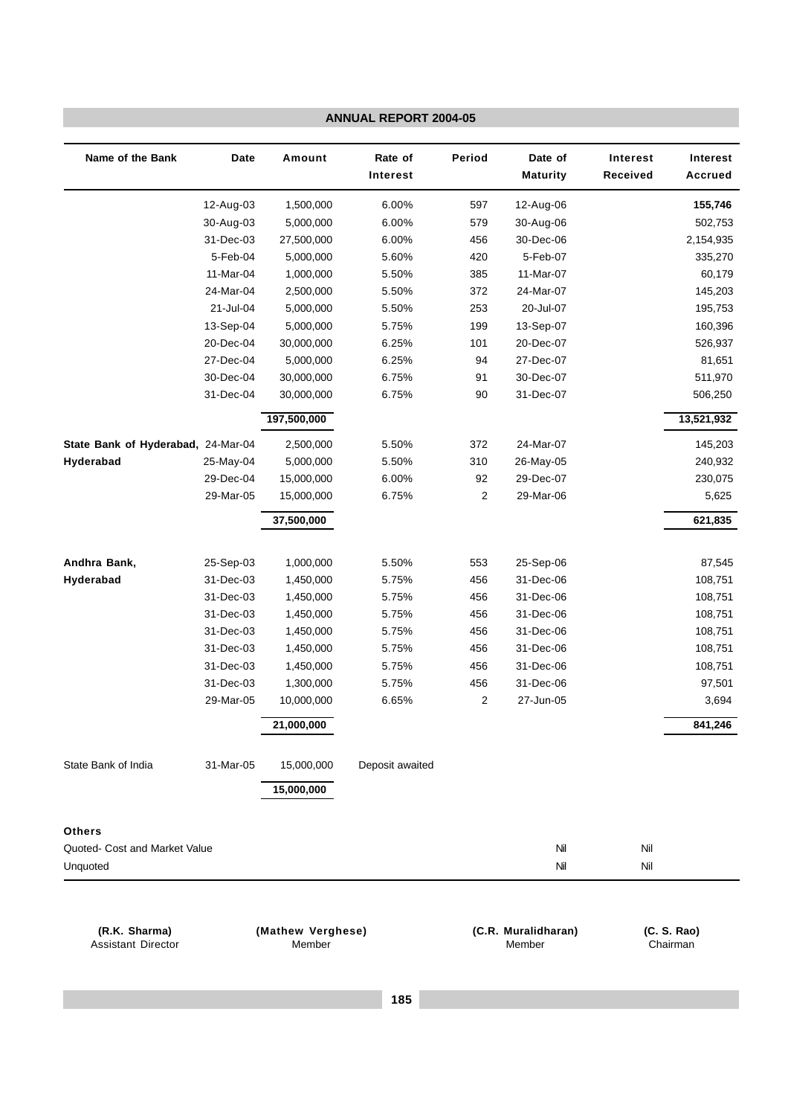|                                            |           |                             | <b>ANNUAL REPORT 2004-05</b> |        |                               |                             |                                   |
|--------------------------------------------|-----------|-----------------------------|------------------------------|--------|-------------------------------|-----------------------------|-----------------------------------|
| Name of the Bank                           | Date      | Amount                      | Rate of<br>Interest          | Period | Date of<br><b>Maturity</b>    | <b>Interest</b><br>Received | <b>Interest</b><br><b>Accrued</b> |
|                                            | 12-Aug-03 | 1,500,000                   | 6.00%                        | 597    | 12-Aug-06                     |                             | 155,746                           |
|                                            | 30-Aug-03 | 5,000,000                   | 6.00%                        | 579    | 30-Aug-06                     |                             | 502,753                           |
|                                            | 31-Dec-03 | 27,500,000                  | 6.00%                        | 456    | 30-Dec-06                     |                             | 2,154,935                         |
|                                            | 5-Feb-04  | 5,000,000                   | 5.60%                        | 420    | 5-Feb-07                      |                             | 335,270                           |
|                                            | 11-Mar-04 | 1,000,000                   | 5.50%                        | 385    | 11-Mar-07                     |                             | 60,179                            |
|                                            | 24-Mar-04 | 2,500,000                   | 5.50%                        | 372    | 24-Mar-07                     |                             | 145,203                           |
|                                            | 21-Jul-04 | 5,000,000                   | 5.50%                        | 253    | 20-Jul-07                     |                             | 195,753                           |
|                                            | 13-Sep-04 | 5,000,000                   | 5.75%                        | 199    | 13-Sep-07                     |                             | 160,396                           |
|                                            | 20-Dec-04 | 30,000,000                  | 6.25%                        | 101    | 20-Dec-07                     |                             | 526,937                           |
|                                            | 27-Dec-04 | 5,000,000                   | 6.25%                        | 94     | 27-Dec-07                     |                             | 81,651                            |
|                                            | 30-Dec-04 | 30,000,000                  | 6.75%                        | 91     | 30-Dec-07                     |                             | 511,970                           |
|                                            | 31-Dec-04 | 30,000,000                  | 6.75%                        | 90     | 31-Dec-07                     |                             | 506,250                           |
|                                            |           | 197,500,000                 |                              |        |                               |                             | 13,521,932                        |
| State Bank of Hyderabad, 24-Mar-04         |           | 2,500,000                   | 5.50%                        | 372    | 24-Mar-07                     |                             | 145,203                           |
| Hyderabad                                  | 25-May-04 | 5,000,000                   | 5.50%                        | 310    | 26-May-05                     |                             | 240,932                           |
|                                            | 29-Dec-04 | 15,000,000                  | 6.00%                        | 92     | 29-Dec-07                     |                             | 230,075                           |
|                                            | 29-Mar-05 | 15,000,000                  | 6.75%                        | 2      | 29-Mar-06                     |                             | 5,625                             |
|                                            |           | 37,500,000                  |                              |        |                               |                             | 621,835                           |
| Andhra Bank,                               | 25-Sep-03 | 1,000,000                   | 5.50%                        | 553    | 25-Sep-06                     |                             | 87,545                            |
| Hyderabad                                  | 31-Dec-03 | 1,450,000                   | 5.75%                        | 456    | 31-Dec-06                     |                             | 108,751                           |
|                                            | 31-Dec-03 | 1,450,000                   | 5.75%                        | 456    | 31-Dec-06                     |                             | 108,751                           |
|                                            | 31-Dec-03 | 1,450,000                   | 5.75%                        | 456    | 31-Dec-06                     |                             | 108,751                           |
|                                            | 31-Dec-03 | 1,450,000                   | 5.75%                        | 456    | 31-Dec-06                     |                             | 108,751                           |
|                                            | 31-Dec-03 | 1,450,000                   | 5.75%                        | 456    | 31-Dec-06                     |                             | 108,751                           |
|                                            | 31-Dec-03 | 1,450,000                   | 5.75%                        | 456    | 31-Dec-06                     |                             | 108,751                           |
|                                            | 31-Dec-03 | 1,300,000                   | 5.75%                        | 456    | 31-Dec-06                     |                             | 97,501                            |
|                                            | 29-Mar-05 | 10,000,000                  | 6.65%                        | 2      | 27-Jun-05                     |                             | 3,694                             |
|                                            |           | 21,000,000                  |                              |        |                               |                             | 841,246                           |
| State Bank of India                        | 31-Mar-05 | 15,000,000                  | Deposit awaited              |        |                               |                             |                                   |
|                                            |           | 15,000,000                  |                              |        |                               |                             |                                   |
| <b>Others</b>                              |           |                             |                              |        |                               |                             |                                   |
| Quoted- Cost and Market Value              |           |                             |                              |        | Nil                           | Nil                         |                                   |
| Unquoted                                   |           |                             |                              |        | Nil                           | Nil                         |                                   |
|                                            |           |                             |                              |        |                               |                             |                                   |
| (R.K. Sharma)<br><b>Assistant Director</b> |           | (Mathew Verghese)<br>Member |                              |        | (C.R. Muralidharan)<br>Member |                             | (C. S. Rao)<br>Chairman           |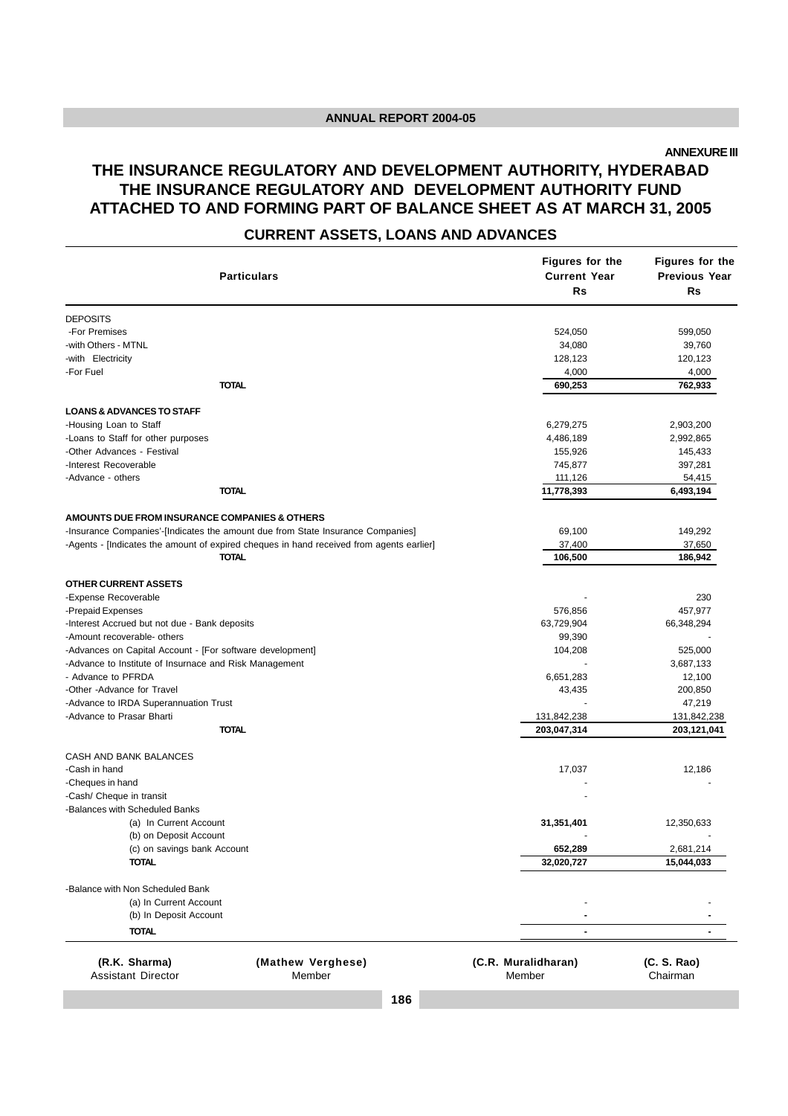**ANNEXURE III**

#### **THE INSURANCE REGULATORY AND DEVELOPMENT AUTHORITY, HYDERABAD THE INSURANCE REGULATORY AND DEVELOPMENT AUTHORITY FUND ATTACHED TO AND FORMING PART OF BALANCE SHEET AS AT MARCH 31, 2005**

#### **CURRENT ASSETS, LOANS AND ADVANCES**

|                                                                                 |                                                                                          | Figures for the               | Figures for the         |
|---------------------------------------------------------------------------------|------------------------------------------------------------------------------------------|-------------------------------|-------------------------|
| <b>Particulars</b>                                                              |                                                                                          | <b>Current Year</b>           | <b>Previous Year</b>    |
|                                                                                 |                                                                                          | <b>Rs</b>                     | Rs                      |
| <b>DEPOSITS</b>                                                                 |                                                                                          |                               |                         |
| -For Premises                                                                   |                                                                                          | 524,050                       | 599,050                 |
| -with Others - MTNL                                                             |                                                                                          | 34,080                        | 39,760                  |
| -with Electricity                                                               |                                                                                          | 128,123                       | 120,123                 |
| -For Fuel                                                                       |                                                                                          | 4,000                         | 4,000                   |
| <b>TOTAL</b>                                                                    |                                                                                          | 690,253                       | 762,933                 |
| <b>LOANS &amp; ADVANCES TO STAFF</b>                                            |                                                                                          |                               |                         |
| -Housing Loan to Staff                                                          |                                                                                          | 6,279,275                     | 2,903,200               |
| -Loans to Staff for other purposes                                              |                                                                                          | 4,486,189                     | 2,992,865               |
| -Other Advances - Festival                                                      |                                                                                          | 155,926                       | 145,433                 |
| -Interest Recoverable                                                           |                                                                                          | 745,877                       | 397,281                 |
| -Advance - others                                                               |                                                                                          | 111,126                       | 54,415                  |
| <b>TOTAL</b>                                                                    |                                                                                          | 11,778,393                    | 6,493,194               |
| AMOUNTS DUE FROM INSURANCE COMPANIES & OTHERS                                   |                                                                                          |                               |                         |
| -Insurance Companies'-[Indicates the amount due from State Insurance Companies] |                                                                                          | 69,100                        | 149,292                 |
|                                                                                 | -Agents - [Indicates the amount of expired cheques in hand received from agents earlier] | 37,400                        | 37,650                  |
| <b>TOTAL</b>                                                                    |                                                                                          | 106,500                       | 186,942                 |
| <b>OTHER CURRENT ASSETS</b>                                                     |                                                                                          |                               |                         |
| -Expense Recoverable                                                            |                                                                                          |                               | 230                     |
| -Prepaid Expenses                                                               |                                                                                          | 576,856                       | 457,977                 |
| -Interest Accrued but not due - Bank deposits                                   |                                                                                          | 63,729,904                    | 66,348,294              |
| -Amount recoverable- others                                                     |                                                                                          | 99,390                        |                         |
| -Advances on Capital Account - [For software development]                       |                                                                                          | 104,208                       | 525,000                 |
| -Advance to Institute of Insurnace and Risk Management                          |                                                                                          |                               | 3,687,133               |
| - Advance to PFRDA                                                              |                                                                                          | 6,651,283                     | 12,100                  |
| -Other -Advance for Travel                                                      |                                                                                          | 43,435                        | 200,850                 |
| -Advance to IRDA Superannuation Trust                                           |                                                                                          |                               | 47,219                  |
| -Advance to Prasar Bharti                                                       |                                                                                          | 131,842,238                   | 131,842,238             |
| <b>TOTAL</b>                                                                    |                                                                                          | 203,047,314                   | 203,121,041             |
| CASH AND BANK BALANCES                                                          |                                                                                          |                               |                         |
| -Cash in hand                                                                   |                                                                                          | 17,037                        | 12,186                  |
| -Cheques in hand                                                                |                                                                                          |                               |                         |
| -Cash/ Cheque in transit                                                        |                                                                                          |                               |                         |
| -Balances with Scheduled Banks                                                  |                                                                                          |                               |                         |
| (a) In Current Account                                                          |                                                                                          | 31,351,401                    | 12,350,633              |
| (b) on Deposit Account                                                          |                                                                                          |                               |                         |
| (c) on savings bank Account                                                     |                                                                                          | 652,289                       | 2,681,214               |
| <b>TOTAL</b>                                                                    |                                                                                          | 32,020,727                    | 15,044,033              |
| -Balance with Non Scheduled Bank                                                |                                                                                          |                               |                         |
| (a) In Current Account                                                          |                                                                                          |                               |                         |
| (b) In Deposit Account                                                          |                                                                                          |                               |                         |
| <b>TOTAL</b>                                                                    |                                                                                          | $\blacksquare$                |                         |
| (R.K. Sharma)<br><b>Assistant Director</b>                                      | (Mathew Verghese)<br>Member                                                              | (C.R. Muralidharan)<br>Member | (C. S. Rao)<br>Chairman |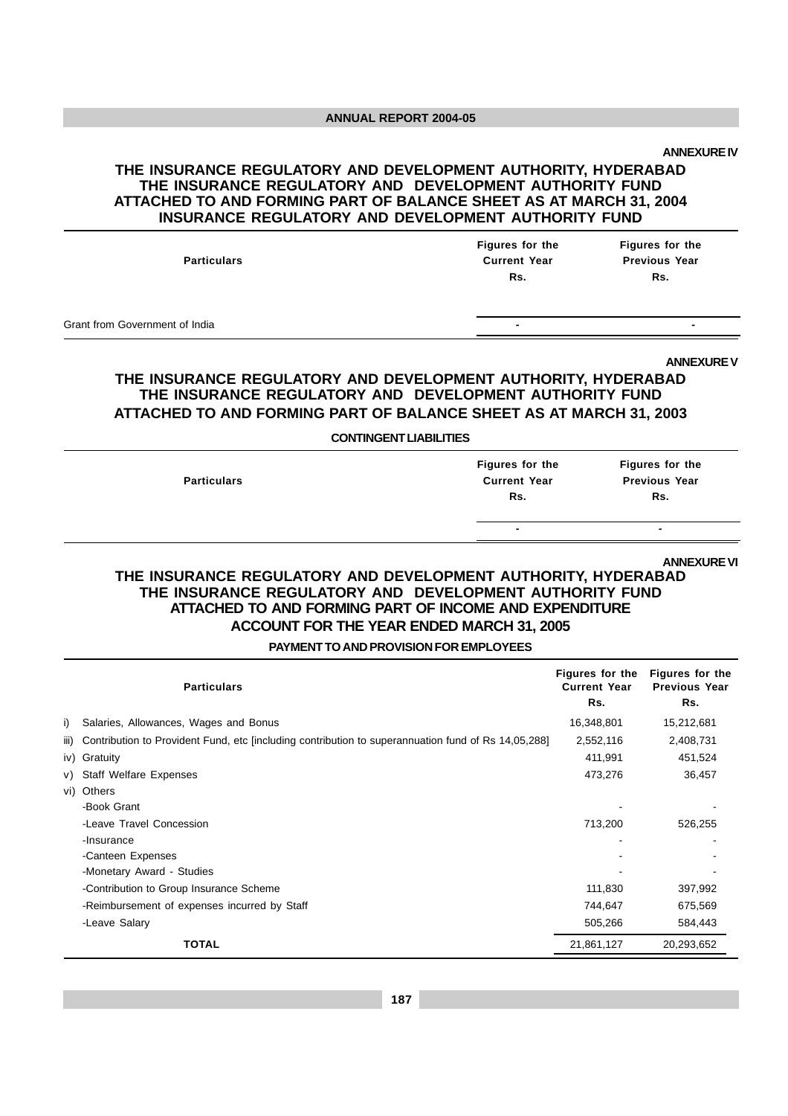#### **THE INSURANCE REGULATORY AND DEVELOPMENT AUTHORITY, HYDERABAD THE INSURANCE REGULATORY AND DEVELOPMENT AUTHORITY FUND ATTACHED TO AND FORMING PART OF BALANCE SHEET AS AT MARCH 31, 2004 INSURANCE REGULATORY AND DEVELOPMENT AUTHORITY FUND**

| <b>Particulars</b>             | Figures for the<br><b>Current Year</b><br>Rs. | Figures for the<br><b>Previous Year</b><br>Rs. |
|--------------------------------|-----------------------------------------------|------------------------------------------------|
| Grant from Government of India | $\overline{\phantom{a}}$                      |                                                |

#### **ANNEXURE V**

#### **THE INSURANCE REGULATORY AND DEVELOPMENT AUTHORITY, HYDERABAD THE INSURANCE REGULATORY AND DEVELOPMENT AUTHORITY FUND ATTACHED TO AND FORMING PART OF BALANCE SHEET AS AT MARCH 31, 2003**

**CONTINGENT LIABILITIES**

| <b>Particulars</b> | Figures for the<br><b>Current Year</b><br>Rs. | Figures for the<br><b>Previous Year</b><br>Rs. |
|--------------------|-----------------------------------------------|------------------------------------------------|
|                    | $\overline{\phantom{0}}$                      | $\blacksquare$                                 |

#### **ANNEXURE VI**

#### **THE INSURANCE REGULATORY AND DEVELOPMENT AUTHORITY, HYDERABAD THE INSURANCE REGULATORY AND DEVELOPMENT AUTHORITY FUND ATTACHED TO AND FORMING PART OF INCOME AND EXPENDITURE ACCOUNT FOR THE YEAR ENDED MARCH 31, 2005**

**PAYMENT TO AND PROVISION FOR EMPLOYEES**

|      | <b>Particulars</b>                                                                                  | Figures for the<br><b>Current Year</b><br>Rs. | Figures for the<br><b>Previous Year</b><br>Rs. |
|------|-----------------------------------------------------------------------------------------------------|-----------------------------------------------|------------------------------------------------|
| i)   | Salaries, Allowances, Wages and Bonus                                                               | 16,348,801                                    | 15,212,681                                     |
| iii) | Contribution to Provident Fund, etc [including contribution to superannuation fund of Rs 14,05,288] | 2,552,116                                     | 2,408,731                                      |
|      | iv) Gratuity                                                                                        | 411,991                                       | 451,524                                        |
| V)   | <b>Staff Welfare Expenses</b>                                                                       | 473,276                                       | 36,457                                         |
|      | vi) Others                                                                                          |                                               |                                                |
|      | -Book Grant                                                                                         |                                               |                                                |
|      | -Leave Travel Concession                                                                            | 713,200                                       | 526,255                                        |
|      | -Insurance                                                                                          |                                               |                                                |
|      | -Canteen Expenses                                                                                   |                                               |                                                |
|      | -Monetary Award - Studies                                                                           |                                               |                                                |
|      | -Contribution to Group Insurance Scheme                                                             | 111,830                                       | 397,992                                        |
|      | -Reimbursement of expenses incurred by Staff                                                        | 744,647                                       | 675,569                                        |
|      | -Leave Salary                                                                                       | 505,266                                       | 584,443                                        |
|      | <b>TOTAL</b>                                                                                        | 21,861,127                                    | 20,293,652                                     |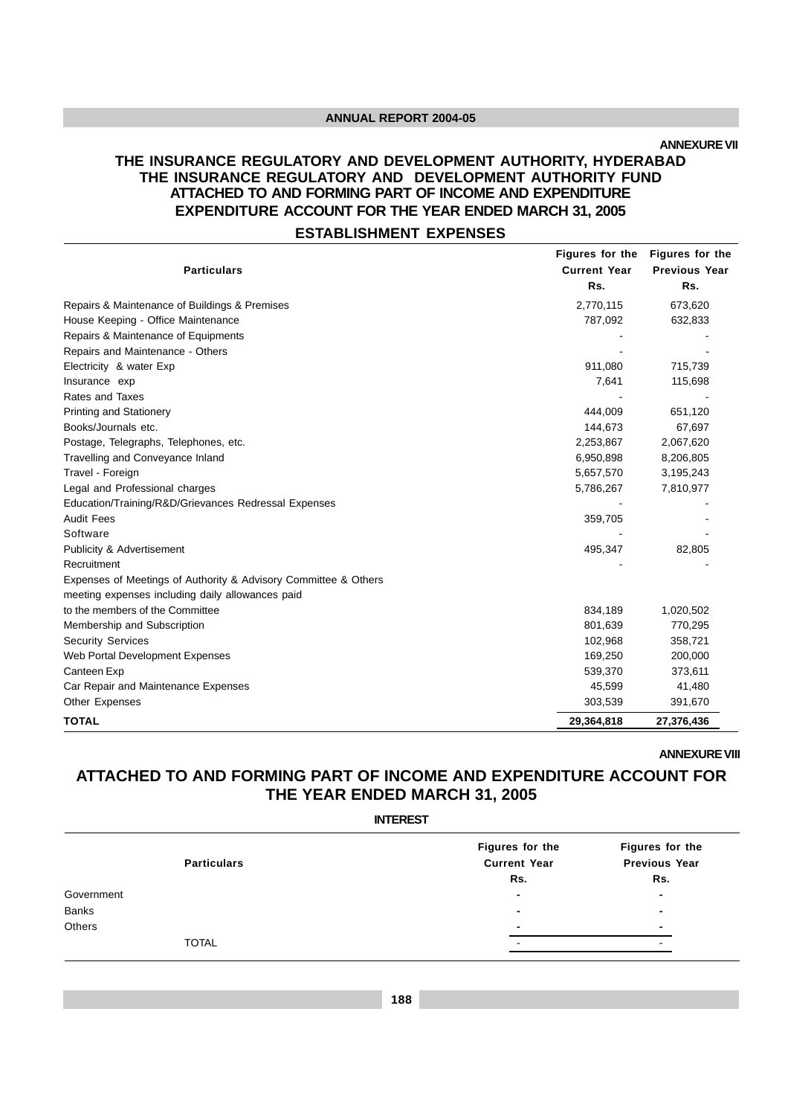**ANNEXURE VII**

#### **THE INSURANCE REGULATORY AND DEVELOPMENT AUTHORITY, HYDERABAD THE INSURANCE REGULATORY AND DEVELOPMENT AUTHORITY FUND ATTACHED TO AND FORMING PART OF INCOME AND EXPENDITURE EXPENDITURE ACCOUNT FOR THE YEAR ENDED MARCH 31, 2005**

#### **ESTABLISHMENT EXPENSES**

|                                                                 | Figures for the     | Figures for the      |
|-----------------------------------------------------------------|---------------------|----------------------|
| <b>Particulars</b>                                              | <b>Current Year</b> | <b>Previous Year</b> |
|                                                                 | Rs.                 | Rs.                  |
| Repairs & Maintenance of Buildings & Premises                   | 2,770,115           | 673,620              |
| House Keeping - Office Maintenance                              | 787,092             | 632,833              |
| Repairs & Maintenance of Equipments                             |                     |                      |
| Repairs and Maintenance - Others                                |                     |                      |
| Electricity & water Exp                                         | 911,080             | 715,739              |
| Insurance exp                                                   | 7,641               | 115,698              |
| Rates and Taxes                                                 |                     |                      |
| Printing and Stationery                                         | 444,009             | 651,120              |
| Books/Journals etc.                                             | 144,673             | 67,697               |
| Postage, Telegraphs, Telephones, etc.                           | 2,253,867           | 2,067,620            |
| Travelling and Conveyance Inland                                | 6,950,898           | 8,206,805            |
| Travel - Foreign                                                | 5,657,570           | 3,195,243            |
| Legal and Professional charges                                  | 5,786,267           | 7,810,977            |
| Education/Training/R&D/Grievances Redressal Expenses            |                     |                      |
| <b>Audit Fees</b>                                               | 359,705             |                      |
| Software                                                        |                     |                      |
| <b>Publicity &amp; Advertisement</b>                            | 495,347             | 82,805               |
| Recruitment                                                     |                     |                      |
| Expenses of Meetings of Authority & Advisory Committee & Others |                     |                      |
| meeting expenses including daily allowances paid                |                     |                      |
| to the members of the Committee                                 | 834,189             | 1,020,502            |
| Membership and Subscription                                     | 801,639             | 770,295              |
| <b>Security Services</b>                                        | 102,968             | 358,721              |
| Web Portal Development Expenses                                 | 169,250             | 200,000              |
| Canteen Exp                                                     | 539,370             | 373,611              |
| Car Repair and Maintenance Expenses                             | 45,599              | 41,480               |
| Other Expenses                                                  | 303,539             | 391,670              |
| <b>TOTAL</b>                                                    | 29,364,818          | 27,376,436           |

**ANNEXURE VIII**

#### **ATTACHED TO AND FORMING PART OF INCOME AND EXPENDITURE ACCOUNT FOR THE YEAR ENDED MARCH 31, 2005**

| <b>INTEREST</b>          |                      |  |  |  |  |  |
|--------------------------|----------------------|--|--|--|--|--|
| Figures for the          | Figures for the      |  |  |  |  |  |
|                          | <b>Previous Year</b> |  |  |  |  |  |
| Rs.                      | Rs.                  |  |  |  |  |  |
| $\blacksquare$           | $\blacksquare$       |  |  |  |  |  |
| $\blacksquare$           | $\blacksquare$       |  |  |  |  |  |
| $\blacksquare$           |                      |  |  |  |  |  |
| $\overline{\phantom{a}}$ | -                    |  |  |  |  |  |
|                          | <b>Current Year</b>  |  |  |  |  |  |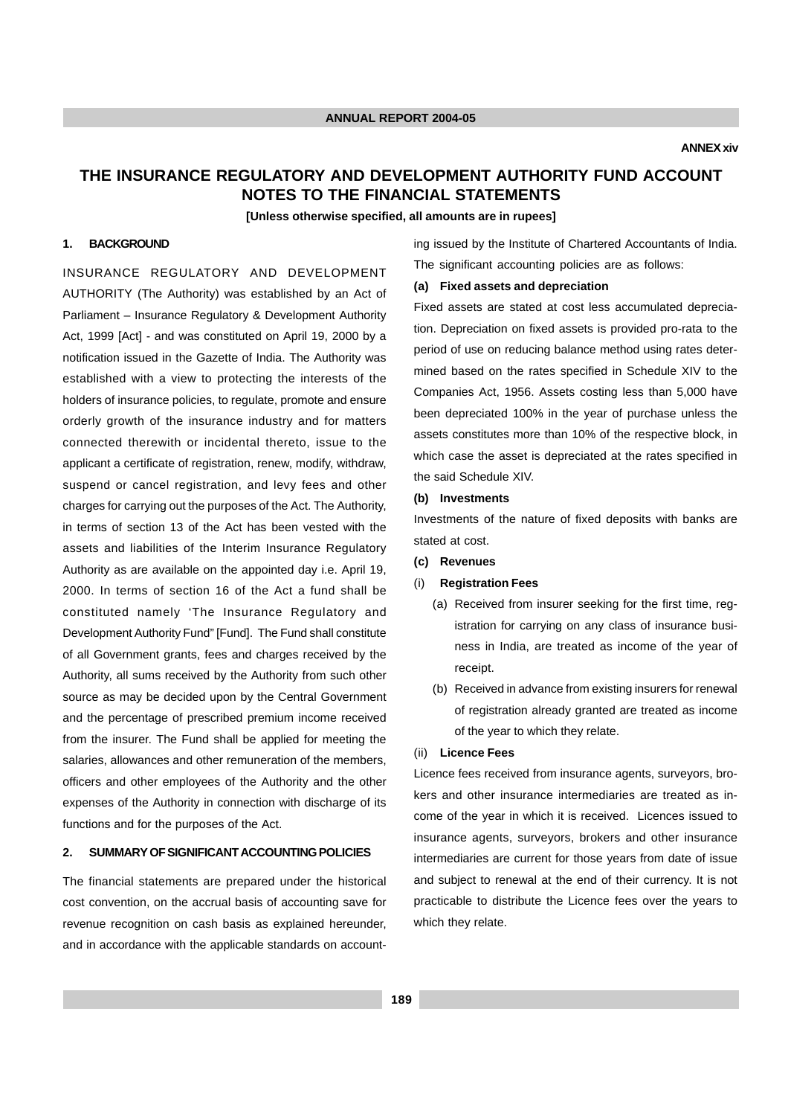#### **THE INSURANCE REGULATORY AND DEVELOPMENT AUTHORITY FUND ACCOUNT NOTES TO THE FINANCIAL STATEMENTS**

**[Unless otherwise specified, all amounts are in rupees]**

#### **1. BACKGROUND**

INSURANCE REGULATORY AND DEVELOPMENT AUTHORITY (The Authority) was established by an Act of Parliament – Insurance Regulatory & Development Authority Act, 1999 [Act] - and was constituted on April 19, 2000 by a notification issued in the Gazette of India. The Authority was established with a view to protecting the interests of the holders of insurance policies, to regulate, promote and ensure orderly growth of the insurance industry and for matters connected therewith or incidental thereto, issue to the applicant a certificate of registration, renew, modify, withdraw, suspend or cancel registration, and levy fees and other charges for carrying out the purposes of the Act. The Authority, in terms of section 13 of the Act has been vested with the assets and liabilities of the Interim Insurance Regulatory Authority as are available on the appointed day i.e. April 19, 2000. In terms of section 16 of the Act a fund shall be constituted namely 'The Insurance Regulatory and Development Authority Fund" [Fund]. The Fund shall constitute of all Government grants, fees and charges received by the Authority, all sums received by the Authority from such other source as may be decided upon by the Central Government and the percentage of prescribed premium income received from the insurer. The Fund shall be applied for meeting the salaries, allowances and other remuneration of the members, officers and other employees of the Authority and the other expenses of the Authority in connection with discharge of its functions and for the purposes of the Act.

#### **2. SUMMARY OF SIGNIFICANT ACCOUNTING POLICIES**

The financial statements are prepared under the historical cost convention, on the accrual basis of accounting save for revenue recognition on cash basis as explained hereunder, and in accordance with the applicable standards on accounting issued by the Institute of Chartered Accountants of India. The significant accounting policies are as follows:

#### **(a) Fixed assets and depreciation**

Fixed assets are stated at cost less accumulated depreciation. Depreciation on fixed assets is provided pro-rata to the period of use on reducing balance method using rates determined based on the rates specified in Schedule XIV to the Companies Act, 1956. Assets costing less than 5,000 have been depreciated 100% in the year of purchase unless the assets constitutes more than 10% of the respective block, in which case the asset is depreciated at the rates specified in the said Schedule XIV.

#### **(b) Investments**

Investments of the nature of fixed deposits with banks are stated at cost.

**(c) Revenues**

#### (i) **Registration Fees**

- (a) Received from insurer seeking for the first time, registration for carrying on any class of insurance business in India, are treated as income of the year of receipt.
- (b) Received in advance from existing insurers for renewal of registration already granted are treated as income of the year to which they relate.

#### (ii) **Licence Fees**

Licence fees received from insurance agents, surveyors, brokers and other insurance intermediaries are treated as income of the year in which it is received. Licences issued to insurance agents, surveyors, brokers and other insurance intermediaries are current for those years from date of issue and subject to renewal at the end of their currency. It is not practicable to distribute the Licence fees over the years to which they relate.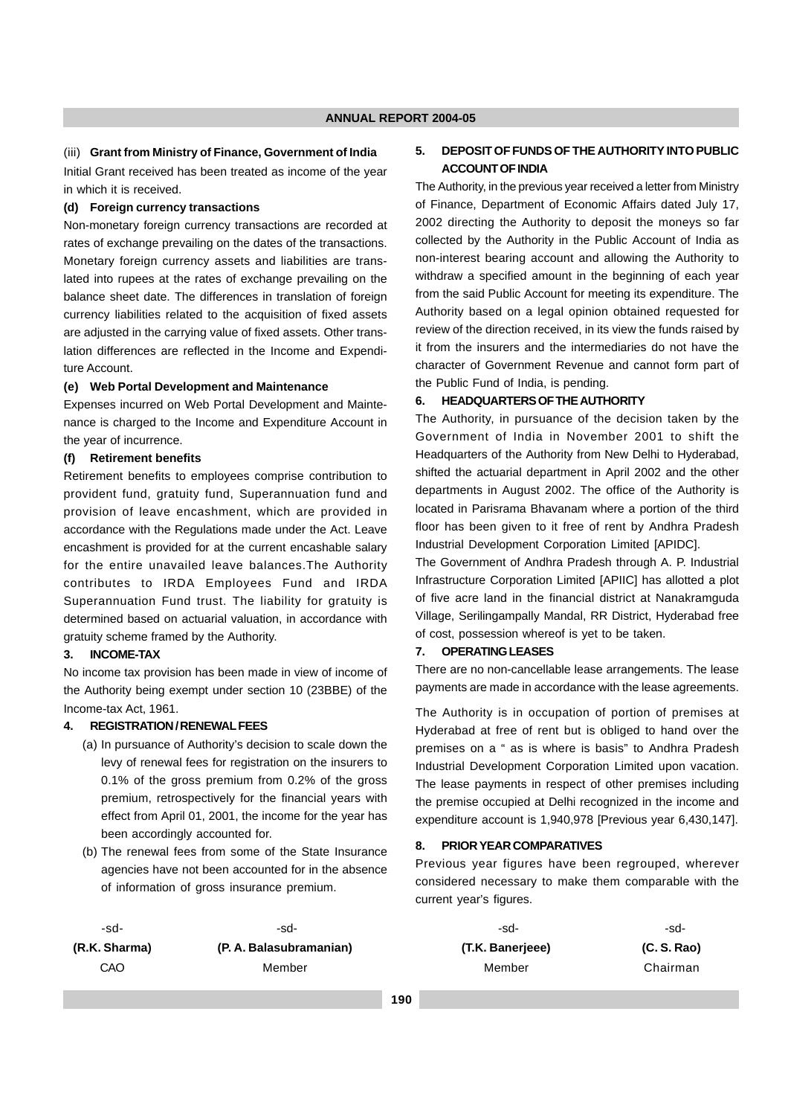#### (iii) **Grant from Ministry of Finance, Government of India**

Initial Grant received has been treated as income of the year in which it is received.

#### **(d) Foreign currency transactions**

Non-monetary foreign currency transactions are recorded at rates of exchange prevailing on the dates of the transactions. Monetary foreign currency assets and liabilities are translated into rupees at the rates of exchange prevailing on the balance sheet date. The differences in translation of foreign currency liabilities related to the acquisition of fixed assets are adjusted in the carrying value of fixed assets. Other translation differences are reflected in the Income and Expenditure Account.

#### **(e) Web Portal Development and Maintenance**

Expenses incurred on Web Portal Development and Maintenance is charged to the Income and Expenditure Account in the year of incurrence.

#### **(f) Retirement benefits**

Retirement benefits to employees comprise contribution to provident fund, gratuity fund, Superannuation fund and provision of leave encashment, which are provided in accordance with the Regulations made under the Act. Leave encashment is provided for at the current encashable salary for the entire unavailed leave balances.The Authority contributes to IRDA Employees Fund and IRDA Superannuation Fund trust. The liability for gratuity is determined based on actuarial valuation, in accordance with gratuity scheme framed by the Authority.

#### **3. INCOME-TAX**

No income tax provision has been made in view of income of the Authority being exempt under section 10 (23BBE) of the Income-tax Act, 1961.

#### **4. REGISTRATION / RENEWAL FEES**

- (a) In pursuance of Authority's decision to scale down the levy of renewal fees for registration on the insurers to 0.1% of the gross premium from 0.2% of the gross premium, retrospectively for the financial years with effect from April 01, 2001, the income for the year has been accordingly accounted for.
- (b) The renewal fees from some of the State Insurance agencies have not been accounted for in the absence of information of gross insurance premium.

#### **5. DEPOSIT OF FUNDS OF THE AUTHORITY INTO PUBLIC ACCOUNT OF INDIA**

The Authority, in the previous year received a letter from Ministry of Finance, Department of Economic Affairs dated July 17, 2002 directing the Authority to deposit the moneys so far collected by the Authority in the Public Account of India as non-interest bearing account and allowing the Authority to withdraw a specified amount in the beginning of each year from the said Public Account for meeting its expenditure. The Authority based on a legal opinion obtained requested for review of the direction received, in its view the funds raised by it from the insurers and the intermediaries do not have the character of Government Revenue and cannot form part of the Public Fund of India, is pending.

#### **6. HEADQUARTERS OF THE AUTHORITY**

The Authority, in pursuance of the decision taken by the Government of India in November 2001 to shift the Headquarters of the Authority from New Delhi to Hyderabad, shifted the actuarial department in April 2002 and the other departments in August 2002. The office of the Authority is located in Parisrama Bhavanam where a portion of the third floor has been given to it free of rent by Andhra Pradesh Industrial Development Corporation Limited [APIDC].

The Government of Andhra Pradesh through A. P. Industrial Infrastructure Corporation Limited [APIIC] has allotted a plot of five acre land in the financial district at Nanakramguda Village, Serilingampally Mandal, RR District, Hyderabad free of cost, possession whereof is yet to be taken.

#### **7. OPERATING LEASES**

There are no non-cancellable lease arrangements. The lease payments are made in accordance with the lease agreements.

The Authority is in occupation of portion of premises at Hyderabad at free of rent but is obliged to hand over the premises on a " as is where is basis" to Andhra Pradesh Industrial Development Corporation Limited upon vacation. The lease payments in respect of other premises including the premise occupied at Delhi recognized in the income and expenditure account is 1,940,978 [Previous year 6,430,147].

#### **8. PRIOR YEAR COMPARATIVES**

Previous year figures have been regrouped, wherever considered necessary to make them comparable with the current year's figures.

| -sd-          | -sd-                                   | -sd-             | -sd-        |
|---------------|----------------------------------------|------------------|-------------|
| (R.K. Sharma) | (P. A. Balasubramanian)                | (T.K. Banerjeee) | (C. S. Rao) |
| CAO           | Member                                 | Member           | Chairman    |
|               | the control of the control of the con- |                  |             |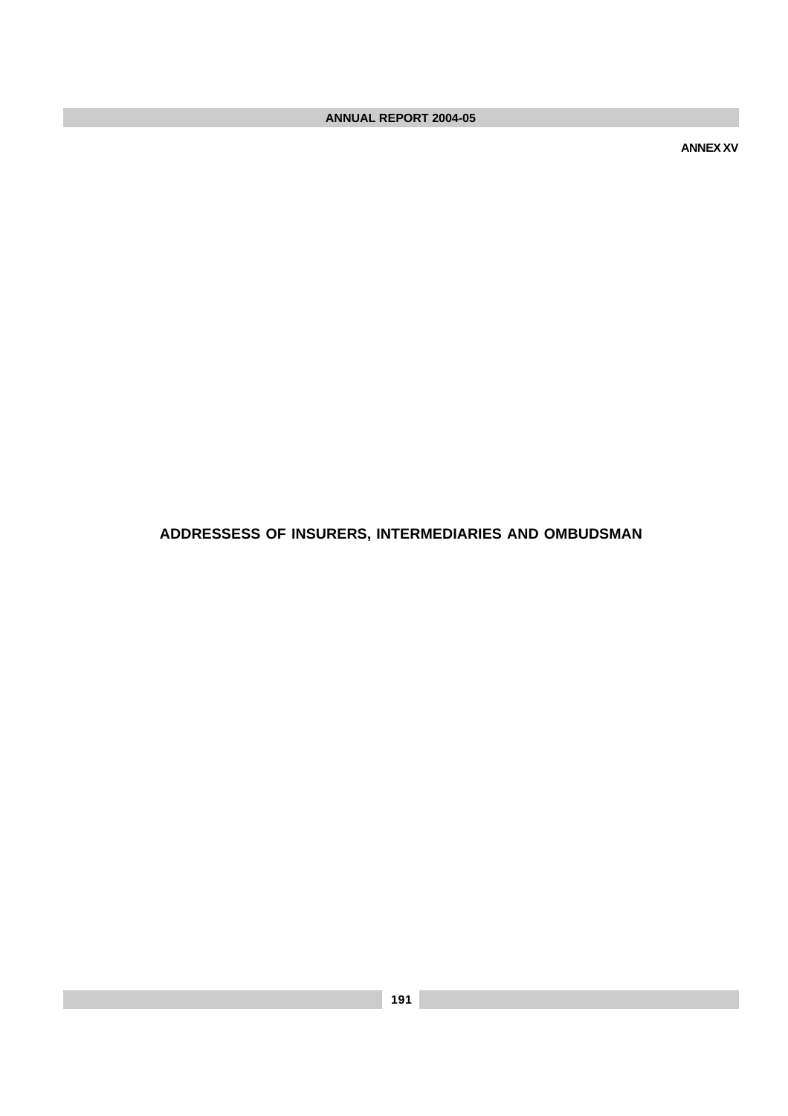**ANNEX XV**

#### **ADDRESSESS OF INSURERS, INTERMEDIARIES AND OMBUDSMAN**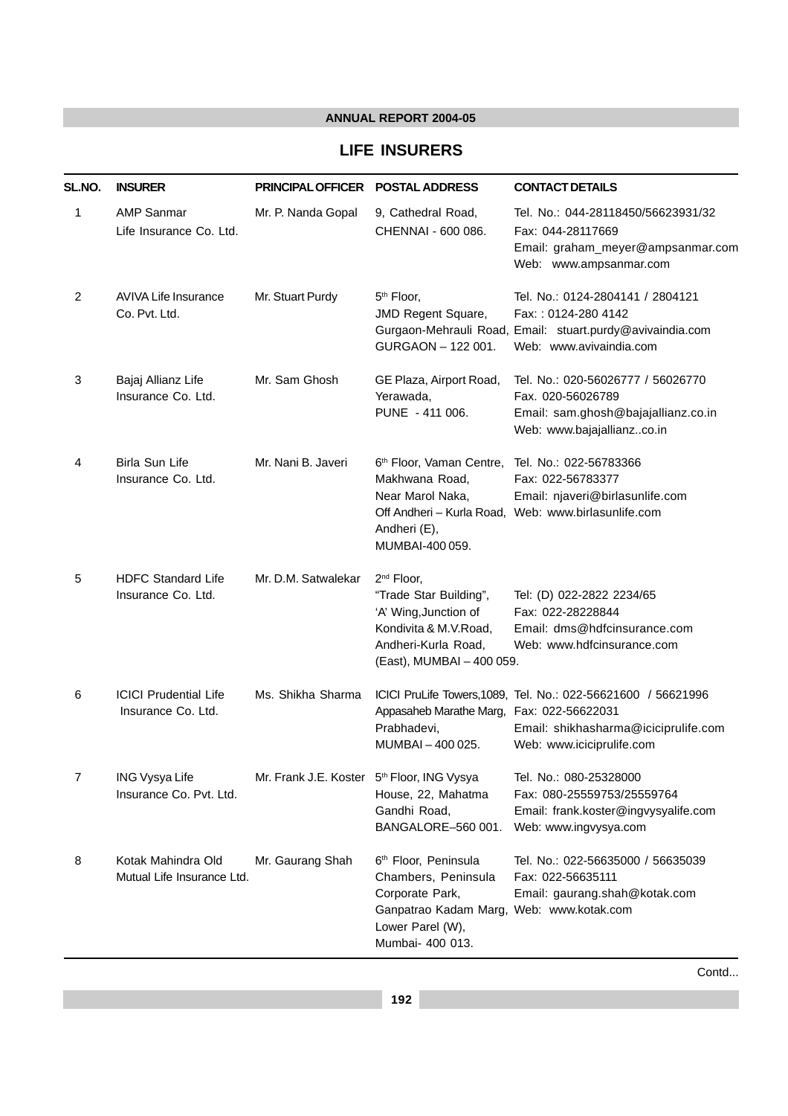#### **LIFE INSURERS**

| SL.NO. | <b>INSURER</b>                                     | <b>PRINCIPAL OFFICER</b>                               | <b>POSTAL ADDRESS</b>                                                                                                                                          | <b>CONTACT DETAILS</b>                                                                                                                          |
|--------|----------------------------------------------------|--------------------------------------------------------|----------------------------------------------------------------------------------------------------------------------------------------------------------------|-------------------------------------------------------------------------------------------------------------------------------------------------|
| 1      | <b>AMP Sanmar</b><br>Life Insurance Co. Ltd.       | Mr. P. Nanda Gopal                                     | 9, Cathedral Road,<br>CHENNAI - 600 086.                                                                                                                       | Tel. No.: 044-28118450/56623931/32<br>Fax: 044-28117669<br>Email: graham_meyer@ampsanmar.com<br>Web: www.ampsanmar.com                          |
| 2      | <b>AVIVA Life Insurance</b><br>Co. Pvt. Ltd.       | Mr. Stuart Purdy                                       | 5 <sup>th</sup> Floor,<br>JMD Regent Square,<br>GURGAON - 122 001.                                                                                             | Tel. No.: 0124-2804141 / 2804121<br>Fax:: 0124-280 4142<br>Gurgaon-Mehrauli Road, Email: stuart.purdy@avivaindia.com<br>Web: www.avivaindia.com |
| 3      | Bajaj Allianz Life<br>Insurance Co. Ltd.           | Mr. Sam Ghosh                                          | GE Plaza, Airport Road,<br>Yerawada.<br>PUNE - 411 006.                                                                                                        | Tel. No.: 020-56026777 / 56026770<br>Fax. 020-56026789<br>Email: sam.ghosh@bajajallianz.co.in<br>Web: www.bajajallianzco.in                     |
| 4      | Birla Sun Life<br>Insurance Co. Ltd.               | Mr. Nani B. Javeri                                     | 6th Floor, Vaman Centre, Tel. No.: 022-56783366<br>Makhwana Road,<br>Near Marol Naka,<br>Andheri (E),<br>MUMBAI-400 059.                                       | Fax: 022-56783377<br>Email: njaveri@birlasunlife.com<br>Off Andheri - Kurla Road, Web: www.birlasunlife.com                                     |
| 5      | <b>HDFC Standard Life</b><br>Insurance Co. Ltd.    | Mr. D.M. Satwalekar                                    | 2 <sup>nd</sup> Floor,<br>"Trade Star Building",<br>'A' Wing, Junction of<br>Kondivita & M.V.Road,<br>Andheri-Kurla Road,<br>(East), MUMBAI - 400 059.         | Tel: (D) 022-2822 2234/65<br>Fax: 022-28228844<br>Email: dms@hdfcinsurance.com<br>Web: www.hdfcinsurance.com                                    |
| 6      | <b>ICICI Prudential Life</b><br>Insurance Co. Ltd. | Ms. Shikha Sharma                                      | Appasaheb Marathe Marg, Fax: 022-56622031<br>Prabhadevi,<br>MUMBAI-400025.                                                                                     | ICICI PruLife Towers, 1089, Tel. No.: 022-56621600 / 56621996<br>Email: shikhasharma@iciciprulife.com<br>Web: www.iciciprulife.com              |
| 7      | <b>ING Vysya Life</b><br>Insurance Co. Pvt. Ltd.   | Mr. Frank J.E. Koster 5 <sup>th</sup> Floor, ING Vysya | House, 22, Mahatma<br>Gandhi Road,<br>BANGALORE-560 001.                                                                                                       | Tel. No.: 080-25328000<br>Fax: 080-25559753/25559764<br>Email: frank.koster@ingvysyalife.com<br>Web: www.ingvysya.com                           |
| 8      | Kotak Mahindra Old<br>Mutual Life Insurance Ltd.   | Mr. Gaurang Shah                                       | 6 <sup>th</sup> Floor, Peninsula<br>Chambers, Peninsula<br>Corporate Park,<br>Ganpatrao Kadam Marg, Web: www.kotak.com<br>Lower Parel (W),<br>Mumbai- 400 013. | Tel. No.: 022-56635000 / 56635039<br>Fax: 022-56635111<br>Email: gaurang.shah@kotak.com                                                         |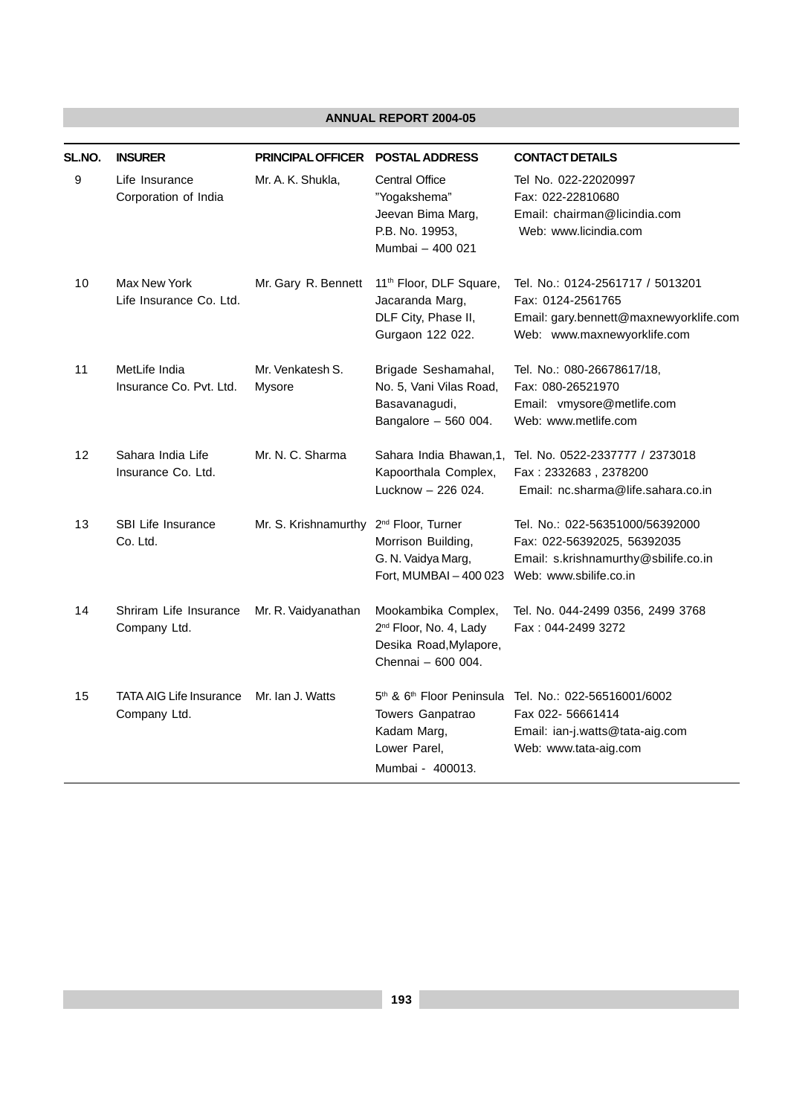| SL.NO.            | <b>INSURER</b>                                 | <b>PRINCIPAL OFFICER</b>   | <b>POSTAL ADDRESS</b>                                                                                                    | <b>CONTACT DETAILS</b>                                                                                                           |
|-------------------|------------------------------------------------|----------------------------|--------------------------------------------------------------------------------------------------------------------------|----------------------------------------------------------------------------------------------------------------------------------|
| 9                 | Life Insurance<br>Corporation of India         | Mr. A. K. Shukla.          | <b>Central Office</b><br>"Yogakshema"<br>Jeevan Bima Marg,<br>P.B. No. 19953,<br>Mumbai - 400 021                        | Tel No. 022-22020997<br>Fax: 022-22810680<br>Email: chairman@licindia.com<br>Web: www.licindia.com                               |
| 10                | Max New York<br>Life Insurance Co. Ltd.        | Mr. Gary R. Bennett        | 11 <sup>th</sup> Floor, DLF Square,<br>Jacaranda Marg,<br>DLF City, Phase II,<br>Gurgaon 122 022.                        | Tel. No.: 0124-2561717 / 5013201<br>Fax: 0124-2561765<br>Email: gary.bennett@maxnewyorklife.com<br>Web: www.maxnewyorklife.com   |
| 11                | MetLife India<br>Insurance Co. Pvt. Ltd.       | Mr. Venkatesh S.<br>Mysore | Brigade Seshamahal,<br>No. 5, Vani Vilas Road,<br>Basavanagudi,<br>Bangalore $-560004$ .                                 | Tel. No.: 080-26678617/18,<br>Fax: 080-26521970<br>Email: vmysore@metlife.com<br>Web: www.metlife.com                            |
| $12 \overline{ }$ | Sahara India Life<br>Insurance Co. Ltd.        | Mr. N. C. Sharma           | Sahara India Bhawan, 1,<br>Kapoorthala Complex,<br>Lucknow - 226 024.                                                    | Tel. No. 0522-2337777 / 2373018<br>Fax: 2332683, 2378200<br>Email: nc.sharma@life.sahara.co.in                                   |
| 13                | <b>SBI Life Insurance</b><br>Co. Ltd.          | Mr. S. Krishnamurthy       | 2 <sup>nd</sup> Floor, Turner<br>Morrison Building,<br>G. N. Vaidya Marg,<br>Fort, MUMBAI - 400 023                      | Tel. No.: 022-56351000/56392000<br>Fax: 022-56392025, 56392035<br>Email: s.krishnamurthy@sbilife.co.in<br>Web: www.sbilife.co.in |
| 14                | Shriram Life Insurance<br>Company Ltd.         | Mr. R. Vaidyanathan        | Mookambika Complex,<br>2 <sup>nd</sup> Floor, No. 4, Lady<br>Desika Road, Mylapore,<br>Chennai - 600 004.                | Tel. No. 044-2499 0356, 2499 3768<br>Fax: 044-2499 3272                                                                          |
| 15                | <b>TATA AIG Life Insurance</b><br>Company Ltd. | Mr. Ian J. Watts           | 5 <sup>th</sup> & 6 <sup>th</sup> Floor Peninsula<br>Towers Ganpatrao<br>Kadam Marg,<br>Lower Parel,<br>Mumbai - 400013. | Tel. No.: 022-56516001/6002<br>Fax 022- 56661414<br>Email: ian-j.watts@tata-aig.com<br>Web: www.tata-aig.com                     |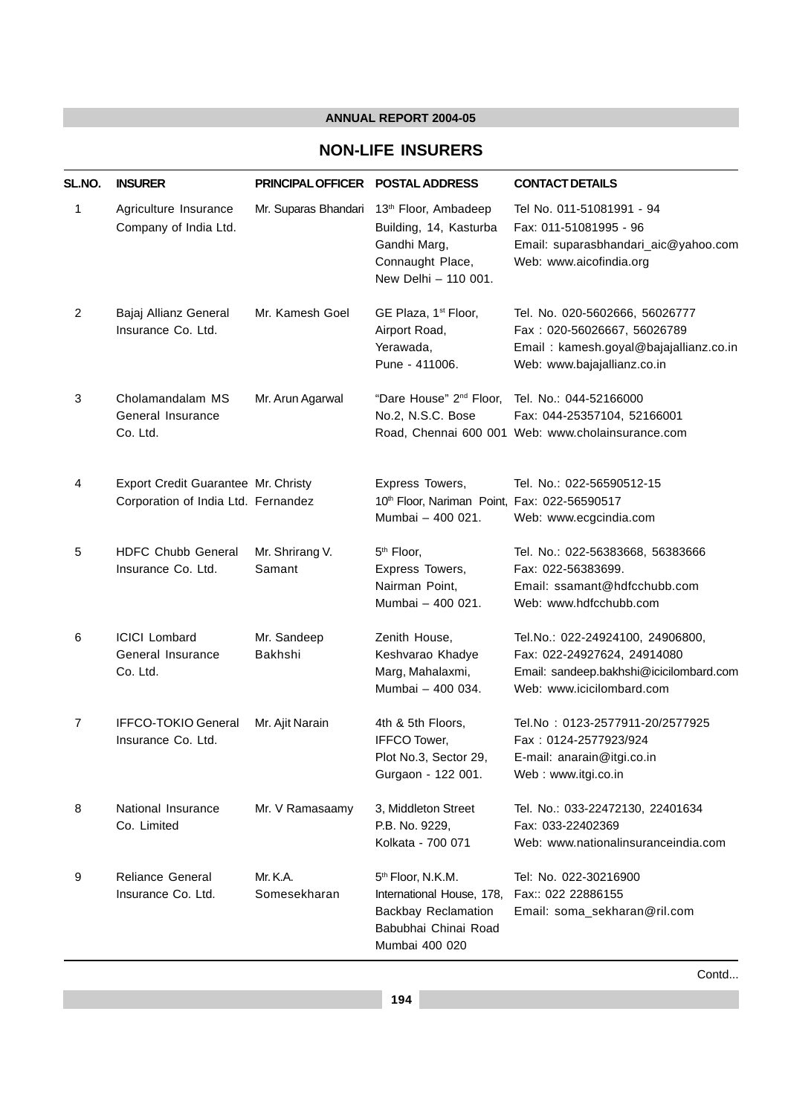#### **NON-LIFE INSURERS**

| SL.NO.         | <b>INSURER</b>                                                             | <b>PRINCIPAL OFFICER</b>  | <b>POSTAL ADDRESS</b>                                                                                                       | <b>CONTACT DETAILS</b>                                                                                                                  |
|----------------|----------------------------------------------------------------------------|---------------------------|-----------------------------------------------------------------------------------------------------------------------------|-----------------------------------------------------------------------------------------------------------------------------------------|
| 1              | Agriculture Insurance<br>Company of India Ltd.                             | Mr. Suparas Bhandari      | 13 <sup>th</sup> Floor, Ambadeep<br>Building, 14, Kasturba<br>Gandhi Marg,<br>Connaught Place,<br>New Delhi - 110 001.      | Tel No. 011-51081991 - 94<br>Fax: 011-51081995 - 96<br>Email: suparasbhandari_aic@yahoo.com<br>Web: www.aicofindia.org                  |
| $\overline{c}$ | Bajaj Allianz General<br>Insurance Co. Ltd.                                | Mr. Kamesh Goel           | GE Plaza, 1 <sup>st</sup> Floor,<br>Airport Road,<br>Yerawada,<br>Pune - 411006.                                            | Tel. No. 020-5602666, 56026777<br>Fax: 020-56026667, 56026789<br>Email: kamesh.goyal@bajajallianz.co.in<br>Web: www.bajajallianz.co.in  |
| 3              | Cholamandalam MS<br>General Insurance<br>Co. Ltd.                          | Mr. Arun Agarwal          | "Dare House" 2 <sup>nd</sup> Floor,<br>No.2, N.S.C. Bose                                                                    | Tel. No.: 044-52166000<br>Fax: 044-25357104, 52166001<br>Road, Chennai 600 001 Web: www.cholainsurance.com                              |
| 4              | Export Credit Guarantee Mr. Christy<br>Corporation of India Ltd. Fernandez |                           | Express Towers,<br>10th Floor, Nariman Point, Fax: 022-56590517<br>Mumbai - 400 021.                                        | Tel. No.: 022-56590512-15<br>Web: www.ecgcindia.com                                                                                     |
| 5              | <b>HDFC Chubb General</b><br>Insurance Co. Ltd.                            | Mr. Shrirang V.<br>Samant | 5 <sup>th</sup> Floor,<br>Express Towers,<br>Nairman Point,<br>Mumbai - 400 021.                                            | Tel. No.: 022-56383668, 56383666<br>Fax: 022-56383699.<br>Email: ssamant@hdfcchubb.com<br>Web: www.hdfcchubb.com                        |
| 6              | <b>ICICI Lombard</b><br>General Insurance<br>Co. Ltd.                      | Mr. Sandeep<br>Bakhshi    | Zenith House,<br>Keshvarao Khadye<br>Marg, Mahalaxmi,<br>Mumbai - 400 034.                                                  | Tel.No.: 022-24924100, 24906800,<br>Fax: 022-24927624, 24914080<br>Email: sandeep.bakhshi@icicilombard.com<br>Web: www.icicilombard.com |
| 7              | <b>IFFCO-TOKIO General</b><br>Insurance Co. Ltd.                           | Mr. Ajit Narain           | 4th & 5th Floors,<br>IFFCO Tower,<br>Plot No.3, Sector 29,<br>Gurgaon - 122 001.                                            | Tel.No: 0123-2577911-20/2577925<br>Fax: 0124-2577923/924<br>E-mail: anarain@itgi.co.in<br>Web: www.itgi.co.in                           |
| 8              | National Insurance<br>Co. Limited                                          | Mr. V Ramasaamy           | 3, Middleton Street<br>P.B. No. 9229,<br>Kolkata - 700 071                                                                  | Tel. No.: 033-22472130, 22401634<br>Fax: 033-22402369<br>Web: www.nationalinsuranceindia.com                                            |
| 9              | <b>Reliance General</b><br>Insurance Co. Ltd.                              | Mr. K.A.<br>Somesekharan  | 5 <sup>th</sup> Floor, N.K.M.<br>International House, 178,<br>Backbay Reclamation<br>Babubhai Chinai Road<br>Mumbai 400 020 | Tel: No. 022-30216900<br>Fax:: 022 22886155<br>Email: soma_sekharan@ril.com                                                             |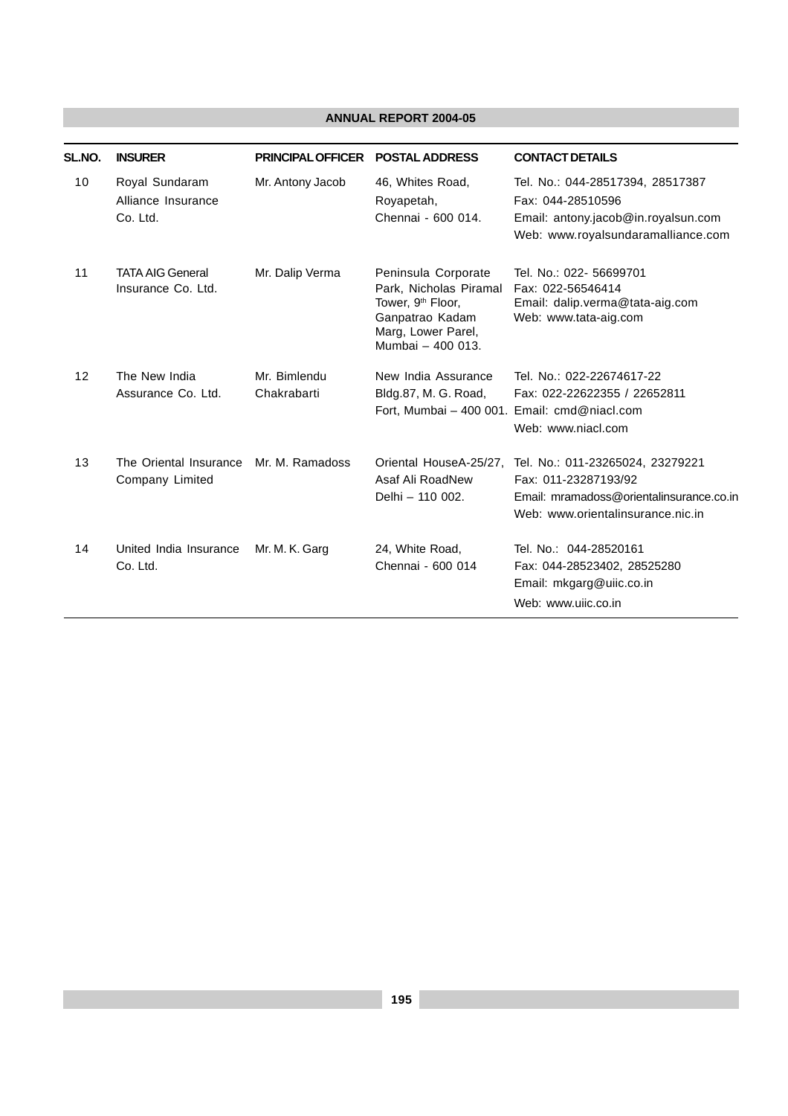| SL.NO. | <b>INSURER</b>                                   | <b>PRINCIPAL OFFICER</b>    | <b>POSTAL ADDRESS</b>                                                                                                                        | <b>CONTACT DETAILS</b>                                                                                                                    |
|--------|--------------------------------------------------|-----------------------------|----------------------------------------------------------------------------------------------------------------------------------------------|-------------------------------------------------------------------------------------------------------------------------------------------|
| 10     | Royal Sundaram<br>Alliance Insurance<br>Co. Ltd. | Mr. Antony Jacob            | 46, Whites Road,<br>Royapetah,<br>Chennai - 600 014.                                                                                         | Tel. No.: 044-28517394, 28517387<br>Fax: 044-28510596<br>Email: antony.jacob@in.royalsun.com<br>Web: www.royalsundaramalliance.com        |
| 11     | <b>TATA AIG General</b><br>Insurance Co. Ltd.    | Mr. Dalip Verma             | Peninsula Corporate<br>Park, Nicholas Piramal<br>Tower, 9 <sup>th</sup> Floor,<br>Ganpatrao Kadam<br>Marg, Lower Parel,<br>Mumbai - 400 013. | Tel. No.: 022- 56699701<br>Fax: 022-56546414<br>Email: dalip.verma@tata-aig.com<br>Web: www.tata-aig.com                                  |
| 12     | The New India<br>Assurance Co. Ltd.              | Mr. Bimlendu<br>Chakrabarti | New India Assurance<br>Bldg.87, M. G. Road,<br>Fort, Mumbai - 400 001. Email: cmd@niacl.com                                                  | Tel. No.: 022-22674617-22<br>Fax: 022-22622355 / 22652811<br>Web: www.niacl.com                                                           |
| 13     | The Oriental Insurance<br>Company Limited        | Mr. M. Ramadoss             | Oriental HouseA-25/27,<br>Asaf Ali RoadNew<br>Delhi - 110 002.                                                                               | Tel. No.: 011-23265024, 23279221<br>Fax: 011-23287193/92<br>Email: mramadoss@orientalinsurance.co.in<br>Web: www.orientalinsurance.nic.in |
| 14     | United India Insurance<br>Co. Ltd.               | Mr. M. K. Garg              | 24, White Road,<br>Chennai - 600 014                                                                                                         | Tel. No.: 044-28520161<br>Fax: 044-28523402, 28525280<br>Email: mkgarg@uiic.co.in<br>Web: www.uijc.co.in                                  |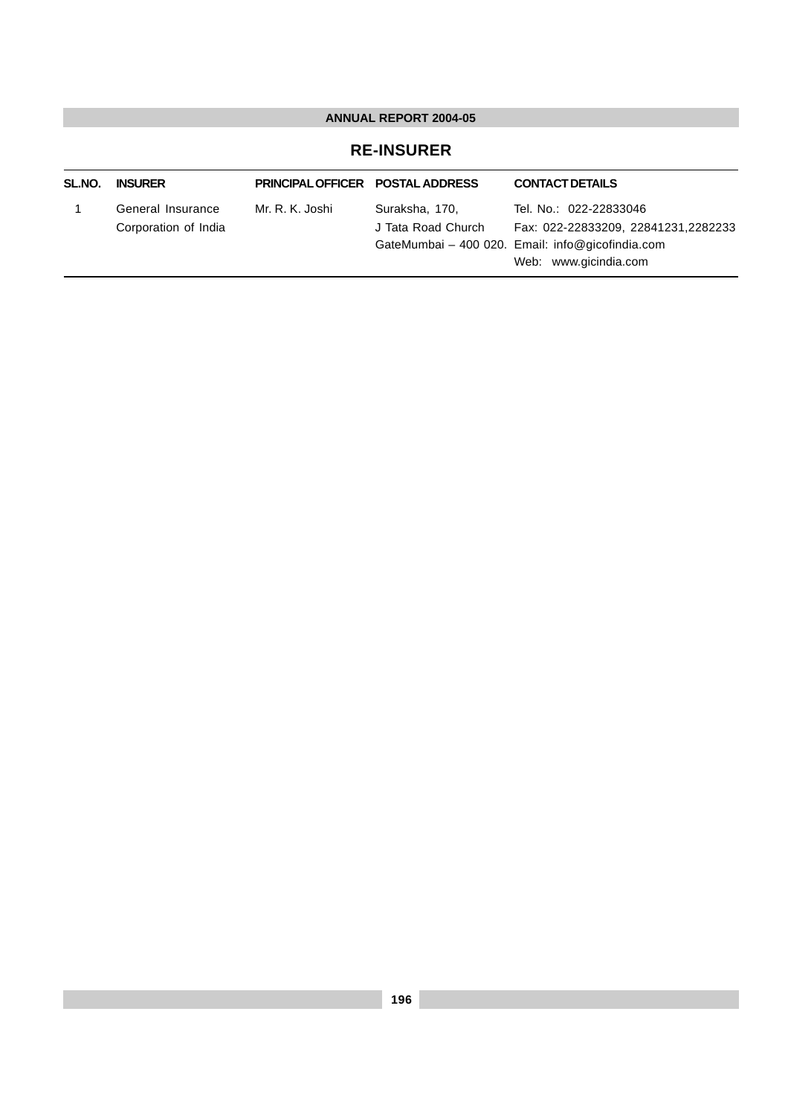#### **RE-INSURER**

| SL.NO. | <b>INSURER</b>                            | <b>PRINCIPAL OFFICER POSTAL ADDRESS</b> |                                      | <b>CONTACT DETAILS</b>                                                                                                                     |
|--------|-------------------------------------------|-----------------------------------------|--------------------------------------|--------------------------------------------------------------------------------------------------------------------------------------------|
|        | General Insurance<br>Corporation of India | Mr. R. K. Joshi                         | Suraksha, 170,<br>J Tata Road Church | Tel. No.: 022-22833046<br>Fax: 022-22833209, 22841231,2282233<br>GateMumbai - 400 020. Email: info@gicofindia.com<br>Web: www.gicindia.com |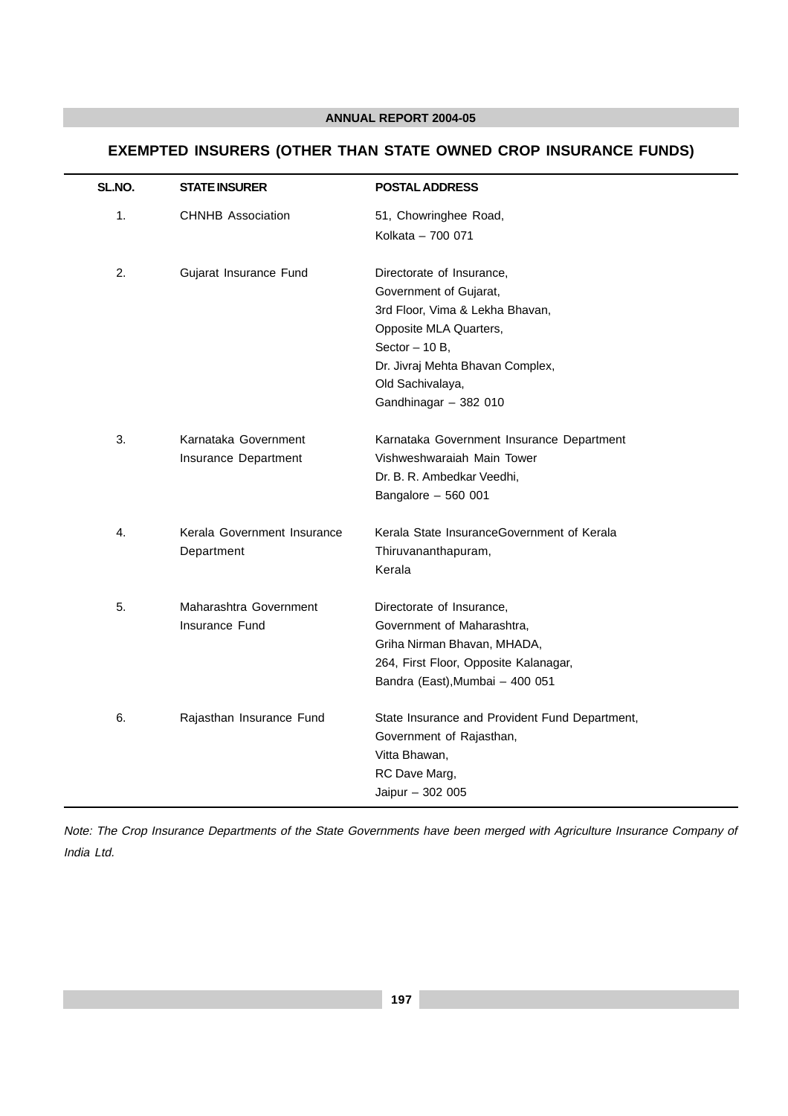#### **EXEMPTED INSURERS (OTHER THAN STATE OWNED CROP INSURANCE FUNDS)**

| SL.NO. | <b>STATE INSURER</b>                         | <b>POSTAL ADDRESS</b>                                                                                                                                                                                                |
|--------|----------------------------------------------|----------------------------------------------------------------------------------------------------------------------------------------------------------------------------------------------------------------------|
| 1.     | <b>CHNHB Association</b>                     | 51, Chowringhee Road,<br>Kolkata - 700 071                                                                                                                                                                           |
| 2.     | Gujarat Insurance Fund                       | Directorate of Insurance,<br>Government of Gujarat,<br>3rd Floor, Vima & Lekha Bhavan,<br>Opposite MLA Quarters,<br>Sector $-10B$ ,<br>Dr. Jivraj Mehta Bhavan Complex,<br>Old Sachivalaya,<br>Gandhinagar - 382 010 |
| 3.     | Karnataka Government<br>Insurance Department | Karnataka Government Insurance Department<br>Vishweshwaraiah Main Tower<br>Dr. B. R. Ambedkar Veedhi,<br>Bangalore - 560 001                                                                                         |
| 4.     | Kerala Government Insurance<br>Department    | Kerala State InsuranceGovernment of Kerala<br>Thiruvananthapuram,<br>Kerala                                                                                                                                          |
| 5.     | Maharashtra Government<br>Insurance Fund     | Directorate of Insurance,<br>Government of Maharashtra,<br>Griha Nirman Bhavan, MHADA,<br>264, First Floor, Opposite Kalanagar,<br>Bandra (East), Mumbai - 400 051                                                   |
| 6.     | Rajasthan Insurance Fund                     | State Insurance and Provident Fund Department,<br>Government of Rajasthan,<br>Vitta Bhawan,<br>RC Dave Marg,<br>Jaipur - 302 005                                                                                     |

Note: The Crop Insurance Departments of the State Governments have been merged with Agriculture Insurance Company of India Ltd.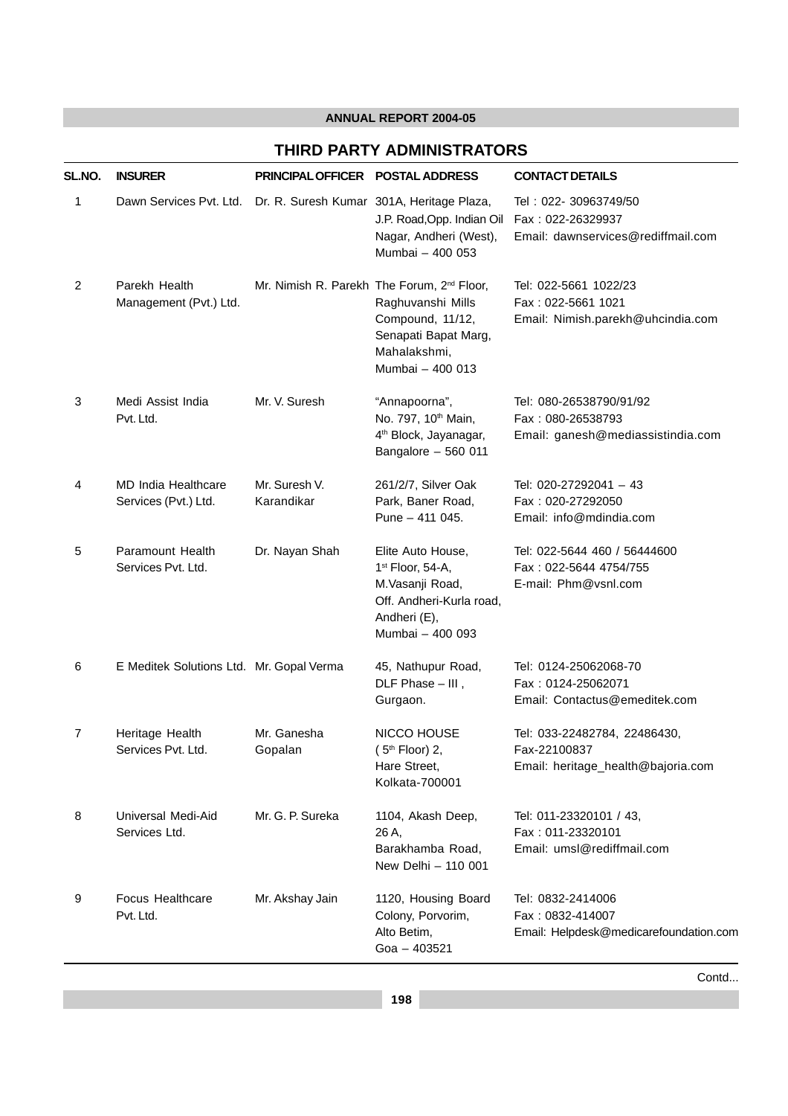#### **THIRD PARTY ADMINISTRATORS**

| SL.NO.         | <b>INSURER</b>                                                    | PRINCIPAL OFFICER POSTAL ADDRESS |                                                                                                                                                             | <b>CONTACT DETAILS</b>                                                             |
|----------------|-------------------------------------------------------------------|----------------------------------|-------------------------------------------------------------------------------------------------------------------------------------------------------------|------------------------------------------------------------------------------------|
| 1              | Dawn Services Pvt. Ltd. Dr. R. Suresh Kumar 301A, Heritage Plaza, |                                  | J.P. Road, Opp. Indian Oil<br>Nagar, Andheri (West),<br>Mumbai - 400 053                                                                                    | Tel: 022- 30963749/50<br>Fax: 022-26329937<br>Email: dawnservices@rediffmail.com   |
| $\overline{2}$ | Parekh Health<br>Management (Pvt.) Ltd.                           |                                  | Mr. Nimish R. Parekh The Forum, 2 <sup>nd</sup> Floor,<br>Raghuvanshi Mills<br>Compound, 11/12,<br>Senapati Bapat Marg,<br>Mahalakshmi,<br>Mumbai - 400 013 | Tel: 022-5661 1022/23<br>Fax: 022-5661 1021<br>Email: Nimish.parekh@uhcindia.com   |
| 3              | Medi Assist India<br>Pvt. Ltd.                                    | Mr. V. Suresh                    | "Annapoorna",<br>No. 797, 10 <sup>th</sup> Main,<br>4 <sup>th</sup> Block, Jayanagar,<br>Bangalore $-560$ 011                                               | Tel: 080-26538790/91/92<br>Fax: 080-26538793<br>Email: ganesh@mediassistindia.com  |
| 4              | <b>MD India Healthcare</b><br>Services (Pvt.) Ltd.                | Mr. Suresh V.<br>Karandikar      | 261/2/7, Silver Oak<br>Park, Baner Road,<br>Pune - 411 045.                                                                                                 | Tel: 020-27292041 - 43<br>Fax: 020-27292050<br>Email: info@mdindia.com             |
| 5              | Paramount Health<br>Services Pvt. Ltd.                            | Dr. Nayan Shah                   | Elite Auto House,<br>1 <sup>st</sup> Floor, 54-A,<br>M.Vasanji Road,<br>Off. Andheri-Kurla road,<br>Andheri (E),<br>Mumbai - 400 093                        | Tel: 022-5644 460 / 56444600<br>Fax: 022-5644 4754/755<br>E-mail: Phm@vsnl.com     |
| 6              | E Meditek Solutions Ltd. Mr. Gopal Verma                          |                                  | 45, Nathupur Road,<br>DLF Phase - III,<br>Gurgaon.                                                                                                          | Tel: 0124-25062068-70<br>Fax: 0124-25062071<br>Email: Contactus@emeditek.com       |
| 7              | Heritage Health<br>Services Pvt. Ltd.                             | Mr. Ganesha<br>Gopalan           | NICCO HOUSE<br>(5 <sup>th</sup> Floor) 2,<br>Hare Street,<br>Kolkata-700001                                                                                 | Tel: 033-22482784, 22486430,<br>Fax-22100837<br>Email: heritage_health@bajoria.com |
| 8              | Universal Medi-Aid<br>Services Ltd.                               | Mr. G. P. Sureka                 | 1104, Akash Deep,<br>26 A,<br>Barakhamba Road,<br>New Delhi - 110 001                                                                                       | Tel: 011-23320101 / 43,<br>Fax: 011-23320101<br>Email: umsl@rediffmail.com         |
| 9              | <b>Focus Healthcare</b><br>Pvt. Ltd.                              | Mr. Akshay Jain                  | 1120, Housing Board<br>Colony, Porvorim,<br>Alto Betim,<br>$Goa - 403521$                                                                                   | Tel: 0832-2414006<br>Fax: 0832-414007<br>Email: Helpdesk@medicarefoundation.com    |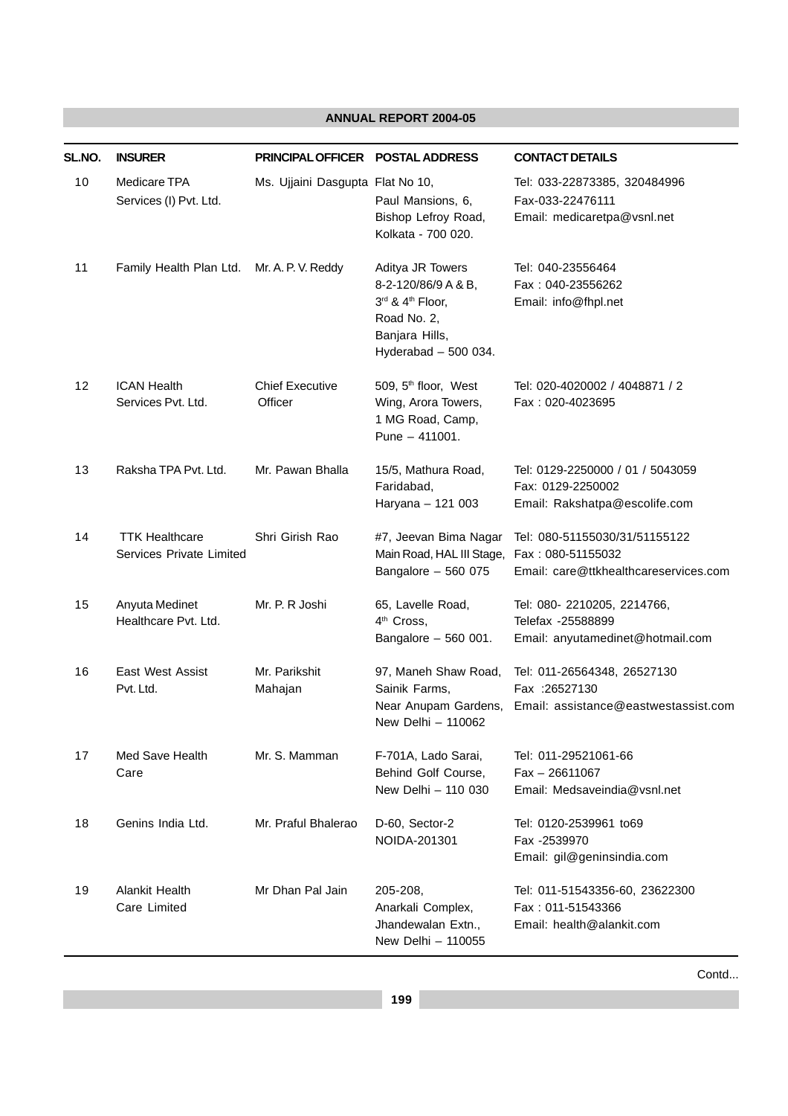| SL.NO. | <b>INSURER</b>                                    | PRINCIPAL OFFICER POSTAL ADDRESS  |                                                                                                                       | <b>CONTACT DETAILS</b>                                                                 |
|--------|---------------------------------------------------|-----------------------------------|-----------------------------------------------------------------------------------------------------------------------|----------------------------------------------------------------------------------------|
| 10     | Medicare TPA<br>Services (I) Pvt. Ltd.            | Ms. Ujjaini Dasgupta Flat No 10,  | Paul Mansions, 6,<br>Bishop Lefroy Road,<br>Kolkata - 700 020.                                                        | Tel: 033-22873385, 320484996<br>Fax-033-22476111<br>Email: medicaretpa@vsnl.net        |
| 11     | Family Health Plan Ltd. Mr. A. P. V. Reddy        |                                   | Aditya JR Towers<br>8-2-120/86/9 A & B,<br>3rd & 4th Floor,<br>Road No. 2,<br>Banjara Hills,<br>Hyderabad $-500$ 034. | Tel: 040-23556464<br>Fax: 040-23556262<br>Email: info@fhpl.net                         |
| 12     | <b>ICAN Health</b><br>Services Pvt. Ltd.          | <b>Chief Executive</b><br>Officer | 509, 5 <sup>th</sup> floor, West<br>Wing, Arora Towers,<br>1 MG Road, Camp,<br>Pune - 411001.                         | Tel: 020-4020002 / 4048871 / 2<br>Fax: 020-4023695                                     |
| 13     | Raksha TPA Pvt. Ltd.                              | Mr. Pawan Bhalla                  | 15/5, Mathura Road,<br>Faridabad,<br>Haryana - 121 003                                                                | Tel: 0129-2250000 / 01 / 5043059<br>Fax: 0129-2250002<br>Email: Rakshatpa@escolife.com |
| 14     | <b>TTK Healthcare</b><br>Services Private Limited | Shri Girish Rao                   | #7, Jeevan Bima Nagar<br>Main Road, HAL III Stage, Fax: 080-51155032<br>Bangalore - 560 075                           | Tel: 080-51155030/31/51155122<br>Email: care@ttkhealthcareservices.com                 |
| 15     | Anyuta Medinet<br>Healthcare Pvt. Ltd.            | Mr. P. R Joshi                    | 65, Lavelle Road,<br>4 <sup>th</sup> Cross,<br>Bangalore - 560 001.                                                   | Tel: 080- 2210205, 2214766,<br>Telefax -25588899<br>Email: anyutamedinet@hotmail.com   |
| 16     | <b>East West Assist</b><br>Pvt. Ltd.              | Mr. Parikshit<br>Mahajan          | 97, Maneh Shaw Road,<br>Sainik Farms,<br>Near Anupam Gardens,<br>New Delhi - 110062                                   | Tel: 011-26564348, 26527130<br>Fax : 26527130<br>Email: assistance@eastwestassist.com  |
| 17     | Med Save Health<br>Care                           | Mr. S. Mamman                     | F-701A, Lado Sarai,<br>Behind Golf Course,<br>New Delhi - 110 030                                                     | Tel: 011-29521061-66<br>$Fax - 26611067$<br>Email: Medsaveindia@vsnl.net               |
| 18     | Genins India Ltd.                                 | Mr. Praful Bhalerao               | D-60, Sector-2<br>NOIDA-201301                                                                                        | Tel: 0120-2539961 to69<br>Fax -2539970<br>Email: gil@geninsindia.com                   |
| 19     | Alankit Health<br>Care Limited                    | Mr Dhan Pal Jain                  | 205-208,<br>Anarkali Complex,<br>Jhandewalan Extn.,<br>New Delhi - 110055                                             | Tel: 011-51543356-60, 23622300<br>Fax: 011-51543366<br>Email: health@alankit.com       |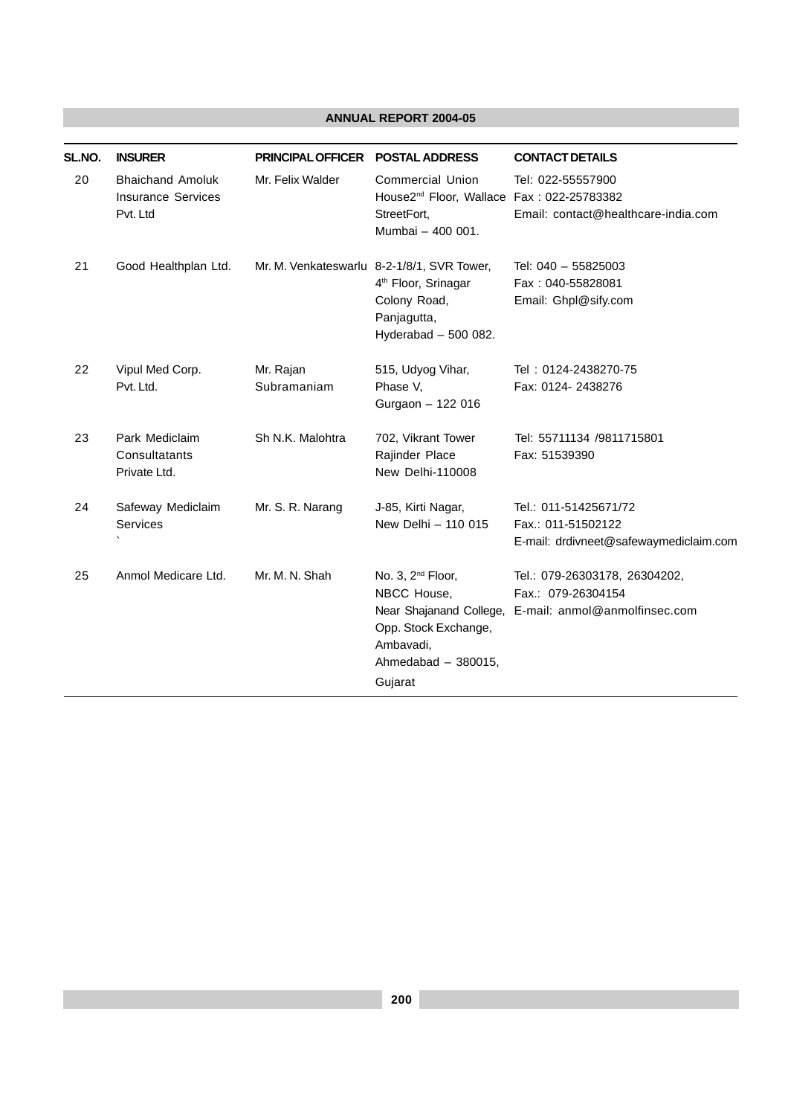| SL.NO. | <b>INSURER</b>                                                   | PRINCIPAL OFFICER POSTAL ADDRESS |                                                                                                                                                | <b>CONTACT DETAILS</b>                                                                |
|--------|------------------------------------------------------------------|----------------------------------|------------------------------------------------------------------------------------------------------------------------------------------------|---------------------------------------------------------------------------------------|
| 20     | <b>Bhaichand Amoluk</b><br><b>Insurance Services</b><br>Pvt. Ltd | Mr. Felix Walder                 | <b>Commercial Union</b><br>House2 <sup>nd</sup> Floor, Wallace Fax: 022-25783382<br>StreetFort,<br>Mumbai - 400 001.                           | Tel: 022-55557900<br>Email: contact@healthcare-india.com                              |
| 21     | Good Healthplan Ltd.                                             |                                  | Mr. M. Venkateswarlu 8-2-1/8/1, SVR Tower,<br>4 <sup>th</sup> Floor, Srinagar<br>Colony Road,<br>Panjagutta,<br>Hyderabad - 500 082.           | Tel: 040 - 55825003<br>Fax: 040-55828081<br>Email: Ghpl@sify.com                      |
| 22     | Vipul Med Corp.<br>Pvt. Ltd.                                     | Mr. Rajan<br>Subramaniam         | 515, Udyog Vihar,<br>Phase V,<br>Gurgaon - 122 016                                                                                             | Tel: 0124-2438270-75<br>Fax: 0124- 2438276                                            |
| 23     | Park Mediclaim<br>Consultatants<br>Private Ltd.                  | Sh N.K. Malohtra                 | 702, Vikrant Tower<br>Rajinder Place<br>New Delhi-110008                                                                                       | Tel: 55711134 /9811715801<br>Fax: 51539390                                            |
| 24     | Safeway Mediclaim<br>Services                                    | Mr. S. R. Narang                 | J-85, Kirti Nagar,<br>New Delhi - 110 015                                                                                                      | Tel.: 011-51425671/72<br>Fax.: 011-51502122<br>E-mail: drdivneet@safewaymediclaim.com |
| 25     | Anmol Medicare Ltd.                                              | Mr. M. N. Shah                   | No. 3, 2 <sup>nd</sup> Floor,<br>NBCC House,<br>Near Shajanand College,<br>Opp. Stock Exchange,<br>Ambavadi,<br>Ahmedabad - 380015,<br>Gujarat | Tel.: 079-26303178, 26304202,<br>Fax.: 079-26304154<br>E-mail: anmol@anmolfinsec.com  |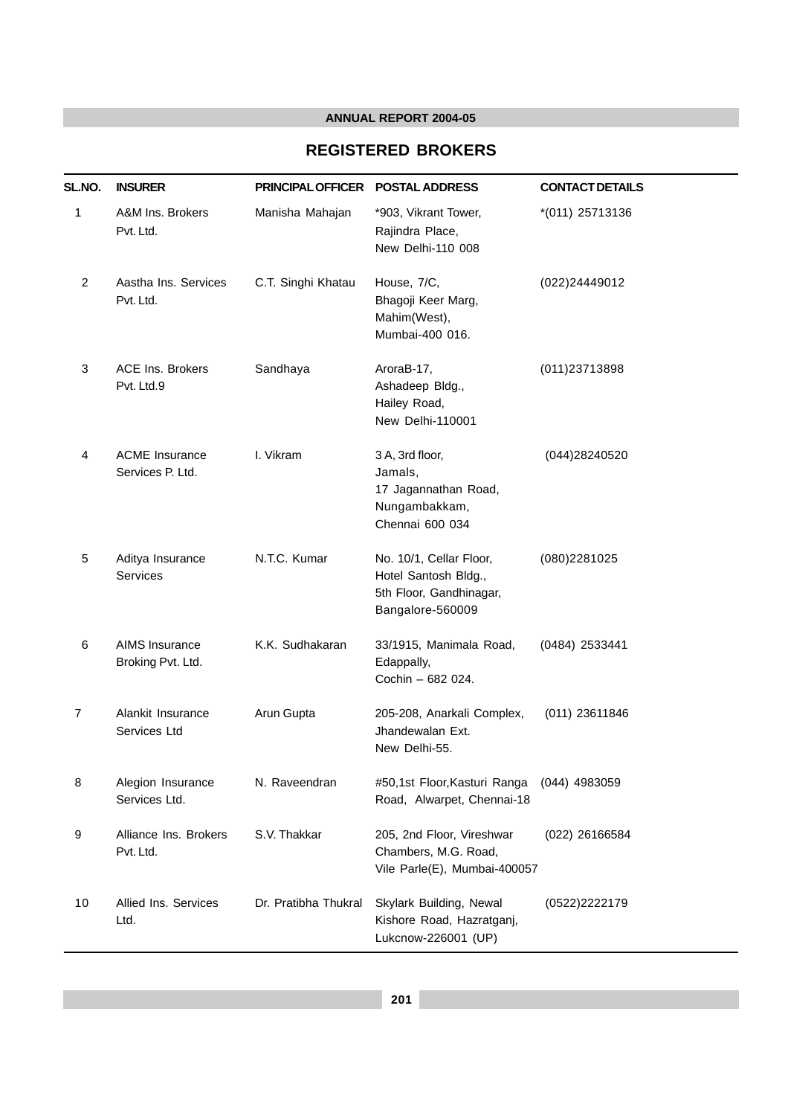#### **REGISTERED BROKERS**

| SL.NO. | <b>INSURER</b>                            | <b>PRINCIPAL OFFICER</b> | <b>POSTAL ADDRESS</b>                                                                          | <b>CONTACT DETAILS</b> |
|--------|-------------------------------------------|--------------------------|------------------------------------------------------------------------------------------------|------------------------|
| 1      | A&M Ins. Brokers<br>Pvt. Ltd.             | Manisha Mahajan          | *903, Vikrant Tower,<br>Rajindra Place,<br>New Delhi-110 008                                   | *(011) 25713136        |
| 2      | Aastha Ins. Services<br>Pvt. Ltd.         | C.T. Singhi Khatau       | House, 7/C,<br>Bhagoji Keer Marg,<br>Mahim(West),<br>Mumbai-400 016.                           | (022)24449012          |
| 3      | <b>ACE Ins. Brokers</b><br>Pvt. Ltd.9     | Sandhaya                 | AroraB-17,<br>Ashadeep Bldg.,<br>Hailey Road,<br>New Delhi-110001                              | (011) 23713898         |
| 4      | <b>ACME</b> Insurance<br>Services P. Ltd. | I. Vikram                | 3 A, 3rd floor,<br>Jamals,<br>17 Jagannathan Road,<br>Nungambakkam,<br>Chennai 600 034         | (044)28240520          |
| 5      | Aditya Insurance<br>Services              | N.T.C. Kumar             | No. 10/1, Cellar Floor,<br>Hotel Santosh Bldg.,<br>5th Floor, Gandhinagar,<br>Bangalore-560009 | (080)2281025           |
| 6      | AIMS Insurance<br>Broking Pvt. Ltd.       | K.K. Sudhakaran          | 33/1915, Manimala Road,<br>Edappally,<br>Cochin - 682 024.                                     | (0484) 2533441         |
| 7      | Alankit Insurance<br>Services Ltd         | Arun Gupta               | 205-208, Anarkali Complex,<br>Jhandewalan Ext.<br>New Delhi-55.                                | (011) 23611846         |
| 8      | Alegion Insurance<br>Services Ltd.        | N. Raveendran            | #50,1st Floor, Kasturi Ranga<br>Road, Alwarpet, Chennai-18                                     | $(044)$ 4983059        |
| 9      | Alliance Ins. Brokers<br>Pvt. Ltd.        | S.V. Thakkar             | 205, 2nd Floor, Vireshwar<br>Chambers, M.G. Road,<br>Vile Parle(E), Mumbai-400057              | (022) 26166584         |
| 10     | Allied Ins. Services<br>Ltd.              | Dr. Pratibha Thukral     | Skylark Building, Newal<br>Kishore Road, Hazratganj,<br>Lukcnow-226001 (UP)                    | (0522)2222179          |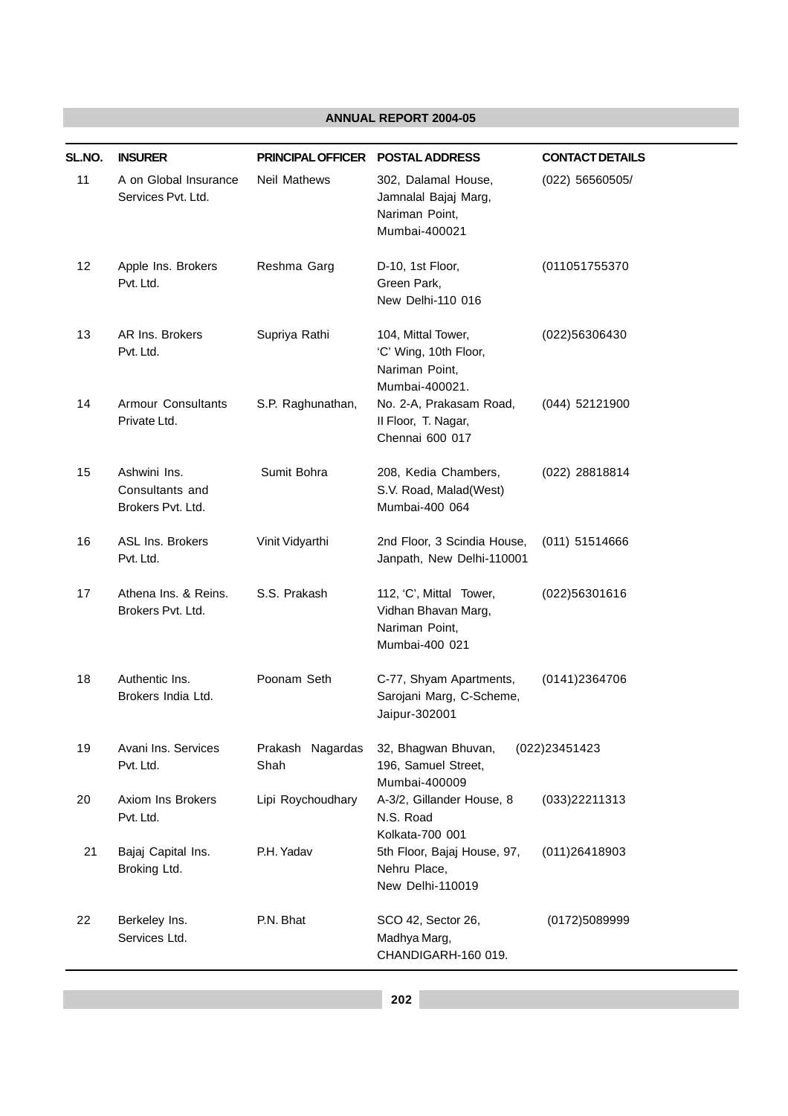| SL.NO. | <b>INSURER</b>                                       | PRINCIPAL OFFICER        | <b>POSTAL ADDRESS</b>                                                              | <b>CONTACT DETAILS</b> |
|--------|------------------------------------------------------|--------------------------|------------------------------------------------------------------------------------|------------------------|
| 11     | A on Global Insurance<br>Services Pvt. Ltd.          | Neil Mathews             | 302, Dalamal House,<br>Jamnalal Bajaj Marg,<br>Nariman Point,<br>Mumbai-400021     | (022) 56560505/        |
| 12     | Apple Ins. Brokers<br>Pvt. Ltd.                      | Reshma Garg              | D-10, 1st Floor,<br>Green Park,<br>New Delhi-110 016                               | (011051755370          |
| 13     | AR Ins. Brokers<br>Pvt. Ltd.                         | Supriya Rathi            | 104, Mittal Tower,<br>'C' Wing, 10th Floor,<br>Nariman Point,<br>Mumbai-400021.    | (022)56306430          |
| 14     | <b>Armour Consultants</b><br>Private Ltd.            | S.P. Raghunathan,        | No. 2-A, Prakasam Road,<br>Il Floor, T. Nagar,<br>Chennai 600 017                  | (044) 52121900         |
| 15     | Ashwini Ins.<br>Consultants and<br>Brokers Pvt. Ltd. | Sumit Bohra              | 208, Kedia Chambers,<br>S.V. Road, Malad(West)<br>Mumbai-400 064                   | (022) 28818814         |
| 16     | ASL Ins. Brokers<br>Pvt. Ltd.                        | Vinit Vidyarthi          | 2nd Floor, 3 Scindia House,<br>Janpath, New Delhi-110001                           | (011) 51514666         |
| 17     | Athena Ins. & Reins.<br>Brokers Pvt. Ltd.            | S.S. Prakash             | 112, 'C', Mittal Tower,<br>Vidhan Bhavan Marg,<br>Nariman Point,<br>Mumbai-400 021 | (022)56301616          |
| 18     | Authentic Ins.<br>Brokers India Ltd.                 | Poonam Seth              | C-77, Shyam Apartments,<br>Sarojani Marg, C-Scheme,<br>Jaipur-302001               | (0141)2364706          |
| 19     | Avani Ins. Services<br>Pvt. Ltd.                     | Prakash Nagardas<br>Shah | 32, Bhagwan Bhuvan,<br>196, Samuel Street,<br>Mumbai-400009                        | (022)23451423          |
| 20     | Axiom Ins Brokers<br>Pvt. Ltd.                       | Lipi Roychoudhary        | A-3/2, Gillander House, 8<br>N.S. Road<br>Kolkata-700 001                          | (033)22211313          |
| 21     | Bajaj Capital Ins.<br>Broking Ltd.                   | P.H. Yadav               | 5th Floor, Bajaj House, 97,<br>Nehru Place,<br>New Delhi-110019                    | (011)26418903          |
| 22     | Berkeley Ins.<br>Services Ltd.                       | P.N. Bhat                | SCO 42, Sector 26,<br>Madhya Marg,<br>CHANDIGARH-160 019.                          | (0172)5089999          |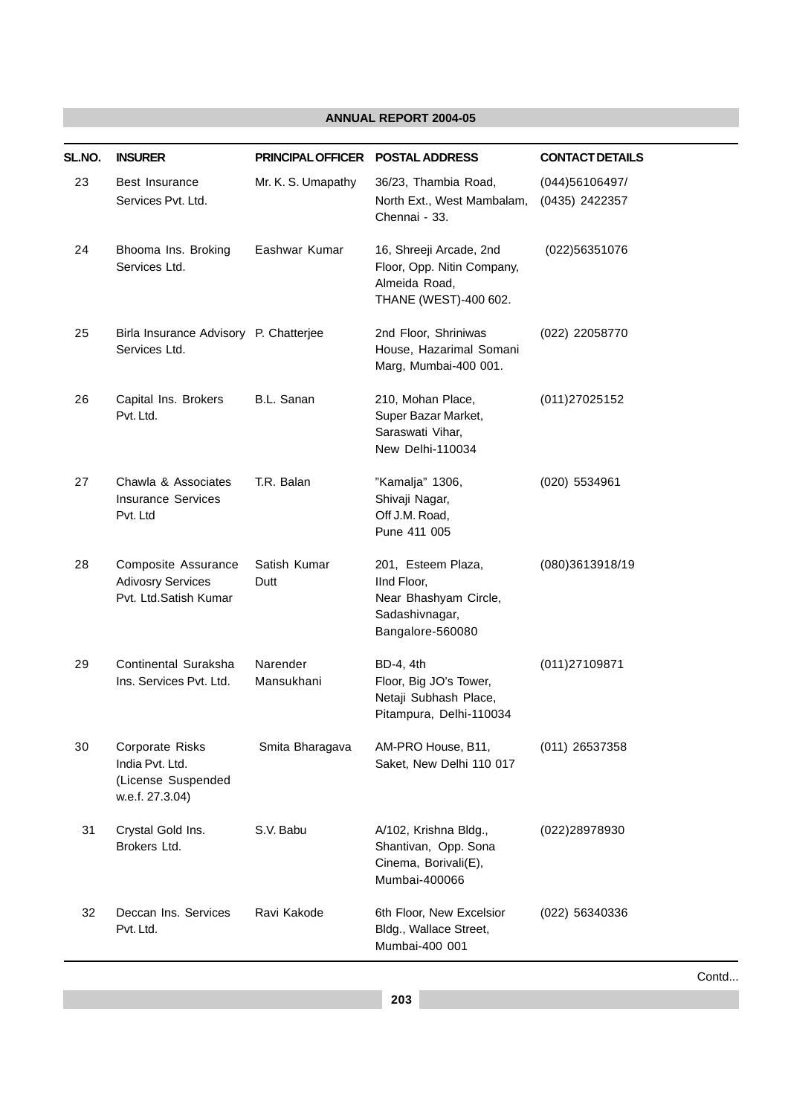| SL.NO. | <b>INSURER</b>                                                              | <b>PRINCIPAL OFFICER</b> | <b>POSTAL ADDRESS</b>                                                                            | <b>CONTACT DETAILS</b>           |
|--------|-----------------------------------------------------------------------------|--------------------------|--------------------------------------------------------------------------------------------------|----------------------------------|
| 23     | Best Insurance<br>Services Pvt. Ltd.                                        | Mr. K. S. Umapathy       | 36/23, Thambia Road,<br>North Ext., West Mambalam,<br>Chennai - 33.                              | (044)56106497/<br>(0435) 2422357 |
| 24     | Bhooma Ins. Broking<br>Services Ltd.                                        | Eashwar Kumar            | 16, Shreeji Arcade, 2nd<br>Floor, Opp. Nitin Company,<br>Almeida Road,<br>THANE (WEST)-400 602.  | (022)56351076                    |
| 25     | Birla Insurance Advisory P. Chatterjee<br>Services Ltd.                     |                          | 2nd Floor, Shriniwas<br>House, Hazarimal Somani<br>Marg, Mumbai-400 001.                         | (022) 22058770                   |
| 26     | Capital Ins. Brokers<br>Pvt. Ltd.                                           | B.L. Sanan               | 210, Mohan Place,<br>Super Bazar Market,<br>Saraswati Vihar,<br>New Delhi-110034                 | (011) 270 2515 2                 |
| 27     | Chawla & Associates<br><b>Insurance Services</b><br>Pvt. Ltd                | T.R. Balan               | "Kamalja" 1306,<br>Shivaji Nagar,<br>Off J.M. Road,<br>Pune 411 005                              | (020) 5534961                    |
| 28     | Composite Assurance<br><b>Adivosry Services</b><br>Pvt. Ltd.Satish Kumar    | Satish Kumar<br>Dutt     | 201, Esteem Plaza,<br>IInd Floor,<br>Near Bhashyam Circle,<br>Sadashivnagar,<br>Bangalore-560080 | (080)3613918/19                  |
| 29     | Continental Suraksha<br>Ins. Services Pvt. Ltd.                             | Narender<br>Mansukhani   | BD-4, 4th<br>Floor, Big JO's Tower,<br>Netaji Subhash Place,<br>Pitampura, Delhi-110034          | (011) 2710 9871                  |
| 30     | Corporate Risks<br>India Pvt. Ltd.<br>(License Suspended<br>w.e.f. 27.3.04) | Smita Bharagava          | AM-PRO House, B11,<br>Saket, New Delhi 110 017                                                   | (011) 26537358                   |
| 31     | Crystal Gold Ins.<br>Brokers Ltd.                                           | S.V. Babu                | A/102, Krishna Bldg.,<br>Shantivan, Opp. Sona<br>Cinema, Borivali(E),<br>Mumbai-400066           | (022)28978930                    |
| 32     | Deccan Ins. Services<br>Pvt. Ltd.                                           | Ravi Kakode              | 6th Floor, New Excelsior<br>Bldg., Wallace Street,<br>Mumbai-400 001                             | (022) 56340336                   |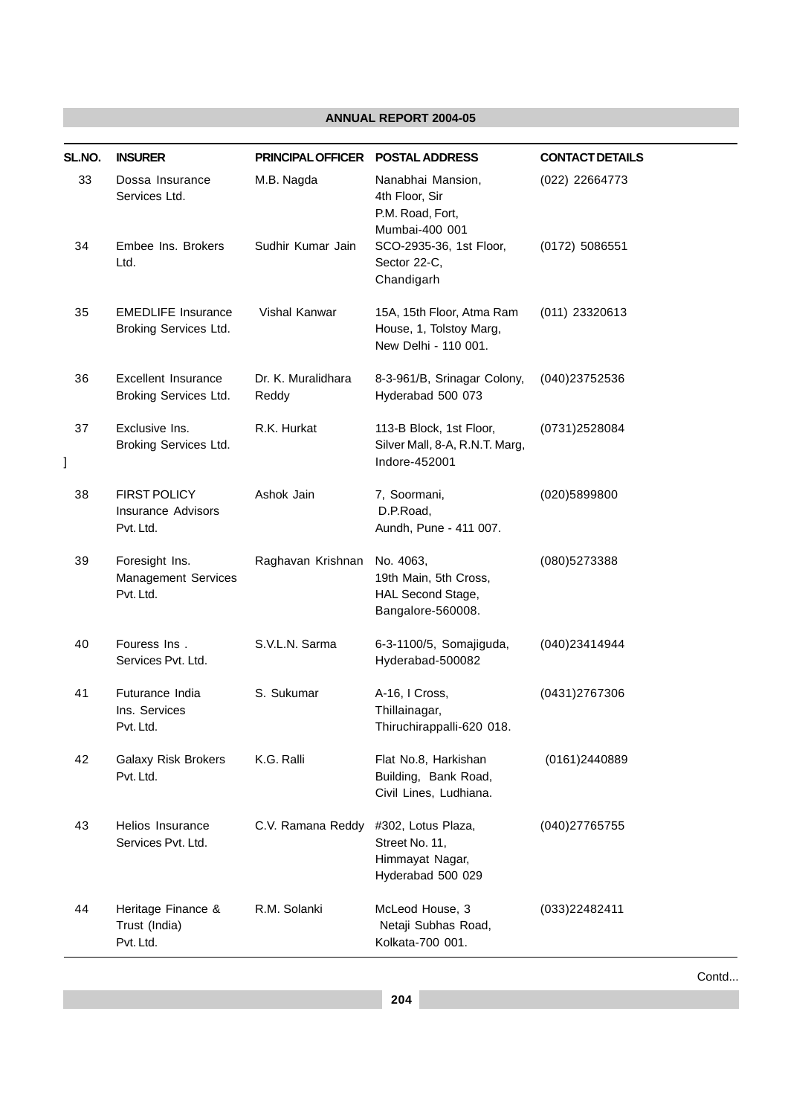| SL.NO.  | <b>INSURER</b>                                                | <b>PRINCIPAL OFFICER</b>    | <b>POSTAL ADDRESS</b>                                                        | <b>CONTACT DETAILS</b> |
|---------|---------------------------------------------------------------|-----------------------------|------------------------------------------------------------------------------|------------------------|
| 33      | Dossa Insurance<br>Services Ltd.                              | M.B. Nagda                  | Nanabhai Mansion,<br>4th Floor, Sir<br>P.M. Road, Fort,<br>Mumbai-400 001    | (022) 22664773         |
| 34      | Embee Ins. Brokers<br>Ltd.                                    | Sudhir Kumar Jain           | SCO-2935-36, 1st Floor,<br>Sector 22-C,<br>Chandigarh                        | $(0172)$ 5086551       |
| 35      | <b>EMEDLIFE Insurance</b><br>Broking Services Ltd.            | Vishal Kanwar               | 15A, 15th Floor, Atma Ram<br>House, 1, Tolstoy Marg,<br>New Delhi - 110 001. | $(011)$ 23320613       |
| 36      | <b>Excellent Insurance</b><br>Broking Services Ltd.           | Dr. K. Muralidhara<br>Reddy | 8-3-961/B, Srinagar Colony,<br>Hyderabad 500 073                             | (040)23752536          |
| 37<br>l | Exclusive Ins.<br>Broking Services Ltd.                       | R.K. Hurkat                 | 113-B Block, 1st Floor,<br>Silver Mall, 8-A, R.N.T. Marg,<br>Indore-452001   | (0731)2528084          |
| 38      | <b>FIRST POLICY</b><br><b>Insurance Advisors</b><br>Pvt. Ltd. | Ashok Jain                  | 7, Soormani,<br>D.P.Road,<br>Aundh, Pune - 411 007.                          | (020)5899800           |
| 39      | Foresight Ins.<br>Management Services<br>Pvt. Ltd.            | Raghavan Krishnan           | No. 4063,<br>19th Main, 5th Cross,<br>HAL Second Stage,<br>Bangalore-560008. | (080)5273388           |
| 40      | Fouress Ins.<br>Services Pvt. Ltd.                            | S.V.L.N. Sarma              | 6-3-1100/5, Somajiguda,<br>Hyderabad-500082                                  | (040)23414944          |
| 41      | Futurance India<br>Ins. Services<br>Pvt. Ltd.                 | S. Sukumar                  | A-16, I Cross,<br>Thillainagar,<br>Thiruchirappalli-620 018.                 | (0431)2767306          |
| 42      | <b>Galaxy Risk Brokers</b><br>Pvt. Ltd.                       | K.G. Ralli                  | Flat No.8, Harkishan<br>Building, Bank Road,<br>Civil Lines, Ludhiana.       | (0161)2440889          |
| 43      | Helios Insurance<br>Services Pvt. Ltd.                        | C.V. Ramana Reddy           | #302, Lotus Plaza,<br>Street No. 11,<br>Himmayat Nagar,<br>Hyderabad 500 029 | (040)27765755          |
| 44      | Heritage Finance &<br>Trust (India)<br>Pvt. Ltd.              | R.M. Solanki                | McLeod House, 3<br>Netaji Subhas Road,<br>Kolkata-700 001.                   | (033)22482411          |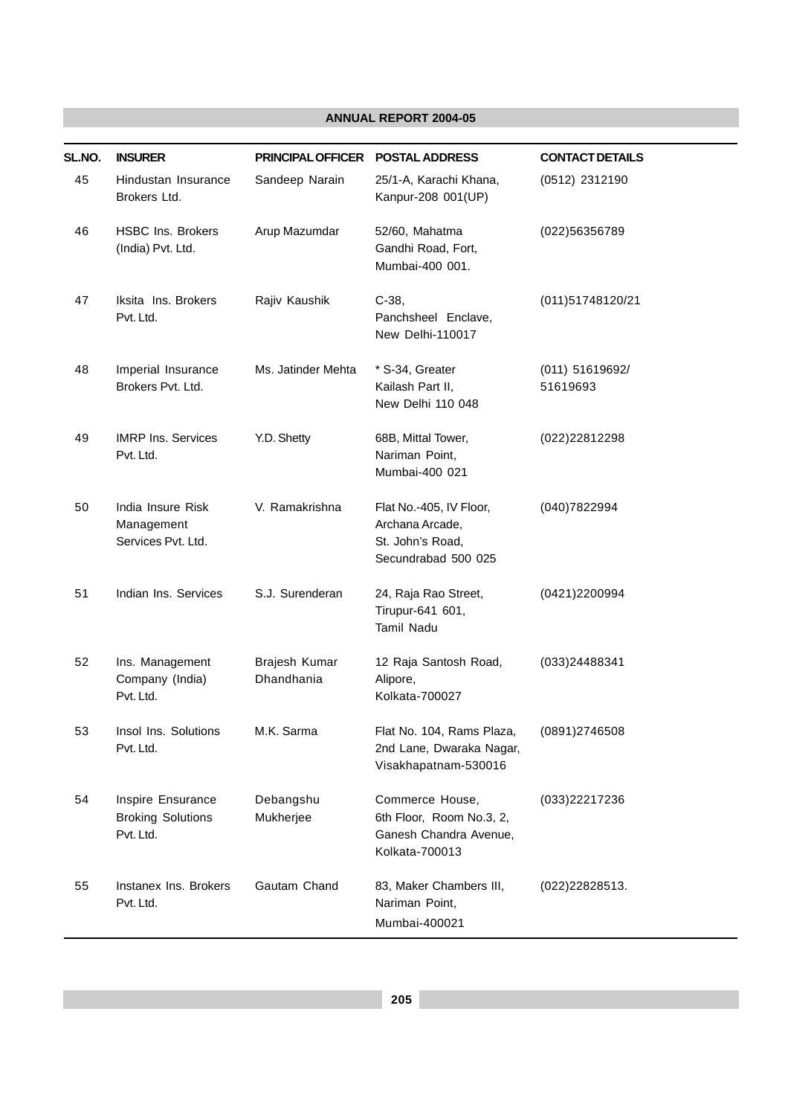| SL.NO. | <b>INSURER</b>                                             | <b>PRINCIPAL OFFICER</b>    | <b>POSTAL ADDRESS</b>                                                                   | <b>CONTACT DETAILS</b>      |
|--------|------------------------------------------------------------|-----------------------------|-----------------------------------------------------------------------------------------|-----------------------------|
| 45     | Hindustan Insurance<br>Brokers Ltd.                        | Sandeep Narain              | 25/1-A, Karachi Khana,<br>Kanpur-208 001(UP)                                            | (0512) 2312190              |
| 46     | <b>HSBC Ins. Brokers</b><br>(India) Pvt. Ltd.              | Arup Mazumdar               | 52/60, Mahatma<br>Gandhi Road, Fort,<br>Mumbai-400 001.                                 | (022)56356789               |
| 47     | Iksita Ins. Brokers<br>Pvt. Ltd.                           | Rajiv Kaushik               | $C-38,$<br>Panchsheel Enclave,<br>New Delhi-110017                                      | (011)51748120/21            |
| 48     | Imperial Insurance<br>Brokers Pvt. Ltd.                    | Ms. Jatinder Mehta          | * S-34, Greater<br>Kailash Part II,<br>New Delhi 110 048                                | (011) 51619692/<br>51619693 |
| 49     | <b>IMRP Ins. Services</b><br>Pvt. Ltd.                     | Y.D. Shetty                 | 68B, Mittal Tower,<br>Nariman Point,<br>Mumbai-400 021                                  | (022)22812298               |
| 50     | India Insure Risk<br>Management<br>Services Pvt. Ltd.      | V. Ramakrishna              | Flat No.-405, IV Floor,<br>Archana Arcade,<br>St. John's Road,<br>Secundrabad 500 025   | (040)7822994                |
| 51     | Indian Ins. Services                                       | S.J. Surenderan             | 24, Raja Rao Street,<br>Tirupur-641 601,<br><b>Tamil Nadu</b>                           | (0421)2200994               |
| 52     | Ins. Management<br>Company (India)<br>Pvt. Ltd.            | Brajesh Kumar<br>Dhandhania | 12 Raja Santosh Road,<br>Alipore,<br>Kolkata-700027                                     | (033)24488341               |
| 53     | Insol Ins. Solutions<br>Pvt. Ltd.                          | M.K. Sarma                  | Flat No. 104, Rams Plaza,<br>2nd Lane, Dwaraka Nagar,<br>Visakhapatnam-530016           | (0891)2746508               |
| 54     | Inspire Ensurance<br><b>Broking Solutions</b><br>Pvt. Ltd. | Debangshu<br>Mukherjee      | Commerce House,<br>6th Floor, Room No.3, 2,<br>Ganesh Chandra Avenue,<br>Kolkata-700013 | (033)22217236               |
| 55     | Instanex Ins. Brokers<br>Pvt. Ltd.                         | Gautam Chand                | 83, Maker Chambers III,<br>Nariman Point,<br>Mumbai-400021                              | (022)22828513.              |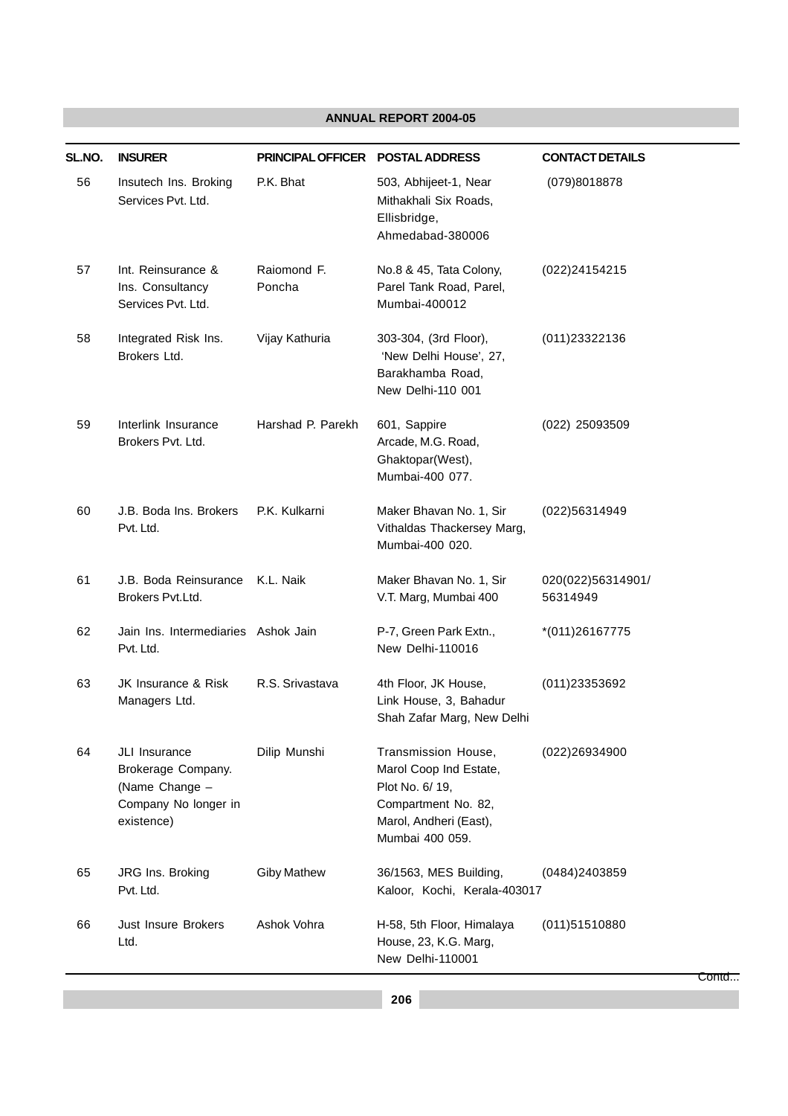| SL.NO. | <b>INSURER</b>                                                                              | <b>PRINCIPAL OFFICER</b> | <b>POSTAL ADDRESS</b>                                                                                                                | <b>CONTACT DETAILS</b>        |
|--------|---------------------------------------------------------------------------------------------|--------------------------|--------------------------------------------------------------------------------------------------------------------------------------|-------------------------------|
| 56     | Insutech Ins. Broking<br>Services Pvt. Ltd.                                                 | P.K. Bhat                | 503, Abhijeet-1, Near<br>Mithakhali Six Roads,<br>Ellisbridge,<br>Ahmedabad-380006                                                   | (079)8018878                  |
| 57     | Int. Reinsurance &<br>Ins. Consultancy<br>Services Pvt. Ltd.                                | Raiomond F.<br>Poncha    | No.8 & 45, Tata Colony,<br>Parel Tank Road, Parel,<br>Mumbai-400012                                                                  | (022)24154215                 |
| 58     | Integrated Risk Ins.<br>Brokers Ltd.                                                        | Vijay Kathuria           | 303-304, (3rd Floor),<br>'New Delhi House', 27,<br>Barakhamba Road,<br>New Delhi-110 001                                             | (011)23322136                 |
| 59     | Interlink Insurance<br>Brokers Pvt. Ltd.                                                    | Harshad P. Parekh        | 601, Sappire<br>Arcade, M.G. Road,<br>Ghaktopar(West),<br>Mumbai-400 077.                                                            | (022) 25093509                |
| 60     | J.B. Boda Ins. Brokers<br>Pvt. Ltd.                                                         | P.K. Kulkarni            | Maker Bhavan No. 1, Sir<br>Vithaldas Thackersey Marg,<br>Mumbai-400 020.                                                             | (022)56314949                 |
| 61     | J.B. Boda Reinsurance<br>Brokers Pvt.Ltd.                                                   | K.L. Naik                | Maker Bhavan No. 1, Sir<br>V.T. Marg, Mumbai 400                                                                                     | 020(022)56314901/<br>56314949 |
| 62     | Jain Ins. Intermediaries Ashok Jain<br>Pvt. Ltd.                                            |                          | P-7, Green Park Extn.,<br>New Delhi-110016                                                                                           | *(011)26167775                |
| 63     | JK Insurance & Risk<br>Managers Ltd.                                                        | R.S. Srivastava          | 4th Floor, JK House,<br>Link House, 3, Bahadur<br>Shah Zafar Marg, New Delhi                                                         | (011)23353692                 |
| 64     | JLI Insurance<br>Brokerage Company.<br>(Name Change -<br>Company No longer in<br>existence) | Dilip Munshi             | Transmission House,<br>Marol Coop Ind Estate,<br>Plot No. 6/ 19,<br>Compartment No. 82,<br>Marol, Andheri (East),<br>Mumbai 400 059. | (022)26934900                 |
| 65     | JRG Ins. Broking<br>Pvt. Ltd.                                                               | <b>Giby Mathew</b>       | 36/1563, MES Building,<br>Kaloor, Kochi, Kerala-403017                                                                               | (0484)2403859                 |
| 66     | Just Insure Brokers<br>Ltd.                                                                 | Ashok Vohra              | H-58, 5th Floor, Himalaya<br>House, 23, K.G. Marg,<br>New Delhi-110001                                                               | (011)51510880<br>Contd        |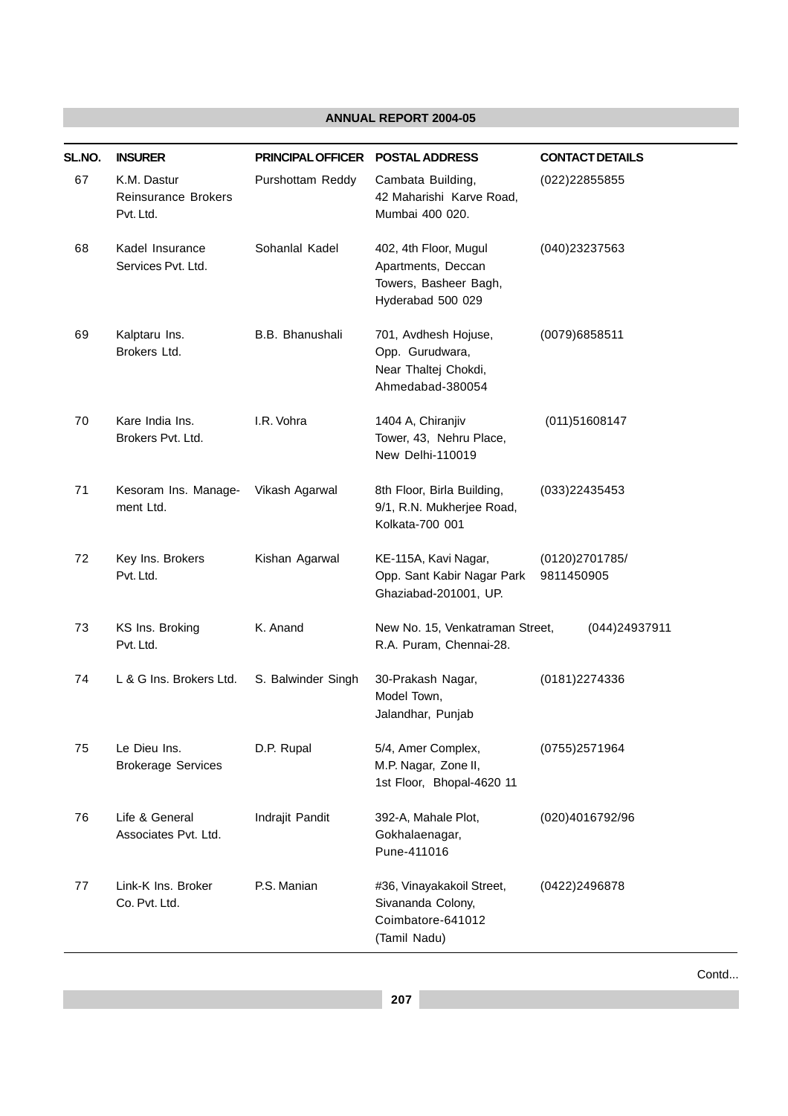| SL.NO. | <b>INSURER</b>                                         | PRINCIPAL OFFICER  | <b>POSTAL ADDRESS</b>                                                                     | <b>CONTACT DETAILS</b>       |
|--------|--------------------------------------------------------|--------------------|-------------------------------------------------------------------------------------------|------------------------------|
| 67     | K.M. Dastur<br><b>Reinsurance Brokers</b><br>Pvt. Ltd. | Purshottam Reddy   | Cambata Building,<br>42 Maharishi Karve Road,<br>Mumbai 400 020.                          | (022)22855855                |
| 68     | Kadel Insurance<br>Services Pvt. Ltd.                  | Sohanlal Kadel     | 402, 4th Floor, Mugul<br>Apartments, Deccan<br>Towers, Basheer Bagh,<br>Hyderabad 500 029 | (040)23237563                |
| 69     | Kalptaru Ins.<br>Brokers Ltd.                          | B.B. Bhanushali    | 701, Avdhesh Hojuse,<br>Opp. Gurudwara,<br>Near Thaltej Chokdi,<br>Ahmedabad-380054       | (0079)6858511                |
| 70     | Kare India Ins.<br>Brokers Pvt. Ltd.                   | I.R. Vohra         | 1404 A, Chiranjiv<br>Tower, 43, Nehru Place,<br>New Delhi-110019                          | (011)51608147                |
| 71     | Kesoram Ins. Manage-<br>ment Ltd.                      | Vikash Agarwal     | 8th Floor, Birla Building,<br>9/1, R.N. Mukherjee Road,<br>Kolkata-700 001                | (033)22435453                |
| 72     | Key Ins. Brokers<br>Pvt. Ltd.                          | Kishan Agarwal     | KE-115A, Kavi Nagar,<br>Opp. Sant Kabir Nagar Park<br>Ghaziabad-201001, UP.               | (0120)2701785/<br>9811450905 |
| 73     | KS Ins. Broking<br>Pvt. Ltd.                           | K. Anand           | New No. 15, Venkatraman Street,<br>R.A. Puram, Chennai-28.                                | (044)24937911                |
| 74     | L & G Ins. Brokers Ltd.                                | S. Balwinder Singh | 30-Prakash Nagar,<br>Model Town,<br>Jalandhar, Punjab                                     | (0181)2274336                |
| 75     | Le Dieu Ins.<br><b>Brokerage Services</b>              | D.P. Rupal         | 5/4, Amer Complex,<br>M.P. Nagar, Zone II,<br>1st Floor, Bhopal-4620 11                   | (0755)2571964                |
| 76     | Life & General<br>Associates Pvt. Ltd.                 | Indrajit Pandit    | 392-A, Mahale Plot,<br>Gokhalaenagar,<br>Pune-411016                                      | (020)4016792/96              |
| 77     | Link-K Ins. Broker<br>Co. Pvt. Ltd.                    | P.S. Manian        | #36, Vinayakakoil Street,<br>Sivananda Colony,<br>Coimbatore-641012<br>(Tamil Nadu)       | (0422)2496878                |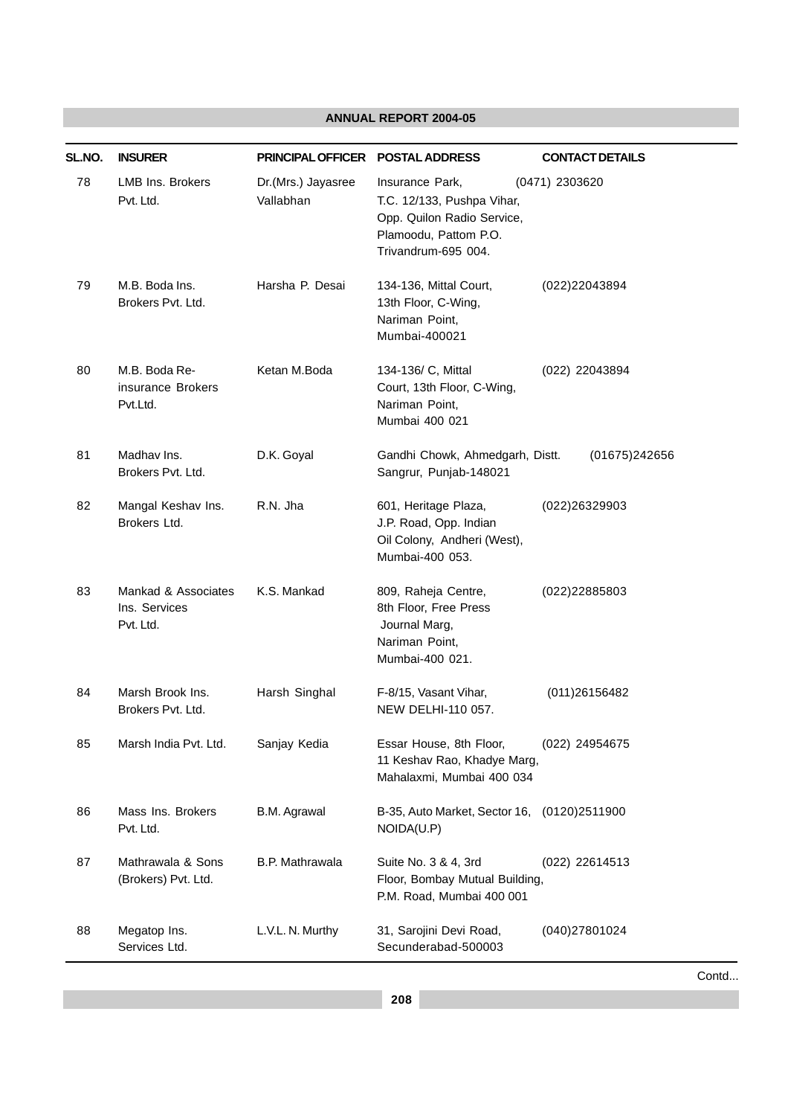| SL.NO. | <b>INSURER</b>                                    | PRINCIPAL OFFICER POSTAL ADDRESS |                                                                                                                             | <b>CONTACT DETAILS</b> |
|--------|---------------------------------------------------|----------------------------------|-----------------------------------------------------------------------------------------------------------------------------|------------------------|
| 78     | <b>LMB Ins. Brokers</b><br>Pvt. Ltd.              | Dr.(Mrs.) Jayasree<br>Vallabhan  | Insurance Park,<br>T.C. 12/133, Pushpa Vihar,<br>Opp. Quilon Radio Service,<br>Plamoodu, Pattom P.O.<br>Trivandrum-695 004. | (0471) 2303620         |
| 79     | M.B. Boda Ins.<br>Brokers Pvt. Ltd.               | Harsha P. Desai                  | 134-136, Mittal Court,<br>13th Floor, C-Wing,<br>Nariman Point,<br>Mumbai-400021                                            | (022)22043894          |
| 80     | M.B. Boda Re-<br>insurance Brokers<br>Pvt.Ltd.    | Ketan M.Boda                     | 134-136/ C, Mittal<br>Court, 13th Floor, C-Wing,<br>Nariman Point,<br>Mumbai 400 021                                        | (022) 22043894         |
| 81     | Madhay Ins.<br>Brokers Pvt. Ltd.                  | D.K. Goyal                       | Gandhi Chowk, Ahmedgarh, Distt.<br>Sangrur, Punjab-148021                                                                   | (01675)242656          |
| 82     | Mangal Keshav Ins.<br>Brokers Ltd.                | R.N. Jha                         | 601, Heritage Plaza,<br>J.P. Road, Opp. Indian<br>Oil Colony, Andheri (West),<br>Mumbai-400 053.                            | (022)26329903          |
| 83     | Mankad & Associates<br>Ins. Services<br>Pvt. Ltd. | K.S. Mankad                      | 809, Raheja Centre,<br>8th Floor, Free Press<br>Journal Marg,<br>Nariman Point,<br>Mumbai-400 021.                          | (022)22885803          |
| 84     | Marsh Brook Ins.<br>Brokers Pvt. Ltd.             | Harsh Singhal                    | F-8/15, Vasant Vihar,<br>NEW DELHI-110 057.                                                                                 | (011) 2615 6482        |
| 85     | Marsh India Pvt. Ltd.                             | Sanjay Kedia                     | Essar House, 8th Floor,<br>11 Keshav Rao, Khadye Marg,<br>Mahalaxmi, Mumbai 400 034                                         | (022) 24954675         |
| 86     | Mass Ins. Brokers<br>Pvt. Ltd.                    | B.M. Agrawal                     | B-35, Auto Market, Sector 16,<br>NOIDA(U.P)                                                                                 | (0120)2511900          |
| 87     | Mathrawala & Sons<br>(Brokers) Pvt. Ltd.          | <b>B.P. Mathrawala</b>           | Suite No. 3 & 4, 3rd<br>Floor, Bombay Mutual Building,<br>P.M. Road, Mumbai 400 001                                         | (022) 22614513         |
| 88     | Megatop Ins.<br>Services Ltd.                     | L.V.L. N. Murthy                 | 31, Sarojini Devi Road,<br>Secunderabad-500003                                                                              | (040)27801024          |

Contd...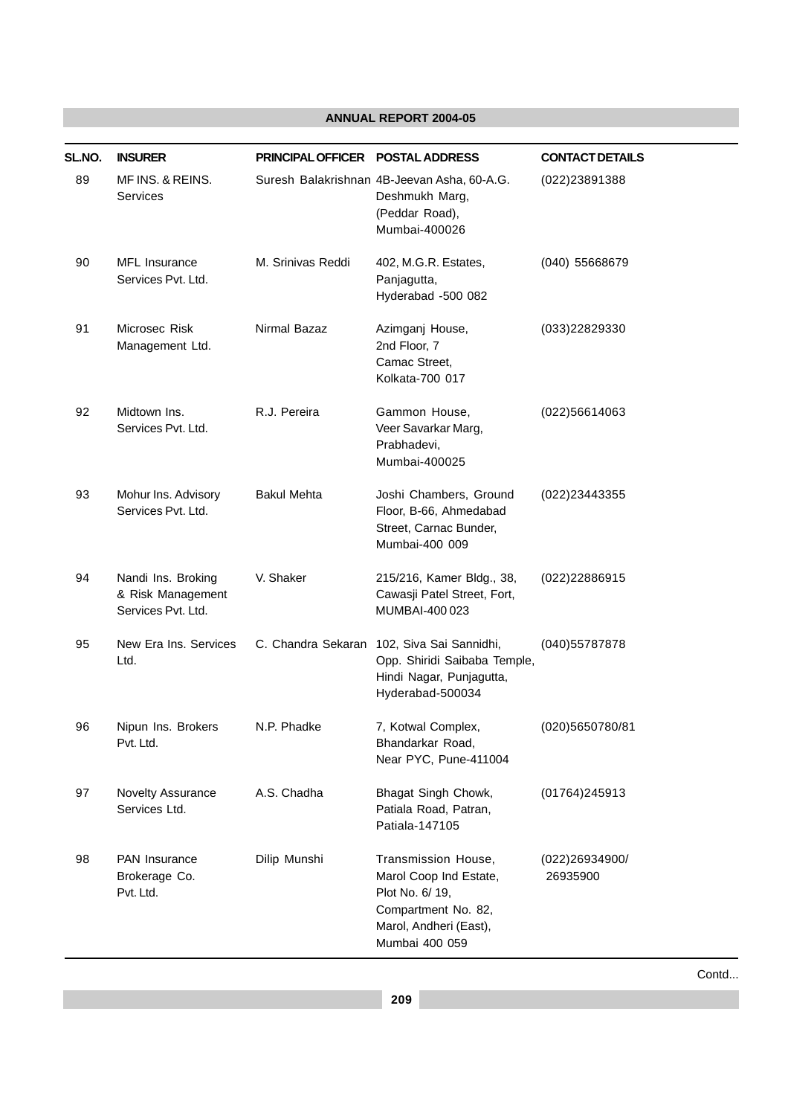| SL.NO. | <b>INSURER</b>                                                | PRINCIPAL OFFICER POSTAL ADDRESS |                                                                                                                                     | <b>CONTACT DETAILS</b>     |
|--------|---------------------------------------------------------------|----------------------------------|-------------------------------------------------------------------------------------------------------------------------------------|----------------------------|
| 89     | MF INS. & REINS.<br>Services                                  |                                  | Suresh Balakrishnan 4B-Jeevan Asha, 60-A.G.<br>Deshmukh Marg,<br>(Peddar Road),<br>Mumbai-400026                                    | (022)23891388              |
| 90     | <b>MFL</b> Insurance<br>Services Pvt. Ltd.                    | M. Srinivas Reddi                | 402, M.G.R. Estates,<br>Panjagutta,<br>Hyderabad -500 082                                                                           | (040) 55668679             |
| 91     | Microsec Risk<br>Management Ltd.                              | Nirmal Bazaz                     | Azimganj House,<br>2nd Floor, 7<br>Camac Street,<br>Kolkata-700 017                                                                 | (033)22829330              |
| 92     | Midtown Ins.<br>Services Pvt. Ltd.                            | R.J. Pereira                     | Gammon House,<br>Veer Savarkar Marg,<br>Prabhadevi,<br>Mumbai-400025                                                                | (022)56614063              |
| 93     | Mohur Ins. Advisory<br>Services Pvt. Ltd.                     | <b>Bakul Mehta</b>               | Joshi Chambers, Ground<br>Floor, B-66, Ahmedabad<br>Street, Carnac Bunder,<br>Mumbai-400 009                                        | (022)23443355              |
| 94     | Nandi Ins. Broking<br>& Risk Management<br>Services Pvt. Ltd. | V. Shaker                        | 215/216, Kamer Bldg., 38,<br>Cawasji Patel Street, Fort,<br>MUMBAI-400 023                                                          | (022)22886915              |
| 95     | New Era Ins. Services<br>Ltd.                                 |                                  | C. Chandra Sekaran 102, Siva Sai Sannidhi,<br>Opp. Shiridi Saibaba Temple,<br>Hindi Nagar, Punjagutta,<br>Hyderabad-500034          | (040)55787878              |
| 96     | Nipun Ins. Brokers<br>Pvt. Ltd.                               | N.P. Phadke                      | 7, Kotwal Complex,<br>Bhandarkar Road,<br>Near PYC, Pune-411004                                                                     | (020)5650780/81            |
| 97     | Novelty Assurance<br>Services Ltd.                            | A.S. Chadha                      | Bhagat Singh Chowk,<br>Patiala Road, Patran,<br>Patiala-147105                                                                      | (01764)245913              |
| 98     | <b>PAN Insurance</b><br>Brokerage Co.<br>Pvt. Ltd.            | Dilip Munshi                     | Transmission House,<br>Marol Coop Ind Estate,<br>Plot No. 6/ 19,<br>Compartment No. 82,<br>Marol, Andheri (East),<br>Mumbai 400 059 | (022)26934900/<br>26935900 |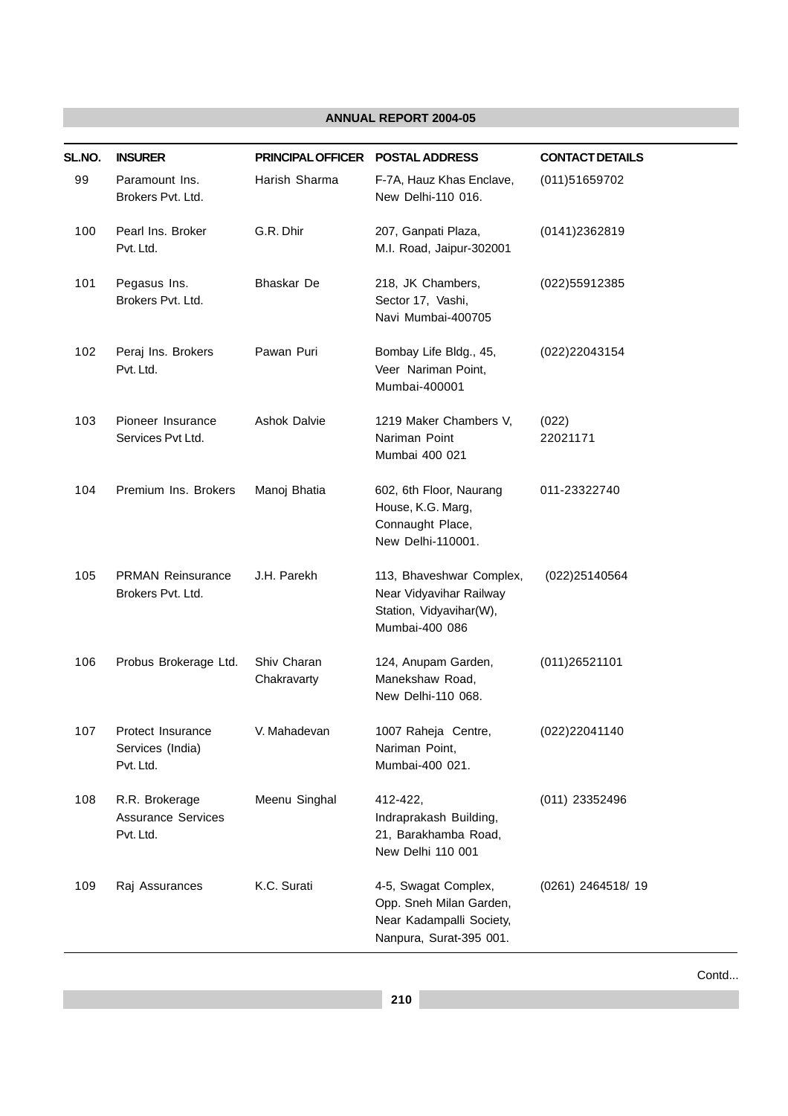| SL.NO. | <b>INSURER</b>                                           | PRINCIPAL OFFICER POSTAL ADDRESS |                                                                                                        | <b>CONTACT DETAILS</b> |
|--------|----------------------------------------------------------|----------------------------------|--------------------------------------------------------------------------------------------------------|------------------------|
| 99     | Paramount Ins.<br>Brokers Pvt. Ltd.                      | Harish Sharma                    | F-7A, Hauz Khas Enclave,<br>New Delhi-110 016.                                                         | (011)51659702          |
| 100    | Pearl Ins. Broker<br>Pvt. Ltd.                           | G.R. Dhir                        | 207, Ganpati Plaza,<br>M.I. Road, Jaipur-302001                                                        | (0141)2362819          |
| 101    | Pegasus Ins.<br>Brokers Pvt. Ltd.                        | <b>Bhaskar</b> De                | 218, JK Chambers,<br>Sector 17, Vashi,<br>Navi Mumbai-400705                                           | (022)55912385          |
| 102    | Peraj Ins. Brokers<br>Pvt. Ltd.                          | Pawan Puri                       | Bombay Life Bldg., 45,<br>Veer Nariman Point,<br>Mumbai-400001                                         | (022)22043154          |
| 103    | Pioneer Insurance<br>Services Pvt Ltd.                   | <b>Ashok Dalvie</b>              | 1219 Maker Chambers V,<br>Nariman Point<br>Mumbai 400 021                                              | (022)<br>22021171      |
| 104    | Premium Ins. Brokers                                     | Manoj Bhatia                     | 602, 6th Floor, Naurang<br>House, K.G. Marg,<br>Connaught Place,<br>New Delhi-110001.                  | 011-23322740           |
| 105    | <b>PRMAN Reinsurance</b><br>Brokers Pvt. Ltd.            | J.H. Parekh                      | 113, Bhaveshwar Complex,<br>Near Vidyavihar Railway<br>Station, Vidyavihar(W),<br>Mumbai-400 086       | (022)25140564          |
| 106    | Probus Brokerage Ltd.                                    | Shiv Charan<br>Chakravarty       | 124, Anupam Garden,<br>Manekshaw Road,<br>New Delhi-110 068.                                           | (011)26521101          |
| 107    | Protect Insurance<br>Services (India)<br>Pvt. Ltd.       | V. Mahadevan                     | 1007 Raheja Centre,<br>Nariman Point,<br>Mumbai-400 021.                                               | (022)22041140          |
| 108    | R.R. Brokerage<br><b>Assurance Services</b><br>Pvt. Ltd. | Meenu Singhal                    | 412-422,<br>Indraprakash Building,<br>21, Barakhamba Road,<br>New Delhi 110 001                        | (011) 23352496         |
| 109    | Raj Assurances                                           | K.C. Surati                      | 4-5, Swagat Complex,<br>Opp. Sneh Milan Garden,<br>Near Kadampalli Society,<br>Nanpura, Surat-395 001. | (0261) 2464518/ 19     |

Contd...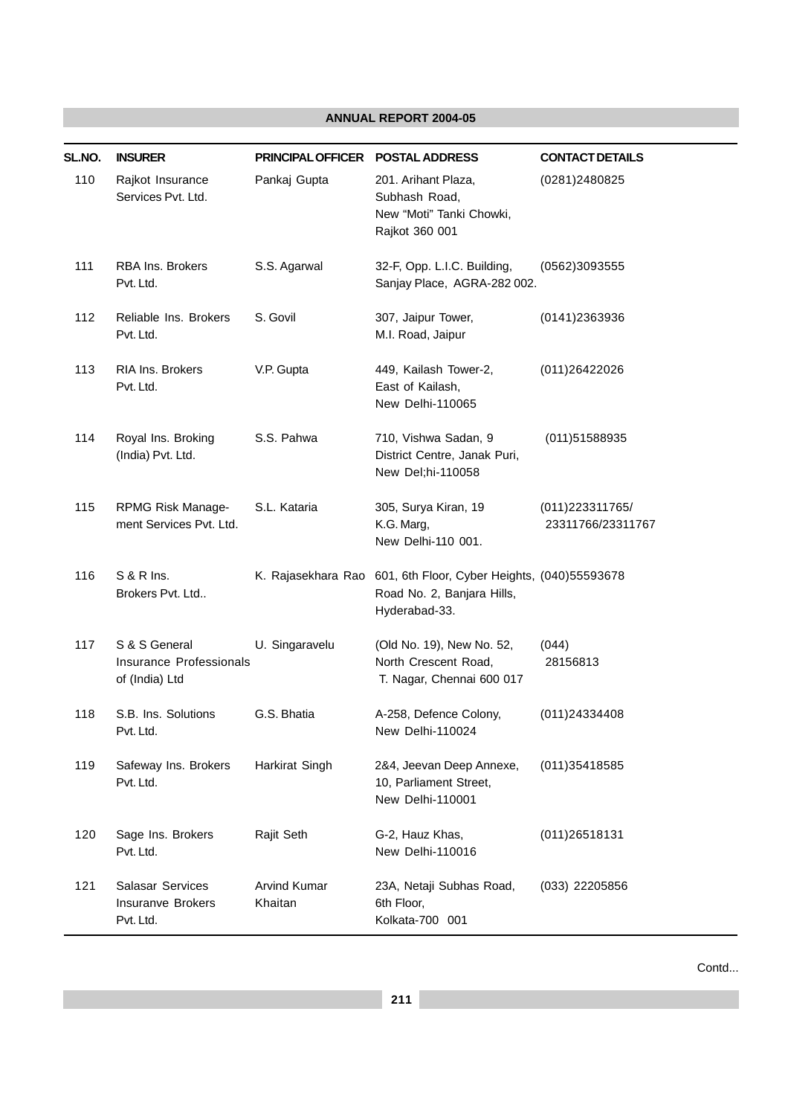| SL.NO. | <b>INSURER</b>                                             | <b>PRINCIPAL OFFICER</b>       | <b>POSTAL ADDRESS</b>                                                                       | <b>CONTACT DETAILS</b>                |
|--------|------------------------------------------------------------|--------------------------------|---------------------------------------------------------------------------------------------|---------------------------------------|
| 110    | Rajkot Insurance<br>Services Pvt. Ltd.                     | Pankaj Gupta                   | 201. Arihant Plaza,<br>Subhash Road,<br>New "Moti" Tanki Chowki,<br>Rajkot 360 001          | (0281)2480825                         |
| 111    | <b>RBA Ins. Brokers</b><br>Pvt. Ltd.                       | S.S. Agarwal                   | 32-F, Opp. L.I.C. Building,<br>Sanjay Place, AGRA-282 002.                                  | (0562)3093555                         |
| 112    | Reliable Ins. Brokers<br>Pvt. Ltd.                         | S. Govil                       | 307, Jaipur Tower,<br>M.I. Road, Jaipur                                                     | (0141)2363936                         |
| 113    | <b>RIA Ins. Brokers</b><br>Pvt. Ltd.                       | V.P. Gupta                     | 449, Kailash Tower-2,<br>East of Kailash,<br>New Delhi-110065                               | (011) 2642 2026                       |
| 114    | Royal Ins. Broking<br>(India) Pvt. Ltd.                    | S.S. Pahwa                     | 710, Vishwa Sadan, 9<br>District Centre, Janak Puri,<br>New Del;hi-110058                   | (011)51588935                         |
| 115    | RPMG Risk Manage-<br>ment Services Pvt. Ltd.               | S.L. Kataria                   | 305, Surya Kiran, 19<br>K.G. Marg,<br>New Delhi-110 001.                                    | (011) 223311765/<br>23311766/23311767 |
| 116    | <b>S &amp; R Ins.</b><br>Brokers Pvt. Ltd                  | K. Rajasekhara Rao             | 601, 6th Floor, Cyber Heights, (040)55593678<br>Road No. 2, Banjara Hills,<br>Hyderabad-33. |                                       |
| 117    | S & S General<br>Insurance Professionals<br>of (India) Ltd | U. Singaravelu                 | (Old No. 19), New No. 52,<br>North Crescent Road,<br>T. Nagar, Chennai 600 017              | (044)<br>28156813                     |
| 118    | S.B. Ins. Solutions<br>Pvt. Ltd.                           | G.S. Bhatia                    | A-258, Defence Colony,<br>New Delhi-110024                                                  | (011)24334408                         |
| 119    | Safeway Ins. Brokers<br>Pvt. Ltd.                          | Harkirat Singh                 | 2&4, Jeevan Deep Annexe,<br>10, Parliament Street,<br>New Delhi-110001                      | (011) 35418585                        |
| 120    | Sage Ins. Brokers<br>Pvt. Ltd.                             | Rajit Seth                     | G-2, Hauz Khas,<br>New Delhi-110016                                                         | (011)26518131                         |
| 121    | Salasar Services<br><b>Insuranve Brokers</b><br>Pvt. Ltd.  | <b>Arvind Kumar</b><br>Khaitan | 23A, Netaji Subhas Road,<br>6th Floor,<br>Kolkata-700 001                                   | $(033)$ 22205856                      |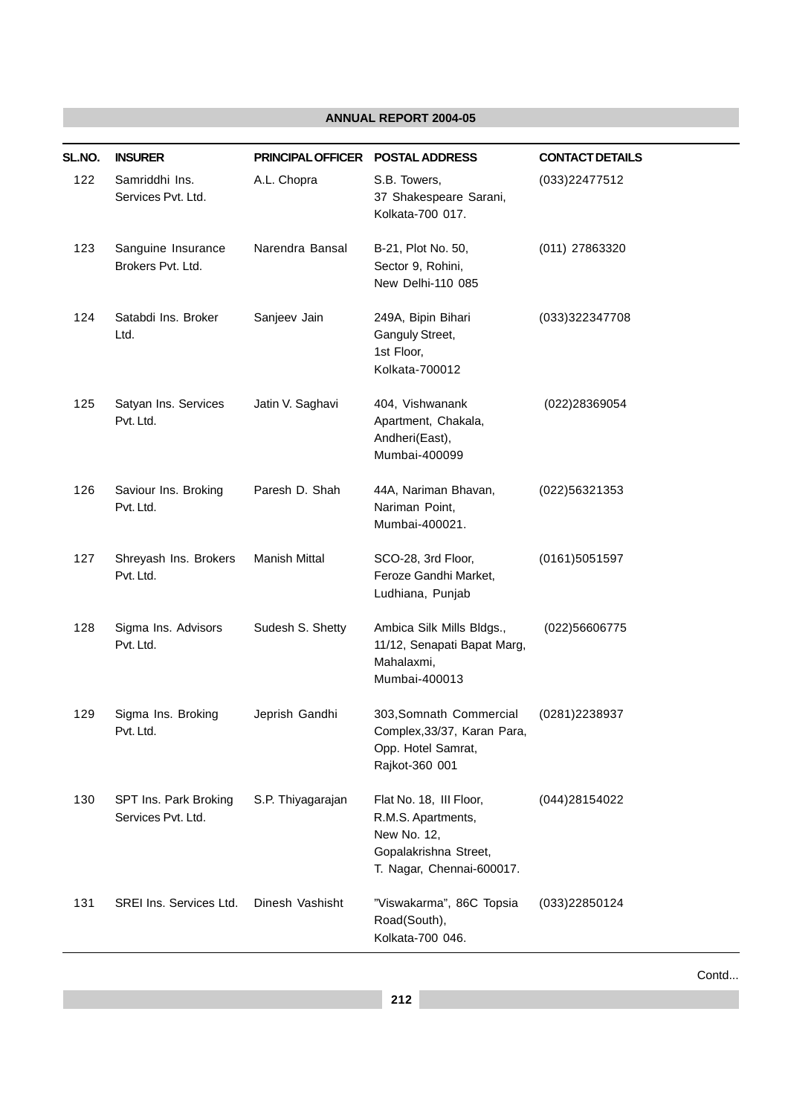| SL.NO. | <b>INSURER</b>                              | PRINCIPAL OFFICER POSTAL ADDRESS |                                                                                                                    | <b>CONTACT DETAILS</b> |
|--------|---------------------------------------------|----------------------------------|--------------------------------------------------------------------------------------------------------------------|------------------------|
| 122    | Samriddhi Ins.<br>Services Pvt. Ltd.        | A.L. Chopra                      | S.B. Towers,<br>37 Shakespeare Sarani,<br>Kolkata-700 017.                                                         | (033)22477512          |
| 123    | Sanguine Insurance<br>Brokers Pvt. Ltd.     | Narendra Bansal                  | B-21, Plot No. 50,<br>Sector 9, Rohini,<br>New Delhi-110 085                                                       | (011) 27863320         |
| 124    | Satabdi Ins. Broker<br>Ltd.                 | Sanjeev Jain                     | 249A, Bipin Bihari<br>Ganguly Street,<br>1st Floor,<br>Kolkata-700012                                              | (033)322347708         |
| 125    | Satyan Ins. Services<br>Pvt. Ltd.           | Jatin V. Saghavi                 | 404, Vishwanank<br>Apartment, Chakala,<br>Andheri(East),<br>Mumbai-400099                                          | (022)28369054          |
| 126    | Saviour Ins. Broking<br>Pvt. Ltd.           | Paresh D. Shah                   | 44A, Nariman Bhavan,<br>Nariman Point,<br>Mumbai-400021.                                                           | (022)56321353          |
| 127    | Shreyash Ins. Brokers<br>Pvt. Ltd.          | Manish Mittal                    | SCO-28, 3rd Floor,<br>Feroze Gandhi Market,<br>Ludhiana, Punjab                                                    | (0161)5051597          |
| 128    | Sigma Ins. Advisors<br>Pvt. Ltd.            | Sudesh S. Shetty                 | Ambica Silk Mills Bldgs.,<br>11/12, Senapati Bapat Marg,<br>Mahalaxmi,<br>Mumbai-400013                            | (022)56606775          |
| 129    | Sigma Ins. Broking<br>Pvt. Ltd.             | Jeprish Gandhi                   | 303, Somnath Commercial<br>Complex, 33/37, Karan Para,<br>Opp. Hotel Samrat,<br>Rajkot-360 001                     | (0281)2238937          |
| 130    | SPT Ins. Park Broking<br>Services Pvt. Ltd. | S.P. Thiyagarajan                | Flat No. 18, III Floor,<br>R.M.S. Apartments,<br>New No. 12,<br>Gopalakrishna Street,<br>T. Nagar, Chennai-600017. | (044) 28154022         |
| 131    | SREI Ins. Services Ltd.                     | Dinesh Vashisht                  | "Viswakarma", 86C Topsia<br>Road(South),<br>Kolkata-700 046.                                                       | (033)22850124          |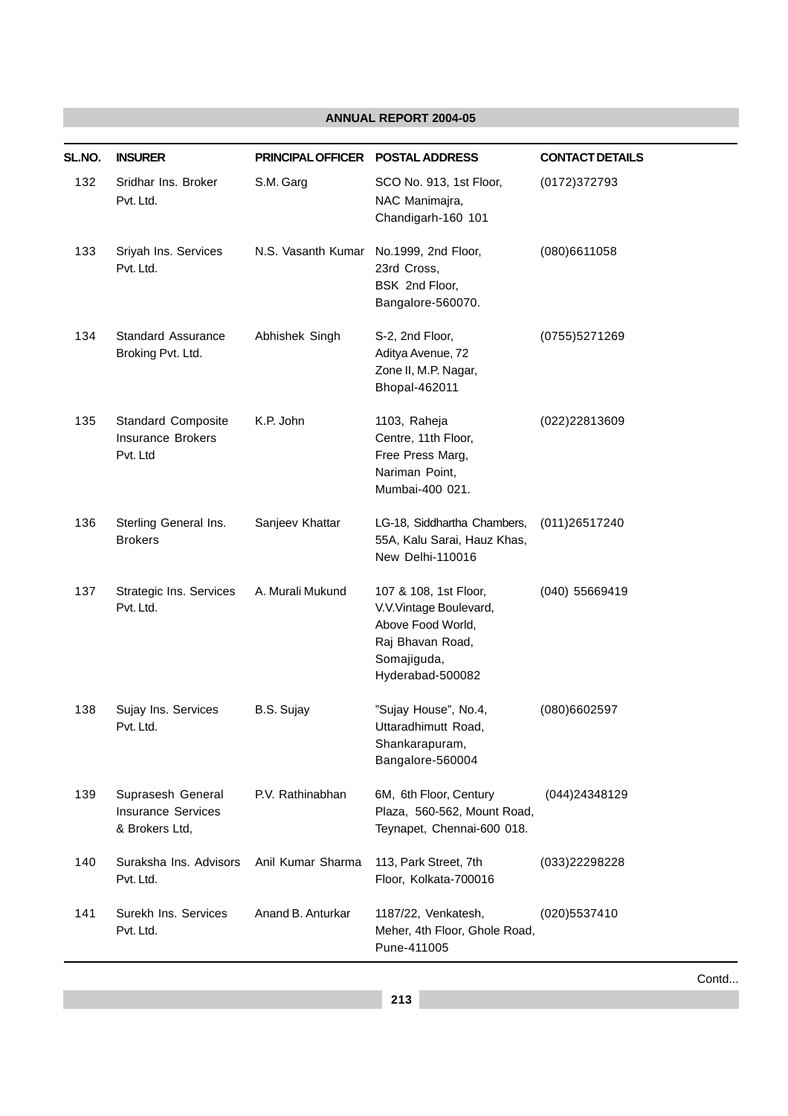| SL.NO. | <b>INSURER</b>                                                    | PRINCIPAL OFFICER POSTAL ADDRESS |                                                                                                                             | <b>CONTACT DETAILS</b> |
|--------|-------------------------------------------------------------------|----------------------------------|-----------------------------------------------------------------------------------------------------------------------------|------------------------|
| 132    | Sridhar Ins. Broker<br>Pvt. Ltd.                                  | S.M. Garg                        | SCO No. 913, 1st Floor,<br>NAC Manimajra,<br>Chandigarh-160 101                                                             | (0172)372793           |
| 133    | Sriyah Ins. Services<br>Pvt. Ltd.                                 | N.S. Vasanth Kumar               | No.1999, 2nd Floor,<br>23rd Cross,<br>BSK 2nd Floor,<br>Bangalore-560070.                                                   | (080)6611058           |
| 134    | <b>Standard Assurance</b><br>Broking Pvt. Ltd.                    | Abhishek Singh                   | S-2, 2nd Floor,<br>Aditya Avenue, 72<br>Zone II, M.P. Nagar,<br>Bhopal-462011                                               | (0755)5271269          |
| 135    | <b>Standard Composite</b><br><b>Insurance Brokers</b><br>Pvt. Ltd | K.P. John                        | 1103, Raheja<br>Centre, 11th Floor,<br>Free Press Marg,<br>Nariman Point,<br>Mumbai-400 021.                                | (022)22813609          |
| 136    | Sterling General Ins.<br><b>Brokers</b>                           | Sanjeev Khattar                  | LG-18, Siddhartha Chambers,<br>55A, Kalu Sarai, Hauz Khas,<br>New Delhi-110016                                              | (011)26517240          |
| 137    | Strategic Ins. Services<br>Pvt. Ltd.                              | A. Murali Mukund                 | 107 & 108, 1st Floor,<br>V.V.Vintage Boulevard,<br>Above Food World,<br>Raj Bhavan Road,<br>Somajiguda,<br>Hyderabad-500082 | (040) 55669419         |
| 138    | Sujay Ins. Services<br>Pvt. Ltd.                                  | B.S. Sujay                       | "Sujay House", No.4,<br>Uttaradhimutt Road,<br>Shankarapuram,<br>Bangalore-560004                                           | (080)6602597           |
| 139    | Suprasesh General<br><b>Insurance Services</b><br>& Brokers Ltd,  | P.V. Rathinabhan                 | 6M, 6th Floor, Century<br>Plaza, 560-562, Mount Road,<br>Teynapet, Chennai-600 018.                                         | (044)24348129          |
| 140    | Suraksha Ins. Advisors<br>Pvt. Ltd.                               | Anil Kumar Sharma                | 113, Park Street, 7th<br>Floor, Kolkata-700016                                                                              | (033)22298228          |
| 141    | Surekh Ins. Services<br>Pvt. Ltd.                                 | Anand B. Anturkar                | 1187/22, Venkatesh,<br>Meher, 4th Floor, Ghole Road,<br>Pune-411005                                                         | (020)5537410           |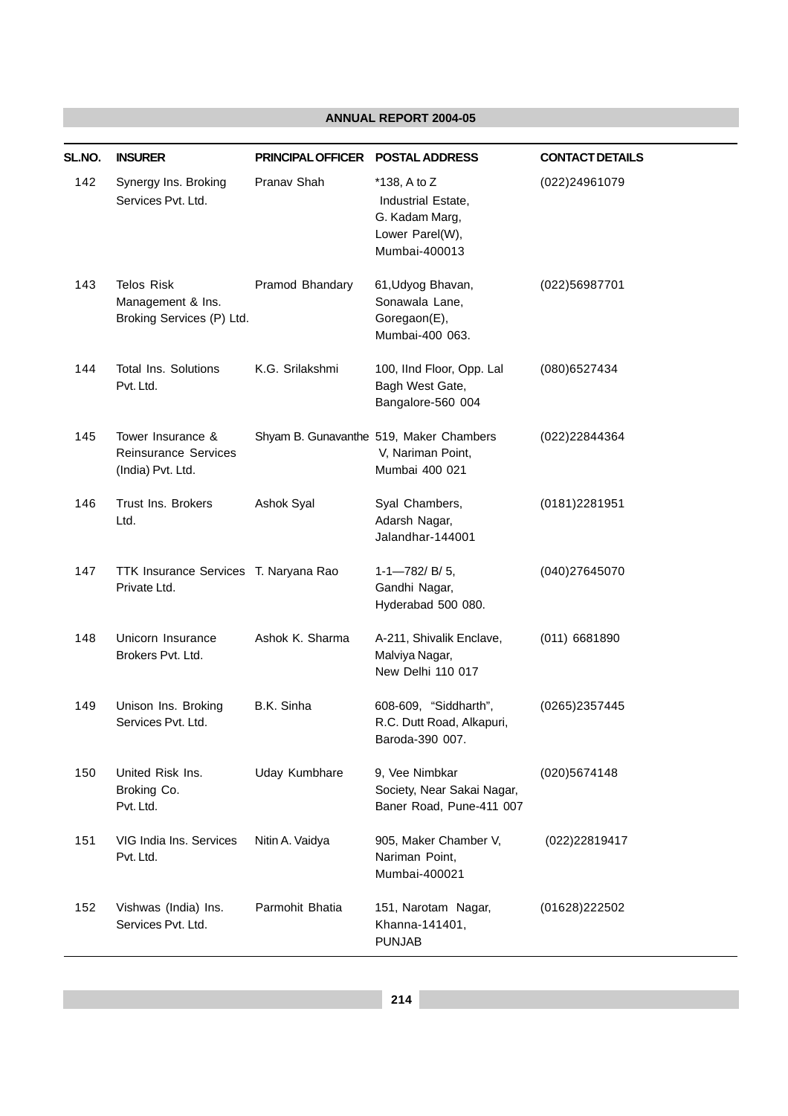| SL.NO. | <b>INSURER</b>                                                      | PRINCIPAL OFFICER POSTAL ADDRESS |                                                                                             | <b>CONTACT DETAILS</b> |
|--------|---------------------------------------------------------------------|----------------------------------|---------------------------------------------------------------------------------------------|------------------------|
| 142    | Synergy Ins. Broking<br>Services Pvt. Ltd.                          | Pranav Shah                      | $*138$ , A to Z<br>Industrial Estate,<br>G. Kadam Marg,<br>Lower Parel(W),<br>Mumbai-400013 | (022)24961079          |
| 143    | <b>Telos Risk</b><br>Management & Ins.<br>Broking Services (P) Ltd. | Pramod Bhandary                  | 61, Udyog Bhavan,<br>Sonawala Lane,<br>Goregaon(E),<br>Mumbai-400 063.                      | (022)56987701          |
| 144    | <b>Total Ins. Solutions</b><br>Pvt. Ltd.                            | K.G. Srilakshmi                  | 100, IInd Floor, Opp. Lal<br>Bagh West Gate,<br>Bangalore-560 004                           | (080) 6527434          |
| 145    | Tower Insurance &<br>Reinsurance Services<br>(India) Pvt. Ltd.      |                                  | Shyam B. Gunavanthe 519, Maker Chambers<br>V, Nariman Point,<br>Mumbai 400 021              | (022)22844364          |
| 146    | Trust Ins. Brokers<br>Ltd.                                          | Ashok Syal                       | Syal Chambers,<br>Adarsh Nagar,<br>Jalandhar-144001                                         | (0181)2281951          |
| 147    | TTK Insurance Services T. Naryana Rao<br>Private Ltd.               |                                  | $1-1$ -782/ B/ 5,<br>Gandhi Nagar,<br>Hyderabad 500 080.                                    | (040)27645070          |
| 148    | Unicorn Insurance<br>Brokers Pvt. Ltd.                              | Ashok K. Sharma                  | A-211, Shivalik Enclave,<br>Malviya Nagar,<br>New Delhi 110 017                             | (011) 6681890          |
| 149    | Unison Ins. Broking<br>Services Pvt. Ltd.                           | B.K. Sinha                       | 608-609, "Siddharth",<br>R.C. Dutt Road, Alkapuri,<br>Baroda-390 007.                       | (0265)2357445          |
| 150    | United Risk Ins.<br>Broking Co.<br>Pvt. Ltd.                        | Uday Kumbhare                    | 9, Vee Nimbkar<br>Society, Near Sakai Nagar,<br>Baner Road, Pune-411 007                    | (020)5674148           |
| 151    | VIG India Ins. Services<br>Pvt. Ltd.                                | Nitin A. Vaidya                  | 905, Maker Chamber V,<br>Nariman Point,<br>Mumbai-400021                                    | (022)22819417          |
| 152    | Vishwas (India) Ins.<br>Services Pvt. Ltd.                          | Parmohit Bhatia                  | 151, Narotam Nagar,<br>Khanna-141401,<br><b>PUNJAB</b>                                      | (01628)222502          |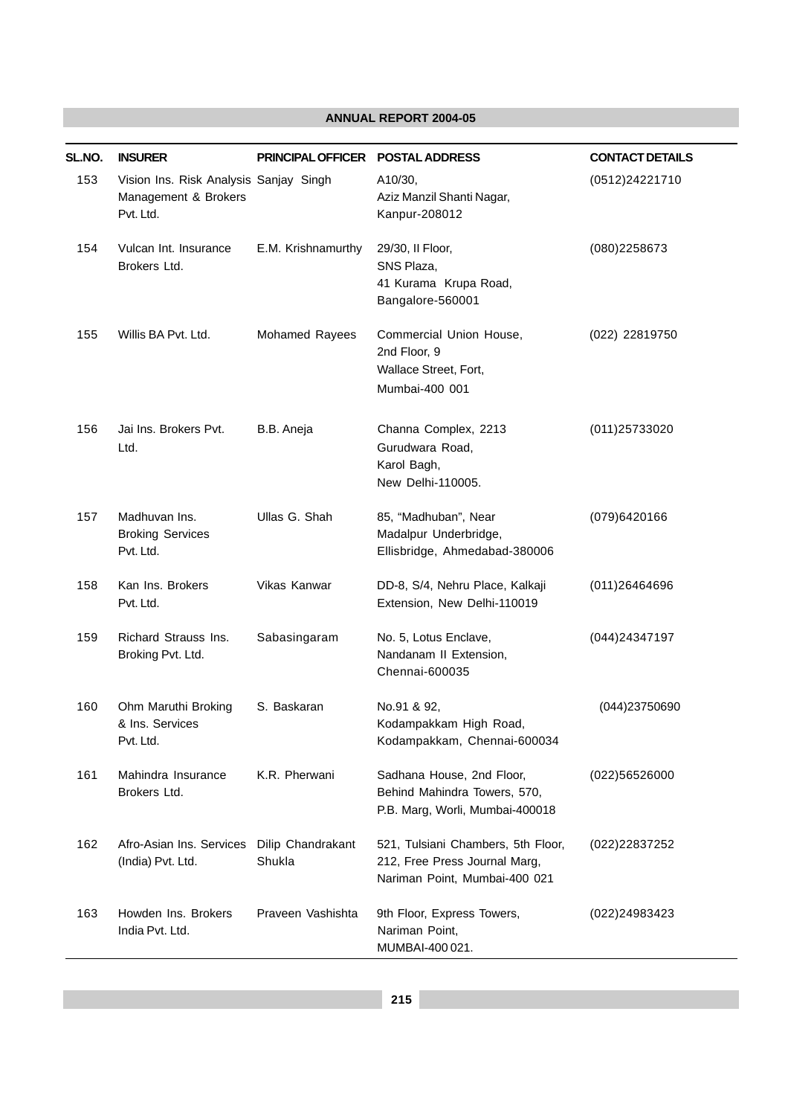| SL.NO. | <b>INSURER</b>                                                              | <b>PRINCIPAL OFFICER</b>    | <b>POSTAL ADDRESS</b>                                                                                | <b>CONTACT DETAILS</b> |
|--------|-----------------------------------------------------------------------------|-----------------------------|------------------------------------------------------------------------------------------------------|------------------------|
| 153    | Vision Ins. Risk Analysis Sanjay Singh<br>Management & Brokers<br>Pvt. Ltd. |                             | A10/30,<br>Aziz Manzil Shanti Nagar,<br>Kanpur-208012                                                | (0512)24221710         |
| 154    | Vulcan Int. Insurance<br>Brokers Ltd.                                       | E.M. Krishnamurthy          | 29/30, II Floor,<br>SNS Plaza,<br>41 Kurama Krupa Road,<br>Bangalore-560001                          | (080)2258673           |
| 155    | Willis BA Pvt. Ltd.                                                         | Mohamed Rayees              | Commercial Union House,<br>2nd Floor, 9<br>Wallace Street, Fort,<br>Mumbai-400 001                   | (022) 22819750         |
| 156    | Jai Ins. Brokers Pvt.<br>Ltd.                                               | B.B. Aneja                  | Channa Complex, 2213<br>Gurudwara Road,<br>Karol Bagh,<br>New Delhi-110005.                          | (011)25733020          |
| 157    | Madhuvan Ins.<br><b>Broking Services</b><br>Pvt. Ltd.                       | Ullas G. Shah               | 85, "Madhuban", Near<br>Madalpur Underbridge,<br>Ellisbridge, Ahmedabad-380006                       | (079)6420166           |
| 158    | Kan Ins. Brokers<br>Pvt. Ltd.                                               | Vikas Kanwar                | DD-8, S/4, Nehru Place, Kalkaji<br>Extension, New Delhi-110019                                       | (011)26464696          |
| 159    | Richard Strauss Ins.<br>Broking Pvt. Ltd.                                   | Sabasingaram                | No. 5, Lotus Enclave,<br>Nandanam II Extension,<br>Chennai-600035                                    | (044)24347197          |
| 160    | Ohm Maruthi Broking<br>& Ins. Services<br>Pvt. Ltd.                         | S. Baskaran                 | No.91 & 92,<br>Kodampakkam High Road,<br>Kodampakkam, Chennai-600034                                 | (044)23750690          |
| 161    | Mahindra Insurance<br>Brokers Ltd.                                          | K.R. Pherwani               | Sadhana House, 2nd Floor,<br>Behind Mahindra Towers, 570,<br>P.B. Marg, Worli, Mumbai-400018         | (022)56526000          |
| 162    | Afro-Asian Ins. Services<br>(India) Pvt. Ltd.                               | Dilip Chandrakant<br>Shukla | 521, Tulsiani Chambers, 5th Floor,<br>212, Free Press Journal Marg,<br>Nariman Point, Mumbai-400 021 | (022)22837252          |
| 163    | Howden Ins. Brokers<br>India Pvt. Ltd.                                      | Praveen Vashishta           | 9th Floor, Express Towers,<br>Nariman Point,<br>MUMBAI-400 021.                                      | (022)24983423          |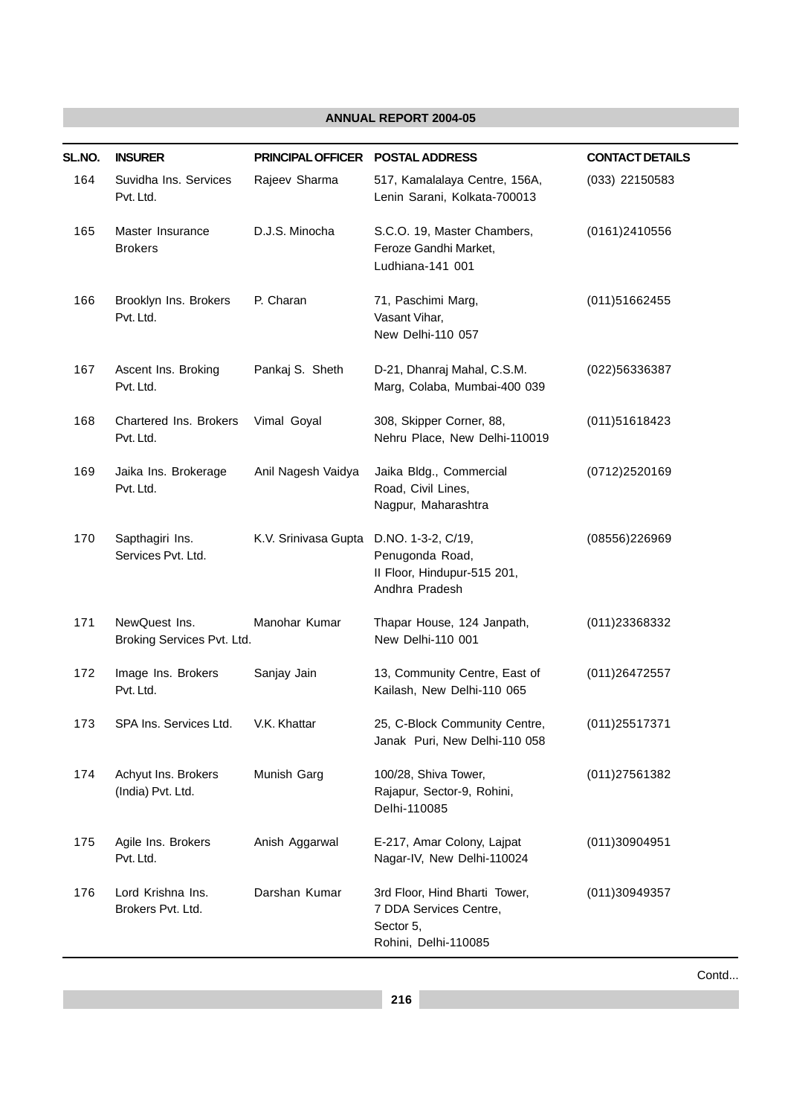| SL.NO. | <b>INSURER</b>                              | PRINCIPAL OFFICER POSTAL ADDRESS        |                                                                                              | <b>CONTACT DETAILS</b> |
|--------|---------------------------------------------|-----------------------------------------|----------------------------------------------------------------------------------------------|------------------------|
| 164    | Suvidha Ins. Services<br>Pvt. Ltd.          | Rajeev Sharma                           | 517, Kamalalaya Centre, 156A,<br>Lenin Sarani, Kolkata-700013                                | (033) 22150583         |
| 165    | Master Insurance<br><b>Brokers</b>          | D.J.S. Minocha                          | S.C.O. 19, Master Chambers,<br>Feroze Gandhi Market,<br>Ludhiana-141 001                     | (0161)2410556          |
| 166    | Brooklyn Ins. Brokers<br>Pvt. Ltd.          | P. Charan                               | 71, Paschimi Marg,<br>Vasant Vihar,<br>New Delhi-110 057                                     | (011)51662455          |
| 167    | Ascent Ins. Broking<br>Pvt. Ltd.            | Pankaj S. Sheth                         | D-21, Dhanraj Mahal, C.S.M.<br>Marg, Colaba, Mumbai-400 039                                  | (022)56336387          |
| 168    | Chartered Ins. Brokers<br>Pvt. Ltd.         | Vimal Goyal                             | 308, Skipper Corner, 88,<br>Nehru Place, New Delhi-110019                                    | (011)51618423          |
| 169    | Jaika Ins. Brokerage<br>Pvt. Ltd.           | Anil Nagesh Vaidya                      | Jaika Bldg., Commercial<br>Road, Civil Lines,<br>Nagpur, Maharashtra                         | (0712)2520169          |
| 170    | Sapthagiri Ins.<br>Services Pvt. Ltd.       | K.V. Srinivasa Gupta D.NO. 1-3-2, C/19, | Penugonda Road,<br>II Floor, Hindupur-515 201,<br>Andhra Pradesh                             | (08556)226969          |
| 171    | NewQuest Ins.<br>Broking Services Pvt. Ltd. | Manohar Kumar                           | Thapar House, 124 Janpath,<br>New Delhi-110 001                                              | (011)23368332          |
| 172    | Image Ins. Brokers<br>Pvt. Ltd.             | Sanjay Jain                             | 13, Community Centre, East of<br>Kailash, New Delhi-110 065                                  | (011)26472557          |
| 173    | SPA Ins. Services Ltd.                      | V.K. Khattar                            | 25, C-Block Community Centre,<br>Janak Puri, New Delhi-110 058                               | (011)25517371          |
| 174    | Achyut Ins. Brokers<br>(India) Pvt. Ltd.    | Munish Garg                             | 100/28, Shiva Tower,<br>Rajapur, Sector-9, Rohini,<br>Delhi-110085                           | (011)27561382          |
| 175    | Agile Ins. Brokers<br>Pvt. Ltd.             | Anish Aggarwal                          | E-217, Amar Colony, Lajpat<br>Nagar-IV, New Delhi-110024                                     | (011)30904951          |
| 176    | Lord Krishna Ins.<br>Brokers Pvt. Ltd.      | Darshan Kumar                           | 3rd Floor, Hind Bharti Tower,<br>7 DDA Services Centre,<br>Sector 5,<br>Rohini, Delhi-110085 | (011)30949357          |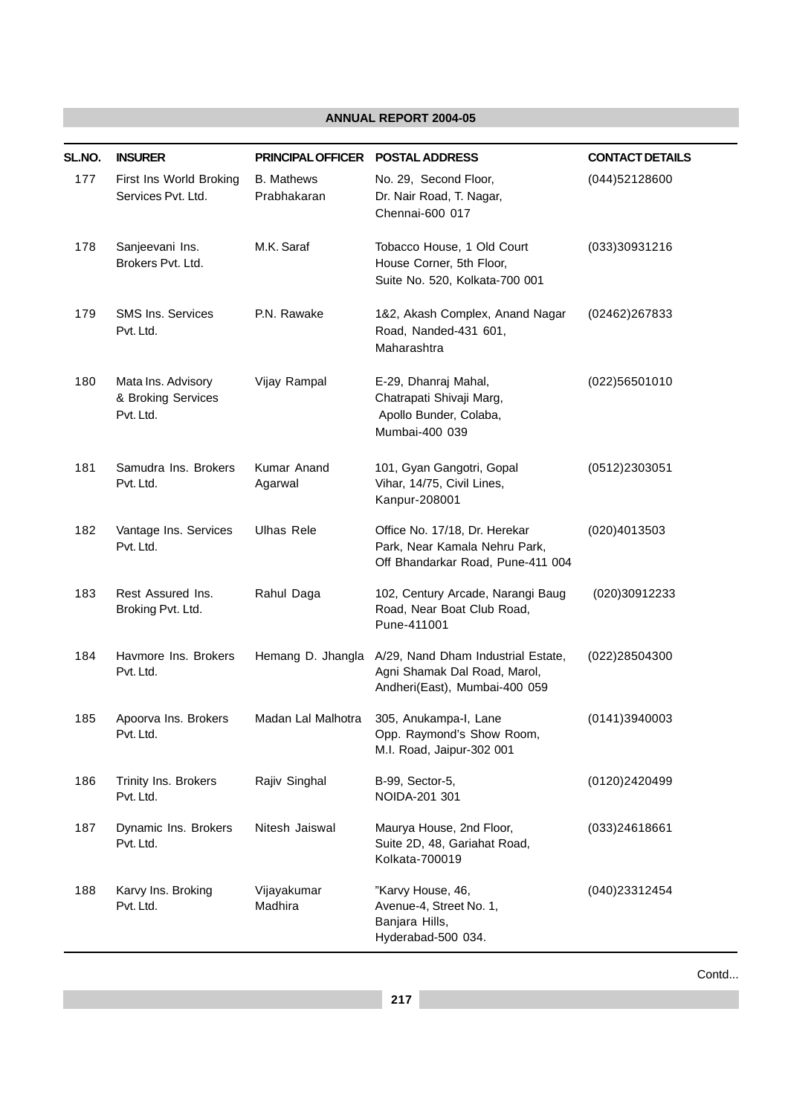| SL.NO. | <b>INSURER</b>                                        | <b>PRINCIPAL OFFICER</b>         | <b>POSTAL ADDRESS</b>                                                                               | <b>CONTACT DETAILS</b> |
|--------|-------------------------------------------------------|----------------------------------|-----------------------------------------------------------------------------------------------------|------------------------|
| 177    | First Ins World Broking<br>Services Pvt. Ltd.         | <b>B.</b> Mathews<br>Prabhakaran | No. 29, Second Floor,<br>Dr. Nair Road, T. Nagar,<br>Chennai-600 017                                | (044)52128600          |
| 178    | Sanjeevani Ins.<br>Brokers Pvt. Ltd.                  | M.K. Saraf                       | Tobacco House, 1 Old Court<br>House Corner, 5th Floor,<br>Suite No. 520, Kolkata-700 001            | (033)30931216          |
| 179    | SMS Ins. Services<br>Pvt. Ltd.                        | P.N. Rawake                      | 1&2, Akash Complex, Anand Nagar<br>Road, Nanded-431 601,<br>Maharashtra                             | (02462)267833          |
| 180    | Mata Ins. Advisory<br>& Broking Services<br>Pvt. Ltd. | Vijay Rampal                     | E-29, Dhanraj Mahal,<br>Chatrapati Shivaji Marg,<br>Apollo Bunder, Colaba,<br>Mumbai-400 039        | (022)56501010          |
| 181    | Samudra Ins. Brokers<br>Pvt. Ltd.                     | Kumar Anand<br>Agarwal           | 101, Gyan Gangotri, Gopal<br>Vihar, 14/75, Civil Lines,<br>Kanpur-208001                            | (0512)2303051          |
| 182    | Vantage Ins. Services<br>Pvt. Ltd.                    | <b>Ulhas Rele</b>                | Office No. 17/18, Dr. Herekar<br>Park, Near Kamala Nehru Park,<br>Off Bhandarkar Road, Pune-411 004 | (020)4013503           |
| 183    | Rest Assured Ins.<br>Broking Pvt. Ltd.                | Rahul Daga                       | 102, Century Arcade, Narangi Baug<br>Road, Near Boat Club Road,<br>Pune-411001                      | (020)30912233          |
| 184    | Havmore Ins. Brokers<br>Pvt. Ltd.                     | Hemang D. Jhangla                | A/29, Nand Dham Industrial Estate,<br>Agni Shamak Dal Road, Marol,<br>Andheri(East), Mumbai-400 059 | (022)28504300          |
| 185    | Apoorva Ins. Brokers<br>Pvt. Ltd.                     | Madan Lal Malhotra               | 305, Anukampa-I, Lane<br>Opp. Raymond's Show Room,<br>M.I. Road, Jaipur-302 001                     | (0141)3940003          |
| 186    | Trinity Ins. Brokers<br>Pvt. Ltd.                     | Rajiv Singhal                    | B-99, Sector-5,<br>NOIDA-201 301                                                                    | (0120)2420499          |
| 187    | Dynamic Ins. Brokers<br>Pvt. Ltd.                     | Nitesh Jaiswal                   | Maurya House, 2nd Floor,<br>Suite 2D, 48, Gariahat Road,<br>Kolkata-700019                          | (033)24618661          |
| 188    | Karvy Ins. Broking<br>Pvt. Ltd.                       | Vijayakumar<br>Madhira           | "Karvy House, 46,<br>Avenue-4, Street No. 1,<br>Banjara Hills,<br>Hyderabad-500 034.                | (040)23312454          |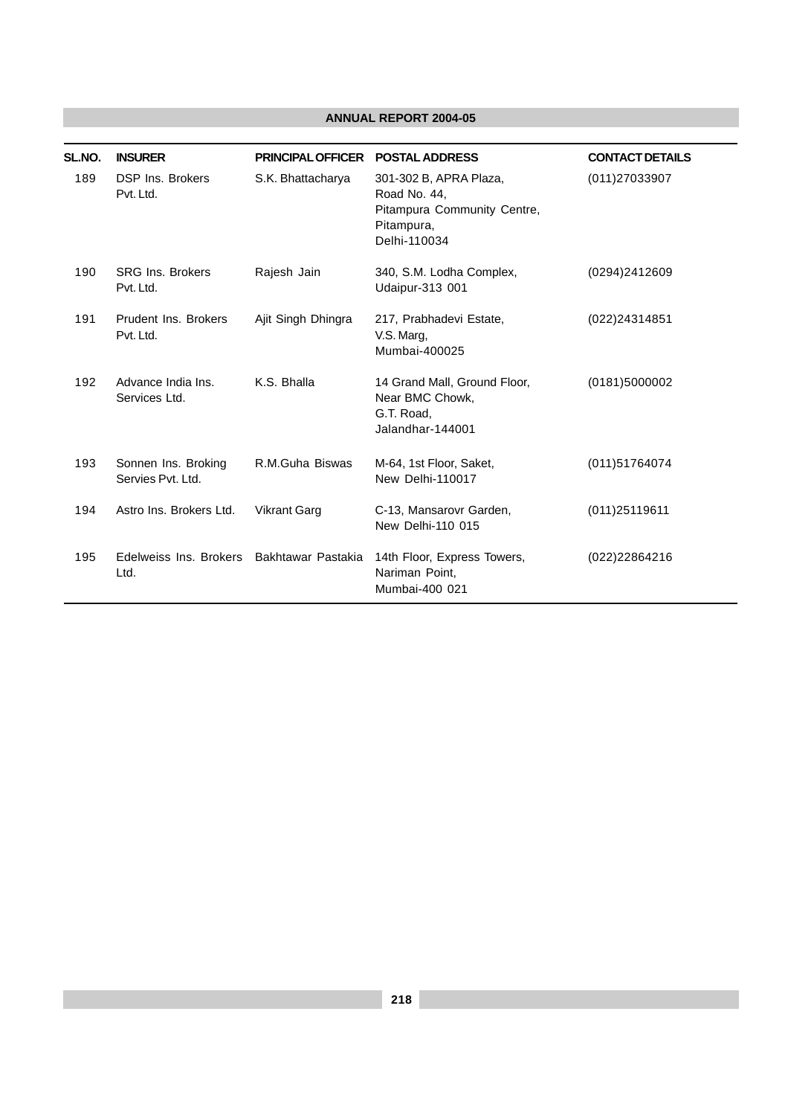| SL.NO. | <b>INSURER</b>                           | <b>PRINCIPAL OFFICER</b> | <b>POSTAL ADDRESS</b>                                                                               | <b>CONTACT DETAILS</b> |
|--------|------------------------------------------|--------------------------|-----------------------------------------------------------------------------------------------------|------------------------|
| 189    | <b>DSP Ins. Brokers</b><br>Pvt. Ltd.     | S.K. Bhattacharya        | 301-302 B, APRA Plaza,<br>Road No. 44,<br>Pitampura Community Centre,<br>Pitampura,<br>Delhi-110034 | (011)27033907          |
| 190    | <b>SRG Ins. Brokers</b><br>Pvt. Ltd.     | Rajesh Jain              | 340, S.M. Lodha Complex,<br>Udaipur-313 001                                                         | (0294)2412609          |
| 191    | Prudent Ins. Brokers<br>Pvt. Ltd.        | Ajit Singh Dhingra       | 217, Prabhadevi Estate,<br>V.S. Marg,<br>Mumbai-400025                                              | (022)24314851          |
| 192    | Advance India Ins.<br>Services Ltd.      | K.S. Bhalla              | 14 Grand Mall, Ground Floor,<br>Near BMC Chowk,<br>G.T. Road,<br>Jalandhar-144001                   | (0181)5000002          |
| 193    | Sonnen Ins. Broking<br>Servies Pyt. Ltd. | R.M.Guha Biswas          | M-64, 1st Floor, Saket,<br>New Delhi-110017                                                         | (011)51764074          |
| 194    | Astro Ins. Brokers Ltd.                  | <b>Vikrant Garg</b>      | C-13, Mansarovr Garden,<br>New Delhi-110 015                                                        | (011)25119611          |
| 195    | Edelweiss Ins. Brokers<br>Ltd.           | Bakhtawar Pastakia       | 14th Floor, Express Towers,<br>Nariman Point.<br>Mumbai-400 021                                     | (022)22864216          |